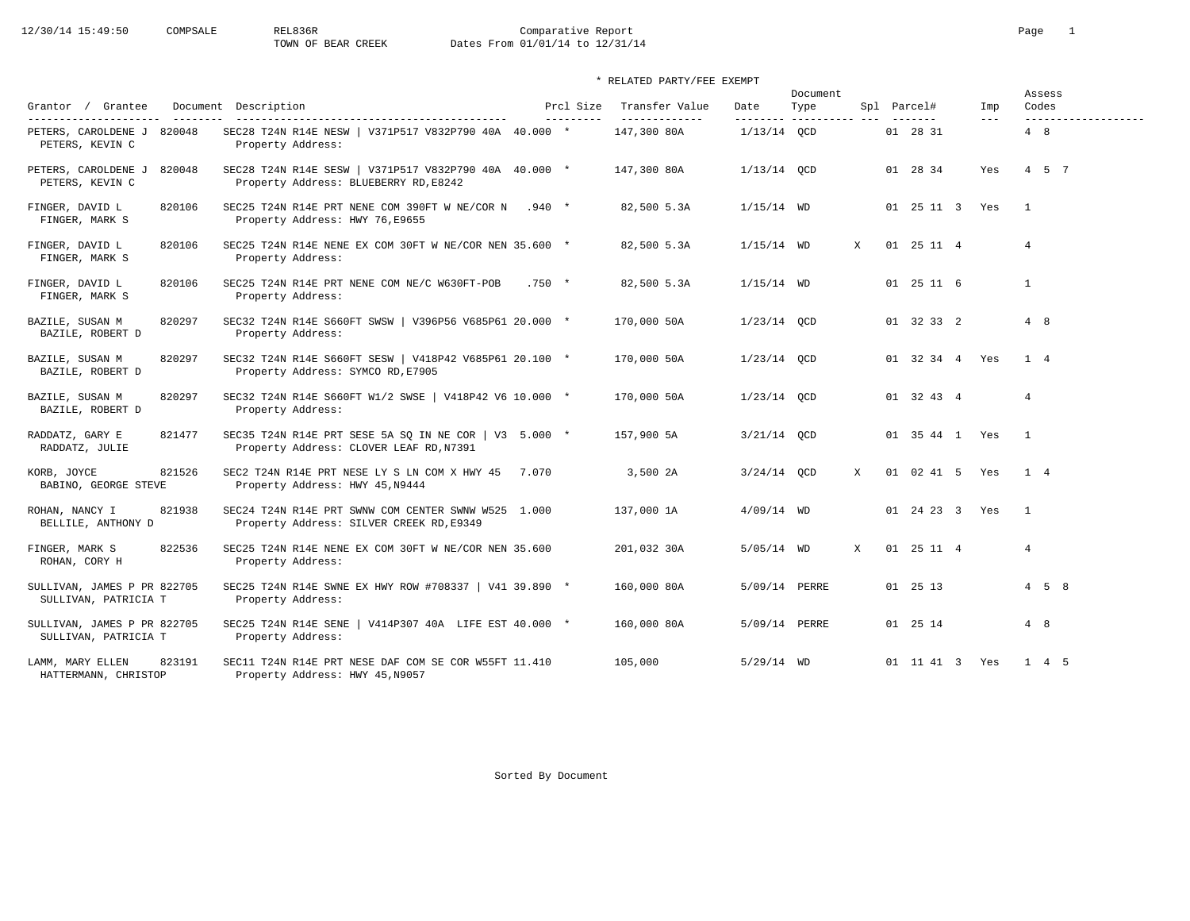|                                                         |                                                                                                  |         |                         |                                 |               | Document                     |   |                    |                |                | Assess                       |
|---------------------------------------------------------|--------------------------------------------------------------------------------------------------|---------|-------------------------|---------------------------------|---------------|------------------------------|---|--------------------|----------------|----------------|------------------------------|
| Grantor / Grantee<br>---------------------<br>--------- | Document Description                                                                             |         | Prcl Size<br>---------- | Transfer Value<br>------------- | Date          | Type<br>--------- ---------- |   | Spl Parcel#        | Imp<br>$- - -$ |                | Codes<br>------------------- |
| PETERS, CAROLDENE J 820048<br>PETERS, KEVIN C           | SEC28 T24N R14E NESW   V371P517 V832P790 40A 40.000 *<br>Property Address:                       |         |                         | 147,300 80A                     | $1/13/14$ OCD |                              |   | 01 28 31           |                | $4 \quad 8$    |                              |
| PETERS, CAROLDENE J<br>820048<br>PETERS, KEVIN C        | SEC28 T24N R14E SESW   V371P517 V832P790 40A 40.000 *<br>Property Address: BLUEBERRY RD, E8242   |         |                         | 147,300 80A                     | $1/13/14$ QCD |                              |   | 01 28 34           | Yes            |                | 4 5 7                        |
| 820106<br>FINGER, DAVID L<br>FINGER, MARK S             | SEC25 T24N R14E PRT NENE COM 390FT W NE/COR N .940 *<br>Property Address: HWY 76, E9655          |         |                         | 82,500 5.3A                     | $1/15/14$ WD  |                              |   | 01 25 11 3 Yes     |                | $\mathbf{1}$   |                              |
| FINGER, DAVID L<br>820106<br>FINGER, MARK S             | SEC25 T24N R14E NENE EX COM 30FT W NE/COR NEN 35.600 *<br>Property Address:                      |         |                         | 82,500 5.3A                     | $1/15/14$ WD  |                              | X | 01 25 11 4         |                | $\overline{4}$ |                              |
| FINGER, DAVID L<br>820106<br>FINGER, MARK S             | SEC25 T24N R14E PRT NENE COM NE/C W630FT-POB<br>Property Address:                                | $.750*$ |                         | 82,500 5.3A                     | $1/15/14$ WD  |                              |   | 01 25 11 6         |                | $\mathbf{1}$   |                              |
| BAZILE, SUSAN M<br>820297<br>BAZILE, ROBERT D           | SEC32 T24N R14E S660FT SWSW   V396P56 V685P61 20.000 *<br>Property Address:                      |         |                         | 170,000 50A                     | $1/23/14$ OCD |                              |   | 01 32 33 2         |                | 4 8            |                              |
| 820297<br>BAZILE, SUSAN M<br>BAZILE, ROBERT D           | SEC32 T24N R14E S660FT SESW   V418P42 V685P61 20.100 *<br>Property Address: SYMCO RD, E7905      |         |                         | 170,000 50A                     | $1/23/14$ OCD |                              |   | 01 32 34 4 Yes     |                | $1 \quad 4$    |                              |
| BAZILE, SUSAN M<br>820297<br>BAZILE, ROBERT D           | SEC32 T24N R14E S660FT W1/2 SWSE   V418P42 V6 10.000 *<br>Property Address:                      |         |                         | 170,000 50A                     | $1/23/14$ OCD |                              |   | 01 32 43 4         |                | $\overline{4}$ |                              |
| RADDATZ, GARY E<br>821477<br>RADDATZ, JULIE             | SEC35 T24N R14E PRT SESE 5A SQ IN NE COR   V3 5.000 *<br>Property Address: CLOVER LEAF RD, N7391 |         |                         | 157,900 5A                      | $3/21/14$ OCD |                              |   | 01 35 44 1 Yes     |                | $\overline{1}$ |                              |
| 821526<br>KORB, JOYCE<br>BABINO, GEORGE STEVE           | SEC2 T24N R14E PRT NESE LY S LN COM X HWY 45 7.070<br>Property Address: HWY 45, N9444            |         |                         | 3,500 2A                        | $3/24/14$ QCD |                              | X | 01 02 41 5 Yes     |                | 1 4            |                              |
| ROHAN, NANCY I<br>821938<br>BELLILE, ANTHONY D          | SEC24 T24N R14E PRT SWNW COM CENTER SWNW W525 1.000<br>Property Address: SILVER CREEK RD, E9349  |         |                         | 137,000 1A                      | $4/09/14$ WD  |                              |   | 01  24  23  3  Yes |                | $\overline{1}$ |                              |
| 822536<br>FINGER, MARK S<br>ROHAN, CORY H               | SEC25 T24N R14E NENE EX COM 30FT W NE/COR NEN 35.600<br>Property Address:                        |         |                         | 201,032 30A                     | $5/05/14$ WD  |                              | X | 01 25 11 4         |                | 4              |                              |
| SULLIVAN, JAMES P PR 822705<br>SULLIVAN, PATRICIA T     | SEC25 T24N R14E SWNE EX HWY ROW #708337   V41 39.890 *<br>Property Address:                      |         |                         | 160,000 80A                     | 5/09/14 PERRE |                              |   | 01 25 13           |                |                | $4\quad 5\quad 8$            |
| SULLIVAN, JAMES P PR 822705<br>SULLIVAN, PATRICIA T     | SEC25 T24N R14E SENE   V414P307 40A LIFE EST 40.000 *<br>Property Address:                       |         |                         | 160,000 80A                     | 5/09/14 PERRE |                              |   | 01 25 14           |                | 4 8            |                              |
| 823191<br>LAMM, MARY ELLEN<br>HATTERMANN, CHRISTOP      | SEC11 T24N R14E PRT NESE DAF COM SE COR W55FT 11.410<br>Property Address: HWY 45, N9057          |         |                         | 105,000                         | $5/29/14$ WD  |                              |   | 01 11 41 3 Yes     |                |                | 1 4 5                        |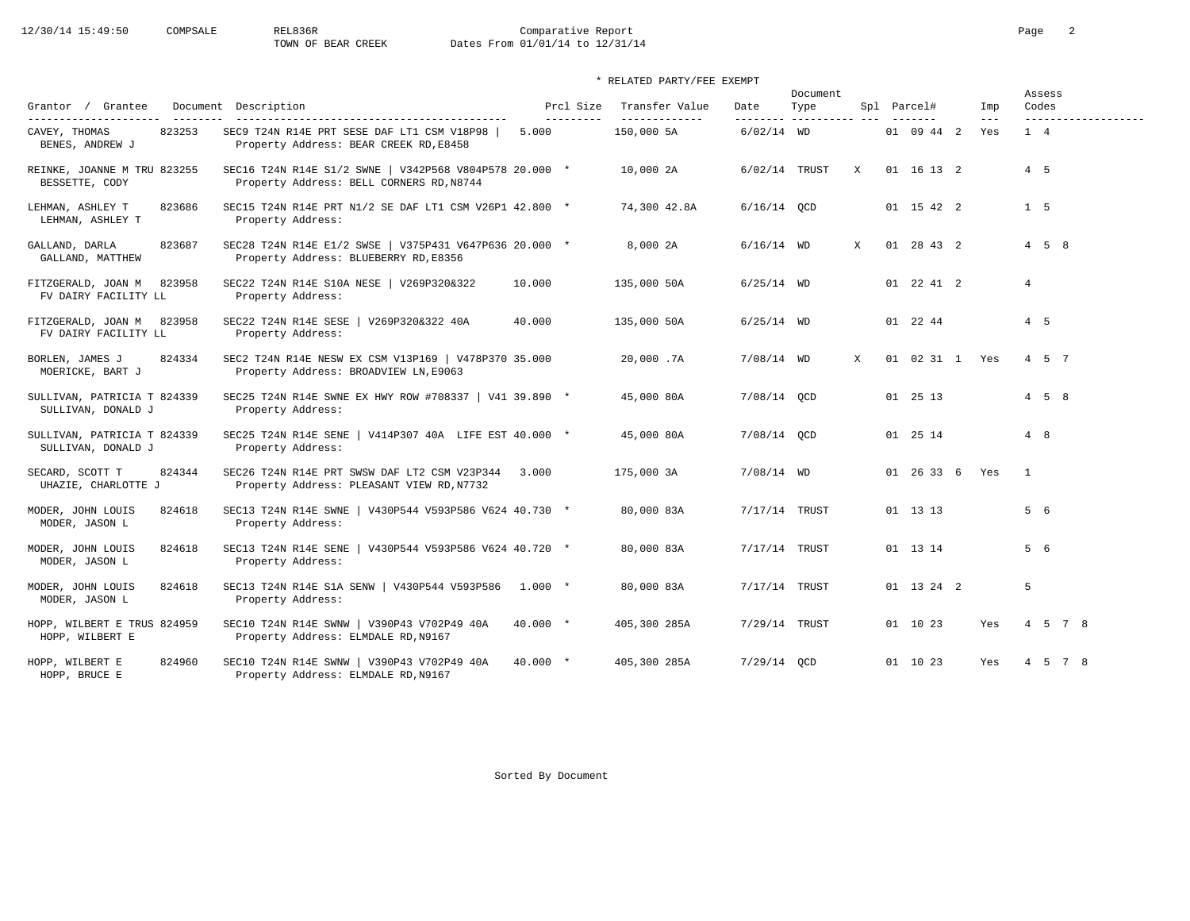# 12/30/14 15:49:50 COMPSALE REL836R Comparative Report Comparative Report Page 2<br>TOWN OF BEAR CREEK Dates From 01/01/14 to 12/31/14 Dates From 01/01/14 to 12/31/14

| Grantor / Grantee                                         |        | Document Description                                                                               |            | Prcl Size  | Transfer Value               | Date          | Document<br>Type         |              | Spl Parcel#    | Imp          | Assess<br>Codes     |                     |
|-----------------------------------------------------------|--------|----------------------------------------------------------------------------------------------------|------------|------------|------------------------------|---------------|--------------------------|--------------|----------------|--------------|---------------------|---------------------|
| ---------------------<br>CAVEY, THOMAS<br>BENES, ANDREW J | 823253 | SEC9 T24N R14E PRT SESE DAF LT1 CSM V18P98<br>Property Address: BEAR CREEK RD, E8458               | 5.000      | ---------- | --------------<br>150,000 5A | $6/02/14$ WD  | --------- ---------- --- |              | 01 09 44 2     | $---$<br>Yes | 1 4                 | ------------------- |
| REINKE, JOANNE M TRU 823255<br>BESSETTE, CODY             |        | SEC16 T24N R14E S1/2 SWNE   V342P568 V804P578 20.000 *<br>Property Address: BELL CORNERS RD, N8744 |            |            | 10,000 2A                    | 6/02/14 TRUST |                          | X            | 01 16 13 2     |              | $4\quad 5$          |                     |
| LEHMAN, ASHLEY T<br>LEHMAN, ASHLEY T                      | 823686 | SEC15 T24N R14E PRT N1/2 SE DAF LT1 CSM V26P1 42.800 *<br>Property Address:                        |            |            | 74,300 42.8A                 | $6/16/14$ QCD |                          |              | 01 15 42 2     |              | $1\quad 5$          |                     |
| GALLAND, DARLA<br>GALLAND, MATTHEW                        | 823687 | SEC28 T24N R14E E1/2 SWSE   V375P431 V647P636 20.000 *<br>Property Address: BLUEBERRY RD, E8356    |            |            | 8,000 2A                     | $6/16/14$ WD  |                          | $\mathbf{x}$ | 01 28 43 2     |              | $4 \quad 5 \quad 8$ |                     |
| FITZGERALD, JOAN M<br>FV DAIRY FACILITY LL                | 823958 | SEC22 T24N R14E S10A NESE   V269P320&322<br>Property Address:                                      | 10.000     |            | 135,000 50A                  | $6/25/14$ WD  |                          |              | 01 22 41 2     |              | $4\overline{ }$     |                     |
| FITZGERALD, JOAN M 823958<br>FV DAIRY FACILITY LL         |        | SEC22 T24N R14E SESE   V269P320&322 40A<br>Property Address:                                       | 40.000     |            | 135,000 50A                  | $6/25/14$ WD  |                          |              | 01 22 44       |              | $4\quad 5$          |                     |
| BORLEN, JAMES J<br>MOERICKE, BART J                       | 824334 | SEC2 T24N R14E NESW EX CSM V13P169   V478P370 35.000<br>Property Address: BROADVIEW LN, E9063      |            |            | 20,000.7A                    | $7/08/14$ WD  |                          | X            | 01 02 31 1 Yes |              | 4 5 7               |                     |
| SULLIVAN, PATRICIA T 824339<br>SULLIVAN, DONALD J         |        | SEC25 T24N R14E SWNE EX HWY ROW #708337   V41 39.890 *<br>Property Address:                        |            |            | 45,000 80A                   | 7/08/14 OCD   |                          |              | 01 25 13       |              | $4\quad 5\quad 8$   |                     |
| SULLIVAN, PATRICIA T 824339<br>SULLIVAN, DONALD J         |        | SEC25 T24N R14E SENE   V414P307 40A LIFE EST 40.000 *<br>Property Address:                         |            |            | 45,000 80A                   | 7/08/14 OCD   |                          |              | 01 25 14       |              | 4 8                 |                     |
| SECARD, SCOTT T<br>UHAZIE, CHARLOTTE J                    | 824344 | SEC26 T24N R14E PRT SWSW DAF LT2 CSM V23P344 3.000<br>Property Address: PLEASANT VIEW RD, N7732    |            |            | 175,000 3A                   | $7/08/14$ WD  |                          |              | 01 26 33 6 Yes |              | $\mathbf{1}$        |                     |
| MODER, JOHN LOUIS<br>MODER, JASON L                       | 824618 | SEC13 T24N R14E SWNE   V430P544 V593P586 V624 40.730 *<br>Property Address:                        |            |            | 80,000 83A                   | 7/17/14 TRUST |                          |              | 01 13 13       |              | 5 6                 |                     |
| MODER, JOHN LOUIS<br>MODER, JASON L                       | 824618 | SEC13 T24N R14E SENE   V430P544 V593P586 V624 40.720 *<br>Property Address:                        |            |            | 80,000 83A                   | 7/17/14 TRUST |                          |              | 01 13 14       |              | 5 6                 |                     |
| MODER, JOHN LOUIS<br>MODER, JASON L                       | 824618 | SEC13 T24N R14E S1A SENW   V430P544 V593P586 1.000 *<br>Property Address:                          |            |            | 80,000 83A                   | 7/17/14 TRUST |                          |              | 01 13 24 2     |              | 5                   |                     |
| HOPP, WILBERT E TRUS 824959<br>HOPP, WILBERT E            |        | SEC10 T24N R14E SWNW   V390P43 V702P49 40A<br>Property Address: ELMDALE RD, N9167                  | $40.000 *$ |            | 405,300 285A                 | 7/29/14 TRUST |                          |              | 01 10 23       | Yes          |                     | 4 5 7 8             |
| HOPP, WILBERT E<br>HOPP, BRUCE E                          | 824960 | SEC10 T24N R14E SWNW   V390P43 V702P49 40A<br>Property Address: ELMDALE RD, N9167                  | $40.000 *$ |            | 405,300 285A                 | $7/29/14$ OCD |                          |              | 01 10 23       | Yes          |                     | 4 5 7 8             |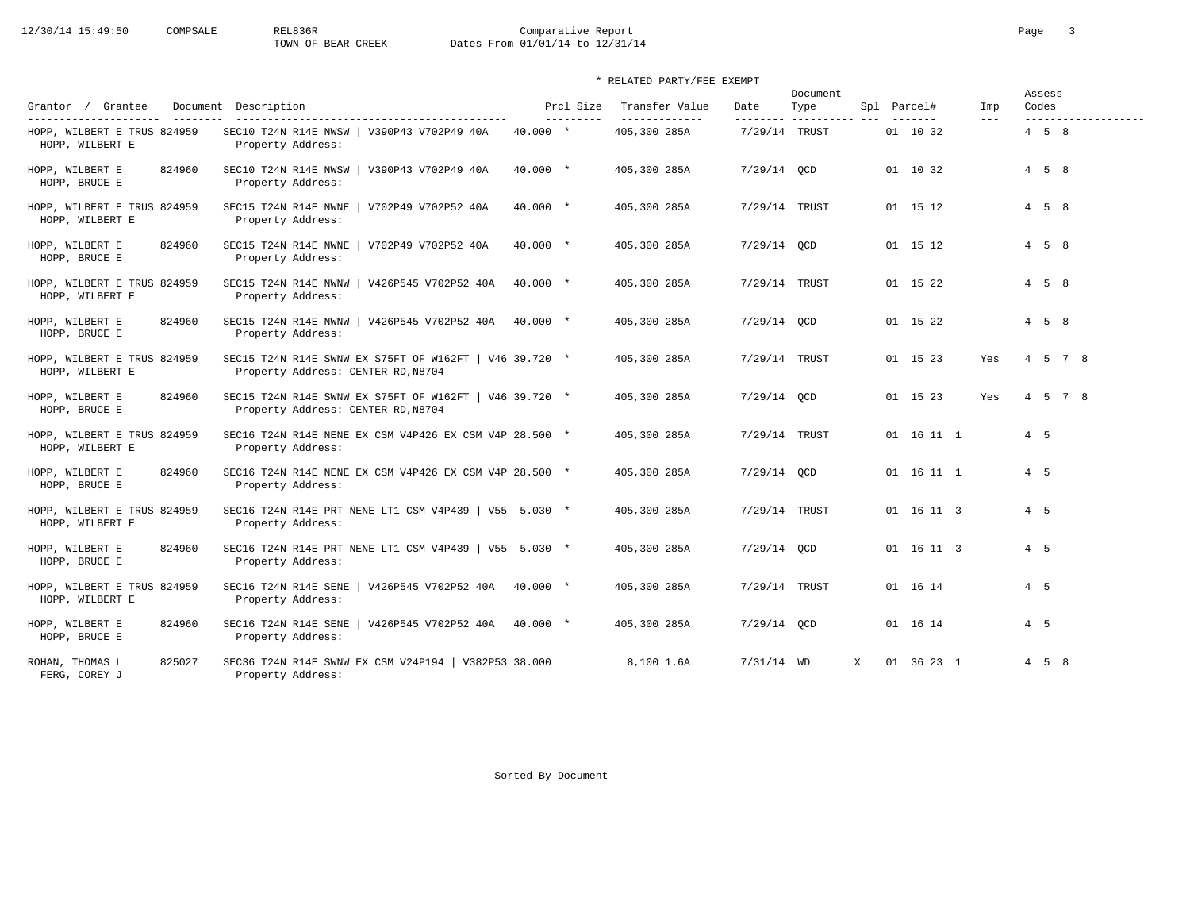| Grantor / Grantee                                                       |          | Document Description                                                                                   |            | Prcl Size | Transfer Value                | Date                       | Document<br>Type |              | Spl Parcel#         | Imp     | Assess<br>Codes   |                    |
|-------------------------------------------------------------------------|----------|--------------------------------------------------------------------------------------------------------|------------|-----------|-------------------------------|----------------------------|------------------|--------------|---------------------|---------|-------------------|--------------------|
| ---------------------<br>HOPP, WILBERT E TRUS 824959<br>HOPP, WILBERT E | ________ | -----------------------------------<br>SEC10 T24N R14E NWSW   V390P43 V702P49 40A<br>Property Address: | $40.000 *$ | --------- | -------------<br>405,300 285A | ---------<br>7/29/14 TRUST | ----------       |              | -------<br>01 10 32 | $- - -$ | $4\quad 5\quad 8$ | ------------------ |
| HOPP, WILBERT E<br>HOPP, BRUCE E                                        | 824960   | SEC10 T24N R14E NWSW   V390P43 V702P49 40A<br>Property Address:                                        | $40.000 *$ |           | 405,300 285A                  | $7/29/14$ OCD              |                  |              | 01 10 32            |         | $4\quad 5\quad 8$ |                    |
| HOPP, WILBERT E TRUS 824959<br>HOPP, WILBERT E                          |          | SEC15 T24N R14E NWNE   V702P49 V702P52 40A<br>Property Address:                                        | $40.000*$  |           | 405,300 285A                  | 7/29/14 TRUST              |                  |              | 01 15 12            |         | $4\quad 5\quad 8$ |                    |
| HOPP, WILBERT E<br>HOPP, BRUCE E                                        | 824960   | SEC15 T24N R14E NWNE   V702P49 V702P52 40A<br>Property Address:                                        | $40.000$ * |           | 405,300 285A                  | $7/29/14$ OCD              |                  |              | 01 15 12            |         | $4\quad 5\quad 8$ |                    |
| HOPP, WILBERT E TRUS 824959<br>HOPP, WILBERT E                          |          | SEC15 T24N R14E NWNW<br>  V426P545 V702P52 40A<br>Property Address:                                    | $40.000$ * |           | 405,300 285A                  | 7/29/14 TRUST              |                  |              | 01 15 22            |         | $4\quad 5\quad 8$ |                    |
| HOPP, WILBERT E<br>HOPP, BRUCE E                                        | 824960   | SEC15 T24N R14E NWNW   V426P545 V702P52 40A 40.000 *<br>Property Address:                              |            |           | 405,300 285A                  | $7/29/14$ OCD              |                  |              | 01 15 22            |         | $4\quad 5\quad 8$ |                    |
| HOPP, WILBERT E TRUS 824959<br>HOPP, WILBERT E                          |          | SEC15 T24N R14E SWNW EX S75FT OF W162FT   V46 39.720 *<br>Property Address: CENTER RD, N8704           |            |           | 405,300 285A                  | 7/29/14 TRUST              |                  |              | 01 15 23            | Yes     |                   | 4 5 7 8            |
| HOPP, WILBERT E<br>HOPP, BRUCE E                                        | 824960   | SEC15 T24N R14E SWNW EX S75FT OF W162FT   V46 39.720 *<br>Property Address: CENTER RD, N8704           |            |           | 405,300 285A                  | $7/29/14$ OCD              |                  |              | 01 15 23            | Yes     |                   | 4 5 7 8            |
| HOPP, WILBERT E TRUS 824959<br>HOPP, WILBERT E                          |          | SEC16 T24N R14E NENE EX CSM V4P426 EX CSM V4P 28.500 *<br>Property Address:                            |            |           | 405,300 285A                  | 7/29/14 TRUST              |                  |              | 01 16 11 1          |         | 4 5               |                    |
| HOPP, WILBERT E<br>HOPP, BRUCE E                                        | 824960   | SEC16 T24N R14E NENE EX CSM V4P426 EX CSM V4P 28.500 *<br>Property Address:                            |            |           | 405,300 285A                  | $7/29/14$ OCD              |                  |              | 01 16 11 1          |         | 4 5               |                    |
| HOPP, WILBERT E TRUS 824959<br>HOPP, WILBERT E                          |          | SEC16 T24N R14E PRT NENE LT1 CSM V4P439   V55 5.030 *<br>Property Address:                             |            |           | 405,300 285A                  | 7/29/14 TRUST              |                  |              | 01 16 11 3          |         | 4 5               |                    |
| HOPP, WILBERT E<br>HOPP, BRUCE E                                        | 824960   | SEC16 T24N R14E PRT NENE LT1 CSM V4P439   V55 5.030 *<br>Property Address:                             |            |           | 405,300 285A                  | $7/29/14$ OCD              |                  |              | 01 16 11 3          |         | 4 5               |                    |
| HOPP, WILBERT E TRUS 824959<br>HOPP, WILBERT E                          |          | SEC16 T24N R14E SENE<br>$\sqrt{426}P545 V702P52 40A 40.000 *$<br>Property Address:                     |            |           | 405,300 285A                  | 7/29/14 TRUST              |                  |              | 01 16 14            |         | $4\quad 5$        |                    |
| HOPP, WILBERT E<br>HOPP, BRUCE E                                        | 824960   | SEC16 T24N R14E SENE<br>$\sqrt{426P545 V702P52 40A} 40.000 *$<br>Property Address:                     |            |           | 405,300 285A                  | $7/29/14$ OCD              |                  |              | 01 16 14            |         | $4\quad 5$        |                    |
| ROHAN, THOMAS L<br>FERG, COREY J                                        | 825027   | SEC36 T24N R14E SWNW EX CSM V24P194   V382P53 38.000<br>Property Address:                              |            |           | 8,100 1.6A                    | $7/31/14$ WD               |                  | $\mathbf{x}$ | 01 36 23 1          |         | $4\quad 5\quad 8$ |                    |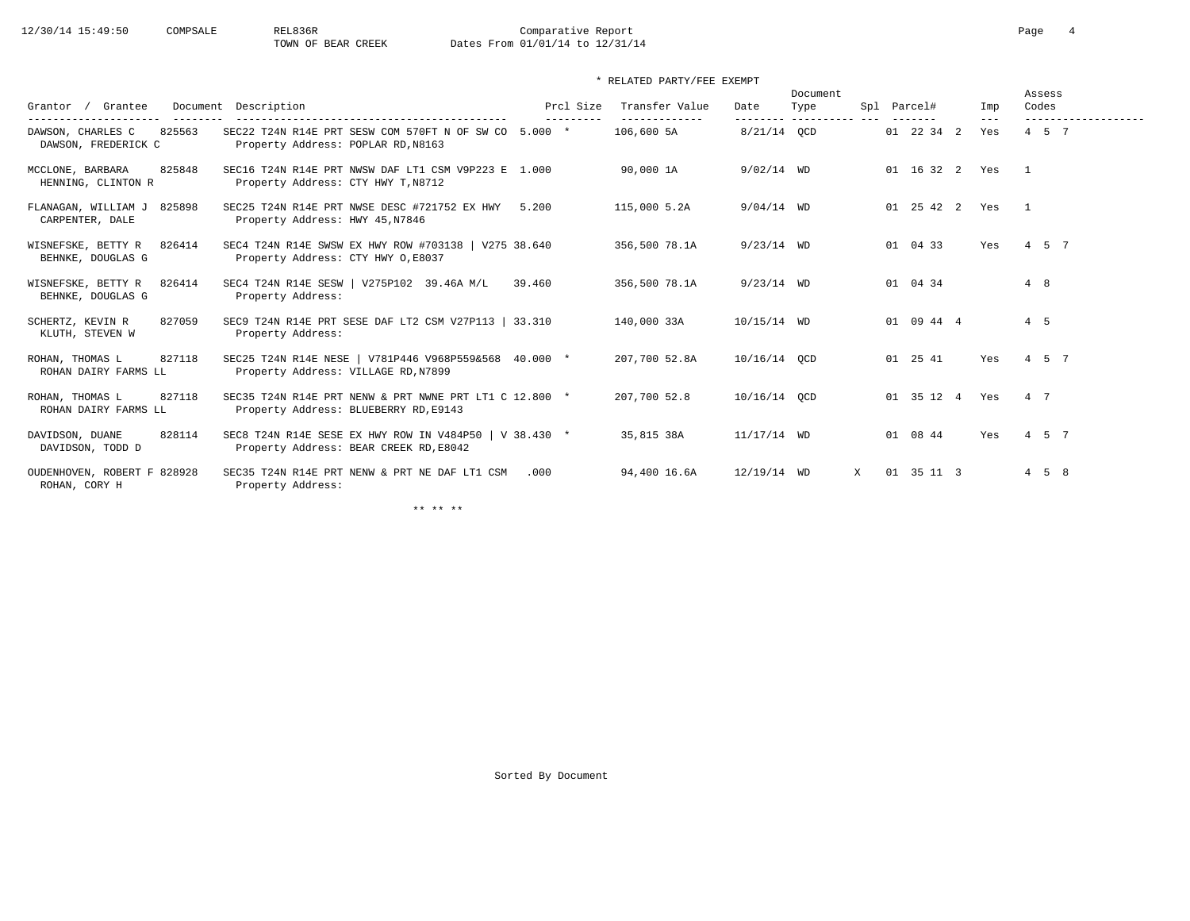| Grantee<br>Grantor                                 | Document Description                                                                             |        | Prcl Size | Transfer Value               | Date          | Document<br>Type     |   | Spl Parcel#    | Imp                   |            | Assess<br>Codes   |  |
|----------------------------------------------------|--------------------------------------------------------------------------------------------------|--------|-----------|------------------------------|---------------|----------------------|---|----------------|-----------------------|------------|-------------------|--|
| 825563<br>DAWSON, CHARLES C<br>DAWSON, FREDERICK C | SEC22 T24N R14E PRT SESW COM 570FT N OF SW CO 5.000 *<br>Property Address: POPLAR RD, N8163      |        |           | --------------<br>106,600 5A | 8/21/14 OCD   | --------- ---------- |   | 01 22 34 2     | $- - -$<br>Yes        |            | $4\quad 5\quad 7$ |  |
| 825848<br>MCCLONE, BARBARA<br>HENNING, CLINTON R   | SEC16 T24N R14E PRT NWSW DAF LT1 CSM V9P223 E 1.000<br>Property Address: CTY HWY T, N8712        |        |           | 90,000 1A                    | $9/02/14$ WD  |                      |   |                | 01 16 32 2 Yes 1      |            |                   |  |
| 825898<br>FLANAGAN, WILLIAM J<br>CARPENTER, DALE   | SEC25 T24N R14E PRT NWSE DESC #721752 EX HWY 5.200<br>Property Address: HWY 45, N7846            |        |           | 115,000 5.2A                 | $9/04/14$ WD  |                      |   |                | 01  25  42  2  Yes  1 |            |                   |  |
| WISNEFSKE, BETTY R<br>826414<br>BEHNKE, DOUGLAS G  | SEC4 T24N R14E SWSW EX HWY ROW #703138   V275 38.640<br>Property Address: CTY HWY 0, E8037       |        |           | 356,500 78.1A                | $9/23/14$ WD  |                      |   | 01 04 33       | Yes                   | 4 5 7      |                   |  |
| WISNEFSKE, BETTY R<br>826414<br>BEHNKE, DOUGLAS G  | SEC4 T24N R14E SESW   V275P102 39.46A M/L<br>Property Address:                                   | 39.460 |           | 356,500 78.1A                | $9/23/14$ WD  |                      |   | 01 04 34       |                       | 4 8        |                   |  |
| 827059<br>SCHERTZ, KEVIN R<br>KLUTH, STEVEN W      | SEC9 T24N R14E PRT SESE DAF LT2 CSM V27P113   33.310<br>Property Address:                        |        |           | 140,000 33A                  | $10/15/14$ WD |                      |   | 01 09 44 4     |                       | $4\quad 5$ |                   |  |
| ROHAN, THOMAS L<br>827118<br>ROHAN DAIRY FARMS LL  | SEC25 T24N R14E NESE   V781P446 V968P559&568 40.000 *<br>Property Address: VILLAGE RD, N7899     |        |           | 207,700 52.8A                | 10/16/14 OCD  |                      |   | 01 25 41       | Yes                   | 4 5 7      |                   |  |
| ROHAN, THOMAS L<br>827118<br>ROHAN DAIRY FARMS LL  | SEC35 T24N R14E PRT NENW & PRT NWNE PRT LT1 C 12.800 *<br>Property Address: BLUEBERRY RD, E9143  |        |           | 207,700 52.8                 | 10/16/14 OCD  |                      |   | 01 35 12 4 Yes |                       | 4 7        |                   |  |
| 828114<br>DAVIDSON, DUANE<br>DAVIDSON, TODD D      | SEC8 T24N R14E SESE EX HWY ROW IN V484P50   V 38.430 *<br>Property Address: BEAR CREEK RD, E8042 |        |           | 35,815 38A                   | $11/17/14$ WD |                      |   | 01 08 44       | Yes                   |            | 4 5 7             |  |
| OUDENHOVEN, ROBERT F 828928<br>ROHAN, CORY H       | SEC35 T24N R14E PRT NENW & PRT NE DAF LT1 CSM<br>Property Address:                               | .000   |           | 94,400 16.6A                 | 12/19/14 WD   |                      | X | 01 35 11 3     |                       |            | $4\quad 5\quad 8$ |  |

\*\* \*\* \*\*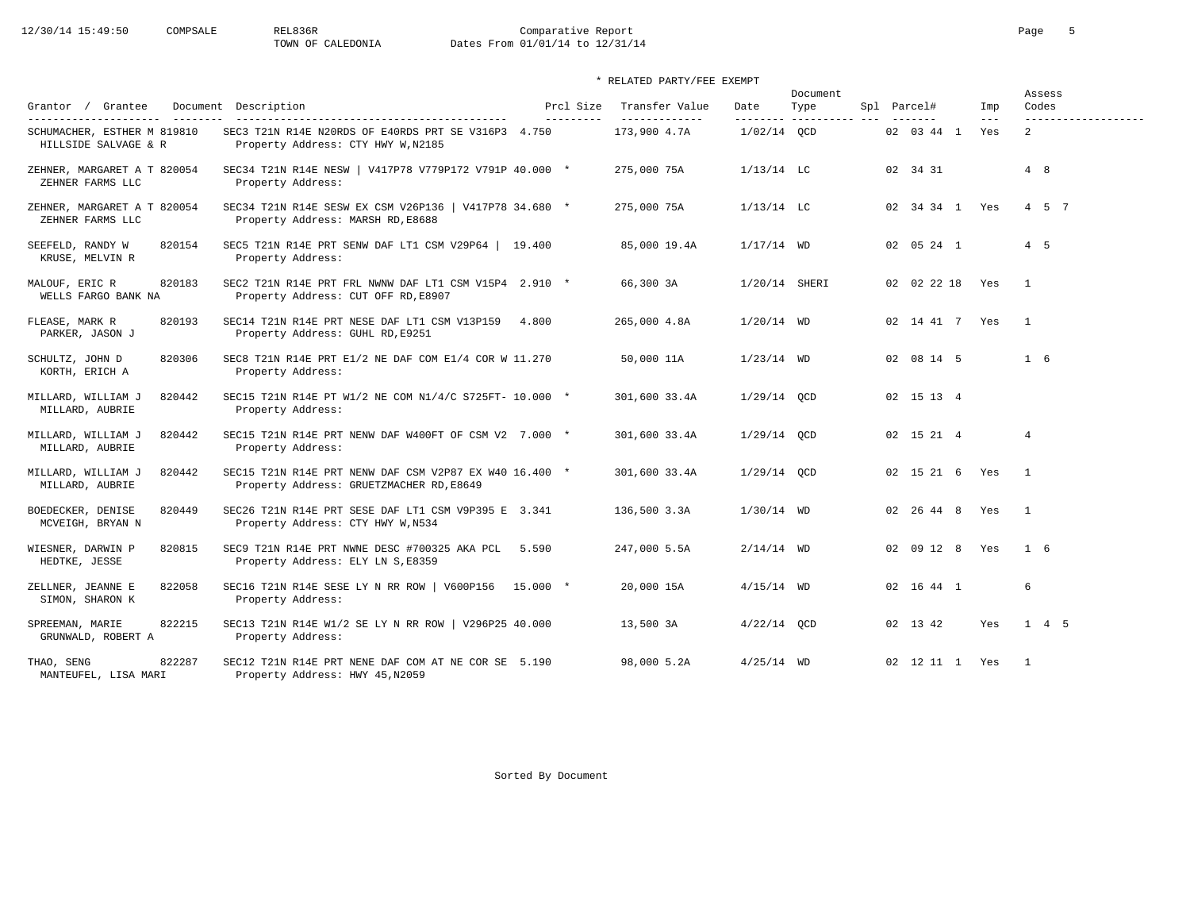# 12/30/14 15:49:50 COMPSALE REL836R Comparative Report Comparative Report Page 5 Dates From 01/01/14 to 12/31/14

| Grantor / Grantee                                   | Document Description                                                                               | Prcl Size  | Transfer Value                 | Date            | Document<br>Type         | Spl Parcel# |                    | Imp                        |              | Assess<br>Codes                       |
|-----------------------------------------------------|----------------------------------------------------------------------------------------------------|------------|--------------------------------|-----------------|--------------------------|-------------|--------------------|----------------------------|--------------|---------------------------------------|
| SCHUMACHER, ESTHER M 819810<br>HILLSIDE SALVAGE & R | SEC3 T21N R14E N20RDS OF E40RDS PRT SE V316P3 4.750<br>Property Address: CTY HWY W, N2185          | ---------- | ______________<br>173,900 4.7A | $1/02/14$ OCD   | --------- ---------- --- |             | 02 03 44 1         | $\qquad \qquad - -$<br>Yes |              | -------------------<br>$\overline{2}$ |
| ZEHNER, MARGARET A T 820054<br>ZEHNER FARMS LLC     | SEC34 T21N R14E NESW   V417P78 V779P172 V791P 40.000 *<br>Property Address:                        |            | 275,000 75A                    | $1/13/14$ LC    |                          | 02 34 31    |                    |                            |              | 4 8                                   |
| ZEHNER, MARGARET A T 820054<br>ZEHNER FARMS LLC     | SEC34 T21N R14E SESW EX CSM V26P136   V417P78 34.680 *<br>Property Address: MARSH RD, E8688        |            | 275,000 75A                    | $1/13/14$ LC    |                          |             | 02 34 34 1 Yes     |                            |              | 4 5 7                                 |
| SEEFELD, RANDY W<br>820154<br>KRUSE, MELVIN R       | SEC5 T21N R14E PRT SENW DAF LT1 CSM V29P64   19.400<br>Property Address:                           |            | 85,000 19.4A                   | $1/17/14$ WD    |                          |             | 02 05 24 1         |                            |              | $4\quad 5$                            |
| 820183<br>MALOUF, ERIC R<br>WELLS FARGO BANK NA     | SEC2 T21N R14E PRT FRL NWNW DAF LT1 CSM V15P4 2.910 *<br>Property Address: CUT OFF RD, E8907       |            | 66,300 3A                      | $1/20/14$ SHERI |                          |             | 02 02 22 18 Yes    |                            |              | $\overline{1}$                        |
| FLEASE, MARK R<br>820193<br>PARKER, JASON J         | SEC14 T21N R14E PRT NESE DAF LT1 CSM V13P159 4.800<br>Property Address: GUHL RD, E9251             |            | 265,000 4.8A                   | $1/20/14$ WD    |                          |             | 02 14 41 7 Yes     |                            |              | $\overline{1}$                        |
| 820306<br>SCHULTZ, JOHN D<br>KORTH, ERICH A         | SEC8 T21N R14E PRT E1/2 NE DAF COM E1/4 COR W 11.270<br>Property Address:                          |            | 50,000 11A                     | $1/23/14$ WD    |                          |             | 02 08 14 5         |                            |              | $1\quad 6$                            |
| MILLARD, WILLIAM J<br>820442<br>MILLARD, AUBRIE     | SEC15 T21N R14E PT W1/2 NE COM N1/4/C S725FT- 10.000 *<br>Property Address:                        |            | 301,600 33.4A                  | $1/29/14$ OCD   |                          |             | 02 15 13 4         |                            |              |                                       |
| MILLARD, WILLIAM J<br>820442<br>MILLARD, AUBRIE     | SEC15 T21N R14E PRT NENW DAF W400FT OF CSM V2 7.000 *<br>Property Address:                         |            | 301,600 33.4A                  | $1/29/14$ OCD   |                          |             | 02 15 21 4         |                            |              | $\overline{4}$                        |
| 820442<br>MILLARD, WILLIAM J<br>MILLARD, AUBRIE     | SEC15 T21N R14E PRT NENW DAF CSM V2P87 EX W40 16.400 *<br>Property Address: GRUETZMACHER RD, E8649 |            | 301,600 33.4A                  | $1/29/14$ OCD   |                          |             | 02 15 21 6 Yes     |                            | $\sim$ 1     |                                       |
| 820449<br>BOEDECKER, DENISE<br>MCVEIGH, BRYAN N     | SEC26 T21N R14E PRT SESE DAF LT1 CSM V9P395 E 3.341<br>Property Address: CTY HWY W, N534           |            | 136,500 3.3A                   | $1/30/14$ WD    |                          |             | 02  26  44  8  Yes |                            | $\mathbf{1}$ |                                       |
| 820815<br>WIESNER, DARWIN P<br>HEDTKE, JESSE        | SEC9 T21N R14E PRT NWNE DESC #700325 AKA PCL 5.590<br>Property Address: ELY LN S, E8359            |            | 247,000 5.5A                   | $2/14/14$ WD    |                          |             | 02 09 12 8 Yes     |                            |              | $1\quad 6$                            |
| 822058<br>ZELLNER, JEANNE E<br>SIMON, SHARON K      | SEC16 T21N R14E SESE LY N RR ROW   V600P156 15.000 *<br>Property Address:                          |            | 20,000 15A                     | $4/15/14$ WD    |                          |             | 02 16 44 1         |                            |              | 6                                     |
| SPREEMAN, MARIE<br>822215<br>GRUNWALD, ROBERT A     | SEC13 T21N R14E W1/2 SE LY N RR ROW   V296P25 40.000<br>Property Address:                          |            | 13,500 3A                      | $4/22/14$ OCD   |                          | 02 13 42    |                    | Yes                        |              | $1 \quad 4 \quad 5$                   |
| 822287<br>THAO, SENG<br>MANTEUFEL, LISA MARI        | SEC12 T21N R14E PRT NENE DAF COM AT NE COR SE 5.190<br>Property Address: HWY 45, N2059             |            | 98,000 5.2A                    | $4/25/14$ WD    |                          |             | 02 12 11 1 Yes     |                            |              | $\overline{1}$                        |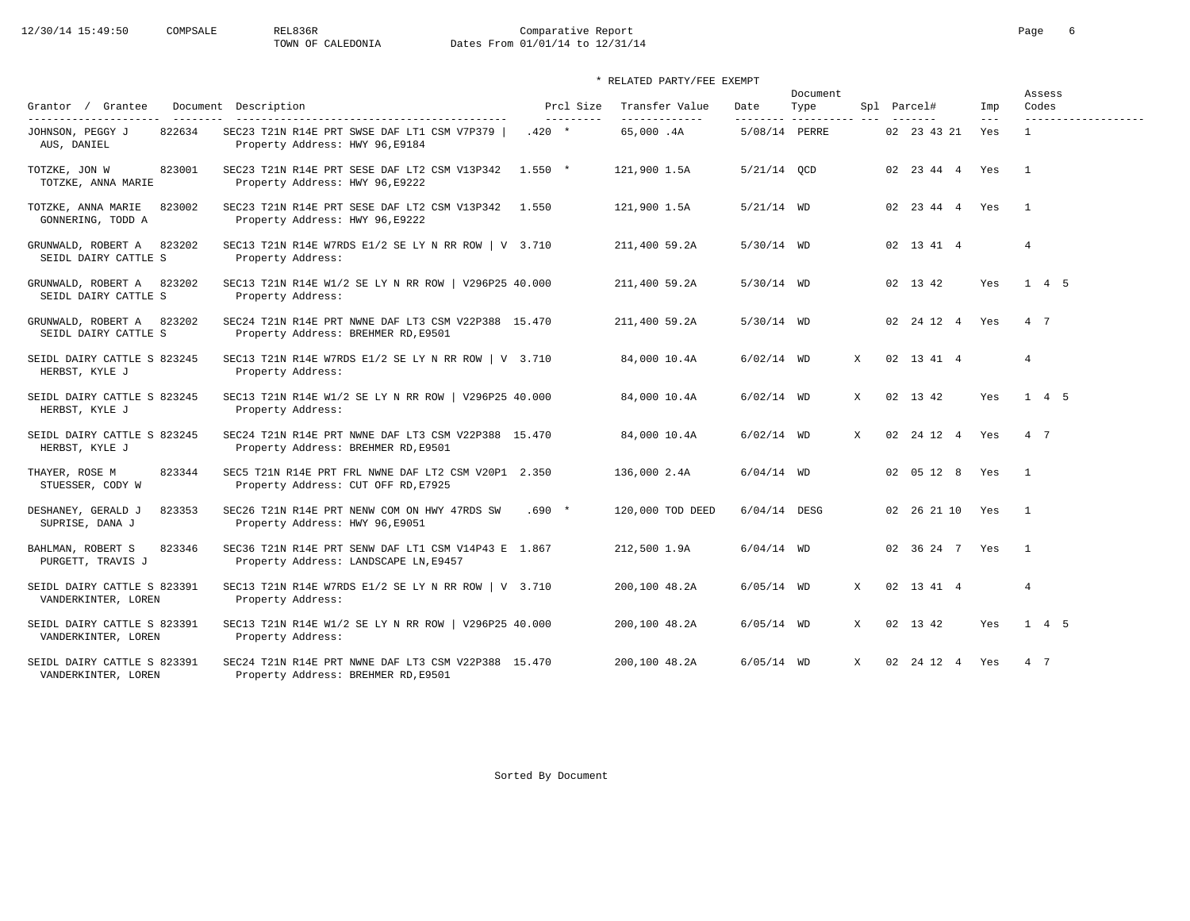# 12/30/14 15:49:50 COMPSALE REL836R Comparative Report Comparative Report Page 6<br>TOWN OF CALEDONIA Dates From 01/01/14 to 12/31/14 Dates From 01/01/14 to 12/31/14

|                                                      |                                                                                              | Prcl Size  | Transfer Value   |               | Document                     |              |                     |              | Assess<br>Codes     |
|------------------------------------------------------|----------------------------------------------------------------------------------------------|------------|------------------|---------------|------------------------------|--------------|---------------------|--------------|---------------------|
| Grantor / Grantee<br>______________________          | Document Description                                                                         | ---------- | --------------   | Date          | Type<br>--------- ---------- |              | Spl Parcel#         | Imp<br>$---$ | ------------------- |
| 822634<br>JOHNSON, PEGGY J<br>AUS, DANIEL            | SEC23 T21N R14E PRT SWSE DAF LT1 CSM V7P379<br>Property Address: HWY 96, E9184               | $.420 *$   | 65,000.4A        | 5/08/14 PERRE |                              |              | 02 23 43 21         | Yes          | $\overline{1}$      |
| TOTZKE, JON W<br>823001<br>TOTZKE, ANNA MARIE        | SEC23 T21N R14E PRT SESE DAF LT2 CSM V13P342 1.550 *<br>Property Address: HWY 96, E9222      |            | 121,900 1.5A     | $5/21/14$ QCD |                              |              | 02  23  44  4  Yes  |              | $\overline{1}$      |
| TOTZKE, ANNA MARIE<br>823002<br>GONNERING, TODD A    | SEC23 T21N R14E PRT SESE DAF LT2 CSM V13P342<br>Property Address: HWY 96, E9222              | 1.550      | 121,900 1.5A     | $5/21/14$ WD  |                              |              | 02  23  44  4  Yes  |              | $\overline{1}$      |
| 823202<br>GRUNWALD, ROBERT A<br>SEIDL DAIRY CATTLE S | SEC13 T21N R14E W7RDS E1/2 SE LY N RR ROW $\vert$ V 3.710<br>Property Address:               |            | 211,400 59.2A    | $5/30/14$ WD  |                              |              | 02 13 41 4          |              | $\overline{4}$      |
| 823202<br>GRUNWALD, ROBERT A<br>SEIDL DAIRY CATTLE S | SEC13 T21N R14E W1/2 SE LY N RR ROW   V296P25 40.000<br>Property Address:                    |            | 211,400 59.2A    | $5/30/14$ WD  |                              |              | 02 13 42            | Yes          | $1 \quad 4 \quad 5$ |
| GRUNWALD, ROBERT A 823202<br>SEIDL DAIRY CATTLE S    | SEC24 T21N R14E PRT NWNE DAF LT3 CSM V22P388 15.470<br>Property Address: BREHMER RD, E9501   |            | 211,400 59.2A    | $5/30/14$ WD  |                              |              | 02 24 12 4          | Yes          | 4 7                 |
| SEIDL DAIRY CATTLE S 823245<br>HERBST, KYLE J        | SEC13 T21N R14E W7RDS E1/2 SE LY N RR ROW $\vert$ V 3.710<br>Property Address:               |            | 84,000 10.4A     | $6/02/14$ WD  |                              | X            | 02 13 41 4          |              | $\overline{4}$      |
| SEIDL DAIRY CATTLE S 823245<br>HERBST, KYLE J        | SEC13 T21N R14E W1/2 SE LY N RR ROW   V296P25 40.000<br>Property Address:                    |            | 84,000 10.4A     | $6/02/14$ WD  |                              | X            | 02 13 42            | Yes          | $1 \quad 4 \quad 5$ |
| SEIDL DAIRY CATTLE S 823245<br>HERBST, KYLE J        | SEC24 T21N R14E PRT NWNE DAF LT3 CSM V22P388 15.470<br>Property Address: BREHMER RD, E9501   |            | 84,000 10.4A     | $6/02/14$ WD  |                              | $\mathbf{x}$ | 02 24 12 4 Yes      |              | 4 7                 |
| 823344<br>THAYER, ROSE M<br>STUESSER, CODY W         | SEC5 T21N R14E PRT FRL NWNE DAF LT2 CSM V20P1 2.350<br>Property Address: CUT OFF RD, E7925   |            | 136,000 2.4A     | $6/04/14$ WD  |                              |              | 02 05 12 8          | Yes          | $\overline{1}$      |
| DESHANEY, GERALD J<br>823353<br>SUPRISE, DANA J      | SEC26 T21N R14E PRT NENW COM ON HWY 47RDS SW<br>Property Address: HWY 96, E9051              | $.690*$    | 120,000 TOD DEED | 6/04/14 DESG  |                              |              | 02  26  21  10  Yes |              | $\overline{1}$      |
| BAHLMAN, ROBERT S<br>823346<br>PURGETT, TRAVIS J     | SEC36 T21N R14E PRT SENW DAF LT1 CSM V14P43 E 1.867<br>Property Address: LANDSCAPE LN, E9457 |            | 212,500 1.9A     | $6/04/14$ WD  |                              |              | 02 36 24 7 Yes      |              | $\overline{1}$      |
| SEIDL DAIRY CATTLE S 823391<br>VANDERKINTER, LOREN   | SEC13 T21N R14E W7RDS E1/2 SE LY N RR ROW $\vert$ V 3.710<br>Property Address:               |            | 200,100 48.2A    | $6/05/14$ WD  |                              | $\mathbf{x}$ | 02 13 41 4          |              | $\overline{4}$      |
| SEIDL DAIRY CATTLE S 823391<br>VANDERKINTER, LOREN   | SEC13 T21N R14E W1/2 SE LY N RR ROW   V296P25 40.000<br>Property Address:                    |            | 200,100 48.2A    | $6/05/14$ WD  |                              | X            | 02 13 42            | Yes          | 1 4 5               |
| SEIDL DAIRY CATTLE S 823391<br>VANDERKINTER, LOREN   | SEC24 T21N R14E PRT NWNE DAF LT3 CSM V22P388 15.470<br>Property Address: BREHMER RD, E9501   |            | 200,100 48.2A    | $6/05/14$ WD  |                              | $\mathbf{x}$ | 02 24 12 4          | Yes          | 4 7                 |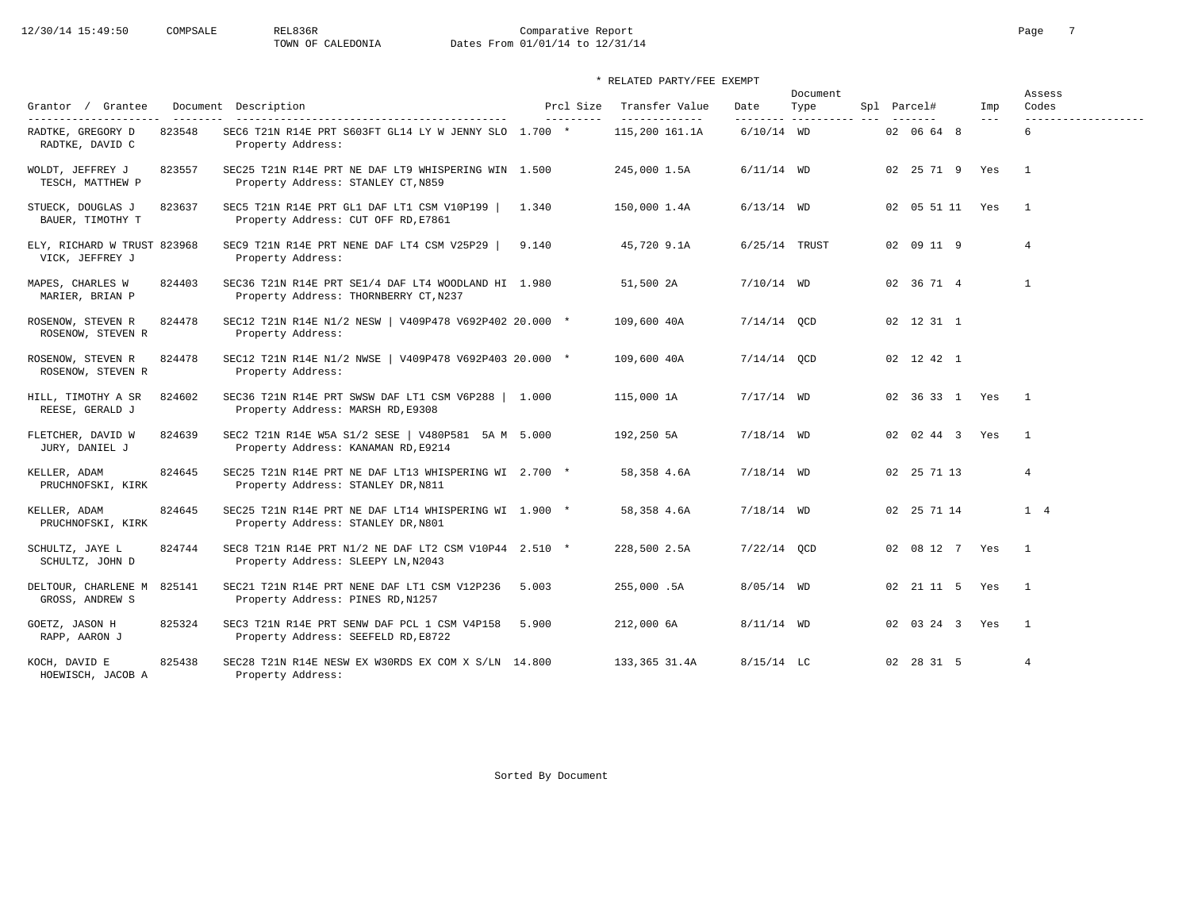# $12/30/14$  15:49:50 COMPSALE REL836R Comparative Report Page 7<br>TOWN OF CALEDONIA Dates From  $01/01/14$  to  $12/31/14$ Dates From 01/01/14 to 12/31/14

## \* RELATED PARTY/FEE EXEMPT

| Grantor / Grantee                              |        | Document Description                                                                         | Prcl Size | Transfer Value<br>------------- | Date          | Document<br>Type | Spl Parcel#         | Imp<br>$- - -$ | Assess<br>Codes |
|------------------------------------------------|--------|----------------------------------------------------------------------------------------------|-----------|---------------------------------|---------------|------------------|---------------------|----------------|-----------------|
| RADTKE, GREGORY D<br>RADTKE, DAVID C           | 823548 | SEC6 T21N R14E PRT S603FT GL14 LY W JENNY SLO 1.700 *<br>Property Address:                   |           | 115,200 161.1A                  | $6/10/14$ WD  |                  | 02 06 64 8          |                | 6               |
| WOLDT, JEFFREY J<br>TESCH, MATTHEW P           | 823557 | SEC25 T21N R14E PRT NE DAF LT9 WHISPERING WIN 1.500<br>Property Address: STANLEY CT, N859    |           | 245,000 1.5A                    | $6/11/14$ WD  |                  | 02 25 71 9 Yes      |                | $\overline{1}$  |
| STUECK, DOUGLAS J<br>BAUER, TIMOTHY T          | 823637 | SEC5 T21N R14E PRT GL1 DAF LT1 CSM V10P199  <br>Property Address: CUT OFF RD, E7861          | 1.340     | 150,000 1.4A                    | $6/13/14$ WD  |                  | 02  05  51  11  Yes |                | $\overline{1}$  |
| ELY, RICHARD W TRUST 823968<br>VICK, JEFFREY J |        | SEC9 T21N R14E PRT NENE DAF LT4 CSM V25P29  <br>Property Address:                            | 9.140     | 45,720 9.1A                     |               | $6/25/14$ TRUST  | 02 09 11 9          |                | $\overline{4}$  |
| MAPES, CHARLES W<br>MARIER, BRIAN P            | 824403 | SEC36 T21N R14E PRT SE1/4 DAF LT4 WOODLAND HI 1.980<br>Property Address: THORNBERRY CT, N237 |           | 51,500 2A                       | $7/10/14$ WD  |                  | 02 36 71 4          |                | $\mathbf{1}$    |
| ROSENOW, STEVEN R<br>ROSENOW, STEVEN R         | 824478 | SEC12 T21N R14E N1/2 NESW   V409P478 V692P402 20.000 *<br>Property Address:                  |           | 109,600 40A                     | $7/14/14$ OCD |                  | 02 12 31 1          |                |                 |
| ROSENOW, STEVEN R<br>ROSENOW, STEVEN R         | 824478 | SEC12 T21N R14E N1/2 NWSE   V409P478 V692P403 20.000 *<br>Property Address:                  |           | 109,600 40A                     | $7/14/14$ QCD |                  | 02 12 42 1          |                |                 |
| HILL, TIMOTHY A SR<br>REESE, GERALD J          | 824602 | SEC36 T21N R14E PRT SWSW DAF LT1 CSM V6P288   1.000<br>Property Address: MARSH RD, E9308     |           | 115,000 1A                      | $7/17/14$ WD  |                  | 02 36 33 1 Yes      |                | $\overline{1}$  |
| FLETCHER, DAVID W<br>JURY, DANIEL J            | 824639 | SEC2 T21N R14E W5A S1/2 SESE   V480P581 5A M 5.000<br>Property Address: KANAMAN RD, E9214    |           | 192,250 5A                      | $7/18/14$ WD  |                  | 02 02 44 3 Yes      |                | $\overline{1}$  |
| KELLER, ADAM<br>PRUCHNOFSKI, KIRK              | 824645 | SEC25 T21N R14E PRT NE DAF LT13 WHISPERING WI 2.700 *<br>Property Address: STANLEY DR, N811  |           | 58,358 4.6A                     | $7/18/14$ WD  |                  | 02 25 71 13         |                | $\overline{4}$  |
| KELLER, ADAM<br>PRUCHNOFSKI, KIRK              | 824645 | SEC25 T21N R14E PRT NE DAF LT14 WHISPERING WI 1.900 *<br>Property Address: STANLEY DR, N801  |           | 58,358 4.6A                     | $7/18/14$ WD  |                  | 02 25 71 14         |                | 1 4             |
| SCHULTZ, JAYE L<br>SCHULTZ, JOHN D             | 824744 | SEC8 T21N R14E PRT N1/2 NE DAF LT2 CSM V10P44 2.510 *<br>Property Address: SLEEPY LN, N2043  |           | 228,500 2.5A                    | $7/22/14$ OCD |                  | 02 08 12 7 Yes      |                | $\overline{1}$  |
| DELTOUR, CHARLENE M 825141<br>GROSS, ANDREW S  |        | SEC21 T21N R14E PRT NENE DAF LT1 CSM V12P236<br>Property Address: PINES RD, N1257            | 5.003     | 255,000.5A                      | $8/05/14$ WD  |                  | 02 21 11 5 Yes      |                | $\overline{1}$  |
| GOETZ, JASON H<br>RAPP, AARON J                | 825324 | SEC3 T21N R14E PRT SENW DAF PCL 1 CSM V4P158<br>Property Address: SEEFELD RD, E8722          | 5.900     | 212,000 6A                      | $8/11/14$ WD  |                  | 02 03 24 3 Yes      |                | $\overline{1}$  |
| KOCH, DAVID E<br>HOEWISCH, JACOB A             | 825438 | SEC28 T21N R14E NESW EX W30RDS EX COM X S/LN 14.800<br>Property Address:                     |           | 133,365 31.4A                   | $8/15/14$ LC  |                  | 02 28 31 5          |                | $\overline{4}$  |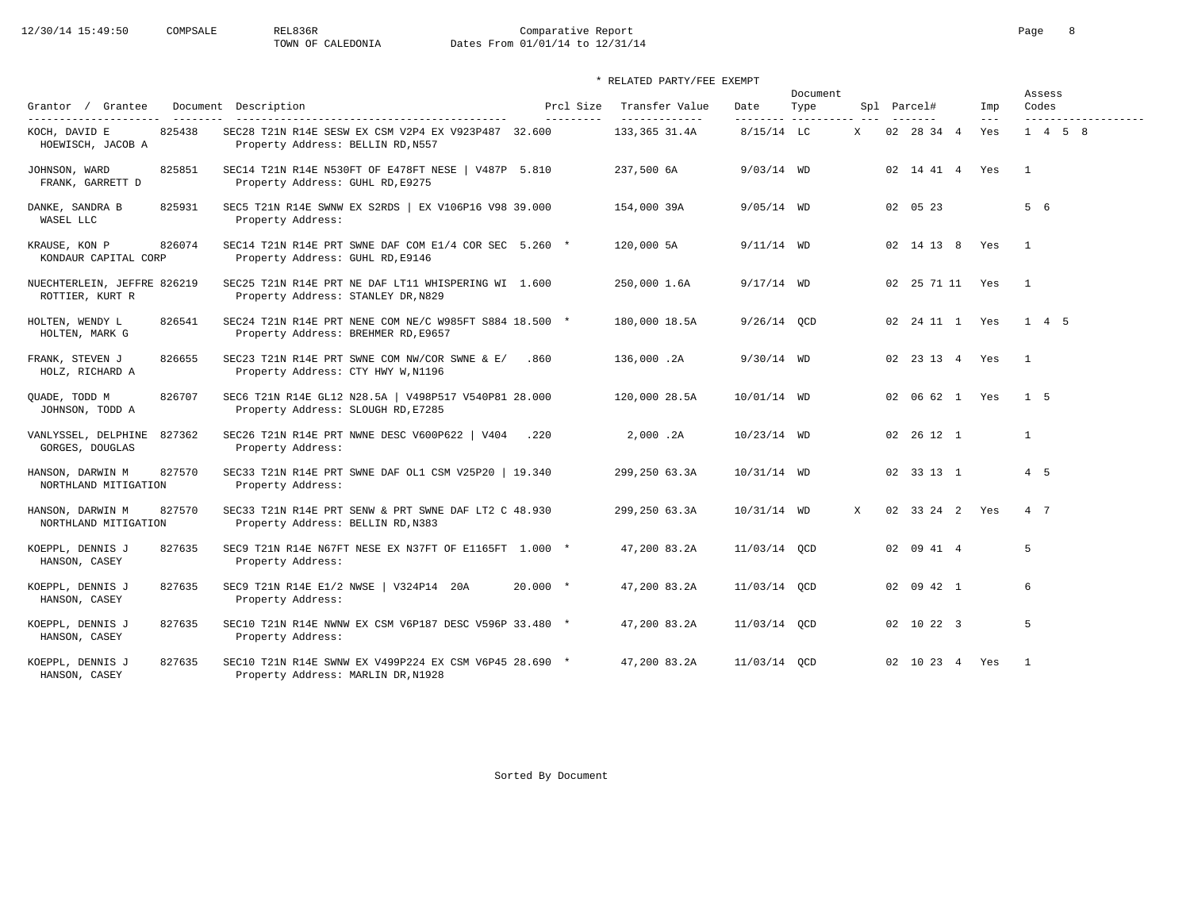# 12/30/14 15:49:50 COMPSALE REL836R Comparative Report Comparative Report Page 8<br>TOWN OF CALEDONIA Dates From 01/01/14 to 12/31/14 Dates From 01/01/14 to 12/31/14

\* RELATED PARTY/FEE EXEMPT

|                                                |        |                                                                                               |            |                        |                                  | Document          |                     |   |                     |                            | Assess         |                 |                     |
|------------------------------------------------|--------|-----------------------------------------------------------------------------------------------|------------|------------------------|----------------------------------|-------------------|---------------------|---|---------------------|----------------------------|----------------|-----------------|---------------------|
| Grantor / Grantee<br>---------------------     |        | Document Description                                                                          |            | Prcl Size<br>--------- | Transfer Value<br>-------------- | Date<br>--------- | Type<br>----------- |   | Spl Parcel#         | Imp<br>$\qquad \qquad - -$ |                | Codes           | ------------------- |
| KOCH, DAVID E<br>HOEWISCH, JACOB A             | 825438 | SEC28 T21N R14E SESW EX CSM V2P4 EX V923P487 32.600<br>Property Address: BELLIN RD, N557      |            |                        | 133,365 31.4A                    | $8/15/14$ LC      |                     | X | 02 28 34 4          | Yes                        |                | $1 \t4 \t5 \t8$ |                     |
| JOHNSON, WARD<br>FRANK, GARRETT D              | 825851 | SEC14 T21N R14E N530FT OF E478FT NESE   V487P 5.810<br>Property Address: GUHL RD, E9275       |            |                        | 237,500 6A                       | $9/03/14$ WD      |                     |   | 02 14 41 4 Yes      |                            | $\overline{1}$ |                 |                     |
| DANKE, SANDRA B<br>WASEL LLC                   | 825931 | SEC5 T21N R14E SWNW EX S2RDS   EX V106P16 V98 39.000<br>Property Address:                     |            |                        | 154,000 39A                      | $9/05/14$ WD      |                     |   | 02 05 23            |                            |                | 5 6             |                     |
| KRAUSE, KON P<br>KONDAUR CAPITAL CORP          | 826074 | SEC14 T21N R14E PRT SWNE DAF COM E1/4 COR SEC 5.260 *<br>Property Address: GUHL RD, E9146     |            |                        | 120,000 5A                       | $9/11/14$ WD      |                     |   | 02 14 13 8 Yes      |                            | $\overline{1}$ |                 |                     |
| NUECHTERLEIN, JEFFRE 826219<br>ROTTIER, KURT R |        | SEC25 T21N R14E PRT NE DAF LT11 WHISPERING WI 1.600<br>Property Address: STANLEY DR, N829     |            |                        | 250,000 1.6A                     | $9/17/14$ WD      |                     |   | 02  25  71  11  Yes |                            | $\overline{1}$ |                 |                     |
| HOLTEN, WENDY L<br>HOLTEN, MARK G              | 826541 | SEC24 T21N R14E PRT NENE COM NE/C W985FT S884 18.500 *<br>Property Address: BREHMER RD, E9657 |            |                        | 180,000 18.5A                    | $9/26/14$ OCD     |                     |   | 02  24  11  1  Yes  |                            |                | 1 4 5           |                     |
| FRANK, STEVEN J<br>HOLZ, RICHARD A             | 826655 | SEC23 T21N R14E PRT SWNE COM NW/COR SWNE & E/<br>Property Address: CTY HWY W, N1196           | .860       |                        | 136,000.2A                       | $9/30/14$ WD      |                     |   | 02  23  13  4  Yes  |                            | $\overline{1}$ |                 |                     |
| QUADE, TODD M<br>JOHNSON, TODD A               | 826707 | SEC6 T21N R14E GL12 N28.5A   V498P517 V540P81 28.000<br>Property Address: SLOUGH RD, E7285    |            |                        | 120,000 28.5A                    | 10/01/14 WD       |                     |   | 02 06 62 1 Yes      |                            |                | 1 5             |                     |
| VANLYSSEL, DELPHINE<br>GORGES, DOUGLAS         | 827362 | SEC26 T21N R14E PRT NWNE DESC V600P622   V404 .220<br>Property Address:                       |            |                        | 2.000.2A                         | $10/23/14$ WD     |                     |   | 02 26 12 1          |                            |                | $\mathbf{1}$    |                     |
| HANSON, DARWIN M<br>NORTHLAND MITIGATION       | 827570 | SEC33 T21N R14E PRT SWNE DAF OL1 CSM V25P20   19.340<br>Property Address:                     |            |                        | 299,250 63.3A                    | $10/31/14$ WD     |                     |   | 02 33 13 1          |                            |                | $4\quad 5$      |                     |
| HANSON, DARWIN M<br>NORTHLAND MITIGATION       | 827570 | SEC33 T21N R14E PRT SENW & PRT SWNE DAF LT2 C 48.930<br>Property Address: BELLIN RD, N383     |            |                        | 299,250 63.3A                    | $10/31/14$ WD     |                     | X | 02 33 24 2 Yes      |                            |                | 4 7             |                     |
| KOEPPL, DENNIS J<br>HANSON, CASEY              | 827635 | SEC9 T21N R14E N67FT NESE EX N37FT OF E1165FT 1.000 *<br>Property Address:                    |            |                        | 47,200 83.2A                     | 11/03/14 OCD      |                     |   | 02 09 41 4          |                            |                | 5               |                     |
| KOEPPL, DENNIS J<br>HANSON, CASEY              | 827635 | SEC9 T21N R14E E1/2 NWSE   V324P14 20A<br>Property Address:                                   | $20.000 *$ |                        | 47,200 83.2A                     | 11/03/14 OCD      |                     |   | 02 09 42 1          |                            |                | 6               |                     |
| KOEPPL, DENNIS J<br>HANSON, CASEY              | 827635 | SEC10 T21N R14E NWNW EX CSM V6P187 DESC V596P 33.480 *<br>Property Address:                   |            |                        | 47,200 83.2A                     | 11/03/14 OCD      |                     |   | 02 10 22 3          |                            |                | 5               |                     |
| KOEPPL, DENNIS J<br>HANSON, CASEY              | 827635 | SEC10 T21N R14E SWNW EX V499P224 EX CSM V6P45 28.690 *<br>Property Address: MARLIN DR, N1928  |            |                        | 47,200 83.2A                     | 11/03/14 OCD      |                     |   | 02 10 23 4 Yes      |                            | $\overline{1}$ |                 |                     |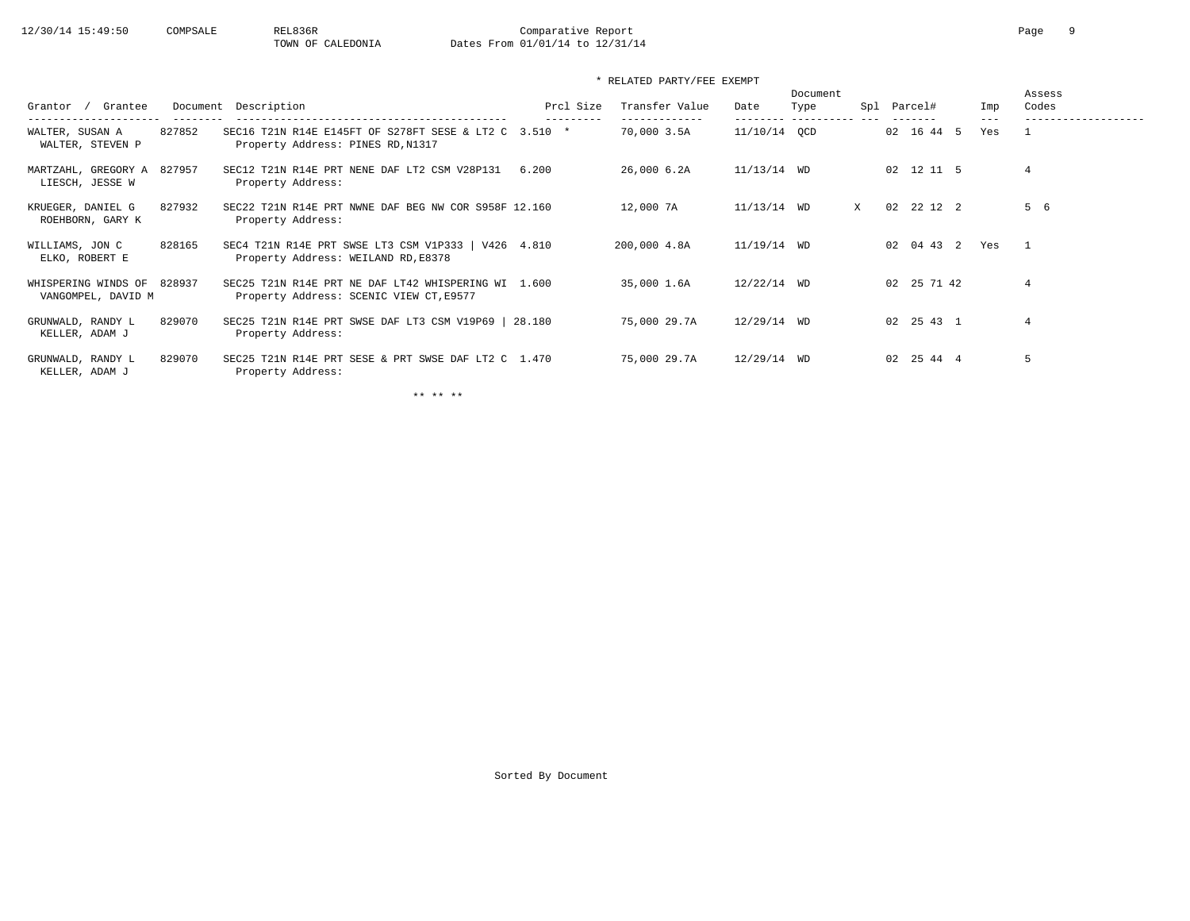| Grantee<br>Grantor<br>-------------                 | Description<br>Document                                                                        | Prcl Size  | Transfer Value<br>------------- | Date          | Document<br>Type<br>--------- ---------- --- | Spl |    | Parcel#            | Imp<br>$- - -$ | Assess<br>Codes |
|-----------------------------------------------------|------------------------------------------------------------------------------------------------|------------|---------------------------------|---------------|----------------------------------------------|-----|----|--------------------|----------------|-----------------|
| 827852<br>WALTER, SUSAN A<br>WALTER, STEVEN P       | SEC16 T21N R14E E145FT OF S278FT SESE & LT2 C 3.510 *<br>Property Address: PINES RD, N1317     | ---------  | 70,000 3.5A                     | 11/10/14 OCD  |                                              |     |    | 02 16 44 5         | Yes            |                 |
| MARTZAHL, GREGORY A<br>827957<br>LIESCH, JESSE W    | SEC12 T21N R14E PRT NENE DAF LT2 CSM V28P131<br>Property Address:                              | 6.200      | 26,000 6.2A                     | $11/13/14$ WD |                                              |     |    | 02 12 11 5         |                | $\overline{4}$  |
| 827932<br>KRUEGER, DANIEL G<br>ROEHBORN, GARY K     | SEC22 T21N R14E PRT NWNE DAF BEG NW COR S958F 12.160<br>Property Address:                      |            | 12,000 7A                       | $11/13/14$ WD |                                              | X   | 02 | 22 12 2            |                | 5 6             |
| 828165<br>WILLIAMS, JON C<br>ELKO, ROBERT E         | SEC4 T21N R14E PRT SWSE LT3 CSM V1P333  <br>Property Address: WEILAND RD, E8378                | V426 4.810 | 200,000 4.8A                    | $11/19/14$ WD |                                              |     |    | 02 04 43 2         | Yes            | $\mathbf{1}$    |
| WHISPERING WINDS OF<br>828937<br>VANGOMPEL, DAVID M | SEC25 T21N R14E PRT NE DAF LT42 WHISPERING WI 1.600<br>Property Address: SCENIC VIEW CT, E9577 |            | 35,000 1.6A                     | $12/22/14$ WD |                                              |     |    | 02 25 71 42        |                | $\overline{4}$  |
| 829070<br>GRUNWALD, RANDY L<br>KELLER, ADAM J       | SEC25 T21N R14E PRT SWSE DAF LT3 CSM V19P69   28.180<br>Property Address:                      |            | 75,000 29.7A                    | $12/29/14$ WD |                                              |     |    | $02 \t25 \t43 \t1$ |                | $\overline{4}$  |
| 829070<br>GRUNWALD, RANDY L<br>KELLER, ADAM J       | SEC25 T21N R14E PRT SESE & PRT SWSE DAF LT2 C 1.470<br>Property Address:                       |            | 75,000 29.7A                    | $12/29/14$ WD |                                              |     |    | 02 25 44 4         |                | 5               |

\*\* \*\* \*\*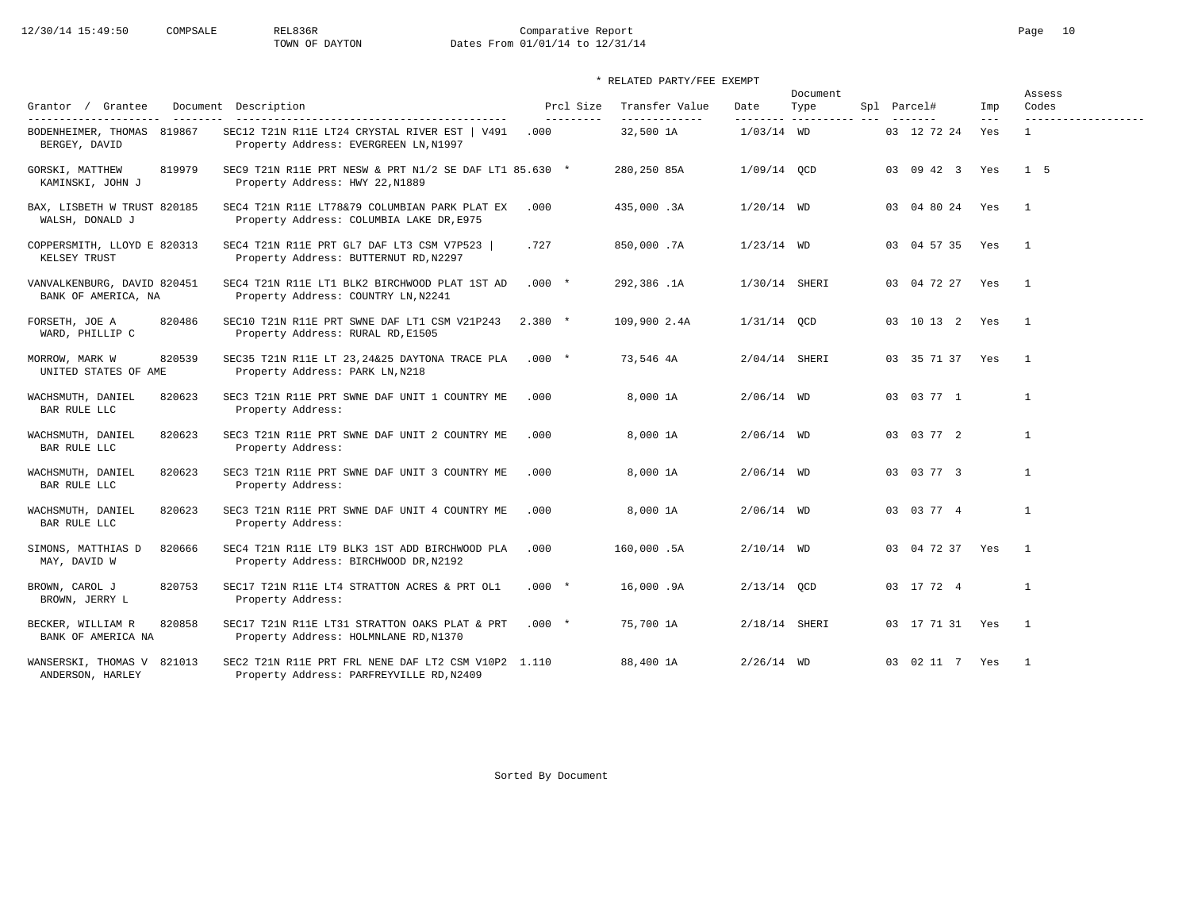# 12/30/14 15:49:50 COMPSALE REL836R Comparative Report Comparative Report Page 10<br>TOWN OF DAYTON Dates From 01/01/14 to 12/31/14 Dates From 01/01/14 to 12/31/14

|                                                                                                                                                                                                                                                                                                                                                                                                                                              |                                                                                                 |                         |                                 |                 | Document                      |                 |              | Assess                       |
|----------------------------------------------------------------------------------------------------------------------------------------------------------------------------------------------------------------------------------------------------------------------------------------------------------------------------------------------------------------------------------------------------------------------------------------------|-------------------------------------------------------------------------------------------------|-------------------------|---------------------------------|-----------------|-------------------------------|-----------------|--------------|------------------------------|
| Grantor / Grantee<br>_______________________<br>$\frac{1}{2} \frac{1}{2} \frac{1}{2} \frac{1}{2} \frac{1}{2} \frac{1}{2} \frac{1}{2} \frac{1}{2} \frac{1}{2} \frac{1}{2} \frac{1}{2} \frac{1}{2} \frac{1}{2} \frac{1}{2} \frac{1}{2} \frac{1}{2} \frac{1}{2} \frac{1}{2} \frac{1}{2} \frac{1}{2} \frac{1}{2} \frac{1}{2} \frac{1}{2} \frac{1}{2} \frac{1}{2} \frac{1}{2} \frac{1}{2} \frac{1}{2} \frac{1}{2} \frac{1}{2} \frac{1}{2} \frac{$ | Document Description<br>-----------------------------------                                     | Prcl Size<br>---------- | Transfer Value<br>------------- | Date            | Type<br>--------- ----------- | Spl Parcel#     | Imp<br>$---$ | Codes<br>------------------- |
| BODENHEIMER, THOMAS 819867<br>BERGEY, DAVID                                                                                                                                                                                                                                                                                                                                                                                                  | SEC12 T21N R11E LT24 CRYSTAL RIVER EST   V491<br>Property Address: EVERGREEN LN, N1997          | .000                    | 32,500 1A                       | $1/03/14$ WD    |                               | 03 12 72 24     | Yes          | $\mathbf{1}$                 |
| GORSKI, MATTHEW<br>819979<br>KAMINSKI, JOHN J                                                                                                                                                                                                                                                                                                                                                                                                | SEC9 T21N R11E PRT NESW & PRT N1/2 SE DAF LT1 85.630 *<br>Property Address: HWY 22, N1889       |                         | 280,250 85A                     | $1/09/14$ QCD   |                               | 03 09 42 3      | Yes          | $1\quad5$                    |
| BAX, LISBETH W TRUST 820185<br>WALSH, DONALD J                                                                                                                                                                                                                                                                                                                                                                                               | SEC4 T21N R11E LT78&79 COLUMBIAN PARK PLAT EX<br>Property Address: COLUMBIA LAKE DR, E975       | .000                    | 435,000.3A                      | $1/20/14$ WD    |                               | 03 04 80 24 Yes |              | $\overline{1}$               |
| COPPERSMITH, LLOYD E 820313<br>KELSEY TRUST                                                                                                                                                                                                                                                                                                                                                                                                  | SEC4 T21N R11E PRT GL7 DAF LT3 CSM V7P523<br>Property Address: BUTTERNUT RD, N2297              | .727                    | 850,000.7A                      | $1/23/14$ WD    |                               | 03 04 57 35 Yes |              | $\overline{1}$               |
| VANVALKENBURG, DAVID 820451<br>BANK OF AMERICA, NA                                                                                                                                                                                                                                                                                                                                                                                           | SEC4 T21N R11E LT1 BLK2 BIRCHWOOD PLAT 1ST AD<br>Property Address: COUNTRY LN, N2241            | $.000 *$                | 292,386.1A                      | 1/30/14 SHERI   |                               | 03 04 72 27 Yes |              | $\overline{1}$               |
| 820486<br>FORSETH, JOE A<br>WARD, PHILLIP C                                                                                                                                                                                                                                                                                                                                                                                                  | SEC10 T21N R11E PRT SWNE DAF LT1 CSM V21P243<br>Property Address: RURAL RD, E1505               | $2.380*$                | 109,900 2.4A                    | $1/31/14$ QCD   |                               | 03 10 13 2 Yes  |              | $\overline{\phantom{0}}$     |
| 820539<br>MORROW, MARK W<br>UNITED STATES OF AME                                                                                                                                                                                                                                                                                                                                                                                             | SEC35 T21N R11E LT 23, 24& 25 DAYTONA TRACE PLA<br>Property Address: PARK LN, N218              | $.000*$                 | 73,546 4A                       | 2/04/14 SHERI   |                               | 03 35 71 37 Yes |              | $\overline{1}$               |
| WACHSMUTH, DANIEL<br>820623<br>BAR RULE LLC                                                                                                                                                                                                                                                                                                                                                                                                  | SEC3 T21N R11E PRT SWNE DAF UNIT 1 COUNTRY ME<br>Property Address:                              | .000                    | 8,000 1A                        | $2/06/14$ WD    |                               | 03 03 77 1      |              | $\mathbf{1}$                 |
| WACHSMUTH, DANIEL<br>820623<br>BAR RULE LLC                                                                                                                                                                                                                                                                                                                                                                                                  | SEC3 T21N R11E PRT SWNE DAF UNIT 2 COUNTRY ME<br>Property Address:                              | .000                    | 8,000 1A                        | $2/06/14$ WD    |                               | 03 03 77 2      |              | $\mathbf{1}$                 |
| 820623<br>WACHSMUTH, DANIEL<br>BAR RULE LLC                                                                                                                                                                                                                                                                                                                                                                                                  | SEC3 T21N R11E PRT SWNE DAF UNIT 3 COUNTRY ME<br>Property Address:                              | .000                    | 8,000 1A                        | $2/06/14$ WD    |                               | 03 03 77 3      |              | $\mathbf{1}$                 |
| WACHSMUTH, DANIEL<br>820623<br>BAR RULE LLC                                                                                                                                                                                                                                                                                                                                                                                                  | SEC3 T21N R11E PRT SWNE DAF UNIT 4 COUNTRY ME<br>Property Address:                              | .000                    | 8,000 1A                        | $2/06/14$ WD    |                               | 03 03 77 4      |              | $\mathbf{1}$                 |
| 820666<br>SIMONS, MATTHIAS D<br>MAY, DAVID W                                                                                                                                                                                                                                                                                                                                                                                                 | SEC4 T21N R11E LT9 BLK3 1ST ADD BIRCHWOOD PLA<br>Property Address: BIRCHWOOD DR, N2192          | .000                    | 160,000.5A                      | $2/10/14$ WD    |                               | 03 04 72 37 Yes |              | $\overline{1}$               |
| 820753<br>BROWN, CAROL J<br>BROWN, JERRY L                                                                                                                                                                                                                                                                                                                                                                                                   | SEC17 T21N R11E LT4 STRATTON ACRES & PRT OL1<br>Property Address:                               | $.000*$                 | 16,000.9A                       | $2/13/14$ OCD   |                               | 03 17 72 4      |              | $\mathbf{1}$                 |
| BECKER, WILLIAM R<br>820858<br>BANK OF AMERICA NA                                                                                                                                                                                                                                                                                                                                                                                            | SEC17 T21N R11E LT31 STRATTON OAKS PLAT & PRT<br>Property Address: HOLMNLANE RD, N1370          | $.000*$                 | 75,700 1A                       | $2/18/14$ SHERI |                               | 03 17 71 31 Yes |              | $\overline{1}$               |
| WANSERSKI, THOMAS V 821013<br>ANDERSON, HARLEY                                                                                                                                                                                                                                                                                                                                                                                               | SEC2 T21N R11E PRT FRL NENE DAF LT2 CSM V10P2 1.110<br>Property Address: PARFREYVILLE RD, N2409 |                         | 88,400 1A                       | $2/26/14$ WD    |                               | 03 02 11 7 Yes  |              | $\overline{1}$               |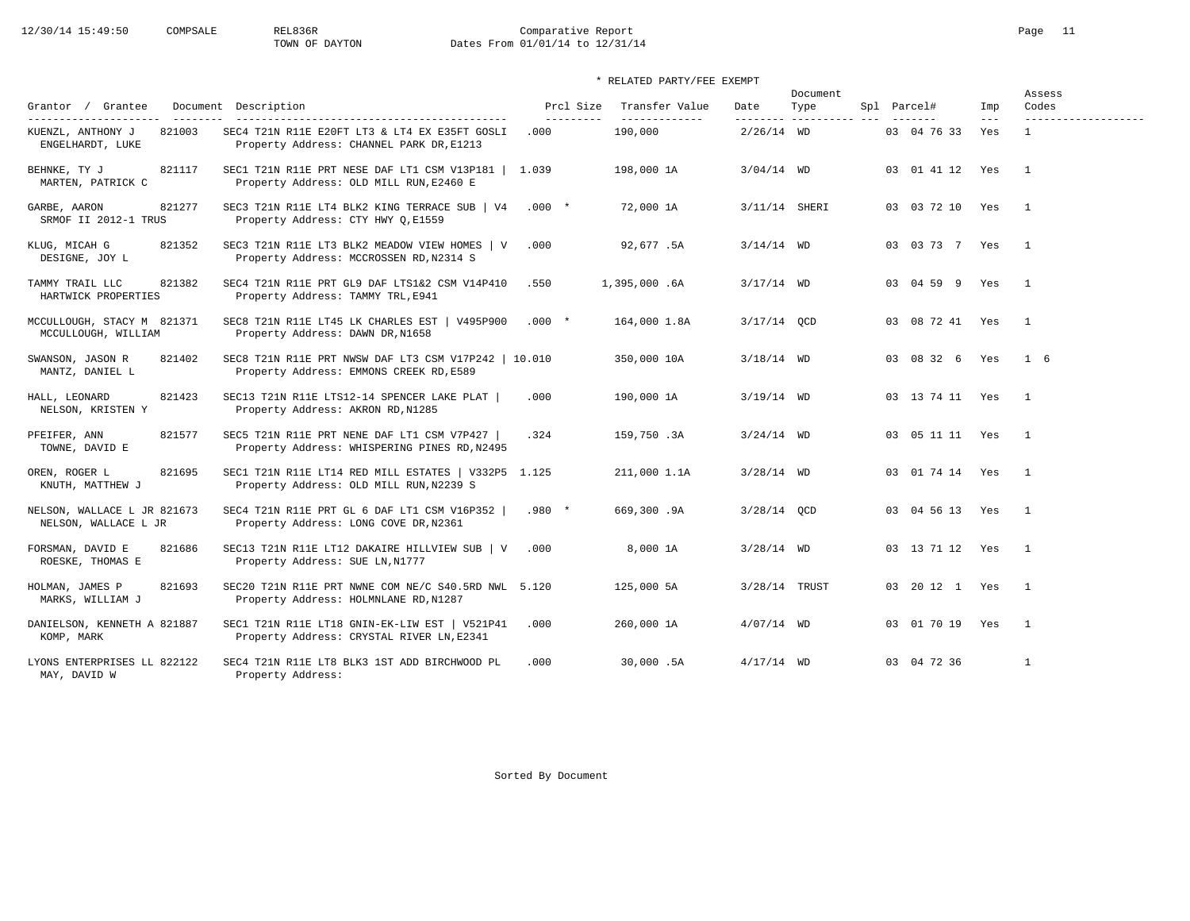# 12/30/14 15:49:50 COMPSALE REL836R Comparative Report Comparative Report Page 11<br>TOWN OF DAYTON Dates From 01/01/14 to 12/31/14 Dates From 01/01/14 to 12/31/14

## \* RELATED PARTY/FEE EXEMPT

| Grantor / Grantee                                                        | Document Description                                                                            | Prcl Size          | Transfer Value            | Date          | Document<br>Type         | Spl Parcel#         | Imp          | Assess<br>Codes     |
|--------------------------------------------------------------------------|-------------------------------------------------------------------------------------------------|--------------------|---------------------------|---------------|--------------------------|---------------------|--------------|---------------------|
| ---------------------<br>821003<br>KUENZL, ANTHONY J<br>ENGELHARDT, LUKE | SEC4 T21N R11E E20FT LT3 & LT4 EX E35FT GOSLI<br>Property Address: CHANNEL PARK DR, E1213       | ----------<br>.000 | --------------<br>190,000 | $2/26/14$ WD  | --------- ---------- --- | 03 04 76 33         | $---$<br>Yes | ------------------- |
| BEHNKE, TY J<br>821117<br>MARTEN, PATRICK C                              | SEC1 T21N R11E PRT NESE DAF LT1 CSM V13P181   1.039<br>Property Address: OLD MILL RUN, E2460 E  |                    | 198,000 1A                | $3/04/14$ WD  |                          | 03 01 41 12 Yes     |              | $\overline{1}$      |
| GARBE, AARON<br>821277<br>SRMOF II 2012-1 TRUS                           | SEC3 T21N R11E LT4 BLK2 KING TERRACE SUB   V4<br>Property Address: CTY HWY Q, E1559             | $.000$ *           | 72,000 1A                 | 3/11/14 SHERI |                          | 03 03 72 10 Yes     |              | $\overline{1}$      |
| KLUG, MICAH G<br>821352<br>DESIGNE, JOY L                                | SEC3 T21N R11E LT3 BLK2 MEADOW VIEW HOMES   V<br>Property Address: MCCROSSEN RD, N2314 S        | .000               | 92,677.5A                 | $3/14/14$ WD  |                          | 03 03 73 7 Yes      |              | $\overline{1}$      |
| TAMMY TRAIL LLC<br>821382<br>HARTWICK PROPERTIES                         | SEC4 T21N R11E PRT GL9 DAF LTS1&2 CSM V14P410<br>Property Address: TAMMY TRL, E941              | .550               | 1,395,000.6A              | $3/17/14$ WD  |                          | 03 04 59 9 Yes      |              | $\overline{1}$      |
| MCCULLOUGH, STACY M 821371<br>MCCULLOUGH, WILLIAM                        | SEC8 T21N R11E LT45 LK CHARLES EST   V495P900<br>Property Address: DAWN DR, N1658               | $.000*$            | 164,000 1.8A              | $3/17/14$ OCD |                          | 03 08 72 41 Yes     |              | $\overline{1}$      |
| SWANSON, JASON R<br>821402<br>MANTZ, DANIEL L                            | SEC8 T21N R11E PRT NWSW DAF LT3 CSM V17P242   10.010<br>Property Address: EMMONS CREEK RD, E589 |                    | 350,000 10A               | $3/18/14$ WD  |                          | 03 08 32 6          | Yes          | $1\quad 6$          |
| HALL, LEONARD<br>821423<br>NELSON, KRISTEN Y                             | SEC13 T21N R11E LTS12-14 SPENCER LAKE PLAT  <br>Property Address: AKRON RD, N1285               | .000               | 190,000 1A                | $3/19/14$ WD  |                          | 03 13 74 11 Yes     |              | $\overline{1}$      |
| 821577<br>PFEIFER, ANN<br>TOWNE, DAVID E                                 | SEC5 T21N R11E PRT NENE DAF LT1 CSM V7P427  <br>Property Address: WHISPERING PINES RD, N2495    | .324               | 159,750.3A                | $3/24/14$ WD  |                          | 03  05  11  11  Yes |              | $\overline{1}$      |
| 821695<br>OREN, ROGER L<br>KNUTH, MATTHEW J                              | SEC1 T21N R11E LT14 RED MILL ESTATES   V332P5 1.125<br>Property Address: OLD MILL RUN, N2239 S  |                    | 211,000 1.1A              | $3/28/14$ WD  |                          | 03 01 74 14 Yes     |              | $\mathbf{1}$        |
| NELSON, WALLACE L JR 821673<br>NELSON, WALLACE L JR                      | SEC4 T21N R11E PRT GL 6 DAF LT1 CSM V16P352  <br>Property Address: LONG COVE DR, N2361          | $.980*$            | 669,300.9A                | $3/28/14$ OCD |                          | 03 04 56 13 Yes     |              | $\overline{1}$      |
| 821686<br>FORSMAN, DAVID E<br>ROESKE, THOMAS E                           | SEC13 T21N R11E LT12 DAKAIRE HILLVIEW SUB   V<br>Property Address: SUE LN, N1777                | .000               | 8,000 1A                  | $3/28/14$ WD  |                          | 03 13 71 12 Yes     |              | $\mathbf{1}$        |
| 821693<br>HOLMAN, JAMES P<br>MARKS, WILLIAM J                            | SEC20 T21N R11E PRT NWNE COM NE/C S40.5RD NWL 5.120<br>Property Address: HOLMNLANE RD, N1287    |                    | 125,000 5A                | 3/28/14 TRUST |                          | 03 20 12 1 Yes      |              | $\mathbf{1}$        |
| DANIELSON, KENNETH A 821887<br>KOMP, MARK                                | SEC1 T21N R11E LT18 GNIN-EK-LIW EST   V521P41<br>Property Address: CRYSTAL RIVER LN, E2341      | .000               | 260,000 1A                | $4/07/14$ WD  |                          | 03 01 70 19         | Yes          | $\overline{1}$      |
| LYONS ENTERPRISES LL 822122<br>MAY, DAVID W                              | SEC4 T21N R11E LT8 BLK3 1ST ADD BIRCHWOOD PL<br>Property Address:                               | .000               | 30,000.5A                 | $4/17/14$ WD  |                          | 03 04 72 36         |              | $\mathbf{1}$        |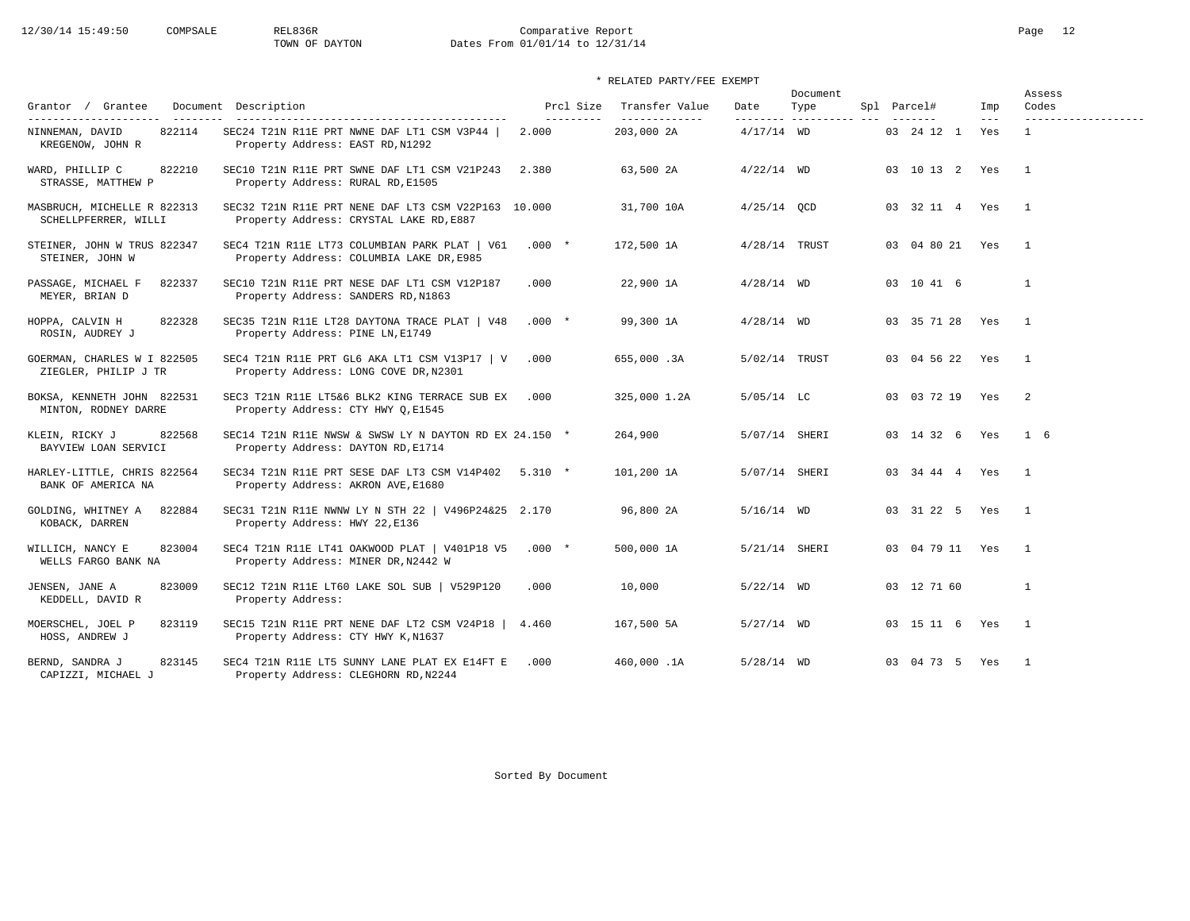# 12/30/14 15:49:50 COMPSALE REL836R Comparative Report Comparative Report Page 12<br>
TOWN OF DAYTON Dates From 01/01/14 to 12/31/14 Dates From 01/01/14 to 12/31/14

| Grantor / Grantee<br>---------------------          | Document Description                                                                           | Prcl Size<br>---------- | Transfer Value<br>-------------- | Date            | Document<br>Type<br>--------- ---------- --- | Spl Parcel#         | Imp<br>$---$ | Assess<br>Codes<br>------------------- |
|-----------------------------------------------------|------------------------------------------------------------------------------------------------|-------------------------|----------------------------------|-----------------|----------------------------------------------|---------------------|--------------|----------------------------------------|
| 822114<br>NINNEMAN, DAVID<br>KREGENOW, JOHN R       | SEC24 T21N R11E PRT NWNE DAF LT1 CSM V3P44  <br>Property Address: EAST RD, N1292               | 2.000                   | 203,000 2A                       | $4/17/14$ WD    |                                              | 03 24 12 1          | Yes          | $\mathbf{1}$                           |
| 822210<br>WARD, PHILLIP C<br>STRASSE, MATTHEW P     | SEC10 T21N R11E PRT SWNE DAF LT1 CSM V21P243<br>Property Address: RURAL RD, E1505              | 2.380                   | 63,500 2A                        | $4/22/14$ WD    |                                              | 03 10 13 2 Yes      |              | $\overline{1}$                         |
| MASBRUCH, MICHELLE R 822313<br>SCHELLPFERRER, WILLI | SEC32 T21N R11E PRT NENE DAF LT3 CSM V22P163 10.000<br>Property Address: CRYSTAL LAKE RD, E887 |                         | 31,700 10A                       | $4/25/14$ QCD   |                                              | 03 32 11 4 Yes      |              | $\mathbf{1}$                           |
| STEINER, JOHN W TRUS 822347<br>STEINER, JOHN W      | SEC4 T21N R11E LT73 COLUMBIAN PARK PLAT   V61<br>Property Address: COLUMBIA LAKE DR, E985      | $.000*$                 | 172,500 1A                       | $4/28/14$ TRUST |                                              | 03 04 80 21 Yes     |              | $\overline{1}$                         |
| PASSAGE, MICHAEL F<br>822337<br>MEYER, BRIAN D      | SEC10 T21N R11E PRT NESE DAF LT1 CSM V12P187<br>Property Address: SANDERS RD, N1863            | .000                    | 22,900 1A                        | $4/28/14$ WD    |                                              | 03 10 41 6          |              | $\mathbf{1}$                           |
| HOPPA, CALVIN H<br>822328<br>ROSIN, AUDREY J        | SEC35 T21N R11E LT28 DAYTONA TRACE PLAT   V48<br>Property Address: PINE LN, E1749              | $.000*$                 | 99,300 1A                        | $4/28/14$ WD    |                                              | 03 35 71 28 Yes     |              | $\overline{1}$                         |
| GOERMAN, CHARLES W I 822505<br>ZIEGLER, PHILIP J TR | SEC4 T21N R11E PRT GL6 AKA LT1 CSM V13P17   V<br>Property Address: LONG COVE DR, N2301         | .000                    | 655,000.3A                       | 5/02/14 TRUST   |                                              | 03 04 56 22         | Yes          | $\mathbf{1}$                           |
| BOKSA, KENNETH JOHN 822531<br>MINTON, RODNEY DARRE  | SEC3 T21N R11E LT5&6 BLK2 KING TERRACE SUB EX<br>Property Address: CTY HWY Q, E1545            | .000                    | 325,000 1.2A                     | $5/05/14$ LC    |                                              | 03 03 72 19 Yes     |              | 2                                      |
| 822568<br>KLEIN, RICKY J<br>BAYVIEW LOAN SERVICI    | SEC14 T21N R11E NWSW & SWSW LY N DAYTON RD EX 24.150 *<br>Property Address: DAYTON RD, E1714   |                         | 264,900                          | 5/07/14 SHERI   |                                              | 03 14 32 6 Yes      |              | $1\quad 6$                             |
| HARLEY-LITTLE, CHRIS 822564<br>BANK OF AMERICA NA   | SEC34 T21N R11E PRT SESE DAF LT3 CSM V14P402<br>Property Address: AKRON AVE, E1680             | $5.310 *$               | 101,200 1A                       | 5/07/14 SHERI   |                                              | 03 34 44 4 Yes      |              | $\mathbf{1}$                           |
| 822884<br>GOLDING, WHITNEY A<br>KOBACK, DARREN      | SEC31 T21N R11E NWNW LY N STH 22   V496P24&25 2.170<br>Property Address: HWY 22, E136          |                         | 96,800 2A                        | $5/16/14$ WD    |                                              | 03 31 22 5 Yes      |              | $\overline{1}$                         |
| 823004<br>WILLICH, NANCY E<br>WELLS FARGO BANK NA   | SEC4 T21N R11E LT41 OAKWOOD PLAT   V401P18 V5<br>Property Address: MINER DR, N2442 W           | $.000*$                 | 500,000 1A                       | 5/21/14 SHERI   |                                              | 03  04  79  11  Yes |              | $\mathbf{1}$                           |
| JENSEN, JANE A<br>823009<br>KEDDELL, DAVID R        | SEC12 T21N R11E LT60 LAKE SOL SUB   V529P120<br>Property Address:                              | .000                    | 10,000                           | $5/22/14$ WD    |                                              | 03 12 71 60         |              | $\mathbf{1}$                           |
| MOERSCHEL, JOEL P<br>823119<br>HOSS, ANDREW J       | SEC15 T21N R11E PRT NENE DAF LT2 CSM V24P18  <br>Property Address: CTY HWY K, N1637            | 4.460                   | 167,500 5A                       | $5/27/14$ WD    |                                              | 03 15 11 6 Yes      |              | $\overline{1}$                         |
| 823145<br>BERND, SANDRA J<br>CAPIZZI, MICHAEL J     | SEC4 T21N R11E LT5 SUNNY LANE PLAT EX E14FT E<br>Property Address: CLEGHORN RD, N2244          | .000                    | 460,000.1A                       | $5/28/14$ WD    |                                              | 03 04 73 5 Yes      |              | $\overline{1}$                         |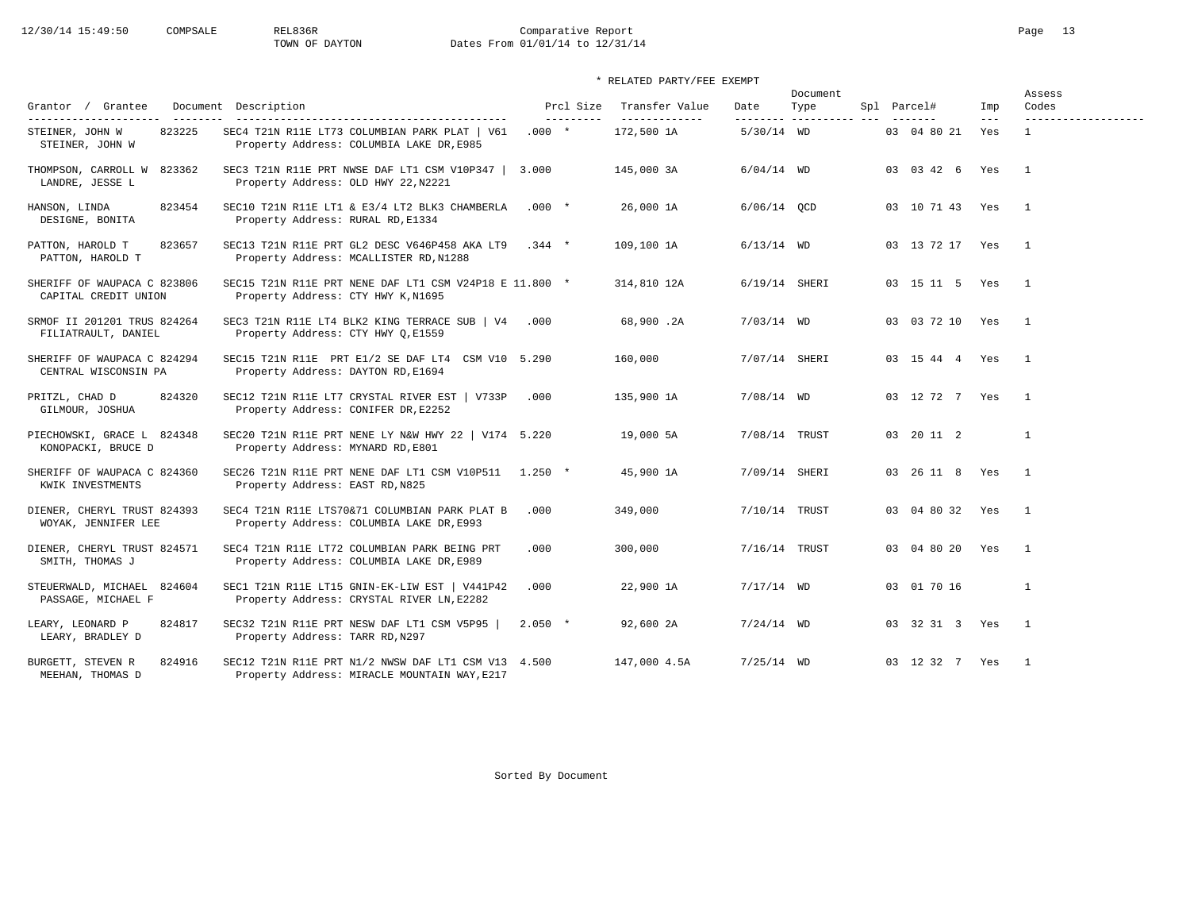# 12/30/14 15:49:50 COMPSALE REL836R Comparative Report Comparative Report Page 13<br>TOWN OF DAYTON Dates From 01/01/14 to 12/31/14 Dates From 01/01/14 to 12/31/14

| Grantor / Grantee                                                     | Document Description                                                                                | Prcl Size             | Transfer Value              | Date          | Document<br>Type         | Spl Parcel#        | Imp          | Assess<br>Codes                     |
|-----------------------------------------------------------------------|-----------------------------------------------------------------------------------------------------|-----------------------|-----------------------------|---------------|--------------------------|--------------------|--------------|-------------------------------------|
| ---------------------<br>823225<br>STEINER, JOHN W<br>STEINER, JOHN W | SEC4 T21N R11E LT73 COLUMBIAN PARK PLAT   V61<br>Property Address: COLUMBIA LAKE DR, E985           | ----------<br>$.000*$ | -------------<br>172,500 1A | $5/30/14$ WD  | --------- ---------- --- | 03 04 80 21        | $---$<br>Yes | -------------------<br>$\mathbf{1}$ |
| THOMPSON, CARROLL W<br>823362<br>LANDRE, JESSE L                      | SEC3 T21N R11E PRT NWSE DAF LT1 CSM V10P347  <br>Property Address: OLD HWY 22, N2221                | 3.000                 | 145,000 3A                  | $6/04/14$ WD  |                          | 03 03 42 6         | Yes          | $\overline{1}$                      |
| 823454<br>HANSON, LINDA<br>DESIGNE, BONITA                            | SEC10 T21N R11E LT1 & E3/4 LT2 BLK3 CHAMBERLA<br>Property Address: RURAL RD, E1334                  | $.000*$               | 26,000 1A                   | $6/06/14$ QCD |                          | 03 10 71 43 Yes    |              | $\overline{1}$                      |
| 823657<br>PATTON, HAROLD T<br>PATTON, HAROLD T                        | SEC13 T21N R11E PRT GL2 DESC V646P458 AKA LT9<br>Property Address: MCALLISTER RD, N1288             | $.344 *$              | 109,100 1A                  | $6/13/14$ WD  |                          | 03 13 72 17 Yes    |              | $\overline{1}$                      |
| SHERIFF OF WAUPACA C 823806<br>CAPITAL CREDIT UNION                   | SEC15 T21N R11E PRT NENE DAF LT1 CSM V24P18 E 11.800 $*$<br>Property Address: CTY HWY K, N1695      |                       | 314,810 12A                 |               | $6/19/14$ SHERI          | 03 15 11 5 Yes     |              | $\overline{1}$                      |
| SRMOF II 201201 TRUS 824264<br>FILIATRAULT, DANIEL                    | SEC3 T21N R11E LT4 BLK2 KING TERRACE SUB   V4<br>Property Address: CTY HWY Q, E1559                 | .000                  | 68,900.2A                   | $7/03/14$ WD  |                          | 03 03 72 10 Yes    |              | $\overline{1}$                      |
| SHERIFF OF WAUPACA C 824294<br>CENTRAL WISCONSIN PA                   | SEC15 T21N R11E PRT E1/2 SE DAF LT4 CSM V10 5.290<br>Property Address: DAYTON RD, E1694             |                       | 160,000                     |               | 7/07/14 SHERI            | 03 15 44 4 Yes     |              | $\mathbf{1}$                        |
| 824320<br>PRITZL, CHAD D<br>GILMOUR, JOSHUA                           | SEC12 T21N R11E LT7 CRYSTAL RIVER EST   V733P<br>Property Address: CONIFER DR, E2252                | .000                  | 135,900 1A                  | $7/08/14$ WD  |                          | 03 12 72 7 Yes     |              | $\overline{1}$                      |
| PIECHOWSKI, GRACE L 824348<br>KONOPACKI, BRUCE D                      | SEC20 T21N R11E PRT NENE LY N&W HWY 22   V174 $5.220$<br>Property Address: MYNARD RD, E801          |                       | 19,000 5A                   |               | 7/08/14 TRUST            | 03 20 11 2         |              | $\mathbf{1}$                        |
| SHERIFF OF WAUPACA C 824360<br>KWIK INVESTMENTS                       | SEC26 T21N R11E PRT NENE DAF LT1 CSM V10P511<br>Property Address: EAST RD, N825                     | $1.250$ *             | 45,900 1A                   |               | 7/09/14 SHERI            | 03  26  11  8  Yes |              | $\overline{1}$                      |
| DIENER, CHERYL TRUST 824393<br>WOYAK, JENNIFER LEE                    | SEC4 T21N R11E LTS70&71 COLUMBIAN PARK PLAT B<br>Property Address: COLUMBIA LAKE DR, E993           | .000                  | 349,000                     |               | 7/10/14 TRUST            | 03 04 80 32 Yes    |              | $\overline{\phantom{0}}$            |
| DIENER, CHERYL TRUST 824571<br>SMITH, THOMAS J                        | SEC4 T21N R11E LT72 COLUMBIAN PARK BEING PRT<br>Property Address: COLUMBIA LAKE DR, E989            | .000                  | 300,000                     |               | 7/16/14 TRUST            | 03 04 80 20        | Yes          | $\overline{1}$                      |
| STEUERWALD, MICHAEL<br>824604<br>PASSAGE, MICHAEL F                   | SEC1 T21N R11E LT15 GNIN-EK-LIW EST   V441P42<br>Property Address: CRYSTAL RIVER LN, E2282          | .000                  | 22,900 1A                   | $7/17/14$ WD  |                          | 03 01 70 16        |              | $\mathbf{1}$                        |
| LEARY, LEONARD P<br>824817<br>LEARY, BRADLEY D                        | SEC32 T21N R11E PRT NESW DAF LT1 CSM V5P95<br>Property Address: TARR RD, N297                       | $2.050$ *             | 92,600 2A                   | $7/24/14$ WD  |                          | 03 32 31 3 Yes     |              | $\overline{1}$                      |
| 824916<br>BURGETT, STEVEN R<br>MEEHAN, THOMAS D                       | SEC12 T21N R11E PRT N1/2 NWSW DAF LT1 CSM V13 4.500<br>Property Address: MIRACLE MOUNTAIN WAY, E217 |                       | 147,000 4.5A                | $7/25/14$ WD  |                          | 03 12 32 7 Yes     |              | $\overline{1}$                      |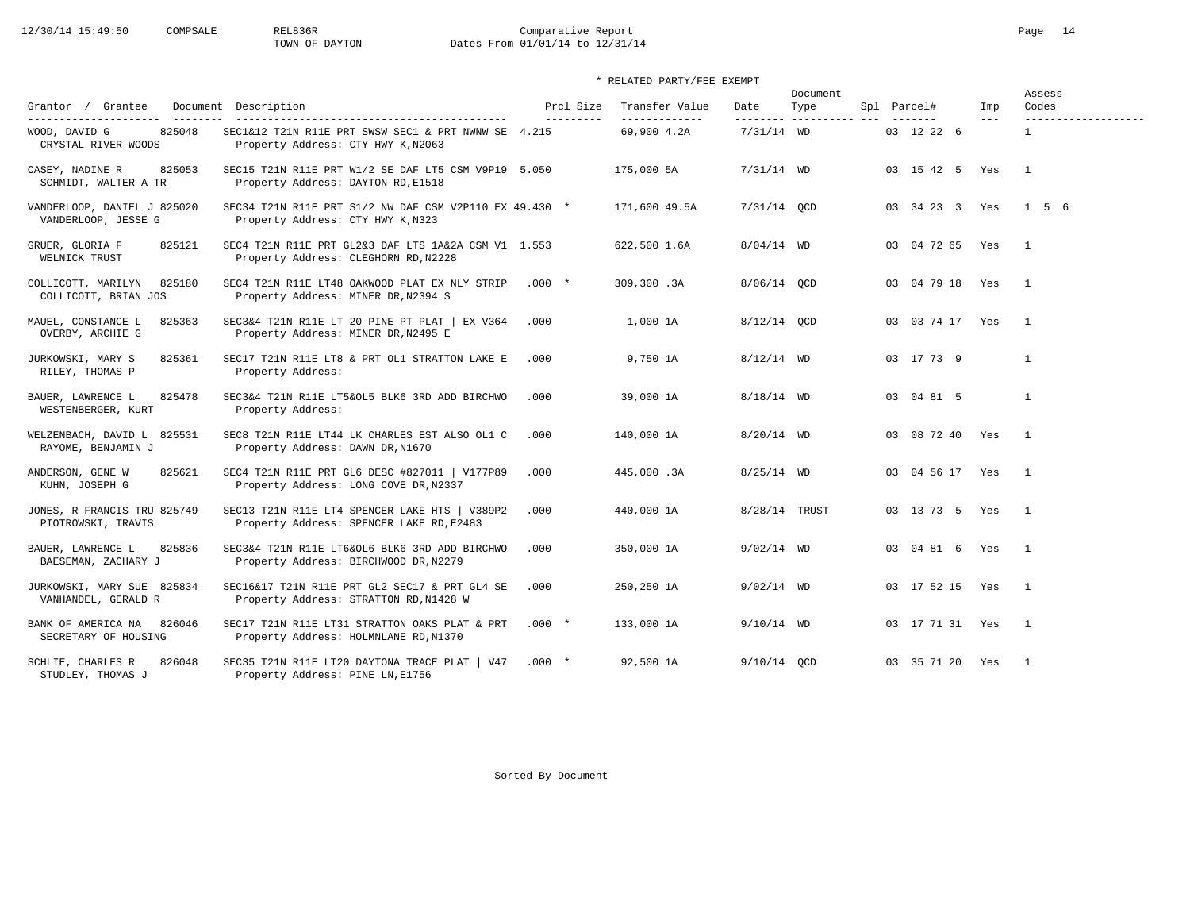# 12/30/14 15:49:50 COMPSALE REL836R Comparative Report Page 14<br>TOWN OF DAYTON Dates From 01/01/14 to 12/31/14 Dates From 01/01/14 to 12/31/14

| Grantor / Grantee                                                       | Document Description                                                                        | Prcl Size  | Transfer Value               | Date          | Document<br>Type        | Spl Parcel#         | Imp   | Assess<br>Codes                     |
|-------------------------------------------------------------------------|---------------------------------------------------------------------------------------------|------------|------------------------------|---------------|-------------------------|---------------------|-------|-------------------------------------|
| ---------------------<br>825048<br>WOOD, DAVID G<br>CRYSTAL RIVER WOODS | SEC1&12 T21N R11E PRT SWSW SEC1 & PRT NWNW SE 4.215<br>Property Address: CTY HWY K, N2063   | ---------- | -------------<br>69,900 4.2A | $7/31/14$ WD  | -------- ---------- --- | 03 12 22 6          | $---$ | -------------------<br>$\mathbf{1}$ |
| CASEY, NADINE R<br>825053<br>SCHMIDT, WALTER A TR                       | SEC15 T21N R11E PRT W1/2 SE DAF LT5 CSM V9P19 5.050<br>Property Address: DAYTON RD, E1518   |            | 175,000 5A                   | $7/31/14$ WD  |                         | 03 15 42 5 Yes      |       | $\overline{1}$                      |
| VANDERLOOP, DANIEL J 825020<br>VANDERLOOP, JESSE G                      | SEC34 T21N R11E PRT S1/2 NW DAF CSM V2P110 EX 49.430 *<br>Property Address: CTY HWY K, N323 |            | 171,600 49.5A                | 7/31/14 QCD   |                         | 03 34 23 3 Yes      |       | 156                                 |
| GRUER, GLORIA F<br>825121<br>WELNICK TRUST                              | SEC4 T21N R11E PRT GL2&3 DAF LTS 1A&2A CSM V1 1.553<br>Property Address: CLEGHORN RD, N2228 |            | 622,500 1.6A                 | $8/04/14$ WD  |                         | 03 04 72 65 Yes     |       | $\overline{1}$                      |
| 825180<br>COLLICOTT, MARILYN<br>COLLICOTT, BRIAN JOS                    | SEC4 T21N R11E LT48 OAKWOOD PLAT EX NLY STRIP<br>Property Address: MINER DR, N2394 S        | $.000*$    | 309,300.3A                   | 8/06/14 QCD   |                         | 03 04 79 18 Yes     |       | $\overline{1}$                      |
| MAUEL, CONSTANCE L<br>825363<br>OVERBY, ARCHIE G                        | SEC3&4 T21N R11E LT 20 PINE PT PLAT   EX V364<br>Property Address: MINER DR, N2495 E        | .000       | 1,000 1A                     | 8/12/14 OCD   |                         | 03 03 74 17 Yes     |       | $\overline{1}$                      |
| 825361<br>JURKOWSKI, MARY S<br>RILEY, THOMAS P                          | SEC17 T21N R11E LT8 & PRT OL1 STRATTON LAKE E<br>Property Address:                          | .000       | 9,750 1A                     | $8/12/14$ WD  |                         | 03 17 73 9          |       | $\mathbf{1}$                        |
| 825478<br>BAUER, LAWRENCE L<br>WESTENBERGER, KURT                       | SEC3&4 T21N R11E LT5&OL5 BLK6 3RD ADD BIRCHWO<br>Property Address:                          | .000       | 39,000 1A                    | $8/18/14$ WD  |                         | 03 04 81 5          |       | $\mathbf{1}$                        |
| WELZENBACH, DAVID L 825531<br>RAYOME, BENJAMIN J                        | SEC8 T21N R11E LT44 LK CHARLES EST ALSO OL1 C<br>Property Address: DAWN DR, N1670           | .000       | 140,000 1A                   | $8/20/14$ WD  |                         | 03 08 72 40 Yes     |       | $\overline{1}$                      |
| 825621<br>ANDERSON, GENE W<br>KUHN, JOSEPH G                            | SEC4 T21N R11E PRT GL6 DESC #827011   V177P89<br>Property Address: LONG COVE DR, N2337      | .000       | 445,000.3A                   | $8/25/14$ WD  |                         | 03  04  56  17  Yes |       | $\overline{1}$                      |
| JONES, R FRANCIS TRU 825749<br>PIOTROWSKI, TRAVIS                       | SEC13 T21N R11E LT4 SPENCER LAKE HTS   V389P2<br>Property Address: SPENCER LAKE RD, E2483   | .000       | 440,000 1A                   | 8/28/14 TRUST |                         | 03 13 73 5 Yes      |       | $\overline{1}$                      |
| 825836<br>BAUER, LAWRENCE L<br>BAESEMAN, ZACHARY J                      | SEC3&4 T21N R11E LT6&OL6 BLK6 3RD ADD BIRCHWO<br>Property Address: BIRCHWOOD DR, N2279      | .000       | 350,000 1A                   | $9/02/14$ WD  |                         | 03 04 81 6 Yes      |       | $\overline{1}$                      |
| JURKOWSKI, MARY SUE 825834<br>VANHANDEL, GERALD R                       | SEC16&17 T21N R11E PRT GL2 SEC17 & PRT GL4 SE<br>Property Address: STRATTON RD, N1428 W     | .000       | 250,250 1A                   | $9/02/14$ WD  |                         | 03 17 52 15 Yes     |       | $\overline{1}$                      |
| BANK OF AMERICA NA<br>826046<br>SECRETARY OF HOUSING                    | SEC17 T21N R11E LT31 STRATTON OAKS PLAT & PRT<br>Property Address: HOLMNLANE RD, N1370      | $.000 *$   | 133,000 1A                   | $9/10/14$ WD  |                         | 03 17 71 31 Yes     |       | $\overline{1}$                      |
| 826048<br>SCHLIE, CHARLES R<br>STUDLEY, THOMAS J                        | SEC35 T21N R11E LT20 DAYTONA TRACE PLAT   V47<br>Property Address: PINE LN, E1756           | $.000*$    | 92,500 1A                    | $9/10/14$ OCD |                         | 03 35 71 20 Yes     |       | $\overline{1}$                      |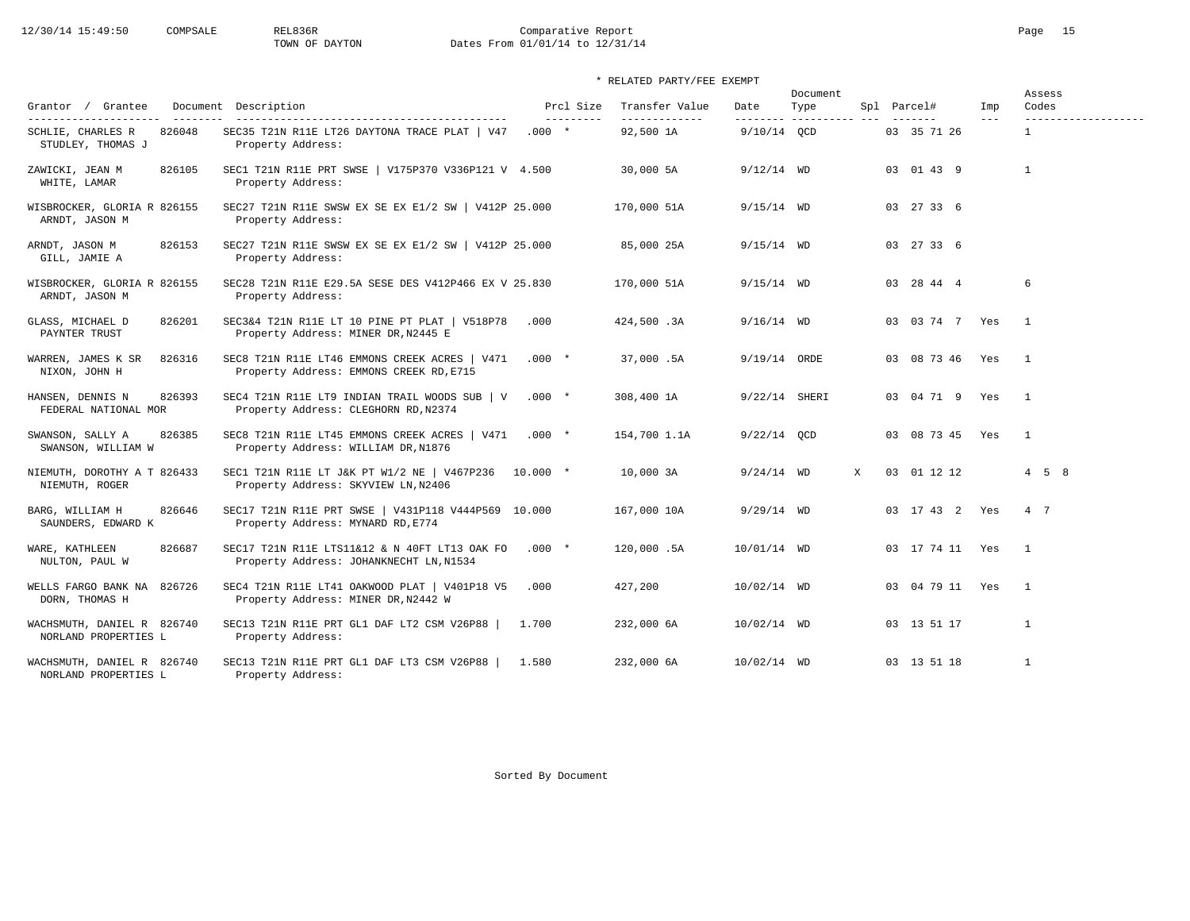# 12/30/14 15:49:50 COMPSALE REL836R Comparative Report Comparative Report Page 15 Dates From 01/01/14 to 12/31/14

## \* RELATED PARTY/FEE EXEMPT

| Grantor / Grantee                                  | Document Description                                                                     | Prcl Size                      | Transfer Value             | Date                    | Document<br>Type |   | Spl Parcel#         | Imp     | Assess<br>Codes                     |
|----------------------------------------------------|------------------------------------------------------------------------------------------|--------------------------------|----------------------------|-------------------------|------------------|---|---------------------|---------|-------------------------------------|
| SCHLIE, CHARLES R<br>826048<br>STUDLEY, THOMAS J   | SEC35 T21N R11E LT26 DAYTONA TRACE PLAT   V47<br>Property Address:                       | $- - - - - - - - -$<br>$.000*$ | -------------<br>92,500 1A | --------<br>9/10/14 OCD | ----------- ---  |   | 03 35 71 26         | $- - -$ | -------------------<br>$\mathbf{1}$ |
| 826105<br>ZAWICKI, JEAN M<br>WHITE, LAMAR          | SEC1 T21N R11E PRT SWSE   V175P370 V336P121 V 4.500<br>Property Address:                 |                                | 30,000 5A                  | $9/12/14$ WD            |                  |   | 03 01 43 9          |         | $\mathbf{1}$                        |
| WISBROCKER, GLORIA R 826155<br>ARNDT, JASON M      | SEC27 T21N R11E SWSW EX SE EX E1/2 SW   V412P 25.000<br>Property Address:                |                                | 170,000 51A                | $9/15/14$ WD            |                  |   | 03 27 33 6          |         |                                     |
| ARNDT, JASON M<br>826153<br>GILL, JAMIE A          | SEC27 T21N R11E SWSW EX SE EX E1/2 SW   V412P 25.000<br>Property Address:                |                                | 85,000 25A                 | $9/15/14$ WD            |                  |   | 03 27 33 6          |         |                                     |
| WISBROCKER, GLORIA R 826155<br>ARNDT, JASON M      | SEC28 T21N R11E E29.5A SESE DES V412P466 EX V 25.830<br>Property Address:                |                                | 170,000 51A                | $9/15/14$ WD            |                  |   | 03 28 44 4          |         | 6                                   |
| GLASS, MICHAEL D<br>826201<br>PAYNTER TRUST        | SEC3&4 T21N R11E LT 10 PINE PT PLAT   V518P78<br>Property Address: MINER DR, N2445 E     | .000                           | 424,500.3A                 | $9/16/14$ WD            |                  |   | 03 03 74 7 Yes      |         | $\overline{1}$                      |
| 826316<br>WARREN, JAMES K SR<br>NIXON, JOHN H      | SEC8 T21N R11E LT46 EMMONS CREEK ACRES   V471<br>Property Address: EMMONS CREEK RD, E715 | $.000*$                        | 37,000.5A                  | 9/19/14 ORDE            |                  |   | 03 08 73 46 Yes     |         | $\overline{1}$                      |
| 826393<br>HANSEN, DENNIS N<br>FEDERAL NATIONAL MOR | SEC4 T21N R11E LT9 INDIAN TRAIL WOODS SUB   V<br>Property Address: CLEGHORN RD, N2374    | $.000*$                        | 308,400 1A                 | 9/22/14 SHERI           |                  |   | 03 04 71 9 Yes      |         | $\overline{1}$                      |
| 826385<br>SWANSON, SALLY A<br>SWANSON, WILLIAM W   | SEC8 T21N R11E LT45 EMMONS CREEK ACRES   V471<br>Property Address: WILLIAM DR, N1876     | $.000*$                        | 154,700 1.1A               | $9/22/14$ OCD           |                  |   | 03 08 73 45 Yes     |         | $\overline{1}$                      |
| NIEMUTH, DOROTHY A T 826433<br>NIEMUTH, ROGER      | SEC1 T21N R11E LT J&K PT W1/2 NE   V467P236<br>Property Address: SKYVIEW LN, N2406       | $10.000$ *                     | 10,000 3A                  | $9/24/14$ WD            |                  | X | 03 01 12 12         |         | $4\quad 5\quad 8$                   |
| BARG, WILLIAM H<br>826646<br>SAUNDERS, EDWARD K    | SEC17 T21N R11E PRT SWSE   V431P118 V444P569 10.000<br>Property Address: MYNARD RD, E774 |                                | 167,000 10A                | $9/29/14$ WD            |                  |   | 03 17 43 2 Yes      |         | 4 7                                 |
| WARE, KATHLEEN<br>826687<br>NULTON, PAUL W         | SEC17 T21N R11E LTS11&12 & N 40FT LT13 OAK FO<br>Property Address: JOHANKNECHT LN, N1534 | $.000*$                        | 120,000.5A                 | 10/01/14 WD             |                  |   | 03 17 74 11 Yes     |         | $\overline{1}$                      |
| WELLS FARGO BANK NA 826726<br>DORN, THOMAS H       | SEC4 T21N R11E LT41 OAKWOOD PLAT   V401P18 V5<br>Property Address: MINER DR, N2442 W     | .000                           | 427,200                    | 10/02/14 WD             |                  |   | 03  04  79  11  Yes |         | $\mathbf{1}$                        |
| WACHSMUTH, DANIEL R 826740<br>NORLAND PROPERTIES L | SEC13 T21N R11E PRT GL1 DAF LT2 CSM V26P88<br>Property Address:                          | 1.700                          | 232,000 6A                 | $10/02/14$ WD           |                  |   | 03 13 51 17         |         | $\mathbf{1}$                        |
| WACHSMUTH, DANIEL R 826740<br>NORLAND PROPERTIES L | SEC13 T21N R11E PRT GL1 DAF LT3 CSM V26P88<br>Property Address:                          | 1.580                          | 232,000 6A                 | $10/02/14$ WD           |                  |   | 03 13 51 18         |         | $\mathbf{1}$                        |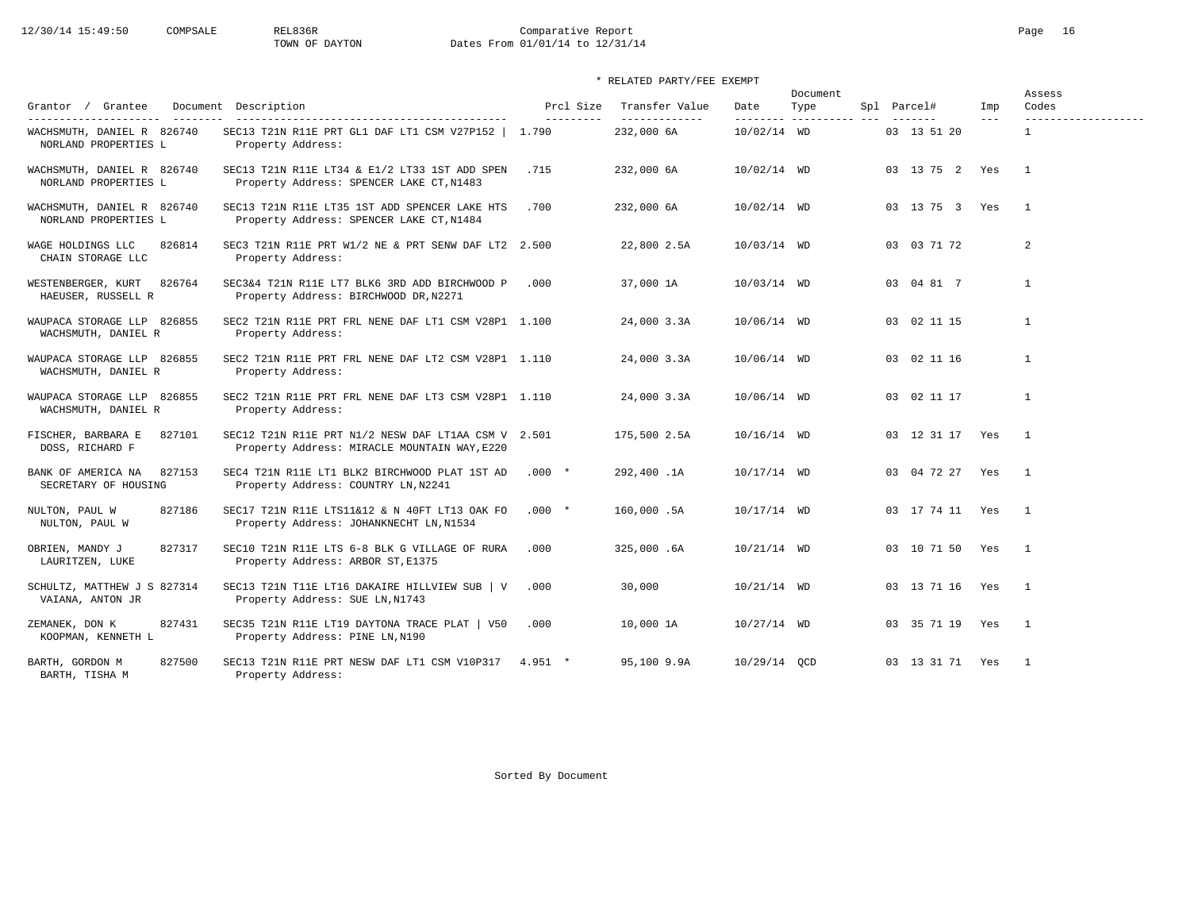# 12/30/14 15:49:50 COMPSALE REL836R Comparative Report Comparative Report Page 16 Dates From 01/01/14 to 12/31/14

## \* RELATED PARTY/FEE EXEMPT

| Grantor / Grantee                                    | Document Description                                                                                | Prcl Size | Transfer Value              | Date                      | Document<br>Type | Spl Parcel#     | Imp     | Assess<br>Codes |
|------------------------------------------------------|-----------------------------------------------------------------------------------------------------|-----------|-----------------------------|---------------------------|------------------|-----------------|---------|-----------------|
| WACHSMUTH, DANIEL R 826740<br>NORLAND PROPERTIES L   | SEC13 T21N R11E PRT GL1 DAF LT1 CSM V27P152   1.790<br>Property Address:                            | --------- | -------------<br>232,000 6A | --------<br>$10/02/14$ WD |                  | 03 13 51 20     | $- - -$ | $\mathbf{1}$    |
| WACHSMUTH, DANIEL R 826740<br>NORLAND PROPERTIES L   | SEC13 T21N R11E LT34 & E1/2 LT33 1ST ADD SPEN<br>Property Address: SPENCER LAKE CT, N1483           | .715      | 232,000 6A                  | 10/02/14 WD               |                  | 03 13 75 2 Yes  |         | $\overline{1}$  |
| WACHSMUTH, DANIEL R 826740<br>NORLAND PROPERTIES L   | SEC13 T21N R11E LT35 1ST ADD SPENCER LAKE HTS<br>Property Address: SPENCER LAKE CT, N1484           | .700      | 232,000 6A                  | 10/02/14 WD               |                  | 03 13 75 3 Yes  |         | $\overline{1}$  |
| WAGE HOLDINGS LLC<br>826814<br>CHAIN STORAGE LLC     | SEC3 T21N R11E PRT W1/2 NE & PRT SENW DAF LT2 2.500<br>Property Address:                            |           | 22,800 2.5A                 | 10/03/14 WD               |                  | 03 03 71 72     |         | $\overline{a}$  |
| WESTENBERGER, KURT<br>826764<br>HAEUSER, RUSSELL R   | SEC3&4 T21N R11E LT7 BLK6 3RD ADD BIRCHWOOD P<br>Property Address: BIRCHWOOD DR, N2271              | .000      | 37,000 1A                   | $10/03/14$ WD             |                  | 03 04 81 7      |         | $\mathbf{1}$    |
| WAUPACA STORAGE LLP 826855<br>WACHSMUTH, DANIEL R    | SEC2 T21N R11E PRT FRL NENE DAF LT1 CSM V28P1 1.100<br>Property Address:                            |           | 24,000 3.3A                 | 10/06/14 WD               |                  | 03 02 11 15     |         | $\overline{1}$  |
| WAUPACA STORAGE LLP 826855<br>WACHSMUTH, DANIEL R    | SEC2 T21N R11E PRT FRL NENE DAF LT2 CSM V28P1 1.110<br>Property Address:                            |           | 24,000 3.3A                 | 10/06/14 WD               |                  | 03 02 11 16     |         | $\mathbf{1}$    |
| WAUPACA STORAGE LLP 826855<br>WACHSMUTH, DANIEL R    | SEC2 T21N R11E PRT FRL NENE DAF LT3 CSM V28P1 1.110<br>Property Address:                            |           | 24,000 3.3A                 | 10/06/14 WD               |                  | 03 02 11 17     |         | $\mathbf{1}$    |
| FISCHER, BARBARA E<br>827101<br>DOSS, RICHARD F      | SEC12 T21N R11E PRT N1/2 NESW DAF LT1AA CSM V 2.501<br>Property Address: MIRACLE MOUNTAIN WAY, E220 |           | 175,500 2.5A                | 10/16/14 WD               |                  | 03 12 31 17 Yes |         | $\overline{1}$  |
| 827153<br>BANK OF AMERICA NA<br>SECRETARY OF HOUSING | SEC4 T21N R11E LT1 BLK2 BIRCHWOOD PLAT 1ST AD<br>Property Address: COUNTRY LN, N2241                | $.000*$   | 292,400.1A                  | 10/17/14 WD               |                  | 03 04 72 27 Yes |         | $\mathbf{1}$    |
| 827186<br>NULTON, PAUL W<br>NULTON, PAUL W           | SEC17 T21N R11E LTS11&12 & N 40FT LT13 OAK FO<br>Property Address: JOHANKNECHT LN, N1534            | $.000*$   | 160,000.5A                  | 10/17/14 WD               |                  | 03 17 74 11 Yes |         | $\overline{1}$  |
| 827317<br>OBRIEN, MANDY J<br>LAURITZEN, LUKE         | SEC10 T21N R11E LTS 6-8 BLK G VILLAGE OF RURA<br>Property Address: ARBOR ST, E1375                  | .000      | 325,000.6A                  | 10/21/14 WD               |                  | 03 10 71 50     | Yes     | $\overline{1}$  |
| SCHULTZ, MATTHEW J S 827314<br>VAIANA, ANTON JR      | SEC13 T21N T11E LT16 DAKAIRE HILLVIEW SUB   V<br>Property Address: SUE LN, N1743                    | .000      | 30,000                      | $10/21/14$ WD             |                  | 03 13 71 16 Yes |         | $\overline{1}$  |
| ZEMANEK, DON K<br>827431<br>KOOPMAN, KENNETH L       | SEC35 T21N R11E LT19 DAYTONA TRACE PLAT   V50<br>Property Address: PINE LN, N190                    | .000      | 10,000 1A                   | 10/27/14 WD               |                  | 03 35 71 19 Yes |         | $\overline{1}$  |
| 827500<br>BARTH, GORDON M<br>BARTH, TISHA M          | SEC13 T21N R11E PRT NESW DAF LT1 CSM V10P317<br>Property Address:                                   | $4.951$ * | 95,100 9.9A                 | 10/29/14 OCD              |                  | 03 13 31 71 Yes |         | $\overline{1}$  |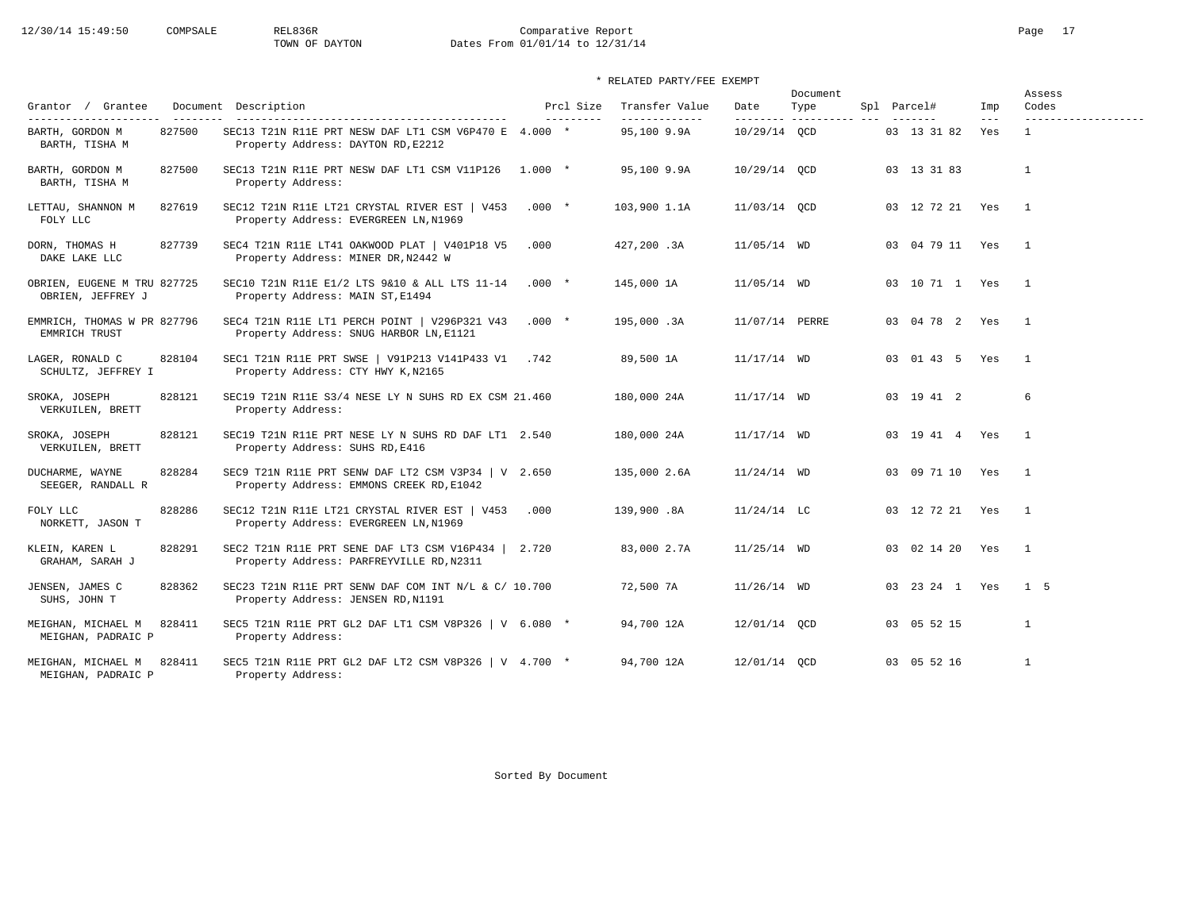# 12/30/14 15:49:50 COMPSALE REL836R Comparative Report Comparative Report Page 17<br>TOWN OF DAYTON Dates From 01/01/14 to 12/31/14 Dates From 01/01/14 to 12/31/14

## \* RELATED PARTY/FEE EXEMPT

| Grantor / Grantee                                           |        | Document Description                                                                                                                |         | Prcl Size  | Transfer Value               | Date           | Document<br>Type         | Spl Parcel#        | Imp                  | Assess<br>Codes                     |
|-------------------------------------------------------------|--------|-------------------------------------------------------------------------------------------------------------------------------------|---------|------------|------------------------------|----------------|--------------------------|--------------------|----------------------|-------------------------------------|
| ----------------------<br>BARTH, GORDON M<br>BARTH, TISHA M | 827500 | ------------------------------------<br>SEC13 T21N R11E PRT NESW DAF LT1 CSM V6P470 E 4.000 *<br>Property Address: DAYTON RD, E2212 |         | ---------- | -------------<br>95,100 9.9A | 10/29/14 OCD   | --------- ---------- --- | 03 13 31 82        | $\frac{1}{2}$<br>Yes | -------------------<br>$\mathbf{1}$ |
| BARTH, GORDON M<br>BARTH, TISHA M                           | 827500 | SEC13 T21N R11E PRT NESW DAF LT1 CSM V11P126 1.000 *<br>Property Address:                                                           |         |            | 95,100 9.9A                  | 10/29/14 OCD   |                          | 03 13 31 83        |                      | $\mathbf{1}$                        |
| LETTAU, SHANNON M<br>FOLY LLC                               | 827619 | SEC12 T21N R11E LT21 CRYSTAL RIVER EST   V453<br>Property Address: EVERGREEN LN, N1969                                              | $.000*$ |            | 103,900 1.1A                 | 11/03/14 QCD   |                          | 03 12 72 21 Yes    |                      | $\overline{1}$                      |
| DORN, THOMAS H<br>DAKE LAKE LLC                             | 827739 | SEC4 T21N R11E LT41 OAKWOOD PLAT   V401P18 V5<br>Property Address: MINER DR, N2442 W                                                | .000    |            | 427,200.3A                   | $11/05/14$ WD  |                          | 03 04 79 11 Yes    |                      | $\overline{1}$                      |
| OBRIEN, EUGENE M TRU 827725<br>OBRIEN, JEFFREY J            |        | SEC10 T21N R11E E1/2 LTS 9&10 & ALL LTS 11-14<br>Property Address: MAIN ST, E1494                                                   | $.000*$ |            | 145,000 1A                   | $11/05/14$ WD  |                          | 03 10 71 1 Yes     |                      | $\overline{1}$                      |
| EMMRICH, THOMAS W PR 827796<br>EMMRICH TRUST                |        | SEC4 T21N R11E LT1 PERCH POINT   V296P321 V43<br>Property Address: SNUG HARBOR LN, E1121                                            | $.000*$ |            | 195,000.3A                   | 11/07/14 PERRE |                          | 03  04  78  2  Yes |                      | $\overline{1}$                      |
| LAGER, RONALD C<br>SCHULTZ, JEFFREY I                       | 828104 | SEC1 T21N R11E PRT SWSE   V91P213 V141P433 V1<br>Property Address: CTY HWY K, N2165                                                 | .742    |            | 89,500 1A                    | $11/17/14$ WD  |                          | 03 01 43 5 Yes     |                      | $\overline{1}$                      |
| SROKA, JOSEPH<br>VERKUILEN, BRETT                           | 828121 | SEC19 T21N R11E S3/4 NESE LY N SUHS RD EX CSM 21.460<br>Property Address:                                                           |         |            | 180,000 24A                  | $11/17/14$ WD  |                          | 03 19 41 2         |                      | 6                                   |
| SROKA, JOSEPH<br>VERKUILEN, BRETT                           | 828121 | SEC19 T21N R11E PRT NESE LY N SUHS RD DAF LT1 2.540<br>Property Address: SUHS RD, E416                                              |         |            | 180,000 24A                  | $11/17/14$ WD  |                          | 03 19 41 4 Yes     |                      | $\overline{1}$                      |
| DUCHARME, WAYNE<br>SEEGER, RANDALL R                        | 828284 | SEC9 T21N R11E PRT SENW DAF LT2 CSM V3P34   V 2.650<br>Property Address: EMMONS CREEK RD, E1042                                     |         |            | 135,000 2.6A                 | $11/24/14$ WD  |                          | 03 09 71 10 Yes    |                      | $\overline{1}$                      |
| FOLY LLC<br>NORKETT, JASON T                                | 828286 | SEC12 T21N R11E LT21 CRYSTAL RIVER EST   V453<br>Property Address: EVERGREEN LN, N1969                                              | .000    |            | 139,900.8A                   | $11/24/14$ LC  |                          | 03 12 72 21 Yes    |                      | $\overline{1}$                      |
| KLEIN, KAREN L<br>GRAHAM, SARAH J                           | 828291 | SEC2 T21N R11E PRT SENE DAF LT3 CSM V16P434   2.720<br>Property Address: PARFREYVILLE RD, N2311                                     |         |            | 83,000 2.7A                  | $11/25/14$ WD  |                          | 03 02 14 20 Yes    |                      | $\overline{1}$                      |
| JENSEN, JAMES C<br>SUHS, JOHN T                             | 828362 | SEC23 T21N R11E PRT SENW DAF COM INT N/L & C/ 10.700<br>Property Address: JENSEN RD, N1191                                          |         |            | 72,500 7A                    | $11/26/14$ WD  |                          | 03  23  24  1  Yes |                      | $1\quad 5$                          |
| MEIGHAN, MICHAEL M<br>MEIGHAN, PADRAIC P                    | 828411 | SEC5 T21N R11E PRT GL2 DAF LT1 CSM V8P326   V 6.080 *<br>Property Address:                                                          |         |            | 94,700 12A                   | 12/01/14 OCD   |                          | 03 05 52 15        |                      | $\mathbf{1}$                        |
| MEIGHAN, MICHAEL M<br>MEIGHAN, PADRAIC P                    | 828411 | SEC5 T21N R11E PRT GL2 DAF LT2 CSM V8P326   V $4.700$ *<br>Property Address:                                                        |         |            | 94,700 12A                   | 12/01/14 OCD   |                          | 03 05 52 16        |                      | $\mathbf{1}$                        |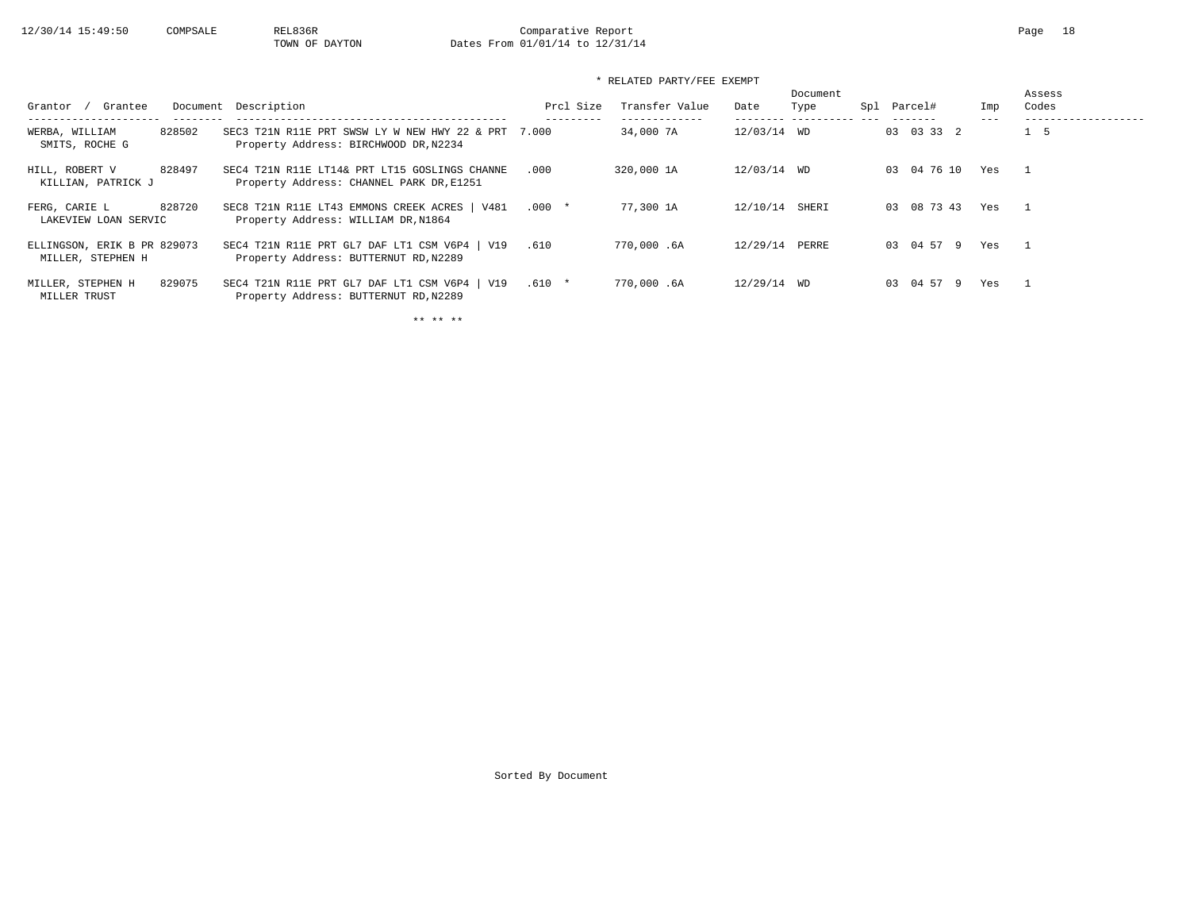# 12/30/14 15:49:50 COMPSALE REL836R Comparative Report Comparative Report Page 18<br>TOWN OF DAYTON Dates From 01/01/14 to 12/31/14 Dates From 01/01/14 to 12/31/14

## \* RELATED PARTY/FEE EXEMPT

| Grantee<br>Grantor                               | Document Description                                                                      | Prcl Size | Transfer Value | Date        | Document<br>Type | Spl | Parcel#        | Imp | Assess<br>Codes |
|--------------------------------------------------|-------------------------------------------------------------------------------------------|-----------|----------------|-------------|------------------|-----|----------------|-----|-----------------|
| 828502<br>WERBA, WILLIAM<br>SMITS, ROCHE G       | SEC3 T21N R11E PRT SWSW LY W NEW HWY 22 & PRT<br>Property Address: BIRCHWOOD DR, N2234    | 7.000     | 34,000 7A      | 12/03/14 WD |                  |     | 03 03 33 2     |     | $1\quad 5$      |
| 828497<br>HILL, ROBERT V<br>KILLIAN, PATRICK J   | SEC4 T21N R11E LT14& PRT LT15 GOSLINGS CHANNE<br>Property Address: CHANNEL PARK DR, E1251 | .000      | 320,000 1A     | 12/03/14 WD |                  |     | 03 04 76 10    | Yes |                 |
| 828720<br>FERG, CARIE L<br>LAKEVIEW LOAN SERVIC  | SEC8 T21N R11E LT43 EMMONS CREEK ACRES   V481<br>Property Address: WILLIAM DR, N1864      | $.000*$   | 77,300 1A      | 12/10/14    | SHERI            |     | 03 08 73 43    | Yes | $\overline{1}$  |
| ELLINGSON, ERIK B PR 829073<br>MILLER, STEPHEN H | SEC4 T21N R11E PRT GL7 DAF LT1 CSM V6P4   V19<br>Property Address: BUTTERNUT RD, N2289    | .610      | 770,000.6A     | 12/29/14    | PERRE            |     | 03 04 57 9     | Yes | $\mathbf{1}$    |
| 829075<br>MILLER, STEPHEN H<br>MILLER TRUST      | SEC4 T21N R11E PRT GL7 DAF LT1 CSM V6P4   V19<br>Property Address: BUTTERNUT RD, N2289    | $.610 *$  | 770,000.6A     | 12/29/14 WD |                  |     | 04 57 9<br>0.3 | Yes |                 |

\*\* \*\* \*\*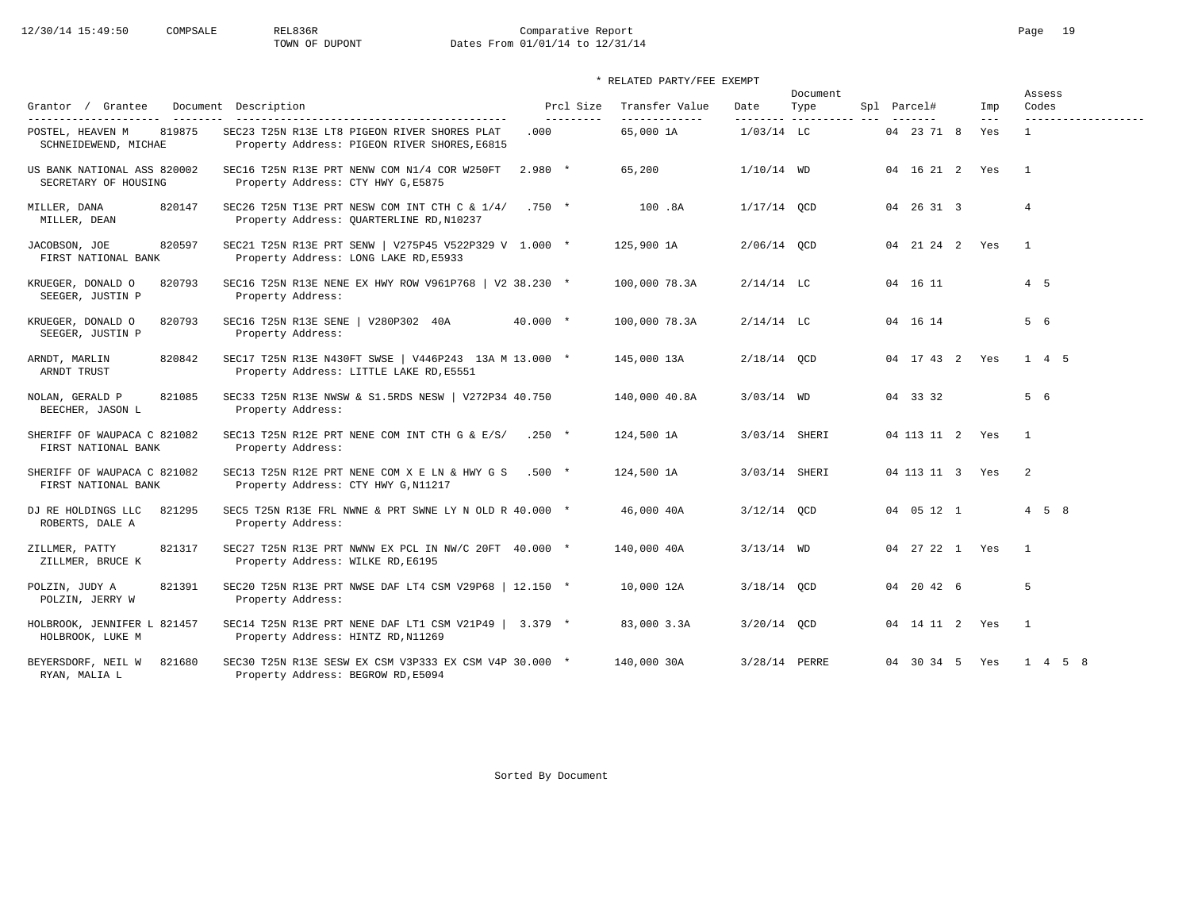# 12/30/14 15:49:50 COMPSALE REL836R Comparative Report Comparative Report Page 19<br>TOWN OF DUPONT Dates From 01/01/14 to 12/31/14 Dates From 01/01/14 to 12/31/14

## \* RELATED PARTY/FEE EXEMPT

| Grantor / Grantee                                   | Document Description                                                                             |            | Prcl Size<br>---------- | Transfer Value<br>------------- | Date          | Document<br>Type | Spl Parcel# |                    | Imp          | Assess<br>Codes   |  |
|-----------------------------------------------------|--------------------------------------------------------------------------------------------------|------------|-------------------------|---------------------------------|---------------|------------------|-------------|--------------------|--------------|-------------------|--|
| 819875<br>POSTEL, HEAVEN M<br>SCHNEIDEWEND, MICHAE  | SEC23 T25N R13E LT8 PIGEON RIVER SHORES PLAT<br>Property Address: PIGEON RIVER SHORES, E6815     | .000       |                         | 65,000 1A                       | $1/03/14$ LC  |                  |             | 04 23 71 8         | $---$<br>Yes | $\mathbf{1}$      |  |
| US BANK NATIONAL ASS 820002<br>SECRETARY OF HOUSING | SEC16 T25N R13E PRT NENW COM N1/4 COR W250FT<br>Property Address: CTY HWY G, E5875               | $2.980*$   |                         | 65,200                          | $1/10/14$ WD  |                  |             | 04  16  21  2  Yes |              | $\overline{1}$    |  |
| 820147<br>MILLER, DANA<br>MILLER, DEAN              | SEC26 T25N T13E PRT NESW COM INT CTH C & $1/4/$<br>Property Address: QUARTERLINE RD, N10237      | $.750*$    |                         | 100.8A                          | $1/17/14$ OCD |                  |             | 04 26 31 3         |              | $\overline{4}$    |  |
| JACOBSON, JOE<br>820597<br>FIRST NATIONAL BANK      | SEC21 T25N R13E PRT SENW   V275P45 V522P329 V 1.000 *<br>Property Address: LONG LAKE RD, E5933   |            |                         | 125,900 1A                      | 2/06/14 OCD   |                  |             | 04 21 24 2 Yes     |              | $\overline{1}$    |  |
| KRUEGER, DONALD O<br>820793<br>SEEGER, JUSTIN P     | SEC16 T25N R13E NENE EX HWY ROW V961P768   V2 38.230 *<br>Property Address:                      |            |                         | 100,000 78.3A                   | $2/14/14$ LC  |                  |             | 04 16 11           |              | 4 5               |  |
| KRUEGER, DONALD O<br>820793<br>SEEGER, JUSTIN P     | SEC16 T25N R13E SENE   V280P302 40A<br>Property Address:                                         | $40.000 *$ |                         | 100,000 78.3A                   | $2/14/14$ LC  |                  |             | 04 16 14           |              | 5 6               |  |
| 820842<br>ARNDT, MARLIN<br>ARNDT TRUST              | SEC17 T25N R13E N430FT SWSE   V446P243 13A M 13.000 *<br>Property Address: LITTLE LAKE RD, E5551 |            |                         | 145,000 13A                     | $2/18/14$ QCD |                  |             | 04 17 43 2 Yes     |              | 1 4 5             |  |
| 821085<br>NOLAN, GERALD P<br>BEECHER, JASON L       | SEC33 T25N R13E NWSW & S1.5RDS NESW   V272P34 40.750<br>Property Address:                        |            |                         | 140,000 40.8A                   | $3/03/14$ WD  |                  |             | 04 33 32           |              | 5 6               |  |
| SHERIFF OF WAUPACA C 821082<br>FIRST NATIONAL BANK  | SEC13 T25N R12E PRT NENE COM INT CTH G & E/S/ .250 $\star$<br>Property Address:                  |            |                         | 124,500 1A                      | 3/03/14 SHERI |                  |             | 04 113 11 2 Yes    |              | $\overline{1}$    |  |
| SHERIFF OF WAUPACA C 821082<br>FIRST NATIONAL BANK  | SEC13 T25N R12E PRT NENE COM X E LN & HWY G S .500 *<br>Property Address: CTY HWY G, N11217      |            |                         | 124,500 1A                      | 3/03/14 SHERI |                  |             | 04 113 11 3 Yes    |              | $\overline{2}$    |  |
| DJ RE HOLDINGS LLC<br>821295<br>ROBERTS, DALE A     | SEC5 T25N R13E FRL NWNE & PRT SWNE LY N OLD R 40.000 *<br>Property Address:                      |            |                         | 46,000 40A                      | $3/12/14$ OCD |                  |             | 04  05  12  1      |              | $4\quad 5\quad 8$ |  |
| 821317<br>ZILLMER, PATTY<br>ZILLMER, BRUCE K        | SEC27 T25N R13E PRT NWNW EX PCL IN NW/C 20FT 40.000 *<br>Property Address: WILKE RD, E6195       |            |                         | 140,000 40A                     | $3/13/14$ WD  |                  |             | 04 27 22 1 Yes     |              | $\overline{1}$    |  |
| 821391<br>POLZIN, JUDY A<br>POLZIN, JERRY W         | SEC20 T25N R13E PRT NWSE DAF LT4 CSM V29P68   12.150 *<br>Property Address:                      |            |                         | 10,000 12A                      | $3/18/14$ QCD |                  |             | 04 20 42 6         |              | 5                 |  |
| HOLBROOK, JENNIFER L 821457<br>HOLBROOK, LUKE M     | SEC14 T25N R13E PRT NENE DAF LT1 CSM V21P49   3.379 *<br>Property Address: HINTZ RD, N11269      |            |                         | 83,000 3.3A                     | $3/20/14$ OCD |                  |             | 04 14 11 2 Yes     |              | $\overline{1}$    |  |
| BEYERSDORF, NEIL W<br>821680<br>RYAN, MALIA L       | SEC30 T25N R13E SESW EX CSM V3P333 EX CSM V4P 30.000 *<br>Property Address: BEGROW RD, E5094     |            |                         | 140,000 30A                     | 3/28/14 PERRE |                  |             | 04 30 34 5 Yes     |              | 1 4 5 8           |  |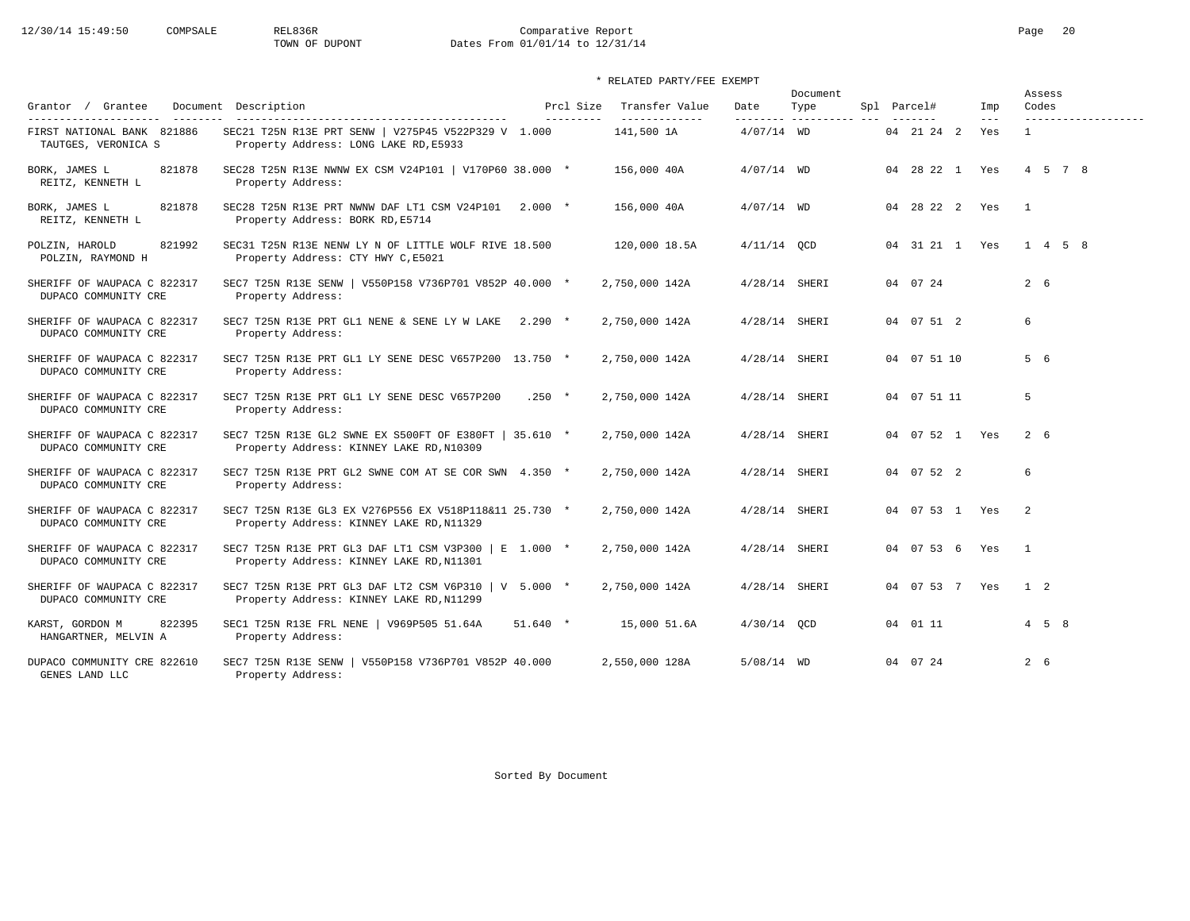# 12/30/14 15:49:50 COMPSALE REL836R Comparative Report Comparative Report Page 20 Dates From 01/01/14 to 12/31/14

| Grantor / Grantee<br>---------                                              | Document Description                                                                               | Prcl Size  | Transfer Value              | Date            | Document<br>Type      | Spl Parcel#        | Imp          | Assess<br>Codes                     |
|-----------------------------------------------------------------------------|----------------------------------------------------------------------------------------------------|------------|-----------------------------|-----------------|-----------------------|--------------------|--------------|-------------------------------------|
| ----------------------<br>FIRST NATIONAL BANK 821886<br>TAUTGES, VERONICA S | SEC21 T25N R13E PRT SENW   V275P45 V522P329 V 1.000<br>Property Address: LONG LAKE RD, E5933       | ---------  | -------------<br>141,500 1A | $4/07/14$ WD    | --------- ----------- | 04 21 24 2         | $---$<br>Yes | -------------------<br>$\mathbf{1}$ |
| 821878<br>BORK, JAMES L<br>REITZ, KENNETH L                                 | SEC28 T25N R13E NWNW EX CSM V24P101   V170P60 38.000 *<br>Property Address:                        |            | 156,000 40A                 | $4/07/14$ WD    |                       | 04 28 22 1 Yes     |              | 4 5 7 8                             |
| 821878<br>BORK, JAMES L<br>REITZ, KENNETH L                                 | SEC28 T25N R13E PRT NWNW DAF LT1 CSM V24P101 2.000 *<br>Property Address: BORK RD, E5714           |            | 156,000 40A                 | $4/07/14$ WD    |                       | 04 28 22 2 Yes     |              | $\overline{1}$                      |
| 821992<br>POLZIN, HAROLD<br>POLZIN, RAYMOND H                               | SEC31 T25N R13E NENW LY N OF LITTLE WOLF RIVE 18.500<br>Property Address: CTY HWY C, E5021         |            | 120,000 18.5A               | $4/11/14$ OCD   |                       | 04 31 21 1 Yes     |              | $1 \t4 \t5 \t8$                     |
| SHERIFF OF WAUPACA C 822317<br>DUPACO COMMUNITY CRE                         | SEC7 T25N R13E SENW   V550P158 V736P701 V852P 40.000 *<br>Property Address:                        |            | 2,750,000 142A              | $4/28/14$ SHERI |                       | 04 07 24           |              | $2\quad 6$                          |
| SHERIFF OF WAUPACA C 822317<br>DUPACO COMMUNITY CRE                         | SEC7 T25N R13E PRT GL1 NENE & SENE LY W LAKE<br>Property Address:                                  | $2.290*$   | 2,750,000 142A              | 4/28/14 SHERI   |                       | 04 07 51 2         |              | 6                                   |
| SHERIFF OF WAUPACA C 822317<br>DUPACO COMMUNITY CRE                         | SEC7 T25N R13E PRT GL1 LY SENE DESC V657P200 13.750 *<br>Property Address:                         |            | 2,750,000 142A              | $4/28/14$ SHERI |                       | 04 07 51 10        |              | 5 6                                 |
| SHERIFF OF WAUPACA C 822317<br>DUPACO COMMUNITY CRE                         | SEC7 T25N R13E PRT GL1 LY SENE DESC V657P200<br>Property Address:                                  | $.250 *$   | 2,750,000 142A              | $4/28/14$ SHERI |                       | 04 07 51 11        |              | 5                                   |
| SHERIFF OF WAUPACA C 822317<br>DUPACO COMMUNITY CRE                         | SEC7 T25N R13E GL2 SWNE EX S500FT OF E380FT   35.610 *<br>Property Address: KINNEY LAKE RD, N10309 |            | 2,750,000 142A              | $4/28/14$ SHERI |                       | 04  07  52  1  Yes |              | 2 6                                 |
| SHERIFF OF WAUPACA C 822317<br>DUPACO COMMUNITY CRE                         | SEC7 T25N R13E PRT GL2 SWNE COM AT SE COR SWN 4.350 *<br>Property Address:                         |            | 2,750,000 142A              | $4/28/14$ SHERI |                       | 04 07 52 2         |              | 6                                   |
| SHERIFF OF WAUPACA C 822317<br>DUPACO COMMUNITY CRE                         | SEC7 T25N R13E GL3 EX V276P556 EX V518P118&11 25.730 *<br>Property Address: KINNEY LAKE RD, N11329 |            | 2,750,000 142A              | $4/28/14$ SHERI |                       | 04  07  53  1  Yes |              | 2                                   |
| SHERIFF OF WAUPACA C 822317<br>DUPACO COMMUNITY CRE                         | SEC7 T25N R13E PRT GL3 DAF LT1 CSM V3P300   E 1.000 *<br>Property Address: KINNEY LAKE RD, N11301  |            | 2,750,000 142A              | $4/28/14$ SHERI |                       | 04 07 53 6         | Yes          | $\overline{1}$                      |
| SHERIFF OF WAUPACA C 822317<br>DUPACO COMMUNITY CRE                         | SEC7 T25N R13E PRT GL3 DAF LT2 CSM V6P310   V 5.000 *<br>Property Address: KINNEY LAKE RD, N11299  |            | 2,750,000 142A              | $4/28/14$ SHERI |                       | 04 07 53 7 Yes     |              | $1\quad 2$                          |
| KARST, GORDON M<br>822395<br>HANGARTNER, MELVIN A                           | SEC1 T25N R13E FRL NENE  <br>V969P505 51.64A<br>Property Address:                                  | $51.640$ * | 15,000 51.6A                | $4/30/14$ OCD   |                       | 04 01 11           |              | $4\quad 5\quad 8$                   |
| DUPACO COMMUNITY CRE 822610<br>GENES LAND LLC                               | SEC7 T25N R13E SENW   V550P158 V736P701 V852P 40.000<br>Property Address:                          |            | 2,550,000 128A              | 5/08/14 WD      |                       | 04 07 24           |              | $2\quad 6$                          |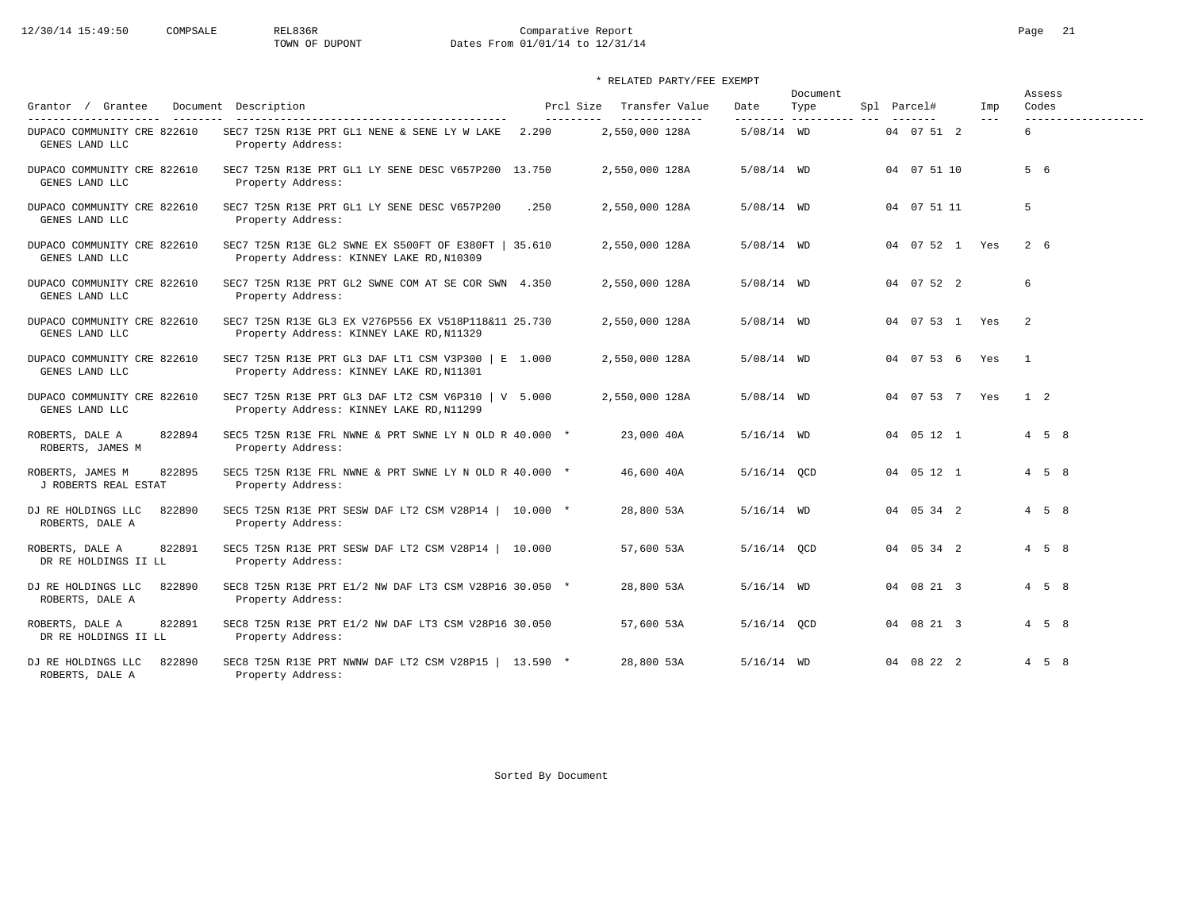# 12/30/14 15:49:50 COMPSALE REL836R Comparative Report Comparative Report Page 21<br>TOWN OF DUPONT Dates From 01/01/14 to 12/31/14 Dates From 01/01/14 to 12/31/14

## \* RELATED PARTY/FEE EXEMPT

| Grantor / Grantee                                                                                                                                                                                                                                                                                                                                                                            | Document Description                                                                                  | Prcl Size  | Transfer Value | Date          | Document<br>Type | Spl Parcel#        | Imp   | Assess<br>Codes     |
|----------------------------------------------------------------------------------------------------------------------------------------------------------------------------------------------------------------------------------------------------------------------------------------------------------------------------------------------------------------------------------------------|-------------------------------------------------------------------------------------------------------|------------|----------------|---------------|------------------|--------------------|-------|---------------------|
| $\frac{1}{2} \frac{1}{2} \frac{1}{2} \frac{1}{2} \frac{1}{2} \frac{1}{2} \frac{1}{2} \frac{1}{2} \frac{1}{2} \frac{1}{2} \frac{1}{2} \frac{1}{2} \frac{1}{2} \frac{1}{2} \frac{1}{2} \frac{1}{2} \frac{1}{2} \frac{1}{2} \frac{1}{2} \frac{1}{2} \frac{1}{2} \frac{1}{2} \frac{1}{2} \frac{1}{2} \frac{1}{2} \frac{1}{2} \frac{1}{2} \frac{1}{2} \frac{1}{2} \frac{1}{2} \frac{1}{2} \frac{$ |                                                                                                       | ---------- | -------------- | ---------     |                  |                    | $---$ |                     |
| DUPACO COMMUNITY CRE 822610<br>GENES LAND LLC                                                                                                                                                                                                                                                                                                                                                | SEC7 T25N R13E PRT GL1 NENE & SENE LY W LAKE<br>Property Address:                                     | 2.290      | 2,550,000 128A | $5/08/14$ WD  |                  | 04 07 51 2         |       | б.                  |
| DUPACO COMMUNITY CRE 822610<br>GENES LAND LLC                                                                                                                                                                                                                                                                                                                                                | SEC7 T25N R13E PRT GL1 LY SENE DESC V657P200 13.750<br>Property Address:                              |            | 2,550,000 128A | $5/08/14$ WD  |                  | 04 07 51 10        |       | 5 6                 |
| DUPACO COMMUNITY CRE 822610<br>GENES LAND LLC                                                                                                                                                                                                                                                                                                                                                | SEC7 T25N R13E PRT GL1 LY SENE DESC V657P200<br>Property Address:                                     | .250       | 2,550,000 128A | $5/08/14$ WD  |                  | 04 07 51 11        |       | 5                   |
| DUPACO COMMUNITY CRE 822610<br>GENES LAND LLC                                                                                                                                                                                                                                                                                                                                                | SEC7 T25N R13E GL2 SWNE EX S500FT OF E380FT   35.610<br>Property Address: KINNEY LAKE RD, N10309      |            | 2,550,000 128A | $5/08/14$ WD  |                  | 04  07  52  1  Yes |       | 2 6                 |
| DUPACO COMMUNITY CRE 822610<br>GENES LAND LLC                                                                                                                                                                                                                                                                                                                                                | SEC7 T25N R13E PRT GL2 SWNE COM AT SE COR SWN 4.350<br>Property Address:                              |            | 2,550,000 128A | $5/08/14$ WD  |                  | 04 07 52 2         |       | 6                   |
| DUPACO COMMUNITY CRE 822610<br>GENES LAND LLC                                                                                                                                                                                                                                                                                                                                                | SEC7 T25N R13E GL3 EX V276P556 EX V518P118&11 25.730<br>Property Address: KINNEY LAKE RD, N11329      |            | 2,550,000 128A | $5/08/14$ WD  |                  | 04  07  53  1  Yes |       | 2                   |
| DUPACO COMMUNITY CRE 822610<br>GENES LAND LLC                                                                                                                                                                                                                                                                                                                                                | SEC7 T25N R13E PRT GL3 DAF LT1 CSM V3P300   E 1.000<br>Property Address: KINNEY LAKE RD, N11301       |            | 2,550,000 128A | $5/08/14$ WD  |                  | 04 07 53 6         | Yes   | $\overline{1}$      |
| DUPACO COMMUNITY CRE 822610<br>GENES LAND LLC                                                                                                                                                                                                                                                                                                                                                | SEC7 T25N R13E PRT GL3 DAF LT2 CSM V6P310 $\vert$ V 5.000<br>Property Address: KINNEY LAKE RD, N11299 |            | 2,550,000 128A | $5/08/14$ WD  |                  | 04 07 53 7 Yes     |       | $1\quad 2$          |
| ROBERTS, DALE A<br>822894<br>ROBERTS, JAMES M                                                                                                                                                                                                                                                                                                                                                | SEC5 T25N R13E FRL NWNE & PRT SWNE LY N OLD R 40.000 *<br>Property Address:                           |            | 23,000 40A     | $5/16/14$ WD  |                  | 04 05 12 1         |       | $4 \quad 5 \quad 8$ |
| 822895<br>ROBERTS, JAMES M<br>J ROBERTS REAL ESTAT                                                                                                                                                                                                                                                                                                                                           | SEC5 T25N R13E FRL NWNE & PRT SWNE LY N OLD R 40.000 *<br>Property Address:                           |            | 46,600 40A     | 5/16/14 OCD   |                  | 04 05 12 1         |       | $4\quad 5\quad 8$   |
| 822890<br>DJ RE HOLDINGS LLC<br>ROBERTS, DALE A                                                                                                                                                                                                                                                                                                                                              | SEC5 T25N R13E PRT SESW DAF LT2 CSM V28P14   10.000 *<br>Property Address:                            |            | 28,800 53A     | $5/16/14$ WD  |                  | 04 05 34 2         |       | $4 \quad 5 \quad 8$ |
| 822891<br>ROBERTS, DALE A<br>DR RE HOLDINGS II LL                                                                                                                                                                                                                                                                                                                                            | SEC5 T25N R13E PRT SESW DAF LT2 CSM V28P14   10.000<br>Property Address:                              |            | 57,600 53A     | $5/16/14$ OCD |                  | 04 05 34 2         |       | $4 \quad 5 \quad 8$ |
| 822890<br>DJ RE HOLDINGS LLC<br>ROBERTS, DALE A                                                                                                                                                                                                                                                                                                                                              | SEC8 T25N R13E PRT E1/2 NW DAF LT3 CSM V28P16 30.050 *<br>Property Address:                           |            | 28,800 53A     | $5/16/14$ WD  |                  | 04 08 21 3         |       | $4 \quad 5 \quad 8$ |
| 822891<br>ROBERTS, DALE A<br>DR RE HOLDINGS II LL                                                                                                                                                                                                                                                                                                                                            | SEC8 T25N R13E PRT E1/2 NW DAF LT3 CSM V28P16 30.050<br>Property Address:                             |            | 57,600 53A     | $5/16/14$ OCD |                  | 04 08 21 3         |       | $4\quad 5\quad 8$   |
| DJ RE HOLDINGS LLC<br>822890<br>ROBERTS, DALE A                                                                                                                                                                                                                                                                                                                                              | SEC8 T25N R13E PRT NWNW DAF LT2 CSM V28P15   13.590 *<br>Property Address:                            |            | 28,800 53A     | $5/16/14$ WD  |                  | 04 08 22 2         |       | $4\quad 5\quad 8$   |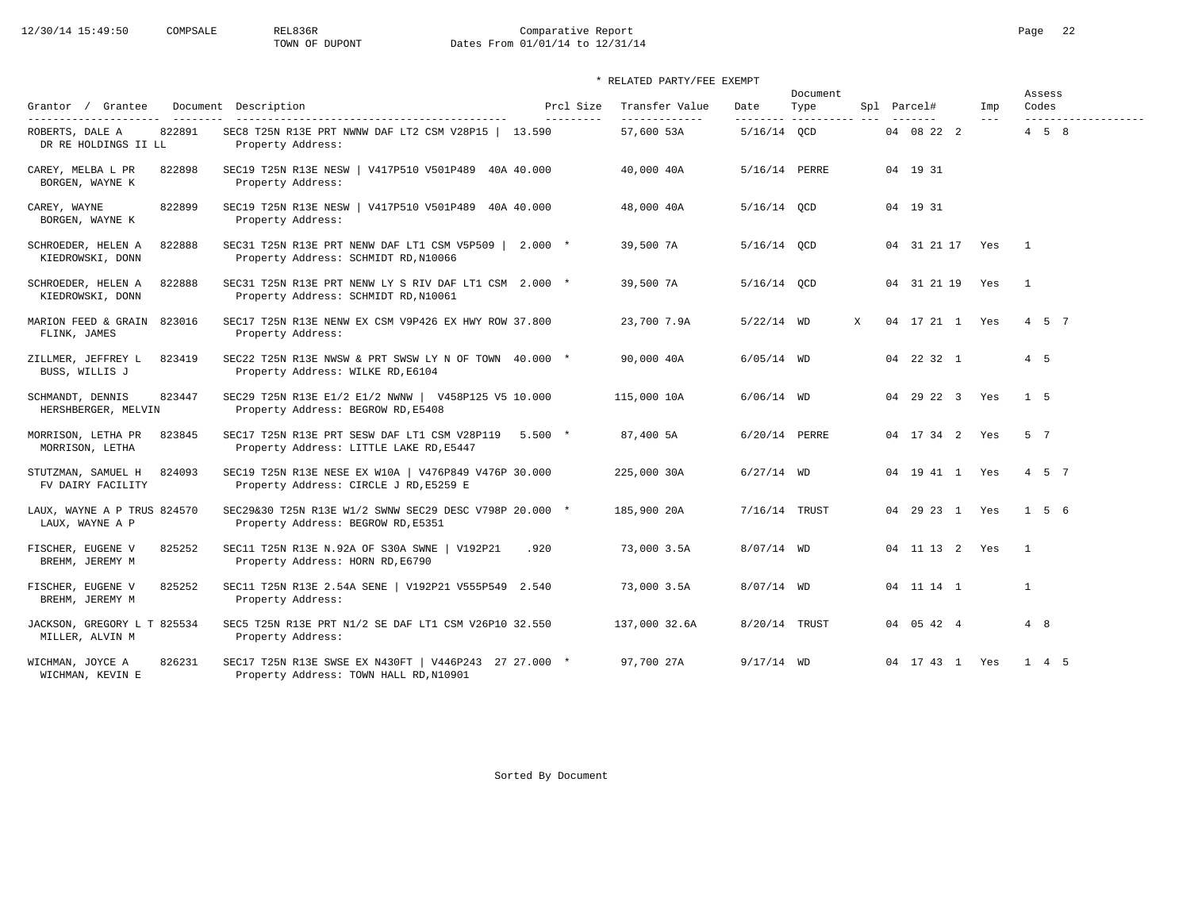# 12/30/14 15:49:50 COMPSALE REL836R Comparative Report Page 22<br>
TOWN OF DUPONT Dates From 01/01/14 to 12/31/14 Dates From 01/01/14 to 12/31/14

## \* RELATED PARTY/FEE EXEMPT

|                                                   |                                                                                                 |                        |                                  |                   | Document               |   |  |                        |                | Assess              |                     |
|---------------------------------------------------|-------------------------------------------------------------------------------------------------|------------------------|----------------------------------|-------------------|------------------------|---|--|------------------------|----------------|---------------------|---------------------|
| Grantor / Grantee<br>----------------------       | Document Description                                                                            | Prcl Size<br>--------- | Transfer Value<br>-------------- | Date<br>--------- | Type<br>-------------- |   |  | Spl Parcel#<br>------- | Imp<br>$- - -$ | Codes               | ------------------- |
| 822891<br>ROBERTS, DALE A<br>DR RE HOLDINGS II LL | SEC8 T25N R13E PRT NWNW DAF LT2 CSM V28P15   13.590<br>Property Address:                        |                        | 57,600 53A                       | $5/16/14$ OCD     |                        |   |  | 04 08 22 2             |                | $4 \quad 5 \quad 8$ |                     |
| CAREY, MELBA L PR<br>822898<br>BORGEN, WAYNE K    | SEC19 T25N R13E NESW   V417P510 V501P489 40A 40.000<br>Property Address:                        |                        | 40,000 40A                       | 5/16/14 PERRE     |                        |   |  | 04 19 31               |                |                     |                     |
| 822899<br>CAREY, WAYNE<br>BORGEN, WAYNE K         | SEC19 T25N R13E NESW   V417P510 V501P489 40A 40.000<br>Property Address:                        |                        | 48,000 40A                       | 5/16/14 QCD       |                        |   |  | 04 19 31               |                |                     |                     |
| SCHROEDER, HELEN A<br>822888<br>KIEDROWSKI, DONN  | SEC31 T25N R13E PRT NENW DAF LT1 CSM V5P509   2.000 *<br>Property Address: SCHMIDT RD, N10066   |                        | 39,500 7A                        | $5/16/14$ OCD     |                        |   |  | 04 31 21 17 Yes        |                | $\sim$ 1            |                     |
| SCHROEDER, HELEN A<br>822888<br>KIEDROWSKI, DONN  | SEC31 T25N R13E PRT NENW LY S RIV DAF LT1 CSM 2.000 *<br>Property Address: SCHMIDT RD, N10061   |                        | 39,500 7A                        | $5/16/14$ OCD     |                        |   |  | 04 31 21 19 Yes        |                | $\overline{1}$      |                     |
| MARION FEED & GRAIN<br>823016<br>FLINK, JAMES     | SEC17 T25N R13E NENW EX CSM V9P426 EX HWY ROW 37.800<br>Property Address:                       |                        | 23,700 7.9A                      | $5/22/14$ WD      |                        | X |  | 04 17 21 1 Yes         |                | 4 5 7               |                     |
| 823419<br>ZILLMER, JEFFREY L<br>BUSS, WILLIS J    | SEC22 T25N R13E NWSW & PRT SWSW LY N OF TOWN 40.000 *<br>Property Address: WILKE RD, E6104      |                        | 90,000 40A                       | $6/05/14$ WD      |                        |   |  | 04 22 32 1             |                | 4 5                 |                     |
| SCHMANDT, DENNIS<br>823447<br>HERSHBERGER, MELVIN | SEC29 T25N R13E E1/2 E1/2 NWNW   V458P125 V5 10.000<br>Property Address: BEGROW RD, E5408       |                        | 115,000 10A                      | $6/06/14$ WD      |                        |   |  | 04 29 22 3 Yes         |                | 1 5                 |                     |
| MORRISON, LETHA PR<br>823845<br>MORRISON, LETHA   | SEC17 T25N R13E PRT SESW DAF LT1 CSM V28P119 5.500 *<br>Property Address: LITTLE LAKE RD, E5447 |                        | 87,400 5A                        | 6/20/14 PERRE     |                        |   |  | 04 17 34 2 Yes         |                | 5 7                 |                     |
| 824093<br>STUTZMAN, SAMUEL H<br>FV DAIRY FACILITY | SEC19 T25N R13E NESE EX W10A   V476P849 V476P 30.000<br>Property Address: CIRCLE J RD, E5259 E  |                        | 225,000 30A                      | $6/27/14$ WD      |                        |   |  | 04  19  41  1  Yes     |                | 4 5 7               |                     |
| LAUX, WAYNE A P TRUS 824570<br>LAUX, WAYNE A P    | SEC29&30 T25N R13E W1/2 SWNW SEC29 DESC V798P 20.000 *<br>Property Address: BEGROW RD, E5351    |                        | 185,900 20A                      | 7/16/14 TRUST     |                        |   |  | 04 29 23 1 Yes         |                | 1 5 6               |                     |
| 825252<br>FISCHER, EUGENE V<br>BREHM, JEREMY M    | SEC11 T25N R13E N.92A OF S30A SWNE   V192P21<br>Property Address: HORN RD, E6790                | .920                   | 73,000 3.5A                      | $8/07/14$ WD      |                        |   |  | 04 11 13 2 Yes         |                | $\overline{1}$      |                     |
| 825252<br>FISCHER, EUGENE V<br>BREHM, JEREMY M    | SEC11 T25N R13E 2.54A SENE   V192P21 V555P549 2.540<br>Property Address:                        |                        | 73,000 3.5A                      | $8/07/14$ WD      |                        |   |  | 04 11 14 1             |                | $\mathbf{1}$        |                     |
| JACKSON, GREGORY L T 825534<br>MILLER, ALVIN M    | SEC5 T25N R13E PRT N1/2 SE DAF LT1 CSM V26P10 32.550<br>Property Address:                       |                        | 137,000 32.6A                    | 8/20/14 TRUST     |                        |   |  | 04 05 42 4             |                | 4 8                 |                     |
| 826231<br>WICHMAN, JOYCE A<br>WICHMAN, KEVIN E    | SEC17 T25N R13E SWSE EX N430FT   V446P243 27 27.000 *<br>Property Address: TOWN HALL RD, N10901 |                        | 97,700 27A                       | $9/17/14$ WD      |                        |   |  | 04 17 43 1 Yes         |                | 1 4 5               |                     |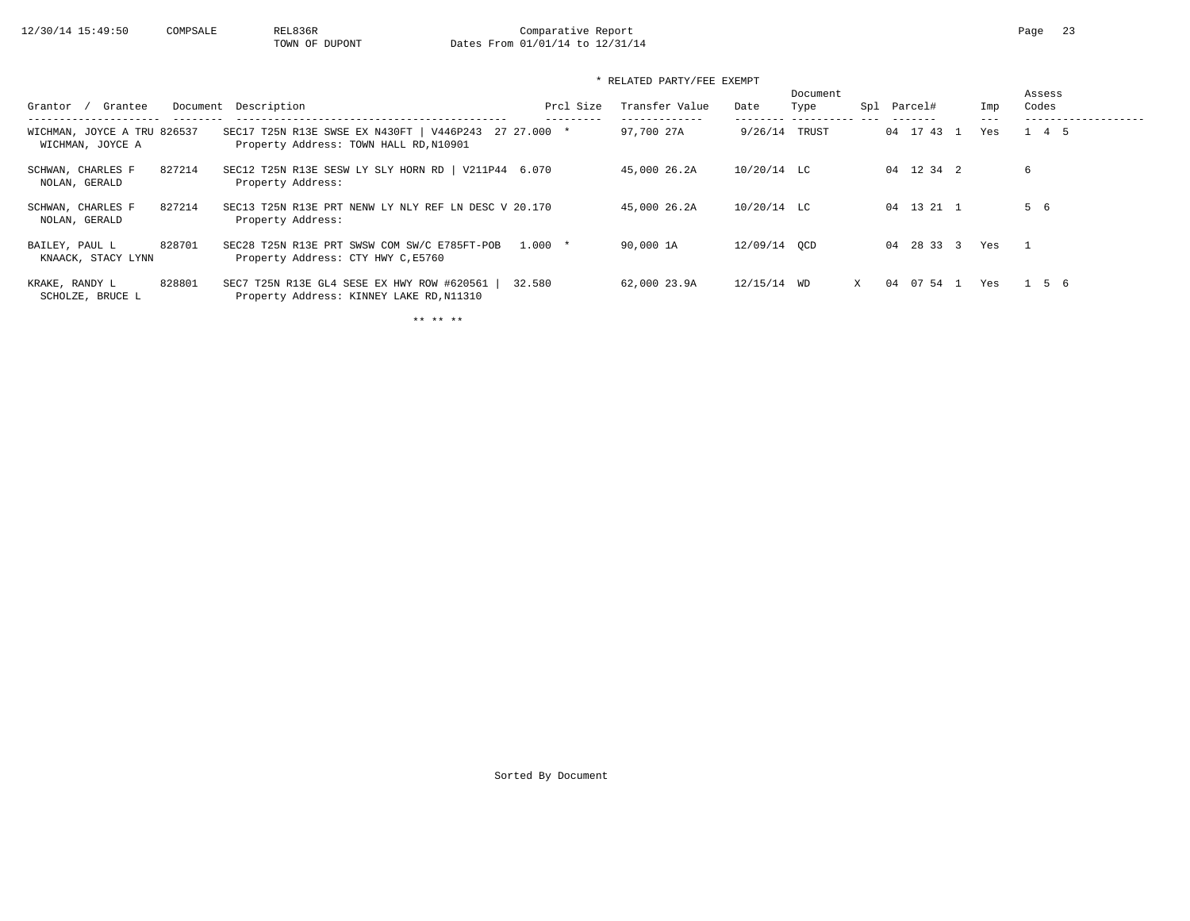# 12/30/14 15:49:50 COMPSALE REL836R Comparative Report Page 23<br>
TOWN OF DUPONT Dates From 01/01/14 to 12/31/14 Dates From 01/01/14 to 12/31/14

\* RELATED PARTY/FEE EXEMPT

| Grantee<br>Grantor                              | Document Description                                                                             | Prcl Size | Transfer Value | Date          | Document<br>Type | Spl | Parcel#    | Imp | Assess<br>Codes |
|-------------------------------------------------|--------------------------------------------------------------------------------------------------|-----------|----------------|---------------|------------------|-----|------------|-----|-----------------|
| WICHMAN, JOYCE A TRU 826537<br>WICHMAN, JOYCE A | SEC17 T25N R13E SWSE EX N430FT   V446P243 27 27.000 *<br>Property Address: TOWN HALL RD, N10901  |           | 97,700 27A     | 9/26/14       | TRUST            |     | 04 17 43 1 | Yes | 1 4 5           |
| 827214<br>SCHWAN, CHARLES F<br>NOLAN, GERALD    | SEC12 T25N R13E SESW LY SLY HORN RD   V211P44 6.070<br>Property Address:                         |           | 45,000 26.2A   | $10/20/14$ LC |                  |     | 04 12 34 2 |     | 6               |
| 827214<br>SCHWAN, CHARLES F<br>NOLAN, GERALD    | SEC13 T25N R13E PRT NENW LY NLY REF LN DESC V 20.170<br>Property Address:                        |           | 45,000 26.2A   | $10/20/14$ LC |                  |     | 04 13 21 1 |     | 5 6             |
| 828701<br>BAILEY, PAUL L<br>KNAACK, STACY LYNN  | SEC28 T25N R13E PRT SWSW COM SW/C E785FT-POB<br>Property Address: CTY HWY C, E5760               | $1.000*$  | 90,000 1A      | 12/09/14 OCD  |                  |     | 04 28 33 3 | Yes |                 |
| 828801<br>KRAKE, RANDY L<br>SCHOLZE, BRUCE L    | SEC7 T25N R13E GL4 SESE EX HWY ROW #620561<br>32.580<br>Property Address: KINNEY LAKE RD, N11310 |           | 62,000 23.9A   | 12/15/14 WD   |                  | X   | 04 07 54 1 | Yes | 1 5 6           |

\*\* \*\* \*\*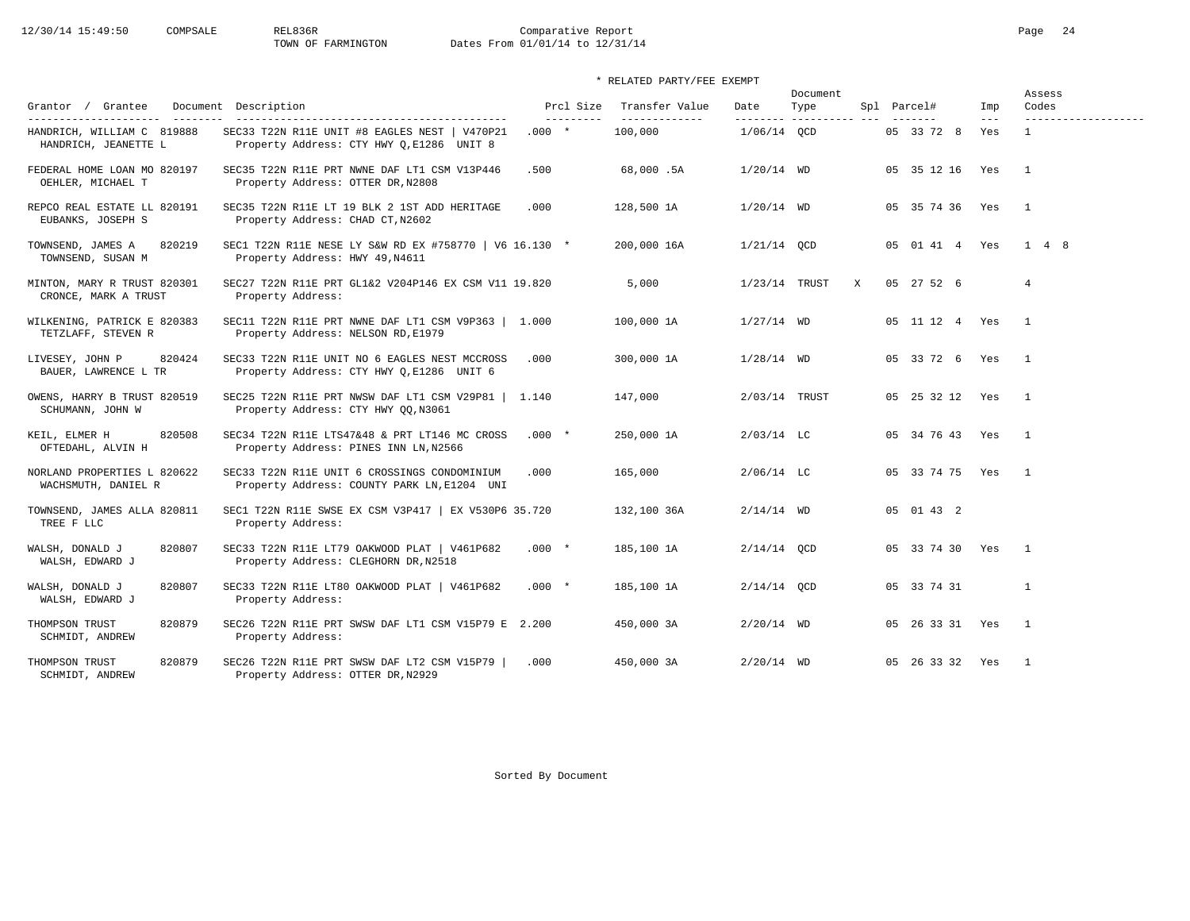# 12/30/14 15:49:50 COMPSALE REL836R Comparative Report Comparative Report Page 24 Dates From 01/01/14 to 12/31/14

## \* RELATED PARTY/FEE EXEMPT

| Grantor / Grantee                                   | Document Description                                                                        | Prcl Size<br>---------- | Transfer Value<br>------------- | Date            | Document<br>Type |   | Spl Parcel#     | Imp<br>$---$ | Assess<br>Codes     |
|-----------------------------------------------------|---------------------------------------------------------------------------------------------|-------------------------|---------------------------------|-----------------|------------------|---|-----------------|--------------|---------------------|
| HANDRICH, WILLIAM C 819888<br>HANDRICH, JEANETTE L  | SEC33 T22N R11E UNIT #8 EAGLES NEST   V470P21<br>Property Address: CTY HWY Q, E1286 UNIT 8  | $.000*$                 | 100,000                         | 1/06/14 OCD     |                  |   | 05 33 72 8      | Yes          | $\mathbf{1}$        |
| FEDERAL HOME LOAN MO 820197<br>OEHLER, MICHAEL T    | SEC35 T22N R11E PRT NWNE DAF LT1 CSM V13P446<br>Property Address: OTTER DR, N2808           | .500                    | 68,000.5A                       | $1/20/14$ WD    |                  |   | 05 35 12 16 Yes |              | $\overline{1}$      |
| REPCO REAL ESTATE LL 820191<br>EUBANKS, JOSEPH S    | SEC35 T22N R11E LT 19 BLK 2 1ST ADD HERITAGE<br>Property Address: CHAD CT, N2602            | .000                    | 128,500 1A                      | $1/20/14$ WD    |                  |   | 05 35 74 36 Yes |              | $\overline{1}$      |
| TOWNSEND, JAMES A<br>820219<br>TOWNSEND, SUSAN M    | SEC1 T22N R11E NESE LY S&W RD EX #758770   V6 16.130 *<br>Property Address: HWY 49, N4611   |                         | 200,000 16A                     | $1/21/14$ OCD   |                  |   | 05 01 41 4 Yes  |              | $1 \quad 4 \quad 8$ |
| MINTON, MARY R TRUST 820301<br>CRONCE, MARK A TRUST | SEC27 T22N R11E PRT GL1&2 V204P146 EX CSM V11 19.820<br>Property Address:                   |                         | 5,000                           | $1/23/14$ TRUST |                  | X | 05 27 52 6      |              | $\overline{4}$      |
| WILKENING, PATRICK E 820383<br>TETZLAFF, STEVEN R   | SEC11 T22N R11E PRT NWNE DAF LT1 CSM V9P363   1.000<br>Property Address: NELSON RD, E1979   |                         | 100,000 1A                      | $1/27/14$ WD    |                  |   | 05 11 12 4 Yes  |              | $\overline{1}$      |
| 820424<br>LIVESEY, JOHN P<br>BAUER, LAWRENCE L TR   | SEC33 T22N R11E UNIT NO 6 EAGLES NEST MCCROSS<br>Property Address: CTY HWY Q, E1286 UNIT 6  | .000                    | 300,000 1A                      | $1/28/14$ WD    |                  |   | 05 33 72 6 Yes  |              | $\overline{1}$      |
| OWENS, HARRY B TRUST 820519<br>SCHUMANN, JOHN W     | SEC25 T22N R11E PRT NWSW DAF LT1 CSM V29P81  <br>Property Address: CTY HWY QQ, N3061        | 1.140                   | 147,000                         | 2/03/14 TRUST   |                  |   | 05 25 32 12 Yes |              | $\overline{1}$      |
| 820508<br>KEIL, ELMER H<br>OFTEDAHL, ALVIN H        | SEC34 T22N R11E LTS47&48 & PRT LT146 MC CROSS<br>Property Address: PINES INN LN, N2566      | $.000*$                 | 250,000 1A                      | $2/03/14$ LC    |                  |   | 05 34 76 43 Yes |              | $\overline{1}$      |
| NORLAND PROPERTIES L 820622<br>WACHSMUTH, DANIEL R  | SEC33 T22N R11E UNIT 6 CROSSINGS CONDOMINIUM<br>Property Address: COUNTY PARK LN, E1204 UNI | .000                    | 165,000                         | $2/06/14$ LC    |                  |   | 05 33 74 75 Yes |              | $\overline{1}$      |
| TOWNSEND, JAMES ALLA 820811<br>TREE F LLC           | SEC1 T22N R11E SWSE EX CSM V3P417   EX V530P6 35.720<br>Property Address:                   |                         | 132,100 36A                     | $2/14/14$ WD    |                  |   | 05 01 43 2      |              |                     |
| 820807<br>WALSH, DONALD J<br>WALSH, EDWARD J        | SEC33 T22N R11E LT79 OAKWOOD PLAT   V461P682<br>Property Address: CLEGHORN DR, N2518        | $.000*$                 | 185,100 1A                      | $2/14/14$ QCD   |                  |   | 05 33 74 30 Yes |              | $\overline{1}$      |
| WALSH, DONALD J<br>820807<br>WALSH, EDWARD J        | SEC33 T22N R11E LT80 OAKWOOD PLAT   V461P682<br>Property Address:                           | $.000*$                 | 185,100 1A                      | $2/14/14$ QCD   |                  |   | 05 33 74 31     |              | 1                   |
| THOMPSON TRUST<br>820879<br>SCHMIDT, ANDREW         | SEC26 T22N R11E PRT SWSW DAF LT1 CSM V15P79 E 2.200<br>Property Address:                    |                         | 450,000 3A                      | $2/20/14$ WD    |                  |   | 05 26 33 31 Yes |              | $\overline{1}$      |
| THOMPSON TRUST<br>820879<br>SCHMIDT, ANDREW         | SEC26 T22N R11E PRT SWSW DAF LT2 CSM V15P79<br>Property Address: OTTER DR, N2929            | .000                    | 450,000 3A                      | $2/20/14$ WD    |                  |   | 05 26 33 32 Yes |              | $\overline{1}$      |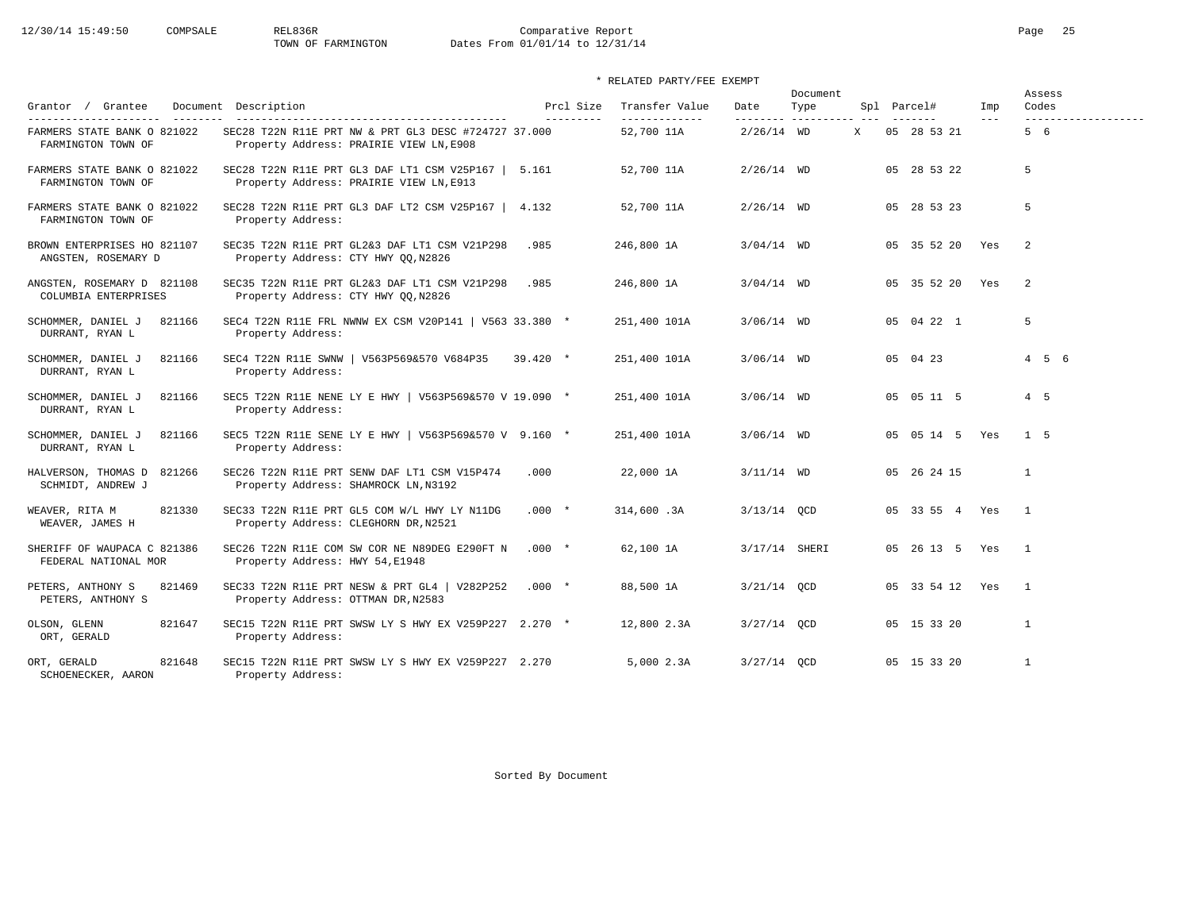PETERS, ANTHONY S Property Address: OTTMAN DR, N2583

ORT, GERALD Property Address:

SCHOENECKER, AARON Property Address:

### 12/30/14 15:49:50 COMPSALE REL836R Comparative Report Page 25 TOWN OF FARMINGTON Dates From 01/01/14 to 12/31/14

 \* RELATED PARTY/FEE EXEMPT Document Assess Grantor / Grantee Document Description **Product Access Product Case Transfer Value** Date Type Spl Parcel# Imp Codes --------------------- -------- ------------------------------------------- --------- ------------- -------- ---------- --- ------- --- ------------------- RMERS STATE BANK O 821022 SEC28 T22N R11E PRT NW & PRT GL3 DESC #724727 37.000<br>FARMINGTON TOWN OF 11A 2000 Property Address: PRAIRIE VIEW LN.E908 Property Address: PRAIRIE VIEW LN, E908 FARMERS STATE BANK O 821022 SEC28 T22N R11E PRT GL3 DAF LT1 CSM V25P167 | 5.161 52,700 11A 2/26/14 WD 05 28 53 22 5 FARMINGTON TOWN OF Property Address: PRAIRIE VIEW LN,E913 FARMERS STATE BANK O 821022 SEC28 T22N R11E PRT GL3 DAF LT2 CSM V25P167 | 4.132 52,700 11A 2/26/14 WD 05 28 53 23 5 FARMINGTON TOWN OF Property Address: BROWN ENTERPRISES HO 821107 SEC35 T22N R11E PRT GL2&3 DAF LT1 CSM V21P298 .985 246,800 1A 3/04/14 WD 05 35 52 20 Yes 2 ANGSTEN, ROSEMARY D Property Address: CTY HWY QQ,N2826 ANGSTEN, ROSEMARY D 821108 SEC35 T22N R11E PRT GL2&3 DAF LT1 CSM V21P298 .985 246,800 1A 3/04/14 WD 05 35 52 20 Yes 2 COLUMBIA ENTERPRISES Property Address: CTY HWY QQ,N2826 SCHOMMER, DANIEL J 821166 SEC4 T22N R11E FRL NWNW EX CSM V20P141 | V563 33.380 \* 251,400 101A 3/06/14 WD 05 04 22 1 5<br>DURRANT. RYAN L Property Address: Property Address: SCHOMMER, DANIEL J 821166 SEC4 T22N R11E SWNW | V563P569&570 V684P35 39.420 \* 251,400 101A 3/06/14 WD 05 04 23 4 5 6 DURRANT, RYAN L Property Address: SCHOMMER, DANIEL J 821166 SEC5 T22N R11E NENE LY E HWY | V563P569&570 V 19.090 \* 251,400 101A 3/06/14 WD 05 05 11 5 4 5 DURRANT, RYAN L Property Address: SCHOMMER, DANIEL J 821166 SEC5 T22N R11E SENE LY E HWY | V563P569&570 V 9.160 \* 251,400 101A 3/06/14 WD 05 05 14 5 Yes 1 5 DURRANT, RYAN L Property Address: HALVERSON, THOMAS D 821266 SEC26 T22N R11E PRT SENW DAF LT1 CSM V15P474 .000 22,000 1A 3/11/14 WD 05 26 24 15 1 SCHMIDT, ANDREW J Property Address: SHAMROCK LN, N3192 WEAVER, RITA M 821330 SEC33 T22N R11E PRT GL5 COM W/L HWY LY N11DG .000 \* 314,600 .3A 3/13/14 QCD 05 33 55 4 Yes 1<br>WEAVER, JAMES H Property Address: CLEGHORN DR.N2521 Property Address: CLEGHORN DR, N2521 SHERIFF OF WAUPACA C 821386 SEC26 T22N R11E COM SW COR NE N89DEG E290FT N .000 \* 62,100 1A 3/17/14 SHERI 05 26 13 5 Yes 1 FEDERAL NATIONAL MOR Property Address: HWY 54,E1948 PETERS, ANTHONY S 821469 SEC33 T22N R11E PRT NESW & PRT GL4 | V282P252 .000 \* 88,500 1A 3/21/14 QCD 05 33 54 12 Yes 1

Sorted By Document

OLSON, GLENN 821647 SEC15 T22N R11E PRT SWSW LY S HWY EX V259P227 2.270 \* 12,800 2.3A 3/27/14 QCD 05 15 33 20 1

ORT, GERALD 821648 SEC15 T22N R11E PRT SWSW LY SHWY EX V259P227 2.270 5,000 2.3A 3/27/14 OCD 05 15 33 20 1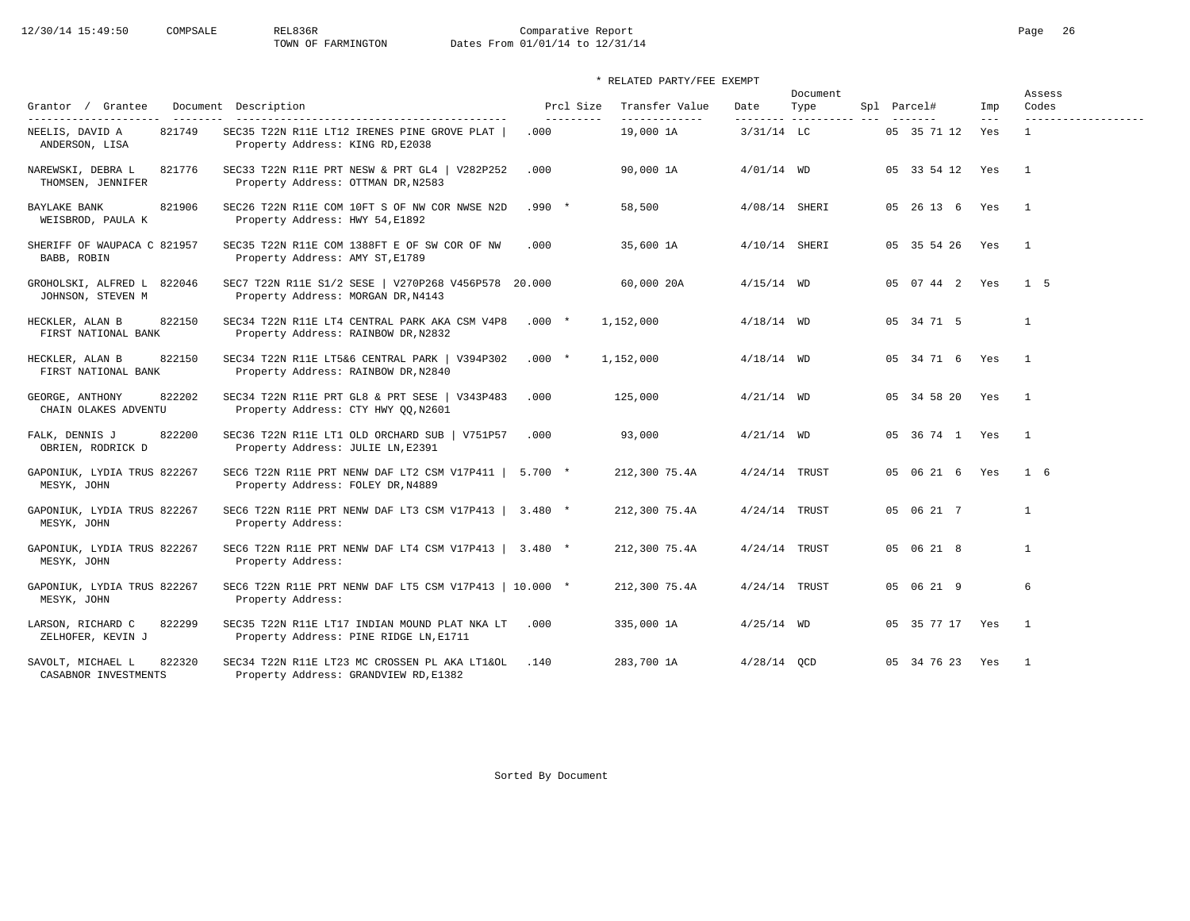# 12/30/14 15:49:50 COMPSALE REL836R Comparative Report Comparative Report Page 26 Dates From 01/01/14 to 12/31/14

| Grantor / Grantee                               |        | Document Description                                                                       |         | Prcl Size | Transfer Value<br>------------- | Date            | Document<br>Type | Spl Parcel#        | Imp          | Assess<br>Codes |
|-------------------------------------------------|--------|--------------------------------------------------------------------------------------------|---------|-----------|---------------------------------|-----------------|------------------|--------------------|--------------|-----------------|
| NEELIS, DAVID A<br>ANDERSON, LISA               | 821749 | SEC35 T22N R11E LT12 IRENES PINE GROVE PLAT<br>Property Address: KING RD, E2038            | .000    | --------- | 19,000 1A                       | $3/31/14$ LC    |                  | 05 35 71 12        | $---$<br>Yes | $\mathbf{1}$    |
| NAREWSKI, DEBRA L<br>THOMSEN, JENNIFER          | 821776 | SEC33 T22N R11E PRT NESW & PRT GL4   V282P252<br>Property Address: OTTMAN DR, N2583        | .000    |           | 90,000 1A                       | $4/01/14$ WD    |                  | 05 33 54 12 Yes    |              | $\overline{1}$  |
| BAYLAKE BANK<br>WEISBROD, PAULA K               | 821906 | SEC26 T22N R11E COM 10FT S OF NW COR NWSE N2D<br>Property Address: HWY 54, E1892           | $.990*$ |           | 58,500                          | 4/08/14 SHERI   |                  | 05 26 13 6 Yes     |              | $\overline{1}$  |
| SHERIFF OF WAUPACA C 821957<br>BABB, ROBIN      |        | SEC35 T22N R11E COM 1388FT E OF SW COR OF NW<br>Property Address: AMY ST, E1789            | .000    |           | 35,600 1A                       | 4/10/14 SHERI   |                  | 05 35 54 26 Yes    |              | $\overline{1}$  |
| GROHOLSKI, ALFRED L 822046<br>JOHNSON, STEVEN M |        | SEC7 T22N R11E S1/2 SESE   V270P268 V456P578 20.000<br>Property Address: MORGAN DR, N4143  |         |           | 60,000 20A                      | $4/15/14$ WD    |                  | 05  07  44  2  Yes |              | $1\quad 5$      |
| HECKLER, ALAN B<br>FIRST NATIONAL BANK          | 822150 | SEC34 T22N R11E LT4 CENTRAL PARK AKA CSM V4P8<br>Property Address: RAINBOW DR, N2832       | $.000*$ |           | 1,152,000                       | $4/18/14$ WD    |                  | 05 34 71 5         |              | $\mathbf{1}$    |
| HECKLER, ALAN B<br>FIRST NATIONAL BANK          | 822150 | SEC34 T22N R11E LT5&6 CENTRAL PARK   V394P302<br>Property Address: RAINBOW DR, N2840       | $.000*$ |           | 1,152,000                       | $4/18/14$ WD    |                  | 05 34 71 6 Yes     |              | $\overline{1}$  |
| GEORGE, ANTHONY<br>CHAIN OLAKES ADVENTU         | 822202 | SEC34 T22N R11E PRT GL8 & PRT SESE   V343P483<br>Property Address: CTY HWY QQ, N2601       | .000    |           | 125,000                         | $4/21/14$ WD    |                  | 05 34 58 20 Yes    |              | $\overline{1}$  |
| FALK, DENNIS J<br>OBRIEN, RODRICK D             | 822200 | SEC36 T22N R11E LT1 OLD ORCHARD SUB   V751P57<br>Property Address: JULIE LN, E2391         | .000    |           | 93,000                          | $4/21/14$ WD    |                  | 05 36 74 1 Yes     |              | $\overline{1}$  |
| GAPONIUK, LYDIA TRUS 822267<br>MESYK, JOHN      |        | SEC6 T22N R11E PRT NENW DAF LT2 CSM V17P411   5.700 *<br>Property Address: FOLEY DR, N4889 |         |           | 212,300 75.4A                   | $4/24/14$ TRUST |                  | 05 06 21 6 Yes     |              | $1\quad 6$      |
| GAPONIUK, LYDIA TRUS 822267<br>MESYK, JOHN      |        | SEC6 T22N R11E PRT NENW DAF LT3 CSM V17P413   3.480 *<br>Property Address:                 |         |           | 212,300 75.4A                   | $4/24/14$ TRUST |                  | 05 06 21 7         |              | $\mathbf{1}$    |
| GAPONIUK, LYDIA TRUS 822267<br>MESYK, JOHN      |        | SEC6 T22N R11E PRT NENW DAF LT4 CSM V17P413   3.480 *<br>Property Address:                 |         |           | 212,300 75.4A                   | $4/24/14$ TRUST |                  | 05 06 21 8         |              | $\mathbf{1}$    |
| GAPONIUK, LYDIA TRUS 822267<br>MESYK, JOHN      |        | SEC6 T22N R11E PRT NENW DAF LT5 CSM V17P413   10.000 *<br>Property Address:                |         |           | 212,300 75.4A                   | $4/24/14$ TRUST |                  | 05 06 21 9         |              | 6               |
| LARSON, RICHARD C<br>ZELHOFER, KEVIN J          | 822299 | SEC35 T22N R11E LT17 INDIAN MOUND PLAT NKA LT<br>Property Address: PINE RIDGE LN, E1711    | .000    |           | 335,000 1A                      | $4/25/14$ WD    |                  | 05 35 77 17 Yes    |              | $\overline{1}$  |
| SAVOLT, MICHAEL L<br>CASABNOR INVESTMENTS       | 822320 | SEC34 T22N R11E LT23 MC CROSSEN PL AKA LT1&OL<br>Property Address: GRANDVIEW RD, E1382     | .140    |           | 283,700 1A                      | $4/28/14$ OCD   |                  | 05 34 76 23 Yes    |              | $\overline{1}$  |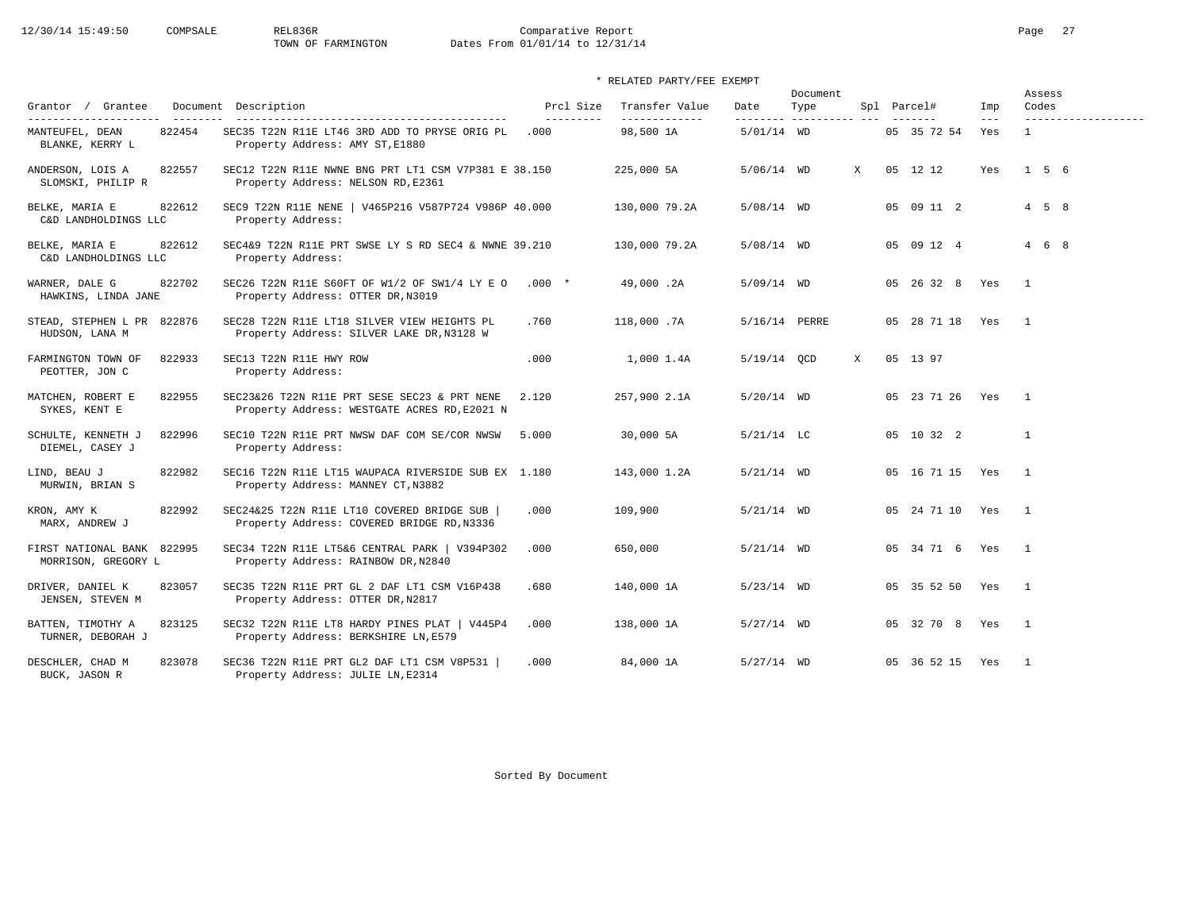| Grantor / Grantee                                                      | Document Description                                                                                                       | Prcl Size          | Transfer Value             | Date          | Document<br>Type       |              | Spl Parcel#     | Imp          | Assess<br>Codes                     |
|------------------------------------------------------------------------|----------------------------------------------------------------------------------------------------------------------------|--------------------|----------------------------|---------------|------------------------|--------------|-----------------|--------------|-------------------------------------|
| ----------------------<br>822454<br>MANTEUFEL, DEAN<br>BLANKE, KERRY L | --------------------------------------<br>SEC35 T22N R11E LT46 3RD ADD TO PRYSE ORIG PL<br>Property Address: AMY ST, E1880 | ----------<br>.000 | -------------<br>98,500 1A | $5/01/14$ WD  | ______________________ |              | 05 35 72 54     | $---$<br>Yes | -------------------<br>$\mathbf{1}$ |
| ANDERSON, LOIS A<br>822557<br>SLOMSKI, PHILIP R                        | SEC12 T22N R11E NWNE BNG PRT LT1 CSM V7P381 E 38.150<br>Property Address: NELSON RD, E2361                                 |                    | 225,000 5A                 | $5/06/14$ WD  |                        | $\mathbf{x}$ | 05 12 12        | Yes          | $1\quad 5\quad 6$                   |
| 822612<br>BELKE, MARIA E<br>C&D LANDHOLDINGS LLC                       | SEC9 T22N R11E NENE   V465P216 V587P724 V986P 40.000<br>Property Address:                                                  |                    | 130,000 79.2A              | $5/08/14$ WD  |                        |              | 05 09 11 2      |              | $4\quad 5\quad 8$                   |
| 822612<br>BELKE, MARIA E<br>C&D LANDHOLDINGS LLC                       | SEC4&9 T22N R11E PRT SWSE LY S RD SEC4 & NWNE 39.210<br>Property Address:                                                  |                    | 130,000 79.2A              | $5/08/14$ WD  |                        |              | 05 09 12 4      |              | $4\quad 6\quad 8$                   |
| 822702<br>WARNER, DALE G<br>HAWKINS, LINDA JANE                        | SEC26 T22N R11E S60FT OF W1/2 OF SW1/4 LY E O<br>Property Address: OTTER DR, N3019                                         | $.000*$            | 49,000.2A                  | $5/09/14$ WD  |                        |              | 05 26 32 8 Yes  |              | $\mathbf{1}$                        |
| STEAD, STEPHEN L PR 822876<br>HUDSON, LANA M                           | SEC28 T22N R11E LT18 SILVER VIEW HEIGHTS PL<br>Property Address: SILVER LAKE DR, N3128 W                                   | .760               | 118,000.7A                 | 5/16/14 PERRE |                        |              | 05 28 71 18 Yes |              | $\mathbf{1}$                        |
| 822933<br>FARMINGTON TOWN OF<br>PEOTTER, JON C                         | SEC13 T22N R11E HWY ROW<br>Property Address:                                                                               | .000               | 1,000 1.4A                 | 5/19/14 QCD   |                        | X            | 05 13 97        |              |                                     |
| 822955<br>MATCHEN, ROBERT E<br>SYKES, KENT E                           | SEC23&26 T22N R11E PRT SESE SEC23 & PRT NENE<br>Property Address: WESTGATE ACRES RD, E2021 N                               | 2.120              | 257,900 2.1A               | $5/20/14$ WD  |                        |              | 05 23 71 26 Yes |              | $\overline{1}$                      |
| SCHULTE, KENNETH J<br>822996<br>DIEMEL, CASEY J                        | SEC10 T22N R11E PRT NWSW DAF COM SE/COR NWSW<br>Property Address:                                                          | 5.000              | 30,000 5A                  | $5/21/14$ LC  |                        |              | 05 10 32 2      |              | $\mathbf{1}$                        |
| 822982<br>LIND, BEAU J<br>MURWIN, BRIAN S                              | SEC16 T22N R11E LT15 WAUPACA RIVERSIDE SUB EX 1.180<br>Property Address: MANNEY CT, N3882                                  |                    | 143,000 1.2A               | $5/21/14$ WD  |                        |              | 05 16 71 15 Yes |              | $\mathbf{1}$                        |
| 822992<br>KRON, AMY K<br>MARX, ANDREW J                                | SEC24&25 T22N R11E LT10 COVERED BRIDGE SUB<br>Property Address: COVERED BRIDGE RD, N3336                                   | .000               | 109,900                    | $5/21/14$ WD  |                        |              | 05 24 71 10 Yes |              | $\overline{1}$                      |
| FIRST NATIONAL BANK 822995<br>MORRISON, GREGORY L                      | SEC34 T22N R11E LT5&6 CENTRAL PARK   V394P302<br>Property Address: RAINBOW DR, N2840                                       | .000               | 650,000                    | $5/21/14$ WD  |                        |              | 05 34 71 6 Yes  |              | $\overline{1}$                      |
| DRIVER, DANIEL K<br>823057<br>JENSEN, STEVEN M                         | SEC35 T22N R11E PRT GL 2 DAF LT1 CSM V16P438<br>Property Address: OTTER DR, N2817                                          | .680               | 140,000 1A                 | $5/23/14$ WD  |                        |              | 05 35 52 50 Yes |              | $\mathbf{1}$                        |
| BATTEN, TIMOTHY A<br>823125<br>TURNER, DEBORAH J                       | SEC32 T22N R11E LT8 HARDY PINES PLAT<br>V445P4<br>Property Address: BERKSHIRE LN, E579                                     | .000               | 138,000 1A                 | $5/27/14$ WD  |                        |              | 05 32 70 8 Yes  |              | $\overline{1}$                      |
| 823078<br>DESCHLER, CHAD M<br>BUCK, JASON R                            | SEC36 T22N R11E PRT GL2 DAF LT1 CSM V8P531<br>Property Address: JULIE LN, E2314                                            | .000               | 84,000 1A                  | $5/27/14$ WD  |                        |              | 05 36 52 15 Yes |              | $\overline{1}$                      |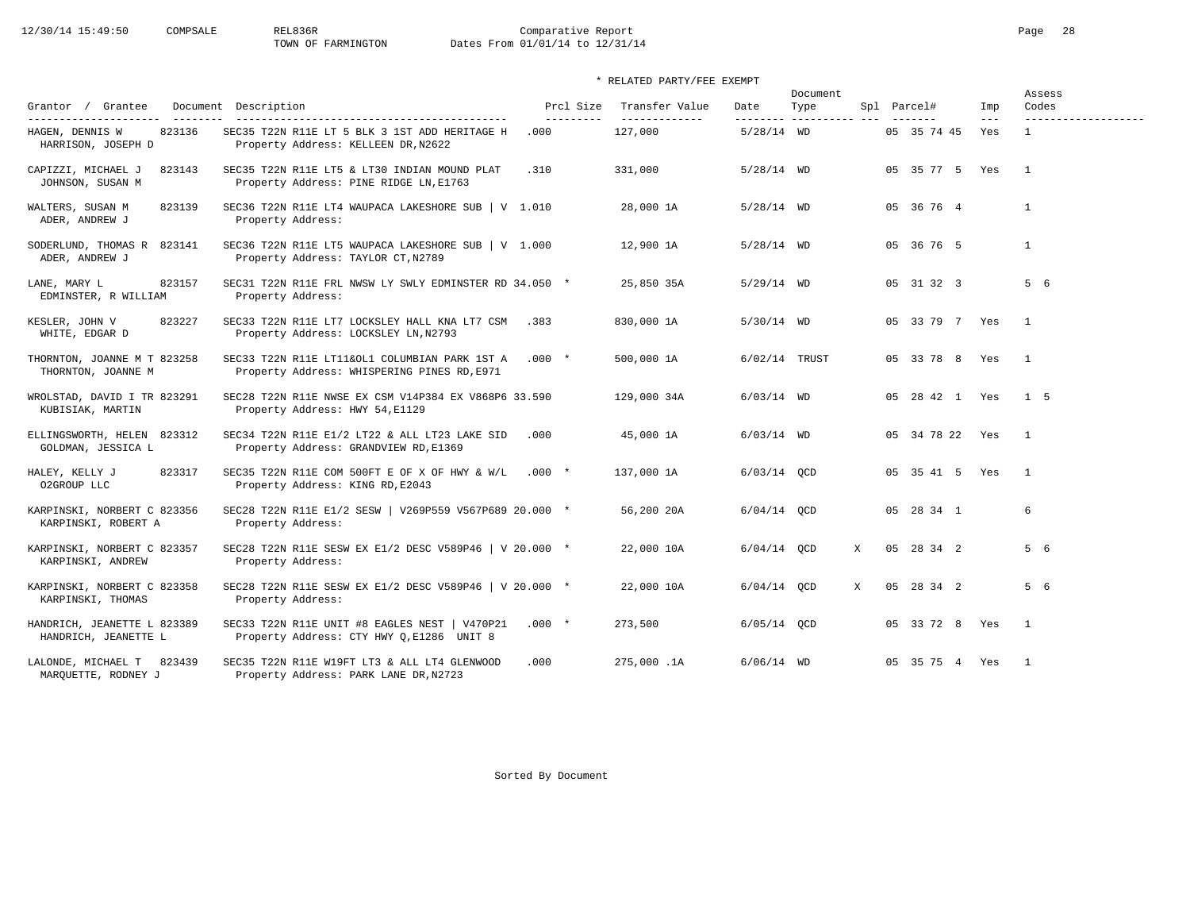|                                                     |                                                                                                     |                         |                                 |               | Document                        | Assess |                 |              |                              |
|-----------------------------------------------------|-----------------------------------------------------------------------------------------------------|-------------------------|---------------------------------|---------------|---------------------------------|--------|-----------------|--------------|------------------------------|
| Grantor / Grantee<br>----------------------         | Document Description<br>----------------------------------                                          | Prcl Size<br>---------- | Transfer Value<br>------------- | Date          | Type<br>-------- ---------- --- |        | Spl Parcel#     | Imp<br>$---$ | Codes<br>------------------- |
| 823136<br>HAGEN, DENNIS W<br>HARRISON, JOSEPH D     | SEC35 T22N R11E LT 5 BLK 3 1ST ADD HERITAGE H<br>Property Address: KELLEEN DR, N2622                | .000                    | 127,000                         | $5/28/14$ WD  |                                 |        | 05 35 74 45     | Yes          | $\mathbf{1}$                 |
| CAPIZZI, MICHAEL J<br>823143<br>JOHNSON, SUSAN M    | SEC35 T22N R11E LT5 & LT30 INDIAN MOUND PLAT<br>Property Address: PINE RIDGE LN, E1763              | .310                    | 331,000                         | $5/28/14$ WD  |                                 |        | 05 35 77 5 Yes  |              | $\overline{1}$               |
| WALTERS, SUSAN M<br>823139<br>ADER, ANDREW J        | SEC36 T22N R11E LT4 WAUPACA LAKESHORE SUB   V 1.010<br>Property Address:                            |                         | 28,000 1A                       | $5/28/14$ WD  |                                 |        | 05 36 76 4      |              | $\mathbf{1}$                 |
| SODERLUND, THOMAS R 823141<br>ADER, ANDREW J        | SEC36 T22N R11E LT5 WAUPACA LAKESHORE SUB $ V 1.000$<br>Property Address: TAYLOR CT, N2789          |                         | 12,900 1A                       | $5/28/14$ WD  |                                 |        | 05 36 76 5      |              | $\mathbf{1}$                 |
| 823157<br>LANE, MARY L<br>EDMINSTER, R WILLIAM      | SEC31 T22N R11E FRL NWSW LY SWLY EDMINSTER RD 34.050 *<br>Property Address:                         |                         | 25,850 35A                      | $5/29/14$ WD  |                                 |        | 05 31 32 3      |              | 5 6                          |
| KESLER, JOHN V<br>823227<br>WHITE, EDGAR D          | SEC33 T22N R11E LT7 LOCKSLEY HALL KNA LT7 CSM<br>Property Address: LOCKSLEY LN, N2793               | .383                    | 830,000 1A                      | $5/30/14$ WD  |                                 |        | 05 33 79 7 Yes  |              | $\overline{1}$               |
| THORNTON, JOANNE M T 823258<br>THORNTON, JOANNE M   | SEC33 T22N R11E LT11&OL1 COLUMBIAN PARK 1ST A .000 *<br>Property Address: WHISPERING PINES RD, E971 |                         | 500,000 1A                      |               | 6/02/14 TRUST                   |        | 05 33 78 8 Yes  |              | $\overline{1}$               |
| WROLSTAD, DAVID I TR 823291<br>KUBISIAK, MARTIN     | SEC28 T22N R11E NWSE EX CSM V14P384 EX V868P6 33.590<br>Property Address: HWY 54, E1129             |                         | 129,000 34A                     | $6/03/14$ WD  |                                 |        | 05 28 42 1 Yes  |              | $1 \quad 5$                  |
| ELLINGSWORTH, HELEN 823312<br>GOLDMAN, JESSICA L    | SEC34 T22N R11E E1/2 LT22 & ALL LT23 LAKE SID<br>Property Address: GRANDVIEW RD, E1369              | .000                    | 45,000 1A                       | $6/03/14$ WD  |                                 |        | 05 34 78 22 Yes |              | $\overline{1}$               |
| 823317<br>HALEY, KELLY J<br>O2GROUP LLC             | SEC35 T22N R11E COM 500FT E OF X OF HWY & W/L .000 *<br>Property Address: KING RD, E2043            |                         | 137,000 1A                      | $6/03/14$ OCD |                                 |        | 05 35 41 5 Yes  |              | $\overline{1}$               |
| KARPINSKI, NORBERT C 823356<br>KARPINSKI, ROBERT A  | SEC28 T22N R11E E1/2 SESW   V269P559 V567P689 20.000 *<br>Property Address:                         |                         | 56,200 20A                      | $6/04/14$ OCD |                                 |        | 05 28 34 1      |              | 6                            |
| KARPINSKI, NORBERT C 823357<br>KARPINSKI, ANDREW    | SEC28 T22N R11E SESW EX E1/2 DESC V589P46   V 20.000 *<br>Property Address:                         |                         | 22,000 10A                      | $6/04/14$ OCD |                                 | X      | 05 28 34 2      |              | 5 6                          |
| KARPINSKI, NORBERT C 823358<br>KARPINSKI, THOMAS    | SEC28 T22N R11E SESW EX E1/2 DESC V589P46   V 20.000 *<br>Property Address:                         |                         | 22,000 10A                      | $6/04/14$ OCD |                                 | X      | 05 28 34 2      |              | 5 6                          |
| HANDRICH, JEANETTE L 823389<br>HANDRICH, JEANETTE L | SEC33 T22N R11E UNIT #8 EAGLES NEST   V470P21<br>Property Address: CTY HWY Q, E1286 UNIT 8          | $.000*$                 | 273,500                         | $6/05/14$ QCD |                                 |        | 05 33 72 8 Yes  |              | $\mathbf{1}$                 |
| LALONDE, MICHAEL T 823439<br>MAROUETTE, RODNEY J    | SEC35 T22N R11E W19FT LT3 & ALL LT4 GLENWOOD<br>Property Address: PARK LANE DR, N2723               | .000                    | 275,000.1A                      | $6/06/14$ WD  |                                 |        | 05 35 75 4 Yes  |              | $\overline{1}$               |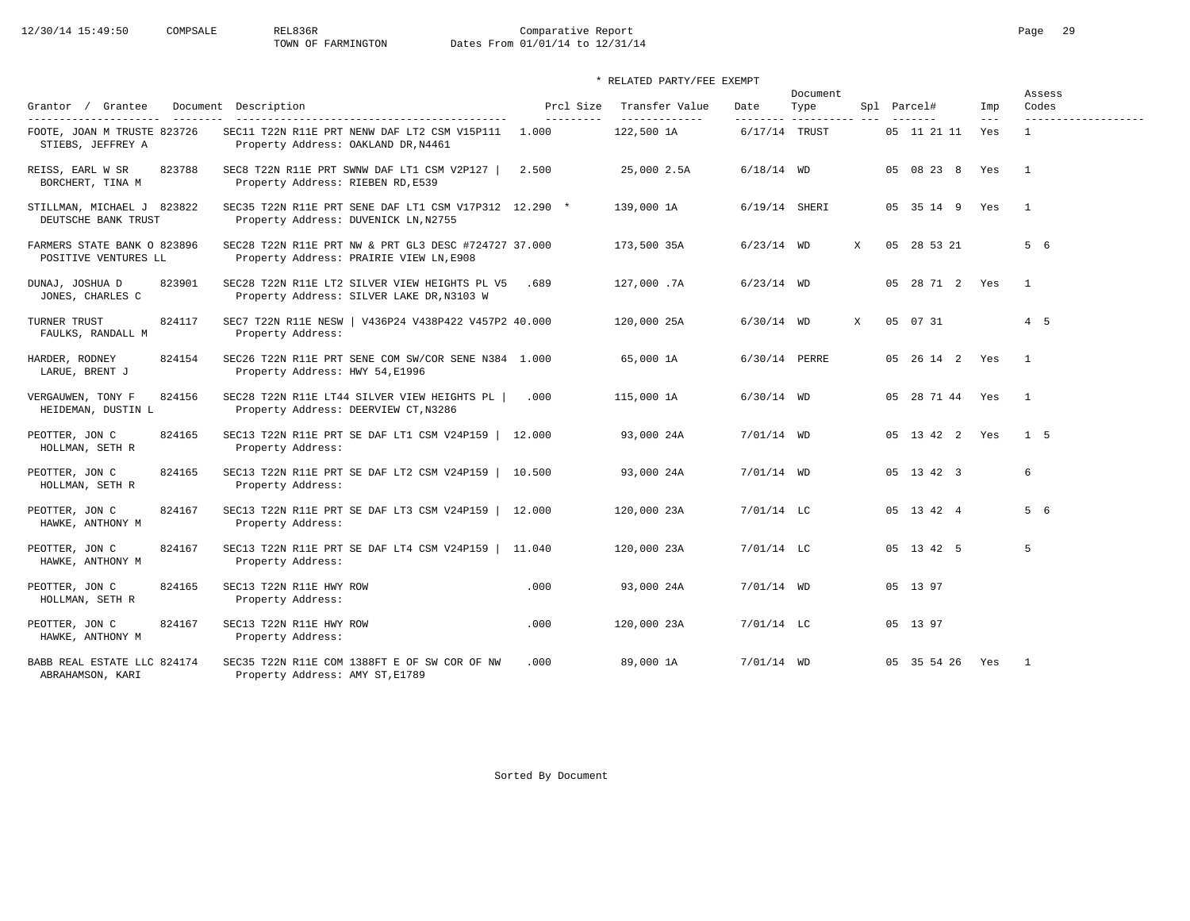# 12/30/14 15:49:50 COMPSALE REL836R Comparative Report Comparative Report Page 29 Dates From 01/01/14 to 12/31/14

| Grantor / Grantee                                                                               | Document Description                                                                            | Prcl Size           | Transfer Value               | Date                      | Document<br>Type |   | Spl Parcel#     | Imp          | Assess<br>Codes                     |
|-------------------------------------------------------------------------------------------------|-------------------------------------------------------------------------------------------------|---------------------|------------------------------|---------------------------|------------------|---|-----------------|--------------|-------------------------------------|
| ----------------------<br>$- - - - - - - -$<br>FOOTE, JOAN M TRUSTE 823726<br>STIEBS, JEFFREY A | SEC11 T22N R11E PRT NENW DAF LT2 CSM V15P111<br>Property Address: OAKLAND DR, N4461             | ----------<br>1.000 | --------------<br>122,500 1A | --------<br>6/17/14 TRUST | -----------      |   | 05 11 21 11     | $---$<br>Yes | -------------------<br>$\mathbf{1}$ |
| 823788<br>REISS, EARL W SR<br>BORCHERT, TINA M                                                  | SEC8 T22N R11E PRT SWNW DAF LT1 CSM V2P127  <br>Property Address: RIEBEN RD, E539               | 2.500               | 25,000 2.5A                  | $6/18/14$ WD              |                  |   | 05 08 23 8      | Yes          | $\overline{1}$                      |
| STILLMAN, MICHAEL J 823822<br>DEUTSCHE BANK TRUST                                               | SEC35 T22N R11E PRT SENE DAF LT1 CSM V17P312 12.290 *<br>Property Address: DUVENICK LN, N2755   |                     | 139,000 1A                   | 6/19/14 SHERI             |                  |   | 05 35 14 9 Yes  |              | $\mathbf{1}$                        |
| FARMERS STATE BANK O 823896<br>POSITIVE VENTURES LL                                             | SEC28 T22N R11E PRT NW & PRT GL3 DESC #724727 37.000<br>Property Address: PRAIRIE VIEW LN, E908 |                     | 173,500 35A                  | $6/23/14$ WD              |                  | X | 05 28 53 21     |              | 5 6                                 |
| 823901<br>DUNAJ, JOSHUA D<br>JONES, CHARLES C                                                   | SEC28 T22N R11E LT2 SILVER VIEW HEIGHTS PL V5<br>Property Address: SILVER LAKE DR, N3103 W      | .689                | 127,000.7A                   | $6/23/14$ WD              |                  |   | 05 28 71 2 Yes  |              | $\overline{1}$                      |
| TURNER TRUST<br>824117<br>FAULKS, RANDALL M                                                     | SEC7 T22N R11E NESW   V436P24 V438P422 V457P2 40.000<br>Property Address:                       |                     | 120,000 25A                  | $6/30/14$ WD              |                  | X | 05 07 31        |              | $4\quad 5$                          |
| HARDER, RODNEY<br>824154<br>LARUE, BRENT J                                                      | SEC26 T22N R11E PRT SENE COM SW/COR SENE N384 1.000<br>Property Address: HWY 54, E1996          |                     | 65,000 1A                    | 6/30/14 PERRE             |                  |   | 05 26 14 2 Yes  |              | $\overline{1}$                      |
| 824156<br>VERGAUWEN, TONY F<br>HEIDEMAN, DUSTIN L                                               | SEC28 T22N R11E LT44 SILVER VIEW HEIGHTS PL<br>Property Address: DEERVIEW CT, N3286             | .000                | 115,000 1A                   | $6/30/14$ WD              |                  |   | 05 28 71 44 Yes |              | $\mathbf{1}$                        |
| 824165<br>PEOTTER, JON C<br>HOLLMAN, SETH R                                                     | SEC13 T22N R11E PRT SE DAF LT1 CSM V24P159   12.000<br>Property Address:                        |                     | 93,000 24A                   | $7/01/14$ WD              |                  |   | 05 13 42 2 Yes  |              | 1 5                                 |
| 824165<br>PEOTTER, JON C<br>HOLLMAN, SETH R                                                     | SEC13 T22N R11E PRT SE DAF LT2 CSM V24P159  <br>Property Address:                               | 10.500              | 93,000 24A                   | $7/01/14$ WD              |                  |   | 05 13 42 3      |              | 6                                   |
| 824167<br>PEOTTER, JON C<br>HAWKE, ANTHONY M                                                    | SEC13 T22N R11E PRT SE DAF LT3 CSM V24P159   12.000<br>Property Address:                        |                     | 120,000 23A                  | $7/01/14$ LC              |                  |   | 05 13 42 4      |              | 5 6                                 |
| 824167<br>PEOTTER, JON C<br>HAWKE, ANTHONY M                                                    | SEC13 T22N R11E PRT SE DAF LT4 CSM V24P159   11.040<br>Property Address:                        |                     | 120,000 23A                  | $7/01/14$ LC              |                  |   | 05 13 42 5      |              | 5                                   |
| 824165<br>PEOTTER, JON C<br>HOLLMAN, SETH R                                                     | SEC13 T22N R11E HWY ROW<br>Property Address:                                                    | .000                | 93,000 24A                   | $7/01/14$ WD              |                  |   | 05 13 97        |              |                                     |
| PEOTTER, JON C<br>824167<br>HAWKE, ANTHONY M                                                    | SEC13 T22N R11E HWY ROW<br>Property Address:                                                    | .000                | 120,000 23A                  | $7/01/14$ LC              |                  |   | 05 13 97        |              |                                     |
| BABB REAL ESTATE LLC 824174<br>ABRAHAMSON, KARI                                                 | SEC35 T22N R11E COM 1388FT E OF SW COR OF NW<br>Property Address: AMY ST, E1789                 | .000                | 89,000 1A                    | $7/01/14$ WD              |                  |   | 05 35 54 26     | Yes          | $\overline{1}$                      |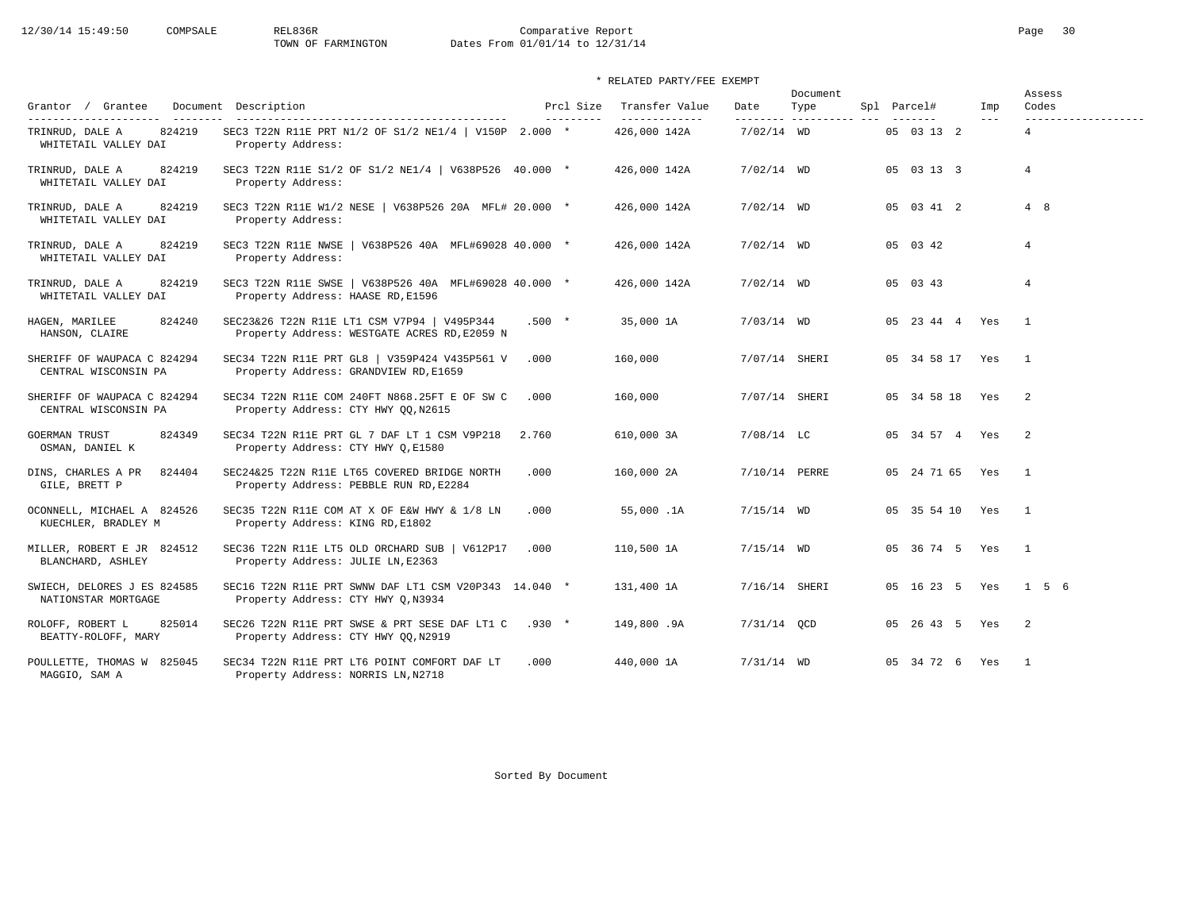# 12/30/14 15:49:50 COMPSALE REL836R Comparative Report Comparative Report Page 30 Dates From 01/01/14 to 12/31/14

| Grantor / Grantee<br>________                                               | Document Description                                                                        | Prcl Size  | Transfer Value                | Date          | Document<br>Type         | Spl Parcel#     | Imp   | Assess<br>Codes                       |
|-----------------------------------------------------------------------------|---------------------------------------------------------------------------------------------|------------|-------------------------------|---------------|--------------------------|-----------------|-------|---------------------------------------|
| ----------------------<br>824219<br>TRINRUD, DALE A<br>WHITETAIL VALLEY DAI | SEC3 T22N R11E PRT N1/2 OF S1/2 NE1/4   V150P 2.000 *<br>Property Address:                  | ---------- | -------------<br>426,000 142A | $7/02/14$ WD  | --------- ---------- --- | 05 03 13 2      | $---$ | -------------------<br>$\overline{a}$ |
| TRINRUD, DALE A<br>824219<br>WHITETAIL VALLEY DAI                           | SEC3 T22N R11E S1/2 OF S1/2 NE1/4   V638P526 40.000 *<br>Property Address:                  |            | 426,000 142A                  | $7/02/14$ WD  |                          | 05 03 13 3      |       | $\overline{4}$                        |
| TRINRUD, DALE A<br>824219<br>WHITETAIL VALLEY DAI                           | SEC3 T22N R11E W1/2 NESE   V638P526 20A MFL# 20.000 *<br>Property Address:                  |            | 426,000 142A                  | $7/02/14$ WD  |                          | 05 03 41 2      |       | 4 8                                   |
| TRINRUD, DALE A<br>824219<br>WHITETAIL VALLEY DAI                           | SEC3 T22N R11E NWSE   V638P526 40A MFL#69028 40.000 *<br>Property Address:                  |            | 426,000 142A                  | $7/02/14$ WD  |                          | 05 03 42        |       | $\overline{4}$                        |
| 824219<br>TRINRUD, DALE A<br>WHITETAIL VALLEY DAI                           | SEC3 T22N R11E SWSE   V638P526 40A MFL#69028 40.000 *<br>Property Address: HAASE RD, E1596  |            | 426,000 142A                  | $7/02/14$ WD  |                          | 05 03 43        |       | $\overline{4}$                        |
| 824240<br>HAGEN, MARILEE<br>HANSON, CLAIRE                                  | SEC23&26 T22N R11E LT1 CSM V7P94   V495P344<br>Property Address: WESTGATE ACRES RD, E2059 N | $.500 *$   | 35,000 1A                     | $7/03/14$ WD  |                          | 05 23 44 4 Yes  |       | $\overline{1}$                        |
| SHERIFF OF WAUPACA C 824294<br>CENTRAL WISCONSIN PA                         | SEC34 T22N R11E PRT GL8   V359P424 V435P561 V<br>Property Address: GRANDVIEW RD, E1659      | .000       | 160,000                       | 7/07/14 SHERI |                          | 05 34 58 17 Yes |       | $\overline{1}$                        |
| SHERIFF OF WAUPACA C 824294<br>CENTRAL WISCONSIN PA                         | SEC34 T22N R11E COM 240FT N868.25FT E OF SW C<br>Property Address: CTY HWY QQ, N2615        | .000       | 160,000                       |               | 7/07/14 SHERI            | 05 34 58 18 Yes |       | $\overline{\phantom{0}}^2$            |
| <b>GOERMAN TRUST</b><br>824349<br>OSMAN, DANIEL K                           | SEC34 T22N R11E PRT GL 7 DAF LT 1 CSM V9P218<br>Property Address: CTY HWY Q, E1580          | 2.760      | 610,000 3A                    | $7/08/14$ LC  |                          | 05 34 57 4 Yes  |       | $\overline{2}$                        |
| 824404<br>DINS, CHARLES A PR<br>GILE, BRETT P                               | SEC24&25 T22N R11E LT65 COVERED BRIDGE NORTH<br>Property Address: PEBBLE RUN RD, E2284      | .000       | 160,000 2A                    |               | 7/10/14 PERRE            | 05 24 71 65     | Yes   | $\overline{1}$                        |
| OCONNELL, MICHAEL A 824526<br>KUECHLER, BRADLEY M                           | SEC35 T22N R11E COM AT X OF E&W HWY & 1/8 LN<br>Property Address: KING RD, E1802            | .000       | 55,000.1A                     | $7/15/14$ WD  |                          | 05 35 54 10 Yes |       | $\overline{1}$                        |
| MILLER, ROBERT E JR 824512<br>BLANCHARD, ASHLEY                             | SEC36 T22N R11E LT5 OLD ORCHARD SUB   V612P17<br>Property Address: JULIE LN, E2363          | .000       | 110,500 1A                    | $7/15/14$ WD  |                          | 05 36 74 5 Yes  |       | $\overline{1}$                        |
| SWIECH, DELORES J ES 824585<br>NATIONSTAR MORTGAGE                          | SEC16 T22N R11E PRT SWNW DAF LT1 CSM V20P343 14.040 *<br>Property Address: CTY HWY Q, N3934 |            | 131,400 1A                    |               | 7/16/14 SHERI            | 05 16 23 5 Yes  |       | 156                                   |
| ROLOFF, ROBERT L<br>825014<br>BEATTY-ROLOFF, MARY                           | SEC26 T22N R11E PRT SWSE & PRT SESE DAF LT1 C<br>Property Address: CTY HWY QQ, N2919        | $.930$ *   | 149,800.9A                    | $7/31/14$ QCD |                          | 05 26 43 5 Yes  |       | $\overline{\phantom{0}}^2$            |
| POULLETTE, THOMAS W 825045<br>MAGGIO, SAM A                                 | SEC34 T22N R11E PRT LT6 POINT COMFORT DAF LT<br>Property Address: NORRIS LN, N2718          | .000       | 440,000 1A                    | $7/31/14$ WD  |                          | 05 34 72 6 Yes  |       | $\overline{1}$                        |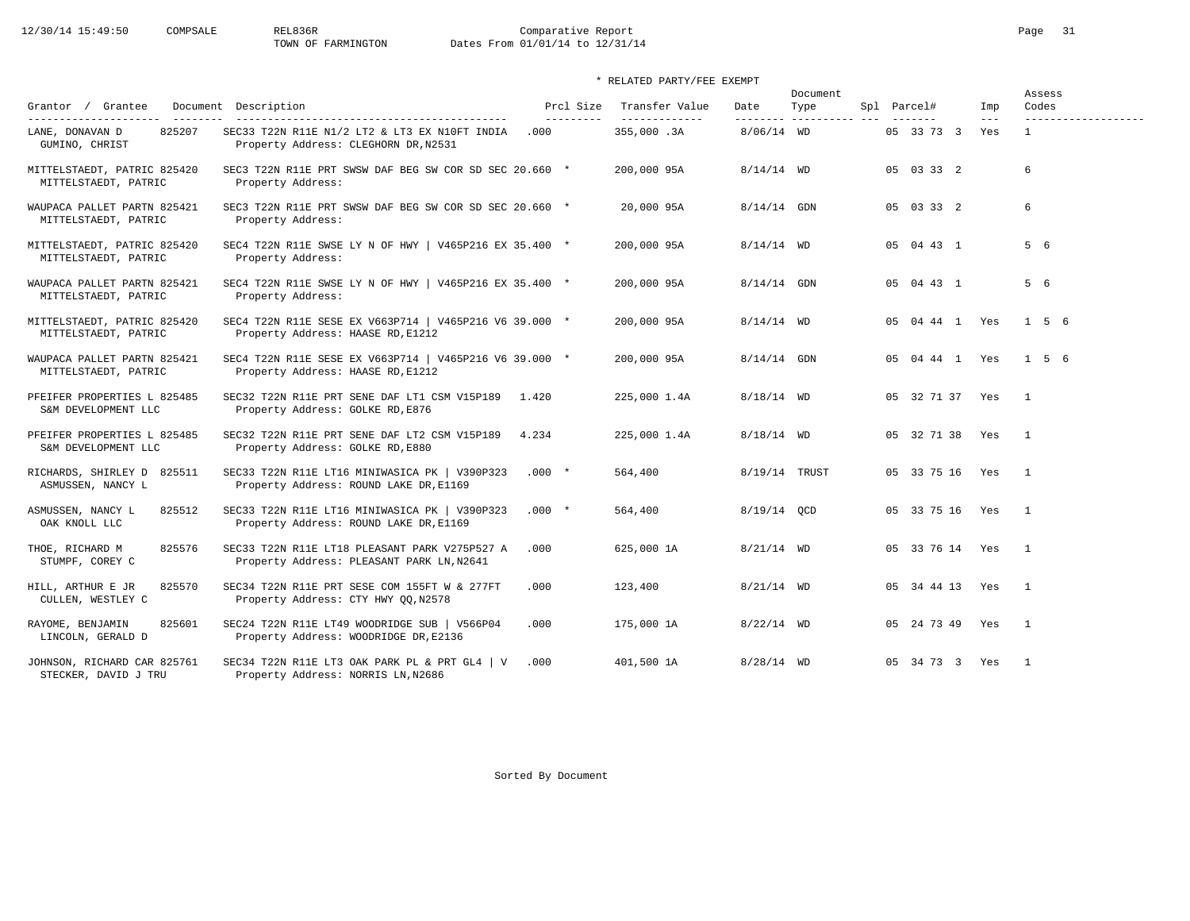|                                                     |                                                                                             |                         |                                  |                   | Document            |                        |                | Assess                       |
|-----------------------------------------------------|---------------------------------------------------------------------------------------------|-------------------------|----------------------------------|-------------------|---------------------|------------------------|----------------|------------------------------|
| Grantor / Grantee<br>---------------------          | Document Description<br>-------------------------------------                               | Prcl Size<br>---------- | Transfer Value<br>-------------- | Date<br>--------- | Type<br>----------- | Spl Parcel#            | Imp<br>$- - -$ | Codes<br>------------------- |
| 825207<br>LANE, DONAVAN D<br>GUMINO, CHRIST         | SEC33 T22N R11E N1/2 LT2 & LT3 EX N10FT INDIA<br>Property Address: CLEGHORN DR, N2531       | .000                    | 355,000.3A                       | $8/06/14$ WD      |                     | 05 33 73 3             | Yes            | $\mathbf{1}$                 |
| MITTELSTAEDT, PATRIC 825420<br>MITTELSTAEDT, PATRIC | SEC3 T22N R11E PRT SWSW DAF BEG SW COR SD SEC 20.660 *<br>Property Address:                 |                         | 200,000 95A                      | $8/14/14$ WD      |                     | 05 03 33 2             |                | 6                            |
| WAUPACA PALLET PARTN 825421<br>MITTELSTAEDT, PATRIC | SEC3 T22N R11E PRT SWSW DAF BEG SW COR SD SEC 20.660 *<br>Property Address:                 |                         | 20,000 95A                       | $8/14/14$ GDN     |                     | 05 03 33 2             |                | 6                            |
| MITTELSTAEDT, PATRIC 825420<br>MITTELSTAEDT, PATRIC | SEC4 T22N R11E SWSE LY N OF HWY   V465P216 EX 35.400 *<br>Property Address:                 |                         | 200,000 95A                      | $8/14/14$ WD      |                     | 05 04 43 1             |                | 5 6                          |
| WAUPACA PALLET PARTN 825421<br>MITTELSTAEDT, PATRIC | SEC4 T22N R11E SWSE LY N OF HWY   V465P216 EX 35.400 *<br>Property Address:                 |                         | 200,000 95A                      | $8/14/14$ GDN     |                     | 05 04 43 1             |                | 5 6                          |
| MITTELSTAEDT, PATRIC 825420<br>MITTELSTAEDT, PATRIC | SEC4 T22N R11E SESE EX V663P714   V465P216 V6 39.000 *<br>Property Address: HAASE RD, E1212 |                         | 200,000 95A                      | $8/14/14$ WD      |                     | 05 04 44 1 Yes         |                | $1\quad 5\quad 6$            |
| WAUPACA PALLET PARTN 825421<br>MITTELSTAEDT, PATRIC | SEC4 T22N R11E SESE EX V663P714   V465P216 V6 39.000 *<br>Property Address: HAASE RD, E1212 |                         | 200,000 95A                      | $8/14/14$ GDN     |                     | 05 04 44 1 Yes         |                | 156                          |
| PFEIFER PROPERTIES L 825485<br>S&M DEVELOPMENT LLC  | SEC32 T22N R11E PRT SENE DAF LT1 CSM V15P189<br>1.420<br>Property Address: GOLKE RD, E876   |                         | 225,000 1.4A                     | $8/18/14$ WD      |                     | 05 32 71 37 Yes        |                | $\overline{1}$               |
| PFEIFER PROPERTIES L 825485<br>S&M DEVELOPMENT LLC  | SEC32 T22N R11E PRT SENE DAF LT2 CSM V15P189<br>Property Address: GOLKE RD, E880            | 4.234                   | 225,000 1.4A                     | $8/18/14$ WD      |                     | 05 32 71 38 Yes        |                | $\overline{1}$               |
| RICHARDS, SHIRLEY D 825511<br>ASMUSSEN, NANCY L     | SEC33 T22N R11E LT16 MINIWASICA PK   V390P323<br>Property Address: ROUND LAKE DR, E1169     | $.000 *$                | 564,400                          | 8/19/14 TRUST     |                     | 05 33 75 16 Yes        |                | $\overline{1}$               |
| 825512<br>ASMUSSEN, NANCY L<br>OAK KNOLL LLC        | SEC33 T22N R11E LT16 MINIWASICA PK   V390P323<br>Property Address: ROUND LAKE DR, E1169     | $.000 *$                | 564,400                          | 8/19/14 OCD       |                     | 05 33 75 16 Yes 1      |                |                              |
| 825576<br>THOE, RICHARD M<br>STUMPF, COREY C        | SEC33 T22N R11E LT18 PLEASANT PARK V275P527 A<br>Property Address: PLEASANT PARK LN, N2641  | .000                    | 625,000 1A                       | $8/21/14$ WD      |                     | 05 33 76 14 Yes        |                | $\overline{1}$               |
| 825570<br>HILL, ARTHUR E JR<br>CULLEN, WESTLEY C    | SEC34 T22N R11E PRT SESE COM 155FT W & 277FT<br>Property Address: CTY HWY QQ, N2578         | .000                    | 123,400                          | $8/21/14$ WD      |                     | 05 34 44 13 Yes        |                | $\overline{1}$               |
| RAYOME, BENJAMIN<br>825601<br>LINCOLN, GERALD D     | SEC24 T22N R11E LT49 WOODRIDGE SUB   V566P04<br>Property Address: WOODRIDGE DR, E2136       | .000                    | 175,000 1A                       | $8/22/14$ WD      |                     | 05  24  73  49  Yes  1 |                |                              |
| JOHNSON, RICHARD CAR 825761<br>STECKER, DAVID J TRU | SEC34 T22N R11E LT3 OAK PARK PL & PRT GL4   V<br>Property Address: NORRIS LN, N2686         | .000                    | 401,500 1A                       | $8/28/14$ WD      |                     | 05 34 73 3 Yes         |                | $\overline{1}$               |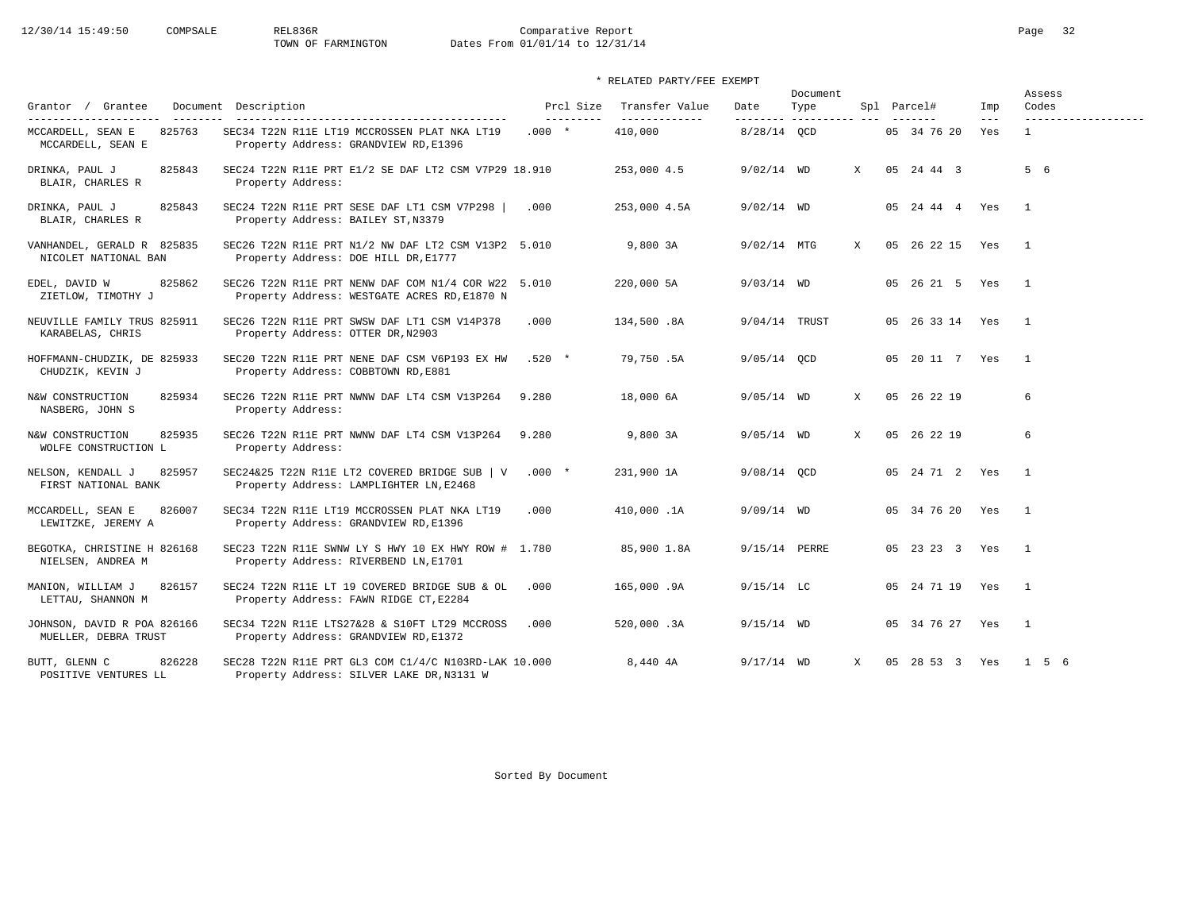# 12/30/14 15:49:50 COMPSALE REL836R Comparative Report Comparative Report Page 32 Dates From 01/01/14 to 12/31/14

|                                                     |                                                                                                     |                        |                                 |              | Document                     |              |                    |              | Assess<br>Codes          |
|-----------------------------------------------------|-----------------------------------------------------------------------------------------------------|------------------------|---------------------------------|--------------|------------------------------|--------------|--------------------|--------------|--------------------------|
| Grantor / Grantee<br>---------------------          | Document Description                                                                                | Prcl Size<br>_________ | Transfer Value<br>_____________ | Date         | Type<br>--------- ---------- |              | Spl Parcel#        | Imp<br>$---$ | -------------------      |
| 825763<br>MCCARDELL, SEAN E<br>MCCARDELL, SEAN E    | SEC34 T22N R11E LT19 MCCROSSEN PLAT NKA LT19<br>Property Address: GRANDVIEW RD, E1396               | $.000*$                | 410,000                         | 8/28/14 QCD  |                              |              | 05 34 76 20        | Yes          | $\mathbf{1}$             |
| 825843<br>DRINKA, PAUL J<br>BLAIR, CHARLES R        | SEC24 T22N R11E PRT E1/2 SE DAF LT2 CSM V7P29 18.910<br>Property Address:                           |                        | 253,000 4.5                     | $9/02/14$ WD |                              | X            | 05 24 44 3         |              | 5 6                      |
| 825843<br>DRINKA, PAUL J<br>BLAIR, CHARLES R        | SEC24 T22N R11E PRT SESE DAF LT1 CSM V7P298  <br>Property Address: BAILEY ST, N3379                 | .000                   | 253,000 4.5A                    | $9/02/14$ WD |                              |              | 05  24  44  4  Yes |              | $\mathbf{1}$             |
| VANHANDEL, GERALD R 825835<br>NICOLET NATIONAL BAN  | SEC26 T22N R11E PRT N1/2 NW DAF LT2 CSM V13P2 5.010<br>Property Address: DOE HILL DR, E1777         |                        | 9,800 3A                        | 9/02/14 MTG  |                              | X            | 05 26 22 15        | Yes          | $\overline{1}$           |
| EDEL, DAVID W<br>825862<br>ZIETLOW, TIMOTHY J       | SEC26 T22N R11E PRT NENW DAF COM N1/4 COR W22 5.010<br>Property Address: WESTGATE ACRES RD, E1870 N |                        | 220,000 5A                      | $9/03/14$ WD |                              |              | 05 26 21 5 Yes     |              | $\overline{\phantom{0}}$ |
| NEUVILLE FAMILY TRUS 825911<br>KARABELAS, CHRIS     | SEC26 T22N R11E PRT SWSW DAF LT1 CSM V14P378<br>Property Address: OTTER DR, N2903                   | .000                   | 134,500.8A                      |              | 9/04/14 TRUST                |              | 05 26 33 14 Yes    |              | $\overline{1}$           |
| HOFFMANN-CHUDZIK, DE 825933<br>CHUDZIK, KEVIN J     | SEC20 T22N R11E PRT NENE DAF CSM V6P193 EX HW<br>Property Address: COBBTOWN RD, E881                | $.520*$                | 79,750.5A                       | 9/05/14 QCD  |                              |              | 05 20 11 7 Yes     |              | $\overline{1}$           |
| N&W CONSTRUCTION<br>825934<br>NASBERG, JOHN S       | SEC26 T22N R11E PRT NWNW DAF LT4 CSM V13P264<br>Property Address:                                   | 9.280                  | 18,000 6A                       | $9/05/14$ WD |                              | X            | 05 26 22 19        |              | 6                        |
| N&W CONSTRUCTION<br>825935<br>WOLFE CONSTRUCTION L  | SEC26 T22N R11E PRT NWNW DAF LT4 CSM V13P264<br>Property Address:                                   | 9.280                  | 9,800 3A                        | $9/05/14$ WD |                              | $\mathbf{x}$ | 05 26 22 19        |              | 6                        |
| 825957<br>NELSON, KENDALL J<br>FIRST NATIONAL BANK  | SEC24&25 T22N R11E LT2 COVERED BRIDGE SUB   V<br>Property Address: LAMPLIGHTER LN, E2468            | $.000*$                | 231,900 1A                      | 9/08/14 OCD  |                              |              | 05 24 71 2 Yes     |              | $\overline{1}$           |
| 826007<br>MCCARDELL, SEAN E<br>LEWITZKE, JEREMY A   | SEC34 T22N R11E LT19 MCCROSSEN PLAT NKA LT19<br>Property Address: GRANDVIEW RD, E1396               | .000                   | 410,000.1A                      | $9/09/14$ WD |                              |              | 05 34 76 20 Yes    |              | $\overline{1}$           |
| BEGOTKA, CHRISTINE H 826168<br>NIELSEN, ANDREA M    | SEC23 T22N R11E SWNW LY S HWY 10 EX HWY ROW # 1.780<br>Property Address: RIVERBEND LN, E1701        |                        | 85,900 1.8A                     |              | 9/15/14 PERRE                |              | 05 23 23 3         | Yes          | $\overline{1}$           |
| 826157<br>MANION, WILLIAM J<br>LETTAU, SHANNON M    | SEC24 T22N R11E LT 19 COVERED BRIDGE SUB & OL<br>Property Address: FAWN RIDGE CT, E2284             | .000                   | 165,000.9A                      | $9/15/14$ LC |                              |              | 05 24 71 19 Yes    |              | $\overline{1}$           |
| JOHNSON, DAVID R POA 826166<br>MUELLER, DEBRA TRUST | SEC34 T22N R11E LTS27&28 & S10FT LT29 MCCROSS<br>Property Address: GRANDVIEW RD, E1372              | .000                   | 520,000.3A                      | $9/15/14$ WD |                              |              | 05 34 76 27        | Yes          | $\overline{1}$           |
| 826228<br>BUTT, GLENN C<br>POSITIVE VENTURES LL     | SEC28 T22N R11E PRT GL3 COM C1/4/C N103RD-LAK 10.000<br>Property Address: SILVER LAKE DR, N3131 W   |                        | 8,440 4A                        | $9/17/14$ WD |                              | $\mathbf{x}$ | 05 28 53 3 Yes     |              | 1 5 6                    |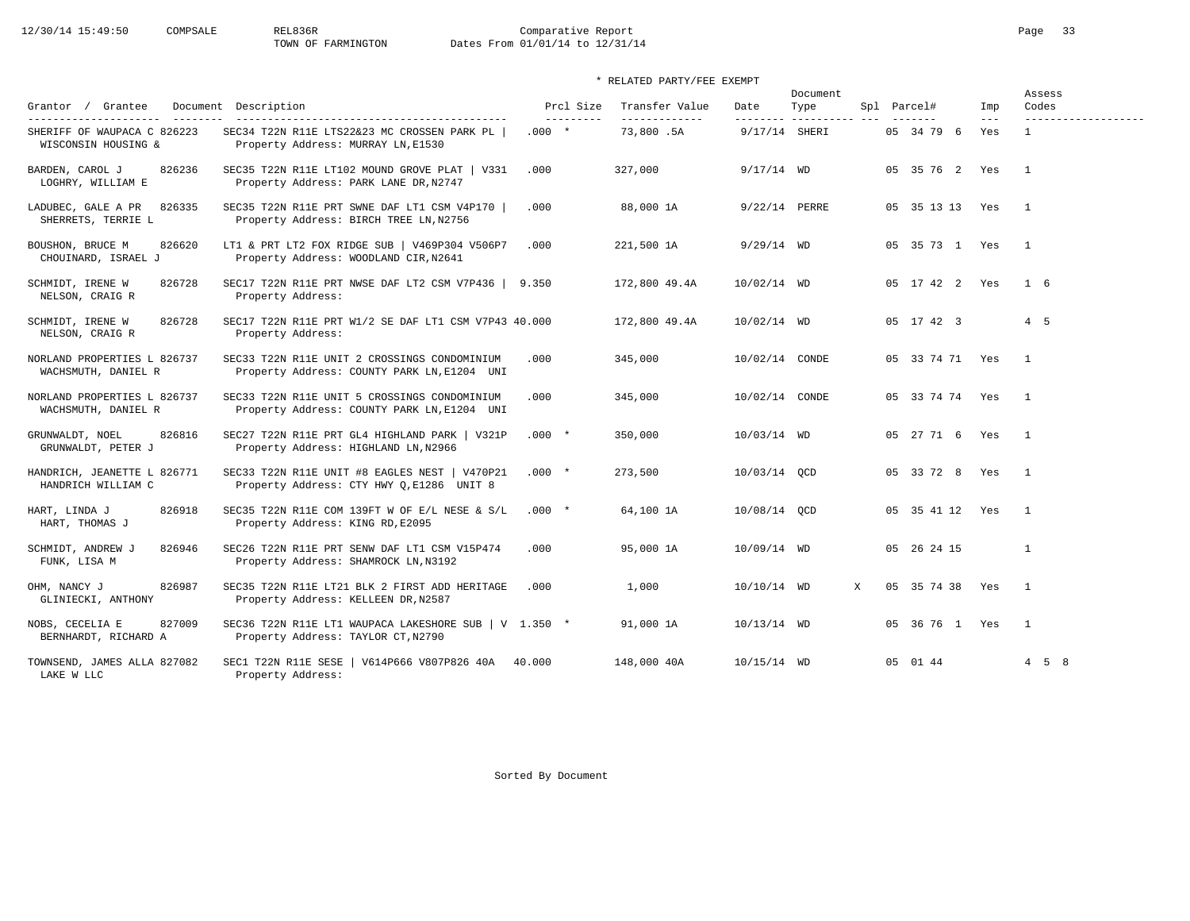# 12/30/14 15:49:50 COMPSALE REL836R Comparative Report Comparative Report Page 33<br>TOWN OF FARMINGTON Dates From 01/01/14 to 12/31/14 Dates From 01/01/14 to 12/31/14

## \* RELATED PARTY/FEE EXEMPT

| Grantor / Grantee<br>---------------------         | Document Description                                                                        | Prcl Size                      | Transfer Value             | Date                      | Document<br>Type |   | Spl Parcel#     | Imp            | Assess<br>Codes         |
|----------------------------------------------------|---------------------------------------------------------------------------------------------|--------------------------------|----------------------------|---------------------------|------------------|---|-----------------|----------------|-------------------------|
| SHERIFF OF WAUPACA C 826223<br>WISCONSIN HOUSING & | SEC34 T22N R11E LTS22&23 MC CROSSEN PARK PL<br>Property Address: MURRAY LN, E1530           | $- - - - - - - - -$<br>$.000*$ | -------------<br>73,800.5A | --------<br>9/17/14 SHERI |                  |   | 05 34 79 6      | $- - -$<br>Yes | ------------------<br>1 |
| BARDEN, CAROL J<br>826236<br>LOGHRY, WILLIAM E     | SEC35 T22N R11E LT102 MOUND GROVE PLAT   V331<br>Property Address: PARK LANE DR, N2747      | .000                           | 327,000                    | $9/17/14$ WD              |                  |   | 05 35 76 2 Yes  |                | $\overline{1}$          |
| 826335<br>LADUBEC, GALE A PR<br>SHERRETS, TERRIE L | SEC35 T22N R11E PRT SWNE DAF LT1 CSM V4P170  <br>Property Address: BIRCH TREE LN, N2756     | .000                           | 88,000 1A                  | 9/22/14 PERRE             |                  |   | 05 35 13 13 Yes |                | $\overline{1}$          |
| BOUSHON, BRUCE M<br>826620<br>CHOUINARD, ISRAEL J  | LT1 & PRT LT2 FOX RIDGE SUB   V469P304 V506P7<br>Property Address: WOODLAND CIR, N2641      | .000                           | 221,500 1A                 | $9/29/14$ WD              |                  |   | 05 35 73 1 Yes  |                | $\mathbf{1}$            |
| 826728<br>SCHMIDT, IRENE W<br>NELSON, CRAIG R      | SEC17 T22N R11E PRT NWSE DAF LT2 CSM V7P436  <br>Property Address:                          | 9.350                          | 172,800 49.4A              | 10/02/14 WD               |                  |   | 05 17 42 2 Yes  |                | $1\quad 6$              |
| SCHMIDT, IRENE W<br>826728<br>NELSON, CRAIG R      | SEC17 T22N R11E PRT W1/2 SE DAF LT1 CSM V7P43 40.000<br>Property Address:                   |                                | 172,800 49.4A              | 10/02/14 WD               |                  |   | 05 17 42 3      |                | $4\quad 5$              |
| NORLAND PROPERTIES L 826737<br>WACHSMUTH, DANIEL R | SEC33 T22N R11E UNIT 2 CROSSINGS CONDOMINIUM<br>Property Address: COUNTY PARK LN, E1204 UNI | .000                           | 345,000                    | 10/02/14 CONDE            |                  |   | 05 33 74 71 Yes |                | $\overline{1}$          |
| NORLAND PROPERTIES L 826737<br>WACHSMUTH, DANIEL R | SEC33 T22N R11E UNIT 5 CROSSINGS CONDOMINIUM<br>Property Address: COUNTY PARK LN, E1204 UNI | .000                           | 345,000                    | 10/02/14 CONDE            |                  |   | 05 33 74 74 Yes |                | $\mathbf{1}$            |
| 826816<br>GRUNWALDT, NOEL<br>GRUNWALDT, PETER J    | SEC27 T22N R11E PRT GL4 HIGHLAND PARK   V321P<br>Property Address: HIGHLAND LN, N2966       | $.000*$                        | 350,000                    | 10/03/14 WD               |                  |   | 05 27 71 6 Yes  |                | $\overline{1}$          |
| HANDRICH, JEANETTE L 826771<br>HANDRICH WILLIAM C  | SEC33 T22N R11E UNIT #8 EAGLES NEST   V470P21<br>Property Address: CTY HWY Q, E1286 UNIT 8  | $.000 *$                       | 273,500                    | 10/03/14 QCD              |                  |   | 05 33 72 8 Yes  |                | $\mathbf{1}$            |
| HART, LINDA J<br>826918<br>HART, THOMAS J          | SEC35 T22N R11E COM 139FT W OF E/L NESE & S/L<br>Property Address: KING RD, E2095           | $.000*$                        | 64,100 1A                  | 10/08/14 QCD              |                  |   | 05 35 41 12 Yes |                | $\overline{1}$          |
| SCHMIDT, ANDREW J<br>826946<br>FUNK, LISA M        | SEC26 T22N R11E PRT SENW DAF LT1 CSM V15P474<br>Property Address: SHAMROCK LN, N3192        | .000                           | 95,000 1A                  | 10/09/14 WD               |                  |   | 05 26 24 15     |                | $\mathbf{1}$            |
| 826987<br>OHM, NANCY J<br>GLINIECKI, ANTHONY       | SEC35 T22N R11E LT21 BLK 2 FIRST ADD HERITAGE<br>Property Address: KELLEEN DR, N2587        | .000                           | 1,000                      | 10/10/14 WD               |                  | X | 05 35 74 38 Yes |                | $\overline{1}$          |
| NOBS, CECELIA E<br>827009<br>BERNHARDT, RICHARD A  | SEC36 T22N R11E LT1 WAUPACA LAKESHORE SUB   V 1.350 *<br>Property Address: TAYLOR CT, N2790 |                                | 91,000 1A                  | 10/13/14 WD               |                  |   | 05 36 76 1 Yes  |                | $\overline{1}$          |
| TOWNSEND, JAMES ALLA 827082<br>LAKE W LLC          | SEC1 T22N R11E SESE   V614P666 V807P826 40A 40.000<br>Property Address:                     |                                | 148,000 40A                | $10/15/14$ WD             |                  |   | 05 01 44        |                | $4\quad 5\quad 8$       |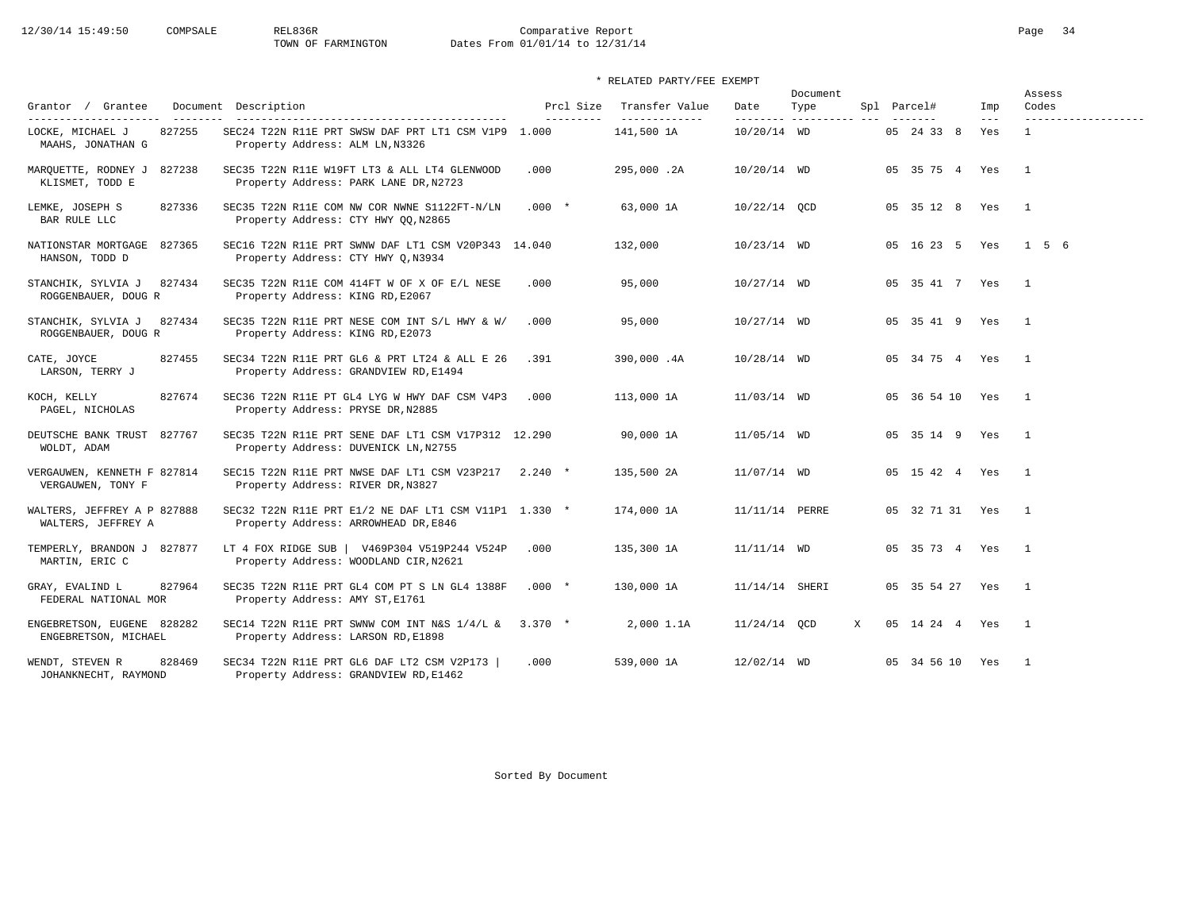# 12/30/14 15:49:50 COMPSALE REL836R Comparative Report Comparative Report Page 34 Dates From 01/01/14 to 12/31/14

|                                                     |                                                                                               |                        |                                  | Document       |                              | Assess               |              |                              |
|-----------------------------------------------------|-----------------------------------------------------------------------------------------------|------------------------|----------------------------------|----------------|------------------------------|----------------------|--------------|------------------------------|
| Grantor / Grantee                                   | Document Description                                                                          | Prcl Size<br>--------- | Transfer Value<br>-------------- | Date           | Type<br>--------- ---------- | Spl Parcel#          | Imp<br>$---$ | Codes<br>------------------- |
| 827255<br>LOCKE, MICHAEL J<br>MAAHS, JONATHAN G     | SEC24 T22N R11E PRT SWSW DAF PRT LT1 CSM V1P9 1.000<br>Property Address: ALM LN, N3326        |                        | 141,500 1A                       | $10/20/14$ WD  |                              | 05 24 33 8           | Yes          | $\mathbf{1}$                 |
| MARQUETTE, RODNEY J 827238<br>KLISMET, TODD E       | SEC35 T22N R11E W19FT LT3 & ALL LT4 GLENWOOD<br>Property Address: PARK LANE DR, N2723         | .000                   | 295,000.2A                       | 10/20/14 WD    |                              | 05 35 75 4 Yes       |              | $\overline{1}$               |
| LEMKE, JOSEPH S<br>827336<br>BAR RULE LLC           | SEC35 T22N R11E COM NW COR NWNE S1122FT-N/LN<br>Property Address: CTY HWY QQ, N2865           | $.000*$                | 63,000 1A                        | $10/22/14$ QCD |                              | 05 35 12 8 Yes       |              | $\overline{1}$               |
| NATIONSTAR MORTGAGE 827365<br>HANSON, TODD D        | SEC16 T22N R11E PRT SWNW DAF LT1 CSM V20P343 14.040<br>Property Address: CTY HWY Q, N3934     |                        | 132,000                          | $10/23/14$ WD  |                              | 05 16 23 5 Yes 1 5 6 |              |                              |
| 827434<br>STANCHIK, SYLVIA J<br>ROGGENBAUER, DOUG R | SEC35 T22N R11E COM 414FT W OF X OF E/L NESE<br>Property Address: KING RD, E2067              | .000                   | 95,000                           | 10/27/14 WD    |                              | 05 35 41 7 Yes       |              | $\overline{1}$               |
| STANCHIK, SYLVIA J 827434<br>ROGGENBAUER, DOUG R    | SEC35 T22N R11E PRT NESE COM INT S/L HWY & W/<br>Property Address: KING RD, E2073             | .000                   | 95,000                           | 10/27/14 WD    |                              | 05 35 41 9 Yes       |              | $\overline{1}$               |
| 827455<br>CATE, JOYCE<br>LARSON, TERRY J            | SEC34 T22N R11E PRT GL6 & PRT LT24 & ALL E 26<br>Property Address: GRANDVIEW RD, E1494        | .391                   | 390,000.4A                       | $10/28/14$ WD  |                              | 05 34 75 4 Yes       |              | $\overline{1}$               |
| 827674<br>KOCH, KELLY<br>PAGEL, NICHOLAS            | SEC36 T22N R11E PT GL4 LYG W HWY DAF CSM V4P3<br>Property Address: PRYSE DR, N2885            | .000                   | 113,000 1A                       | $11/03/14$ WD  |                              | 05 36 54 10 Yes      |              | $\overline{1}$               |
| DEUTSCHE BANK TRUST<br>827767<br>WOLDT, ADAM        | SEC35 T22N R11E PRT SENE DAF LT1 CSM V17P312 12.290<br>Property Address: DUVENICK LN, N2755   |                        | 90,000 1A                        | $11/05/14$ WD  |                              | 05 35 14 9 Yes       |              | $\overline{1}$               |
| VERGAUWEN, KENNETH F 827814<br>VERGAUWEN, TONY F    | SEC15 T22N R11E PRT NWSE DAF LT1 CSM V23P217<br>Property Address: RIVER DR, N3827             | $2.240*$               | 135,500 2A                       | $11/07/14$ WD  |                              | 05 15 42 4 Yes       |              | $\overline{1}$               |
| WALTERS, JEFFREY A P 827888<br>WALTERS, JEFFREY A   | SEC32 T22N R11E PRT E1/2 NE DAF LT1 CSM V11P1 1.330 *<br>Property Address: ARROWHEAD DR, E846 |                        | 174,000 1A                       | 11/11/14 PERRE |                              | 05 32 71 31 Yes      |              | $\overline{1}$               |
| TEMPERLY, BRANDON J 827877<br>MARTIN, ERIC C        | LT 4 FOX RIDGE SUB   V469P304 V519P244 V524P<br>Property Address: WOODLAND CIR, N2621         | .000                   | 135,300 1A                       | $11/11/14$ WD  |                              | 05 35 73 4 Yes       |              | $\mathbf{1}$                 |
| 827964<br>GRAY, EVALIND L<br>FEDERAL NATIONAL MOR   | SEC35 T22N R11E PRT GL4 COM PT S LN GL4 1388F<br>Property Address: AMY ST, E1761              | $.000*$                | 130,000 1A                       | 11/14/14 SHERI |                              | 05 35 54 27 Yes      |              | $\overline{1}$               |
| ENGEBRETSON, EUGENE 828282<br>ENGEBRETSON, MICHAEL  | SEC14 T22N R11E PRT SWNW COM INT N&S $1/4/L$ & 3.370 *<br>Property Address: LARSON RD, E1898  |                        | 2,000 1.1A                       | $11/24/14$ QCD | X                            | 05 14 24 4 Yes       |              | $\overline{1}$               |
| 828469<br>WENDT, STEVEN R<br>JOHANKNECHT, RAYMOND   | SEC34 T22N R11E PRT GL6 DAF LT2 CSM V2P173<br>Property Address: GRANDVIEW RD, E1462           | .000                   | 539,000 1A                       | 12/02/14 WD    |                              | 05 34 56 10 Yes      |              | $\overline{1}$               |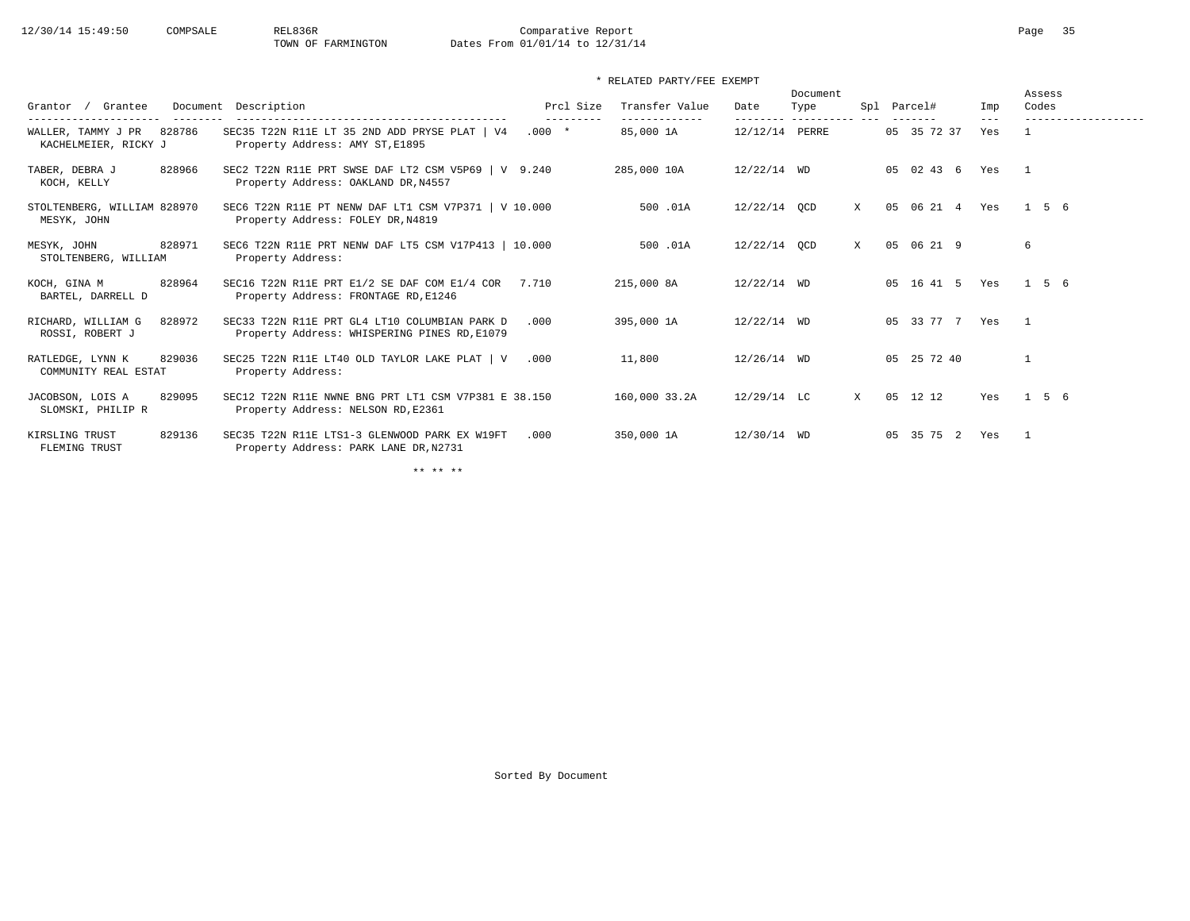| Grantee<br>Grantor<br>----------------<br>---------  | Document Description                                                                           | Prcl Size<br>--------- | Transfer Value<br>------------- | Date           | Document<br>Type<br>--------- ---------- --- | Spl          | Parcel#<br>------- | Imp<br>$---$ | Assess<br>Codes<br>------------------- |
|------------------------------------------------------|------------------------------------------------------------------------------------------------|------------------------|---------------------------------|----------------|----------------------------------------------|--------------|--------------------|--------------|----------------------------------------|
| WALLER, TAMMY J PR<br>828786<br>KACHELMEIER, RICKY J | SEC35 T22N R11E LT 35 2ND ADD PRYSE PLAT   V4<br>Property Address: AMY ST, E1895               | $.000*$                | 85,000 1A                       | 12/12/14 PERRE |                                              |              | 05 35 72 37        | Yes          |                                        |
| 828966<br>TABER, DEBRA J<br>KOCH, KELLY              | SEC2 T22N R11E PRT SWSE DAF LT2 CSM V5P69   V 9.240<br>Property Address: OAKLAND DR, N4557     |                        | 285,000 10A                     | $12/22/14$ WD  |                                              |              | 05 02 43 6         | Yes          | $\overline{1}$                         |
| STOLTENBERG, WILLIAM 828970<br>MESYK, JOHN           | SEC6 T22N R11E PT NENW DAF LT1 CSM V7P371 $\mid$ V 10.000<br>Property Address: FOLEY DR, N4819 |                        | 500.01A                         | 12/22/14 OCD   |                                              | X            | 05 06 21 4         | Yes          | 1 5 6                                  |
| 828971<br>MESYK, JOHN<br>STOLTENBERG, WILLIAM        | SEC6 T22N R11E PRT NENW DAF LT5 CSM V17P413   10.000<br>Property Address:                      |                        | 500.01A                         | 12/22/14 OCD   |                                              | X            | 05 06 21 9         |              | 6                                      |
| 828964<br>KOCH, GINA M<br>BARTEL, DARRELL D          | SEC16 T22N R11E PRT E1/2 SE DAF COM E1/4 COR<br>Property Address: FRONTAGE RD, E1246           | 7.710                  | 215,000 8A                      | $12/22/14$ WD  |                                              |              | 05 16 41 5         | Yes          | 1 5 6                                  |
| RICHARD, WILLIAM G<br>828972<br>ROSSI, ROBERT J      | SEC33 T22N R11E PRT GL4 LT10 COLUMBIAN PARK D<br>Property Address: WHISPERING PINES RD, E1079  | .000                   | 395,000 1A                      | 12/22/14 WD    |                                              |              | 05 33 77 7 Yes     |              | $\overline{1}$                         |
| RATLEDGE, LYNN K<br>829036<br>COMMUNITY REAL ESTAT   | SEC25 T22N R11E LT40 OLD TAYLOR LAKE PLAT   V<br>Property Address:                             | .000                   | 11,800                          | 12/26/14 WD    |                                              |              | 05 25 72 40        |              | $\overline{1}$                         |
| JACOBSON, LOIS A<br>829095<br>SLOMSKI, PHILIP R      | SEC12 T22N R11E NWNE BNG PRT LT1 CSM V7P381 E 38.150<br>Property Address: NELSON RD, E2361     |                        | 160,000 33.2A                   | 12/29/14 LC    |                                              | $\mathbf{x}$ | 12 12<br>0.5       | Yes          | 156                                    |
| 829136<br>KIRSLING TRUST<br>FLEMING TRUST            | SEC35 T22N R11E LTS1-3 GLENWOOD PARK EX W19FT<br>Property Address: PARK LANE DR, N2731         | .000                   | 350,000 1A                      | 12/30/14 WD    |                                              |              | 05 35 75 2         | Yes          | $\overline{1}$                         |

\*\* \*\* \*\*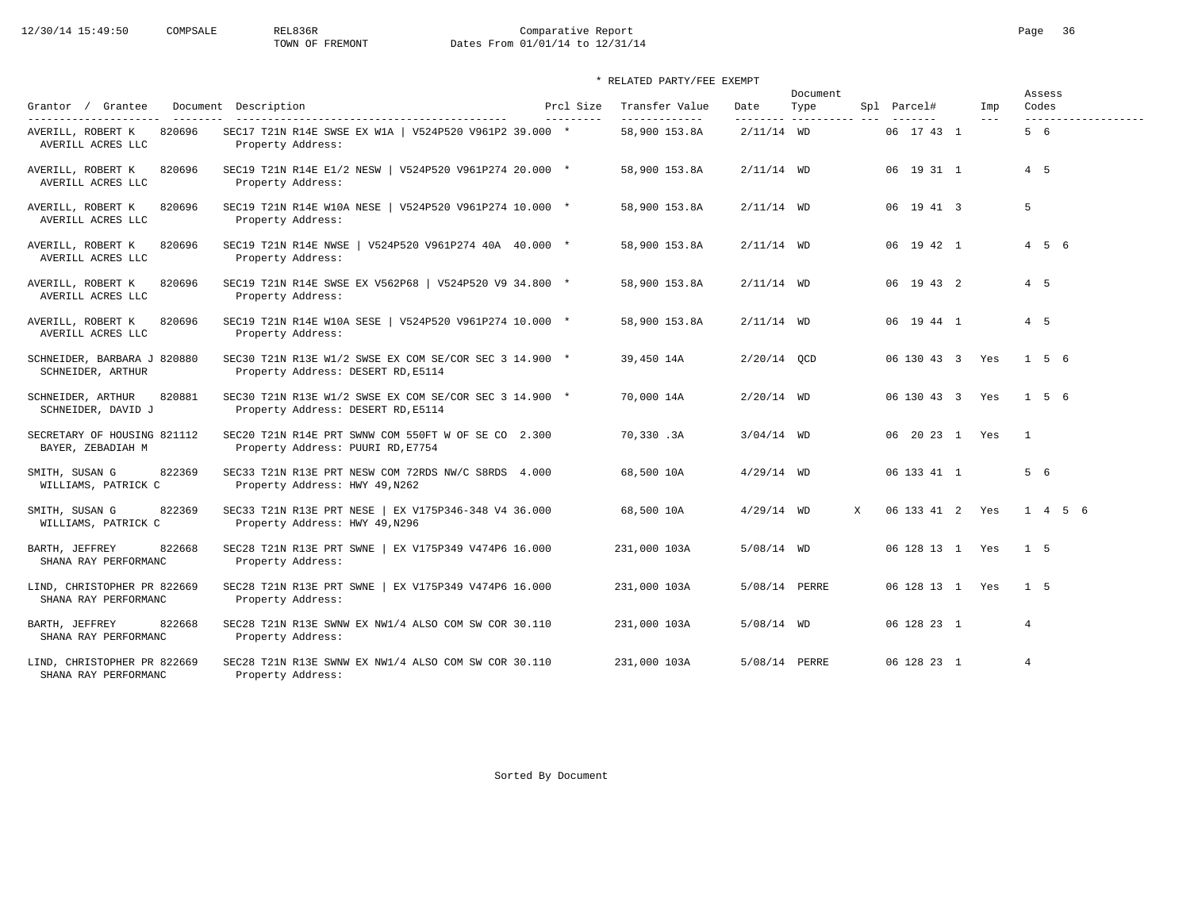# 12/30/14 15:49:50 COMPSALE REL836R Comparative Report Comparative Report Page 36 Dates From 01/01/14 to 12/31/14

|                                                     |                                                                                              |                         |                                 |               | Document                         |                 |              | Assess                       |
|-----------------------------------------------------|----------------------------------------------------------------------------------------------|-------------------------|---------------------------------|---------------|----------------------------------|-----------------|--------------|------------------------------|
| Grantor / Grantee<br>----------------------         | Document Description                                                                         | Prcl Size<br>---------- | Transfer Value<br>------------- | Date          | Type<br>--------- ---------- --- | Spl Parcel#     | Imp<br>$---$ | Codes<br>------------------- |
| AVERILL, ROBERT K<br>820696<br>AVERILL ACRES LLC    | SEC17 T21N R14E SWSE EX W1A   V524P520 V961P2 39.000 *<br>Property Address:                  |                         | 58,900 153.8A                   | $2/11/14$ WD  |                                  | 06 17 43 1      |              | 5 6                          |
| AVERILL, ROBERT K<br>820696<br>AVERILL ACRES LLC    | SEC19 T21N R14E E1/2 NESW   V524P520 V961P274 20.000 *<br>Property Address:                  |                         | 58,900 153.8A                   | $2/11/14$ WD  |                                  | 06 19 31 1      |              | $4\quad 5$                   |
| AVERILL, ROBERT K<br>820696<br>AVERILL ACRES LLC    | SEC19 T21N R14E W10A NESE   V524P520 V961P274 10.000 *<br>Property Address:                  |                         | 58,900 153.8A                   | $2/11/14$ WD  |                                  | 06 19 41 3      |              | 5                            |
| AVERILL, ROBERT K<br>820696<br>AVERILL ACRES LLC    | SEC19 T21N R14E NWSE   V524P520 V961P274 40A 40.000 *<br>Property Address:                   |                         | 58,900 153.8A                   | $2/11/14$ WD  |                                  | 06 19 42 1      |              | $4\quad 5\quad 6$            |
| 820696<br>AVERILL, ROBERT K<br>AVERILL ACRES LLC    | SEC19 T21N R14E SWSE EX V562P68   V524P520 V9 34.800 *<br>Property Address:                  |                         | 58,900 153.8A                   | $2/11/14$ WD  |                                  | 06 19 43 2      |              | $4\quad 5$                   |
| 820696<br>AVERILL, ROBERT K<br>AVERILL ACRES LLC    | SEC19 T21N R14E W10A SESE   V524P520 V961P274 10.000 *<br>Property Address:                  |                         | 58,900 153.8A                   | $2/11/14$ WD  |                                  | 06 19 44 1      |              | 4 5                          |
| SCHNEIDER, BARBARA J 820880<br>SCHNEIDER, ARTHUR    | SEC30 T21N R13E W1/2 SWSE EX COM SE/COR SEC 3 14.900 *<br>Property Address: DESERT RD, E5114 |                         | 39,450 14A                      | $2/20/14$ OCD |                                  | 06 130 43 3 Yes |              | $1 \quad 5 \quad 6$          |
| 820881<br>SCHNEIDER, ARTHUR<br>SCHNEIDER, DAVID J   | SEC30 T21N R13E W1/2 SWSE EX COM SE/COR SEC 3 14.900 *<br>Property Address: DESERT RD, E5114 |                         | 70,000 14A                      | $2/20/14$ WD  |                                  | 06 130 43 3 Yes |              | 1 5 6                        |
| SECRETARY OF HOUSING 821112<br>BAYER, ZEBADIAH M    | SEC20 T21N R14E PRT SWNW COM 550FT W OF SE CO 2.300<br>Property Address: PUURI RD, E7754     |                         | 70,330.3A                       | $3/04/14$ WD  |                                  | 06 20 23 1 Yes  |              | $\overline{1}$               |
| 822369<br>SMITH, SUSAN G<br>WILLIAMS, PATRICK C     | SEC33 T21N R13E PRT NESW COM 72RDS NW/C S8RDS 4.000<br>Property Address: HWY 49, N262        |                         | 68,500 10A                      | $4/29/14$ WD  |                                  | 06 133 41 1     |              | 5 6                          |
| SMITH, SUSAN G<br>822369<br>WILLIAMS, PATRICK C     | SEC33 T21N R13E PRT NESE   EX V175P346-348 V4 36.000<br>Property Address: HWY 49, N296       |                         | 68,500 10A                      | $4/29/14$ WD  | $\mathbf{x}$                     | 06 133 41 2 Yes |              | $1 \t4 \t5 \t6$              |
| 822668<br>BARTH, JEFFREY<br>SHANA RAY PERFORMANC    | SEC28 T21N R13E PRT SWNE   EX V175P349 V474P6 16.000<br>Property Address:                    |                         | 231,000 103A                    | $5/08/14$ WD  |                                  | 06 128 13 1 Yes |              | 1 5                          |
| LIND, CHRISTOPHER PR 822669<br>SHANA RAY PERFORMANC | SEC28 T21N R13E PRT SWNE   EX V175P349 V474P6 16.000<br>Property Address:                    |                         | 231,000 103A                    | 5/08/14 PERRE |                                  | 06 128 13 1 Yes |              | 1 <sub>5</sub>               |
| 822668<br>BARTH, JEFFREY<br>SHANA RAY PERFORMANC    | SEC28 T21N R13E SWNW EX NW1/4 ALSO COM SW COR 30.110<br>Property Address:                    |                         | 231,000 103A                    | $5/08/14$ WD  |                                  | 06 128 23 1     |              | $\overline{4}$               |
| LIND, CHRISTOPHER PR 822669<br>SHANA RAY PERFORMANC | SEC28 T21N R13E SWNW EX NW1/4 ALSO COM SW COR 30.110<br>Property Address:                    |                         | 231,000 103A                    | 5/08/14 PERRE |                                  | 06 128 23 1     |              | $\overline{4}$               |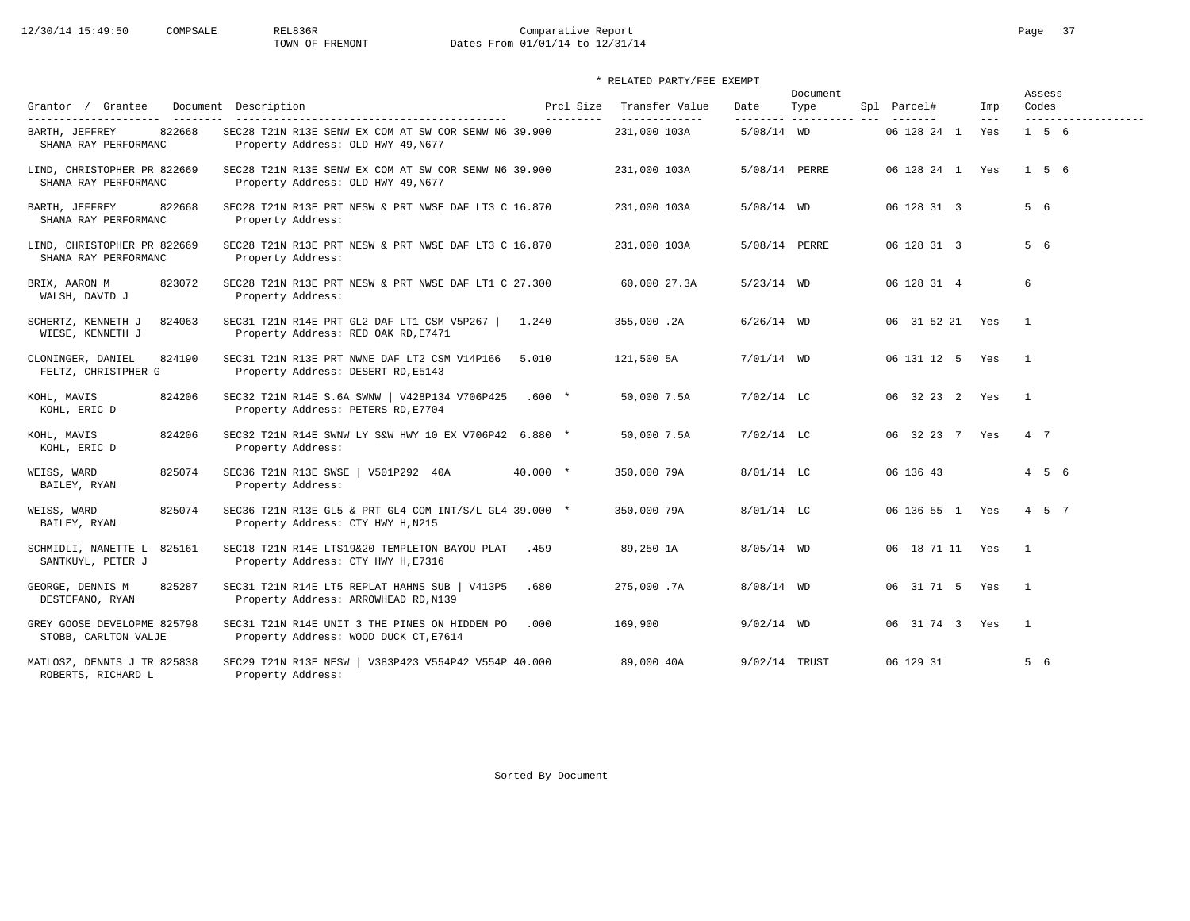# 12/30/14 15:49:50 COMPSALE REL836R Comparative Report Comparative Report Page 37<br>TOWN OF FREMONT Dates From 01/01/14 to 12/31/14 Dates From 01/01/14 to 12/31/14

### \* RELATED PARTY/FEE EXEMPT

|                                                     |                                                                                             |                        |                                 |                  | Document |                 |              | Assess            |
|-----------------------------------------------------|---------------------------------------------------------------------------------------------|------------------------|---------------------------------|------------------|----------|-----------------|--------------|-------------------|
| Grantor / Grantee<br>----------------------         | Document Description                                                                        | Prcl Size<br>--------- | Transfer Value<br>------------- | Date<br>-------- | Type     | Spl Parcel#     | Imp<br>$---$ | Codes             |
| 822668<br>BARTH, JEFFREY<br>SHANA RAY PERFORMANC    | SEC28 T21N R13E SENW EX COM AT SW COR SENW N6 39.900<br>Property Address: OLD HWY 49, N677  |                        | 231,000 103A                    | $5/08/14$ WD     |          | 06 128 24 1     | Yes          | $1\quad 5\quad 6$ |
| LIND, CHRISTOPHER PR 822669<br>SHANA RAY PERFORMANC | SEC28 T21N R13E SENW EX COM AT SW COR SENW N6 39.900<br>Property Address: OLD HWY 49, N677  |                        | 231,000 103A                    | 5/08/14 PERRE    |          | 06 128 24 1 Yes |              | 156               |
| 822668<br>BARTH, JEFFREY<br>SHANA RAY PERFORMANC    | SEC28 T21N R13E PRT NESW & PRT NWSE DAF LT3 C 16.870<br>Property Address:                   |                        | 231,000 103A                    | $5/08/14$ WD     |          | 06 128 31 3     |              | 5 6               |
| LIND, CHRISTOPHER PR 822669<br>SHANA RAY PERFORMANC | SEC28 T21N R13E PRT NESW & PRT NWSE DAF LT3 C 16.870<br>Property Address:                   |                        | 231,000 103A                    | 5/08/14 PERRE    |          | 06 128 31 3     |              | 5 6               |
| 823072<br>BRIX, AARON M<br>WALSH, DAVID J           | SEC28 T21N R13E PRT NESW & PRT NWSE DAF LT1 C 27.300<br>Property Address:                   |                        | 60,000 27.3A                    | $5/23/14$ WD     |          | 06 128 31 4     |              | 6                 |
| 824063<br>SCHERTZ, KENNETH J<br>WIESE, KENNETH J    | SEC31 T21N R14E PRT GL2 DAF LT1 CSM V5P267  <br>Property Address: RED OAK RD, E7471         | 1.240                  | 355,000.2A                      | $6/26/14$ WD     |          | 06 31 52 21 Yes |              | $\overline{1}$    |
| 824190<br>CLONINGER, DANIEL<br>FELTZ, CHRISTPHER G  | SEC31 T21N R13E PRT NWNE DAF LT2 CSM V14P166<br>Property Address: DESERT RD, E5143          | 5.010                  | 121,500 5A                      | $7/01/14$ WD     |          | 06 131 12 5 Yes |              | $\overline{1}$    |
| KOHL, MAVIS<br>824206<br>KOHL, ERIC D               | SEC32 T21N R14E S.6A SWNW   V428P134 V706P425<br>Property Address: PETERS RD, E7704         | $.600*$                | 50,000 7.5A                     | $7/02/14$ LC     |          | 06 32 23 2 Yes  |              | $\mathbf{1}$      |
| KOHL, MAVIS<br>824206<br>KOHL, ERIC D               | SEC32 T21N R14E SWNW LY S&W HWY 10 EX V706P42 6.880 *<br>Property Address:                  |                        | 50,000 7.5A                     | $7/02/14$ LC     |          | 06 32 23 7 Yes  |              | 4 7               |
| 825074<br>WEISS, WARD<br>BAILEY, RYAN               | SEC36 T21N R13E SWSE   V501P292 40A<br>Property Address:                                    | $40.000$ *             | 350,000 79A                     | $8/01/14$ LC     |          | 06 136 43       |              | $4\quad 5\quad 6$ |
| 825074<br>WEISS, WARD<br>BAILEY, RYAN               | SEC36 T21N R13E GL5 & PRT GL4 COM INT/S/L GL4 39.000 *<br>Property Address: CTY HWY H, N215 |                        | 350,000 79A                     | 8/01/14 LC       |          | 06 136 55 1 Yes |              | $4\quad 5\quad 7$ |
| SCHMIDLI, NANETTE L<br>825161<br>SANTKUYL, PETER J  | SEC18 T21N R14E LTS19&20 TEMPLETON BAYOU PLAT<br>Property Address: CTY HWY H, E7316         | .459                   | 89,250 1A                       | $8/05/14$ WD     |          | 06 18 71 11 Yes |              | $\mathbf{1}$      |
| 825287<br>GEORGE, DENNIS M<br>DESTEFANO, RYAN       | SEC31 T21N R14E LT5 REPLAT HAHNS SUB   V413P5<br>Property Address: ARROWHEAD RD, N139       | .680                   | 275,000.7A                      | $8/08/14$ WD     |          | 06 31 71 5 Yes  |              | $\mathbf{1}$      |
| GREY GOOSE DEVELOPME 825798<br>STOBB, CARLTON VALJE | SEC31 T21N R14E UNIT 3 THE PINES ON HIDDEN PO<br>Property Address: WOOD DUCK CT, E7614      | .000                   | 169,900                         | $9/02/14$ WD     |          | 06 31 74 3 Yes  |              | $\overline{1}$    |
| MATLOSZ, DENNIS J TR 825838<br>ROBERTS, RICHARD L   | SEC29 T21N R13E NESW   V383P423 V554P42 V554P 40.000<br>Property Address:                   |                        | 89,000 40A                      | 9/02/14 TRUST    |          | 06 129 31       |              | 5 6               |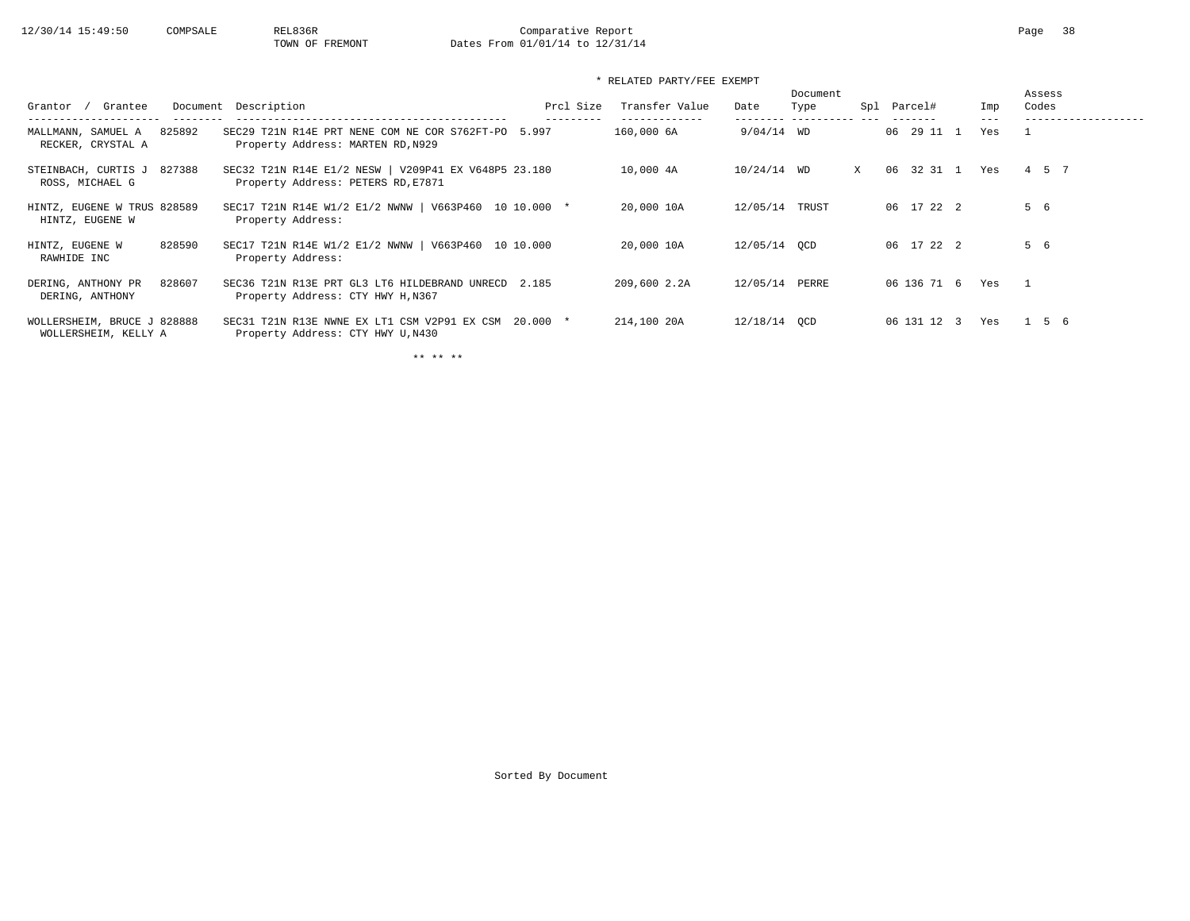### \* RELATED PARTY/FEE EXEMPT

| Grantee<br>Grantor                                  | Document Description                                                                       | Prcl Size | Transfer Value | Date         | Document<br>Type<br>---------- | Spl | Parcel#       | Imp | Assess<br>Codes |
|-----------------------------------------------------|--------------------------------------------------------------------------------------------|-----------|----------------|--------------|--------------------------------|-----|---------------|-----|-----------------|
| 825892<br>MALLMANN, SAMUEL A<br>RECKER, CRYSTAL A   | SEC29 T21N R14E PRT NENE COM NE COR S762FT-PO 5.997<br>Property Address: MARTEN RD, N929   |           | 160,000 6A     | $9/04/14$ WD |                                |     | 06 29 11      | Yes |                 |
| 827388<br>STEINBACH, CURTIS J<br>ROSS, MICHAEL G    | SEC32 T21N R14E E1/2 NESW   V209P41 EX V648P5 23.180<br>Property Address: PETERS RD, E7871 |           | 10,000 4A      | 10/24/14 WD  |                                | X   | 32 31 1<br>06 | Yes | 4 5 7           |
| HINTZ, EUGENE W TRUS 828589<br>HINTZ, EUGENE W      | SEC17 T21N R14E W1/2 E1/2 NWNW   V663P460 10 10.000 *<br>Property Address:                 |           | 20,000 10A     | 12/05/14     | TRUST                          |     | 06 17 22 2    |     | 5 6             |
| 828590<br>HINTZ, EUGENE W<br>RAWHIDE INC            | SEC17 T21N R14E W1/2 E1/2 NWNW   V663P460 10 10.000<br>Property Address:                   |           | 20,000 10A     | 12/05/14 OCD |                                |     | 06 17 22 2    |     | 5 6             |
| 828607<br>DERING, ANTHONY PR<br>DERING, ANTHONY     | SEC36 T21N R13E PRT GL3 LT6 HILDEBRAND UNRECD 2.185<br>Property Address: CTY HWY H, N367   |           | 209,600 2.2A   | 12/05/14     | PERRE                          |     | 06 136 71 6   | Yes |                 |
| WOLLERSHEIM, BRUCE J 828888<br>WOLLERSHEIM, KELLY A | SEC31 T21N R13E NWNE EX LT1 CSM V2P91 EX CSM<br>Property Address: CTY HWY U, N430          | $20.000*$ | 214,100 20A    | 12/18/14 OCD |                                |     | 06 131 12 3   | Yes | 1 5 6           |

\*\* \*\* \*\*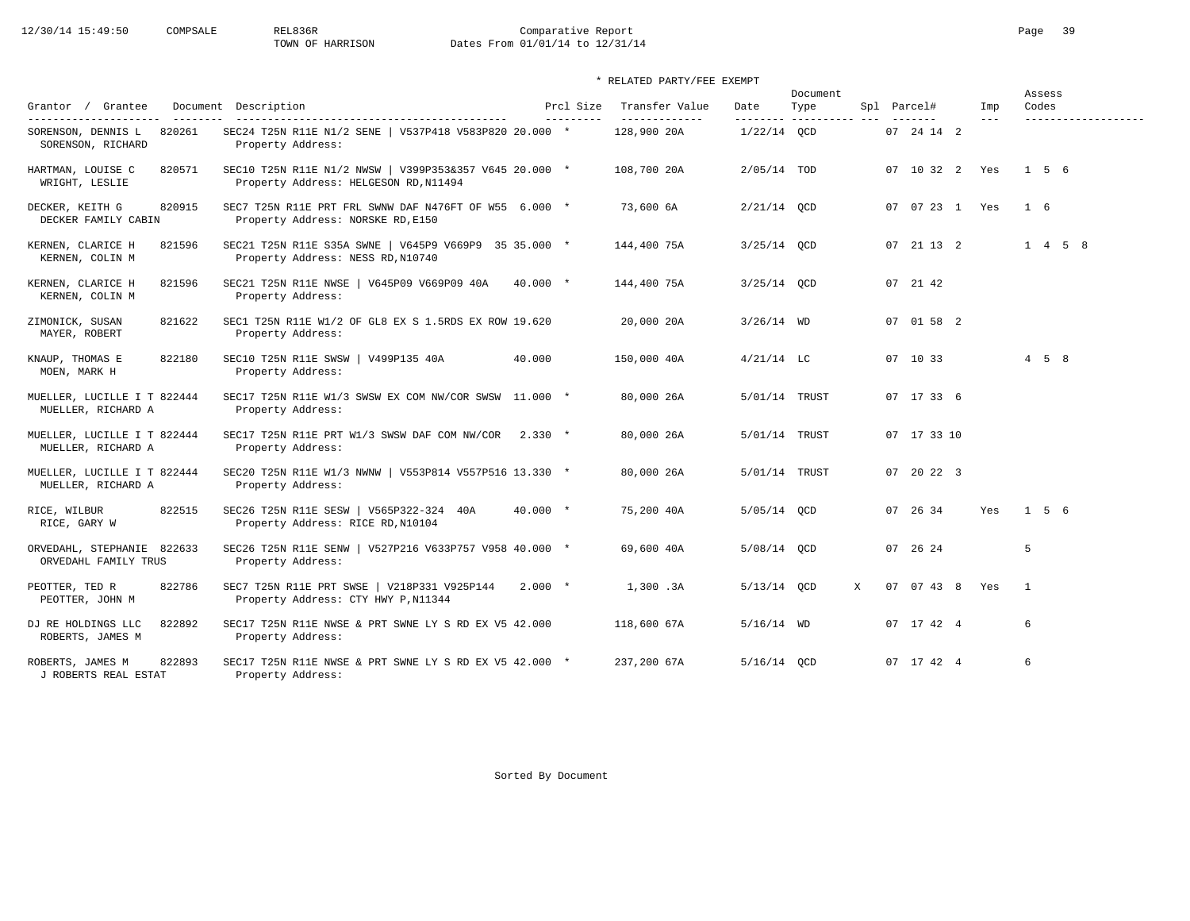# 12/30/14 15:49:50 COMPSALE REL836R Comparative Report Comparative Report Page 39 Dates From 01/01/14 to 12/31/14

\* RELATED PARTY/FEE EXEMPT

| Grantor / Grantee                                  |        | Document Description                                                                            |            | Prcl Size | Transfer Value               | Date                       | Document<br>Type |   | Spl Parcel#                   | Imp     | Assess<br>Codes   |                 |  |
|----------------------------------------------------|--------|-------------------------------------------------------------------------------------------------|------------|-----------|------------------------------|----------------------------|------------------|---|-------------------------------|---------|-------------------|-----------------|--|
| SORENSON, DENNIS L<br>SORENSON, RICHARD            | 820261 | SEC24 T25N R11E N1/2 SENE   V537P418 V583P820 20.000 *<br>Property Address:                     |            | --------- | -------------<br>128,900 20A | ---------<br>$1/22/14$ OCD | ----------- ---  |   | $- - - - - - -$<br>07 24 14 2 | $- - -$ |                   |                 |  |
| HARTMAN, LOUISE C<br>WRIGHT, LESLIE                | 820571 | SEC10 T25N R11E N1/2 NWSW   V399P353&357 V645 20.000 *<br>Property Address: HELGESON RD, N11494 |            |           | 108,700 20A                  | $2/05/14$ TOD              |                  |   | 07 10 32 2 Yes                |         | 1 5 6             |                 |  |
| DECKER, KEITH G<br>DECKER FAMILY CABIN             | 820915 | SEC7 T25N R11E PRT FRL SWNW DAF N476FT OF W55 6.000 *<br>Property Address: NORSKE RD, E150      |            |           | 73,600 6A                    | $2/21/14$ OCD              |                  |   | 07 07 23 1 Yes                |         | 1 6               |                 |  |
| KERNEN, CLARICE H<br>KERNEN, COLIN M               | 821596 | SEC21 T25N R11E S35A SWNE   V645P9 V669P9 35 35.000 *<br>Property Address: NESS RD, N10740      |            |           | 144,400 75A                  | $3/25/14$ OCD              |                  |   | 07 21 13 2                    |         |                   | $1 \t4 \t5 \t8$ |  |
| KERNEN, CLARICE H<br>KERNEN, COLIN M               | 821596 | SEC21 T25N R11E NWSE   V645P09 V669P09 40A<br>Property Address:                                 | $40.000$ * |           | 144,400 75A                  | $3/25/14$ OCD              |                  |   | 07 21 42                      |         |                   |                 |  |
| ZIMONICK, SUSAN<br>MAYER, ROBERT                   | 821622 | SEC1 T25N R11E W1/2 OF GL8 EX S 1.5RDS EX ROW 19.620<br>Property Address:                       |            |           | 20,000 20A                   | $3/26/14$ WD               |                  |   | 07 01 58 2                    |         |                   |                 |  |
| KNAUP, THOMAS E<br>MOEN, MARK H                    | 822180 | SEC10 T25N R11E SWSW   V499P135 40A<br>Property Address:                                        | 40.000     |           | 150,000 40A                  | $4/21/14$ LC               |                  |   | 07 10 33                      |         | $4\quad 5\quad 8$ |                 |  |
| MUELLER, LUCILLE I T 822444<br>MUELLER, RICHARD A  |        | SEC17 T25N R11E W1/3 SWSW EX COM NW/COR SWSW 11.000 *<br>Property Address:                      |            |           | 80,000 26A                   | 5/01/14 TRUST              |                  |   | 07 17 33 6                    |         |                   |                 |  |
| MUELLER, LUCILLE I T 822444<br>MUELLER, RICHARD A  |        | SEC17 T25N R11E PRT W1/3 SWSW DAF COM NW/COR 2.330 *<br>Property Address:                       |            |           | 80,000 26A                   | 5/01/14 TRUST              |                  |   | 07 17 33 10                   |         |                   |                 |  |
| MUELLER, LUCILLE I T 822444<br>MUELLER, RICHARD A  |        | SEC20 T25N R11E W1/3 NWNW   V553P814 V557P516 13.330 *<br>Property Address:                     |            |           | 80,000 26A                   | 5/01/14 TRUST              |                  |   | 07 20 22 3                    |         |                   |                 |  |
| RICE, WILBUR<br>RICE, GARY W                       | 822515 | SEC26 T25N R11E SESW   V565P322-324 40A<br>Property Address: RICE RD, N10104                    | $40.000$ * |           | 75,200 40A                   | 5/05/14 QCD                |                  |   | 07 26 34                      | Yes     | 1 5 6             |                 |  |
| ORVEDAHL, STEPHANIE 822633<br>ORVEDAHL FAMILY TRUS |        | SEC26 T25N R11E SENW   V527P216 V633P757 V958 40.000 *<br>Property Address:                     |            |           | 69,600 40A                   | 5/08/14 OCD                |                  |   | 07 26 24                      |         | 5                 |                 |  |
| PEOTTER, TED R<br>PEOTTER, JOHN M                  | 822786 | SEC7 T25N R11E PRT SWSE   V218P331 V925P144<br>Property Address: CTY HWY P, N11344              | $2.000*$   |           | 1,300.3A                     | $5/13/14$ OCD              |                  | X | 07 07 43 8 Yes                |         | $\overline{1}$    |                 |  |
| DJ RE HOLDINGS LLC<br>ROBERTS, JAMES M             | 822892 | SEC17 T25N R11E NWSE & PRT SWNE LY S RD EX V5 42.000<br>Property Address:                       |            |           | 118,600 67A                  | $5/16/14$ WD               |                  |   | 07 17 42 4                    |         | 6                 |                 |  |
| ROBERTS, JAMES M<br>J ROBERTS REAL ESTAT           | 822893 | SEC17 T25N R11E NWSE & PRT SWNE LY S RD EX V5 42.000 *<br>Property Address:                     |            |           | 237,200 67A                  | 5/16/14 OCD                |                  |   | 07 17 42 4                    |         | 6                 |                 |  |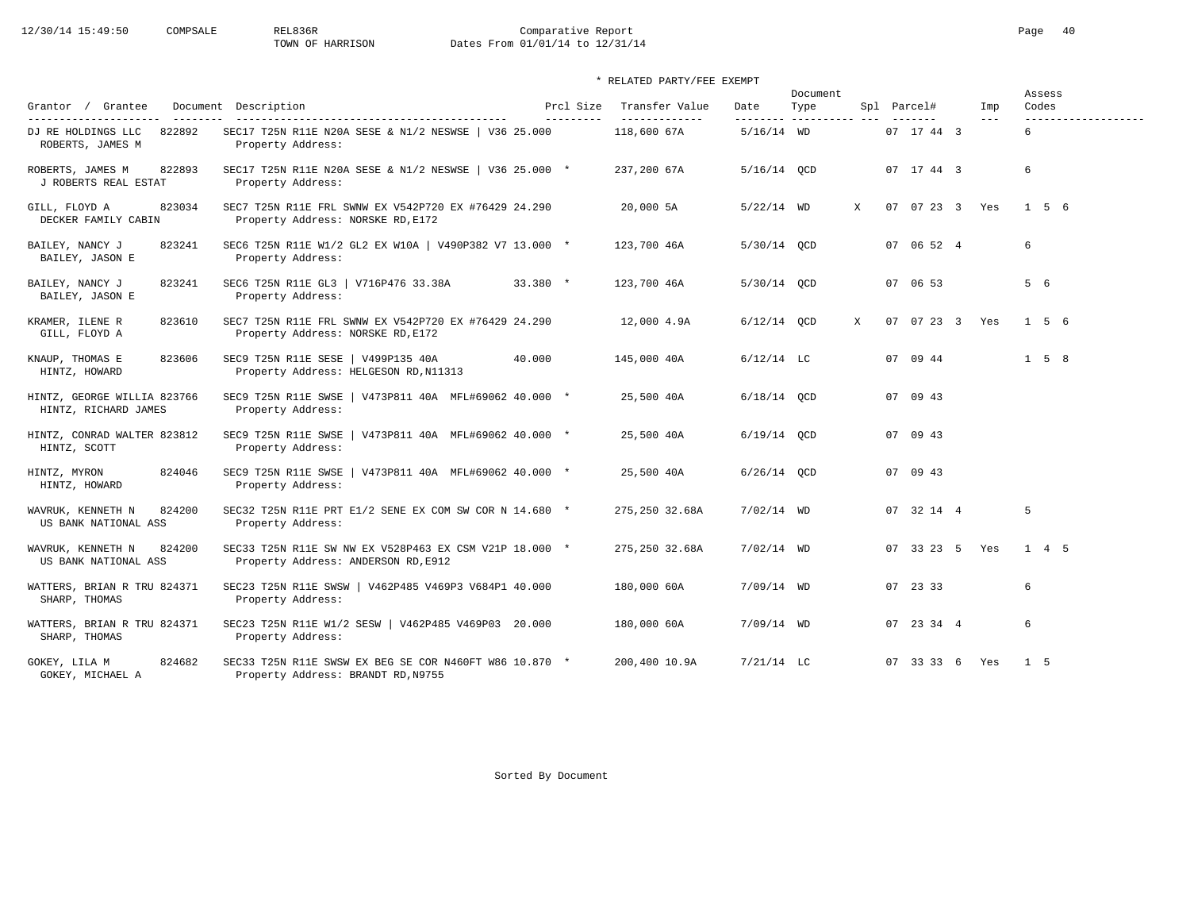# 12/30/14 15:49:50 COMPSALE REL836R Comparative Report Comparative Report Page 40 Dates From 01/01/14 to 12/31/14

### \* RELATED PARTY/FEE EXEMPT

|                                                     |                                                                                               |                         |                                 |               | Document                          |              |                |              | Assess                       |  |
|-----------------------------------------------------|-----------------------------------------------------------------------------------------------|-------------------------|---------------------------------|---------------|-----------------------------------|--------------|----------------|--------------|------------------------------|--|
| Grantor / Grantee<br>---------------------          | Document Description<br>----------------------------------                                    | Prcl Size<br>---------- | Transfer Value<br>_____________ | Date          | Type<br>--------- ----------- --- |              | Spl Parcel#    | Imp<br>$---$ | Codes<br>------------------- |  |
| 822892<br>DJ RE HOLDINGS LLC<br>ROBERTS, JAMES M    | SEC17 T25N R11E N20A SESE & N1/2 NESWSE   V36 25.000<br>Property Address:                     |                         | 118,600 67A                     | $5/16/14$ WD  |                                   |              | 07 17 44 3     |              | 6                            |  |
| ROBERTS, JAMES M<br>822893<br>J ROBERTS REAL ESTAT  | SEC17 T25N R11E N20A SESE & N1/2 NESWSE   V36 25.000 *<br>Property Address:                   |                         | 237,200 67A                     | 5/16/14 OCD   |                                   |              | 07 17 44 3     |              | 6                            |  |
| 823034<br>GILL, FLOYD A<br>DECKER FAMILY CABIN      | SEC7 T25N R11E FRL SWNW EX V542P720 EX #76429 24.290<br>Property Address: NORSKE RD, E172     |                         | 20,000 5A                       | $5/22/14$ WD  |                                   | $\mathbf{x}$ | 07 07 23 3 Yes |              | $1\,5\,6$                    |  |
| BAILEY, NANCY J<br>823241<br>BAILEY, JASON E        | SEC6 T25N R11E W1/2 GL2 EX W10A   V490P382 V7 13.000 *<br>Property Address:                   |                         | 123,700 46A                     | 5/30/14 QCD   |                                   |              | 07 06 52 4     |              | 6                            |  |
| 823241<br>BAILEY, NANCY J<br>BAILEY, JASON E        | SEC6 T25N R11E GL3   V716P476 33.38A<br>Property Address:                                     | $33.380$ *              | 123,700 46A                     | 5/30/14 QCD   |                                   |              | 07 06 53       |              | 5 6                          |  |
| KRAMER, ILENE R<br>823610<br>GILL, FLOYD A          | SEC7 T25N R11E FRL SWNW EX V542P720 EX #76429 24.290<br>Property Address: NORSKE RD, E172     |                         | 12,000 4.9A                     | $6/12/14$ OCD |                                   | X            | 07 07 23 3 Yes |              | $1\quad 5\quad 6$            |  |
| 823606<br>KNAUP, THOMAS E<br>HINTZ, HOWARD          | SEC9 T25N R11E SESE   V499P135 40A<br>Property Address: HELGESON RD, N11313                   | 40.000                  | 145,000 40A                     | $6/12/14$ LC  |                                   |              | 07 09 44       |              | $1\quad 5\quad 8$            |  |
| HINTZ, GEORGE WILLIA 823766<br>HINTZ, RICHARD JAMES | SEC9 T25N R11E SWSE   V473P811 40A MFL#69062 40.000 *<br>Property Address:                    |                         | 25,500 40A                      | $6/18/14$ QCD |                                   |              | 07 09 43       |              |                              |  |
| HINTZ, CONRAD WALTER 823812<br>HINTZ, SCOTT         | SEC9 T25N R11E SWSE   V473P811 40A MFL#69062 40.000 *<br>Property Address:                    |                         | 25,500 40A                      | $6/19/14$ OCD |                                   |              | 07 09 43       |              |                              |  |
| 824046<br>HINTZ, MYRON<br>HINTZ, HOWARD             | SEC9 T25N R11E SWSE   V473P811 40A MFL#69062 40.000 *<br>Property Address:                    |                         | 25,500 40A                      | $6/26/14$ OCD |                                   |              | 07 09 43       |              |                              |  |
| WAVRUK, KENNETH N<br>824200<br>US BANK NATIONAL ASS | SEC32 T25N R11E PRT E1/2 SENE EX COM SW COR N 14.680 *<br>Property Address:                   |                         | 275,250 32.68A                  | $7/02/14$ WD  |                                   |              | 07 32 14 4     |              | 5                            |  |
| 824200<br>WAVRUK, KENNETH N<br>US BANK NATIONAL ASS | SEC33 T25N R11E SW NW EX V528P463 EX CSM V21P 18.000 *<br>Property Address: ANDERSON RD, E912 |                         | 275,250 32.68A                  | $7/02/14$ WD  |                                   |              | 07 33 23 5 Yes |              | $1 \quad 4 \quad 5$          |  |
| WATTERS, BRIAN R TRU 824371<br>SHARP, THOMAS        | SEC23 T25N R11E SWSW   V462P485 V469P3 V684P1 40.000<br>Property Address:                     |                         | 180,000 60A                     | $7/09/14$ WD  |                                   |              | 07 23 33       |              | 6                            |  |
| WATTERS, BRIAN R TRU 824371<br>SHARP, THOMAS        | SEC23 T25N R11E W1/2 SESW   V462P485 V469P03 20.000<br>Property Address:                      |                         | 180,000 60A                     | $7/09/14$ WD  |                                   |              | 07 23 34 4     |              | 6                            |  |
| 824682<br>GOKEY, LILA M<br>GOKEY, MICHAEL A         | SEC33 T25N R11E SWSW EX BEG SE COR N460FT W86 10.870 *<br>Property Address: BRANDT RD, N9755  |                         | 200,400 10.9A                   | $7/21/14$ LC  |                                   |              | 07 33 33 6 Yes |              | $1\quad5$                    |  |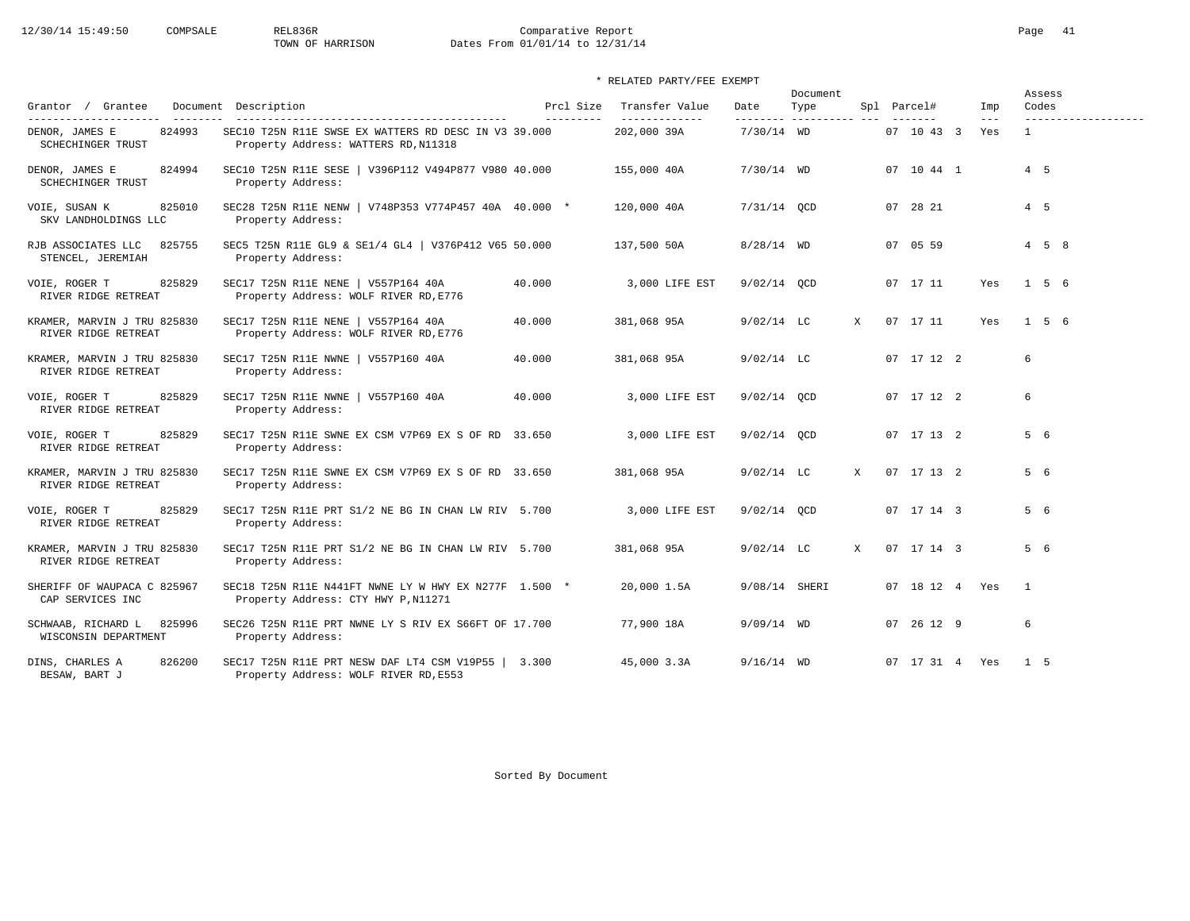# 12/30/14 15:49:50 COMPSALE REL836R Comparative Report Comparative Report Page 41<br>TOWN OF HARRISON Dates From 01/01/14 to 12/31/14 Dates From 01/01/14 to 12/31/14

|                                                      |                                                                                              |                                  |                                 |                   | Document |   |             |            |                            | Assess                       |
|------------------------------------------------------|----------------------------------------------------------------------------------------------|----------------------------------|---------------------------------|-------------------|----------|---|-------------|------------|----------------------------|------------------------------|
| Grantor / Grantee<br>----------------------          | Document Description                                                                         | Prcl Size<br>$- - - - - - - - -$ | Transfer Value<br>------------- | Date<br>--------- | Type     |   | Spl Parcel# |            | Imp<br>$\qquad \qquad - -$ | Codes<br>------------------- |
| 824993<br>DENOR, JAMES E<br><b>SCHECHINGER TRUST</b> | SEC10 T25N R11E SWSE EX WATTERS RD DESC IN V3 39.000<br>Property Address: WATTERS RD, N11318 |                                  | 202,000 39A                     | $7/30/14$ WD      |          |   |             | 07 10 43 3 | Yes                        | $\mathbf{1}$                 |
| 824994<br>DENOR, JAMES E<br>SCHECHINGER TRUST        | SEC10 T25N R11E SESE   V396P112 V494P877 V980 40.000<br>Property Address:                    |                                  | 155,000 40A                     | $7/30/14$ WD      |          |   |             | 07 10 44 1 |                            | $4\quad 5$                   |
| VOIE, SUSAN K<br>825010<br>SKV LANDHOLDINGS LLC      | SEC28 T25N R11E NENW   V748P353 V774P457 40A 40.000 *<br>Property Address:                   |                                  | 120,000 40A                     | $7/31/14$ QCD     |          |   |             | 07 28 21   |                            | $4\quad 5$                   |
| 825755<br>RJB ASSOCIATES LLC<br>STENCEL, JEREMIAH    | SEC5 T25N R11E GL9 & SE1/4 GL4   V376P412 V65 50.000<br>Property Address:                    |                                  | 137,500 50A                     | $8/28/14$ WD      |          |   |             | 07 05 59   |                            | $4\quad 5\quad 8$            |
| 825829<br>VOIE, ROGER T<br>RIVER RIDGE RETREAT       | SEC17 T25N R11E NENE   V557P164 40A<br>Property Address: WOLF RIVER RD, E776                 | 40.000                           | 3,000 LIFE EST                  | $9/02/14$ QCD     |          |   |             | 07 17 11   | Yes                        | $1\quad 5\quad 6$            |
| KRAMER, MARVIN J TRU 825830<br>RIVER RIDGE RETREAT   | SEC17 T25N R11E NENE   V557P164 40A<br>Property Address: WOLF RIVER RD, E776                 | 40.000                           | 381,068 95A                     | $9/02/14$ LC      |          | X |             | 07 17 11   | Yes                        | $1\quad 5\quad 6$            |
| KRAMER, MARVIN J TRU 825830<br>RIVER RIDGE RETREAT   | SEC17 T25N R11E NWNE   V557P160 40A<br>Property Address:                                     | 40.000                           | 381,068 95A                     | $9/02/14$ LC      |          |   |             | 07 17 12 2 |                            | 6                            |
| 825829<br>VOIE, ROGER T<br>RIVER RIDGE RETREAT       | SEC17 T25N R11E NWNE   V557P160 40A<br>Property Address:                                     | 40.000                           | 3,000 LIFE EST                  | $9/02/14$ QCD     |          |   |             | 07 17 12 2 |                            | 6                            |
| 825829<br>VOIE, ROGER T<br>RIVER RIDGE RETREAT       | SEC17 T25N R11E SWNE EX CSM V7P69 EX S OF RD 33.650<br>Property Address:                     |                                  | 3,000 LIFE EST                  | $9/02/14$ OCD     |          |   |             | 07 17 13 2 |                            | 5 6                          |
| KRAMER, MARVIN J TRU 825830<br>RIVER RIDGE RETREAT   | SEC17 T25N R11E SWNE EX CSM V7P69 EX S OF RD 33.650<br>Property Address:                     |                                  | 381,068 95A                     | $9/02/14$ LC      |          | X |             | 07 17 13 2 |                            | 5 6                          |
| 825829<br>VOIE, ROGER T<br>RIVER RIDGE RETREAT       | SEC17 T25N R11E PRT S1/2 NE BG IN CHAN LW RIV 5.700<br>Property Address:                     |                                  | 3,000 LIFE EST                  | 9/02/14 QCD       |          |   |             | 07 17 14 3 |                            | 5 6                          |
| KRAMER, MARVIN J TRU 825830<br>RIVER RIDGE RETREAT   | SEC17 T25N R11E PRT S1/2 NE BG IN CHAN LW RIV 5.700<br>Property Address:                     |                                  | 381,068 95A                     | $9/02/14$ LC      |          | X |             | 07 17 14 3 |                            | 5 6                          |
| SHERIFF OF WAUPACA C 825967<br>CAP SERVICES INC      | SEC18 T25N R11E N441FT NWNE LY W HWY EX N277F 1.500 *<br>Property Address: CTY HWY P, N11271 |                                  | 20,000 1.5A                     | 9/08/14 SHERI     |          |   |             |            | 07 18 12 4 Yes             | $\overline{1}$               |
| SCHWAAB, RICHARD L<br>825996<br>WISCONSIN DEPARTMENT | SEC26 T25N R11E PRT NWNE LY S RIV EX S66FT OF 17.700<br>Property Address:                    |                                  | 77,900 18A                      | $9/09/14$ WD      |          |   |             | 07 26 12 9 |                            | 6                            |
| 826200<br>DINS, CHARLES A<br>BESAW, BART J           | SEC17 T25N R11E PRT NESW DAF LT4 CSM V19P55   3.300<br>Property Address: WOLF RIVER RD, E553 |                                  | 45,000 3.3A                     | $9/16/14$ WD      |          |   |             |            | 07 17 31 4 Yes             | 1 5                          |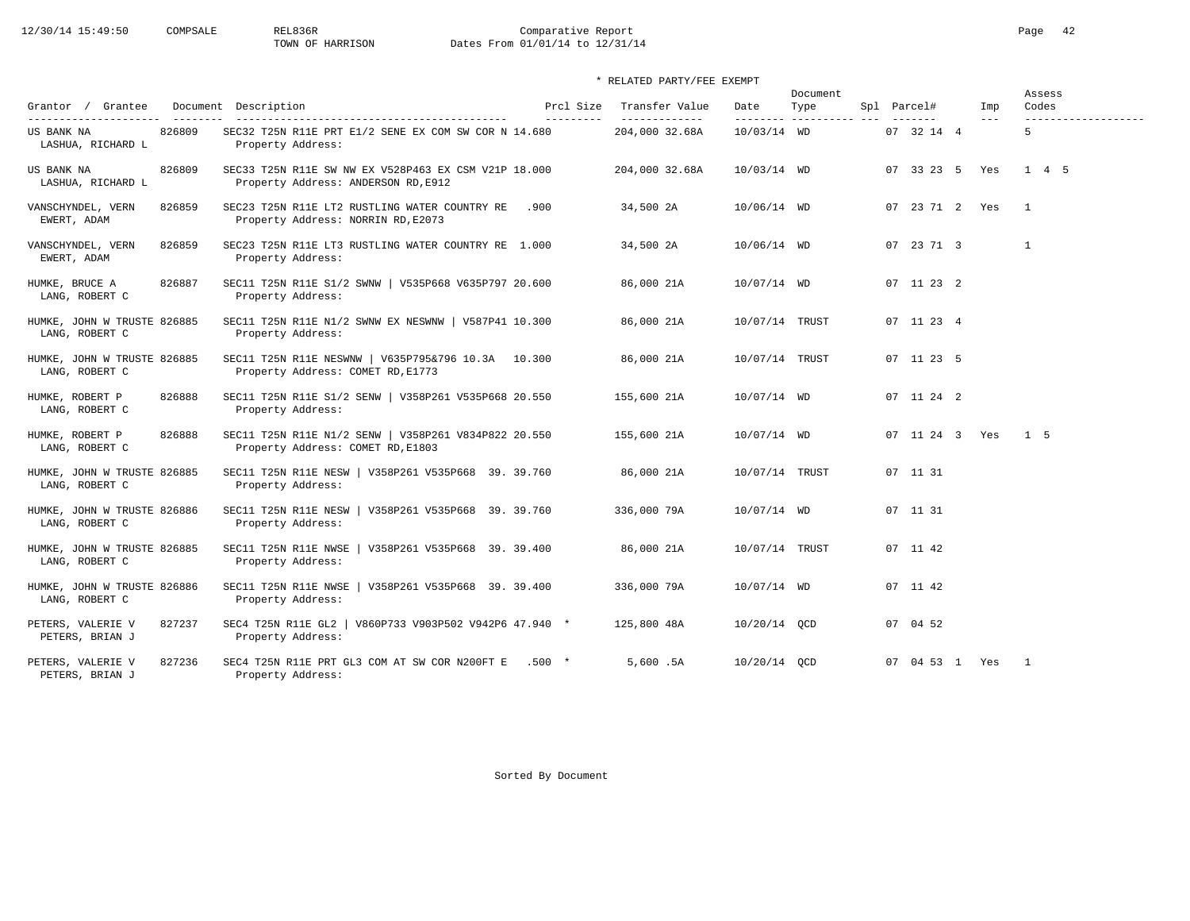# 12/30/14 15:49:50 COMPSALE REL836R Comparative Report Comparative Report Page 42<br>TOWN OF HARRISON Dates From 01/01/14 to 12/31/14 Dates From 01/01/14 to 12/31/14

### \* RELATED PARTY/FEE EXEMPT

| Grantor / Grantee                             |        | Document Description                                                                        | Prcl Size  | Transfer Value                  | Date           | Document<br>Type | Spl Parcel#                   | Imp                 | Assess<br>Codes          |
|-----------------------------------------------|--------|---------------------------------------------------------------------------------------------|------------|---------------------------------|----------------|------------------|-------------------------------|---------------------|--------------------------|
| ----------------------<br>US BANK NA          | 826809 | SEC32 T25N R11E PRT E1/2 SENE EX COM SW COR N 14.680                                        | ---------- | _____________<br>204,000 32.68A | 10/03/14 WD    |                  | $- - - - - - -$<br>07 32 14 4 | $\qquad \qquad - -$ | -------------------<br>5 |
| LASHUA, RICHARD L                             |        | Property Address:                                                                           |            |                                 |                |                  |                               |                     |                          |
| US BANK NA<br>LASHUA, RICHARD L               | 826809 | SEC33 T25N R11E SW NW EX V528P463 EX CSM V21P 18.000<br>Property Address: ANDERSON RD, E912 |            | 204,000 32.68A                  | 10/03/14 WD    |                  | 07 33 23 5 Yes                |                     | 1 4 5                    |
| VANSCHYNDEL, VERN<br>EWERT, ADAM              | 826859 | SEC23 T25N R11E LT2 RUSTLING WATER COUNTRY RE<br>Property Address: NORRIN RD, E2073         | .900       | 34,500 2A                       | 10/06/14 WD    |                  | 07 23 71 2 Yes                |                     | $\overline{1}$           |
| VANSCHYNDEL, VERN<br>EWERT, ADAM              | 826859 | SEC23 T25N R11E LT3 RUSTLING WATER COUNTRY RE 1.000<br>Property Address:                    |            | 34,500 2A                       | 10/06/14 WD    |                  | 07 23 71 3                    |                     | $\mathbf{1}$             |
| HUMKE, BRUCE A<br>LANG, ROBERT C              | 826887 | SEC11 T25N R11E S1/2 SWNW   V535P668 V635P797 20.600<br>Property Address:                   |            | 86,000 21A                      | 10/07/14 WD    |                  | 07 11 23 2                    |                     |                          |
| HUMKE, JOHN W TRUSTE 826885<br>LANG, ROBERT C |        | SEC11 T25N R11E N1/2 SWNW EX NESWNW   V587P41 10.300<br>Property Address:                   |            | 86,000 21A                      | 10/07/14 TRUST |                  | 07 11 23 4                    |                     |                          |
| HUMKE, JOHN W TRUSTE 826885<br>LANG, ROBERT C |        | SEC11 T25N R11E NESWNW   V635P795&796 10.3A 10.300<br>Property Address: COMET RD, E1773     |            | 86,000 21A                      | 10/07/14 TRUST |                  | 07 11 23 5                    |                     |                          |
| HUMKE, ROBERT P<br>LANG, ROBERT C             | 826888 | SEC11 T25N R11E S1/2 SENW   V358P261 V535P668 20.550<br>Property Address:                   |            | 155,600 21A                     | 10/07/14 WD    |                  | 07 11 24 2                    |                     |                          |
| HUMKE, ROBERT P<br>LANG, ROBERT C             | 826888 | SEC11 T25N R11E N1/2 SENW   V358P261 V834P822 20.550<br>Property Address: COMET RD, E1803   |            | 155,600 21A                     | 10/07/14 WD    |                  | 07 11 24 3 Yes                |                     | 1 <sub>5</sub>           |
| HUMKE, JOHN W TRUSTE 826885<br>LANG, ROBERT C |        | SEC11 T25N R11E NESW   V358P261 V535P668 39.39.760<br>Property Address:                     |            | 86,000 21A                      | 10/07/14 TRUST |                  | 07 11 31                      |                     |                          |
| HUMKE, JOHN W TRUSTE 826886<br>LANG, ROBERT C |        | SEC11 T25N R11E NESW   V358P261 V535P668 39.39.760<br>Property Address:                     |            | 336,000 79A                     | 10/07/14 WD    |                  | 07 11 31                      |                     |                          |
| HUMKE, JOHN W TRUSTE 826885<br>LANG, ROBERT C |        | SEC11 T25N R11E NWSE   V358P261 V535P668 39. 39.400<br>Property Address:                    |            | 86,000 21A                      | 10/07/14 TRUST |                  | 07 11 42                      |                     |                          |
| HUMKE, JOHN W TRUSTE 826886<br>LANG, ROBERT C |        | SEC11 T25N R11E NWSE   V358P261 V535P668 39.39.400<br>Property Address:                     |            | 336,000 79A                     | 10/07/14 WD    |                  | 07 11 42                      |                     |                          |
| PETERS, VALERIE V<br>PETERS, BRIAN J          | 827237 | SEC4 T25N R11E GL2 $ $<br>V860P733 V903P502 V942P6 47.940 *<br>Property Address:            |            | 125,800 48A                     | 10/20/14 OCD   |                  | 07 04 52                      |                     |                          |
| PETERS, VALERIE V<br>PETERS, BRIAN J          | 827236 | SEC4 T25N R11E PRT GL3 COM AT SW COR N200FT E .500 *<br>Property Address:                   |            | 5,600.5A                        | 10/20/14 OCD   |                  | 07 04 53 1 Yes                |                     | $\overline{1}$           |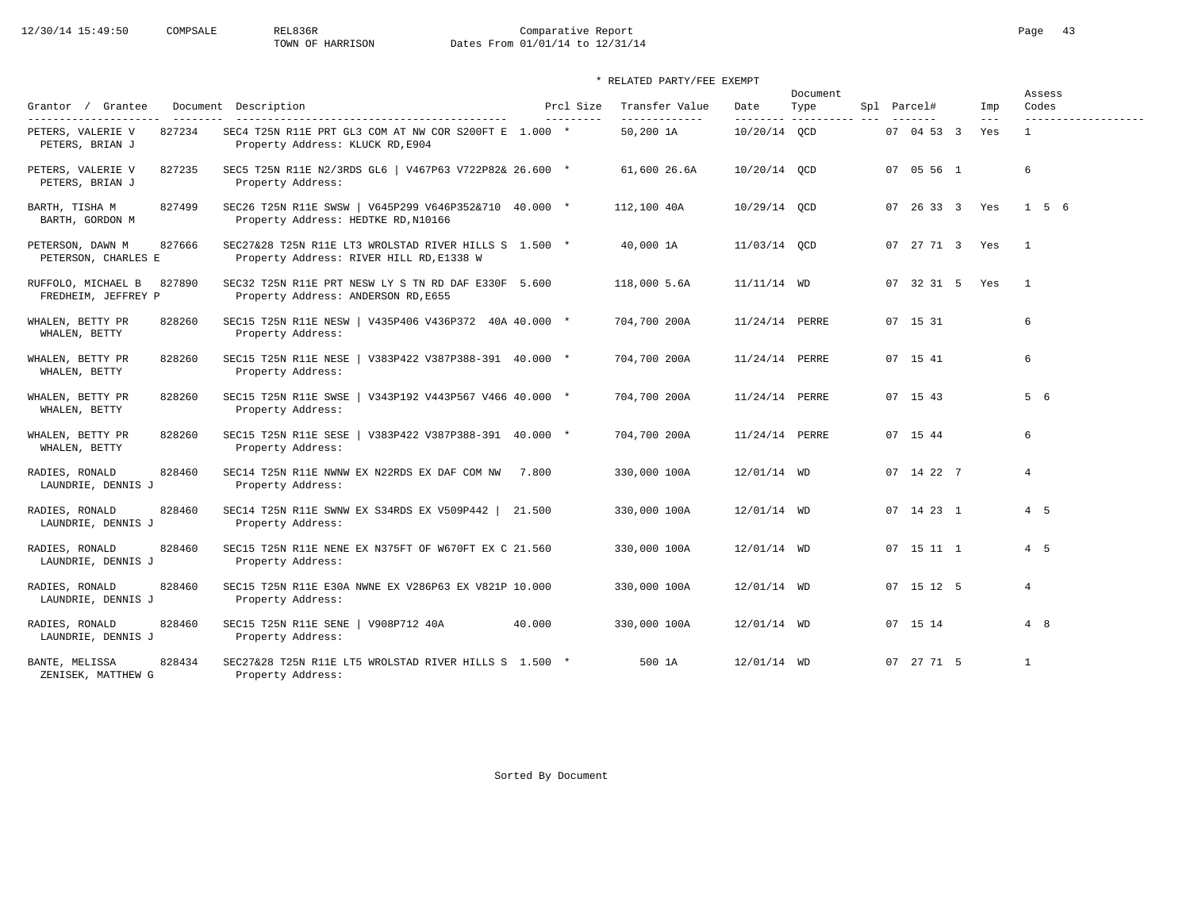# 12/30/14 15:49:50 COMPSALE REL836R Comparative Report Comparative Report Page 43 Dates From 01/01/14 to 12/31/14

### \* RELATED PARTY/FEE EXEMPT

| Grantor / Grantee                                                       | Document Description                                                                              | Prcl Size  | Transfer Value             | Date                      | Document<br>Type | Spl Parcel# |            | Imp                        | Assess<br>Codes                     |  |
|-------------------------------------------------------------------------|---------------------------------------------------------------------------------------------------|------------|----------------------------|---------------------------|------------------|-------------|------------|----------------------------|-------------------------------------|--|
| ---------------------<br>827234<br>PETERS, VALERIE V<br>PETERS, BRIAN J | SEC4 T25N R11E PRT GL3 COM AT NW COR S200FT E 1.000 *<br>Property Address: KLUCK RD, E904         | ---------- | -------------<br>50,200 1A | ---------<br>10/20/14 OCD | ----------       |             | 07 04 53 3 | $\qquad \qquad - -$<br>Yes | -------------------<br>$\mathbf{1}$ |  |
| 827235<br>PETERS, VALERIE V<br>PETERS, BRIAN J                          | SEC5 T25N R11E N2/3RDS GL6   V467P63 V722P82& 26.600 *<br>Property Address:                       |            | 61,600 26.6A               | 10/20/14 OCD              |                  |             | 07 05 56 1 |                            | 6                                   |  |
| BARTH, TISHA M<br>827499<br>BARTH, GORDON M                             | SEC26 T25N R11E SWSW   V645P299 V646P352&710 40.000 *<br>Property Address: HEDTKE RD, N10166      |            | 112,100 40A                | 10/29/14 QCD              |                  |             |            | 07 26 33 3 Yes             | $1\quad 5\quad 6$                   |  |
| 827666<br>PETERSON, DAWN M<br>PETERSON, CHARLES E                       | SEC27&28 T25N R11E LT3 WROLSTAD RIVER HILLS S 1.500 *<br>Property Address: RIVER HILL RD, E1338 W |            | 40,000 1A                  | 11/03/14 OCD              |                  |             |            | 07 27 71 3 Yes             | $\overline{1}$                      |  |
| 827890<br>RUFFOLO, MICHAEL B<br>FREDHEIM, JEFFREY P                     | SEC32 T25N R11E PRT NESW LY S TN RD DAF E330F 5.600<br>Property Address: ANDERSON RD, E655        |            | 118,000 5.6A               | $11/11/14$ WD             |                  |             |            | 07 32 31 5 Yes             | $\mathbf{1}$                        |  |
| WHALEN, BETTY PR<br>828260<br>WHALEN, BETTY                             | SEC15 T25N R11E NESW   V435P406 V436P372 40A 40.000 *<br>Property Address:                        |            | 704,700 200A               | 11/24/14 PERRE            |                  | 07 15 31    |            |                            | 6                                   |  |
| WHALEN, BETTY PR<br>828260<br>WHALEN, BETTY                             | SEC15 T25N R11E NESE   V383P422 V387P388-391 40.000 *<br>Property Address:                        |            | 704,700 200A               | 11/24/14 PERRE            |                  | 07 15 41    |            |                            | 6                                   |  |
| 828260<br>WHALEN, BETTY PR<br>WHALEN, BETTY                             | SEC15 T25N R11E SWSE   V343P192 V443P567 V466 40.000 *<br>Property Address:                       |            | 704,700 200A               | 11/24/14 PERRE            |                  | 07 15 43    |            |                            | 5 6                                 |  |
| WHALEN, BETTY PR<br>828260<br>WHALEN, BETTY                             | SEC15 T25N R11E SESE<br>$\sqrt{383P422 V387P388-391}$ 40.000 *<br>Property Address:               |            | 704,700 200A               | 11/24/14 PERRE            |                  | 07 15 44    |            |                            | 6                                   |  |
| RADIES, RONALD<br>828460<br>LAUNDRIE, DENNIS J                          | SEC14 T25N R11E NWNW EX N22RDS EX DAF COM NW 7.800<br>Property Address:                           |            | 330,000 100A               | 12/01/14 WD               |                  |             | 07 14 22 7 |                            | $\overline{4}$                      |  |
| RADIES, RONALD<br>828460<br>LAUNDRIE, DENNIS J                          | SEC14 T25N R11E SWNW EX S34RDS EX V509P442   21.500<br>Property Address:                          |            | 330,000 100A               | 12/01/14 WD               |                  |             | 07 14 23 1 |                            | $4\quad 5$                          |  |
| 828460<br>RADIES, RONALD<br>LAUNDRIE, DENNIS J                          | SEC15 T25N R11E NENE EX N375FT OF W670FT EX C 21.560<br>Property Address:                         |            | 330,000 100A               | 12/01/14 WD               |                  |             | 07 15 11 1 |                            | 4 5                                 |  |
| 828460<br>RADIES, RONALD<br>LAUNDRIE, DENNIS J                          | SEC15 T25N R11E E30A NWNE EX V286P63 EX V821P 10.000<br>Property Address:                         |            | 330,000 100A               | 12/01/14 WD               |                  |             | 07 15 12 5 |                            | $\overline{4}$                      |  |
| RADIES, RONALD<br>828460<br>LAUNDRIE, DENNIS J                          | SEC15 T25N R11E SENE<br>V908P712 40A<br>Property Address:                                         | 40.000     | 330,000 100A               | 12/01/14 WD               |                  | 07 15 14    |            |                            | 4 8                                 |  |
| 828434<br>BANTE, MELISSA<br>ZENISEK, MATTHEW G                          | SEC27&28 T25N R11E LT5 WROLSTAD RIVER HILLS S 1.500 *<br>Property Address:                        |            | 500 1A                     | 12/01/14 WD               |                  |             | 07 27 71 5 |                            | $\overline{1}$                      |  |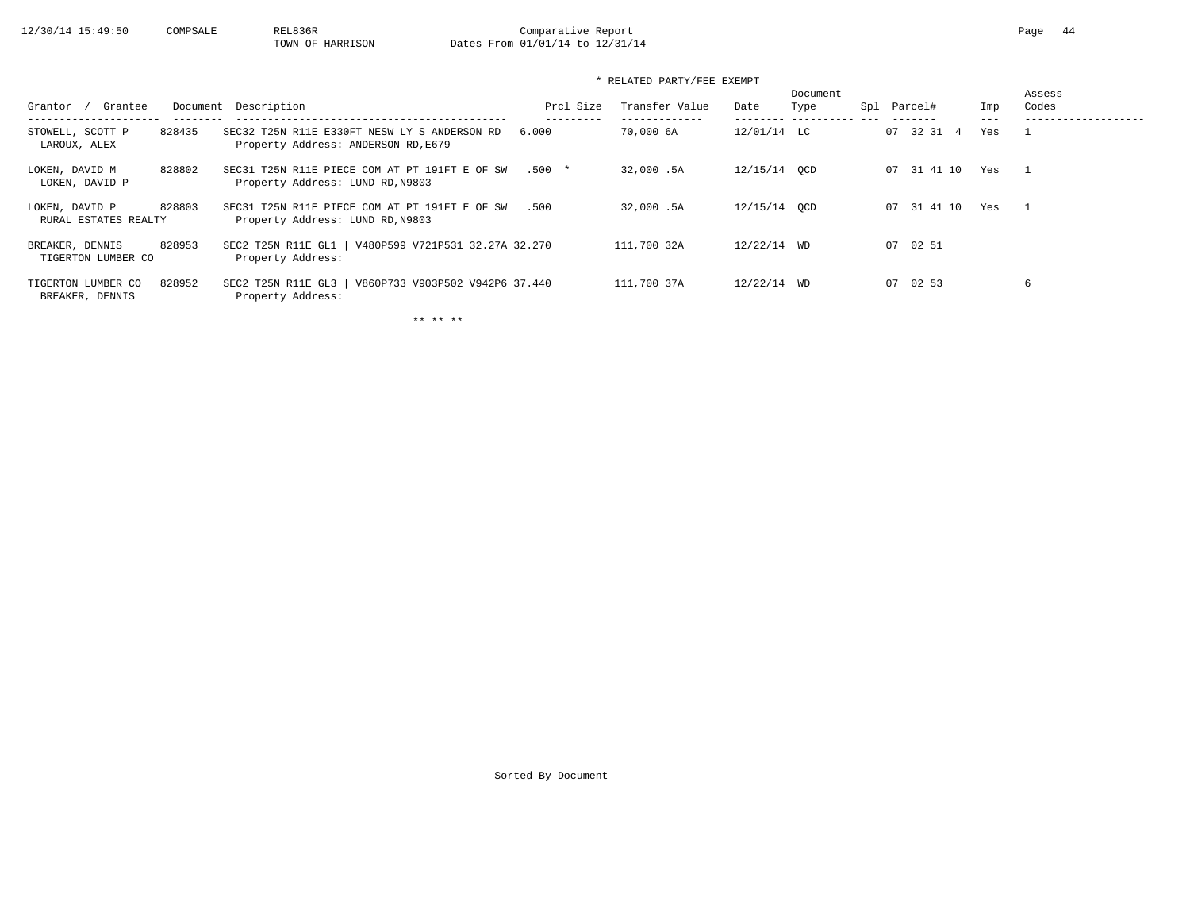### \* RELATED PARTY/FEE EXEMPT

| Grantee<br>Grantor                               | Document Description                                                                | Prcl Size | Transfer Value | Date         | Document<br>Spl<br>Type | Parcel#     | Imp | Assess<br>Codes |
|--------------------------------------------------|-------------------------------------------------------------------------------------|-----------|----------------|--------------|-------------------------|-------------|-----|-----------------|
| STOWELL, SCOTT P<br>828435<br>LAROUX, ALEX       | SEC32 T25N R11E E330FT NESW LY S ANDERSON RD<br>Property Address: ANDERSON RD, E679 | 6.000     | 70,000 6A      | 12/01/14 LC  |                         | 07 32 31 4  | Yes |                 |
| LOKEN, DAVID M<br>828802<br>LOKEN, DAVID P       | SEC31 T25N R11E PIECE COM AT PT 191FT E OF SW<br>Property Address: LUND RD, N9803   | $.500*$   | 32,000.5A      | 12/15/14 OCD |                         | 07 31 41 10 | Yes |                 |
| 828803<br>LOKEN, DAVID P<br>RURAL ESTATES REALTY | SEC31 T25N R11E PIECE COM AT PT 191FT E OF SW<br>Property Address: LUND RD, N9803   | .500      | 32,000.5A      | 12/15/14 OCD |                         | 07 31 41 10 | Yes |                 |
| 828953<br>BREAKER, DENNIS<br>TIGERTON LUMBER CO  | SEC2 T25N R11E GL1   V480P599 V721P531 32.27A 32.270<br>Property Address:           |           | 111,700 32A    | 12/22/14 WD  |                         | 07 02 51    |     |                 |
| 828952<br>TIGERTON LUMBER CO<br>BREAKER, DENNIS  | V860P733 V903P502 V942P6 37.440<br>SEC2 T25N R11E GL3<br>Property Address:          |           | 111,700 37A    | 12/22/14 WD  |                         | 07 02 53    |     | 6               |

\*\* \*\* \*\*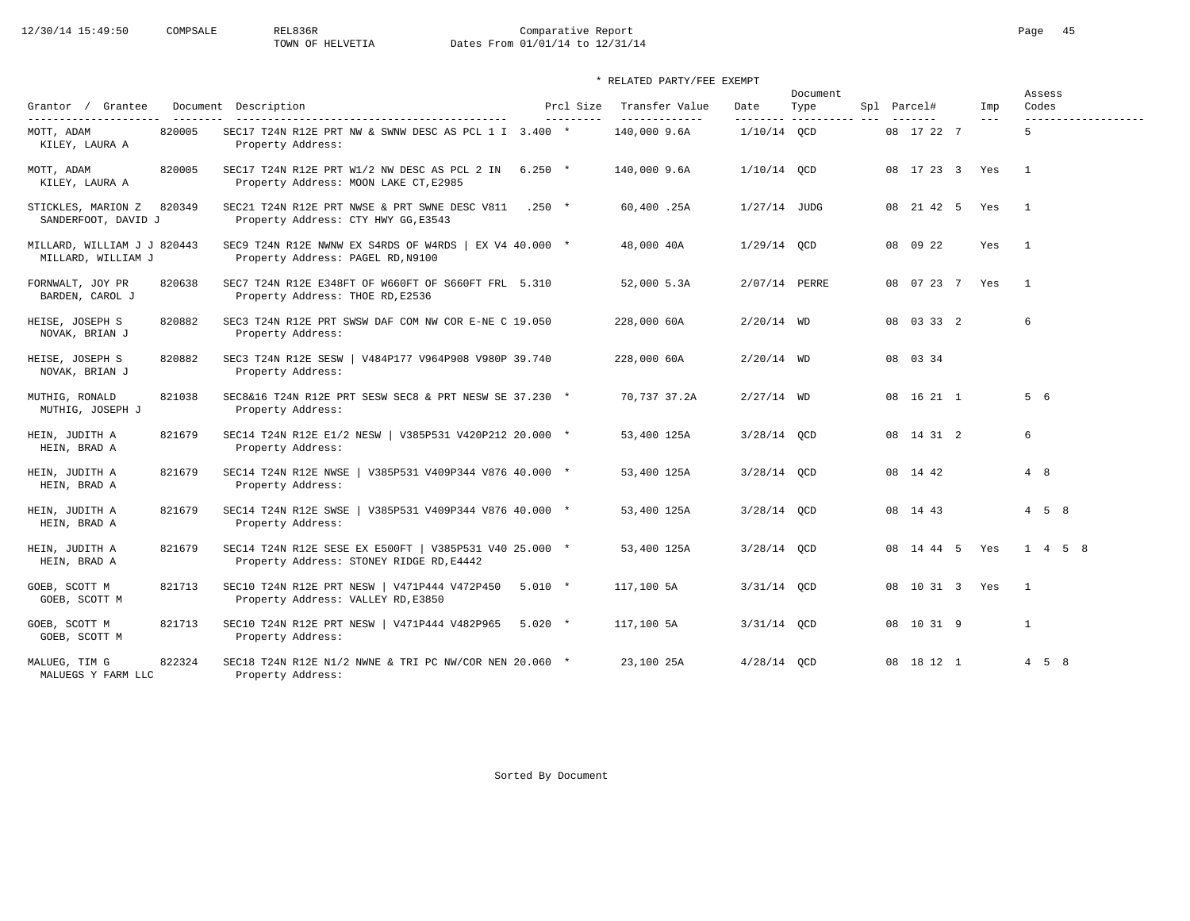# 12/30/14 15:49:50 COMPSALE REL836R Comparative Report Comparative Report Page 45 Dates From 01/01/14 to 12/31/14

|                                                   |        |                                                                                                    |                         |                                  |                   | Document |  |                    |                       | Assess            |
|---------------------------------------------------|--------|----------------------------------------------------------------------------------------------------|-------------------------|----------------------------------|-------------------|----------|--|--------------------|-----------------------|-------------------|
| Grantor / Grantee                                 |        | Document Description                                                                               | Prcl Size<br>---------- | Transfer Value<br>-------------- | Date<br>--------- | Type     |  | Spl Parcel#        | Imp<br>$---$          | Codes             |
| MOTT, ADAM<br>KILEY, LAURA A                      | 820005 | SEC17 T24N R12E PRT NW & SWNW DESC AS PCL 1 I 3.400 *<br>Property Address:                         |                         | 140,000 9.6A                     | $1/10/14$ QCD     |          |  | 08 17 22 7         |                       | 5                 |
| MOTT, ADAM<br>KILEY, LAURA A                      | 820005 | SEC17 T24N R12E PRT W1/2 NW DESC AS PCL 2 IN 6.250 *<br>Property Address: MOON LAKE CT, E2985      |                         | 140,000 9.6A                     | $1/10/14$ QCD     |          |  | 08 17 23 3 Yes     |                       | $\overline{1}$    |
| STICKLES, MARION Z<br>SANDERFOOT, DAVID J         | 820349 | SEC21 T24N R12E PRT NWSE & PRT SWNE DESC V811 .250 *<br>Property Address: CTY HWY GG, E3543        |                         | 60,400.25A                       | $1/27/14$ JUDG    |          |  |                    | 08  21  42  5  Yes  1 |                   |
| MILLARD, WILLIAM J J 820443<br>MILLARD, WILLIAM J |        | SEC9 T24N R12E NWNW EX S4RDS OF W4RDS   EX V4 40.000 *<br>Property Address: PAGEL RD, N9100        |                         | 48,000 40A                       | $1/29/14$ QCD     |          |  | 08 09 22           | Yes                   | $\overline{1}$    |
| FORNWALT, JOY PR<br>BARDEN, CAROL J               | 820638 | SEC7 T24N R12E E348FT OF W660FT OF S660FT FRL 5.310<br>Property Address: THOE RD, E2536            |                         | 52,000 5.3A                      | 2/07/14 PERRE     |          |  | 08  07  23  7  Yes |                       | $\overline{1}$    |
| HEISE, JOSEPH S<br>NOVAK, BRIAN J                 | 820882 | SEC3 T24N R12E PRT SWSW DAF COM NW COR E-NE C 19.050<br>Property Address:                          |                         | 228,000 60A                      | $2/20/14$ WD      |          |  | 08 03 33 2         |                       | 6                 |
| HEISE, JOSEPH S<br>NOVAK, BRIAN J                 | 820882 | SEC3 T24N R12E SESW   V484P177 V964P908 V980P 39.740<br>Property Address:                          |                         | 228,000 60A                      | $2/20/14$ WD      |          |  | 08 03 34           |                       |                   |
| MUTHIG, RONALD<br>MUTHIG, JOSEPH J                | 821038 | SEC8&16 T24N R12E PRT SESW SEC8 & PRT NESW SE 37.230 *<br>Property Address:                        |                         | 70,737 37.2A                     | $2/27/14$ WD      |          |  | 08 16 21 1         |                       | 5 6               |
| HEIN, JUDITH A<br>HEIN, BRAD A                    | 821679 | SEC14 T24N R12E E1/2 NESW   V385P531 V420P212 20.000 *<br>Property Address:                        |                         | 53,400 125A                      | $3/28/14$ OCD     |          |  | 08 14 31 2         |                       | 6                 |
| HEIN, JUDITH A<br>HEIN, BRAD A                    | 821679 | SEC14 T24N R12E NWSE   V385P531 V409P344 V876 40.000 *<br>Property Address:                        |                         | 53,400 125A                      | $3/28/14$ OCD     |          |  | 08 14 42           |                       | 4 8               |
| HEIN, JUDITH A<br>HEIN, BRAD A                    | 821679 | SEC14 T24N R12E SWSE   V385P531 V409P344 V876 40.000 *<br>Property Address:                        |                         | 53,400 125A                      | $3/28/14$ OCD     |          |  | 08 14 43           |                       | $4\quad 5\quad 8$ |
| HEIN, JUDITH A<br>HEIN, BRAD A                    | 821679 | SEC14 T24N R12E SESE EX E500FT   V385P531 V40 25.000 *<br>Property Address: STONEY RIDGE RD, E4442 |                         | 53,400 125A                      | $3/28/14$ OCD     |          |  | 08 14 44 5 Yes     |                       | 1 4 5 8           |
| GOEB, SCOTT M<br>GOEB, SCOTT M                    | 821713 | SEC10 T24N R12E PRT NESW   V471P444 V472P450 5.010 *<br>Property Address: VALLEY RD, E3850         |                         | 117,100 5A                       | $3/31/14$ OCD     |          |  | 08 10 31 3 Yes     |                       | $\overline{1}$    |
| GOEB, SCOTT M<br>GOEB, SCOTT M                    | 821713 | SEC10 T24N R12E PRT NESW   V471P444 V482P965 5.020 *<br>Property Address:                          |                         | 117,100 5A                       | $3/31/14$ QCD     |          |  | 08 10 31 9         |                       | $\mathbf{1}$      |
| MALUEG, TIM G<br>MALUEGS Y FARM LLC               | 822324 | SEC18 T24N R12E N1/2 NWNE & TRI PC NW/COR NEN 20.060 $\star$<br>Property Address:                  |                         | 23,100 25A                       | $4/28/14$ QCD     |          |  | 08 18 12 1         |                       | $4\quad 5\quad 8$ |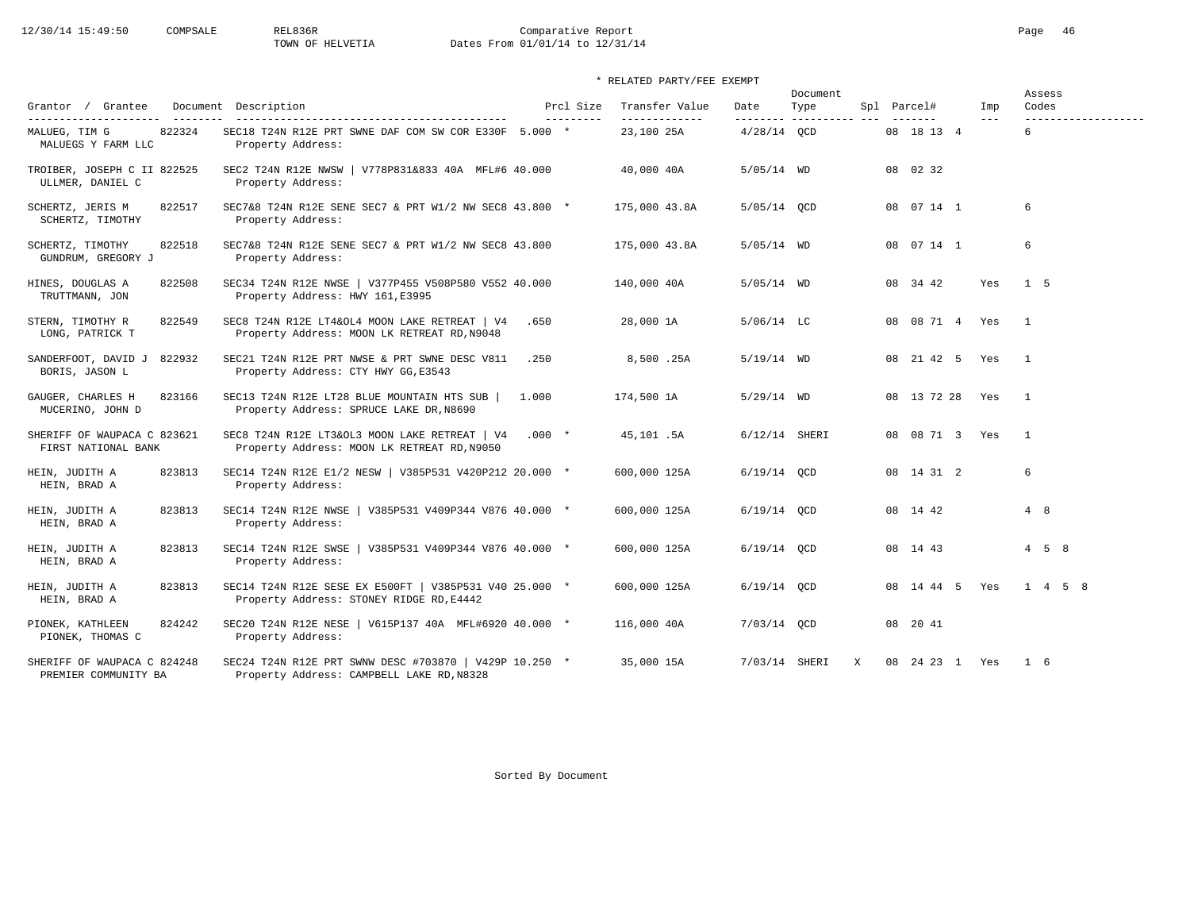# 12/30/14 15:49:50 COMPSALE REL836R Comparative Report Comparative Report Page 46 Dates From 01/01/14 to 12/31/14

|                                                     |                                                                                                     |                         | Transfer Value |                   | Document            |                |                | Assess<br>Codes     |
|-----------------------------------------------------|-----------------------------------------------------------------------------------------------------|-------------------------|----------------|-------------------|---------------------|----------------|----------------|---------------------|
| Grantor / Grantee<br>----------------------         | Document Description                                                                                | Prcl Size<br>---------- | -------------- | Date<br>--------- | Type<br>----------- | Spl Parcel#    | Imp<br>$- - -$ | ------------------- |
| 822324<br>MALUEG, TIM G<br>MALUEGS Y FARM LLC       | SEC18 T24N R12E PRT SWNE DAF COM SW COR E330F 5.000 *<br>Property Address:                          |                         | 23,100 25A     | $4/28/14$ QCD     |                     | 08 18 13 4     |                | 6                   |
| TROIBER, JOSEPH C II 822525<br>ULLMER, DANIEL C     | SEC2 T24N R12E NWSW   V778P831&833 40A MFL#6 40.000<br>Property Address:                            |                         | 40,000 40A     | $5/05/14$ WD      |                     | 08 02 32       |                |                     |
| 822517<br>SCHERTZ, JERIS M<br>SCHERTZ, TIMOTHY      | SEC7&8 T24N R12E SENE SEC7 & PRT W1/2 NW SEC8 43.800 *<br>Property Address:                         |                         | 175,000 43.8A  | 5/05/14 OCD       |                     | 08 07 14 1     |                | 6                   |
| 822518<br>SCHERTZ, TIMOTHY<br>GUNDRUM, GREGORY J    | SEC7&8 T24N R12E SENE SEC7 & PRT W1/2 NW SEC8 43.800<br>Property Address:                           |                         | 175,000 43.8A  | $5/05/14$ WD      |                     | 08 07 14 1     |                | 6                   |
| HINES, DOUGLAS A<br>822508<br>TRUTTMANN, JON        | SEC34 T24N R12E NWSE   V377P455 V508P580 V552 40.000<br>Property Address: HWY 161, E3995            |                         | 140,000 40A    | $5/05/14$ WD      |                     | 08 34 42       | Yes            | 1 5                 |
| STERN, TIMOTHY R<br>822549<br>LONG, PATRICK T       | SEC8 T24N R12E LT4&OL4 MOON LAKE RETREAT   V4<br>Property Address: MOON LK RETREAT RD, N9048        | .650                    | 28,000 1A      | $5/06/14$ LC      |                     | 08 08 71 4     | Yes            | $\overline{1}$      |
| 822932<br>SANDERFOOT, DAVID J<br>BORIS, JASON L     | SEC21 T24N R12E PRT NWSE & PRT SWNE DESC V811<br>Property Address: CTY HWY GG, E3543                | .250                    | 8,500.25A      | $5/19/14$ WD      |                     | 08 21 42 5     | Yes            | $\overline{1}$      |
| 823166<br>GAUGER, CHARLES H<br>MUCERINO, JOHN D     | SEC13 T24N R12E LT28 BLUE MOUNTAIN HTS SUB  <br>Property Address: SPRUCE LAKE DR, N8690             | 1.000                   | 174,500 1A     | $5/29/14$ WD      |                     | 08 13 72 28    | Yes            | $\overline{1}$      |
| SHERIFF OF WAUPACA C 823621<br>FIRST NATIONAL BANK  | SEC8 T24N R12E LT3&OL3 MOON LAKE RETREAT   V4<br>Property Address: MOON LK RETREAT RD, N9050        | $.000*$                 | 45,101.5A      | $6/12/14$ SHERI   |                     | 08 08 71 3 Yes |                | $\overline{1}$      |
| 823813<br>HEIN, JUDITH A<br>HEIN, BRAD A            | SEC14 T24N R12E E1/2 NESW   V385P531 V420P212 20.000 *<br>Property Address:                         |                         | 600,000 125A   | $6/19/14$ OCD     |                     | 08 14 31 2     |                | 6                   |
| HEIN, JUDITH A<br>823813<br>HEIN, BRAD A            | SEC14 T24N R12E NWSE<br>V385P531 V409P344 V876 40.000 *<br>Property Address:                        |                         | 600,000 125A   | $6/19/14$ OCD     |                     | 08 14 42       |                | 4 8                 |
| 823813<br>HEIN, JUDITH A<br>HEIN, BRAD A            | SEC14 T24N R12E SWSE<br>  V385P531 V409P344 V876 40.000 *<br>Property Address:                      |                         | 600,000 125A   | $6/19/14$ OCD     |                     | 08 14 43       |                | $4 \quad 5 \quad 8$ |
| 823813<br>HEIN, JUDITH A<br>HEIN, BRAD A            | SEC14 T24N R12E SESE EX E500FT   V385P531 V40 25.000 *<br>Property Address: STONEY RIDGE RD, E4442  |                         | 600,000 125A   | $6/19/14$ OCD     |                     | 08 14 44 5 Yes |                | 1 4 5 8             |
| PIONEK, KATHLEEN<br>824242<br>PIONEK, THOMAS C      | SEC20 T24N R12E NESE<br>  V615P137 40A MFL#6920 40.000 *<br>Property Address:                       |                         | 116,000 40A    | 7/03/14 OCD       |                     | 08 20 41       |                |                     |
| SHERIFF OF WAUPACA C 824248<br>PREMIER COMMUNITY BA | SEC24 T24N R12E PRT SWNW DESC #703870   V429P 10.250 *<br>Property Address: CAMPBELL LAKE RD, N8328 |                         | 35,000 15A     | 7/03/14 SHERI     | $\mathbf{x}$        | 08 24 23 1     | Yes            | $1\quad 6$          |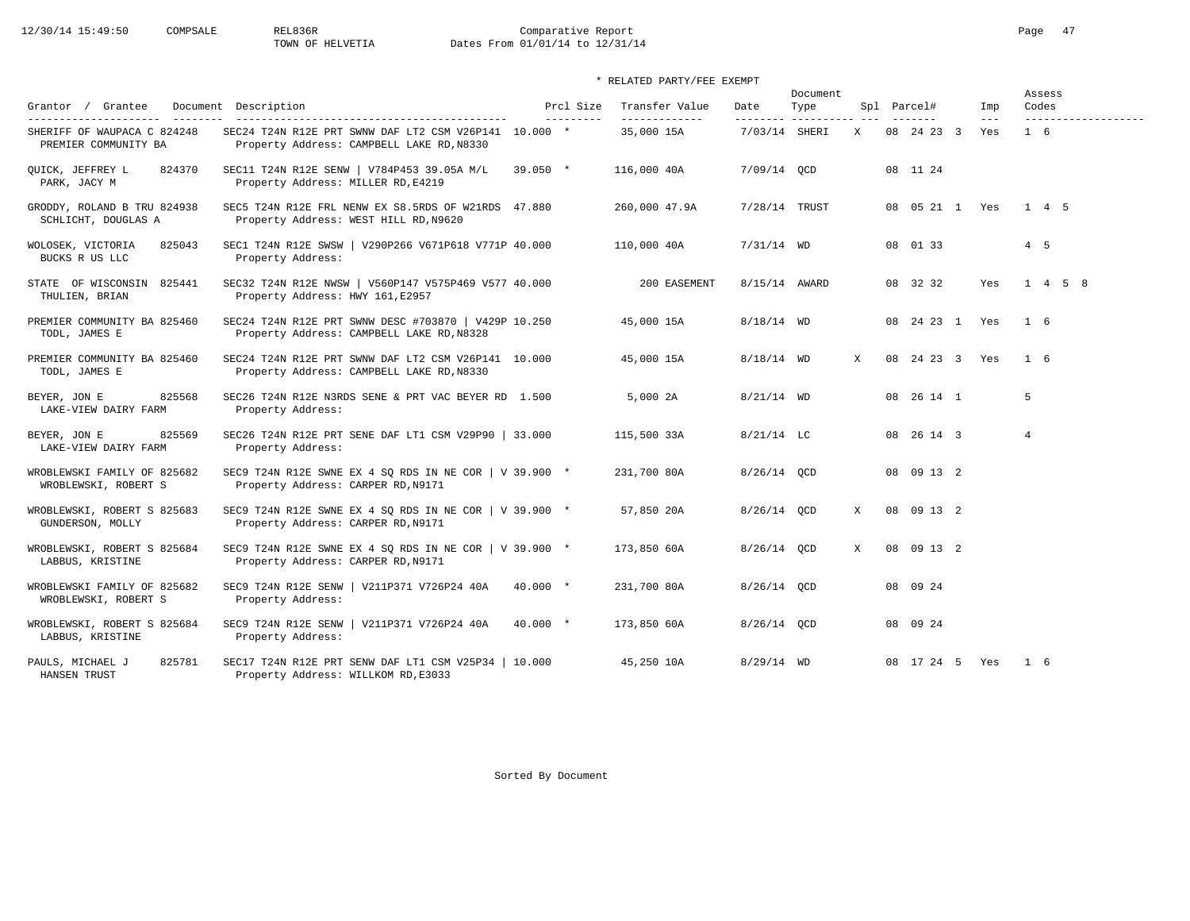# 12/30/14 15:49:50 COMPSALE REL836R Comparative Report Comparative Report Page 47<br>TOWN OF HELVETIA Dates From 01/01/14 to 12/31/14 Dates From 01/01/14 to 12/31/14

\* RELATED PARTY/FEE EXEMPT

| Grantor / Grantee                                   | Document Description                                                                               |            | Prcl Size | Transfer Value | Date          | Document<br>Type |              | Spl Parcel#        | Imp            | Assess<br>Codes |  |
|-----------------------------------------------------|----------------------------------------------------------------------------------------------------|------------|-----------|----------------|---------------|------------------|--------------|--------------------|----------------|-----------------|--|
| SHERIFF OF WAUPACA C 824248<br>PREMIER COMMUNITY BA | SEC24 T24N R12E PRT SWNW DAF LT2 CSM V26P141 10.000 *<br>Property Address: CAMPBELL LAKE RD, N8330 |            |           | 35,000 15A     | 7/03/14 SHERI |                  | X            | 08 24 23 3         | $- - -$<br>Yes | $1\quad 6$      |  |
| OUICK, JEFFREY L<br>824370<br>PARK, JACY M          | SEC11 T24N R12E SENW   V784P453 39.05A M/L<br>Property Address: MILLER RD, E4219                   | $39.050$ * |           | 116,000 40A    | 7/09/14 OCD   |                  |              | 08 11 24           |                |                 |  |
| GRODDY, ROLAND B TRU 824938<br>SCHLICHT, DOUGLAS A  | SEC5 T24N R12E FRL NENW EX S8.5RDS OF W21RDS 47.880<br>Property Address: WEST HILL RD, N9620       |            |           | 260,000 47.9A  | 7/28/14 TRUST |                  |              | 08  05  21  1  Yes |                | 1 4 5           |  |
| 825043<br>WOLOSEK, VICTORIA<br>BUCKS R US LLC       | SEC1 T24N R12E SWSW   V290P266 V671P618 V771P 40.000<br>Property Address:                          |            |           | 110,000 40A    | $7/31/14$ WD  |                  |              | 08 01 33           |                | $4\quad 5$      |  |
| STATE OF WISCONSIN 825441<br>THULIEN, BRIAN         | SEC32 T24N R12E NWSW   V560P147 V575P469 V577 40.000<br>Property Address: HWY 161, E2957           |            |           | 200 EASEMENT   | 8/15/14 AWARD |                  |              | 08 32 32           | Yes            | $1 \t4 \t5 \t8$ |  |
| PREMIER COMMUNITY BA 825460<br>TODL, JAMES E        | SEC24 T24N R12E PRT SWNW DESC #703870   V429P 10.250<br>Property Address: CAMPBELL LAKE RD, N8328  |            |           | 45,000 15A     | $8/18/14$ WD  |                  |              | 08 24 23 1 Yes     |                | 1 6             |  |
| PREMIER COMMUNITY BA 825460<br>TODL, JAMES E        | SEC24 T24N R12E PRT SWNW DAF LT2 CSM V26P141 10.000<br>Property Address: CAMPBELL LAKE RD, N8330   |            |           | 45,000 15A     | $8/18/14$ WD  |                  | $\mathbf{x}$ | 08 24 23 3 Yes     |                | 1 6             |  |
| 825568<br>BEYER, JON E<br>LAKE-VIEW DAIRY FARM      | SEC26 T24N R12E N3RDS SENE & PRT VAC BEYER RD 1.500<br>Property Address:                           |            |           | 5,000 2A       | $8/21/14$ WD  |                  |              | 08 26 14 1         |                | 5               |  |
| BEYER, JON E<br>825569<br>LAKE-VIEW DAIRY FARM      | SEC26 T24N R12E PRT SENE DAF LT1 CSM V29P90   33.000<br>Property Address:                          |            |           | 115,500 33A    | $8/21/14$ LC  |                  |              | 08 26 14 3         |                | $\overline{4}$  |  |
| WROBLEWSKI FAMILY OF 825682<br>WROBLEWSKI, ROBERT S | SEC9 T24N R12E SWNE EX 4 SQ RDS IN NE COR   V 39.900 *<br>Property Address: CARPER RD, N9171       |            |           | 231,700 80A    | 8/26/14 OCD   |                  |              | 08 09 13 2         |                |                 |  |
| WROBLEWSKI, ROBERT S 825683<br>GUNDERSON, MOLLY     | SEC9 T24N R12E SWNE EX 4 SQ RDS IN NE COR   V 39.900 *<br>Property Address: CARPER RD, N9171       |            |           | 57,850 20A     | 8/26/14 OCD   |                  | X            | 08 09 13 2         |                |                 |  |
| WROBLEWSKI, ROBERT S 825684<br>LABBUS, KRISTINE     | SEC9 T24N R12E SWNE EX 4 SQ RDS IN NE COR   V 39.900 *<br>Property Address: CARPER RD, N9171       |            |           | 173,850 60A    | 8/26/14 OCD   |                  | X            | 08 09 13 2         |                |                 |  |
| WROBLEWSKI FAMILY OF 825682<br>WROBLEWSKI, ROBERT S | SEC9 T24N R12E SENW   V211P371 V726P24 40A<br>Property Address:                                    | $40.000 *$ |           | 231,700 80A    | 8/26/14 OCD   |                  |              | 08 09 24           |                |                 |  |
| WROBLEWSKI, ROBERT S 825684<br>LABBUS, KRISTINE     | SEC9 T24N R12E SENW   V211P371 V726P24 40A<br>Property Address:                                    | $40.000*$  |           | 173,850 60A    | 8/26/14 OCD   |                  |              | 08 09 24           |                |                 |  |
| 825781<br>PAULS, MICHAEL J<br>HANSEN TRUST          | SEC17 T24N R12E PRT SENW DAF LT1 CSM V25P34   10.000<br>Property Address: WILLKOM RD, E3033        |            |           | 45,250 10A     | $8/29/14$ WD  |                  |              | 08 17 24 5 Yes     |                | 16              |  |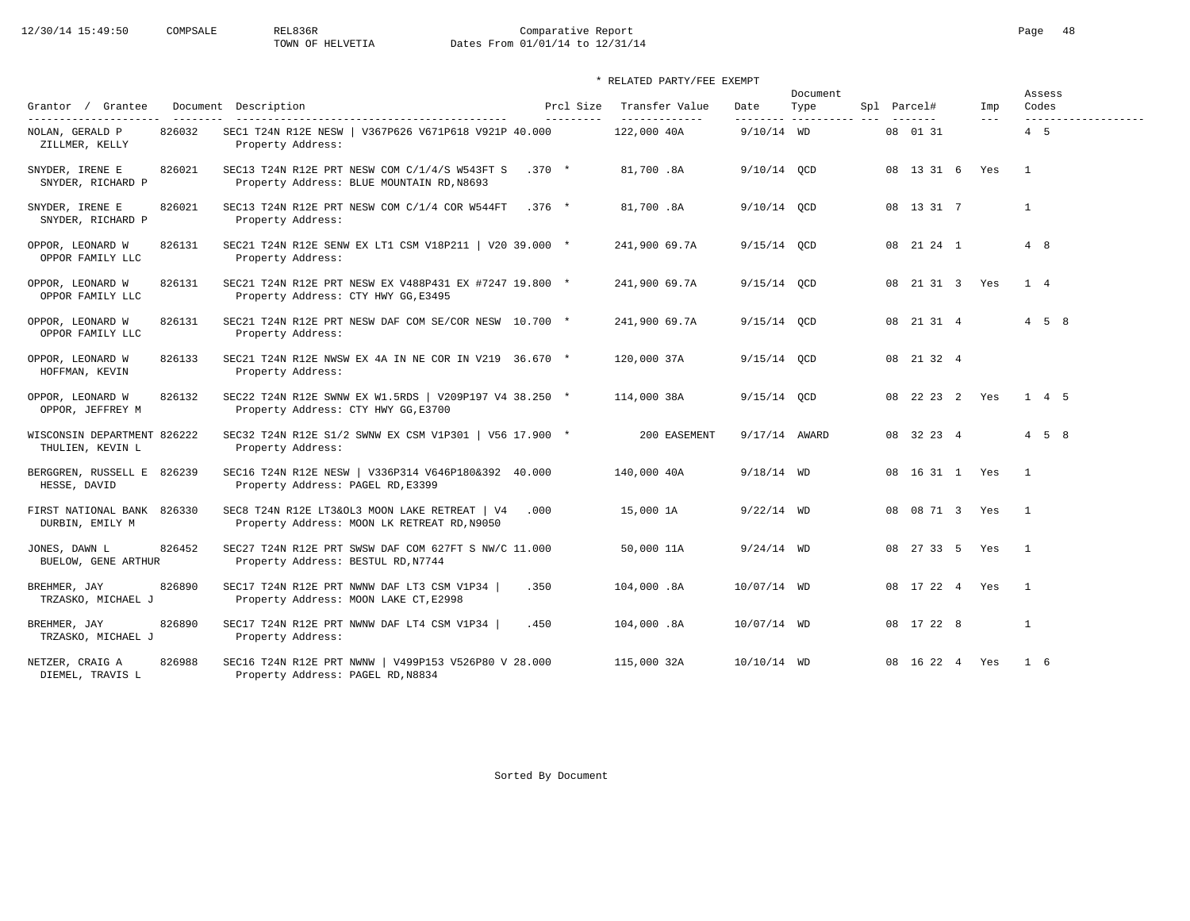# 12/30/14 15:49:50 COMPSALE REL836R Comparative Report Comparative Report Page 48 Dates From 01/01/14 to 12/31/14

### \* RELATED PARTY/FEE EXEMPT

| Grantor / Grantee                                          |        | Document Description                                                                                            | Prcl Size  | Transfer Value               | Date          | Document<br>Type        | Spl Parcel#    | Imp                 | Assess<br>Codes                   |
|------------------------------------------------------------|--------|-----------------------------------------------------------------------------------------------------------------|------------|------------------------------|---------------|-------------------------|----------------|---------------------|-----------------------------------|
| ---------------------<br>NOLAN, GERALD P<br>ZILLMER, KELLY | 826032 | ----------------------------------<br>SEC1 T24N R12E NESW   V367P626 V671P618 V921P 40.000<br>Property Address: | ---------- | -------------<br>122,000 40A | $9/10/14$ WD  | -------- ---------- --- | 08 01 31       | $\qquad \qquad - -$ | -------------------<br>$4\quad 5$ |
| SNYDER, IRENE E<br>SNYDER, RICHARD P                       | 826021 | SEC13 T24N R12E PRT NESW COM C/1/4/S W543FT S<br>Property Address: BLUE MOUNTAIN RD, N8693                      | $.370*$    | 81,700.8A                    | 9/10/14 OCD   |                         | 08 13 31 6 Yes |                     | $\overline{1}$                    |
| SNYDER, IRENE E<br>SNYDER, RICHARD P                       | 826021 | SEC13 T24N R12E PRT NESW COM C/1/4 COR W544FT<br>Property Address:                                              | $.376$ *   | 81,700.8A                    | 9/10/14 QCD   |                         | 08 13 31 7     |                     | $\mathbf{1}$                      |
| OPPOR, LEONARD W<br>OPPOR FAMILY LLC                       | 826131 | SEC21 T24N R12E SENW EX LT1 CSM V18P211   V20 39.000 *<br>Property Address:                                     |            | 241,900 69.7A                | $9/15/14$ QCD |                         | 08 21 24 1     |                     | 4 8                               |
| OPPOR, LEONARD W<br>OPPOR FAMILY LLC                       | 826131 | SEC21 T24N R12E PRT NESW EX V488P431 EX #7247 19.800 *<br>Property Address: CTY HWY GG, E3495                   |            | 241,900 69.7A                | 9/15/14 QCD   |                         | 08 21 31 3 Yes |                     | 1 4                               |
| OPPOR, LEONARD W<br>OPPOR FAMILY LLC                       | 826131 | SEC21 T24N R12E PRT NESW DAF COM SE/COR NESW 10.700 *<br>Property Address:                                      |            | 241,900 69.7A                | $9/15/14$ OCD |                         | 08 21 31 4     |                     | $4\quad 5\quad 8$                 |
| OPPOR, LEONARD W<br>HOFFMAN, KEVIN                         | 826133 | SEC21 T24N R12E NWSW EX 4A IN NE COR IN V219 36.670 *<br>Property Address:                                      |            | 120,000 37A                  | $9/15/14$ OCD |                         | 08 21 32 4     |                     |                                   |
| OPPOR, LEONARD W<br>OPPOR, JEFFREY M                       | 826132 | SEC22 T24N R12E SWNW EX W1.5RDS   V209P197 V4 38.250 *<br>Property Address: CTY HWY GG, E3700                   |            | 114,000 38A                  | $9/15/14$ QCD |                         | 08 22 23 2 Yes |                     | 1 4 5                             |
| WISCONSIN DEPARTMENT 826222<br>THULIEN, KEVIN L            |        | SEC32 T24N R12E S1/2 SWNW EX CSM V1P301   V56 17.900 *<br>Property Address:                                     |            | 200 EASEMENT                 | 9/17/14 AWARD |                         | 08 32 23 4     |                     | $4 \quad 5 \quad 8$               |
| BERGGREN, RUSSELL E 826239<br>HESSE, DAVID                 |        | SEC16 T24N R12E NESW   V336P314 V646P180&392 40.000<br>Property Address: PAGEL RD, E3399                        |            | 140,000 40A                  | $9/18/14$ WD  |                         | 08 16 31 1 Yes |                     | $\overline{1}$                    |
| FIRST NATIONAL BANK 826330<br>DURBIN, EMILY M              |        | SEC8 T24N R12E LT3&OL3 MOON LAKE RETREAT   V4<br>Property Address: MOON LK RETREAT RD, N9050                    | .000       | 15,000 1A                    | $9/22/14$ WD  |                         | 08 08 71 3 Yes |                     | $\overline{1}$                    |
| JONES, DAWN L<br>BUELOW, GENE ARTHUR                       | 826452 | SEC27 T24N R12E PRT SWSW DAF COM 627FT S NW/C 11.000<br>Property Address: BESTUL RD, N7744                      |            | 50,000 11A                   | $9/24/14$ WD  |                         | 08 27 33 5 Yes |                     | $\overline{1}$                    |
| BREHMER, JAY<br>TRZASKO, MICHAEL J                         | 826890 | SEC17 T24N R12E PRT NWNW DAF LT3 CSM V1P34  <br>Property Address: MOON LAKE CT, E2998                           | .350       | 104,000.8A                   | 10/07/14 WD   |                         | 08 17 22 4 Yes |                     | $\mathbf{1}$                      |
| BREHMER, JAY<br>TRZASKO, MICHAEL J                         | 826890 | SEC17 T24N R12E PRT NWNW DAF LT4 CSM V1P34  <br>Property Address:                                               | .450       | 104,000.8A                   | 10/07/14 WD   |                         | 08 17 22 8     |                     | $\mathbf{1}$                      |
| NETZER, CRAIG A<br>DIEMEL, TRAVIS L                        | 826988 | SEC16 T24N R12E PRT NWNW   V499P153 V526P80 V 28.000<br>Property Address: PAGEL RD, N8834                       |            | 115,000 32A                  | 10/10/14 WD   |                         | 08 16 22 4 Yes |                     | $1\quad 6$                        |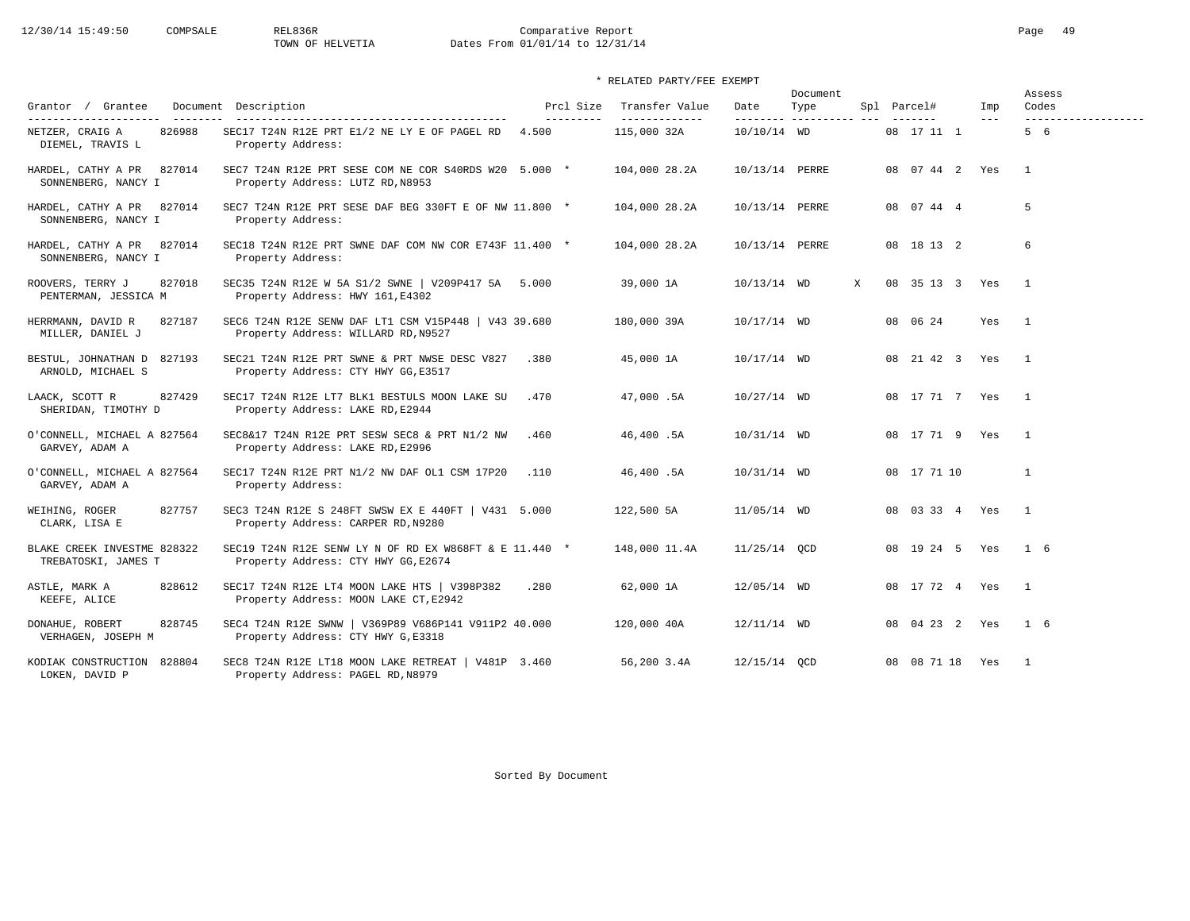# 12/30/14 15:49:50 COMPSALE REL836R Comparative Report Comparative Report Page 49 Dates From 01/01/14 to 12/31/14

### \* RELATED PARTY/FEE EXEMPT

|                                                     |                                                                                               |                         |                                 |                | Document                     |   |                 |              | Assess                       |
|-----------------------------------------------------|-----------------------------------------------------------------------------------------------|-------------------------|---------------------------------|----------------|------------------------------|---|-----------------|--------------|------------------------------|
| Grantor / Grantee<br>---------------------          | Document Description<br>----------------------------------                                    | Prcl Size<br>---------- | Transfer Value<br>------------- | Date           | Type<br>--------- ---------- |   | Spl Parcel#     | Imp<br>$---$ | Codes<br>------------------- |
| 826988<br>NETZER, CRAIG A<br>DIEMEL, TRAVIS L       | SEC17 T24N R12E PRT E1/2 NE LY E OF PAGEL RD<br>Property Address:                             | 4.500                   | 115,000 32A                     | 10/10/14 WD    |                              |   | 08 17 11 1      |              | 5 6                          |
| HARDEL, CATHY A PR<br>827014<br>SONNENBERG, NANCY I | SEC7 T24N R12E PRT SESE COM NE COR S40RDS W20 5.000 *<br>Property Address: LUTZ RD, N8953     |                         | 104,000 28.2A                   | 10/13/14 PERRE |                              |   | 08 07 44 2 Yes  |              | $\overline{1}$               |
| 827014<br>HARDEL, CATHY A PR<br>SONNENBERG, NANCY I | SEC7 T24N R12E PRT SESE DAF BEG 330FT E OF NW 11.800 *<br>Property Address:                   |                         | 104,000 28.2A                   | 10/13/14 PERRE |                              |   | 08 07 44 4      |              | 5                            |
| HARDEL, CATHY A PR<br>827014<br>SONNENBERG, NANCY I | SEC18 T24N R12E PRT SWNE DAF COM NW COR E743F 11.400 *<br>Property Address:                   |                         | 104,000 28.2A                   | 10/13/14 PERRE |                              |   | 08 18 13 2      |              | 6                            |
| ROOVERS, TERRY J<br>827018<br>PENTERMAN, JESSICA M  | SEC35 T24N R12E W 5A S1/2 SWNE   V209P417 5A 5.000<br>Property Address: HWY 161, E4302        |                         | 39,000 1A                       | 10/13/14 WD    |                              | X | 08 35 13 3 Yes  |              | $\overline{1}$               |
| HERRMANN, DAVID R<br>827187<br>MILLER, DANIEL J     | SEC6 T24N R12E SENW DAF LT1 CSM V15P448   V43 39.680<br>Property Address: WILLARD RD, N9527   |                         | 180,000 39A                     | 10/17/14 WD    |                              |   | 08 06 24        | Yes          | $\overline{1}$               |
| BESTUL, JOHNATHAN D 827193<br>ARNOLD, MICHAEL S     | SEC21 T24N R12E PRT SWNE & PRT NWSE DESC V827<br>Property Address: CTY HWY GG, E3517          | .380                    | 45,000 1A                       | 10/17/14 WD    |                              |   | 08 21 42 3      | Yes          | $\overline{1}$               |
| 827429<br>LAACK, SCOTT R<br>SHERIDAN, TIMOTHY D     | SEC17 T24N R12E LT7 BLK1 BESTULS MOON LAKE SU<br>Property Address: LAKE RD, E2944             | .470                    | 47,000.5A                       | $10/27/14$ WD  |                              |   | 08 17 71 7 Yes  |              | $\overline{1}$               |
| O'CONNELL, MICHAEL A 827564<br>GARVEY, ADAM A       | SEC8&17 T24N R12E PRT SESW SEC8 & PRT N1/2 NW<br>Property Address: LAKE RD, E2996             | .460                    | 46,400.5A                       | 10/31/14 WD    |                              |   | 08 17 71 9 Yes  |              | $\overline{1}$               |
| O'CONNELL, MICHAEL A 827564<br>GARVEY, ADAM A       | SEC17 T24N R12E PRT N1/2 NW DAF OL1 CSM 17P20<br>Property Address:                            | .110                    | 46,400.5A                       | 10/31/14 WD    |                              |   | 08 17 71 10     |              | 1                            |
| 827757<br>WEIHING, ROGER<br>CLARK, LISA E           | SEC3 T24N R12E S 248FT SWSW EX E 440FT   V431 5.000<br>Property Address: CARPER RD, N9280     |                         | 122,500 5A                      | 11/05/14 WD    |                              |   | 08 03 33 4 Yes  |              | $\overline{1}$               |
| BLAKE CREEK INVESTME 828322<br>TREBATOSKI, JAMES T  | SEC19 T24N R12E SENW LY N OF RD EX W868FT & E 11.440 *<br>Property Address: CTY HWY GG, E2674 |                         | 148,000 11.4A                   | $11/25/14$ QCD |                              |   | 08 19 24 5 Yes  |              | $1\quad 6$                   |
| 828612<br>ASTLE, MARK A<br>KEEFE, ALICE             | SEC17 T24N R12E LT4 MOON LAKE HTS   V398P382<br>Property Address: MOON LAKE CT, E2942         | .280                    | 62,000 1A                       | 12/05/14 WD    |                              |   | 08 17 72 4 Yes  |              | $\overline{1}$               |
| DONAHUE, ROBERT<br>828745<br>VERHAGEN, JOSEPH M     | SEC4 T24N R12E SWNW   V369P89 V686P141 V911P2 40.000<br>Property Address: CTY HWY G, E3318    |                         | 120,000 40A                     | $12/11/14$ WD  |                              |   | 08 04 23 2 Yes  |              | $1\quad 6$                   |
| KODIAK CONSTRUCTION 828804<br>LOKEN, DAVID P        | SEC8 T24N R12E LT18 MOON LAKE RETREAT   V481P 3.460<br>Property Address: PAGEL RD, N8979      |                         | 56,200 3.4A                     | 12/15/14 OCD   |                              |   | 08 08 71 18 Yes |              | $\overline{1}$               |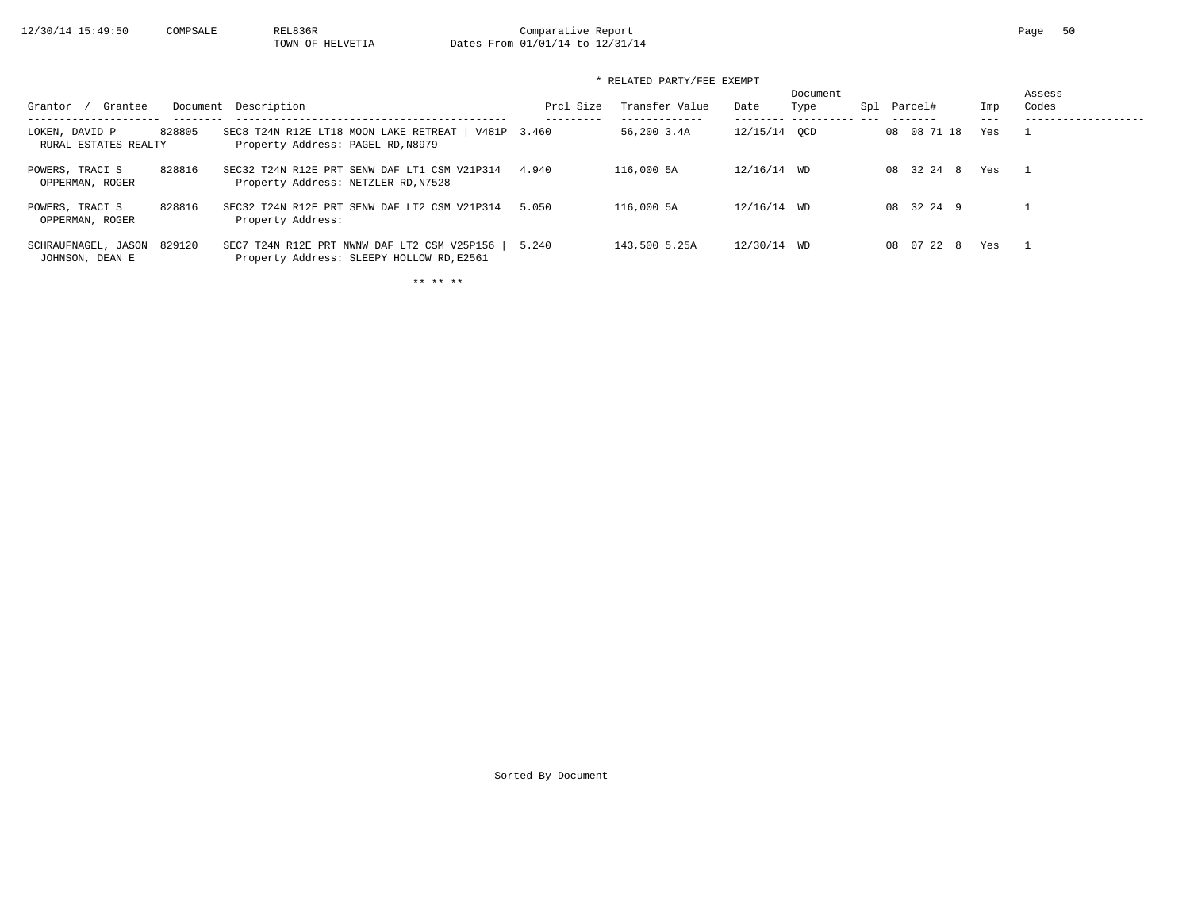12/30/14 15:49:50 COMPSALE REL836R Comparative Report Comparative Report Page 50 Dates From 01/01/14 to 12/31/14

| * RELATED PARTY/FEE EXEMPT             |        |                                                                                          |           |                |              |                  |     |             |     |                 |  |
|----------------------------------------|--------|------------------------------------------------------------------------------------------|-----------|----------------|--------------|------------------|-----|-------------|-----|-----------------|--|
| Grantee<br>Grantor                     |        | Document Description                                                                     | Prcl Size | Transfer Value | Date         | Document<br>Type | Spl | Parcel#     | Imp | Assess<br>Codes |  |
| LOKEN, DAVID P<br>RURAL ESTATES REALTY | 828805 | SEC8 T24N R12E LT18 MOON LAKE RETREAT   V481P 3.460<br>Property Address: PAGEL RD, N8979 |           | 56,200 3.4A    | 12/15/14 OCD |                  |     | 08 08 71 18 | Yes |                 |  |
| POWERS, TRACI S<br>OPPERMAN, ROGER     | 828816 | SEC32 T24N R12E PRT SENW DAF LT1 CSM V21P314<br>Property Address: NETZLER RD, N7528      | 4.940     | 116,000 5A     | 12/16/14 WD  |                  |     | 08 32 24 8  | Yes |                 |  |
| POWERS, TRACI S<br>OPPERMAN, ROGER     | 828816 | SEC32 T24N R12E PRT SENW DAF LT2 CSM V21P314<br>Property Address:                        | 5.050     | 116,000 5A     | 12/16/14 WD  |                  |     | 08 32 24 9  |     |                 |  |
| SCHRAUFNAGEL, JASON                    | 829120 | SEC7 T24N R12E PRT NWNW DAF LT2 CSM V25P156                                              | 5.240     | 143,500 5.25A  | 12/30/14 WD  |                  |     | 08 07 22 8  | Yes |                 |  |

JOHNSON, DEAN E Property Address: SLEEPY HOLLOW RD,E2561

\*\* \*\* \*\*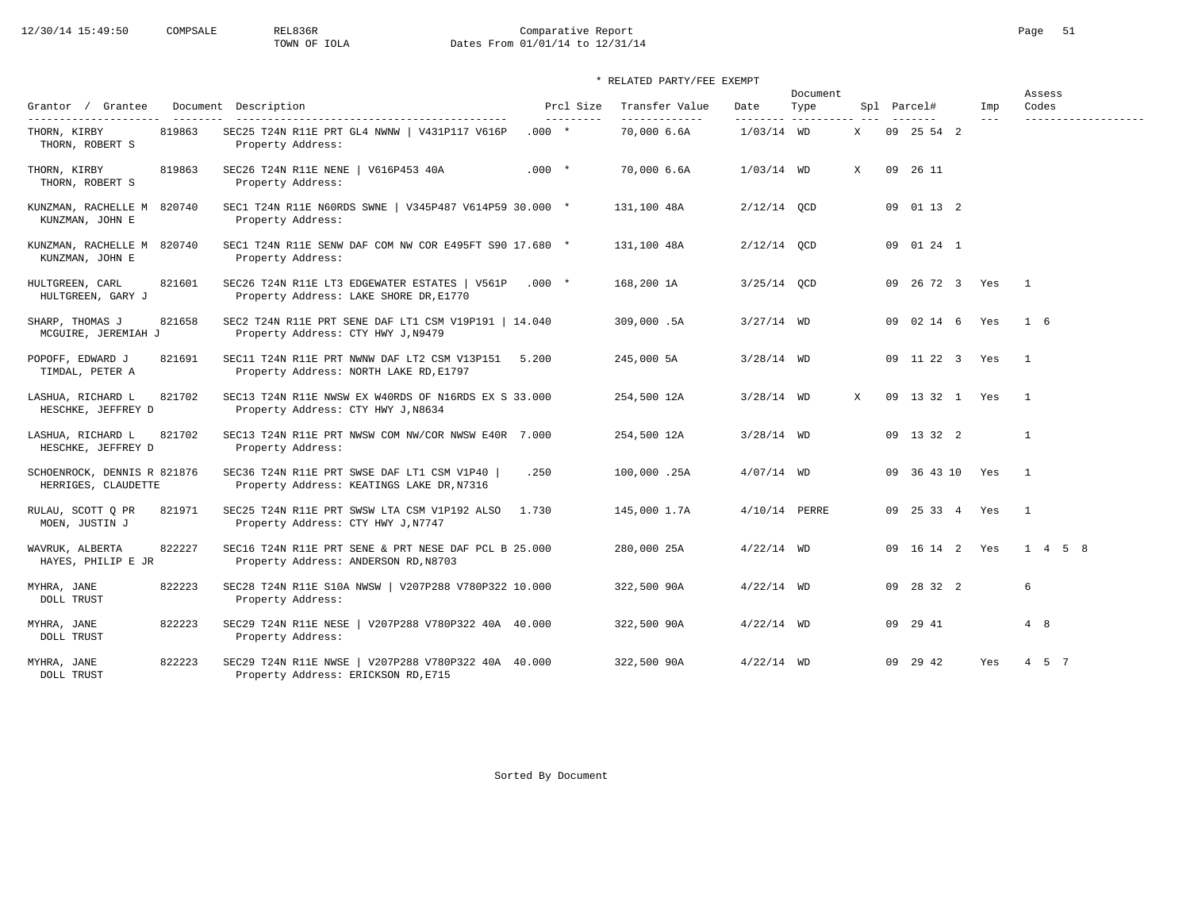# 12/30/14 15:49:50 COMPSALE REL836R Comparative Report Comparative Report Page 51 Dates From 01/01/14 to 12/31/14

| Grantor / Grantee                                        |        | Document Description                                                                                      |         | Prcl Size | Transfer Value               | Date                     | Document<br>Type |   | Spl Parcel#     | Imp     | Assess<br>Codes |
|----------------------------------------------------------|--------|-----------------------------------------------------------------------------------------------------------|---------|-----------|------------------------------|--------------------------|------------------|---|-----------------|---------|-----------------|
| ---------------------<br>THORN, KIRBY<br>THORN, ROBERT S | 819863 | -----------------------------------<br>SEC25 T24N R11E PRT GL4 NWNW   V431P117 V616P<br>Property Address: | $.000*$ | --------- | -------------<br>70,000 6.6A | --------<br>$1/03/14$ WD | -----------      | X | 09 25 54 2      | $- - -$ |                 |
| THORN, KIRBY<br>THORN, ROBERT S                          | 819863 | SEC26 T24N R11E NENE   V616P453 40A<br>Property Address:                                                  | $.000*$ |           | 70,000 6.6A                  | $1/03/14$ WD             |                  | X | 09 26 11        |         |                 |
| KUNZMAN, RACHELLE M 820740<br>KUNZMAN, JOHN E            |        | SEC1 T24N R11E N60RDS SWNE   V345P487 V614P59 30.000 *<br>Property Address:                               |         |           | 131,100 48A                  | $2/12/14$ OCD            |                  |   | 09 01 13 2      |         |                 |
| KUNZMAN, RACHELLE M 820740<br>KUNZMAN, JOHN E            |        | SEC1 T24N R11E SENW DAF COM NW COR E495FT S90 17.680 *<br>Property Address:                               |         |           | 131,100 48A                  | $2/12/14$ QCD            |                  |   | 09 01 24 1      |         |                 |
| HULTGREEN, CARL<br>HULTGREEN, GARY J                     | 821601 | SEC26 T24N R11E LT3 EDGEWATER ESTATES   V561P<br>Property Address: LAKE SHORE DR, E1770                   | $.000*$ |           | 168,200 1A                   | $3/25/14$ OCD            |                  |   | 09 26 72 3 Yes  |         | $\mathbf{1}$    |
| SHARP, THOMAS J<br>MCGUIRE, JEREMIAH J                   | 821658 | SEC2 T24N R11E PRT SENE DAF LT1 CSM V19P191   14.040<br>Property Address: CTY HWY J, N9479                |         |           | 309,000.5A                   | $3/27/14$ WD             |                  |   | 09 02 14 6 Yes  |         | 1 6             |
| POPOFF, EDWARD J<br>TIMDAL, PETER A                      | 821691 | SEC11 T24N R11E PRT NWNW DAF LT2 CSM V13P151<br>Property Address: NORTH LAKE RD, E1797                    | 5.200   |           | 245,000 5A                   | $3/28/14$ WD             |                  |   | 09 11 22 3 Yes  |         | $\overline{1}$  |
| LASHUA, RICHARD L<br>HESCHKE, JEFFREY D                  | 821702 | SEC13 T24N R11E NWSW EX W40RDS OF N16RDS EX S 33.000<br>Property Address: CTY HWY J, N8634                |         |           | 254,500 12A                  | $3/28/14$ WD             |                  | X | 09 13 32 1 Yes  |         | $\mathbf{1}$    |
| LASHUA, RICHARD L<br>HESCHKE, JEFFREY D                  | 821702 | SEC13 T24N R11E PRT NWSW COM NW/COR NWSW E40R 7.000<br>Property Address:                                  |         |           | 254,500 12A                  | $3/28/14$ WD             |                  |   | 09 13 32 2      |         | $\mathbf{1}$    |
| SCHOENROCK, DENNIS R 821876<br>HERRIGES, CLAUDETTE       |        | SEC36 T24N R11E PRT SWSE DAF LT1 CSM V1P40  <br>Property Address: KEATINGS LAKE DR, N7316                 | .250    |           | 100,000.25A                  | $4/07/14$ WD             |                  |   | 09 36 43 10 Yes |         | $\overline{1}$  |
| RULAU, SCOTT Q PR<br>MOEN, JUSTIN J                      | 821971 | SEC25 T24N R11E PRT SWSW LTA CSM V1P192 ALSO<br>Property Address: CTY HWY J, N7747                        | 1.730   |           | 145,000 1.7A                 | 4/10/14 PERRE            |                  |   | 09 25 33 4 Yes  |         | $\overline{1}$  |
| WAVRUK, ALBERTA<br>HAYES, PHILIP E JR                    | 822227 | SEC16 T24N R11E PRT SENE & PRT NESE DAF PCL B 25.000<br>Property Address: ANDERSON RD, N8703              |         |           | 280,000 25A                  | $4/22/14$ WD             |                  |   | 09 16 14 2 Yes  |         | $1 \t4 \t5 \t8$ |
| MYHRA, JANE<br><b>DOLL TRUST</b>                         | 822223 | SEC28 T24N R11E S10A NWSW   V207P288 V780P322 10.000<br>Property Address:                                 |         |           | 322,500 90A                  | $4/22/14$ WD             |                  |   | 09 28 32 2      |         | 6               |
| MYHRA, JANE<br><b>DOLL TRUST</b>                         | 822223 | SEC29 T24N R11E NESE   V207P288 V780P322 40A 40.000<br>Property Address:                                  |         |           | 322,500 90A                  | $4/22/14$ WD             |                  |   | 09 29 41        |         | 4 8             |
| MYHRA, JANE<br><b>DOLL TRUST</b>                         | 822223 | SEC29 T24N R11E NWSE   V207P288 V780P322 40A 40.000<br>Property Address: ERICKSON RD, E715                |         |           | 322,500 90A                  | $4/22/14$ WD             |                  |   | 09 29 42        | Yes     | 4 5 7           |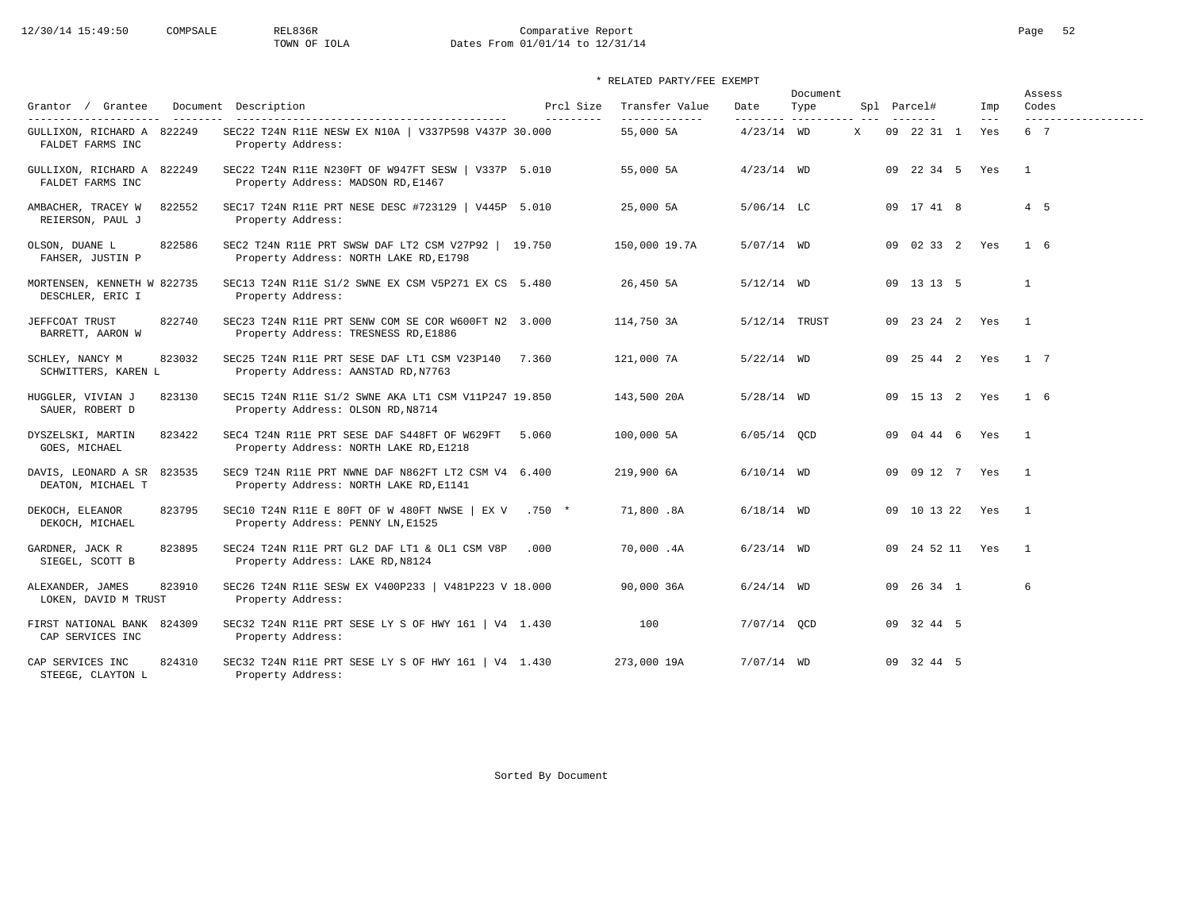# 12/30/14 15:49:50 COMPSALE REL836R Comparative Report Page 52<br>TOWN OF IOLA Dates From 01/01/14 to 12/31/14 Dates From 01/01/14 to 12/31/14

| Grantor / Grantee                                                                            | Document Description                                                                          | Prcl Size  | Transfer Value             | Date          | Document<br>Type     |   | Spl Parcel# |                 | Imp          | Assess<br>Codes            |
|----------------------------------------------------------------------------------------------|-----------------------------------------------------------------------------------------------|------------|----------------------------|---------------|----------------------|---|-------------|-----------------|--------------|----------------------------|
| ---------------------<br>$- - - - - - - -$<br>GULLIXON, RICHARD A 822249<br>FALDET FARMS INC | SEC22 T24N R11E NESW EX N10A   V337P598 V437P 30.000<br>Property Address:                     | ---------- | -------------<br>55,000 5A | $4/23/14$ WD  | --------- ---------- | X |             | 09 22 31 1      | $---$<br>Yes | -------------------<br>6 7 |
| GULLIXON, RICHARD A 822249<br>FALDET FARMS INC                                               | SEC22 T24N R11E N230FT OF W947FT SESW   V337P 5.010<br>Property Address: MADSON RD, E1467     |            | 55,000 5A                  | $4/23/14$ WD  |                      |   |             | 09 22 34 5 Yes  |              | $\overline{1}$             |
| 822552<br>AMBACHER, TRACEY W<br>REIERSON, PAUL J                                             | SEC17 T24N R11E PRT NESE DESC #723129   V445P 5.010<br>Property Address:                      |            | 25,000 5A                  | $5/06/14$ LC  |                      |   |             | 09 17 41 8      |              | 4 5                        |
| 822586<br>OLSON, DUANE L<br>FAHSER, JUSTIN P                                                 | SEC2 T24N R11E PRT SWSW DAF LT2 CSM V27P92  <br>Property Address: NORTH LAKE RD, E1798        | 19.750     | 150,000 19.7A              | 5/07/14 WD    |                      |   |             | 09 02 33 2 Yes  |              | $1\quad 6$                 |
| MORTENSEN, KENNETH W 822735<br>DESCHLER, ERIC I                                              | SEC13 T24N R11E S1/2 SWNE EX CSM V5P271 EX CS 5.480<br>Property Address:                      |            | 26,450 5A                  | $5/12/14$ WD  |                      |   |             | 09 13 13 5      |              | $\mathbf{1}$               |
| 822740<br>JEFFCOAT TRUST<br>BARRETT, AARON W                                                 | SEC23 T24N R11E PRT SENW COM SE COR W600FT N2 3.000<br>Property Address: TRESNESS RD, E1886   |            | 114,750 3A                 | 5/12/14 TRUST |                      |   |             | 09 23 24 2 Yes  |              | $\overline{1}$             |
| SCHLEY, NANCY M<br>823032<br>SCHWITTERS, KAREN L                                             | SEC25 T24N R11E PRT SESE DAF LT1 CSM V23P140<br>Property Address: AANSTAD RD, N7763           | 7.360      | 121,000 7A                 | $5/22/14$ WD  |                      |   |             | 09 25 44 2 Yes  |              | 1 7                        |
| 823130<br>HUGGLER, VIVIAN J<br>SAUER, ROBERT D                                               | SEC15 T24N R11E S1/2 SWNE AKA LT1 CSM V11P247 19.850<br>Property Address: OLSON RD, N8714     |            | 143,500 20A                | $5/28/14$ WD  |                      |   |             | 09 15 13 2 Yes  |              | $1\quad 6$                 |
| 823422<br>DYSZELSKI, MARTIN<br>GOES, MICHAEL                                                 | SEC4 T24N R11E PRT SESE DAF S448FT OF W629FT<br>Property Address: NORTH LAKE RD, E1218        | 5.060      | 100,000 5A                 | $6/05/14$ OCD |                      |   |             | 09 04 44 6 Yes  |              | $\overline{\phantom{0}}$   |
| 823535<br>DAVIS, LEONARD A SR<br>DEATON, MICHAEL T                                           | SEC9 T24N R11E PRT NWNE DAF N862FT LT2 CSM V4 6.400<br>Property Address: NORTH LAKE RD, E1141 |            | 219,900 6A                 | $6/10/14$ WD  |                      |   |             | 09 09 12 7 Yes  |              | $\overline{1}$             |
| 823795<br>DEKOCH, ELEANOR<br>DEKOCH, MICHAEL                                                 | SEC10 T24N R11E E 80FT OF W 480FT NWSE   EX V .750 *<br>Property Address: PENNY LN, E1525     |            | 71,800.8A                  | $6/18/14$ WD  |                      |   |             | 09 10 13 22 Yes |              | $\overline{1}$             |
| 823895<br>GARDNER, JACK R<br>SIEGEL, SCOTT B                                                 | SEC24 T24N R11E PRT GL2 DAF LT1 & OL1 CSM V8P<br>Property Address: LAKE RD, N8124             | .000       | 70,000.4A                  | $6/23/14$ WD  |                      |   |             | 09 24 52 11 Yes |              | $\overline{1}$             |
| 823910<br>ALEXANDER, JAMES<br>LOKEN, DAVID M TRUST                                           | SEC26 T24N R11E SESW EX V400P233   V481P223 V 18.000<br>Property Address:                     |            | 90,000 36A                 | $6/24/14$ WD  |                      |   |             | 09 26 34 1      |              | 6                          |
| FIRST NATIONAL BANK<br>824309<br>CAP SERVICES INC                                            | SEC32 T24N R11E PRT SESE LY S OF HWY 161   V4 1.430<br>Property Address:                      |            | 100                        | 7/07/14 OCD   |                      |   |             | 09 32 44 5      |              |                            |
| CAP SERVICES INC<br>824310<br>STEEGE, CLAYTON L                                              | SEC32 T24N R11E PRT SESE LY S OF HWY 161   V4 1.430<br>Property Address:                      |            | 273,000 19A                | $7/07/14$ WD  |                      |   |             | 09 32 44 5      |              |                            |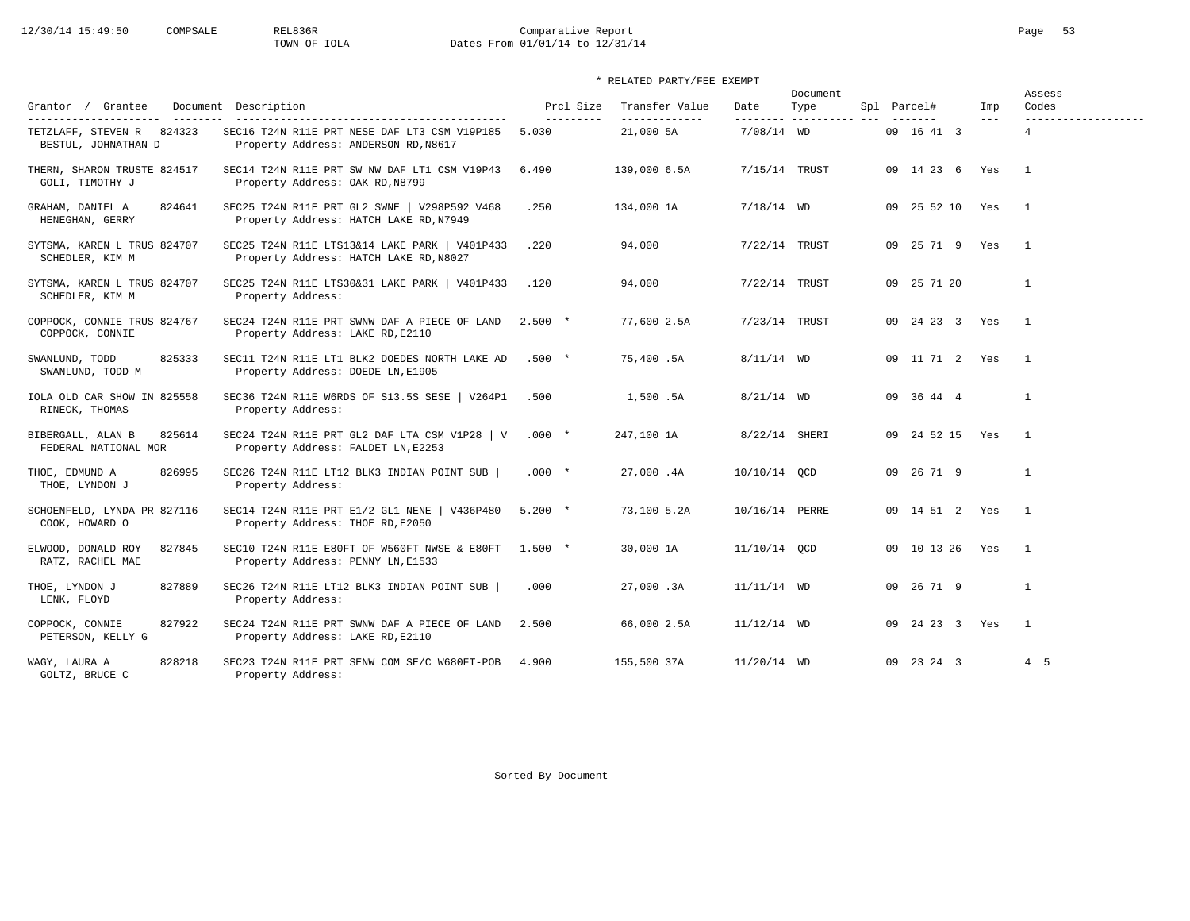# 12/30/14 15:49:50 COMPSALE REL836R Comparative Report Page 53<br>TOWN OF IOLA Dates From 01/01/14 to 12/31/14 Dates From 01/01/14 to 12/31/14

| Grantor / Grantee                                                                      | Document Description                                                                    | Prcl Size          | Transfer Value             | Date                      | Document<br>Type | Spl Parcel#    | Imp     | Assess<br>Codes          |
|----------------------------------------------------------------------------------------|-----------------------------------------------------------------------------------------|--------------------|----------------------------|---------------------------|------------------|----------------|---------|--------------------------|
| ---------------------<br>---------<br>TETZLAFF, STEVEN R 824323<br>BESTUL, JOHNATHAN D | SEC16 T24N R11E PRT NESE DAF LT3 CSM V19P185<br>Property Address: ANDERSON RD, N8617    | ---------<br>5.030 | -------------<br>21,000 5A | ---------<br>$7/08/14$ WD | -----------      | 09 16 41 3     | $- - -$ | -------------------<br>4 |
| THERN, SHARON TRUSTE 824517<br>GOLI, TIMOTHY J                                         | SEC14 T24N R11E PRT SW NW DAF LT1 CSM V19P43<br>Property Address: OAK RD, N8799         | 6.490              | 139,000 6.5A               | 7/15/14 TRUST             |                  | 09 14 23 6     | Yes     | $\overline{1}$           |
| 824641<br>GRAHAM, DANIEL A<br>HENEGHAN, GERRY                                          | SEC25 T24N R11E PRT GL2 SWNE   V298P592 V468<br>Property Address: HATCH LAKE RD, N7949  | .250               | 134,000 1A                 | $7/18/14$ WD              |                  | 09 25 52 10    | Yes     | $\overline{1}$           |
| SYTSMA, KAREN L TRUS 824707<br>SCHEDLER, KIM M                                         | SEC25 T24N R11E LTS13&14 LAKE PARK   V401P433<br>Property Address: HATCH LAKE RD, N8027 | .220               | 94,000                     | 7/22/14 TRUST             |                  | 09 25 71 9     | Yes     | $\mathbf{1}$             |
| SYTSMA, KAREN L TRUS 824707<br>SCHEDLER, KIM M                                         | SEC25 T24N R11E LTS30&31 LAKE PARK   V401P433<br>Property Address:                      | .120               | 94,000                     | 7/22/14 TRUST             |                  | 09 25 71 20    |         | 1                        |
| COPPOCK, CONNIE TRUS 824767<br>COPPOCK, CONNIE                                         | SEC24 T24N R11E PRT SWNW DAF A PIECE OF LAND<br>Property Address: LAKE RD, E2110        | $2.500*$           | 77,600 2.5A                | 7/23/14 TRUST             |                  | 09 24 23 3 Yes |         | $\overline{1}$           |
| SWANLUND, TODD<br>825333<br>SWANLUND, TODD M                                           | SEC11 T24N R11E LT1 BLK2 DOEDES NORTH LAKE AD<br>Property Address: DOEDE LN, E1905      | $.500*$            | 75,400.5A                  | $8/11/14$ WD              |                  | 09 11 71 2     | Yes     | $\mathbf{1}$             |
| IOLA OLD CAR SHOW IN 825558<br>RINECK, THOMAS                                          | SEC36 T24N R11E W6RDS OF S13.5S SESE   V264P1<br>Property Address:                      | .500               | 1,500.5A                   | $8/21/14$ WD              |                  | 09 36 44 4     |         | $\mathbf{1}$             |
| 825614<br>BIBERGALL, ALAN B<br>FEDERAL NATIONAL MOR                                    | SEC24 T24N R11E PRT GL2 DAF LTA CSM V1P28   V<br>Property Address: FALDET LN, E2253     | $.000*$            | 247,100 1A                 | 8/22/14 SHERI             |                  | 09 24 52 15    | Yes     | $\mathbf{1}$             |
| 826995<br>THOE, EDMUND A<br>THOE, LYNDON J                                             | SEC26 T24N R11E LT12 BLK3 INDIAN POINT SUB  <br>Property Address:                       | $.000 *$           | 27,000.4A                  | 10/10/14 OCD              |                  | 09 26 71 9     |         | $\mathbf{1}$             |
| SCHOENFELD, LYNDA PR 827116<br>COOK, HOWARD O                                          | SEC14 T24N R11E PRT E1/2 GL1 NENE   V436P480<br>Property Address: THOE RD, E2050        | $5.200 *$          | 73,100 5.2A                | 10/16/14 PERRE            |                  | 09 14 51 2 Yes |         | $\mathbf{1}$             |
| 827845<br>ELWOOD, DONALD ROY<br>RATZ, RACHEL MAE                                       | SEC10 T24N R11E E80FT OF W560FT NWSE & E80FT<br>Property Address: PENNY LN, E1533       | $1.500 *$          | 30,000 1A                  | 11/10/14 OCD              |                  | 09 10 13 26    | Yes     | $\overline{1}$           |
| 827889<br>THOE, LYNDON J<br>LENK, FLOYD                                                | SEC26 T24N R11E LT12 BLK3 INDIAN POINT SUB  <br>Property Address:                       | .000               | 27,000.3A                  | $11/11/14$ WD             |                  | 09 26 71 9     |         | $\mathbf{1}$             |
| COPPOCK, CONNIE<br>827922<br>PETERSON, KELLY G                                         | SEC24 T24N R11E PRT SWNW DAF A PIECE OF LAND<br>Property Address: LAKE RD, E2110        | 2.500              | 66,000 2.5A                | $11/12/14$ WD             |                  | 09 24 23 3 Yes |         | $\overline{1}$           |
| 828218<br>WAGY, LAURA A<br>GOLTZ, BRUCE C                                              | SEC23 T24N R11E PRT SENW COM SE/C W680FT-POB<br>Property Address:                       | 4.900              | 155,500 37A                | 11/20/14 WD               |                  | 09 23 24 3     |         | 4 5                      |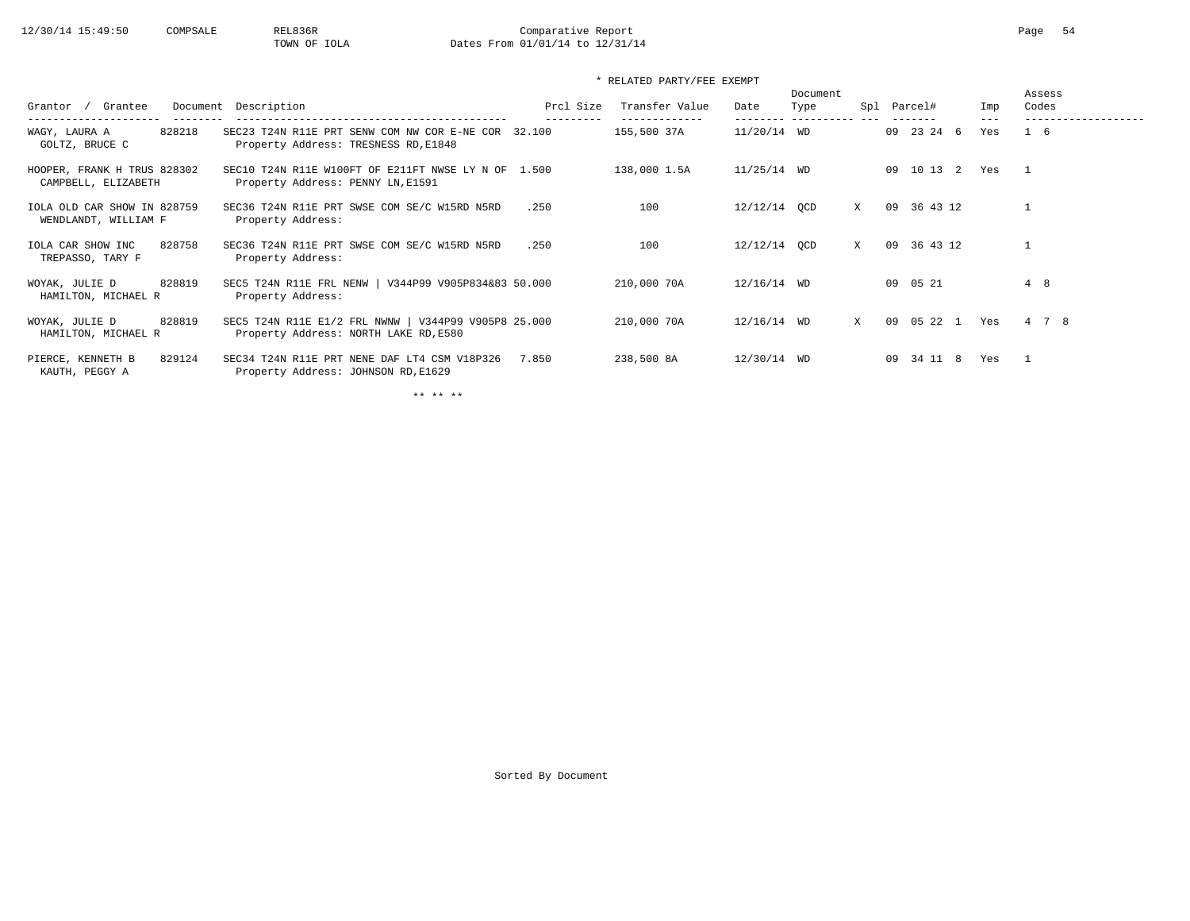# 12/30/14 15:49:50 COMPSALE REL836R Comparative Report Page 54<br>TOWN OF IOLA Dates From 01/01/14 to 12/31/14 Dates From 01/01/14 to 12/31/14

### \* RELATED PARTY/FEE EXEMPT

| Grantee<br>Document<br>Grantor                             | Description                                                                                   | Prcl Size | Transfer Value               | Date          | Document<br>Type | Spl | Parcel#                     | Imp            | Assess<br>Codes |
|------------------------------------------------------------|-----------------------------------------------------------------------------------------------|-----------|------------------------------|---------------|------------------|-----|-----------------------------|----------------|-----------------|
| -------------<br>WAGY, LAURA A<br>828218<br>GOLTZ, BRUCE C | SEC23 T24N R11E PRT SENW COM NW COR E-NE COR 32.100<br>Property Address: TRESNESS RD, E1848   |           | -------------<br>155,500 37A | $11/20/14$ WD | ----------- ---  |     | 09 23 24 6                  | $- - -$<br>Yes | $1\quad 6$      |
| HOOPER, FRANK H TRUS 828302<br>CAMPBELL, ELIZABETH         | SEC10 T24N R11E W100FT OF E211FT NWSE LY N OF 1.500<br>Property Address: PENNY LN, E1591      |           | 138,000 1.5A                 | $11/25/14$ WD |                  |     | 09 10 13<br>$\overline{2}$  | Yes            | $\overline{1}$  |
| IOLA OLD CAR SHOW IN 828759<br>WENDLANDT, WILLIAM F        | SEC36 T24N R11E PRT SWSE COM SE/C W15RD N5RD<br>Property Address:                             | .250      | 100                          | 12/12/14 OCD  |                  | X   | 36 43 12<br>09              |                |                 |
| 828758<br>IOLA CAR SHOW INC<br>TREPASSO, TARY F            | SEC36 T24N R11E PRT SWSE COM SE/C W15RD N5RD<br>Property Address:                             | .250      | 100                          | 12/12/14 OCD  |                  | X   | 36 43 12<br>09              |                |                 |
| 828819<br>WOYAK, JULIE D<br>HAMILTON, MICHAEL R            | SEC5 T24N R11E FRL NENW   V344P99 V905P834&83 50.000<br>Property Address:                     |           | 210,000 70A                  | $12/16/14$ WD |                  |     | 09 05 21                    |                | 4 8             |
| 828819<br>WOYAK, JULIE D<br>HAMILTON, MICHAEL R            | SEC5 T24N R11E E1/2 FRL NWNW   V344P99 V905P8 25.000<br>Property Address: NORTH LAKE RD, E580 |           | 210,000 70A                  | 12/16/14 WD   |                  | X   | 05 22<br>09<br><sup>1</sup> | Yes            | 4 7 8           |
| 829124<br>PIERCE, KENNETH B<br>KAUTH, PEGGY A              | SEC34 T24N R11E PRT NENE DAF LT4 CSM V18P326<br>Property Address: JOHNSON RD, E1629           | 7.850     | 238,500 8A                   | 12/30/14 WD   |                  |     | 34 11 8<br>09               | Yes            |                 |

\*\* \*\* \*\*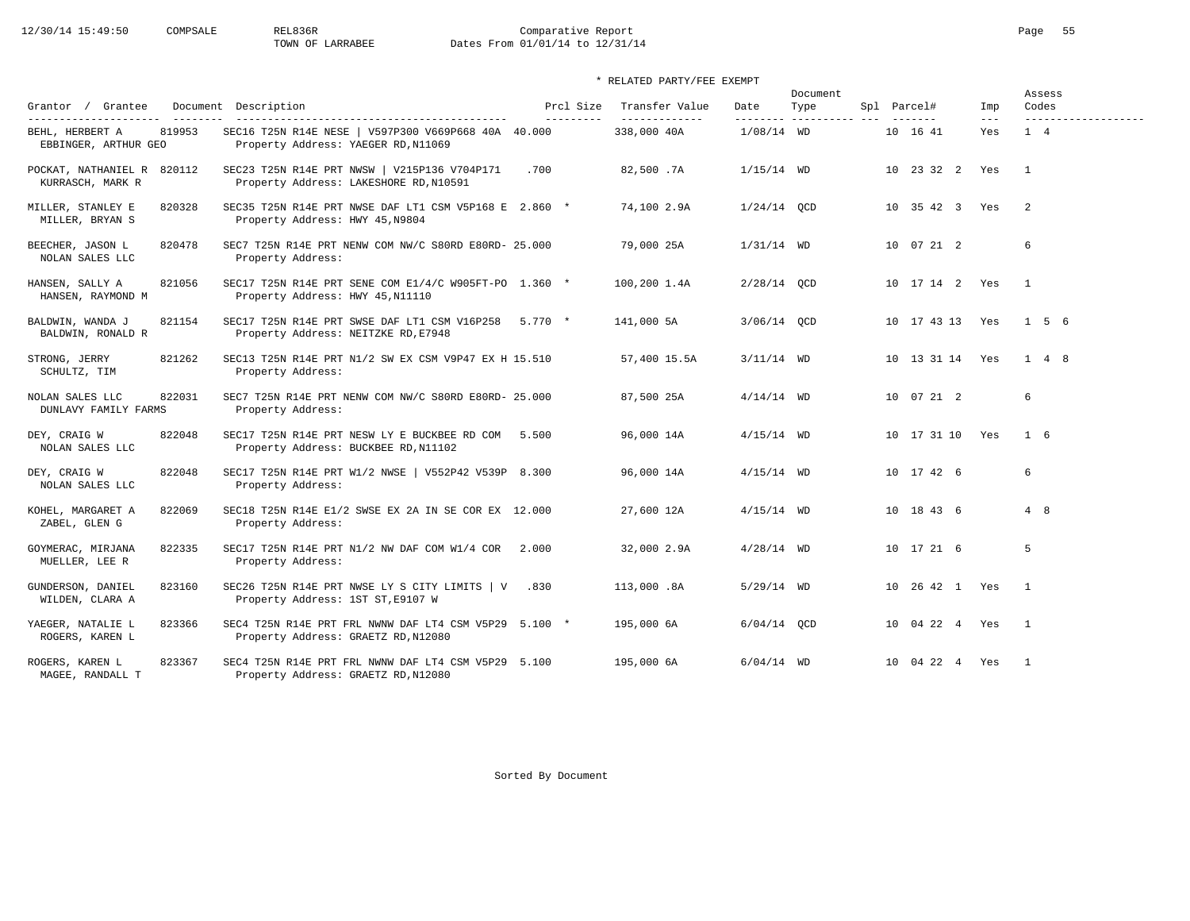# 12/30/14 15:49:50 COMPSALE REL836R Comparative Report Comparative Report Page 55 Dates From 01/01/14 to 12/31/14

### \* RELATED PARTY/FEE EXEMPT

|                                                |        |                                                                                              |                         |                                 |               | Document                          |                 |              | Assess                       |  |
|------------------------------------------------|--------|----------------------------------------------------------------------------------------------|-------------------------|---------------------------------|---------------|-----------------------------------|-----------------|--------------|------------------------------|--|
| Grantor / Grantee<br>---------------------     |        | Document Description<br>-----------------------------------                                  | Prcl Size<br>---------- | Transfer Value<br>------------- | Date          | Type<br>--------- ----------- --- | Spl Parcel#     | Imp<br>$---$ | Codes<br>------------------- |  |
| BEHL, HERBERT A<br>EBBINGER, ARTHUR GEO        | 819953 | SEC16 T25N R14E NESE   V597P300 V669P668 40A 40.000<br>Property Address: YAEGER RD, N11069   |                         | 338,000 40A                     | $1/08/14$ WD  |                                   | 10 16 41        | Yes          | 1 4                          |  |
| POCKAT, NATHANIEL R 820112<br>KURRASCH, MARK R |        | SEC23 T25N R14E PRT NWSW   V215P136 V704P171<br>Property Address: LAKESHORE RD, N10591       | .700                    | 82,500.7A                       | $1/15/14$ WD  |                                   | 10 23 32 2 Yes  |              | $\overline{1}$               |  |
| MILLER, STANLEY E<br>MILLER, BRYAN S           | 820328 | SEC35 T25N R14E PRT NWSE DAF LT1 CSM V5P168 E 2.860 *<br>Property Address: HWY 45, N9804     |                         | 74,100 2.9A                     | $1/24/14$ QCD |                                   | 10 35 42 3 Yes  |              | 2                            |  |
| BEECHER, JASON L<br>NOLAN SALES LLC            | 820478 | SEC7 T25N R14E PRT NENW COM NW/C S80RD E80RD- 25.000<br>Property Address:                    |                         | 79,000 25A                      | $1/31/14$ WD  |                                   | 10 07 21 2      |              | 6                            |  |
| HANSEN, SALLY A<br>HANSEN, RAYMOND M           | 821056 | SEC17 T25N R14E PRT SENE COM E1/4/C W905FT-PO 1.360 *<br>Property Address: HWY 45, N11110    |                         | $100, 200$ 1.4A                 | $2/28/14$ QCD |                                   | 10 17 14 2 Yes  |              | $\overline{1}$               |  |
| BALDWIN, WANDA J<br>BALDWIN, RONALD R          | 821154 | SEC17 T25N R14E PRT SWSE DAF LT1 CSM V16P258 5.770 *<br>Property Address: NEITZKE RD, E7948  |                         | 141,000 5A                      | 3/06/14 OCD   |                                   | 10 17 43 13 Yes |              | 1 5 6                        |  |
| STRONG, JERRY<br>SCHULTZ, TIM                  | 821262 | SEC13 T25N R14E PRT N1/2 SW EX CSM V9P47 EX H 15.510<br>Property Address:                    |                         | 57,400 15.5A                    | $3/11/14$ WD  |                                   | 10 13 31 14 Yes |              | $1 \quad 4 \quad 8$          |  |
| NOLAN SALES LLC<br>DUNLAVY FAMILY FARMS        | 822031 | SEC7 T25N R14E PRT NENW COM NW/C S80RD E80RD- 25.000<br>Property Address:                    |                         | 87,500 25A                      | $4/14/14$ WD  |                                   | 10 07 21 2      |              | 6                            |  |
| DEY, CRAIG W<br>NOLAN SALES LLC                | 822048 | SEC17 T25N R14E PRT NESW LY E BUCKBEE RD COM 5.500<br>Property Address: BUCKBEE RD, N11102   |                         | 96,000 14A                      | $4/15/14$ WD  |                                   | 10 17 31 10 Yes |              | $1\quad 6$                   |  |
| DEY, CRAIG W<br>NOLAN SALES LLC                | 822048 | SEC17 T25N R14E PRT W1/2 NWSE   V552P42 V539P 8.300<br>Property Address:                     |                         | 96,000 14A                      | $4/15/14$ WD  |                                   | 10 17 42 6      |              | 6                            |  |
| KOHEL, MARGARET A<br>ZABEL, GLEN G             | 822069 | SEC18 T25N R14E E1/2 SWSE EX 2A IN SE COR EX 12.000<br>Property Address:                     |                         | 27,600 12A                      | $4/15/14$ WD  |                                   | 10 18 43 6      |              | 4 8                          |  |
| GOYMERAC, MIRJANA<br>MUELLER, LEE R            | 822335 | SEC17 T25N R14E PRT N1/2 NW DAF COM W1/4 COR $2.000$<br>Property Address:                    |                         | 32,000 2.9A                     | $4/28/14$ WD  |                                   | 10 17 21 6      |              | 5                            |  |
| GUNDERSON, DANIEL<br>WILDEN, CLARA A           | 823160 | SEC26 T25N R14E PRT NWSE LY S CITY LIMITS   V .830<br>Property Address: 1ST ST, E9107 W      |                         | 113,000.8A                      | $5/29/14$ WD  |                                   | 10 26 42 1 Yes  |              | $\mathbf{1}$                 |  |
| YAEGER, NATALIE L<br>ROGERS, KAREN L           | 823366 | SEC4 T25N R14E PRT FRL NWNW DAF LT4 CSM V5P29 5.100 *<br>Property Address: GRAETZ RD, N12080 |                         | 195,000 6A                      | $6/04/14$ OCD |                                   | 10 04 22 4 Yes  |              | $\overline{1}$               |  |
| ROGERS, KAREN L<br>MAGEE, RANDALL T            | 823367 | SEC4 T25N R14E PRT FRL NWNW DAF LT4 CSM V5P29 5.100<br>Property Address: GRAETZ RD, N12080   |                         | 195,000 6A                      | $6/04/14$ WD  |                                   | 10 04 22 4 Yes  |              | $\mathbf{1}$                 |  |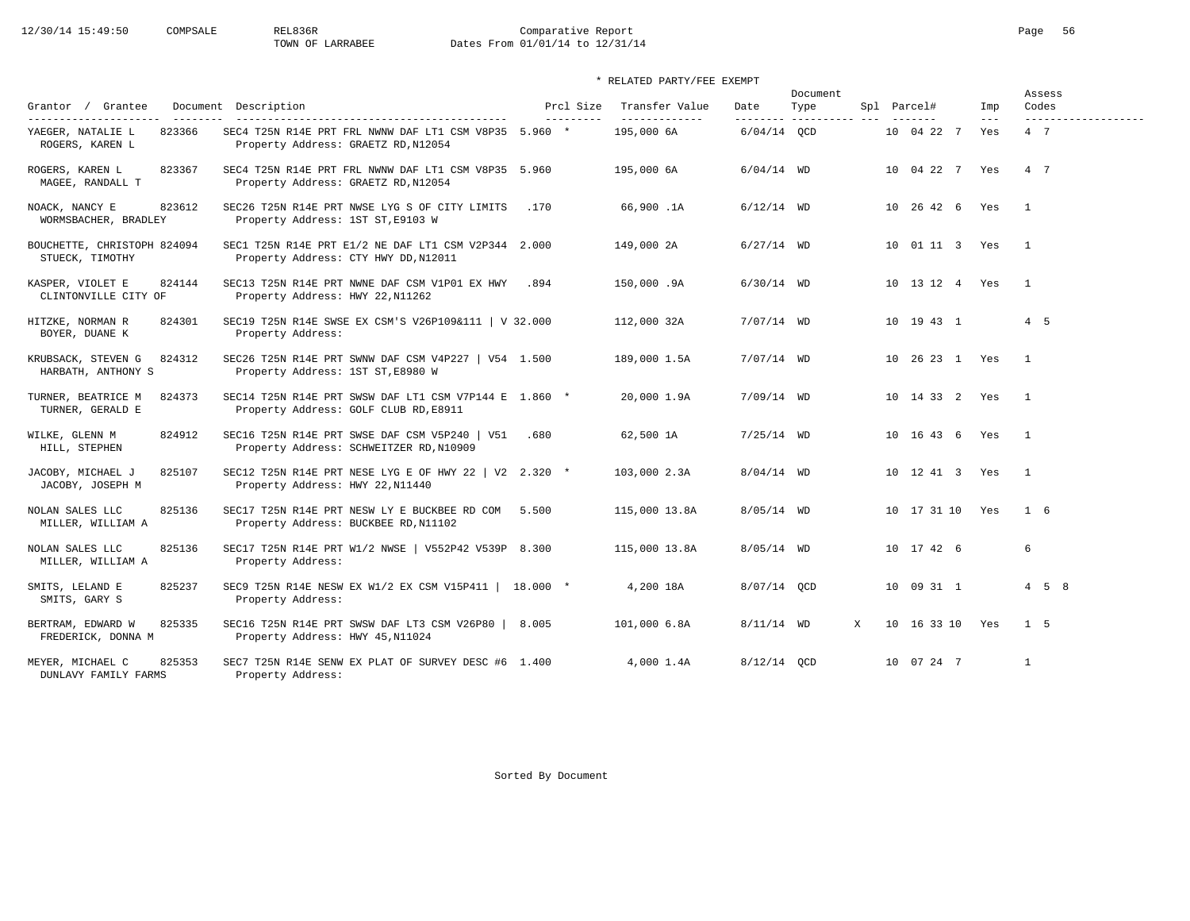# 12/30/14 15:49:50 COMPSALE REL836R Comparative Report Comparative Report Page 56<br>TOWN OF LARRABEE Dates From 01/01/14 to 12/31/14 Dates From 01/01/14 to 12/31/14

### \* RELATED PARTY/FEE EXEMPT

|                                                    |                                                                                                |                        |                                 | Document      |                                 |   |             |                 | Assess                     |                              |  |
|----------------------------------------------------|------------------------------------------------------------------------------------------------|------------------------|---------------------------------|---------------|---------------------------------|---|-------------|-----------------|----------------------------|------------------------------|--|
| Grantor / Grantee<br>---------------------         | Document Description<br>_____________________________________                                  | Prcl Size<br>--------- | Transfer Value<br>------------- | Date          | Type<br>-------- ---------- --- |   | Spl Parcel# |                 | Imp<br>$\qquad \qquad - -$ | Codes<br>------------------- |  |
| YAEGER, NATALIE L<br>823366<br>ROGERS, KAREN L     | SEC4 T25N R14E PRT FRL NWNW DAF LT1 CSM V8P35 5.960 *<br>Property Address: GRAETZ RD, N12054   |                        | 195,000 6A                      | $6/04/14$ OCD |                                 |   |             | 10 04 22 7      | Yes                        | 4 7                          |  |
| 823367<br>ROGERS, KAREN L<br>MAGEE, RANDALL T      | SEC4 T25N R14E PRT FRL NWNW DAF LT1 CSM V8P35 5.960<br>Property Address: GRAETZ RD, N12054     |                        | 195,000 6A                      | $6/04/14$ WD  |                                 |   |             | 10 04 22 7 Yes  |                            | 4 7                          |  |
| NOACK, NANCY E<br>823612<br>WORMSBACHER, BRADLEY   | SEC26 T25N R14E PRT NWSE LYG S OF CITY LIMITS<br>Property Address: 1ST ST, E9103 W             | .170                   | 66,900.1A                       | $6/12/14$ WD  |                                 |   |             | 10 26 42 6 Yes  |                            | $\mathbf{1}$                 |  |
| BOUCHETTE, CHRISTOPH 824094<br>STUECK, TIMOTHY     | SEC1 T25N R14E PRT E1/2 NE DAF LT1 CSM V2P344 2.000<br>Property Address: CTY HWY DD, N12011    |                        | 149,000 2A                      | $6/27/14$ WD  |                                 |   |             | 10 01 11 3 Yes  |                            | $\overline{1}$               |  |
| 824144<br>KASPER, VIOLET E<br>CLINTONVILLE CITY OF | SEC13 T25N R14E PRT NWNE DAF CSM V1P01 EX HWY<br>Property Address: HWY 22, N11262              | .894                   | 150,000.9A                      | $6/30/14$ WD  |                                 |   |             | 10 13 12 4 Yes  |                            | $\overline{1}$               |  |
| HITZKE, NORMAN R<br>824301<br>BOYER, DUANE K       | SEC19 T25N R14E SWSE EX CSM'S V26P109&111   V 32.000<br>Property Address:                      |                        | 112,000 32A                     | $7/07/14$ WD  |                                 |   |             | 10 19 43 1      |                            | 4 5                          |  |
| KRUBSACK, STEVEN G<br>824312<br>HARBATH, ANTHONY S | SEC26 T25N R14E PRT SWNW DAF CSM V4P227   V54 1.500<br>Property Address: 1ST ST, E8980 W       |                        | 189,000 1.5A                    | $7/07/14$ WD  |                                 |   |             | 10 26 23 1 Yes  |                            | $\overline{1}$               |  |
| TURNER, BEATRICE M<br>824373<br>TURNER, GERALD E   | SEC14 T25N R14E PRT SWSW DAF LT1 CSM V7P144 E 1.860 *<br>Property Address: GOLF CLUB RD, E8911 |                        | 20,000 1.9A                     | $7/09/14$ WD  |                                 |   |             | 10 14 33 2 Yes  |                            | $\overline{1}$               |  |
| WILKE, GLENN M<br>824912<br>HILL, STEPHEN          | SEC16 T25N R14E PRT SWSE DAF CSM V5P240   V51<br>Property Address: SCHWEITZER RD, N10909       | .680                   | 62,500 1A                       | $7/25/14$ WD  |                                 |   |             | 10 16 43 6 Yes  |                            | $\overline{1}$               |  |
| JACOBY, MICHAEL J<br>825107<br>JACOBY, JOSEPH M    | SEC12 T25N R14E PRT NESE LYG E OF HWY 22   V2 2.320 $*$<br>Property Address: HWY 22, N11440    |                        | 103,000 2.3A                    | $8/04/14$ WD  |                                 |   |             | 10 12 41 3 Yes  |                            | $\mathbf{1}$                 |  |
| NOLAN SALES LLC<br>825136<br>MILLER, WILLIAM A     | SEC17 T25N R14E PRT NESW LY E BUCKBEE RD COM 5.500<br>Property Address: BUCKBEE RD, N11102     |                        | 115,000 13.8A                   | $8/05/14$ WD  |                                 |   |             | 10 17 31 10 Yes |                            | 1 6                          |  |
| 825136<br>NOLAN SALES LLC<br>MILLER, WILLIAM A     | SEC17 T25N R14E PRT W1/2 NWSE   V552P42 V539P 8.300<br>Property Address:                       |                        | 115,000 13.8A                   | $8/05/14$ WD  |                                 |   |             | 10 17 42 6      |                            | 6                            |  |
| SMITS, LELAND E<br>825237<br>SMITS, GARY S         | SEC9 T25N R14E NESW EX W1/2 EX CSM V15P411   18.000 *<br>Property Address:                     |                        | 4,200 18A                       | 8/07/14 OCD   |                                 |   |             | 10 09 31 1      |                            | $4\quad 5\quad 8$            |  |
| BERTRAM, EDWARD W<br>825335<br>FREDERICK, DONNA M  | SEC16 T25N R14E PRT SWSW DAF LT3 CSM V26P80<br>Property Address: HWY 45, N11024                | 8.005                  | 101,000 6.8A                    | $8/11/14$ WD  |                                 | X |             | 10 16 33 10 Yes |                            | $1\quad 5$                   |  |
| 825353<br>MEYER, MICHAEL C<br>DUNLAVY FAMILY FARMS | SEC7 T25N R14E SENW EX PLAT OF SURVEY DESC #6 1.400<br>Property Address:                       |                        | 4.000 1.4A                      | 8/12/14 OCD   |                                 |   |             | 10 07 24 7      |                            | $\mathbf{1}$                 |  |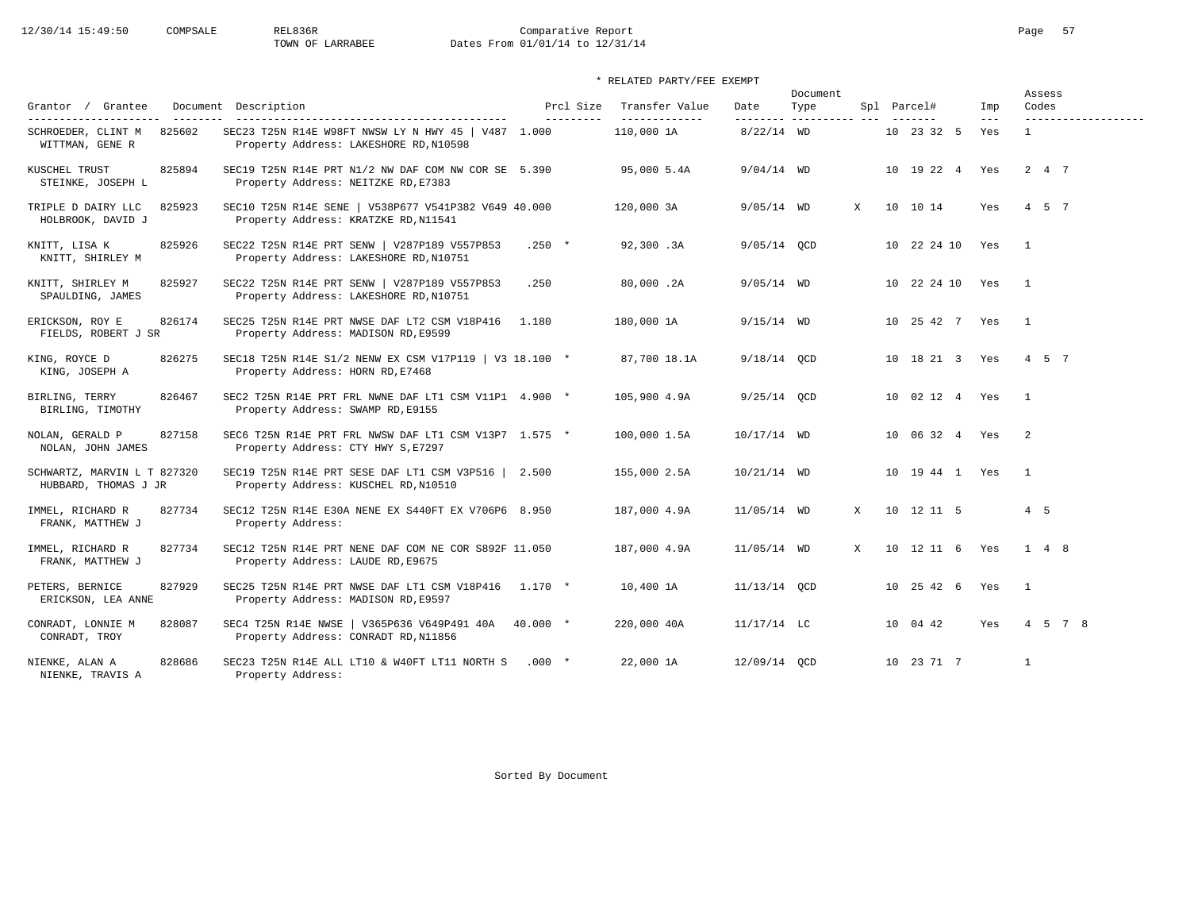# 12/30/14 15:49:50 COMPSALE REL836R Comparative Report Comparative Report Page 57<br>TOWN OF LARRABEE Dates From 01/01/14 to 12/31/14 Dates From 01/01/14 to 12/31/14

| Grantor / Grantee                                   | Document Description<br>---------------------------------                                     | Prcl Size<br>--------- | Transfer Value<br>------------- | Date          | Document<br>Type |   | Spl Parcel#    | Imp<br>$- - -$ | Assess<br>Codes     |
|-----------------------------------------------------|-----------------------------------------------------------------------------------------------|------------------------|---------------------------------|---------------|------------------|---|----------------|----------------|---------------------|
| SCHROEDER, CLINT M<br>825602<br>WITTMAN, GENE R     | SEC23 T25N R14E W98FT NWSW LY N HWY 45   V487 1.000<br>Property Address: LAKESHORE RD, N10598 |                        | 110,000 1A                      | $8/22/14$ WD  |                  |   | 10 23 32 5     | Yes            | $\mathbf{1}$        |
| 825894<br>KUSCHEL TRUST<br>STEINKE, JOSEPH L        | SEC19 T25N R14E PRT N1/2 NW DAF COM NW COR SE 5.390<br>Property Address: NEITZKE RD, E7383    |                        | 95,000 5.4A                     | $9/04/14$ WD  |                  |   | 10 19 22 4 Yes |                | 2 4 7               |
| 825923<br>TRIPLE D DAIRY LLC<br>HOLBROOK, DAVID J   | SEC10 T25N R14E SENE   V538P677 V541P382 V649 40.000<br>Property Address: KRATZKE RD, N11541  |                        | 120,000 3A                      | $9/05/14$ WD  |                  | X | 10 10 14       | Yes            | 4 5 7               |
| KNITT, LISA K<br>825926<br>KNITT, SHIRLEY M         | SEC22 T25N R14E PRT SENW   V287P189 V557P853<br>Property Address: LAKESHORE RD, N10751        | $.250 *$               | 92,300.3A                       | 9/05/14 OCD   |                  |   | 10 22 24 10    | Yes            | $\overline{1}$      |
| KNITT, SHIRLEY M<br>825927<br>SPAULDING, JAMES      | SEC22 T25N R14E PRT SENW   V287P189 V557P853<br>Property Address: LAKESHORE RD, N10751        | .250                   | 80,000.2A                       | $9/05/14$ WD  |                  |   | 10 22 24 10    | Yes            | $\sim$ 1            |
| 826174<br>ERICKSON, ROY E<br>FIELDS, ROBERT J SR    | SEC25 T25N R14E PRT NWSE DAF LT2 CSM V18P416<br>Property Address: MADISON RD, E9599           | 1.180                  | 180,000 1A                      | $9/15/14$ WD  |                  |   | 10 25 42 7 Yes |                | $\overline{1}$      |
| 826275<br>KING, ROYCE D<br>KING, JOSEPH A           | SEC18 T25N R14E S1/2 NENW EX CSM V17P119   V3 18.100 *<br>Property Address: HORN RD, E7468    |                        | 87,700 18.1A                    | $9/18/14$ QCD |                  |   | 10 18 21 3 Yes |                | 4 5 7               |
| BIRLING, TERRY<br>826467<br>BIRLING, TIMOTHY        | SEC2 T25N R14E PRT FRL NWNE DAF LT1 CSM V11P1 4.900 *<br>Property Address: SWAMP RD, E9155    |                        | 105,900 4.9A                    | $9/25/14$ OCD |                  |   | 10 02 12 4 Yes |                | $\overline{1}$      |
| NOLAN, GERALD P<br>827158<br>NOLAN, JOHN JAMES      | SEC6 T25N R14E PRT FRL NWSW DAF LT1 CSM V13P7 1.575 *<br>Property Address: CTY HWY S, E7297   |                        | 100,000 1.5A                    | 10/17/14 WD   |                  |   | 10 06 32 4 Yes |                | 2                   |
| SCHWARTZ, MARVIN L T 827320<br>HUBBARD, THOMAS J JR | SEC19 T25N R14E PRT SESE DAF LT1 CSM V3P516   2.500<br>Property Address: KUSCHEL RD, N10510   |                        | 155,000 2.5A                    | 10/21/14 WD   |                  |   | 10 19 44 1 Yes |                | $\overline{1}$      |
| 827734<br>IMMEL, RICHARD R<br>FRANK, MATTHEW J      | SEC12 T25N R14E E30A NENE EX S440FT EX V706P6 8.950<br>Property Address:                      |                        | 187,000 4.9A                    | $11/05/14$ WD |                  | X | 10 12 11 5     |                | 4 5                 |
| IMMEL, RICHARD R<br>827734<br>FRANK, MATTHEW J      | SEC12 T25N R14E PRT NENE DAF COM NE COR S892F 11.050<br>Property Address: LAUDE RD, E9675     |                        | 187,000 4.9A                    | 11/05/14 WD   |                  | X | 10 12 11 6 Yes |                | $1 \quad 4 \quad 8$ |
| PETERS, BERNICE<br>827929<br>ERICKSON, LEA ANNE     | SEC25 T25N R14E PRT NWSE DAF LT1 CSM V18P416 1.170 *<br>Property Address: MADISON RD, E9597   |                        | 10,400 1A                       | 11/13/14 OCD  |                  |   | 10 25 42 6 Yes |                | $\overline{1}$      |
| CONRADT, LONNIE M<br>828087<br>CONRADT, TROY        | SEC4 T25N R14E NWSE   V365P636 V649P491 40A<br>Property Address: CONRADT RD, N11856           | 40.000 *               | 220,000 40A                     | $11/17/14$ LC |                  |   | 10 04 42       | Yes            | 4 5 7 8             |
| 828686<br>NIENKE, ALAN A<br>NIENKE, TRAVIS A        | SEC23 T25N R14E ALL LT10 & W40FT LT11 NORTH S<br>Property Address:                            | $.000$ *               | 22,000 1A                       | 12/09/14 QCD  |                  |   | 10 23 71 7     |                | 1                   |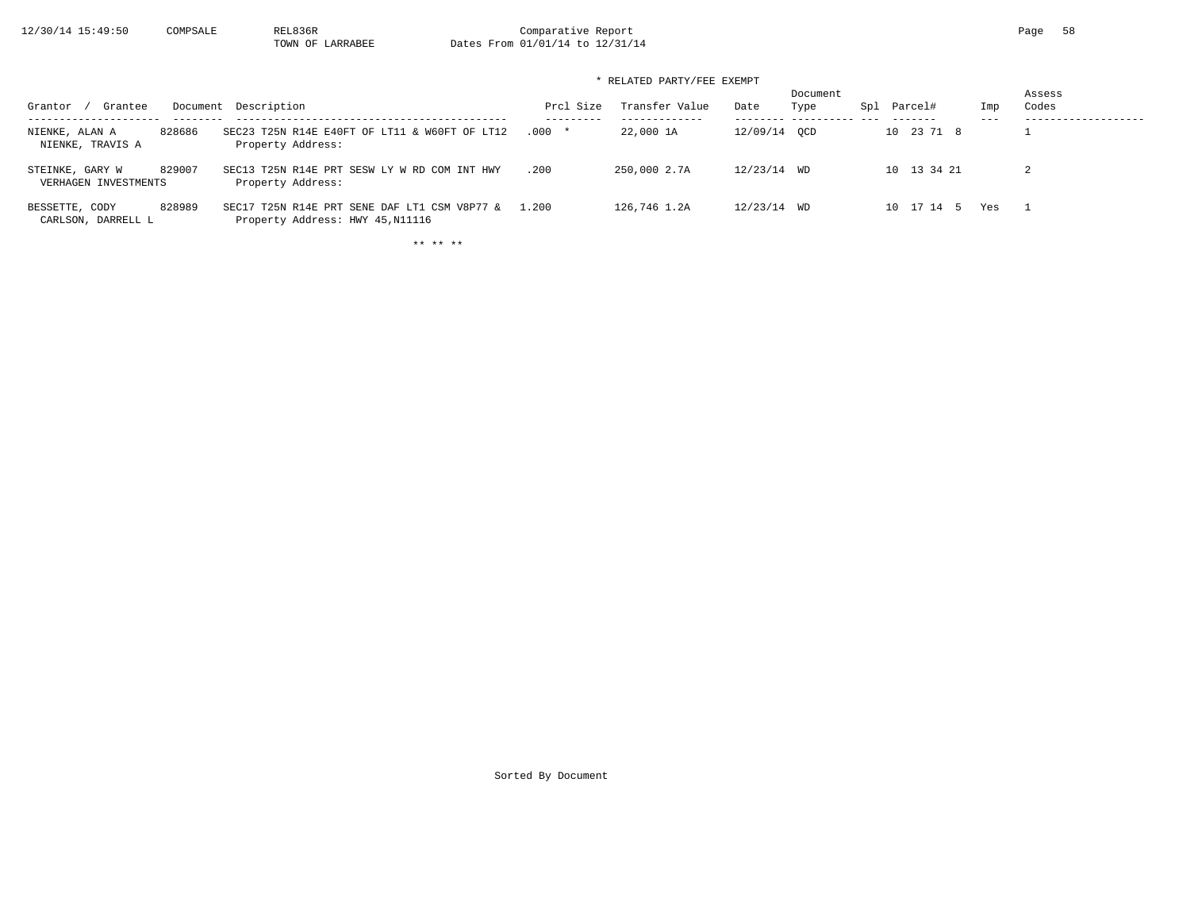$12/30/14$  15:49:50 COMPSALE REL836R Comparative Report Page 58<br>TOWN OF LARRABEE Dates From 01/01/14 to 12/31/14 Dates From 01/01/14 to 12/31/14

\* RELATED PARTY/FEE EXEMPT

| Grantee<br>Grantor                      |        | Document Description                                                             | Prcl Size | Transfer Value<br>--------- | Date         | Document<br>Type | Spl | Parcel#     | Imp<br>$- - -$ | Assess<br>Codes |
|-----------------------------------------|--------|----------------------------------------------------------------------------------|-----------|-----------------------------|--------------|------------------|-----|-------------|----------------|-----------------|
| NIENKE, ALAN A<br>NIENKE, TRAVIS A      | 828686 | SEC23 T25N R14E E40FT OF LT11 & W60FT OF LT12<br>Property Address:               | $.000*$   | 22,000 1A                   | 12/09/14 OCD |                  |     | 10 23 71 8  |                |                 |
| STEINKE, GARY W<br>VERHAGEN INVESTMENTS | 829007 | SEC13 T25N R14E PRT SESW LY W RD COM INT HWY<br>Property Address:                | .200      | 250,000 2.7A                | 12/23/14 WD  |                  |     | 10 13 34 21 |                |                 |
| BESSETTE, CODY<br>CARLSON, DARRELL L    | 828989 | SEC17 T25N R14E PRT SENE DAF LT1 CSM V8P77 &<br>Property Address: HWY 45, N11116 | 1.200     | 126,746 1.2A                | 12/23/14 WD  |                  |     | 10 17 14 5  | Yes            |                 |

\*\* \*\* \*\*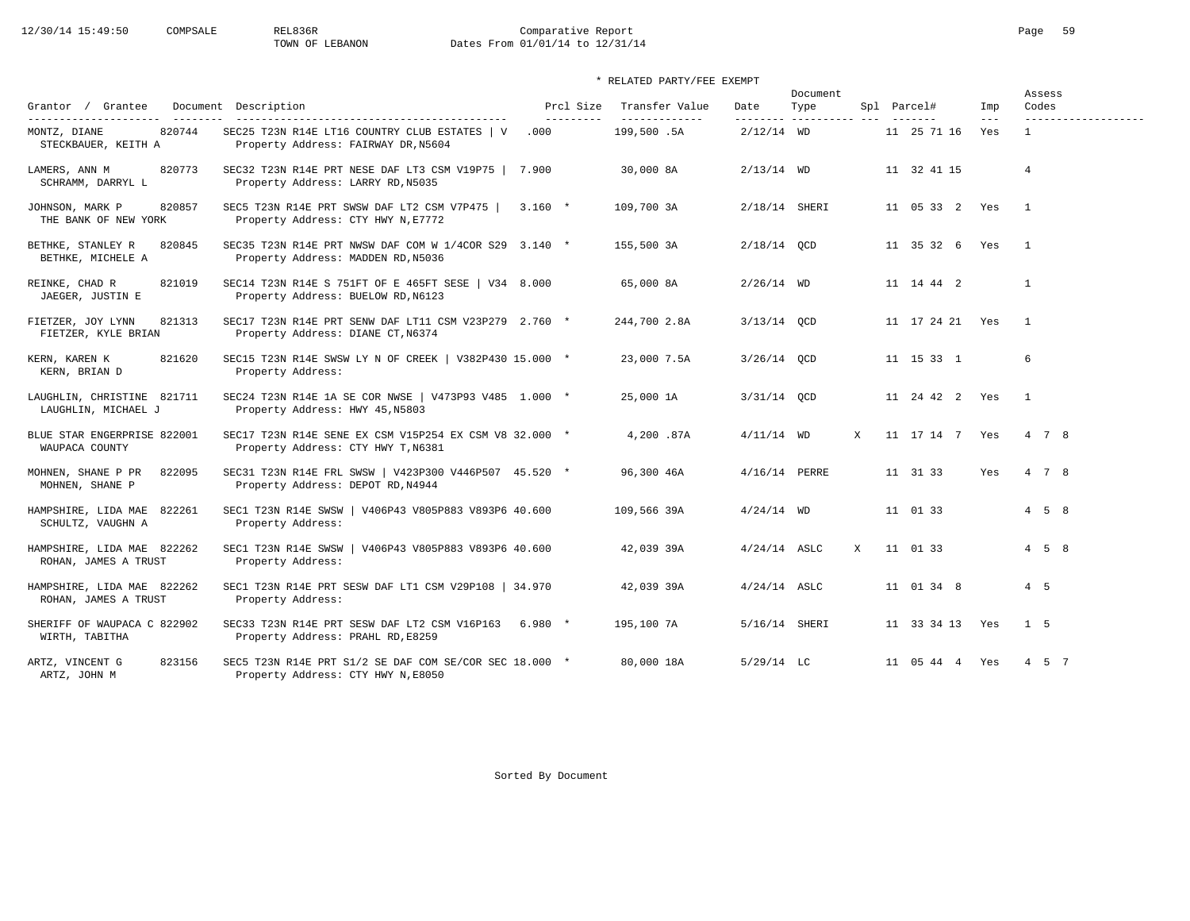# 12/30/14 15:49:50 COMPSALE REL836R Comparative Report Comparative Report Page 59 Dates From 01/01/14 to 12/31/14

### \* RELATED PARTY/FEE EXEMPT

|                                                    |                                                                                              |                         |                                 |                | Document                       |   |                 |              | Assess                       |  |  |
|----------------------------------------------------|----------------------------------------------------------------------------------------------|-------------------------|---------------------------------|----------------|--------------------------------|---|-----------------|--------------|------------------------------|--|--|
| Grantor / Grantee<br>---------------------         | Document Description<br>----------------------------------                                   | Prcl Size<br>---------- | Transfer Value<br>------------- | Date           | Type<br>-------- --------- --- |   | Spl Parcel#     | Imp<br>$---$ | Codes<br>------------------- |  |  |
| 820744<br>MONTZ, DIANE<br>STECKBAUER, KEITH A      | SEC25 T23N R14E LT16 COUNTRY CLUB ESTATES   V<br>Property Address: FAIRWAY DR, N5604         | .000                    | 199,500.5A                      | $2/12/14$ WD   |                                |   | 11 25 71 16     | Yes          | $\mathbf{1}$                 |  |  |
| LAMERS, ANN M<br>820773<br>SCHRAMM, DARRYL L       | SEC32 T23N R14E PRT NESE DAF LT3 CSM V19P75   7.900<br>Property Address: LARRY RD, N5035     |                         | 30,000 8A                       | $2/13/14$ WD   |                                |   | 11 32 41 15     |              | 4                            |  |  |
| 820857<br>JOHNSON, MARK P<br>THE BANK OF NEW YORK  | SEC5 T23N R14E PRT SWSW DAF LT2 CSM V7P475   3.160 *<br>Property Address: CTY HWY N, E7772   |                         | 109,700 3A                      | 2/18/14 SHERI  |                                |   | 11 05 33 2 Yes  |              | $\overline{1}$               |  |  |
| BETHKE, STANLEY R<br>820845<br>BETHKE, MICHELE A   | SEC35 T23N R14E PRT NWSW DAF COM W 1/4COR S29 3.140 *<br>Property Address: MADDEN RD, N5036  |                         | 155,500 3A                      | $2/18/14$ OCD  |                                |   | 11 35 32 6 Yes  |              | $\overline{1}$               |  |  |
| REINKE, CHAD R<br>821019<br>JAEGER, JUSTIN E       | SEC14 T23N R14E S 751FT OF E 465FT SESE   V34 8.000<br>Property Address: BUELOW RD, N6123    |                         | 65,000 8A                       | $2/26/14$ WD   |                                |   | 11 14 44 2      |              | $\mathbf{1}$                 |  |  |
| FIETZER, JOY LYNN<br>821313<br>FIETZER, KYLE BRIAN | SEC17 T23N R14E PRT SENW DAF LT11 CSM V23P279 2.760 *<br>Property Address: DIANE CT, N6374   |                         | 244,700 2.8A                    | $3/13/14$ OCD  |                                |   | 11 17 24 21 Yes |              | $\overline{1}$               |  |  |
| 821620<br>KERN, KAREN K<br>KERN, BRIAN D           | SEC15 T23N R14E SWSW LY N OF CREEK   V382P430 15.000 *<br>Property Address:                  |                         | 23,000 7.5A                     | $3/26/14$ OCD  |                                |   | 11 15 33 1      |              | 6                            |  |  |
| LAUGHLIN, CHRISTINE 821711<br>LAUGHLIN, MICHAEL J  | SEC24 T23N R14E 1A SE COR NWSE   V473P93 V485 1.000 *<br>Property Address: HWY 45, N5803     |                         | 25,000 1A                       | $3/31/14$ OCD  |                                |   | 11 24 42 2 Yes  |              | $\overline{1}$               |  |  |
| BLUE STAR ENGERPRISE 822001<br>WAUPACA COUNTY      | SEC17 T23N R14E SENE EX CSM V15P254 EX CSM V8 32.000 *<br>Property Address: CTY HWY T, N6381 |                         | 4,200.87A                       | $4/11/14$ WD   |                                | X | 11 17 14 7 Yes  |              | 4 7 8                        |  |  |
| 822095<br>MOHNEN, SHANE P PR<br>MOHNEN, SHANE P    | SEC31 T23N R14E FRL SWSW   V423P300 V446P507 45.520 *<br>Property Address: DEPOT RD, N4944   |                         | 96,300 46A                      | 4/16/14 PERRE  |                                |   | 11 31 33        | Yes          | 4 7 8                        |  |  |
| HAMPSHIRE, LIDA MAE 822261<br>SCHULTZ, VAUGHN A    | SEC1 T23N R14E SWSW   V406P43 V805P883 V893P6 40.600<br>Property Address:                    |                         | 109,566 39A                     | $4/24/14$ WD   |                                |   | 11 01 33        |              | $4\quad 5\quad 8$            |  |  |
| HAMPSHIRE, LIDA MAE 822262<br>ROHAN, JAMES A TRUST | SEC1 T23N R14E SWSW   V406P43 V805P883 V893P6 40.600<br>Property Address:                    |                         | 42,039 39A                      | $4/24/14$ ASLC |                                | X | 11 01 33        |              | $4\quad 5\quad 8$            |  |  |
| HAMPSHIRE, LIDA MAE 822262<br>ROHAN, JAMES A TRUST | SEC1 T23N R14E PRT SESW DAF LT1 CSM V29P108   34.970<br>Property Address:                    |                         | 42,039 39A                      | $4/24/14$ ASLC |                                |   | 11 01 34 8      |              | $4\quad 5$                   |  |  |
| SHERIFF OF WAUPACA C 822902<br>WIRTH, TABITHA      | SEC33 T23N R14E PRT SESW DAF LT2 CSM V16P163 6.980 *<br>Property Address: PRAHL RD, E8259    |                         | 195,100 7A                      |                | 5/16/14 SHERI                  |   | 11 33 34 13 Yes |              | 1 5                          |  |  |
| 823156<br>ARTZ, VINCENT G<br>ARTZ, JOHN M          | SEC5 T23N R14E PRT S1/2 SE DAF COM SE/COR SEC 18.000 *<br>Property Address: CTY HWY N, E8050 |                         | 80,000 18A                      | $5/29/14$ LC   |                                |   | 11 05 44 4 Yes  |              | 4 5 7                        |  |  |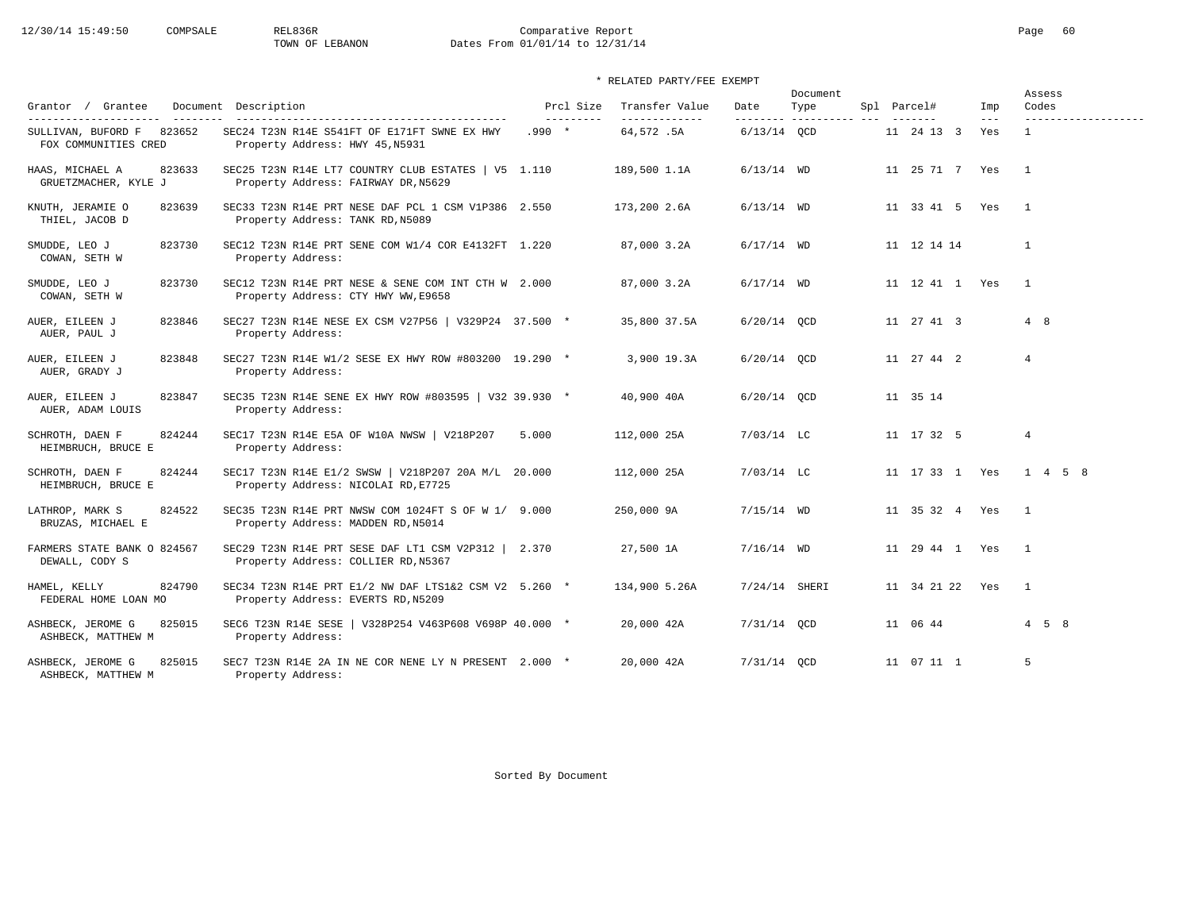# 12/30/14 15:49:50 COMPSALE REL836R Comparative Report Comparative Report Page 60 Dates From 01/01/14 to 12/31/14

### \* RELATED PARTY/FEE EXEMPT

|                                                   |                                                                                             |                         |                                  |                   | Document            |                    |                            | Assess            |
|---------------------------------------------------|---------------------------------------------------------------------------------------------|-------------------------|----------------------------------|-------------------|---------------------|--------------------|----------------------------|-------------------|
| Grantor / Grantee<br>---------                    | Document Description<br>-------------------------------------                               | Prcl Size<br>---------- | Transfer Value<br>-------------- | Date<br>--------- | Type<br>----------- | Spl Parcel#        | Imp<br>$\qquad \qquad - -$ | Codes             |
| SULLIVAN, BUFORD F 823652<br>FOX COMMUNITIES CRED | SEC24 T23N R14E S541FT OF E171FT SWNE EX HWY<br>Property Address: HWY 45, N5931             | $.990 *$                | 64,572.5A                        | $6/13/14$ OCD     |                     | 11 24 13 3         | Yes                        | $\mathbf{1}$      |
| HAAS, MICHAEL A<br>823633<br>GRUETZMACHER, KYLE J | SEC25 T23N R14E LT7 COUNTRY CLUB ESTATES   V5 1.110<br>Property Address: FAIRWAY DR, N5629  |                         | 189,500 1.1A                     | $6/13/14$ WD      |                     | 11 25 71 7 Yes     |                            | $\overline{1}$    |
| KNUTH, JERAMIE O<br>823639<br>THIEL, JACOB D      | SEC33 T23N R14E PRT NESE DAF PCL 1 CSM V1P386 2.550<br>Property Address: TANK RD, N5089     |                         | 173,200 2.6A                     | $6/13/14$ WD      |                     | 11 33 41 5 Yes     |                            | $\overline{1}$    |
| 823730<br>SMUDDE, LEO J<br>COWAN, SETH W          | SEC12 T23N R14E PRT SENE COM W1/4 COR E4132FT 1.220<br>Property Address:                    |                         | 87,000 3.2A                      | $6/17/14$ WD      |                     | 11 12 14 14        |                            | $\mathbf{1}$      |
| 823730<br>SMUDDE, LEO J<br>COWAN, SETH W          | SEC12 T23N R14E PRT NESE & SENE COM INT CTH W 2.000<br>Property Address: CTY HWY WW, E9658  |                         | 87,000 3.2A                      | $6/17/14$ WD      |                     | 11  12  41  1  Yes |                            | $\overline{1}$    |
| 823846<br>AUER, EILEEN J<br>AUER, PAUL J          | SEC27 T23N R14E NESE EX CSM V27P56   V329P24 37.500 *<br>Property Address:                  |                         | 35,800 37.5A                     | $6/20/14$ OCD     |                     | 11 27 41 3         |                            | 4 8               |
| 823848<br>AUER, EILEEN J<br>AUER, GRADY J         | SEC27 T23N R14E W1/2 SESE EX HWY ROW #803200 19.290 *<br>Property Address:                  |                         | 3,900 19.3A                      | $6/20/14$ OCD     |                     | 11 27 44 2         |                            | $\overline{4}$    |
| AUER, EILEEN J<br>823847<br>AUER, ADAM LOUIS      | SEC35 T23N R14E SENE EX HWY ROW #803595   V32 39.930 *<br>Property Address:                 |                         | 40,900 40A                       | $6/20/14$ QCD     |                     | 11 35 14           |                            |                   |
| SCHROTH, DAEN F<br>824244<br>HEIMBRUCH, BRUCE E   | SEC17 T23N R14E E5A OF W10A NWSW   V218P207 5.000<br>Property Address:                      |                         | 112,000 25A                      | $7/03/14$ LC      |                     | 11 17 32 5         |                            | $\overline{4}$    |
| 824244<br>SCHROTH, DAEN F<br>HEIMBRUCH, BRUCE E   | SEC17 T23N R14E E1/2 SWSW   V218P207 20A M/L 20.000<br>Property Address: NICOLAI RD, E7725  |                         | 112,000 25A                      | $7/03/14$ LC      |                     | 11 17 33 1 Yes     |                            | 1 4 5 8           |
| LATHROP, MARK S<br>824522<br>BRUZAS, MICHAEL E    | SEC35 T23N R14E PRT NWSW COM 1024FT S OF W 1/ 9.000<br>Property Address: MADDEN RD, N5014   |                         | 250,000 9A                       | $7/15/14$ WD      |                     | 11 35 32 4 Yes     |                            | $\overline{1}$    |
| FARMERS STATE BANK O 824567<br>DEWALL, CODY S     | SEC29 T23N R14E PRT SESE DAF LT1 CSM V2P312   2.370<br>Property Address: COLLIER RD, N5367  |                         | 27,500 1A                        | $7/16/14$ WD      |                     | 11 29 44 1 Yes     |                            | $\overline{1}$    |
| 824790<br>HAMEL, KELLY<br>FEDERAL HOME LOAN MO    | SEC34 T23N R14E PRT E1/2 NW DAF LTS1&2 CSM V2 5.260 *<br>Property Address: EVERTS RD, N5209 |                         | 134,900 5.26A                    | $7/24/14$ SHERI   |                     | 11 34 21 22 Yes    |                            | $\mathbf{1}$      |
| ASHBECK, JEROME G<br>825015<br>ASHBECK, MATTHEW M | SEC6 T23N R14E SESE   V328P254 V463P608 V698P 40.000 *<br>Property Address:                 |                         | 20,000 42A                       | 7/31/14 QCD       |                     | 11 06 44           |                            | $4\quad 5\quad 8$ |
| 825015<br>ASHBECK, JEROME G<br>ASHBECK, MATTHEW M | SEC7 T23N R14E 2A IN NE COR NENE LY N PRESENT 2.000 *<br>Property Address:                  |                         | 20,000 42A                       | 7/31/14 OCD       |                     | 11 07 11 1         |                            | 5                 |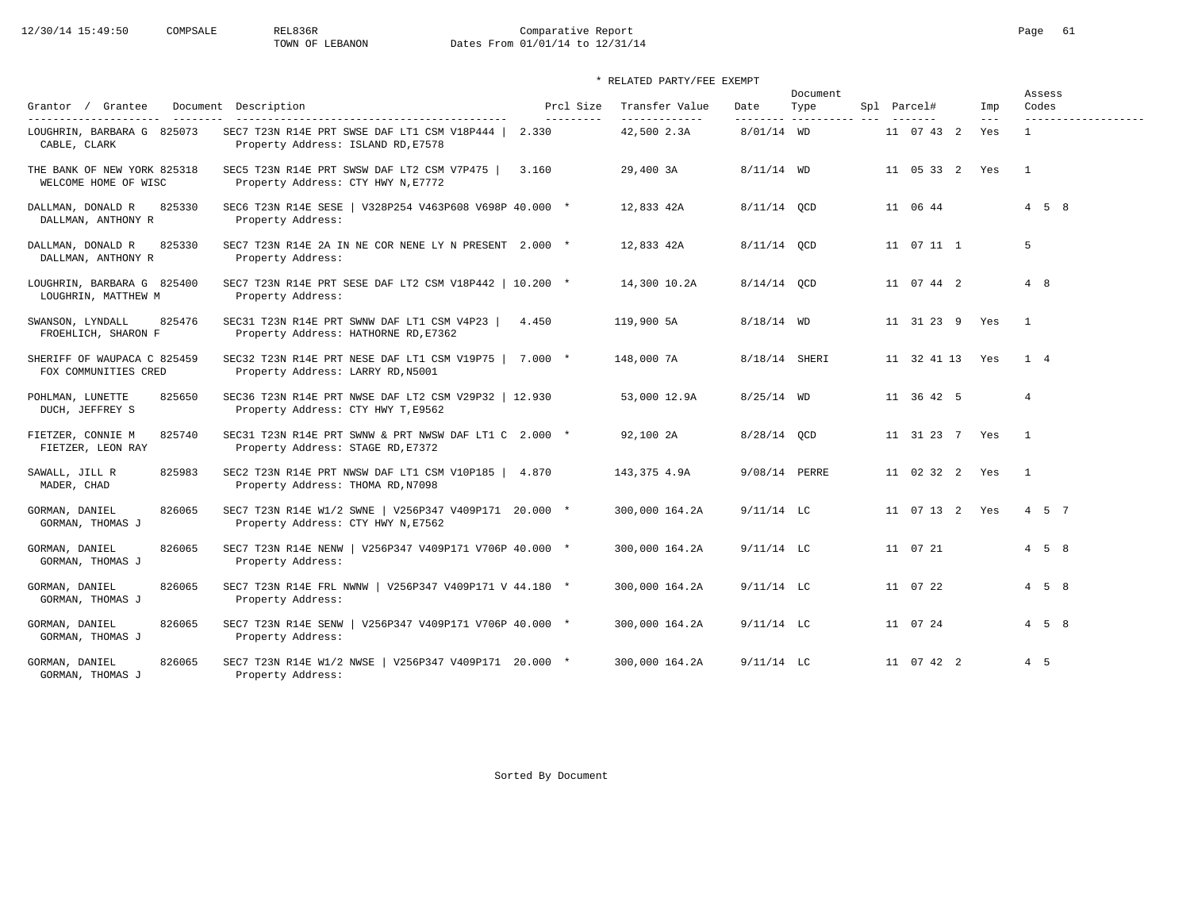# 12/30/14 15:49:50 COMPSALE REL836R Comparative Report Comparative Report Page 61<br>TOWN OF LEBANON Dates From 01/01/14 to 12/31/14 Dates From 01/01/14 to 12/31/14

|                                                     |                                                                                             |                         |                                  |               | Document                      |                 |              | Assess              |
|-----------------------------------------------------|---------------------------------------------------------------------------------------------|-------------------------|----------------------------------|---------------|-------------------------------|-----------------|--------------|---------------------|
| Grantor / Grantee<br>________                       | Document Description                                                                        | Prcl Size<br>---------- | Transfer Value<br>-------------- | Date          | Type<br>--------- ----------- | Spl Parcel#     | Imp<br>$---$ | Codes               |
| LOUGHRIN, BARBARA G 825073<br>CABLE, CLARK          | SEC7 T23N R14E PRT SWSE DAF LT1 CSM V18P444   2.330<br>Property Address: ISLAND RD, E7578   |                         | 42,500 2.3A                      | $8/01/14$ WD  |                               | 11 07 43 2      | Yes          | $\mathbf{1}$        |
| THE BANK OF NEW YORK 825318<br>WELCOME HOME OF WISC | SEC5 T23N R14E PRT SWSW DAF LT2 CSM V7P475  <br>Property Address: CTY HWY N, E7772          | 3.160                   | 29,400 3A                        | $8/11/14$ WD  |                               | 11 05 33 2 Yes  |              | $\overline{1}$      |
| 825330<br>DALLMAN, DONALD R<br>DALLMAN, ANTHONY R   | SEC6 T23N R14E SESE   V328P254 V463P608 V698P 40.000 *<br>Property Address:                 |                         | 12,833 42A                       | 8/11/14 QCD   |                               | 11 06 44        |              | $4\quad 5\quad 8$   |
| DALLMAN, DONALD R<br>825330<br>DALLMAN, ANTHONY R   | SEC7 T23N R14E 2A IN NE COR NENE LY N PRESENT 2.000 *<br>Property Address:                  |                         | 12,833 42A                       | 8/11/14 OCD   |                               | 11 07 11 1      |              | 5                   |
| LOUGHRIN, BARBARA G 825400<br>LOUGHRIN, MATTHEW M   | SEC7 T23N R14E PRT SESE DAF LT2 CSM V18P442   10.200 *<br>Property Address:                 |                         | 14,300 10.2A                     | $8/14/14$ OCD |                               | 11 07 44 2      |              | 4 8                 |
| 825476<br>SWANSON, LYNDALL<br>FROEHLICH, SHARON F   | SEC31 T23N R14E PRT SWNW DAF LT1 CSM V4P23<br>Property Address: HATHORNE RD, E7362          | 4.450                   | 119,900 5A                       | $8/18/14$ WD  |                               | 11 31 23 9 Yes  |              | $\mathbf{1}$        |
| SHERIFF OF WAUPACA C 825459<br>FOX COMMUNITIES CRED | SEC32 T23N R14E PRT NESE DAF LT1 CSM V19P75   7.000 *<br>Property Address: LARRY RD, N5001  |                         | 148,000 7A                       | 8/18/14 SHERI |                               | 11 32 41 13 Yes |              | $1 \quad 4$         |
| 825650<br>POHLMAN, LUNETTE<br>DUCH, JEFFREY S       | SEC36 T23N R14E PRT NWSE DAF LT2 CSM V29P32   12.930<br>Property Address: CTY HWY T, E9562  |                         | 53,000 12.9A                     | $8/25/14$ WD  |                               | 11 36 42 5      |              | $\overline{4}$      |
| FIETZER, CONNIE M<br>825740<br>FIETZER, LEON RAY    | SEC31 T23N R14E PRT SWNW & PRT NWSW DAF LT1 C 2.000 *<br>Property Address: STAGE RD, E7372  |                         | 92,100 2A                        | 8/28/14 QCD   |                               | 11 31 23 7 Yes  |              | $\overline{1}$      |
| SAWALL, JILL R<br>825983<br>MADER, CHAD             | SEC2 T23N R14E PRT NWSW DAF LT1 CSM V10P185   4.870<br>Property Address: THOMA RD, N7098    |                         | 143,375 4.9A                     | 9/08/14 PERRE |                               | 11 02 32 2 Yes  |              | $\overline{1}$      |
| GORMAN, DANIEL<br>826065<br>GORMAN, THOMAS J        | SEC7 T23N R14E W1/2 SWNE   V256P347 V409P171 20.000 *<br>Property Address: CTY HWY N, E7562 |                         | 300,000 164.2A                   | $9/11/14$ LC  |                               | 11 07 13 2 Yes  |              | 4 5 7               |
| GORMAN, DANIEL<br>826065<br>GORMAN, THOMAS J        | SEC7 T23N R14E NENW   V256P347 V409P171 V706P 40.000 *<br>Property Address:                 |                         | 300,000 164.2A                   | $9/11/14$ LC  |                               | 11 07 21        |              | $4\quad 5\quad 8$   |
| GORMAN, DANIEL<br>826065<br>GORMAN, THOMAS J        | SEC7 T23N R14E FRL NWNW   V256P347 V409P171 V 44.180 *<br>Property Address:                 |                         | 300,000 164.2A                   | $9/11/14$ LC  |                               | 11 07 22        |              | $4 \quad 5 \quad 8$ |
| GORMAN, DANIEL<br>826065<br>GORMAN, THOMAS J        | SEC7 T23N R14E SENW   V256P347 V409P171 V706P 40.000 *<br>Property Address:                 |                         | 300,000 164.2A                   | $9/11/14$ LC  |                               | 11 07 24        |              | $4\quad 5\quad 8$   |
| GORMAN, DANIEL<br>826065<br>GORMAN, THOMAS J        | SEC7 T23N R14E W1/2 NWSE   V256P347 V409P171 20.000 *<br>Property Address:                  |                         | 300,000 164.2A                   | $9/11/14$ LC  |                               | 11 07 42 2      |              | $4\quad 5$          |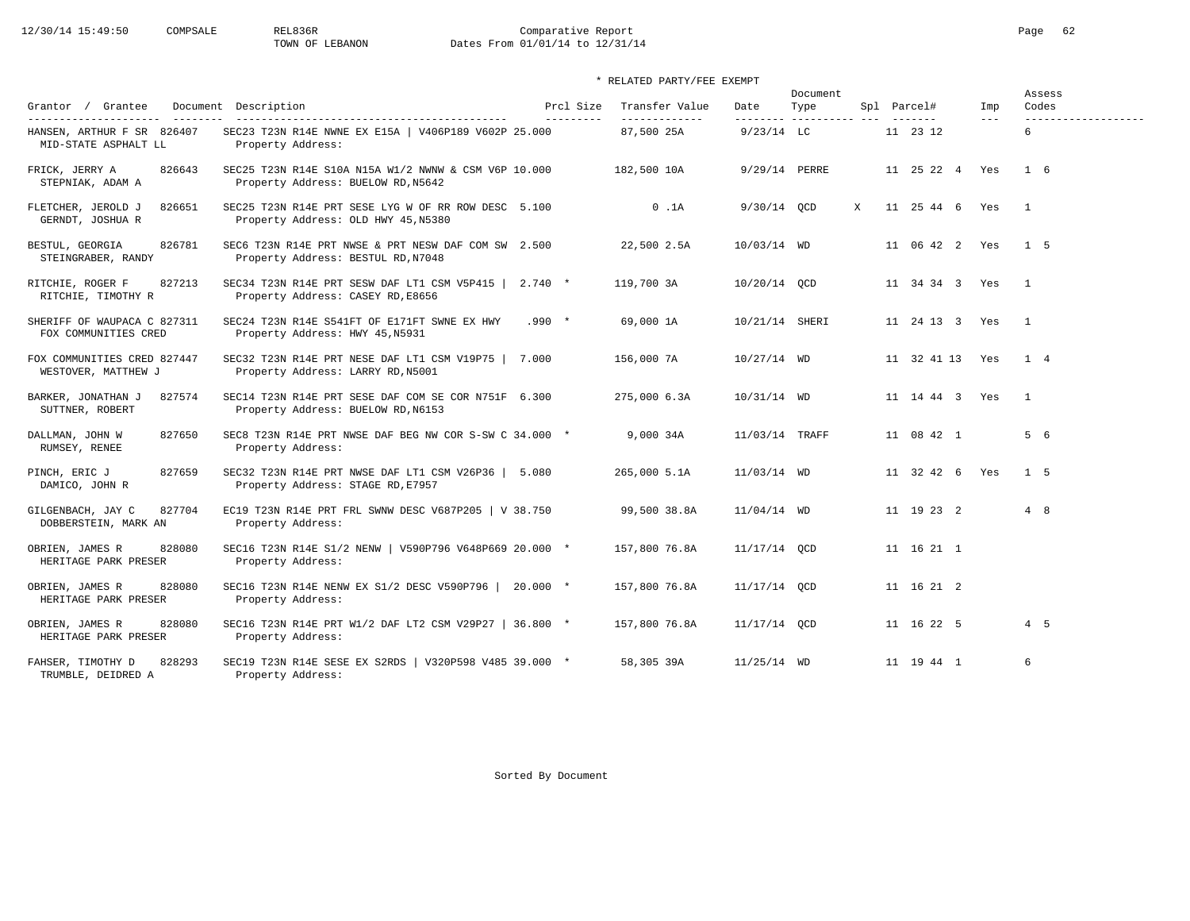# 12/30/14 15:49:50 COMPSALE REL836R Comparative Report Comparative Report Page 62<br>TOWN OF LEBANON Dates From 01/01/14 to 12/31/14 Dates From 01/01/14 to 12/31/14

| Grantor / Grantee                                                                                | Document Description                                                                       | Prcl Size  | Transfer Value              | Date           | Document<br>Type         |   | Spl Parcel#         |     | Imp   | Assess<br>Codes          |
|--------------------------------------------------------------------------------------------------|--------------------------------------------------------------------------------------------|------------|-----------------------------|----------------|--------------------------|---|---------------------|-----|-------|--------------------------|
| ---------------------<br>$- - - - - - - -$<br>HANSEN, ARTHUR F SR 826407<br>MID-STATE ASPHALT LL | SEC23 T23N R14E NWNE EX E15A   V406P189 V602P 25.000<br>Property Address:                  | ---------- | -------------<br>87,500 25A | $9/23/14$ LC   | --------- ---------- --- |   | -------<br>11 23 12 |     | $---$ | -------------------<br>6 |
| FRICK, JERRY A<br>826643<br>STEPNIAK, ADAM A                                                     | SEC25 T23N R14E S10A N15A W1/2 NWNW & CSM V6P 10.000<br>Property Address: BUELOW RD, N5642 |            | 182,500 10A                 | 9/29/14 PERRE  |                          |   | 11 25 22 4          | Yes |       | $1\quad 6$               |
| FLETCHER, JEROLD J<br>826651<br>GERNDT, JOSHUA R                                                 | SEC25 T23N R14E PRT SESE LYG W OF RR ROW DESC 5.100<br>Property Address: OLD HWY 45, N5380 |            | $0$ . $1A$                  | 9/30/14 QCD    |                          | X | 11 25 44 6          | Yes |       | $\mathbf{1}$             |
| 826781<br>BESTUL, GEORGIA<br>STEINGRABER, RANDY                                                  | SEC6 T23N R14E PRT NWSE & PRT NESW DAF COM SW 2.500<br>Property Address: BESTUL RD, N7048  |            | 22,500 2.5A                 | 10/03/14 WD    |                          |   | 11 06 42 2 Yes      |     |       | 1 5                      |
| 827213<br>RITCHIE, ROGER F<br>RITCHIE, TIMOTHY R                                                 | SEC34 T23N R14E PRT SESW DAF LT1 CSM V5P415   2.740 *<br>Property Address: CASEY RD, E8656 |            | 119,700 3A                  | 10/20/14 QCD   |                          |   | 11 34 34 3 Yes      |     |       | $\overline{1}$           |
| SHERIFF OF WAUPACA C 827311<br>FOX COMMUNITIES CRED                                              | SEC24 T23N R14E S541FT OF E171FT SWNE EX HWY<br>Property Address: HWY 45, N5931            | $.990 *$   | 69,000 1A                   | 10/21/14 SHERI |                          |   | 11 24 13 3 Yes      |     |       | $\overline{1}$           |
| FOX COMMUNITIES CRED 827447<br>WESTOVER, MATTHEW J                                               | SEC32 T23N R14E PRT NESE DAF LT1 CSM V19P75   7.000<br>Property Address: LARRY RD, N5001   |            | 156,000 7A                  | $10/27/14$ WD  |                          |   | 11 32 41 13         | Yes |       | 1 4                      |
| BARKER, JONATHAN J<br>827574<br>SUTTNER, ROBERT                                                  | SEC14 T23N R14E PRT SESE DAF COM SE COR N751F 6.300<br>Property Address: BUELOW RD, N6153  |            | 275,000 6.3A                | 10/31/14 WD    |                          |   | 11 14 44 3 Yes      |     |       | <sup>1</sup>             |
| 827650<br>DALLMAN, JOHN W<br>RUMSEY, RENEE                                                       | SEC8 T23N R14E PRT NWSE DAF BEG NW COR S-SW C 34.000 *<br>Property Address:                |            | 9,000 34A                   | 11/03/14 TRAFF |                          |   | 11 08 42 1          |     |       | 5 6                      |
| 827659<br>PINCH, ERIC J<br>DAMICO, JOHN R                                                        | SEC32 T23N R14E PRT NWSE DAF LT1 CSM V26P36   5.080<br>Property Address: STAGE RD, E7957   |            | 265,000 5.1A                | 11/03/14 WD    |                          |   | 11 32 42 6          | Yes |       | $1\quad 5$               |
| 827704<br>GILGENBACH, JAY C<br>DOBBERSTEIN, MARK AN                                              | EC19 T23N R14E PRT FRL SWNW DESC V687P205   V 38.750<br>Property Address:                  |            | 99,500 38.8A                | $11/04/14$ WD  |                          |   | 11 19 23 2          |     |       | 4 8                      |
| 828080<br>OBRIEN, JAMES R<br>HERITAGE PARK PRESER                                                | SEC16 T23N R14E S1/2 NENW   V590P796 V648P669 20.000 *<br>Property Address:                |            | 157,800 76.8A               | 11/17/14 OCD   |                          |   | 11 16 21 1          |     |       |                          |
| 828080<br>OBRIEN, JAMES R<br>HERITAGE PARK PRESER                                                | SEC16 T23N R14E NENW EX S1/2 DESC V590P796   20.000 *<br>Property Address:                 |            | 157,800 76.8A               | 11/17/14 OCD   |                          |   | 11 16 21 2          |     |       |                          |
| OBRIEN, JAMES R<br>828080<br>HERITAGE PARK PRESER                                                | SEC16 T23N R14E PRT W1/2 DAF LT2 CSM V29P27   36.800 *<br>Property Address:                |            | 157,800 76.8A               | 11/17/14 OCD   |                          |   | 11 16 22 5          |     |       | 4 5                      |
| 828293<br>FAHSER, TIMOTHY D<br>TRUMBLE, DEIDRED A                                                | SEC19 T23N R14E SESE EX S2RDS   V320P598 V485 39.000 *<br>Property Address:                |            | 58,305 39A                  | $11/25/14$ WD  |                          |   | 11 19 44 1          |     |       | 6                        |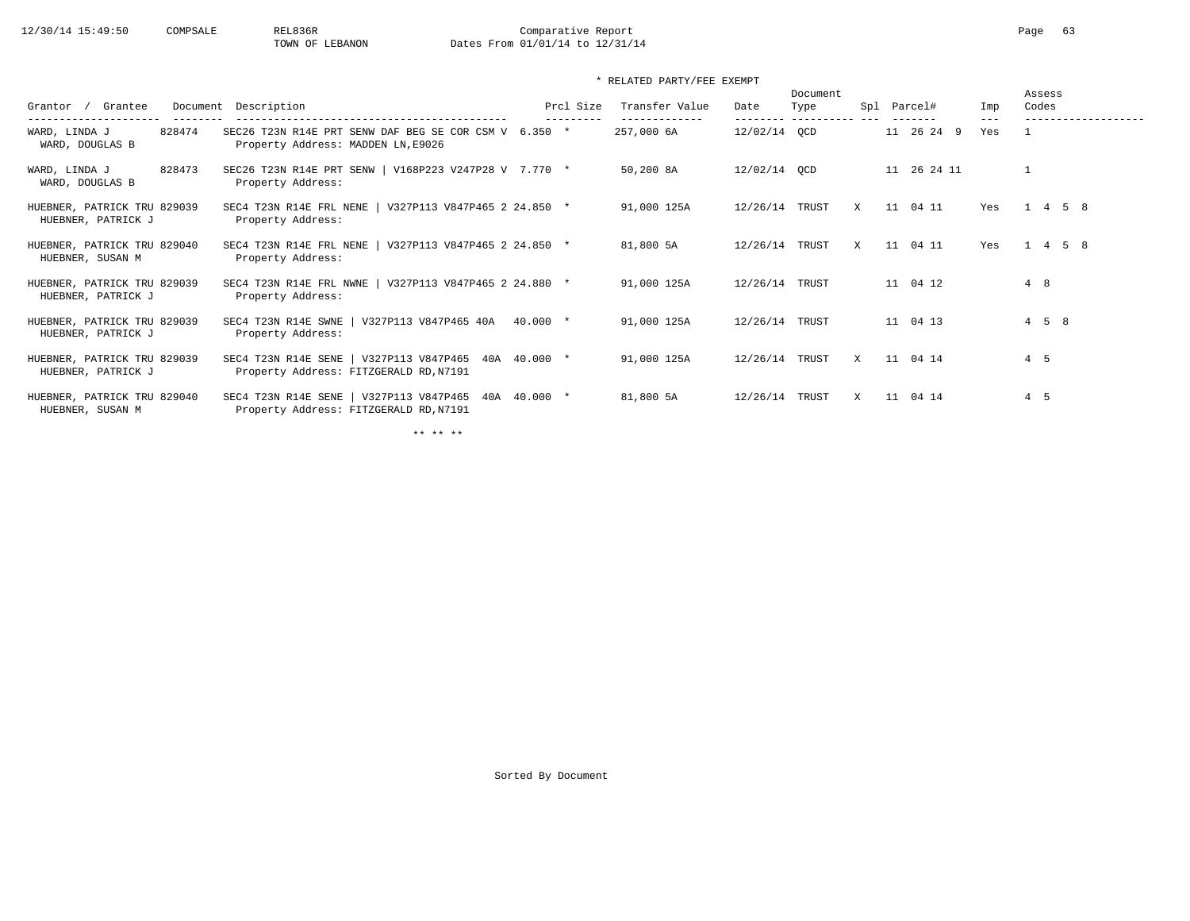### \* RELATED PARTY/FEE EXEMPT

| Grantee<br>Grantor                                | Document Description                                                                            |          | Prcl Size | Transfer Value | Date         | Document<br>Type<br>---------- |   |    | Spl Parcel# | Imp<br>$- - -$ |     | Assess<br>Codes |  |
|---------------------------------------------------|-------------------------------------------------------------------------------------------------|----------|-----------|----------------|--------------|--------------------------------|---|----|-------------|----------------|-----|-----------------|--|
| 828474<br>WARD, LINDA J<br>WARD, DOUGLAS B        | SEC26 T23N R14E PRT SENW DAF BEG SE COR CSM V 6.350 *<br>Property Address: MADDEN LN, E9026     |          |           | 257,000 6A     | 12/02/14 QCD |                                |   |    | 11 26 24 9  | Yes            |     |                 |  |
| 828473<br>WARD, LINDA J<br>WARD, DOUGLAS B        | SEC26 T23N R14E PRT SENW   V168P223 V247P28 V 7.770 *<br>Property Address:                      |          |           | 50,200 8A      | 12/02/14 QCD |                                |   |    | 11 26 24 11 |                |     |                 |  |
| HUEBNER, PATRICK TRU 829039<br>HUEBNER, PATRICK J | V327P113 V847P465 2 24.850 *<br>SEC4 T23N R14E FRL NENE  <br>Property Address:                  |          |           | 91,000 125A    | 12/26/14     | TRUST                          | X | 11 | 04 11       | Yes            |     | 4 5 8           |  |
| HUEBNER, PATRICK TRU 829040<br>HUEBNER, SUSAN M   | SEC4 T23N R14E FRL NENE  <br>V327P113 V847P465 2 24.850 *<br>Property Address:                  |          |           | 81,800 5A      | 12/26/14     | TRUST                          | X |    | 11 04 11    | Yes            |     | $1 \t4 \t5 \t8$ |  |
| HUEBNER, PATRICK TRU 829039<br>HUEBNER, PATRICK J | SEC4 T23N R14E FRL NWNE  <br>V327P113 V847P465 2 24.880 *<br>Property Address:                  |          |           | 91,000 125A    | 12/26/14     | TRUST                          |   |    | 11 04 12    |                | 4 8 |                 |  |
| HUEBNER, PATRICK TRU 829039<br>HUEBNER, PATRICK J | V327P113 V847P465 40A<br>SEC4 T23N R14E SWNE<br>Property Address:                               | 40.000 * |           | 91,000 125A    | 12/26/14     | TRUST                          |   |    | 11 04 13    |                |     | 458             |  |
| HUEBNER, PATRICK TRU 829039<br>HUEBNER, PATRICK J | SEC4 T23N R14E SENE   V327P113 V847P465 40A 40.000 *<br>Property Address: FITZGERALD RD, N7191  |          |           | 91,000 125A    | 12/26/14     | TRUST                          | X |    | 11 04 14    |                | 4 5 |                 |  |
| HUEBNER, PATRICK TRU 829040<br>HUEBNER, SUSAN M   | V327P113 V847P465 40A 40.000 *<br>SEC4 T23N R14E SENE<br>Property Address: FITZGERALD RD, N7191 |          |           | 81,800 5A      | 12/26/14     | TRUST                          | X | 11 | 04 14       |                | 4 5 |                 |  |

\*\* \*\* \*\*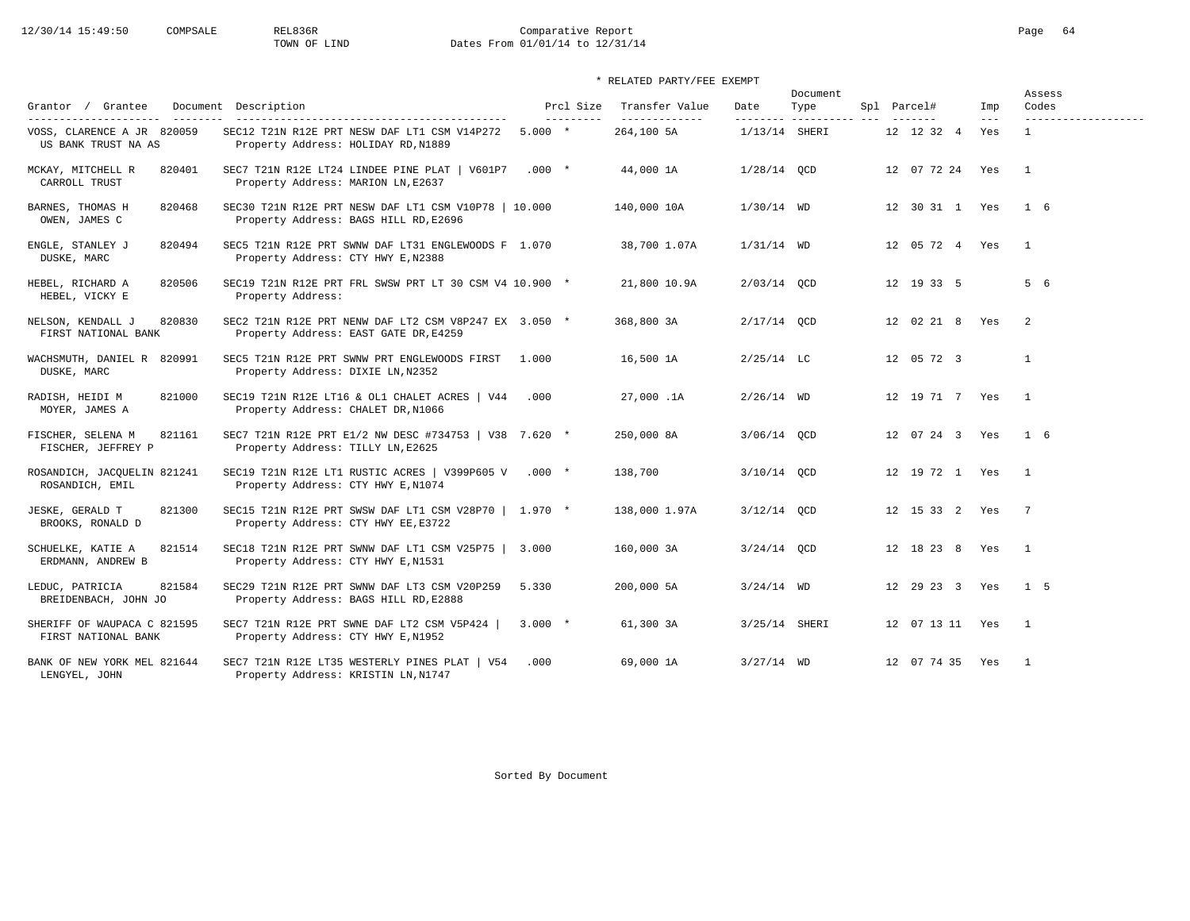# 12/30/14 15:49:50 COMPSALE REL836R Comparative Report Page 64<br>
TOWN OF LIND Dates From 01/01/14 to 12/31/14 Dates From 01/01/14 to 12/31/14

### \* RELATED PARTY/FEE EXEMPT

| Grantor / Grantee                                              | Document Description                                                                                                       |           | Prcl Size | Transfer Value               | Date                       | Document<br>Type | Spl Parcel#        | Imp          | Assess<br>Codes                       |
|----------------------------------------------------------------|----------------------------------------------------------------------------------------------------------------------------|-----------|-----------|------------------------------|----------------------------|------------------|--------------------|--------------|---------------------------------------|
| ---------<br>VOSS, CLARENCE A JR 820059<br>US BANK TRUST NA AS | -----------------------------------<br>SEC12 T21N R12E PRT NESW DAF LT1 CSM V14P272<br>Property Address: HOLIDAY RD, N1889 | $5.000 *$ | --------- | --------------<br>264,100 5A | ---------<br>1/13/14 SHERI |                  | 12 12 32 4         | $---$<br>Yes | -------------------<br>$\overline{1}$ |
| MCKAY, MITCHELL R<br>820401<br>CARROLL TRUST                   | SEC7 T21N R12E LT24 LINDEE PINE PLAT   V601P7 .000 *<br>Property Address: MARION LN, E2637                                 |           |           | 44,000 1A                    | $1/28/14$ QCD              |                  | 12 07 72 24 Yes    |              | $\overline{1}$                        |
| BARNES, THOMAS H<br>820468<br>OWEN, JAMES C                    | SEC30 T21N R12E PRT NESW DAF LT1 CSM V10P78   10.000<br>Property Address: BAGS HILL RD, E2696                              |           |           | 140,000 10A                  | $1/30/14$ WD               |                  | 12 30 31 1 Yes     |              | $1\quad 6$                            |
| ENGLE, STANLEY J<br>820494<br>DUSKE, MARC                      | SEC5 T21N R12E PRT SWNW DAF LT31 ENGLEWOODS F 1.070<br>Property Address: CTY HWY E, N2388                                  |           |           | 38,700 1.07A                 | $1/31/14$ WD               |                  | 12 05 72 4 Yes     |              | $\overline{1}$                        |
| 820506<br>HEBEL, RICHARD A<br>HEBEL, VICKY E                   | SEC19 T21N R12E PRT FRL SWSW PRT LT 30 CSM V4 10.900 *<br>Property Address:                                                |           |           | 21,800 10.9A                 | 2/03/14 OCD                |                  | 12 19 33 5         |              | 5 6                                   |
| 820830<br>NELSON, KENDALL J<br>FIRST NATIONAL BANK             | SEC2 T21N R12E PRT NENW DAF LT2 CSM V8P247 EX 3.050 *<br>Property Address: EAST GATE DR, E4259                             |           |           | 368,800 3A                   | $2/17/14$ QCD              |                  | 12 02 21 8 Yes     |              | -2                                    |
| WACHSMUTH, DANIEL R 820991<br>DUSKE, MARC                      | SEC5 T21N R12E PRT SWNW PRT ENGLEWOODS FIRST<br>Property Address: DIXIE LN, N2352                                          | 1.000     |           | 16,500 1A                    | $2/25/14$ LC               |                  | 12 05 72 3         |              | $\mathbf{1}$                          |
| RADISH, HEIDI M<br>821000<br>MOYER, JAMES A                    | SEC19 T21N R12E LT16 & OL1 CHALET ACRES   V44<br>Property Address: CHALET DR, N1066                                        | .000      |           | 27,000.1A                    | $2/26/14$ WD               |                  | 12  19  71  7  Yes |              | $\mathbf{1}$                          |
| FISCHER, SELENA M<br>821161<br>FISCHER, JEFFREY P              | SEC7 T21N R12E PRT E1/2 NW DESC #734753   V38 7.620 *<br>Property Address: TILLY LN, E2625                                 |           |           | 250,000 8A                   | 3/06/14 OCD                |                  | 12 07 24 3 Yes     |              | $1\quad 6$                            |
| ROSANDICH, JACQUELIN 821241<br>ROSANDICH, EMIL                 | SEC19 T21N R12E LT1 RUSTIC ACRES   V399P605 V $.000$ *<br>Property Address: CTY HWY E, N1074                               |           |           | 138,700                      | 3/10/14 QCD                |                  | 12  19  72  1  Yes |              | $\overline{1}$                        |
| JESKE, GERALD T<br>821300<br>BROOKS, RONALD D                  | SEC15 T21N R12E PRT SWSW DAF LT1 CSM V28P70   1.970 *<br>Property Address: CTY HWY EE, E3722                               |           |           | 138,000 1.97A                | $3/12/14$ OCD              |                  | 12 15 33 2 Yes     |              | $\overline{7}$                        |
| SCHUELKE, KATIE A<br>821514<br>ERDMANN, ANDREW B               | SEC18 T21N R12E PRT SWNW DAF LT1 CSM V25P75   3.000<br>Property Address: CTY HWY E, N1531                                  |           |           | 160,000 3A                   | $3/24/14$ QCD              |                  | 12 18 23 8         | Yes          | $\overline{1}$                        |
| 821584<br>LEDUC, PATRICIA<br>BREIDENBACH, JOHN JO              | SEC29 T21N R12E PRT SWNW DAF LT3 CSM V20P259<br>Property Address: BAGS HILL RD, E2888                                      | 5.330     |           | 200,000 5A                   | $3/24/14$ WD               |                  | 12 29 23 3 Yes     |              | 1 <sub>5</sub>                        |
| SHERIFF OF WAUPACA C 821595<br>FIRST NATIONAL BANK             | SEC7 T21N R12E PRT SWNE DAF LT2 CSM V5P424  <br>Property Address: CTY HWY E, N1952                                         | $3.000*$  |           | 61,300 3A                    | 3/25/14 SHERI              |                  | 12 07 13 11 Yes    |              | $\overline{1}$                        |
| BANK OF NEW YORK MEL 821644<br>LENGYEL, JOHN                   | SEC7 T21N R12E LT35 WESTERLY PINES PLAT   V54<br>Property Address: KRISTIN LN, N1747                                       | .000      |           | 69,000 1A                    | $3/27/14$ WD               |                  | 12 07 74 35 Yes    |              | $\overline{1}$                        |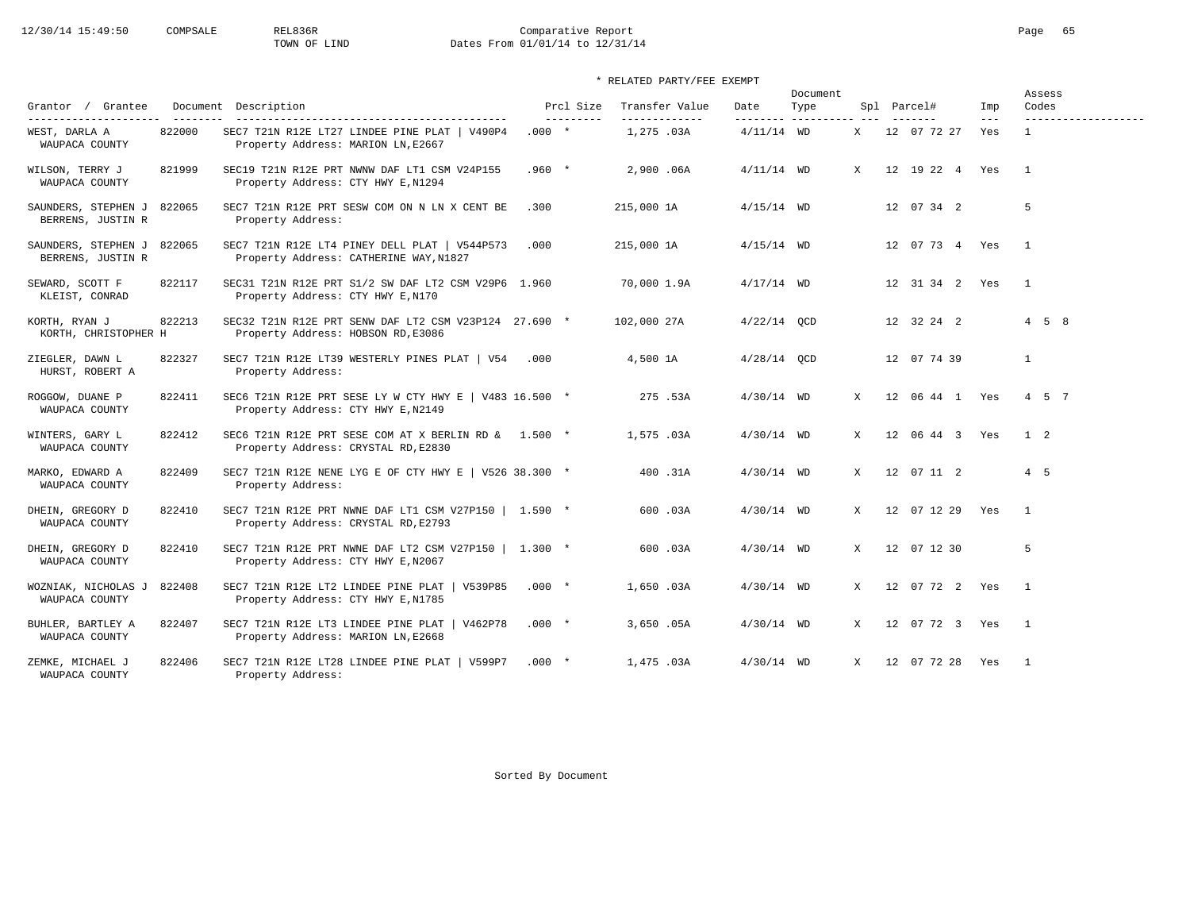# 12/30/14 15:49:50 COMPSALE REL836R Comparative Report Comparative Report Page 65 Dates From 01/01/14 to 12/31/14

### \* RELATED PARTY/FEE EXEMPT

|                                             |        |                                                                                                |          |                         |                                 |                  | Document           |              |                    |                            | Assess<br>Codes     |
|---------------------------------------------|--------|------------------------------------------------------------------------------------------------|----------|-------------------------|---------------------------------|------------------|--------------------|--------------|--------------------|----------------------------|---------------------|
| Grantor / Grantee<br>---------------------- |        | Document Description                                                                           |          | Prcl Size<br>---------- | Transfer Value<br>------------- | Date<br>-------- | Type<br>---------- |              | Spl Parcel#        | Imp<br>$\qquad \qquad - -$ | ------------------- |
| WEST, DARLA A<br>WAUPACA COUNTY             | 822000 | SEC7 T21N R12E LT27 LINDEE PINE PLAT   V490P4<br>Property Address: MARION LN, E2667            | $.000*$  |                         | 1,275.03A                       | $4/11/14$ WD     |                    | X            | 12 07 72 27        | Yes                        | $\mathbf{1}$        |
| WILSON, TERRY J<br>WAUPACA COUNTY           | 821999 | SEC19 T21N R12E PRT NWNW DAF LT1 CSM V24P155<br>Property Address: CTY HWY E, N1294             | $.960 *$ |                         | 2,900.06A                       | $4/11/14$ WD     |                    | $\mathbf{x}$ | 12  19  22  4  Yes |                            | $\overline{1}$      |
| SAUNDERS, STEPHEN J<br>BERRENS, JUSTIN R    | 822065 | SEC7 T21N R12E PRT SESW COM ON N LN X CENT BE<br>Property Address:                             | .300     |                         | 215,000 1A                      | $4/15/14$ WD     |                    |              | 12 07 34 2         |                            | 5                   |
| SAUNDERS, STEPHEN J<br>BERRENS, JUSTIN R    | 822065 | SEC7 T21N R12E LT4 PINEY DELL PLAT   V544P573<br>Property Address: CATHERINE WAY, N1827        | .000     |                         | 215,000 1A                      | $4/15/14$ WD     |                    |              | 12 07 73 4 Yes     |                            | $\overline{1}$      |
| SEWARD, SCOTT F<br>KLEIST, CONRAD           | 822117 | SEC31 T21N R12E PRT S1/2 SW DAF LT2 CSM V29P6 1.960<br>Property Address: CTY HWY E, N170       |          |                         | 70,000 1.9A                     | $4/17/14$ WD     |                    |              | 12 31 34 2 Yes     |                            | $\overline{1}$      |
| KORTH, RYAN J<br>KORTH, CHRISTOPHER H       | 822213 | SEC32 T21N R12E PRT SENW DAF LT2 CSM V23P124 27.690 *<br>Property Address: HOBSON RD, E3086    |          |                         | 102,000 27A                     | $4/22/14$ OCD    |                    |              | 12 32 24 2         |                            | $4 \quad 5 \quad 8$ |
| ZIEGLER, DAWN L<br>HURST, ROBERT A          | 822327 | SEC7 T21N R12E LT39 WESTERLY PINES PLAT   V54 .000<br>Property Address:                        |          |                         | 4,500 1A                        | $4/28/14$ QCD    |                    |              | 12 07 74 39        |                            | $\mathbf{1}$        |
| ROGGOW, DUANE P<br>WAUPACA COUNTY           | 822411 | SEC6 T21N R12E PRT SESE LY W CTY HWY E   V483 16.500 $*$<br>Property Address: CTY HWY E, N2149 |          |                         | 275 .53A                        | $4/30/14$ WD     |                    | X            | 12 06 44 1 Yes     |                            | 4 5 7               |
| WINTERS, GARY L<br>WAUPACA COUNTY           | 822412 | SEC6 T21N R12E PRT SESE COM AT X BERLIN RD & 1.500 *<br>Property Address: CRYSTAL RD, E2830    |          |                         | 1,575.03A                       | $4/30/14$ WD     |                    | $\mathbf{x}$ | 12 06 44 3 Yes     |                            | $1\quad 2$          |
| MARKO, EDWARD A<br>WAUPACA COUNTY           | 822409 | SEC7 T21N R12E NENE LYG E OF CTY HWY E   V526 38.300 $*$<br>Property Address:                  |          |                         | 400.31A                         | $4/30/14$ WD     |                    | X            | 12 07 11 2         |                            | $4\quad 5$          |
| DHEIN, GREGORY D<br>WAUPACA COUNTY          | 822410 | SEC7 T21N R12E PRT NWNE DAF LT1 CSM V27P150   1.590 *<br>Property Address: CRYSTAL RD, E2793   |          |                         | 600.03A                         | $4/30/14$ WD     |                    | $\mathbf{x}$ | 12 07 12 29 Yes    |                            | $\overline{1}$      |
| DHEIN, GREGORY D<br>WAUPACA COUNTY          | 822410 | SEC7 T21N R12E PRT NWNE DAF LT2 CSM V27P150   1.300 *<br>Property Address: CTY HWY E, N2067    |          |                         | 600.03A                         | $4/30/14$ WD     |                    | X            | 12 07 12 30        |                            | 5                   |
| WOZNIAK, NICHOLAS J<br>WAUPACA COUNTY       | 822408 | SEC7 T21N R12E LT2 LINDEE PINE PLAT   V539P85<br>Property Address: CTY HWY E, N1785            | $.000*$  |                         | 1,650.03A                       | $4/30/14$ WD     |                    | $\mathbf{x}$ | 12 07 72 2 Yes     |                            | $\overline{1}$      |
| BUHLER, BARTLEY A<br>WAUPACA COUNTY         | 822407 | SEC7 T21N R12E LT3 LINDEE PINE PLAT  <br>V462P78<br>Property Address: MARION LN, E2668         | $.000*$  |                         | 3,650.05A                       | $4/30/14$ WD     |                    | $\mathbf{x}$ | 12 07 72 3 Yes     |                            | $\overline{1}$      |
| ZEMKE, MICHAEL J<br>WAUPACA COUNTY          | 822406 | SEC7 T21N R12E LT28 LINDEE PINE PLAT   V599P7<br>Property Address:                             | $.000*$  |                         | 1,475,03A                       | $4/30/14$ WD     |                    | $\mathbf{x}$ | 12 07 72 28 Yes    |                            | $\overline{1}$      |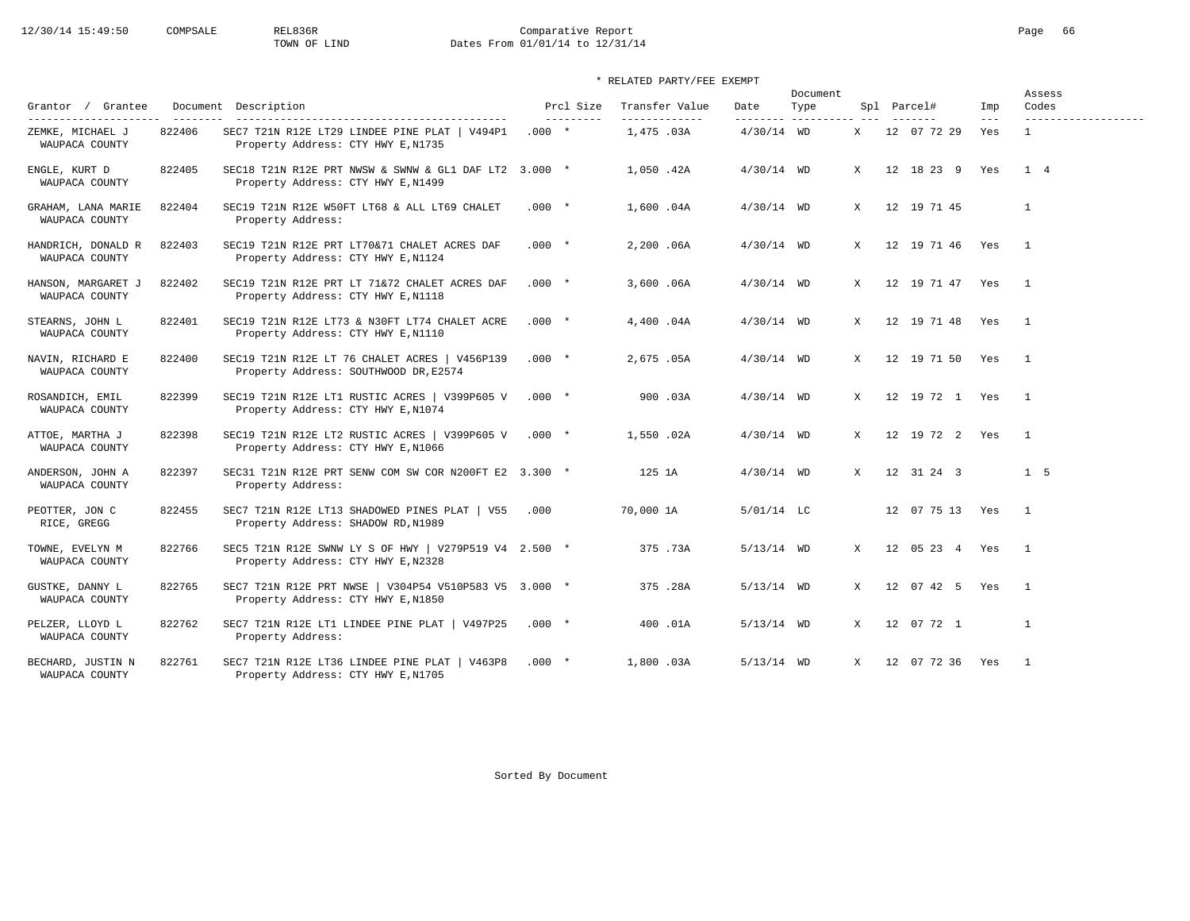# 12/30/14 15:49:50 COMPSALE REL836R Comparative Report Comparative Report Page 66<br>TOWN OF LIND Dates From 01/01/14 to 12/31/14 Dates From 01/01/14 to 12/31/14

|                                             |        |                                                                                             |         |                        |                                 |                  | Document |              |                     |              | Assess                       |
|---------------------------------------------|--------|---------------------------------------------------------------------------------------------|---------|------------------------|---------------------------------|------------------|----------|--------------|---------------------|--------------|------------------------------|
| Grantor / Grantee<br>---------------------- |        | Document Description                                                                        |         | Prcl Size<br>--------- | Transfer Value<br>------------- | Date<br>-------- | Type     |              | Spl Parcel#         | Imp<br>$---$ | Codes<br>------------------- |
| ZEMKE, MICHAEL J<br>WAUPACA COUNTY          | 822406 | SEC7 T21N R12E LT29 LINDEE PINE PLAT   V494P1<br>Property Address: CTY HWY E, N1735         | $.000*$ |                        | 1,475 .03A                      | $4/30/14$ WD     |          | X            | 12 07 72 29         | Yes          | $\mathbf{1}$                 |
| ENGLE, KURT D<br>WAUPACA COUNTY             | 822405 | SEC18 T21N R12E PRT NWSW & SWNW & GL1 DAF LT2 3.000 *<br>Property Address: CTY HWY E, N1499 |         |                        | 1,050.42A                       | $4/30/14$ WD     |          | X            | 12 18 23 9 Yes      |              | 1 4                          |
| GRAHAM, LANA MARIE<br>WAUPACA COUNTY        | 822404 | SEC19 T21N R12E W50FT LT68 & ALL LT69 CHALET<br>Property Address:                           | $.000*$ |                        | 1,600.04A                       | $4/30/14$ WD     |          | X            | 12 19 71 45         |              | $\mathbf{1}$                 |
| HANDRICH, DONALD R<br>WAUPACA COUNTY        | 822403 | SEC19 T21N R12E PRT LT70&71 CHALET ACRES DAF<br>Property Address: CTY HWY E, N1124          | $.000*$ |                        | 2,200.06A                       | $4/30/14$ WD     |          | X            | 12 19 71 46 Yes     |              | $\frac{1}{2}$                |
| HANSON, MARGARET J<br>WAUPACA COUNTY        | 822402 | SEC19 T21N R12E PRT LT 71&72 CHALET ACRES DAF<br>Property Address: CTY HWY E, N1118         | $.000*$ |                        | 3,600.06A                       | $4/30/14$ WD     |          | X            | 12  19  71  47  Yes |              | $\overline{1}$               |
| STEARNS, JOHN L<br>WAUPACA COUNTY           | 822401 | SEC19 T21N R12E LT73 & N30FT LT74 CHALET ACRE<br>Property Address: CTY HWY E, N1110         | $.000*$ |                        | 4,400.04A                       | $4/30/14$ WD     |          | X            | 12  19  71  48  Yes |              | $\overline{1}$               |
| NAVIN, RICHARD E<br>WAUPACA COUNTY          | 822400 | SEC19 T21N R12E LT 76 CHALET ACRES   V456P139<br>Property Address: SOUTHWOOD DR, E2574      | $.000*$ |                        | 2,675.05A                       | $4/30/14$ WD     |          | X            | 12 19 71 50 Yes     |              | $\overline{1}$               |
| ROSANDICH, EMIL<br>WAUPACA COUNTY           | 822399 | SEC19 T21N R12E LT1 RUSTIC ACRES   V399P605 V<br>Property Address: CTY HWY E, N1074         | $.000*$ |                        | 900.03A                         | $4/30/14$ WD     |          | X            | 12  19  72  1  Yes  |              | $\overline{1}$               |
| ATTOE, MARTHA J<br>WAUPACA COUNTY           | 822398 | SEC19 T21N R12E LT2 RUSTIC ACRES   V399P605 V<br>Property Address: CTY HWY E, N1066         | $.000*$ |                        | 1,550.02A                       | $4/30/14$ WD     |          | X            | 12  19  72  2  Yes  |              | $\overline{1}$               |
| ANDERSON, JOHN A<br>WAUPACA COUNTY          | 822397 | SEC31 T21N R12E PRT SENW COM SW COR N200FT E2 3.300 *<br>Property Address:                  |         |                        | 125 1A                          | $4/30/14$ WD     |          | X            | 12 31 24 3          |              | $1\quad 5$                   |
| PEOTTER, JON C<br>RICE, GREGG               | 822455 | SEC7 T21N R12E LT13 SHADOWED PINES PLAT   V55<br>Property Address: SHADOW RD, N1989         | .000    |                        | 70,000 1A                       | 5/01/14 LC       |          |              | 12 07 75 13 Yes     |              | $\overline{1}$               |
| TOWNE, EVELYN M<br>WAUPACA COUNTY           | 822766 | SEC5 T21N R12E SWNW LY S OF HWY   V279P519 V4 2.500 *<br>Property Address: CTY HWY E, N2328 |         |                        | 375.73A                         | $5/13/14$ WD     |          | $\mathbf{x}$ | 12 05 23 4 Yes      |              | $\overline{1}$               |
| GUSTKE, DANNY L<br>WAUPACA COUNTY           | 822765 | SEC7 T21N R12E PRT NWSE   V304P54 V510P583 V5 3.000 *<br>Property Address: CTY HWY E, N1850 |         |                        | 375.28A                         | $5/13/14$ WD     |          | $\mathbf{x}$ | 12 07 42 5 Yes      |              | $\overline{1}$               |
| PELZER, LLOYD L<br>WAUPACA COUNTY           | 822762 | SEC7 T21N R12E LT1 LINDEE PINE PLAT   V497P25<br>Property Address:                          | $.000*$ |                        | 400.01A                         | $5/13/14$ WD     |          | $\mathbf{X}$ | 12 07 72 1          |              | $\mathbf{1}$                 |
| BECHARD, JUSTIN N<br>WAUPACA COUNTY         | 822761 | SEC7 T21N R12E LT36 LINDEE PINE PLAT   V463P8<br>Property Address: CTY HWY E, N1705         | $.000*$ |                        | 1,800.03A                       | $5/13/14$ WD     |          | $\mathbf{x}$ | 12 07 72 36 Yes     |              | $\overline{1}$               |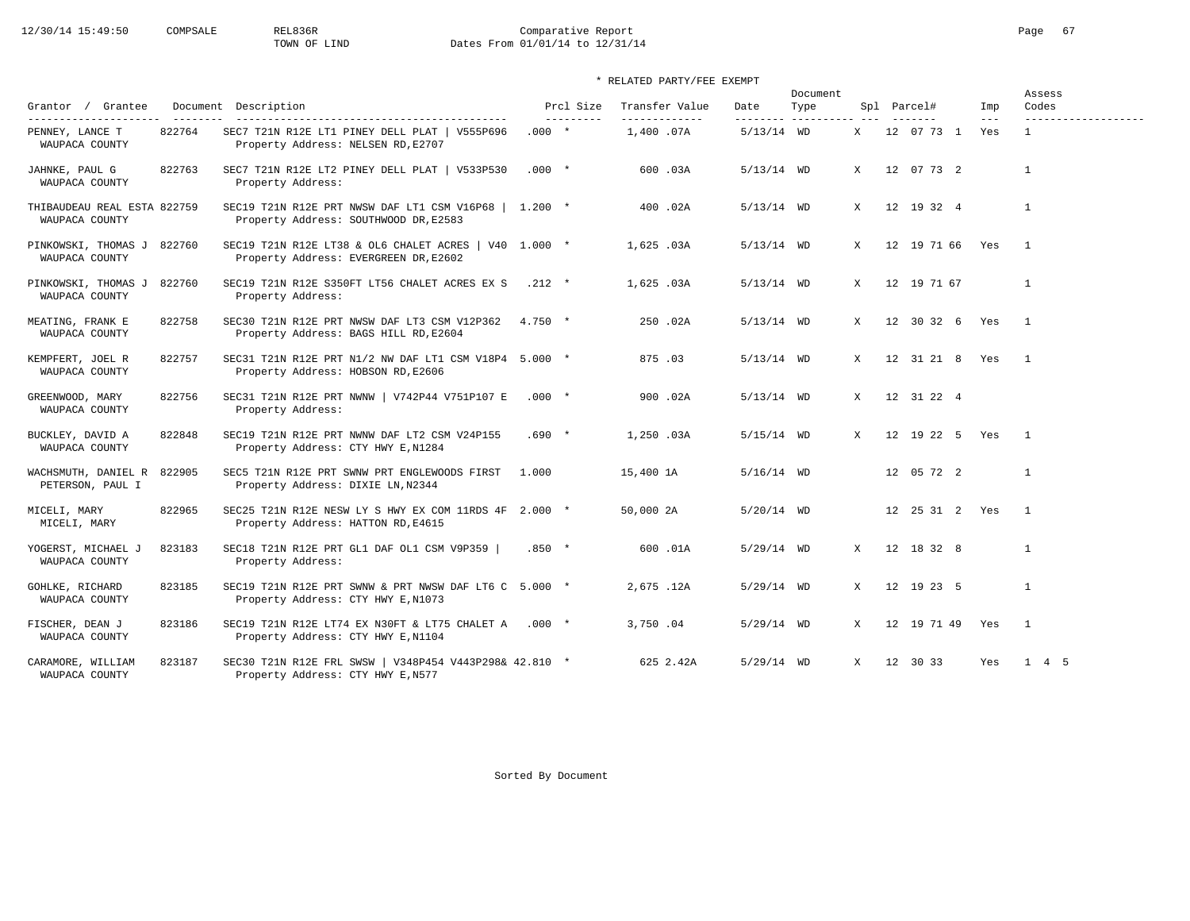# 12/30/14 15:49:50 COMPSALE REL836R Comparative Report Comparative Report Page 67<br>TOWN OF LIND Dates From 01/01/14 to 12/31/14 Dates From 01/01/14 to 12/31/14

\* RELATED PARTY/FEE EXEMPT

| Grantor / Grantee                                           |        | Document Description                                                                             |           | Prcl Size | Transfer Value             | Date                     | Document<br>Type |              | Spl Parcel#        | Imp                        | Assess<br>Codes                     |
|-------------------------------------------------------------|--------|--------------------------------------------------------------------------------------------------|-----------|-----------|----------------------------|--------------------------|------------------|--------------|--------------------|----------------------------|-------------------------------------|
| ----------------------<br>PENNEY, LANCE T<br>WAUPACA COUNTY | 822764 | SEC7 T21N R12E LT1 PINEY DELL PLAT   V555P696<br>Property Address: NELSEN RD, E2707              | $.000*$   | --------- | -------------<br>1,400.07A | --------<br>$5/13/14$ WD |                  | X            | 12 07 73 1         | $\qquad \qquad - -$<br>Yes | -------------------<br>$\mathbf{1}$ |
| JAHNKE, PAUL G<br>WAUPACA COUNTY                            | 822763 | SEC7 T21N R12E LT2 PINEY DELL PLAT   V533P530<br>Property Address:                               | $.000 *$  |           | 600.03A                    | $5/13/14$ WD             |                  | X            | 12 07 73 2         |                            | $\mathbf{1}$                        |
| THIBAUDEAU REAL ESTA 822759<br>WAUPACA COUNTY               |        | SEC19 T21N R12E PRT NWSW DAF LT1 CSM V16P68   1.200 *<br>Property Address: SOUTHWOOD DR, E2583   |           |           | 400.02A                    | $5/13/14$ WD             |                  | X            | 12 19 32 4         |                            | $\mathbf{1}$                        |
| PINKOWSKI, THOMAS J<br>WAUPACA COUNTY                       | 822760 | SEC19 T21N R12E LT38 & OL6 CHALET ACRES   V40 $1.000$ *<br>Property Address: EVERGREEN DR, E2602 |           |           | 1,625 .03A                 | $5/13/14$ WD             |                  | X            | 12 19 71 66 Yes    |                            | $\overline{1}$                      |
| PINKOWSKI, THOMAS J<br>WAUPACA COUNTY                       | 822760 | SEC19 T21N R12E S350FT LT56 CHALET ACRES EX S<br>Property Address:                               | $.212$ *  |           | 1,625.03A                  | $5/13/14$ WD             |                  | X            | 12 19 71 67        |                            | $\mathbf{1}$                        |
| MEATING, FRANK E<br>WAUPACA COUNTY                          | 822758 | SEC30 T21N R12E PRT NWSW DAF LT3 CSM V12P362<br>Property Address: BAGS HILL RD, E2604            | $4.750 *$ |           | 250.02A                    | $5/13/14$ WD             |                  | X            | 12 30 32 6 Yes     |                            | $\overline{1}$                      |
| KEMPFERT, JOEL R<br>WAUPACA COUNTY                          | 822757 | SEC31 T21N R12E PRT N1/2 NW DAF LT1 CSM V18P4 5.000 *<br>Property Address: HOBSON RD, E2606      |           |           | 875.03                     | $5/13/14$ WD             |                  | X            | 12 31 21 8 Yes     |                            | $\overline{1}$                      |
| GREENWOOD, MARY<br>WAUPACA COUNTY                           | 822756 | SEC31 T21N R12E PRT NWNW   V742P44 V751P107 E<br>Property Address:                               | $.000*$   |           | 900.02A                    | $5/13/14$ WD             |                  | X            | 12 31 22 4         |                            |                                     |
| BUCKLEY, DAVID A<br>WAUPACA COUNTY                          | 822848 | SEC19 T21N R12E PRT NWNW DAF LT2 CSM V24P155<br>Property Address: CTY HWY E, N1284               | $.690*$   |           | 1,250 .03A                 | $5/15/14$ WD             |                  | X            | 12 19 22 5 Yes     |                            | $\overline{1}$                      |
| WACHSMUTH, DANIEL R<br>PETERSON, PAUL I                     | 822905 | SEC5 T21N R12E PRT SWNW PRT ENGLEWOODS FIRST<br>Property Address: DIXIE LN, N2344                | 1.000     |           | 15,400 1A                  | $5/16/14$ WD             |                  |              | 12 05 72 2         |                            | $\mathbf{1}$                        |
| MICELI, MARY<br>MICELI, MARY                                | 822965 | SEC25 T21N R12E NESW LY S HWY EX COM 11RDS 4F 2.000 *<br>Property Address: HATTON RD, E4615      |           |           | 50,000 2A                  | 5/20/14 WD               |                  |              | 12  25  31  2  Yes |                            | $\overline{1}$                      |
| YOGERST, MICHAEL J<br>WAUPACA COUNTY                        | 823183 | SEC18 T21N R12E PRT GL1 DAF OL1 CSM V9P359<br>Property Address:                                  | $.850 *$  |           | 600.01A                    | $5/29/14$ WD             |                  | X            | 12 18 32 8         |                            | $\mathbf{1}$                        |
| GOHLKE, RICHARD<br>WAUPACA COUNTY                           | 823185 | SEC19 T21N R12E PRT SWNW & PRT NWSW DAF LT6 C 5.000 *<br>Property Address: CTY HWY E, N1073      |           |           | 2,675.12A                  | $5/29/14$ WD             |                  | X            | 12 19 23 5         |                            | $\mathbf{1}$                        |
| FISCHER, DEAN J<br>WAUPACA COUNTY                           | 823186 | SEC19 T21N R12E LT74 EX N30FT & LT75 CHALET A<br>Property Address: CTY HWY E, N1104              | $.000*$   |           | 3,750.04                   | $5/29/14$ WD             |                  | $\mathbf{X}$ | 12 19 71 49        | Yes                        | $\overline{1}$                      |
| CARAMORE, WILLIAM<br>WAUPACA COUNTY                         | 823187 | SEC30 T21N R12E FRL SWSW   V348P454 V443P298& 42.810 *<br>Property Address: CTY HWY E, N577      |           |           | 625 2.42A                  | $5/29/14$ WD             |                  | $\mathbf{x}$ | 12 30 33           | Yes                        | 1 4 5                               |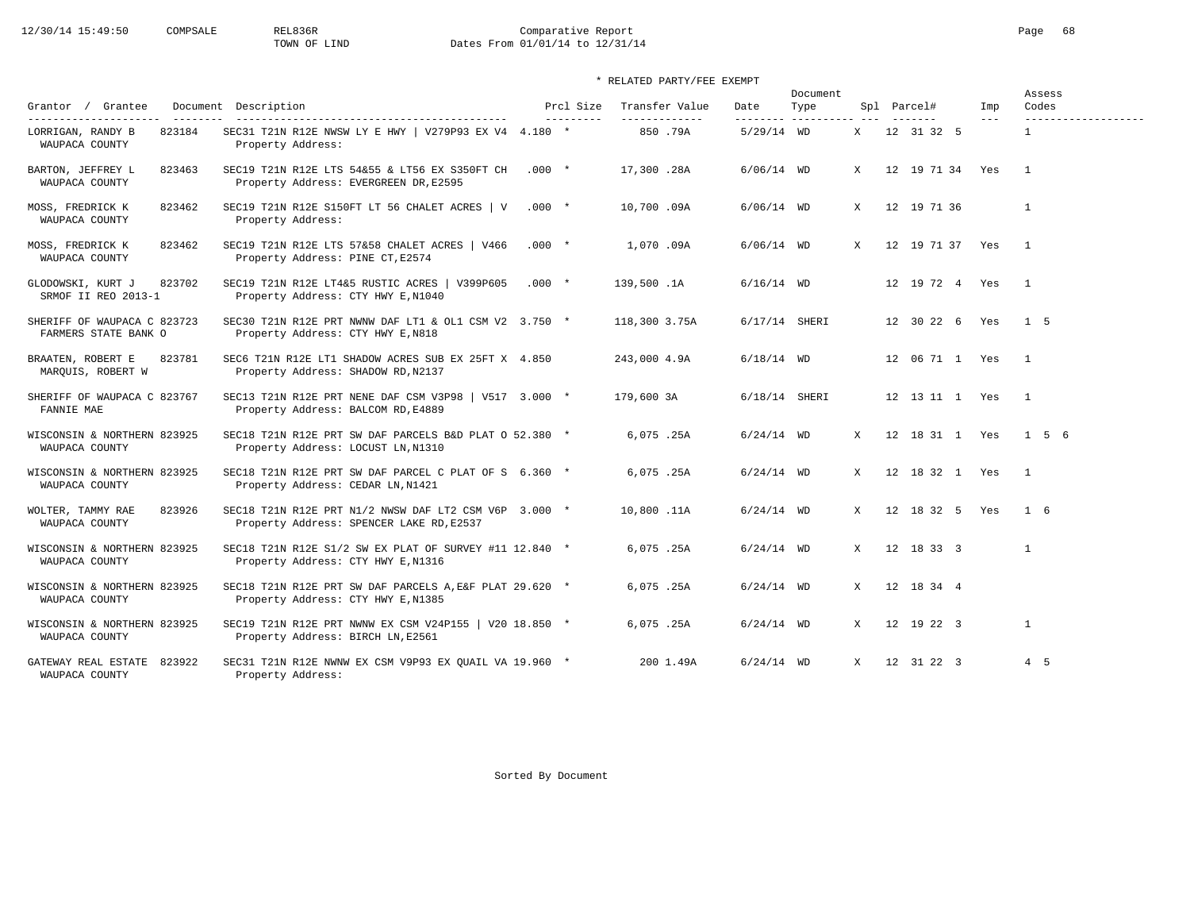# 12/30/14 15:49:50 COMPSALE REL836R Comparative Report Comparative Report Page 68 Dates From 01/01/14 to 12/31/14

|                                                     |                                                                                                   |          |                         |                                 |                  | Document           |              |                    |                | Assess                       |
|-----------------------------------------------------|---------------------------------------------------------------------------------------------------|----------|-------------------------|---------------------------------|------------------|--------------------|--------------|--------------------|----------------|------------------------------|
| Grantor / Grantee<br>---------------------          | Document Description                                                                              |          | Prcl Size<br>---------- | Transfer Value<br>------------- | Date<br>-------- | Type<br>---------- |              | Spl Parcel#        | Imp<br>$- - -$ | Codes<br>------------------- |
| LORRIGAN, RANDY B<br>823184<br>WAUPACA COUNTY       | SEC31 T21N R12E NWSW LY E HWY   V279P93 EX V4 4.180 *<br>Property Address:                        |          |                         | 850.79A                         | $5/29/14$ WD     |                    | X —          | 12 31 32 5         |                | $\mathbf{1}$                 |
| BARTON, JEFFREY L<br>823463<br>WAUPACA COUNTY       | SEC19 T21N R12E LTS 54&55 & LT56 EX S350FT CH<br>Property Address: EVERGREEN DR, E2595            | $.000*$  |                         | 17,300.28A                      | $6/06/14$ WD     |                    | $\mathbf{x}$ | 12 19 71 34 Yes    |                | $\overline{1}$               |
| 823462<br>MOSS, FREDRICK K<br>WAUPACA COUNTY        | SEC19 T21N R12E S150FT LT 56 CHALET ACRES   V<br>Property Address:                                | $.000*$  |                         | 10,700.09A                      | $6/06/14$ WD     |                    | $\mathbf{x}$ | 12 19 71 36        |                | $\mathbf{1}$                 |
| MOSS, FREDRICK K<br>823462<br>WAUPACA COUNTY        | SEC19 T21N R12E LTS 57&58 CHALET ACRES   V466<br>Property Address: PINE CT, E2574                 | $.000 *$ |                         | 1,070.09A                       | $6/06/14$ WD     |                    | $\mathbf{x}$ | 12 19 71 37 Yes    |                | $\overline{1}$               |
| GLODOWSKI, KURT J<br>823702<br>SRMOF II REO 2013-1  | SEC19 T21N R12E LT4&5 RUSTIC ACRES   V399P605<br>Property Address: CTY HWY E, N1040               | $.000*$  |                         | 139,500.1A                      | $6/16/14$ WD     |                    |              | 12  19  72  4  Yes |                | $\overline{1}$               |
| SHERIFF OF WAUPACA C 823723<br>FARMERS STATE BANK O | SEC30 T21N R12E PRT NWNW DAF LT1 & OL1 CSM V2 $3.750$ *<br>Property Address: CTY HWY E, N818      |          |                         | 118,300 3.75A                   |                  | 6/17/14 SHERI      |              | 12 30 22 6 Yes     |                | $1\quad5$                    |
| BRAATEN, ROBERT E<br>823781<br>MARQUIS, ROBERT W    | SEC6 T21N R12E LT1 SHADOW ACRES SUB EX 25FT X 4.850<br>Property Address: SHADOW RD, N2137         |          |                         | 243,000 4.9A                    | $6/18/14$ WD     |                    |              | 12 06 71 1 Yes     |                | $\overline{1}$               |
| SHERIFF OF WAUPACA C 823767<br>FANNIE MAE           | SEC13 T21N R12E PRT NENE DAF CSM V3P98   V517 3.000 *<br>Property Address: BALCOM RD, E4889       |          |                         | 179,600 3A                      |                  | 6/18/14 SHERI      |              | 12 13 11 1 Yes     |                | $\overline{1}$               |
| WISCONSIN & NORTHERN 823925<br>WAUPACA COUNTY       | SEC18 T21N R12E PRT SW DAF PARCELS B&D PLAT O 52.380 *<br>Property Address: LOCUST LN, N1310      |          |                         | 6,075.25A                       | $6/24/14$ WD     |                    | X            | 12 18 31 1 Yes     |                | 1 5 6                        |
| WISCONSIN & NORTHERN 823925<br>WAUPACA COUNTY       | SEC18 T21N R12E PRT SW DAF PARCEL C PLAT OF S 6.360 *<br>Property Address: CEDAR LN, N1421        |          |                         | 6,075.25A                       | $6/24/14$ WD     |                    | X            | 12 18 32 1 Yes     |                | $\mathbf{1}$                 |
| 823926<br>WOLTER, TAMMY RAE<br>WAUPACA COUNTY       | SEC18 T21N R12E PRT N1/2 NWSW DAF LT2 CSM V6P 3.000 *<br>Property Address: SPENCER LAKE RD, E2537 |          |                         | 10,800.11A                      | $6/24/14$ WD     |                    | X            | 12 18 32 5 Yes     |                | $1\quad 6$                   |
| WISCONSIN & NORTHERN 823925<br>WAUPACA COUNTY       | SEC18 T21N R12E S1/2 SW EX PLAT OF SURVEY #11 12.840 *<br>Property Address: CTY HWY E, N1316      |          |                         | 6,075.25A                       | $6/24/14$ WD     |                    | X            | 12 18 33 3         |                | $\mathbf{1}$                 |
| WISCONSIN & NORTHERN 823925<br>WAUPACA COUNTY       | SEC18 T21N R12E PRT SW DAF PARCELS A, E&F PLAT 29.620 *<br>Property Address: CTY HWY E, N1385     |          |                         | 6,075.25A                       | $6/24/14$ WD     |                    | X            | 12 18 34 4         |                |                              |
| WISCONSIN & NORTHERN 823925<br>WAUPACA COUNTY       | SEC19 T21N R12E PRT NWNW EX CSM V24P155   V20 18.850 *<br>Property Address: BIRCH LN, E2561       |          |                         | 6,075.25A                       | $6/24/14$ WD     |                    | X            | 12 19 22 3         |                | $\mathbf{1}$                 |
| 823922<br>GATEWAY REAL ESTATE<br>WAUPACA COUNTY     | SEC31 T21N R12E NWNW EX CSM V9P93 EX QUAIL VA 19.960 *<br>Property Address:                       |          |                         | 200 1.49A                       | $6/24/14$ WD     |                    | X            | 12 31 22 3         |                | 4 5                          |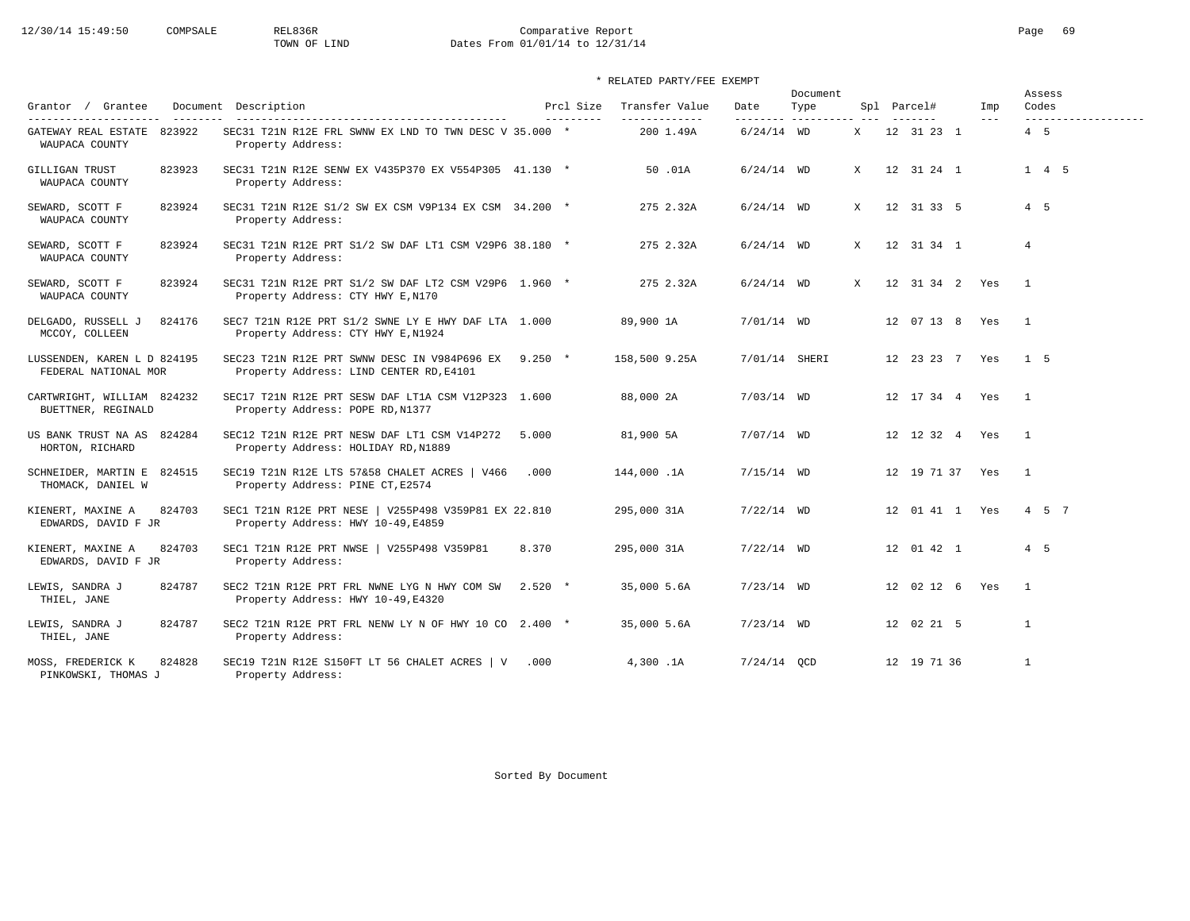# 12/30/14 15:49:50 COMPSALE REL836R Comparative Report Comparative Report Page 69 Dates From 01/01/14 to 12/31/14

| Grantor / Grantee                                                     | Document Description                                                                            | Prcl Size | Transfer Value             | Date                     | Document<br>Type |              | Spl Parcel#           | Imp     | Assess<br>Codes            |
|-----------------------------------------------------------------------|-------------------------------------------------------------------------------------------------|-----------|----------------------------|--------------------------|------------------|--------------|-----------------------|---------|----------------------------|
| ---------------------<br>GATEWAY REAL ESTATE 823922<br>WAUPACA COUNTY | SEC31 T21N R12E FRL SWNW EX LND TO TWN DESC V 35.000 *<br>Property Address:                     | --------- | -------------<br>200 1.49A | --------<br>$6/24/14$ WD | -----------      | X            | -------<br>12 31 23 1 | $- - -$ | -------------------<br>4 5 |
| GILLIGAN TRUST<br>823923<br>WAUPACA COUNTY                            | SEC31 T21N R12E SENW EX V435P370 EX V554P305 41.130 *<br>Property Address:                      |           | 50 .01A                    | $6/24/14$ WD             |                  | $\mathbf{x}$ | 12 31 24 1            |         | $1 \quad 4 \quad 5$        |
| 823924<br>SEWARD, SCOTT F<br>WAUPACA COUNTY                           | SEC31 T21N R12E S1/2 SW EX CSM V9P134 EX CSM 34.200 *<br>Property Address:                      |           | 275 2.32A                  | $6/24/14$ WD             |                  | $\mathbf{x}$ | 12 31 33 5            |         | 4 5                        |
| SEWARD, SCOTT F<br>823924<br>WAUPACA COUNTY                           | SEC31 T21N R12E PRT S1/2 SW DAF LT1 CSM V29P6 38.180 *<br>Property Address:                     |           | 275 2.32A                  | $6/24/14$ WD             |                  | X            | 12 31 34 1            |         | $\overline{4}$             |
| 823924<br>SEWARD, SCOTT F<br>WAUPACA COUNTY                           | SEC31 T21N R12E PRT S1/2 SW DAF LT2 CSM V29P6 1.960 *<br>Property Address: CTY HWY E, N170      |           | 275 2.32A                  | $6/24/14$ WD             |                  | X            | 12 31 34 2 Yes        |         | $\overline{1}$             |
| DELGADO, RUSSELL J<br>824176<br>MCCOY, COLLEEN                        | SEC7 T21N R12E PRT S1/2 SWNE LY E HWY DAF LTA 1.000<br>Property Address: CTY HWY E, N1924       |           | 89,900 1A                  | 7/01/14 WD               |                  |              | 12 07 13 8 Yes        |         | $\overline{1}$             |
| LUSSENDEN, KAREN L D 824195<br>FEDERAL NATIONAL MOR                   | SEC23 T21N R12E PRT SWNW DESC IN V984P696 EX 9.250 *<br>Property Address: LIND CENTER RD, E4101 |           | 158,500 9.25A              | 7/01/14 SHERI            |                  |              | 12 23 23 7 Yes        |         | 1 <sub>5</sub>             |
| CARTWRIGHT, WILLIAM 824232<br>BUETTNER, REGINALD                      | SEC17 T21N R12E PRT SESW DAF LT1A CSM V12P323 1.600<br>Property Address: POPE RD, N1377         |           | 88,000 2A                  | $7/03/14$ WD             |                  |              | 12 17 34 4 Yes        |         | $\mathbf{1}$               |
| US BANK TRUST NA AS 824284<br>HORTON, RICHARD                         | SEC12 T21N R12E PRT NESW DAF LT1 CSM V14P272<br>Property Address: HOLIDAY RD, N1889             | 5.000     | 81,900 5A                  | 7/07/14 WD               |                  |              | 12 12 32 4 Yes        |         | $\mathbf{1}$               |
| SCHNEIDER, MARTIN E 824515<br>THOMACK, DANIEL W                       | SEC19 T21N R12E LTS 57&58 CHALET ACRES   V466<br>Property Address: PINE CT, E2574               | .000      | 144,000.1A                 | $7/15/14$ WD             |                  |              | 12 19 71 37 Yes       |         | $\overline{1}$             |
| 824703<br>KIENERT, MAXINE A<br>EDWARDS, DAVID F JR                    | SEC1 T21N R12E PRT NESE   V255P498 V359P81 EX 22.810<br>Property Address: HWY 10-49, E4859      |           | 295,000 31A                | $7/22/14$ WD             |                  |              | 12 01 41 1 Yes        |         | 4 5 7                      |
| KIENERT, MAXINE A<br>824703<br>EDWARDS, DAVID F JR                    | SEC1 T21N R12E PRT NWSE   V255P498 V359P81<br>Property Address:                                 | 8.370     | 295,000 31A                | $7/22/14$ WD             |                  |              | 12 01 42 1            |         | 4 5                        |
| LEWIS, SANDRA J<br>824787<br>THIEL, JANE                              | SEC2 T21N R12E PRT FRL NWNE LYG N HWY COM SW<br>Property Address: HWY 10-49, E4320              | $2.520*$  | 35,000 5.6A                | $7/23/14$ WD             |                  |              | 12 02 12 6 Yes        |         | $\overline{1}$             |
| LEWIS, SANDRA J<br>824787<br>THIEL, JANE                              | SEC2 T21N R12E PRT FRL NENW LY N OF HWY 10 CO 2.400 *<br>Property Address:                      |           | 35,000 5.6A                | $7/23/14$ WD             |                  |              | 12 02 21 5            |         | $\mathbf{1}$               |
| 824828<br>MOSS, FREDERICK K<br>PINKOWSKI, THOMAS J                    | SEC19 T21N R12E S150FT LT 56 CHALET ACRES $\vert$ V .000<br>Property Address:                   |           | 4,300.1A                   | $7/24/14$ OCD            |                  |              | 12 19 71 36           |         | $\overline{1}$             |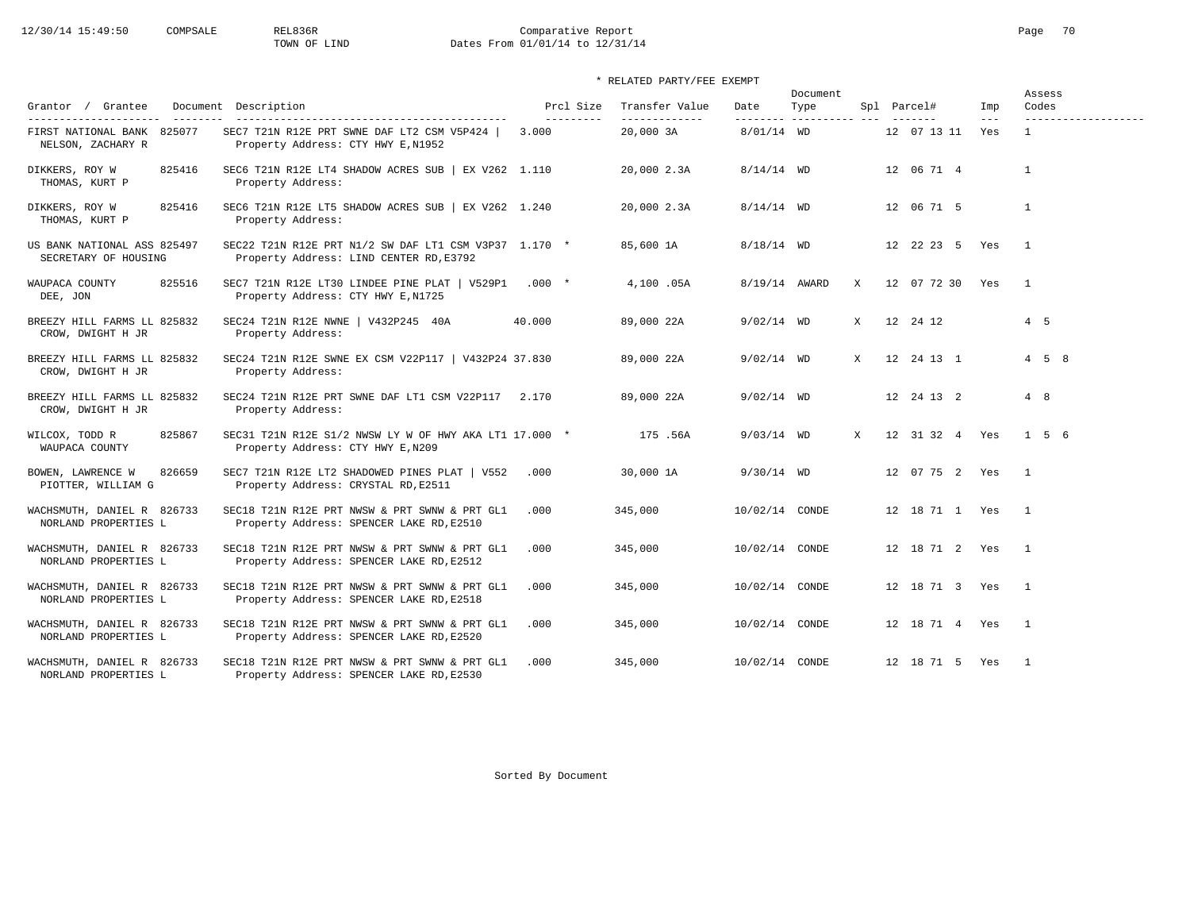# 12/30/14 15:49:50 COMPSALE REL836R Comparative Report Comparative Report Page 70<br>TOWN OF LIND Dates From 01/01/14 to 12/31/14 Dates From 01/01/14 to 12/31/14

### \* RELATED PARTY/FEE EXEMPT

|                                                     |                                                                                                  |                         |                                  |                | Document                     |              |                    |                            | Assess                       |
|-----------------------------------------------------|--------------------------------------------------------------------------------------------------|-------------------------|----------------------------------|----------------|------------------------------|--------------|--------------------|----------------------------|------------------------------|
| Grantor / Grantee<br>---------                      | Document Description                                                                             | Prcl Size<br>---------- | Transfer Value<br>-------------- | Date           | Type<br>--------- ---------- |              | Spl Parcel#        | Imp<br>$\qquad \qquad - -$ | Codes<br>------------------- |
| FIRST NATIONAL BANK 825077<br>NELSON, ZACHARY R     | SEC7 T21N R12E PRT SWNE DAF LT2 CSM V5P424  <br>Property Address: CTY HWY E, N1952               | 3.000                   | 20,000 3A                        | $8/01/14$ WD   |                              |              | 12 07 13 11        | Yes                        | $\mathbf{1}$                 |
| DIKKERS, ROY W<br>825416<br>THOMAS, KURT P          | SEC6 T21N R12E LT4 SHADOW ACRES SUB   EX V262 1.110<br>Property Address:                         |                         | 20,000 2.3A                      | $8/14/14$ WD   |                              |              | 12 06 71 4         |                            | 1                            |
| DIKKERS, ROY W<br>825416<br>THOMAS, KURT P          | SEC6 T21N R12E LT5 SHADOW ACRES SUB $\vert$ EX V262 1.240<br>Property Address:                   |                         | 20,000 2.3A                      | $8/14/14$ WD   |                              |              | 12 06 71 5         |                            | $\mathbf{1}$                 |
| US BANK NATIONAL ASS 825497<br>SECRETARY OF HOUSING | SEC22 T21N R12E PRT N1/2 SW DAF LT1 CSM V3P37 1.170 *<br>Property Address: LIND CENTER RD, E3792 |                         | 85,600 1A                        | $8/18/14$ WD   |                              |              | 12 22 23 5 Yes     |                            | $\overline{1}$               |
| 825516<br>WAUPACA COUNTY<br>DEE, JON                | SEC7 T21N R12E LT30 LINDEE PINE PLAT   V529P1<br>Property Address: CTY HWY E, N1725              | $.000*$                 | 4,100.05A                        | 8/19/14 AWARD  |                              | X            | 12 07 72 30 Yes    |                            | $\overline{1}$               |
| BREEZY HILL FARMS LL 825832<br>CROW, DWIGHT H JR    | SEC24 T21N R12E NWNE   V432P245 40A<br>Property Address:                                         | 40.000                  | 89,000 22A                       | $9/02/14$ WD   |                              | $\mathbf{x}$ | 12 24 12           |                            | $4\quad 5$                   |
| BREEZY HILL FARMS LL 825832<br>CROW, DWIGHT H JR    | SEC24 T21N R12E SWNE EX CSM V22P117   V432P24 37.830<br>Property Address:                        |                         | 89,000 22A                       | $9/02/14$ WD   |                              | X            | 12  24  13  1      |                            | $4 \quad 5 \quad 8$          |
| BREEZY HILL FARMS LL 825832<br>CROW, DWIGHT H JR    | SEC24 T21N R12E PRT SWNE DAF LT1 CSM V22P117 2.170<br>Property Address:                          |                         | 89,000 22A                       | $9/02/14$ WD   |                              |              | 12 24 13 2         |                            | 4 8                          |
| WILCOX, TODD R<br>825867<br>WAUPACA COUNTY          | SEC31 T21N R12E S1/2 NWSW LY W OF HWY AKA LT1 17.000 *<br>Property Address: CTY HWY E, N209      |                         | 175.56A                          | $9/03/14$ WD   |                              | $\mathbf{x}$ | 12 31 32 4 Yes     |                            | $1\quad5\quad6$              |
| 826659<br>BOWEN, LAWRENCE W<br>PIOTTER, WILLIAM G   | SEC7 T21N R12E LT2 SHADOWED PINES PLAT   V552<br>Property Address: CRYSTAL RD, E2511             | .000                    | 30,000 1A                        | $9/30/14$ WD   |                              |              | 12 07 75 2 Yes     |                            | $\overline{1}$               |
| WACHSMUTH, DANIEL R 826733<br>NORLAND PROPERTIES L  | SEC18 T21N R12E PRT NWSW & PRT SWNW & PRT GL1<br>Property Address: SPENCER LAKE RD, E2510        | .000                    | 345,000                          | 10/02/14 CONDE |                              |              | 12 18 71 1 Yes     |                            | $\overline{1}$               |
| WACHSMUTH, DANIEL R 826733<br>NORLAND PROPERTIES L  | SEC18 T21N R12E PRT NWSW & PRT SWNW & PRT GL1<br>Property Address: SPENCER LAKE RD, E2512        | .000                    | 345,000                          | 10/02/14 CONDE |                              |              | 12 18 71 2 Yes     |                            | $\overline{1}$               |
| WACHSMUTH, DANIEL R 826733<br>NORLAND PROPERTIES L  | SEC18 T21N R12E PRT NWSW & PRT SWNW & PRT GL1<br>Property Address: SPENCER LAKE RD, E2518        | .000                    | 345,000                          | 10/02/14 CONDE |                              |              | 12 18 71 3 Yes     |                            | $\overline{1}$               |
| WACHSMUTH, DANIEL R 826733<br>NORLAND PROPERTIES L  | SEC18 T21N R12E PRT NWSW & PRT SWNW & PRT GL1<br>Property Address: SPENCER LAKE RD, E2520        | .000                    | 345,000                          | 10/02/14 CONDE |                              |              | 12  18  71  4  Yes |                            | $\overline{1}$               |
| WACHSMUTH, DANIEL R 826733<br>NORLAND PROPERTIES L  | SEC18 T21N R12E PRT NWSW & PRT SWNW & PRT GL1<br>Property Address: SPENCER LAKE RD, E2530        | .000                    | 345,000                          | 10/02/14 CONDE |                              |              | 12 18 71 5 Yes     |                            | $\overline{1}$               |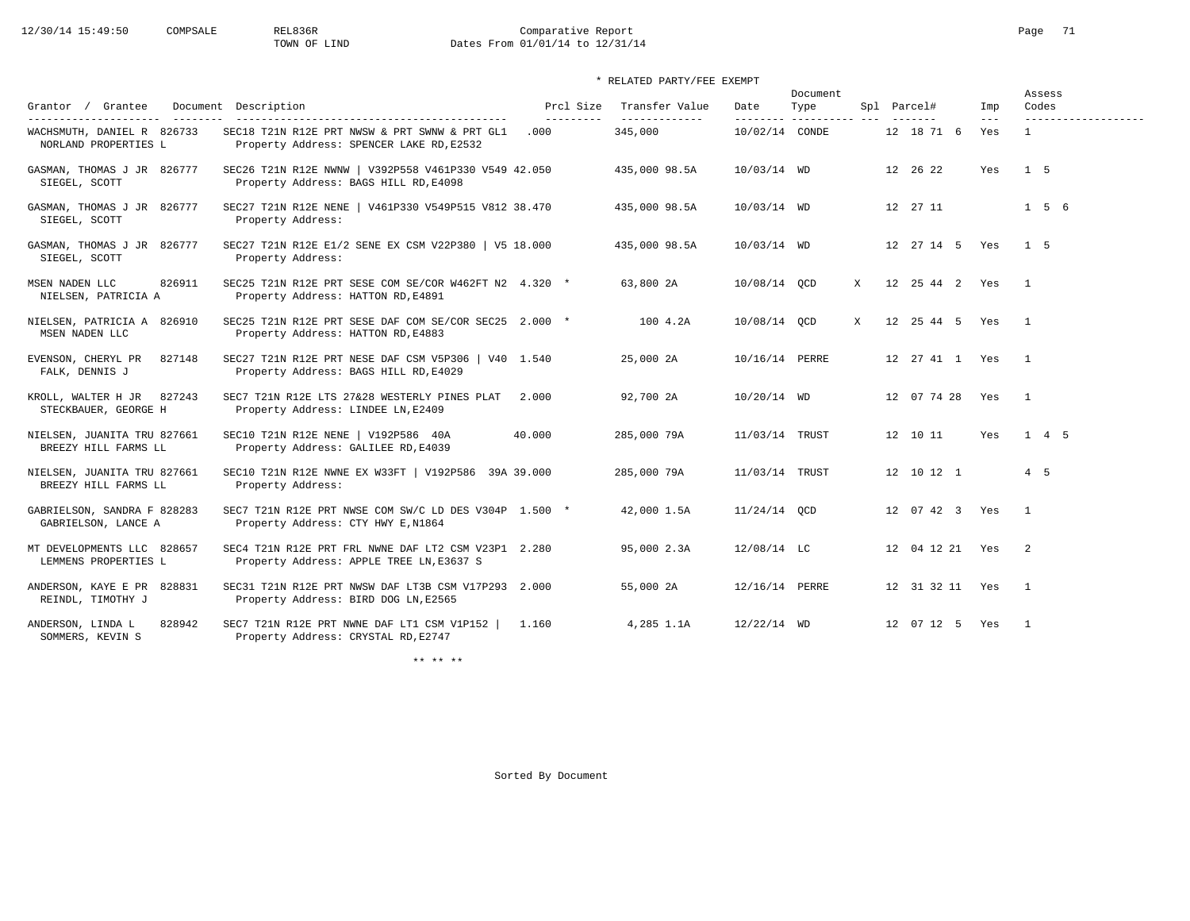# 12/30/14 15:49:50 COMPSALE REL836R Comparative Report Comparative Report Page 71<br>TOWN OF LIND Dates From 01/01/14 to 12/31/14 Dates From 01/01/14 to 12/31/14

### \* RELATED PARTY/FEE EXEMPT

| Grantor / Grantee                                   | Document Description                                                                            | Prcl Size          | Transfer Value           | Date                        | Document<br>Type |   | Spl Parcel#           | Imp          | Assess<br>Codes          |
|-----------------------------------------------------|-------------------------------------------------------------------------------------------------|--------------------|--------------------------|-----------------------------|------------------|---|-----------------------|--------------|--------------------------|
| WACHSMUTH, DANIEL R 826733<br>NORLAND PROPERTIES L  | SEC18 T21N R12E PRT NWSW & PRT SWNW & PRT GL1<br>Property Address: SPENCER LAKE RD, E2532       | ----------<br>.000 | -------------<br>345,000 | ---------<br>10/02/14 CONDE | _______________  |   | 12 18 71 6            | $---$<br>Yes | -------------------<br>1 |
| GASMAN, THOMAS J JR 826777<br>SIEGEL, SCOTT         | SEC26 T21N R12E NWNW   V392P558 V461P330 V549 42.050<br>Property Address: BAGS HILL RD, E4098   |                    | 435,000 98.5A            | 10/03/14 WD                 |                  |   | 12 26 22              | Yes          | 1 5                      |
| GASMAN, THOMAS J JR 826777<br>SIEGEL, SCOTT         | SEC27 T21N R12E NENE   V461P330 V549P515 V812 38.470<br>Property Address:                       |                    | 435,000 98.5A            | 10/03/14 WD                 |                  |   | 12  27  11            |              | $1\quad 5\quad 6$        |
| GASMAN, THOMAS J JR 826777<br>SIEGEL, SCOTT         | SEC27 T21N R12E E1/2 SENE EX CSM V22P380   V5 18.000<br>Property Address:                       |                    | 435,000 98.5A            | 10/03/14 WD                 |                  |   | 12 27 14 5 Yes        |              | 1 <sub>5</sub>           |
| 826911<br>MSEN NADEN LLC<br>NIELSEN, PATRICIA A     | SEC25 T21N R12E PRT SESE COM SE/COR W462FT N2 4.320 *<br>Property Address: HATTON RD, E4891     |                    | 63,800 2A                | 10/08/14 OCD                |                  | X | 12  25  44  2  Yes    |              | $\overline{1}$           |
| NIELSEN, PATRICIA A 826910<br>MSEN NADEN LLC        | SEC25 T21N R12E PRT SESE DAF COM SE/COR SEC25 2.000 *<br>Property Address: HATTON RD, E4883     |                    | 100 4.2A                 | 10/08/14 QCD                |                  | X | 12  25  44  5  Yes  1 |              |                          |
| 827148<br>EVENSON, CHERYL PR<br>FALK, DENNIS J      | SEC27 T21N R12E PRT NESE DAF CSM V5P306   V40 1.540<br>Property Address: BAGS HILL RD, E4029    |                    | 25,000 2A                | 10/16/14 PERRE              |                  |   | 12  27  41  1  Yes  1 |              |                          |
| KROLL, WALTER H JR 827243<br>STECKBAUER, GEORGE H   | SEC7 T21N R12E LTS 27&28 WESTERLY PINES PLAT<br>Property Address: LINDEE LN, E2409              | 2.000              | 92,700 2A                | $10/20/14$ WD               |                  |   | 12 07 74 28 Yes       |              | $\overline{1}$           |
| NIELSEN, JUANITA TRU 827661<br>BREEZY HILL FARMS LL | SEC10 T21N R12E NENE   V192P586 40A<br>Property Address: GALILEE RD, E4039                      | 40.000             | 285,000 79A              | 11/03/14 TRUST              |                  |   | 12 10 11              | Yes          | $1 \quad 4 \quad 5$      |
| NIELSEN, JUANITA TRU 827661<br>BREEZY HILL FARMS LL | SEC10 T21N R12E NWNE EX W33FT   V192P586 39A 39.000<br>Property Address:                        |                    | 285,000 79A              | 11/03/14 TRUST              |                  |   | 12 10 12 1            |              | $4\quad 5$               |
| GABRIELSON, SANDRA F 828283<br>GABRIELSON, LANCE A  | SEC7 T21N R12E PRT NWSE COM SW/C LD DES V304P 1.500 *<br>Property Address: CTY HWY E, N1864     |                    | 42,000 1.5A              | $11/24/14$ OCD              |                  |   | 12 07 42 3 Yes        |              | $\overline{1}$           |
| MT DEVELOPMENTS LLC 828657<br>LEMMENS PROPERTIES L  | SEC4 T21N R12E PRT FRL NWNE DAF LT2 CSM V23P1 2.280<br>Property Address: APPLE TREE LN, E3637 S |                    | 95,000 2.3A              | $12/08/14$ LC               |                  |   | 12 04 12 21 Yes 2     |              |                          |
| ANDERSON, KAYE E PR 828831<br>REINDL, TIMOTHY J     | SEC31 T21N R12E PRT NWSW DAF LT3B CSM V17P293 2.000<br>Property Address: BIRD DOG LN, E2565     |                    | 55,000 2A                | 12/16/14 PERRE              |                  |   | 12 31 32 11 Yes 1     |              |                          |
| 828942<br>ANDERSON, LINDA L<br>SOMMERS, KEVIN S     | SEC7 T21N R12E PRT NWNE DAF LT1 CSM V1P152  <br>Property Address: CRYSTAL RD, E2747             | 1.160              | 4,285 1.1A               | $12/22/14$ WD               |                  |   | 12 07 12 5 Yes        |              | $\overline{1}$           |

\*\* \*\* \*\*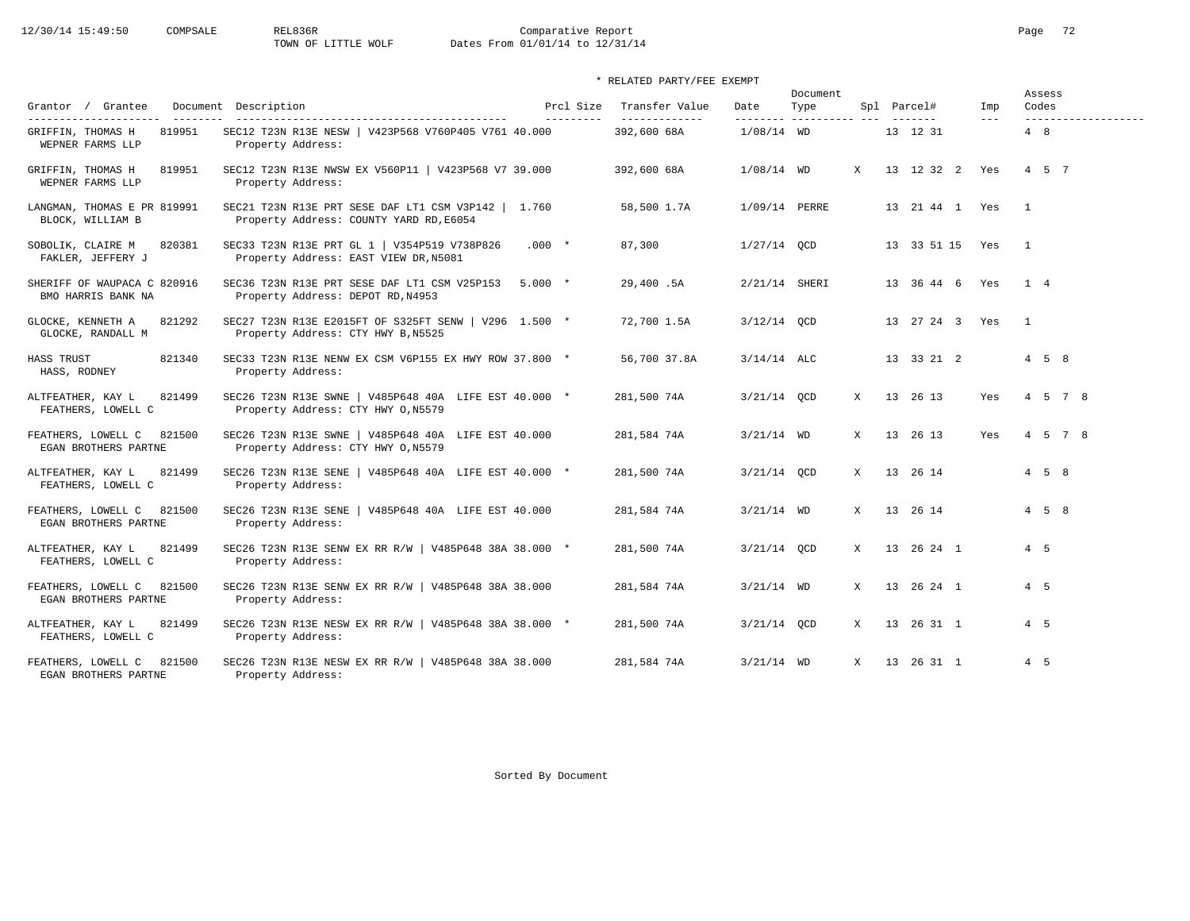### \* RELATED PARTY/FEE EXEMPT

|                                                          |                                                                                                |                         |                                  |               | Document                            |              |                    |                      | Assess                        |
|----------------------------------------------------------|------------------------------------------------------------------------------------------------|-------------------------|----------------------------------|---------------|-------------------------------------|--------------|--------------------|----------------------|-------------------------------|
| Grantor / Grantee<br>----------------------<br>_________ | Document Description                                                                           | Prcl Size<br>---------- | Transfer Value<br>______________ | Date          | Type<br>--------- ----------- --- - |              | Spl Parcel#        | Imp<br>$\frac{1}{2}$ | Codes<br>-------------------- |
| GRIFFIN, THOMAS H<br>819951<br>WEPNER FARMS LLP          | SEC12 T23N R13E NESW   V423P568 V760P405 V761 40.000<br>Property Address:                      |                         | 392,600 68A                      | $1/08/14$ WD  |                                     |              | 13 12 31           |                      | 4 8                           |
| GRIFFIN, THOMAS H<br>819951<br>WEPNER FARMS LLP          | SEC12 T23N R13E NWSW EX V560P11   V423P568 V7 39.000<br>Property Address:                      |                         | 392,600 68A                      | $1/08/14$ WD  |                                     | $\mathbf{x}$ | 13 12 32 2 Yes     |                      | 4 5 7                         |
| LANGMAN, THOMAS E PR 819991<br>BLOCK, WILLIAM B          | SEC21 T23N R13E PRT SESE DAF LT1 CSM V3P142   1.760<br>Property Address: COUNTY YARD RD, E6054 |                         | 58,500 1.7A                      | 1/09/14 PERRE |                                     |              | 13  21  44  1  Yes |                      | $\overline{1}$                |
| SOBOLIK, CLAIRE M<br>820381<br>FAKLER, JEFFERY J         | SEC33 T23N R13E PRT GL 1   V354P519 V738P826<br>Property Address: EAST VIEW DR, N5081          | $.000*$                 | 87,300                           | $1/27/14$ OCD |                                     |              | 13 33 51 15 Yes    |                      | $\overline{1}$                |
| SHERIFF OF WAUPACA C 820916<br>BMO HARRIS BANK NA        | SEC36 T23N R13E PRT SESE DAF LT1 CSM V25P153<br>Property Address: DEPOT RD, N4953              | 5.000 *                 | 29,400.5A                        | 2/21/14 SHERI |                                     |              | 13 36 44 6 Yes 1 4 |                      |                               |
| GLOCKE, KENNETH A<br>821292<br>GLOCKE, RANDALL M         | SEC27 T23N R13E E2015FT OF S325FT SENW   V296 1.500 *<br>Property Address: CTY HWY B, N5525    |                         | 72,700 1.5A                      | $3/12/14$ OCD |                                     |              | 13 27 24 3 Yes     |                      | $\overline{1}$                |
| HASS TRUST<br>821340<br>HASS, RODNEY                     | SEC33 T23N R13E NENW EX CSM V6P155 EX HWY ROW 37.800 *<br>Property Address:                    |                         | 56,700 37.8A                     | $3/14/14$ ALC |                                     |              | 13 33 21 2         |                      | $4\quad 5\quad 8$             |
| 821499<br>ALTFEATHER, KAY L<br>FEATHERS, LOWELL C        | SEC26 T23N R13E SWNE   V485P648 40A LIFE EST 40.000 *<br>Property Address: CTY HWY 0, N5579    |                         | 281,500 74A                      | $3/21/14$ OCD |                                     | X            | 13 26 13           | Yes                  | 4 5 7 8                       |
| FEATHERS, LOWELL C<br>821500<br>EGAN BROTHERS PARTNE     | SEC26 T23N R13E SWNE   V485P648 40A LIFE EST 40.000<br>Property Address: CTY HWY 0, N5579      |                         | 281,584 74A                      | $3/21/14$ WD  |                                     | X            | 13 26 13           | Yes                  | 4 5 7 8                       |
| 821499<br>ALTFEATHER, KAY L<br>FEATHERS, LOWELL C        | SEC26 T23N R13E SENE   V485P648 40A LIFE EST 40.000 *<br>Property Address:                     |                         | 281,500 74A                      | $3/21/14$ OCD |                                     | $\mathbf x$  | 13 26 14           |                      | $4\quad 5\quad 8$             |
| FEATHERS, LOWELL C<br>821500<br>EGAN BROTHERS PARTNE     | SEC26 T23N R13E SENE   V485P648 40A LIFE EST 40.000<br>Property Address:                       |                         | 281,584 74A                      | $3/21/14$ WD  |                                     | $\mathbf{x}$ | 13 26 14           |                      | $4\quad 5\quad 8$             |
| ALTFEATHER, KAY L<br>821499<br>FEATHERS, LOWELL C        | SEC26 T23N R13E SENW EX RR R/W   V485P648 38A 38.000 *<br>Property Address:                    |                         | 281,500 74A                      | $3/21/14$ OCD |                                     | $\mathbf{x}$ | 13 26 24 1         |                      | $4\quad 5$                    |
| 821500<br>FEATHERS, LOWELL C<br>EGAN BROTHERS PARTNE     | SEC26 T23N R13E SENW EX RR R/W   V485P648 38A 38.000<br>Property Address:                      |                         | 281,584 74A                      | $3/21/14$ WD  |                                     | X            | 13 26 24 1         |                      | 4 5                           |
| ALTFEATHER, KAY L<br>821499<br>FEATHERS, LOWELL C        | SEC26 T23N R13E NESW EX RR R/W   V485P648 38A 38.000 *<br>Property Address:                    |                         | 281,500 74A                      | $3/21/14$ OCD |                                     |              | X 13 26 31 1       |                      | $4\quad 5$                    |
| FEATHERS, LOWELL C<br>821500<br>EGAN BROTHERS PARTNE     | SEC26 T23N R13E NESW EX RR R/W   V485P648 38A 38.000<br>Property Address:                      |                         | 281,584 74A                      | $3/21/14$ WD  |                                     | $\mathbf{x}$ | 13 26 31 1         |                      | 4 5                           |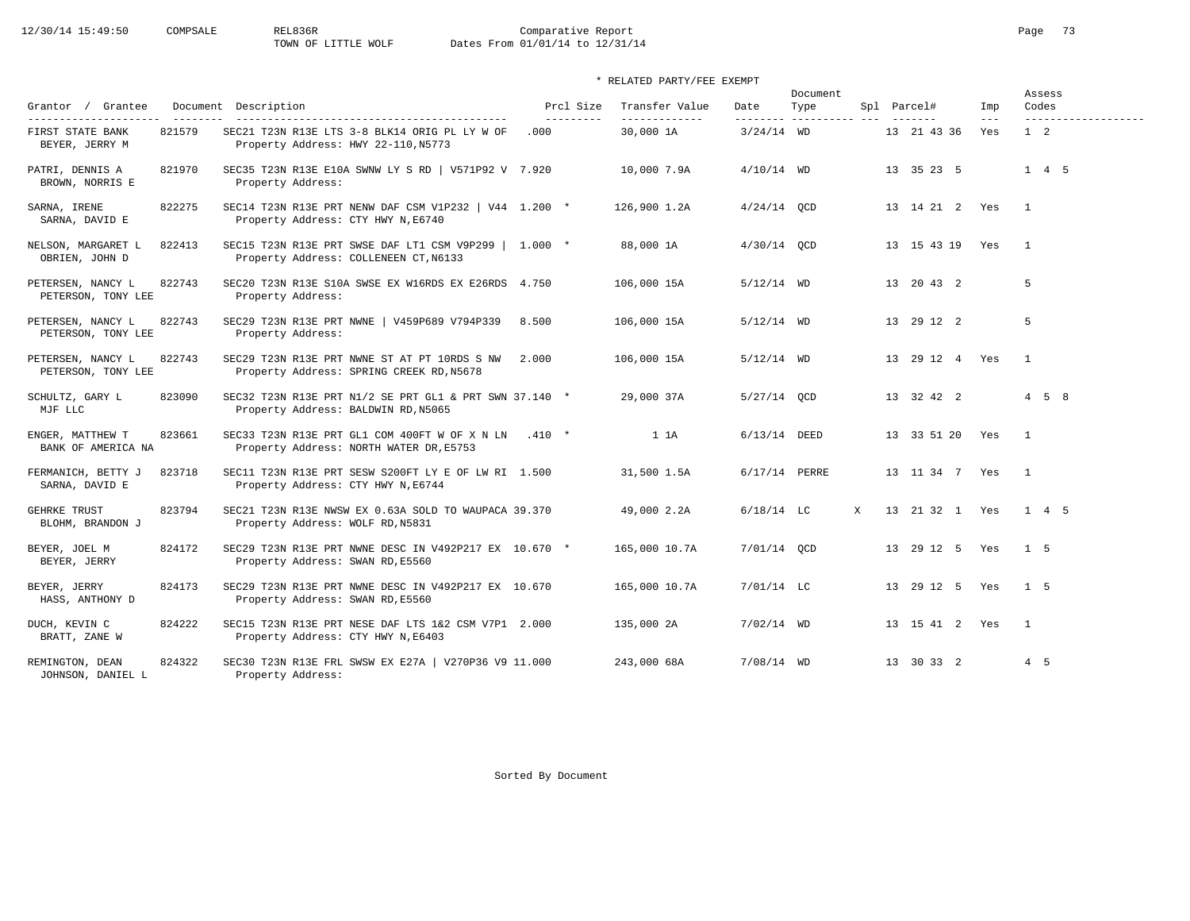# 12/30/14 15:49:50 COMPSALE REL836R Comparative Report Comparative Report Page 73<br>TOWN OF LITTLE WOLF Dates From 01/01/14 to 12/31/14 Dates From 01/01/14 to 12/31/14

### \* RELATED PARTY/FEE EXEMPT

|                                            |        |                                                                                                |                        |                                 |               | Document                 |   |                    |              | Assess                        |
|--------------------------------------------|--------|------------------------------------------------------------------------------------------------|------------------------|---------------------------------|---------------|--------------------------|---|--------------------|--------------|-------------------------------|
| Grantor / Grantee<br>--------------------- |        | Document Description<br>-----------------------------------                                    | Prcl Size<br>--------- | Transfer Value<br>------------- | Date          | Type                     |   | Spl Parcel#        | Imp<br>$---$ | Codes<br>-------------------- |
| FIRST STATE BANK<br>BEYER, JERRY M         | 821579 | SEC21 T23N R13E LTS 3-8 BLK14 ORIG PL LY W OF<br>Property Address: HWY 22-110, N5773           | .000                   | 30,000 1A                       | $3/24/14$ WD  | --------- ---------- --- |   | 13 21 43 36        | Yes          | $1\quad 2$                    |
| PATRI, DENNIS A<br>BROWN, NORRIS E         | 821970 | SEC35 T23N R13E E10A SWNW LY S RD   V571P92 V 7.920<br>Property Address:                       |                        | 10,000 7.9A                     | $4/10/14$ WD  |                          |   | 13 35 23 5         |              | $1 \quad 4 \quad 5$           |
| SARNA, IRENE<br>SARNA, DAVID E             | 822275 | SEC14 T23N R13E PRT NENW DAF CSM V1P232   V44 1.200 *<br>Property Address: CTY HWY N, E6740    |                        | 126,900 1.2A                    | $4/24/14$ OCD |                          |   | 13  14  21  2  Yes |              | $\overline{1}$                |
| NELSON, MARGARET L<br>OBRIEN, JOHN D       | 822413 | SEC15 T23N R13E PRT SWSE DAF LT1 CSM V9P299   1.000 *<br>Property Address: COLLENEEN CT, N6133 |                        | 88,000 1A                       | $4/30/14$ OCD |                          |   | 13 15 43 19 Yes    |              | $\overline{1}$                |
| PETERSEN, NANCY L<br>PETERSON, TONY LEE    | 822743 | SEC20 T23N R13E S10A SWSE EX W16RDS EX E26RDS 4.750<br>Property Address:                       |                        | 106,000 15A                     | $5/12/14$ WD  |                          |   | 13 20 43 2         |              | 5                             |
| PETERSEN, NANCY L<br>PETERSON, TONY LEE    | 822743 | SEC29 T23N R13E PRT NWNE   V459P689 V794P339 8.500<br>Property Address:                        |                        | 106,000 15A                     | $5/12/14$ WD  |                          |   | 13 29 12 2         |              | 5                             |
| PETERSEN, NANCY L<br>PETERSON, TONY LEE    | 822743 | SEC29 T23N R13E PRT NWNE ST AT PT 10RDS S NW 2.000<br>Property Address: SPRING CREEK RD, N5678 |                        | 106,000 15A                     | $5/12/14$ WD  |                          |   | 13  29  12  4  Yes |              | $\overline{1}$                |
| SCHULTZ, GARY L<br>MJF LLC                 | 823090 | SEC32 T23N R13E PRT N1/2 SE PRT GL1 & PRT SWN 37.140 *<br>Property Address: BALDWIN RD, N5065  |                        | 29,000 37A                      | 5/27/14 OCD   |                          |   | 13 32 42 2         |              | $4\quad 5\quad 8$             |
| ENGER, MATTHEW T<br>BANK OF AMERICA NA     | 823661 | SEC33 T23N R13E PRT GL1 COM 400FT W OF X N LN<br>Property Address: NORTH WATER DR, E5753       | $.410$ *               | 1 1 A                           | 6/13/14 DEED  |                          |   | 13 33 51 20 Yes    |              | $\overline{1}$                |
| FERMANICH, BETTY J<br>SARNA, DAVID E       | 823718 | SEC11 T23N R13E PRT SESW S200FT LY E OF LW RI 1.500<br>Property Address: CTY HWY N, E6744      |                        | 31,500 1.5A                     | 6/17/14 PERRE |                          |   | 13 11 34 7 Yes     |              | $\overline{1}$                |
| <b>GEHRKE TRUST</b><br>BLOHM, BRANDON J    | 823794 | SEC21 T23N R13E NWSW EX 0.63A SOLD TO WAUPACA 39.370<br>Property Address: WOLF RD, N5831       |                        | 49,000 2.2A                     | $6/18/14$ LC  |                          | X | 13 21 32 1 Yes     |              | 1 4 5                         |
| BEYER, JOEL M<br>BEYER, JERRY              | 824172 | SEC29 T23N R13E PRT NWNE DESC IN V492P217 EX 10.670 *<br>Property Address: SWAN RD, E5560      |                        | 165,000 10.7A                   | 7/01/14 OCD   |                          |   | 13 29 12 5 Yes     |              | 1 <sub>5</sub>                |
| BEYER, JERRY<br>HASS, ANTHONY D            | 824173 | SEC29 T23N R13E PRT NWNE DESC IN V492P217 EX 10.670<br>Property Address: SWAN RD, E5560        |                        | 165,000 10.7A                   | $7/01/14$ LC  |                          |   | 13 29 12 5 Yes     |              | 1 <sub>5</sub>                |
| DUCH, KEVIN C<br>BRATT, ZANE W             | 824222 | SEC15 T23N R13E PRT NESE DAF LTS 1&2 CSM V7P1 2.000<br>Property Address: CTY HWY N, E6403      |                        | 135,000 2A                      | $7/02/14$ WD  |                          |   | 13  15  41  2  Yes |              | $\overline{1}$                |
| REMINGTON, DEAN<br>JOHNSON, DANIEL L       | 824322 | SEC30 T23N R13E FRL SWSW EX E27A   V270P36 V9 11.000<br>Property Address:                      |                        | 243,000 68A                     | $7/08/14$ WD  |                          |   | 13 30 33 2         |              | 4 5                           |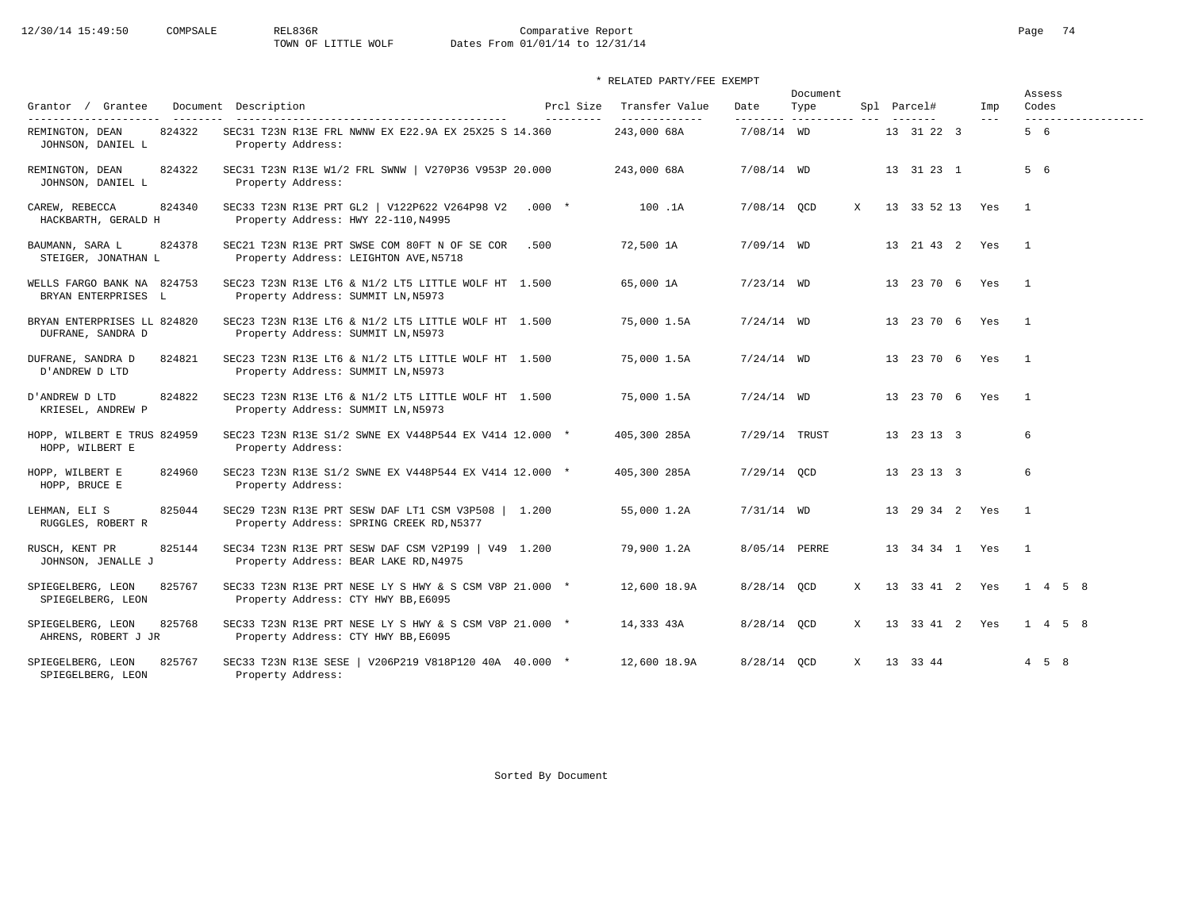# 12/30/14 15:49:50 COMPSALE REL836R Comparative Report Comparative Report Page 74 Dates From 01/01/14 to 12/31/14

### \* RELATED PARTY/FEE EXEMPT

|                                                    |                                                                                                 |                                  |                                 |                   | Document               |              |                 |         |                | Assess            |                     |
|----------------------------------------------------|-------------------------------------------------------------------------------------------------|----------------------------------|---------------------------------|-------------------|------------------------|--------------|-----------------|---------|----------------|-------------------|---------------------|
| Grantor / Grantee<br>---------------------         | Document Description<br>--------------------------------------                                  | Prcl Size<br>$- - - - - - - - -$ | Transfer Value<br>_____________ | Date<br>--------- | Type<br>-------------- |              | Spl Parcel#     | Imp     |                | Codes             | ------------------- |
| REMINGTON, DEAN<br>824322<br>JOHNSON, DANIEL L     | SEC31 T23N R13E FRL NWNW EX E22.9A EX 25X25 S 14.360<br>Property Address:                       |                                  | 243,000 68A                     | 7/08/14 WD        |                        |              | 13 31 22 3      | $- - -$ |                | 5 6               |                     |
| REMINGTON, DEAN<br>824322<br>JOHNSON, DANIEL L     | SEC31 T23N R13E W1/2 FRL SWNW   V270P36 V953P 20.000<br>Property Address:                       |                                  | 243,000 68A                     | $7/08/14$ WD      |                        |              | 13 31 23 1      |         |                | 5 6               |                     |
| CAREW, REBECCA<br>824340<br>HACKBARTH, GERALD H    | SEC33 T23N R13E PRT GL2   V122P622 V264P98 V2 .000 *<br>Property Address: HWY 22-110, N4995     |                                  | 100 .1A                         | $7/08/14$ OCD     |                        | X            | 13 33 52 13 Yes |         | $\overline{1}$ |                   |                     |
| BAUMANN, SARA L<br>824378<br>STEIGER, JONATHAN L   | SEC21 T23N R13E PRT SWSE COM 80FT N OF SE COR<br>Property Address: LEIGHTON AVE, N5718          | .500                             | 72,500 1A                       | $7/09/14$ WD      |                        |              | 13 21 43 2 Yes  |         | $\sim$ 1       |                   |                     |
| WELLS FARGO BANK NA 824753<br>BRYAN ENTERPRISES L  | SEC23 T23N R13E LT6 & N1/2 LT5 LITTLE WOLF HT 1.500<br>Property Address: SUMMIT LN, N5973       |                                  | 65,000 1A                       | $7/23/14$ WD      |                        |              | 13 23 70 6 Yes  |         | $\overline{1}$ |                   |                     |
| BRYAN ENTERPRISES LL 824820<br>DUFRANE, SANDRA D   | SEC23 T23N R13E LT6 & N1/2 LT5 LITTLE WOLF HT 1.500<br>Property Address: SUMMIT LN, N5973       |                                  | 75,000 1.5A                     | $7/24/14$ WD      |                        |              | 13 23 70 6 Yes  |         | $\sim$ 1       |                   |                     |
| 824821<br>DUFRANE, SANDRA D<br>D'ANDREW D LTD      | SEC23 T23N R13E LT6 & N1/2 LT5 LITTLE WOLF HT 1.500<br>Property Address: SUMMIT LN, N5973       |                                  | 75,000 1.5A                     | $7/24/14$ WD      |                        |              | 13 23 70 6 Yes  |         | $\overline{1}$ |                   |                     |
| D'ANDREW D LTD<br>824822<br>KRIESEL, ANDREW P      | SEC23 T23N R13E LT6 & N1/2 LT5 LITTLE WOLF HT 1.500<br>Property Address: SUMMIT LN, N5973       |                                  | 75,000 1.5A                     | $7/24/14$ WD      |                        |              | 13 23 70 6 Yes  |         | $\overline{1}$ |                   |                     |
| HOPP, WILBERT E TRUS 824959<br>HOPP, WILBERT E     | SEC23 T23N R13E S1/2 SWNE EX V448P544 EX V414 12.000 *<br>Property Address:                     |                                  | 405,300 285A                    | 7/29/14 TRUST     |                        |              | 13 23 13 3      |         | 6              |                   |                     |
| 824960<br>HOPP, WILBERT E<br>HOPP, BRUCE E         | SEC23 T23N R13E S1/2 SWNE EX V448P544 EX V414 12.000 *<br>Property Address:                     |                                  | 405,300 285A                    | $7/29/14$ OCD     |                        |              | 13 23 13 3      |         | 6              |                   |                     |
| 825044<br>LEHMAN, ELI S<br>RUGGLES, ROBERT R       | SEC29 T23N R13E PRT SESW DAF LT1 CSM V3P508   1.200<br>Property Address: SPRING CREEK RD, N5377 |                                  | 55,000 1.2A                     | $7/31/14$ WD      |                        |              | 13 29 34 2 Yes  |         | $\overline{1}$ |                   |                     |
| 825144<br>RUSCH, KENT PR<br>JOHNSON, JENALLE J     | SEC34 T23N R13E PRT SESW DAF CSM V2P199   V49 1.200<br>Property Address: BEAR LAKE RD, N4975    |                                  | 79,900 1.2A                     | 8/05/14 PERRE     |                        |              | 13 34 34 1 Yes  |         | $\overline{1}$ |                   |                     |
| 825767<br>SPIEGELBERG, LEON<br>SPIEGELBERG, LEON   | SEC33 T23N R13E PRT NESE LY S HWY & S CSM V8P 21.000 *<br>Property Address: CTY HWY BB, E6095   |                                  | 12,600 18.9A                    | 8/28/14 OCD       |                        | $\mathbf{X}$ | 13 33 41 2 Yes  |         |                | 1 4 5 8           |                     |
| SPIEGELBERG, LEON<br>825768<br>AHRENS, ROBERT J JR | SEC33 T23N R13E PRT NESE LY S HWY & S CSM V8P 21.000 *<br>Property Address: CTY HWY BB, E6095   |                                  | 14,333 43A                      | 8/28/14 QCD       |                        | X            | 13 33 41 2 Yes  |         |                | 1 4 5 8           |                     |
| 825767<br>SPIEGELBERG, LEON<br>SPIEGELBERG, LEON   | SEC33 T23N R13E SESE   V206P219 V818P120 40A 40.000 *<br>Property Address:                      |                                  | 12,600 18.9A                    | 8/28/14 OCD       |                        | X            | 13 33 44        |         |                | $4\quad 5\quad 8$ |                     |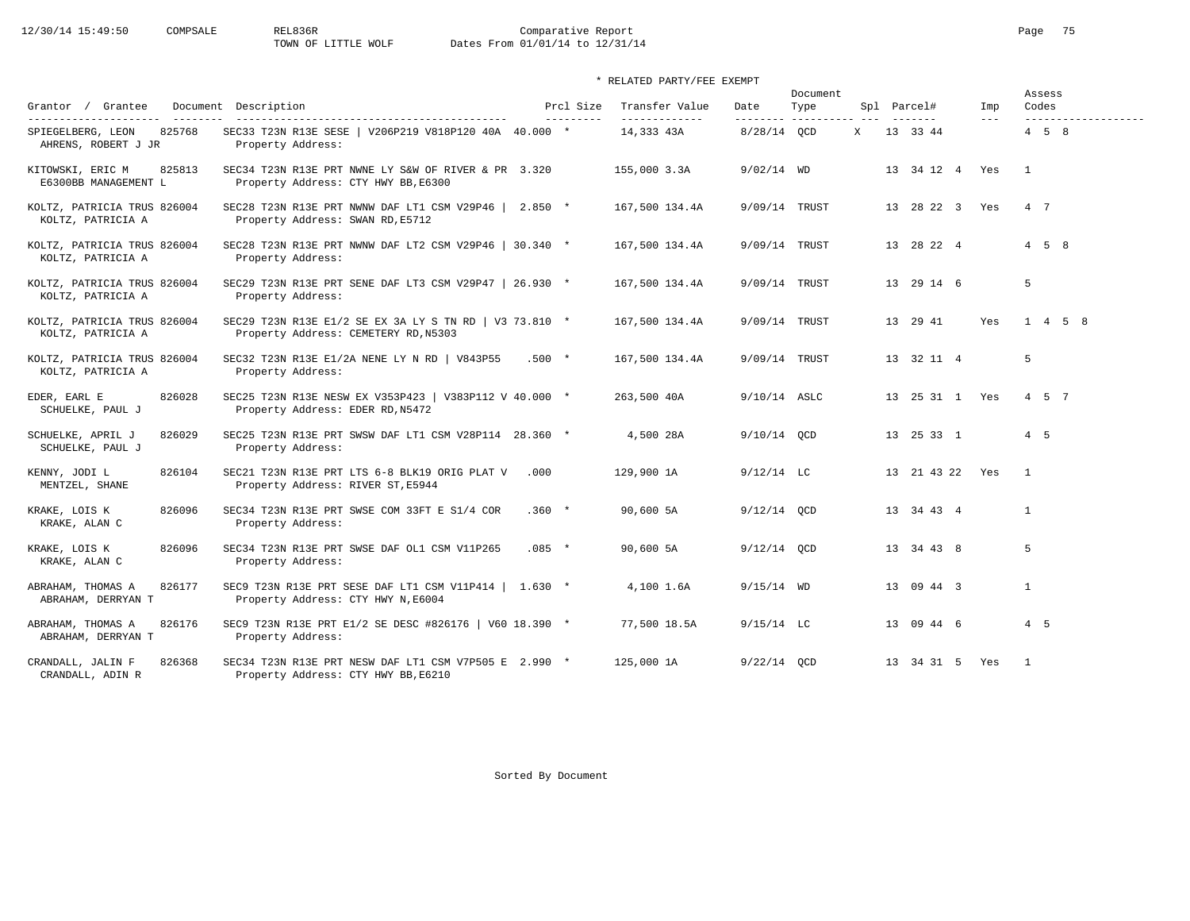### \* RELATED PARTY/FEE EXEMPT

|                                                          |                                                                                                |          |                         |                                 |                | Document                         |  |                    |                            | Assess            |                     |
|----------------------------------------------------------|------------------------------------------------------------------------------------------------|----------|-------------------------|---------------------------------|----------------|----------------------------------|--|--------------------|----------------------------|-------------------|---------------------|
| Grantor / Grantee<br>----------------------<br>_________ | Document Description                                                                           |          | Prcl Size<br>---------- | Transfer Value<br>------------- | Date           | Type<br>--------- ---------- --- |  | Spl Parcel#        | Imp<br>$\qquad \qquad - -$ | Codes             | ------------------- |
| 825768<br>SPIEGELBERG, LEON<br>AHRENS, ROBERT J JR       | SEC33 T23N R13E SESE   V206P219 V818P120 40A 40.000 *<br>Property Address:                     |          |                         | 14,333 43A                      | 8/28/14 OCD    |                                  |  | X 13 33 44         |                            | $4\quad 5\quad 8$ |                     |
| KITOWSKI, ERIC M<br>825813<br>E6300BB MANAGEMENT L       | SEC34 T23N R13E PRT NWNE LY S&W OF RIVER & PR 3.320<br>Property Address: CTY HWY BB, E6300     |          |                         | 155,000 3.3A                    | $9/02/14$ WD   |                                  |  | 13 34 12 4 Yes     |                            | $\overline{1}$    |                     |
| KOLTZ, PATRICIA TRUS 826004<br>KOLTZ, PATRICIA A         | SEC28 T23N R13E PRT NWNW DAF LT1 CSM V29P46   2.850 *<br>Property Address: SWAN RD, E5712      |          |                         | 167,500 134.4A                  | 9/09/14 TRUST  |                                  |  | 13 28 22 3 Yes     |                            | 4 7               |                     |
| KOLTZ, PATRICIA TRUS 826004<br>KOLTZ, PATRICIA A         | SEC28 T23N R13E PRT NWNW DAF LT2 CSM V29P46   30.340 *<br>Property Address:                    |          |                         | 167,500 134.4A                  | 9/09/14 TRUST  |                                  |  | 13 28 22 4         |                            | $4\quad 5\quad 8$ |                     |
| KOLTZ, PATRICIA TRUS 826004<br>KOLTZ, PATRICIA A         | SEC29 T23N R13E PRT SENE DAF LT3 CSM V29P47   26.930 *<br>Property Address:                    |          |                         | 167,500 134.4A                  | 9/09/14 TRUST  |                                  |  | 13 29 14 6         |                            | 5                 |                     |
| KOLTZ, PATRICIA TRUS 826004<br>KOLTZ, PATRICIA A         | SEC29 T23N R13E E1/2 SE EX 3A LY S TN RD   V3 73.810 *<br>Property Address: CEMETERY RD, N5303 |          |                         | 167,500 134.4A                  | 9/09/14 TRUST  |                                  |  | 13 29 41           | Yes                        | $1 \t4 \t5 \t8$   |                     |
| KOLTZ, PATRICIA TRUS 826004<br>KOLTZ, PATRICIA A         | SEC32 T23N R13E E1/2A NENE LY N RD   V843P55<br>Property Address:                              | $.500*$  |                         | 167,500 134.4A                  | 9/09/14 TRUST  |                                  |  | 13 32 11 4         |                            | 5                 |                     |
| EDER, EARL E<br>826028<br>SCHUELKE, PAUL J               | SEC25 T23N R13E NESW EX V353P423   V383P112 V 40.000 *<br>Property Address: EDER RD, N5472     |          |                         | 263,500 40A                     | $9/10/14$ ASLC |                                  |  | 13  25  31  1  Yes |                            | 4 5 7             |                     |
| SCHUELKE, APRIL J<br>826029<br>SCHUELKE, PAUL J          | SEC25 T23N R13E PRT SWSW DAF LT1 CSM V28P114 28.360 *<br>Property Address:                     |          |                         | 4,500 28A                       | 9/10/14 OCD    |                                  |  | 13 25 33 1         |                            | $4\quad 5$        |                     |
| 826104<br>KENNY, JODI L<br>MENTZEL, SHANE                | SEC21 T23N R13E PRT LTS 6-8 BLK19 ORIG PLAT V<br>Property Address: RIVER ST, E5944             | .000     |                         | 129,900 1A                      | $9/12/14$ LC   |                                  |  | 13 21 43 22 Yes    |                            | $\overline{1}$    |                     |
| 826096<br>KRAKE, LOIS K<br>KRAKE, ALAN C                 | SEC34 T23N R13E PRT SWSE COM 33FT E S1/4 COR<br>Property Address:                              | $.360 *$ |                         | 90,600 5A                       | $9/12/14$ OCD  |                                  |  | 13 34 43 4         |                            | $\mathbf{1}$      |                     |
| 826096<br>KRAKE, LOIS K<br>KRAKE, ALAN C                 | SEC34 T23N R13E PRT SWSE DAF OL1 CSM V11P265<br>Property Address:                              | $.085$ * |                         | 90,600 5A                       | $9/12/14$ OCD  |                                  |  | 13 34 43 8         |                            | 5                 |                     |
| 826177<br>ABRAHAM, THOMAS A<br>ABRAHAM, DERRYAN T        | SEC9 T23N R13E PRT SESE DAF LT1 CSM V11P414   1.630 *<br>Property Address: CTY HWY N, E6004    |          |                         | 4,100 1.6A                      | $9/15/14$ WD   |                                  |  | 13 09 44 3         |                            | $\mathbf{1}$      |                     |
| ABRAHAM, THOMAS A<br>826176<br>ABRAHAM, DERRYAN T        | SEC9 T23N R13E PRT E1/2 SE DESC #826176   V60 18.390 *<br>Property Address:                    |          |                         | 77,500 18.5A                    | $9/15/14$ LC   |                                  |  | 13 09 44 6         |                            | $4\quad 5$        |                     |
| 826368<br>CRANDALL, JALIN F<br>CRANDALL, ADIN R          | SEC34 T23N R13E PRT NESW DAF LT1 CSM V7P505 E 2.990 *<br>Property Address: CTY HWY BB, E6210   |          |                         | 125,000 1A                      | $9/22/14$ OCD  |                                  |  | 13 34 31 5 Yes     |                            | $\overline{1}$    |                     |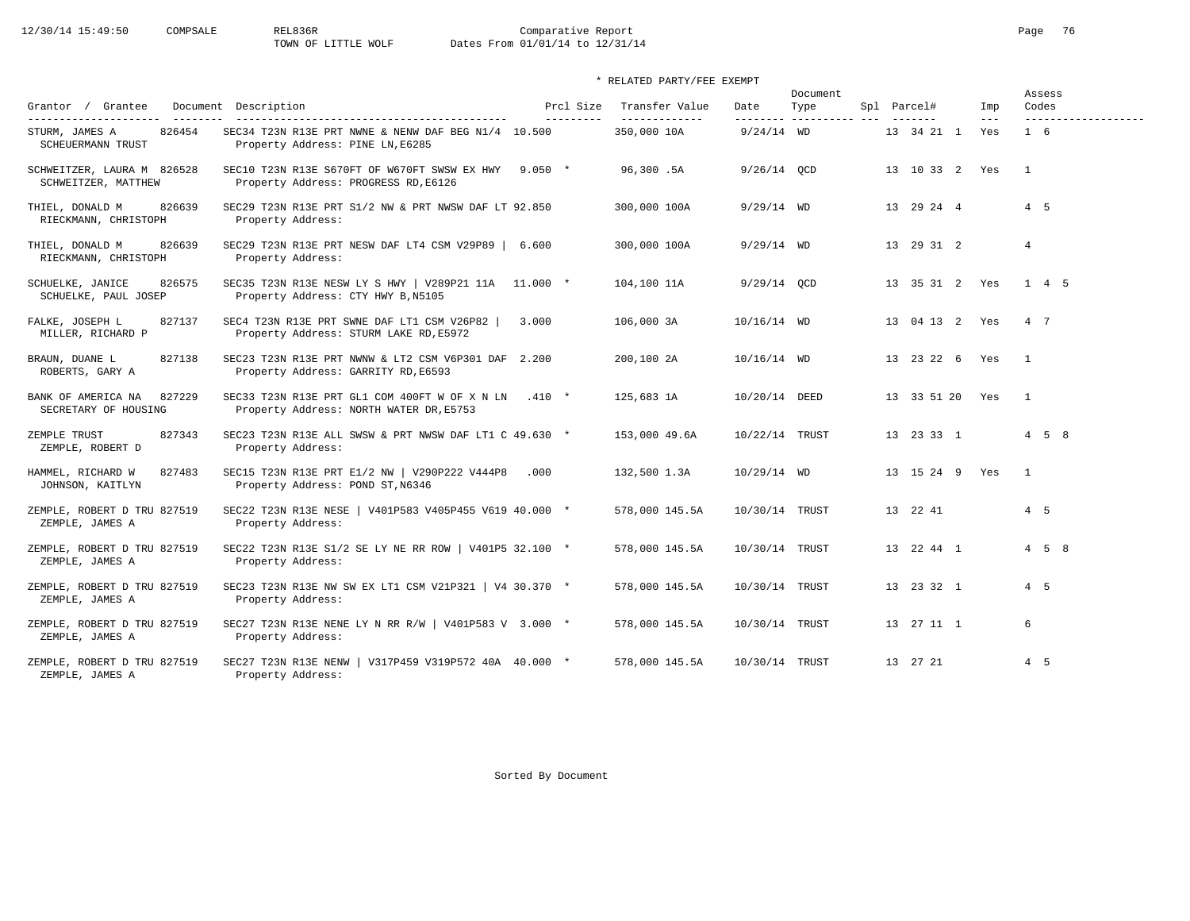# 12/30/14 15:49:50 COMPSALE REL836R Comparative Report Comparative Report Page 76 Dates From 01/01/14 to 12/31/14

\* RELATED PARTY/FEE EXEMPT

| Grantor / Grantee                                                      | Document Description                                                                         | Prcl Size | Transfer Value               | Date                     | Document<br>Type |  | Spl Parcel#        | Imp                        | Assess<br>Codes |                     |
|------------------------------------------------------------------------|----------------------------------------------------------------------------------------------|-----------|------------------------------|--------------------------|------------------|--|--------------------|----------------------------|-----------------|---------------------|
| ---------------------<br>826454<br>STURM, JAMES A<br>SCHEUERMANN TRUST | SEC34 T23N R13E PRT NWNE & NENW DAF BEG N1/4 10.500<br>Property Address: PINE LN, E6285      | --------- | -------------<br>350,000 10A | --------<br>$9/24/14$ WD | -------------    |  | 13 34 21 1         | $\qquad \qquad - -$<br>Yes | $1\quad 6$      | ------------------- |
| SCHWEITZER, LAURA M 826528<br>SCHWEITZER, MATTHEW                      | SEC10 T23N R13E S670FT OF W670FT SWSW EX HWY 9.050 *<br>Property Address: PROGRESS RD, E6126 |           | 96,300.5A                    | $9/26/14$ OCD            |                  |  | 13 10 33 2 Yes     |                            | $\overline{1}$  |                     |
| 826639<br>THIEL, DONALD M<br>RIECKMANN, CHRISTOPH                      | SEC29 T23N R13E PRT S1/2 NW & PRT NWSW DAF LT 92.850<br>Property Address:                    |           | 300,000 100A                 | $9/29/14$ WD             |                  |  | 13 29 24 4         |                            | $4\quad 5$      |                     |
| THIEL, DONALD M<br>826639<br>RIECKMANN, CHRISTOPH                      | SEC29 T23N R13E PRT NESW DAF LT4 CSM V29P89   6.600<br>Property Address:                     |           | 300,000 100A                 | $9/29/14$ WD             |                  |  | 13 29 31 2         |                            | $\overline{4}$  |                     |
| SCHUELKE, JANICE<br>826575<br>SCHUELKE, PAUL JOSEP                     | SEC35 T23N R13E NESW LY S HWY   V289P21 11A 11.000 *<br>Property Address: CTY HWY B, N5105   |           | 104,100 11A                  | $9/29/14$ OCD            |                  |  | 13 35 31 2 Yes     |                            | 1 4 5           |                     |
| FALKE, JOSEPH L<br>827137<br>MILLER, RICHARD P                         | SEC4 T23N R13E PRT SWNE DAF LT1 CSM V26P82<br>Property Address: STURM LAKE RD, E5972         | 3.000     | 106,000 3A                   | $10/16/14$ WD            |                  |  | 13 04 13 2 Yes     |                            | 4 7             |                     |
| 827138<br>BRAUN, DUANE L<br>ROBERTS, GARY A                            | SEC23 T23N R13E PRT NWNW & LT2 CSM V6P301 DAF 2.200<br>Property Address: GARRITY RD, E6593   |           | 200,100 2A                   | $10/16/14$ WD            |                  |  | 13 23 22 6 Yes     |                            | $\overline{1}$  |                     |
| 827229<br>BANK OF AMERICA NA<br>SECRETARY OF HOUSING                   | SEC33 T23N R13E PRT GL1 COM 400FT W OF X N LN<br>Property Address: NORTH WATER DR, E5753     | $.410*$   | 125,683 1A                   | 10/20/14 DEED            |                  |  | 13 33 51 20 Yes    |                            | $\overline{1}$  |                     |
| 827343<br>ZEMPLE TRUST<br>ZEMPLE, ROBERT D                             | SEC23 T23N R13E ALL SWSW & PRT NWSW DAF LT1 C 49.630 *<br>Property Address:                  |           | 153,000 49.6A                | 10/22/14 TRUST           |                  |  | 13 23 33 1         |                            |                 | $4\quad 5\quad 8$   |
| 827483<br>HAMMEL, RICHARD W<br>JOHNSON, KAITLYN                        | SEC15 T23N R13E PRT E1/2 NW   V290P222 V444P8<br>Property Address: POND ST, N6346            | .000      | 132,500 1.3A                 | $10/29/14$ WD            |                  |  | 13  15  24  9  Yes |                            | $\overline{1}$  |                     |
| ZEMPLE, ROBERT D TRU 827519<br>ZEMPLE, JAMES A                         | SEC22 T23N R13E NESE   V401P583 V405P455 V619 40.000 *<br>Property Address:                  |           | 578,000 145.5A               | 10/30/14 TRUST           |                  |  | 13 22 41           |                            | 4 5             |                     |
| ZEMPLE, ROBERT D TRU 827519<br>ZEMPLE, JAMES A                         | SEC22 T23N R13E S1/2 SE LY NE RR ROW   V401P5 32.100 *<br>Property Address:                  |           | 578,000 145.5A               | 10/30/14 TRUST           |                  |  | 13  22  44  1      |                            |                 | $4\quad 5\quad 8$   |
| ZEMPLE, ROBERT D TRU 827519<br>ZEMPLE, JAMES A                         | SEC23 T23N R13E NW SW EX LT1 CSM V21P321   V4 30.370 *<br>Property Address:                  |           | 578,000 145.5A               | 10/30/14 TRUST           |                  |  | 13 23 32 1         |                            | $4\quad 5$      |                     |
| ZEMPLE, ROBERT D TRU 827519<br>ZEMPLE, JAMES A                         | SEC27 T23N R13E NENE LY N RR R/W   V401P583 V 3.000 *<br>Property Address:                   |           | 578,000 145.5A               | 10/30/14 TRUST           |                  |  | 13  27  11  1      |                            | 6               |                     |
| ZEMPLE, ROBERT D TRU 827519<br>ZEMPLE, JAMES A                         | SEC27 T23N R13E NENW   V317P459 V319P572 40A 40.000 *<br>Property Address:                   |           | 578,000 145.5A               | 10/30/14 TRUST           |                  |  | 13 27 21           |                            | 4 5             |                     |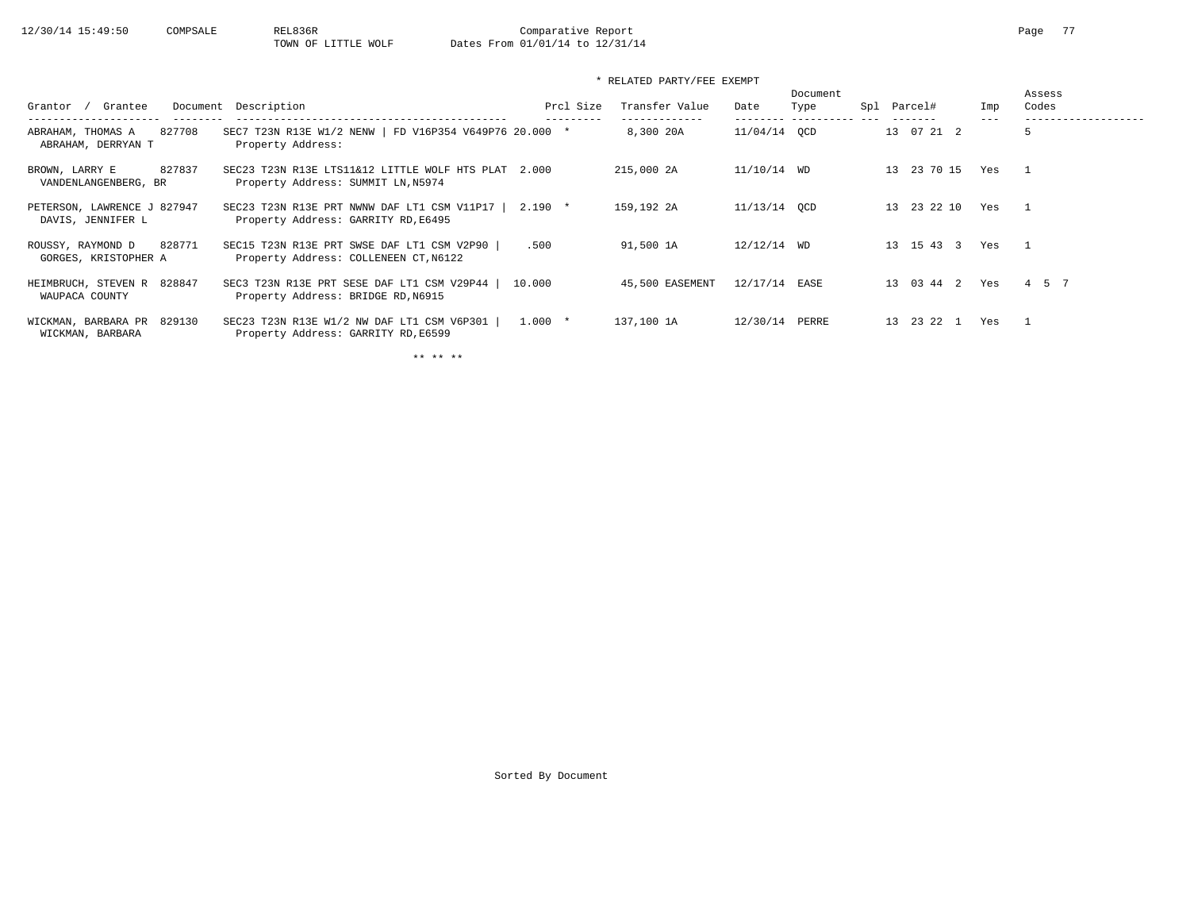### \* RELATED PARTY/FEE EXEMPT

| Grantee<br>Grantor                                  | Document Description                                                                      | Prcl Size | Transfer Value  | Date          | Document<br>Type | Spl Parcel# | Imp | Assess<br>Codes |
|-----------------------------------------------------|-------------------------------------------------------------------------------------------|-----------|-----------------|---------------|------------------|-------------|-----|-----------------|
| 827708<br>ABRAHAM, THOMAS A<br>ABRAHAM, DERRYAN T   | SEC7 T23N R13E W1/2 NENW   FD V16P354 V649P76 20.000 *<br>Property Address:               |           | 8,300 20A       | 11/04/14 OCD  |                  | 13 07 21 2  |     |                 |
| 827837<br>BROWN, LARRY E<br>VANDENLANGENBERG, BR    | SEC23 T23N R13E LTS11&12 LITTLE WOLF HTS PLAT 2.000<br>Property Address: SUMMIT LN, N5974 |           | 215,000 2A      | 11/10/14 WD   |                  | 13 23 70 15 | Yes |                 |
| PETERSON, LAWRENCE J 827947<br>DAVIS, JENNIFER L    | SEC23 T23N R13E PRT NWNW DAF LT1 CSM V11P17  <br>Property Address: GARRITY RD, E6495      | $2.190$ * | 159,192 2A      | 11/13/14 OCD  |                  | 13 23 22 10 | Yes | $\mathbf{1}$    |
| 828771<br>ROUSSY, RAYMOND D<br>GORGES, KRISTOPHER A | SEC15 T23N R13E PRT SWSE DAF LT1 CSM V2P90<br>Property Address: COLLENEEN CT, N6122       | .500      | 91,500 1A       | $12/12/14$ WD |                  | 13 15 43 3  | Yes |                 |
| HEIMBRUCH, STEVEN R 828847<br>WAUPACA COUNTY        | SEC3 T23N R13E PRT SESE DAF LT1 CSM V29P44<br>Property Address: BRIDGE RD, N6915          | 10.000    | 45,500 EASEMENT | 12/17/14 EASE |                  | 13 03 44 2  | Yes | 4 5 7           |
| WICKMAN, BARBARA PR 829130<br>WICKMAN, BARBARA      | SEC23 T23N R13E W1/2 NW DAF LT1 CSM V6P301<br>Property Address: GARRITY RD, E6599         | $1.000 *$ | 137,100 1A      | 12/30/14      | PERRE            | 13 23 22 1  | Yes |                 |

\*\* \*\* \*\*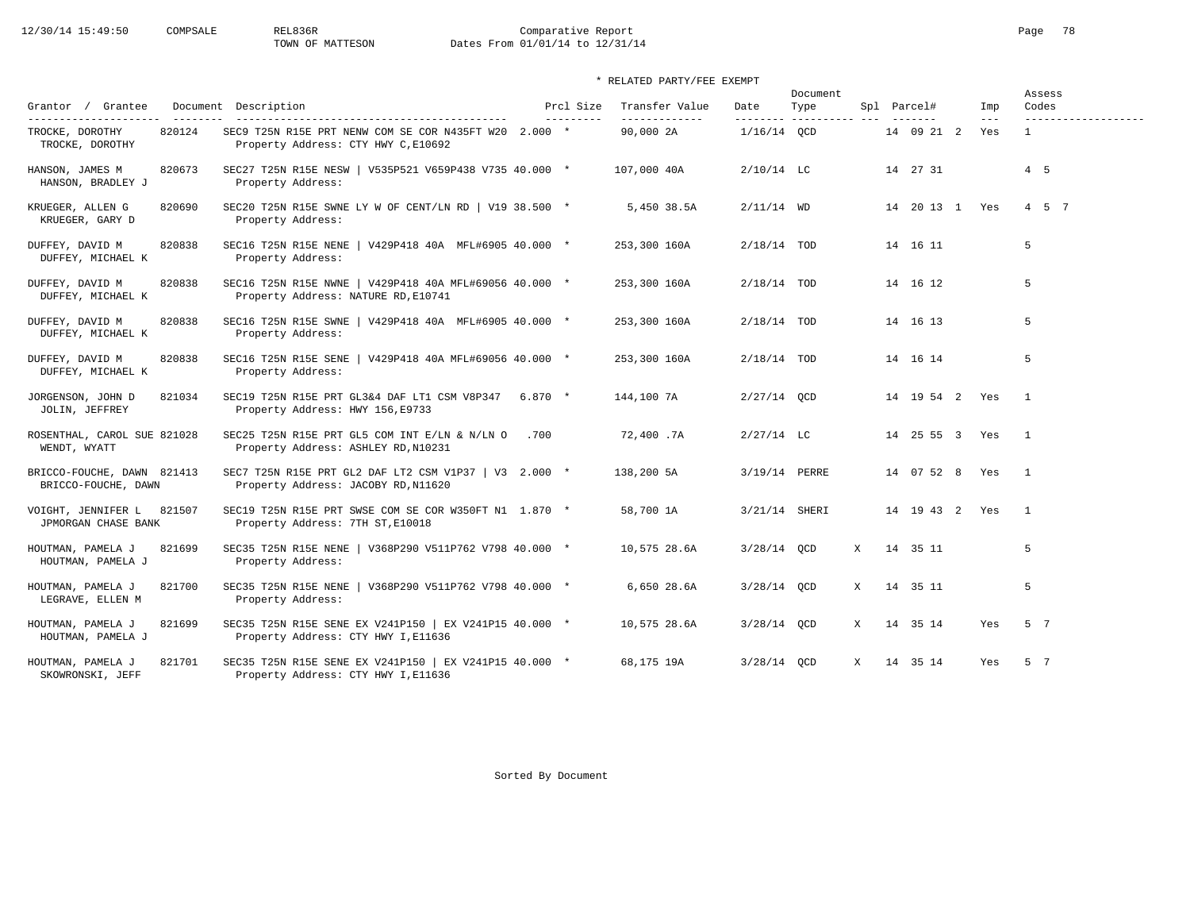# 12/30/14 15:49:50 COMPSALE REL836R Comparative Report Comparative Report Page 78<br>TOWN OF MATTESON Dates From 01/01/14 to 12/31/14 Dates From 01/01/14 to 12/31/14

### \* RELATED PARTY/FEE EXEMPT

| Grantor / Grantee                                       |        | Document Description                                                                                               |          | Prcl Size  | Transfer Value             | Date          | Document<br>Type         |   | Spl Parcel#        | Imp                   | Assess<br>Codes                     |
|---------------------------------------------------------|--------|--------------------------------------------------------------------------------------------------------------------|----------|------------|----------------------------|---------------|--------------------------|---|--------------------|-----------------------|-------------------------------------|
| ----------------------<br>TROCKE, DOROTHY               | 820124 | SEC9 T25N R15E PRT NENW COM SE COR N435FT W20 2.000 *                                                              |          | ---------- | -------------<br>90,000 2A | $1/16/14$ OCD | --------- ---------- --- |   | 14 09 21 2         | $- - -$<br>Yes        | -------------------<br>$\mathbf{1}$ |
| TROCKE, DOROTHY<br>HANSON, JAMES M<br>HANSON, BRADLEY J | 820673 | Property Address: CTY HWY C, E10692<br>SEC27 T25N R15E NESW   V535P521 V659P438 V735 40.000 *<br>Property Address: |          |            | 107,000 40A                | $2/10/14$ LC  |                          |   | 14 27 31           |                       | $4\quad 5$                          |
| KRUEGER, ALLEN G<br>KRUEGER, GARY D                     | 820690 | SEC20 T25N R15E SWNE LY W OF CENT/LN RD   V19 38.500 $*$<br>Property Address:                                      |          |            | 5,450 38.5A                | $2/11/14$ WD  |                          |   | 14 20 13 1 Yes     |                       | 4 5 7                               |
| DUFFEY, DAVID M<br>DUFFEY, MICHAEL K                    | 820838 | SEC16 T25N R15E NENE   V429P418 40A MFL#6905 40.000 *<br>Property Address:                                         |          |            | 253,300 160A               | $2/18/14$ TOD |                          |   | 14 16 11           |                       | 5                                   |
| DUFFEY, DAVID M<br>DUFFEY, MICHAEL K                    | 820838 | SEC16 T25N R15E NWNE   V429P418 40A MFL#69056 40.000 *<br>Property Address: NATURE RD, E10741                      |          |            | 253,300 160A               | $2/18/14$ TOD |                          |   | 14 16 12           |                       | 5                                   |
| DUFFEY, DAVID M<br>DUFFEY, MICHAEL K                    | 820838 | SEC16 T25N R15E SWNE   V429P418 40A MFL#6905 40.000 *<br>Property Address:                                         |          |            | 253,300 160A               | $2/18/14$ TOD |                          |   | 14 16 13           |                       | 5                                   |
| DUFFEY, DAVID M<br>DUFFEY, MICHAEL K                    | 820838 | SEC16 T25N R15E SENE   V429P418 40A MFL#69056 40.000 *<br>Property Address:                                        |          |            | 253,300 160A               | $2/18/14$ TOD |                          |   | 14 16 14           |                       | 5                                   |
| JORGENSON, JOHN D<br>JOLIN, JEFFREY                     | 821034 | SEC19 T25N R15E PRT GL3&4 DAF LT1 CSM V8P347<br>Property Address: HWY 156, E9733                                   | $6.870*$ |            | 144,100 7A                 | $2/27/14$ QCD |                          |   | 14  19  54  2  Yes |                       | $\overline{1}$                      |
| ROSENTHAL, CAROL SUE 821028<br>WENDT, WYATT             |        | SEC25 T25N R15E PRT GL5 COM INT E/LN & N/LN O<br>Property Address: ASHLEY RD, N10231                               | .700     |            | 72,400.7A                  | $2/27/14$ LC  |                          |   |                    | 14  25  55  3  Yes  1 |                                     |
| BRICCO-FOUCHE, DAWN 821413<br>BRICCO-FOUCHE, DAWN       |        | SEC7 T25N R15E PRT GL2 DAF LT2 CSM V1P37   V3 2.000 *<br>Property Address: JACOBY RD, N11620                       |          |            | 138,200 5A                 | 3/19/14 PERRE |                          |   | 14 07 52 8 Yes     |                       | $\overline{1}$                      |
| VOIGHT, JENNIFER L 821507<br>JPMORGAN CHASE BANK        |        | SEC19 T25N R15E PRT SWSE COM SE COR W350FT N1 1.870 *<br>Property Address: 7TH ST, E10018                          |          |            | 58,700 1A                  | 3/21/14 SHERI |                          |   | 14  19  43  2  Yes |                       | $\overline{1}$                      |
| HOUTMAN, PAMELA J<br>HOUTMAN, PAMELA J                  | 821699 | SEC35 T25N R15E NENE   V368P290 V511P762 V798 40.000 *<br>Property Address:                                        |          |            | 10,575 28.6A               | 3/28/14 QCD   |                          | X | 14 35 11           |                       | 5                                   |
| HOUTMAN, PAMELA J<br>LEGRAVE, ELLEN M                   | 821700 | SEC35 T25N R15E NENE   V368P290 V511P762 V798 40.000 *<br>Property Address:                                        |          |            | 6,650 28.6A                | $3/28/14$ QCD |                          | X | 14 35 11           |                       | 5                                   |
| HOUTMAN, PAMELA J<br>HOUTMAN, PAMELA J                  | 821699 | SEC35 T25N R15E SENE EX V241P150   EX V241P15 40.000 *<br>Property Address: CTY HWY I, E11636                      |          |            | 10,575 28.6A               | $3/28/14$ OCD |                          | X | 14 35 14           | Yes                   | 5 7                                 |
| HOUTMAN, PAMELA J<br>SKOWRONSKI, JEFF                   | 821701 | SEC35 T25N R15E SENE EX V241P150   EX V241P15 40.000 *<br>Property Address: CTY HWY I, E11636                      |          |            | 68,175 19A                 | $3/28/14$ OCD |                          |   | X 14 35 14         | Yes                   | 5 7                                 |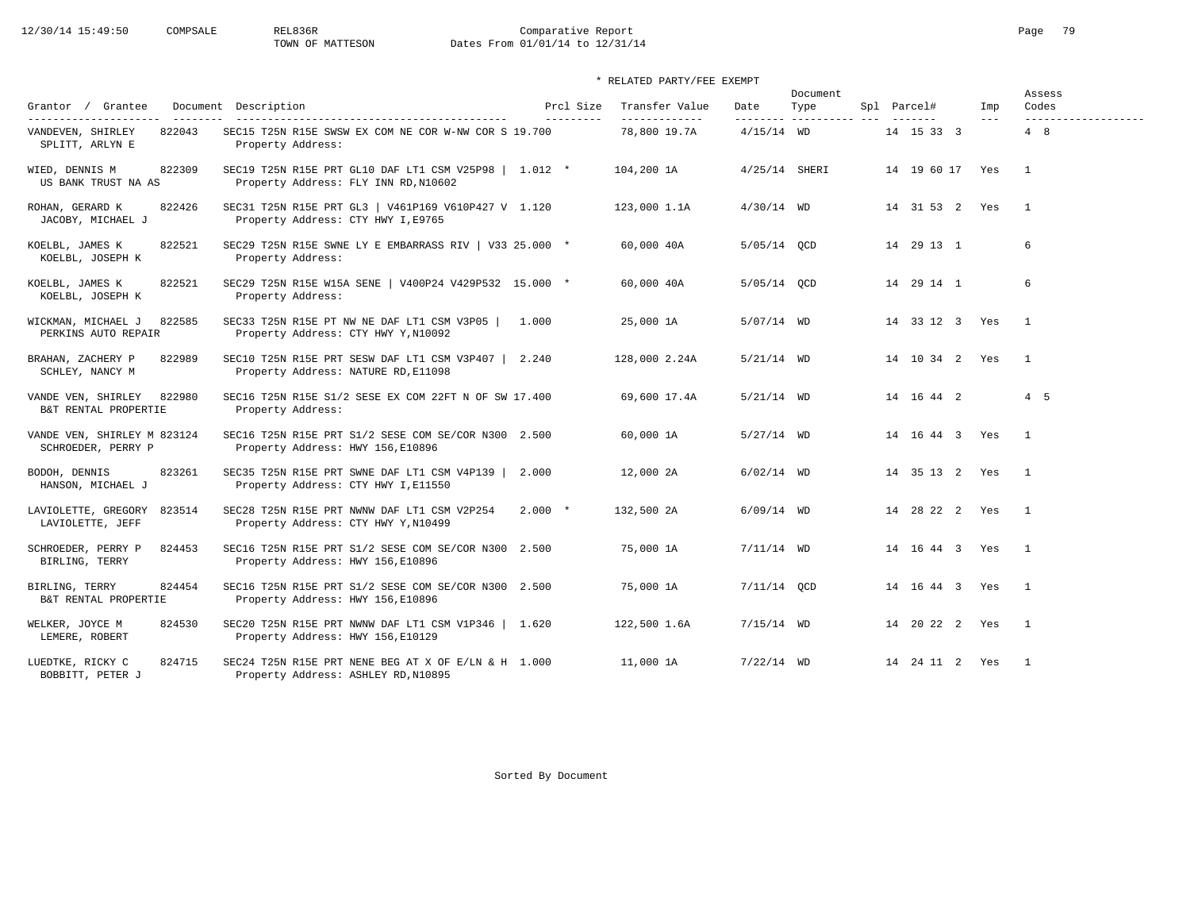# 12/30/14 15:49:50 COMPSALE REL836R Comparative Report Comparative Report Page 79<br>TOWN OF MATTESON Dates From 01/01/14 to 12/31/14 Dates From 01/01/14 to 12/31/14

### \* RELATED PARTY/FEE EXEMPT

| Grantor / Grantee                                                       | Document Description                                                                          | Prcl Size  | Transfer Value                | Date            | Document<br>Type         | Spl Parcel#        | Imp   | Assess<br>Codes            |
|-------------------------------------------------------------------------|-----------------------------------------------------------------------------------------------|------------|-------------------------------|-----------------|--------------------------|--------------------|-------|----------------------------|
| ---------------------<br>822043<br>VANDEVEN, SHIRLEY<br>SPLITT, ARLYN E | SEC15 T25N R15E SWSW EX COM NE COR W-NW COR S 19.700<br>Property Address:                     | ---------- | -------------<br>78,800 19.7A | $4/15/14$ WD    | --------- ---------- --- | 14 15 33 3         | $---$ | -------------------<br>4 8 |
| 822309<br>WIED, DENNIS M<br>US BANK TRUST NA AS                         | SEC19 T25N R15E PRT GL10 DAF LT1 CSM V25P98   1.012 *<br>Property Address: FLY INN RD, N10602 |            | 104,200 1A                    | $4/25/14$ SHERI |                          | 14 19 60 17 Yes    |       | $\overline{1}$             |
| ROHAN, GERARD K<br>822426<br>JACOBY, MICHAEL J                          | SEC31 T25N R15E PRT GL3   V461P169 V610P427 V 1.120<br>Property Address: CTY HWY I, E9765     |            | 123,000 1.1A                  | $4/30/14$ WD    |                          | 14 31 53 2 Yes     |       | $\mathbf{1}$               |
| 822521<br>KOELBL, JAMES K<br>KOELBL, JOSEPH K                           | SEC29 T25N R15E SWNE LY E EMBARRASS RIV   V33 25.000 *<br>Property Address:                   |            | 60,000 40A                    | $5/05/14$ OCD   |                          | 14 29 13 1         |       | 6                          |
| 822521<br>KOELBL, JAMES K<br>KOELBL, JOSEPH K                           | SEC29 T25N R15E W15A SENE   V400P24 V429P532 15.000 *<br>Property Address:                    |            | 60,000 40A                    | 5/05/14 QCD     |                          | 14 29 14 1         |       | 6                          |
| WICKMAN, MICHAEL J<br>822585<br>PERKINS AUTO REPAIR                     | SEC33 T25N R15E PT NW NE DAF LT1 CSM V3P05<br>Property Address: CTY HWY Y, N10092             | 1.000      | 25,000 1A                     | $5/07/14$ WD    |                          | 14 33 12 3 Yes     |       | $\overline{1}$             |
| BRAHAN, ZACHERY P<br>822989<br>SCHLEY, NANCY M                          | SEC10 T25N R15E PRT SESW DAF LT1 CSM V3P407   2.240<br>Property Address: NATURE RD, E11098    |            | 128,000 2.24A                 | $5/21/14$ WD    |                          | 14  10  34  2  Yes |       | $\overline{1}$             |
| 822980<br>VANDE VEN, SHIRLEY<br>B&T RENTAL PROPERTIE                    | SEC16 T25N R15E S1/2 SESE EX COM 22FT N OF SW 17.400<br>Property Address:                     |            | 69,600 17.4A                  | $5/21/14$ WD    |                          | 14  16  44  2      |       | $4\quad 5$                 |
| VANDE VEN, SHIRLEY M 823124<br>SCHROEDER, PERRY P                       | SEC16 T25N R15E PRT S1/2 SESE COM SE/COR N300 2.500<br>Property Address: HWY 156, E10896      |            | 60,000 1A                     | $5/27/14$ WD    |                          | 14 16 44 3 Yes     |       | $\overline{1}$             |
| 823261<br>BODOH, DENNIS<br>HANSON, MICHAEL J                            | SEC35 T25N R15E PRT SWNE DAF LT1 CSM V4P139  <br>Property Address: CTY HWY I, E11550          | 2.000      | 12,000 2A                     | $6/02/14$ WD    |                          | 14 35 13 2 Yes     |       | $\overline{1}$             |
| LAVIOLETTE, GREGORY 823514<br>LAVIOLETTE, JEFF                          | SEC28 T25N R15E PRT NWNW DAF LT1 CSM V2P254<br>Property Address: CTY HWY Y, N10499            | $2.000*$   | 132,500 2A                    | $6/09/14$ WD    |                          | 14 28 22 2 Yes     |       | $\overline{1}$             |
| 824453<br>SCHROEDER, PERRY P<br>BIRLING, TERRY                          | SEC16 T25N R15E PRT S1/2 SESE COM SE/COR N300 2.500<br>Property Address: HWY 156, E10896      |            | 75,000 1A                     | $7/11/14$ WD    |                          | 14  16  44  3  Yes |       | $\overline{1}$             |
| 824454<br>BIRLING, TERRY<br>B&T RENTAL PROPERTIE                        | SEC16 T25N R15E PRT S1/2 SESE COM SE/COR N300 2.500<br>Property Address: HWY 156, E10896      |            | 75,000 1A                     | $7/11/14$ OCD   |                          | 14  16  44  3  Yes |       | $\overline{1}$             |
| WELKER, JOYCE M<br>824530<br>LEMERE, ROBERT                             | SEC20 T25N R15E PRT NWNW DAF LT1 CSM V1P346   1.620<br>Property Address: HWY 156, E10129      |            | 122,500 1.6A                  | $7/15/14$ WD    |                          | 14 20 22 2 Yes     |       | $\overline{1}$             |
| 824715<br>LUEDTKE, RICKY C<br>BOBBITT, PETER J                          | SEC24 T25N R15E PRT NENE BEG AT X OF E/LN & H 1.000<br>Property Address: ASHLEY RD, N10895    |            | 11,000 1A                     | $7/22/14$ WD    |                          | 14  24  11  2  Yes |       | $\overline{1}$             |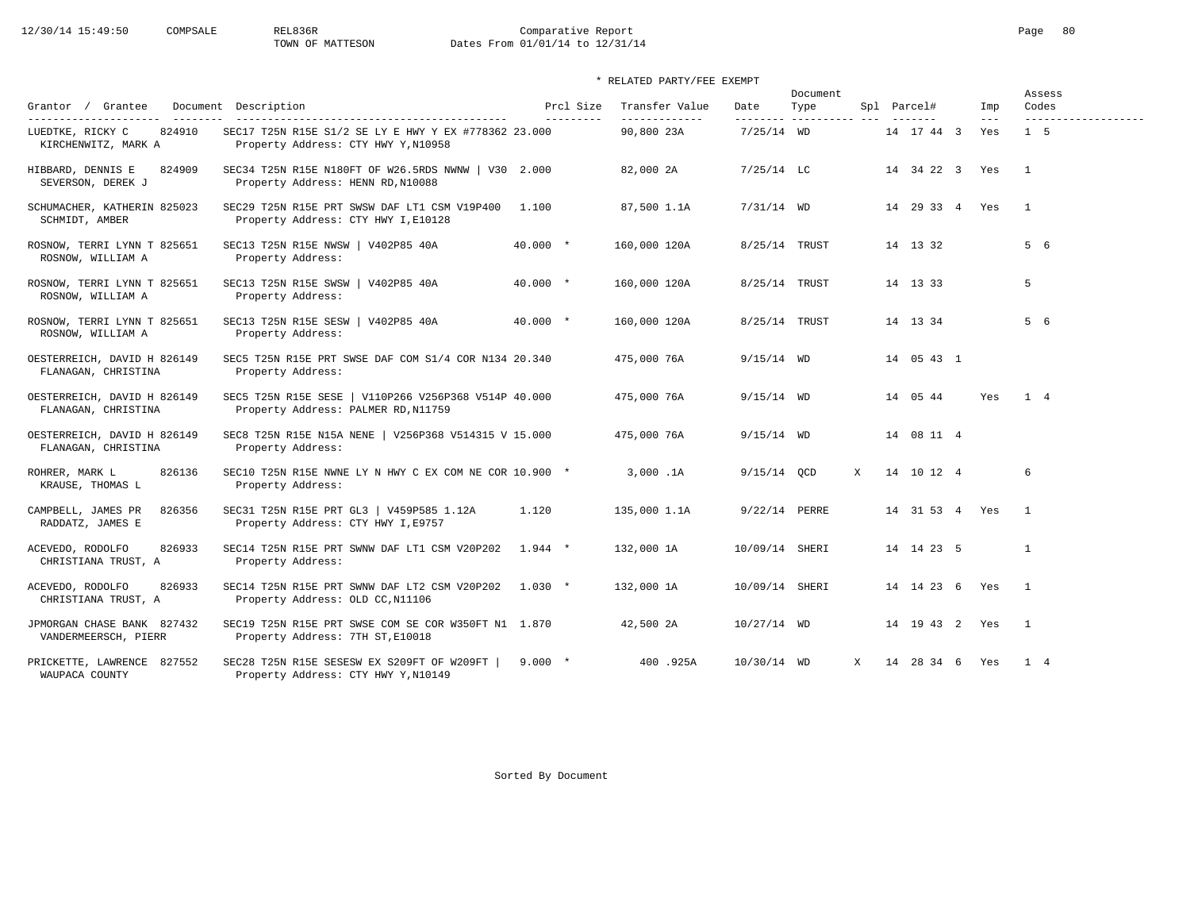# 12/30/14 15:49:50 COMPSALE REL836R Comparative Report Comparative Report Page 80 Dates From 01/01/14 to 12/31/14

### \* RELATED PARTY/FEE EXEMPT

|                                                    |                                                                                             |            |                        |                                 |                   | Document               |              |                    |                | Assess                   |
|----------------------------------------------------|---------------------------------------------------------------------------------------------|------------|------------------------|---------------------------------|-------------------|------------------------|--------------|--------------------|----------------|--------------------------|
| Grantor / Grantee<br>----------------------        | Document Description<br>-------------------------------------                               |            | Prcl Size<br>--------- | Transfer Value<br>_____________ | Date<br>--------- | Type<br>-------------- |              | Spl Parcel#        | Imp<br>$- - -$ | Codes                    |
| 824910<br>LUEDTKE, RICKY C<br>KIRCHENWITZ, MARK A  | SEC17 T25N R15E S1/2 SE LY E HWY Y EX #778362 23.000<br>Property Address: CTY HWY Y, N10958 |            |                        | 90,800 23A                      | $7/25/14$ WD      |                        |              | 14 17 44 3         | Yes            | $1\quad 5$               |
| HIBBARD, DENNIS E<br>824909<br>SEVERSON, DEREK J   | SEC34 T25N R15E N180FT OF W26.5RDS NWNW   V30 2.000<br>Property Address: HENN RD, N10088    |            |                        | 82,000 2A                       | $7/25/14$ LC      |                        |              | 14 34 22 3 Yes     |                | $\overline{1}$           |
| SCHUMACHER, KATHERIN 825023<br>SCHMIDT, AMBER      | SEC29 T25N R15E PRT SWSW DAF LT1 CSM V19P400 1.100<br>Property Address: CTY HWY I, E10128   |            |                        | 87,500 1.1A                     | $7/31/14$ WD      |                        |              | 14 29 33 4 Yes     |                | $\overline{1}$           |
| ROSNOW, TERRI LYNN T 825651<br>ROSNOW, WILLIAM A   | SEC13 T25N R15E NWSW   V402P85 40A<br>Property Address:                                     | $40.000 *$ |                        | 160,000 120A                    | 8/25/14 TRUST     |                        |              | 14 13 32           |                | 5 6                      |
| ROSNOW, TERRI LYNN T 825651<br>ROSNOW, WILLIAM A   | SEC13 T25N R15E SWSW   V402P85 40A<br>Property Address:                                     | $40.000 *$ |                        | 160,000 120A                    | 8/25/14 TRUST     |                        |              | 14 13 33           |                | 5                        |
| ROSNOW, TERRI LYNN T 825651<br>ROSNOW, WILLIAM A   | SEC13 T25N R15E SESW   V402P85 40A<br>Property Address:                                     | $40.000 *$ |                        | 160,000 120A                    | 8/25/14 TRUST     |                        |              | 14 13 34           |                | 5 6                      |
| OESTERREICH, DAVID H 826149<br>FLANAGAN, CHRISTINA | SEC5 T25N R15E PRT SWSE DAF COM S1/4 COR N134 20.340<br>Property Address:                   |            |                        | 475,000 76A                     | $9/15/14$ WD      |                        |              | 14 05 43 1         |                |                          |
| OESTERREICH, DAVID H 826149<br>FLANAGAN, CHRISTINA | SEC5 T25N R15E SESE   V110P266 V256P368 V514P 40.000<br>Property Address: PALMER RD, N11759 |            |                        | 475,000 76A                     | $9/15/14$ WD      |                        |              | 14 05 44           | Yes            | $1 \quad 4$              |
| OESTERREICH, DAVID H 826149<br>FLANAGAN, CHRISTINA | SEC8 T25N R15E N15A NENE   V256P368 V514315 V 15.000<br>Property Address:                   |            |                        | 475,000 76A                     | $9/15/14$ WD      |                        |              | 14 08 11 4         |                |                          |
| 826136<br>ROHRER, MARK L<br>KRAUSE, THOMAS L       | SEC10 T25N R15E NWNE LY N HWY C EX COM NE COR 10.900 *<br>Property Address:                 |            |                        | 3,000.1A                        | $9/15/14$ OCD     |                        | $\mathbf{x}$ | 14 10 12 4         |                | 6                        |
| CAMPBELL, JAMES PR<br>826356<br>RADDATZ, JAMES E   | SEC31 T25N R15E PRT GL3   V459P585 1.12A<br>Property Address: CTY HWY I, E9757              | 1.120      |                        | 135,000 1.1A                    | 9/22/14 PERRE     |                        |              | 14 31 53 4 Yes     |                | $\overline{1}$           |
| ACEVEDO, RODOLFO<br>826933<br>CHRISTIANA TRUST, A  | SEC14 T25N R15E PRT SWNW DAF LT1 CSM V20P202<br>Property Address:                           | $1.944$ *  |                        | 132,000 1A                      | 10/09/14 SHERI    |                        |              | 14 14 23 5         |                | 1                        |
| ACEVEDO, RODOLFO<br>826933<br>CHRISTIANA TRUST, A  | SEC14 T25N R15E PRT SWNW DAF LT2 CSM V20P202 1.030 *<br>Property Address: OLD CC, N11106    |            |                        | 132,000 1A                      | 10/09/14 SHERI    |                        |              | 14  14  23  6  Yes |                | $\overline{1}$           |
| JPMORGAN CHASE BANK 827432<br>VANDERMEERSCH, PIERR | SEC19 T25N R15E PRT SWSE COM SE COR W350FT N1 1.870<br>Property Address: 7TH ST, E10018     |            |                        | 42,500 2A                       | $10/27/14$ WD     |                        |              | 14  19  43  2  Yes |                | $\overline{\phantom{1}}$ |
| PRICKETTE, LAWRENCE 827552<br>WAUPACA COUNTY       | SEC28 T25N R15E SESESW EX S209FT OF W209FT<br>Property Address: CTY HWY Y, N10149           | $9.000 *$  |                        | 400.925A                        | 10/30/14 WD       |                        | $\mathbf{x}$ | 14 28 34 6 Yes     |                | $1 \quad 4$              |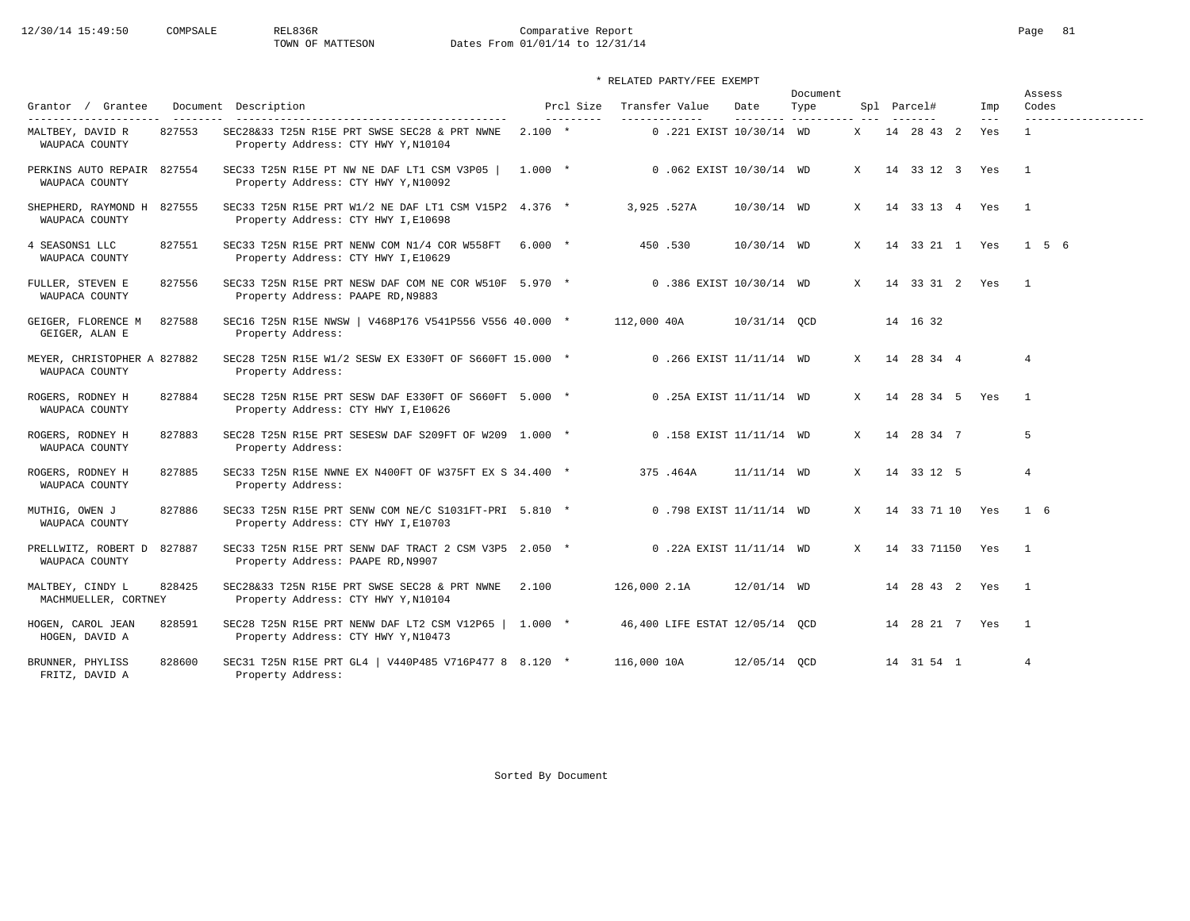12/30/14 15:49:50 COMPSALE REL836R Comparative Report Comparative Report Page 81<br>TOWN OF MATTESON Dates From 01/01/14 to 12/31/14 Dates From 01/01/14 to 12/31/14

| * RELATED PARTY/FEE EXEMPT                    |        |                                                                                              |           |           |              |                                |               |                  |              |  |                 |                |                 |
|-----------------------------------------------|--------|----------------------------------------------------------------------------------------------|-----------|-----------|--------------|--------------------------------|---------------|------------------|--------------|--|-----------------|----------------|-----------------|
| Grantor / Grantee                             |        | Document Description                                                                         |           | Prcl Size |              | Transfer Value                 | Date          | Document<br>Type |              |  | Spl Parcel#     | Imp<br>$- - -$ | Assess<br>Codes |
| MALTBEY, DAVID R<br>WAUPACA COUNTY            | 827553 | SEC28&33 T25N R15E PRT SWSE SEC28 & PRT NWNE<br>Property Address: CTY HWY Y, N10104          | $2.100 *$ |           |              | 0.221 EXIST 10/30/14 WD        |               |                  | X            |  | 14 28 43 2      | Yes            | $\overline{1}$  |
| PERKINS AUTO REPAIR 827554<br>WAUPACA COUNTY  |        | SEC33 T25N R15E PT NW NE DAF LT1 CSM V3P05<br>Property Address: CTY HWY Y, N10092            | $1.000 *$ |           |              | 0.062 EXIST 10/30/14 WD        |               |                  | X            |  | 14 33 12 3 Yes  |                | $\overline{1}$  |
| SHEPHERD, RAYMOND H 827555<br>WAUPACA COUNTY  |        | SEC33 T25N R15E PRT W1/2 NE DAF LT1 CSM V15P2 4.376 *<br>Property Address: CTY HWY I, E10698 |           |           | 3,925,527A   |                                | 10/30/14 WD   |                  | X            |  | 14 33 13 4 Yes  |                | $\overline{1}$  |
| 4 SEASONS1 LLC<br>WAUPACA COUNTY              | 827551 | SEC33 T25N R15E PRT NENW COM N1/4 COR W558FT 6.000 *<br>Property Address: CTY HWY I, E10629  |           |           |              | 450.530                        | 10/30/14 WD   |                  | X            |  | 14 33 21 1 Yes  |                | 156             |
| FULLER, STEVEN E<br>WAUPACA COUNTY            | 827556 | SEC33 T25N R15E PRT NESW DAF COM NE COR W510F 5.970 *<br>Property Address: PAAPE RD, N9883   |           |           |              | 0.386 EXIST 10/30/14 WD        |               |                  | X            |  | 14 33 31 2 Yes  |                | $\overline{1}$  |
| GEIGER, FLORENCE M<br>GEIGER, ALAN E          | 827588 | SEC16 T25N R15E NWSW   V468P176 V541P556 V556 40.000 *<br>Property Address:                  |           |           | 112,000 40A  |                                | 10/31/14 QCD  |                  |              |  | 14 16 32        |                |                 |
| MEYER, CHRISTOPHER A 827882<br>WAUPACA COUNTY |        | SEC28 T25N R15E W1/2 SESW EX E330FT OF S660FT 15.000 *<br>Property Address:                  |           |           |              | 0.266 EXIST 11/11/14 WD        |               |                  | $\mathbf{x}$ |  | 14 28 34 4      |                | $\overline{4}$  |
| ROGERS, RODNEY H<br>WAUPACA COUNTY            | 827884 | SEC28 T25N R15E PRT SESW DAF E330FT OF S660FT 5.000 *<br>Property Address: CTY HWY I, E10626 |           |           |              | 0.25A EXIST 11/11/14 WD        |               |                  | X            |  | 14 28 34 5 Yes  |                | $\overline{1}$  |
| ROGERS, RODNEY H<br>WAUPACA COUNTY            | 827883 | SEC28 T25N R15E PRT SESESW DAF S209FT OF W209 1.000 *<br>Property Address:                   |           |           |              | 0.158 EXIST 11/11/14 WD        |               |                  | $\mathbf{x}$ |  | 14 28 34 7      |                | 5               |
| ROGERS, RODNEY H<br>WAUPACA COUNTY            | 827885 | SEC33 T25N R15E NWNE EX N400FT OF W375FT EX S 34.400 *<br>Property Address:                  |           |           |              | 375.464A                       | $11/11/14$ WD |                  | $\mathbf{x}$ |  | 14 33 12 5      |                | $\overline{4}$  |
| MUTHIG, OWEN J<br>WAUPACA COUNTY              | 827886 | SEC33 T25N R15E PRT SENW COM NE/C S1031FT-PRI 5.810 *<br>Property Address: CTY HWY I, E10703 |           |           |              | 0.798 EXIST 11/11/14 WD        |               |                  | $\mathbf{x}$ |  | 14 33 71 10 Yes |                | $1\quad 6$      |
| PRELLWITZ, ROBERT D<br>WAUPACA COUNTY         | 827887 | SEC33 T25N R15E PRT SENW DAF TRACT 2 CSM V3P5 2.050 *<br>Property Address: PAAPE RD, N9907   |           |           |              | 0.22A EXIST 11/11/14 WD        |               |                  | $\mathbf{x}$ |  | 14 33 71150 Yes |                | $\overline{1}$  |
| MALTBEY, CINDY L<br>MACHMUELLER, CORTNEY      | 828425 | SEC28&33 T25N R15E PRT SWSE SEC28 & PRT NWNE<br>Property Address: CTY HWY Y, N10104          | 2,100     |           | 126,000 2.1A |                                | 12/01/14 WD   |                  |              |  | 14 28 43 2 Yes  |                | $\overline{1}$  |
| HOGEN, CAROL JEAN<br>HOGEN, DAVID A           | 828591 | SEC28 T25N R15E PRT NENW DAF LT2 CSM V12P65   1.000 *<br>Property Address: CTY HWY Y, N10473 |           |           |              | 46,400 LIFE ESTAT 12/05/14 QCD |               |                  |              |  | 14 28 21 7 Yes  |                | $\overline{1}$  |
| BRUNNER, PHYLISS<br>FRITZ, DAVID A            | 828600 | SEC31 T25N R15E PRT GL4   V440P485 V716P477 8 8.120 *<br>Property Address:                   |           |           | 116,000 10A  |                                | 12/05/14 QCD  |                  |              |  | 14 31 54 1      |                | $\overline{4}$  |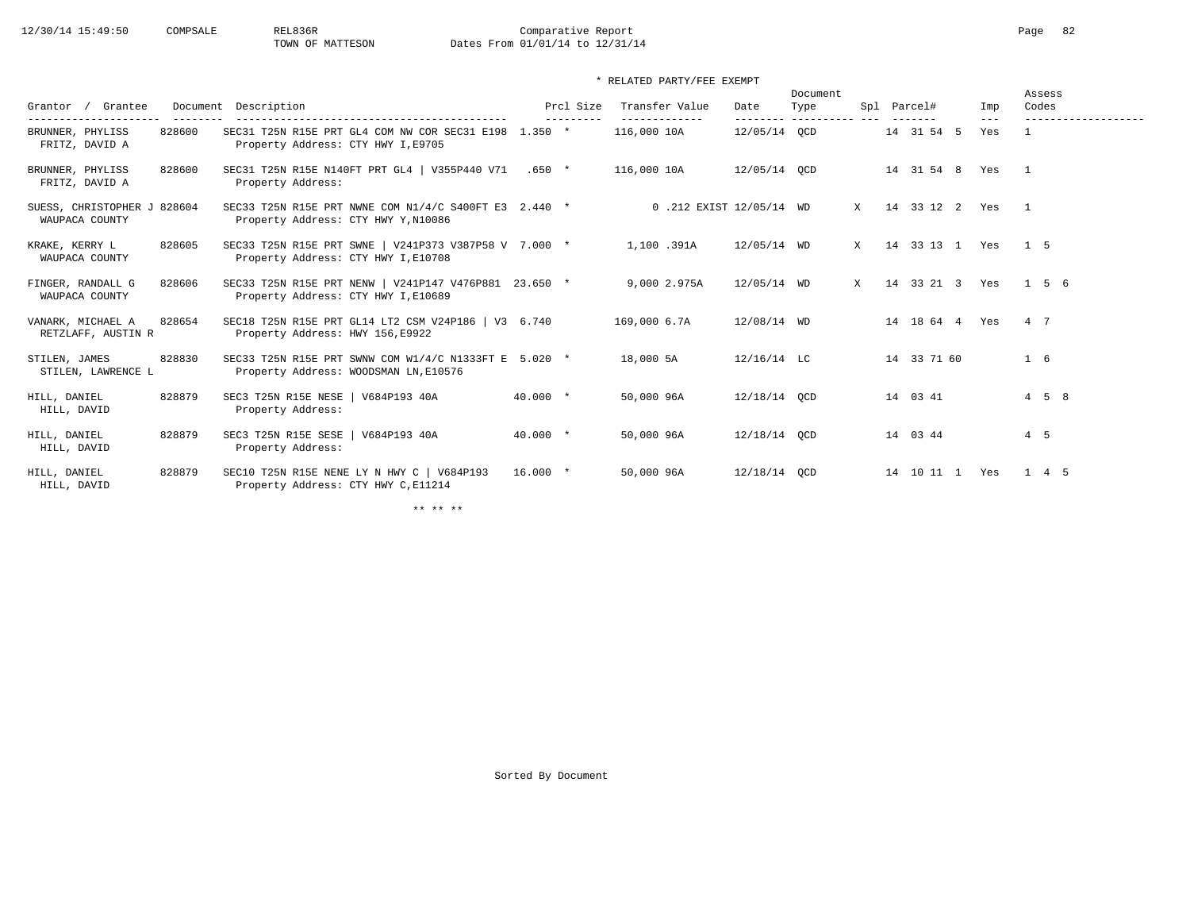\* RELATED PARTY/FEE EXEMPT

|                                               |        |                                                                                                |            |            |                              |               | Document                 |   |                       |                  | Assess     |                   |
|-----------------------------------------------|--------|------------------------------------------------------------------------------------------------|------------|------------|------------------------------|---------------|--------------------------|---|-----------------------|------------------|------------|-------------------|
| Grantor / Grantee                             |        | Document Description                                                                           |            | Prcl Size  | Transfer Value               | Date          | Type                     |   | Spl Parcel#           | Imp              | Codes      |                   |
| BRUNNER, PHYLISS<br>FRITZ, DAVID A            | 828600 | SEC31 T25N R15E PRT GL4 COM NW COR SEC31 E198 1.350 *<br>Property Address: CTY HWY I, E9705    |            |            | -------------<br>116,000 10A | 12/05/14 OCD  | --------- ---------- --- |   | -------<br>14 31 54 5 | $---$<br>Yes     |            |                   |
| BRUNNER, PHYLISS<br>FRITZ, DAVID A            | 828600 | SEC31 T25N R15E N140FT PRT GL4   V355P440 V71 .650 *<br>Property Address:                      |            |            | 116,000 10A                  | 12/05/14 QCD  |                          |   |                       | 14 31 54 8 Yes 1 |            |                   |
| SUESS, CHRISTOPHER J 828604<br>WAUPACA COUNTY |        | SEC33 T25N R15E PRT NWNE COM N1/4/C S400FT E3 2.440 *<br>Property Address: CTY HWY Y, N10086   |            |            | 0.212 EXIST 12/05/14 WD      |               |                          | X | 14 33 12 2 Yes        | $\overline{1}$   |            |                   |
| KRAKE, KERRY L<br>WAUPACA COUNTY              | 828605 | SEC33 T25N R15E PRT SWNE   V241P373 V387P58 V 7.000 *<br>Property Address: CTY HWY I, E10708   |            |            | 1,100.391A                   | 12/05/14 WD   |                          | X | 14 33 13 1 Yes        |                  | $1\quad 5$ |                   |
| FINGER, RANDALL G<br>WAUPACA COUNTY           | 828606 | SEC33 T25N R15E PRT NENW   V241P147 V476P881 23.650 *<br>Property Address: CTY HWY I, E10689   |            |            | 9,000 2.975A                 | 12/05/14 WD   |                          | X | 14 33 21 3 Yes        |                  |            | $1\quad 5\quad 6$ |
| VANARK, MICHAEL A<br>RETZLAFF, AUSTIN R       | 828654 | SEC18 T25N R15E PRT GL14 LT2 CSM V24P186   V3 6.740<br>Property Address: HWY 156, E9922        |            |            | 169,000 6.7A                 | 12/08/14 WD   |                          |   | 14 18 64 4 Yes        |                  | 4 7        |                   |
| STILEN, JAMES<br>STILEN, LAWRENCE L           | 828830 | SEC33 T25N R15E PRT SWNW COM W1/4/C N1333FT E 5.020 *<br>Property Address: WOODSMAN LN, E10576 |            |            | 18,000 5A                    | $12/16/14$ LC |                          |   | 14 33 71 60           |                  | 1 6        |                   |
| HILL, DANIEL<br>HILL, DAVID                   | 828879 | SEC3 T25N R15E NESE   V684P193 40A<br>Property Address:                                        |            | $40.000 *$ | 50,000 96A                   | 12/18/14 OCD  |                          |   | 14 03 41              |                  |            | $4\quad 5\quad 8$ |
| HILL, DANIEL<br>HILL, DAVID                   | 828879 | SEC3 T25N R15E SESE   V684P193 40A<br>Property Address:                                        |            | $40.000 *$ | 50,000 96A                   | 12/18/14 OCD  |                          |   | 14 03 44              |                  | $4\quad 5$ |                   |
| HILL, DANIEL<br>HILL, DAVID                   | 828879 | SEC10 T25N R15E NENE LY N HWY C   V684P193<br>Property Address: CTY HWY C, E11214              | $16.000$ * |            | 50,000 96A                   | 12/18/14 QCD  |                          |   | 14 10 11 1 Yes        |                  |            | 1 4 5             |

\*\* \*\* \*\*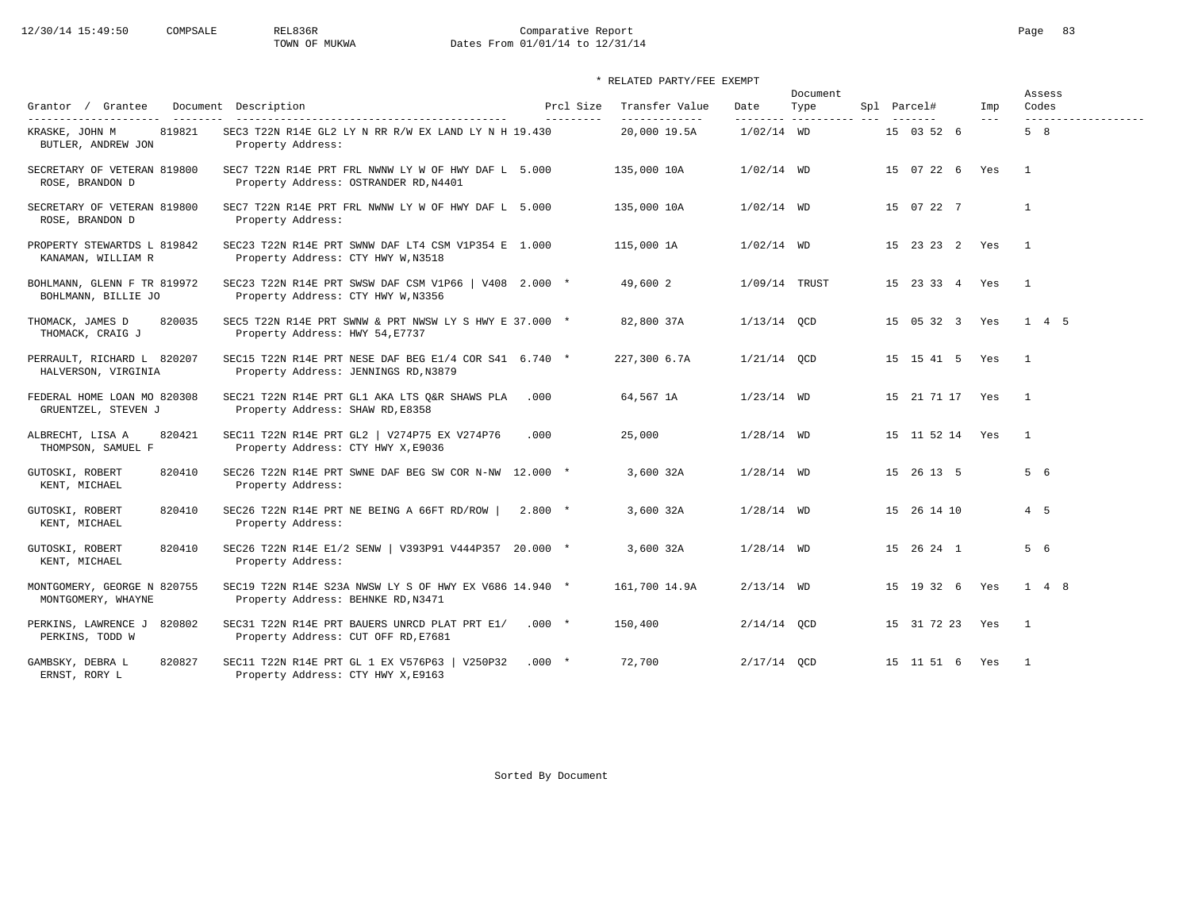# 12/30/14 15:49:50 COMPSALE REL836R Comparative Report Comparative Report Page 83<br>TOWN OF MUKWA Dates From 01/01/14 to 12/31/14 Dates From 01/01/14 to 12/31/14

### \* RELATED PARTY/FEE EXEMPT

|                                                    |                                                                                               |                        |                                 |                   | Document               |             |                    |                | Assess                       |
|----------------------------------------------------|-----------------------------------------------------------------------------------------------|------------------------|---------------------------------|-------------------|------------------------|-------------|--------------------|----------------|------------------------------|
| Grantor / Grantee<br>----------------------        | Document Description                                                                          | Prcl Size<br>--------- | Transfer Value<br>_____________ | Date<br>--------- | Type<br>-------------- | Spl Parcel# |                    | Imp<br>$- - -$ | Codes<br>------------------- |
| 819821<br>KRASKE, JOHN M<br>BUTLER, ANDREW JON     | SEC3 T22N R14E GL2 LY N RR R/W EX LAND LY N H 19.430<br>Property Address:                     |                        | 20,000 19.5A                    | $1/02/14$ WD      |                        |             | 15 03 52 6         |                | 5 8                          |
| SECRETARY OF VETERAN 819800<br>ROSE, BRANDON D     | SEC7 T22N R14E PRT FRL NWNW LY W OF HWY DAF L 5.000<br>Property Address: OSTRANDER RD, N4401  |                        | 135,000 10A                     | $1/02/14$ WD      |                        |             | 15 07 22 6 Yes     |                | $\overline{1}$               |
| SECRETARY OF VETERAN 819800<br>ROSE, BRANDON D     | SEC7 T22N R14E PRT FRL NWNW LY W OF HWY DAF L 5.000<br>Property Address:                      |                        | 135,000 10A                     | $1/02/14$ WD      |                        |             | 15 07 22 7         |                | $\mathbf{1}$                 |
| PROPERTY STEWARTDS L 819842<br>KANAMAN, WILLIAM R  | SEC23 T22N R14E PRT SWNW DAF LT4 CSM V1P354 E 1.000<br>Property Address: CTY HWY W, N3518     |                        | 115,000 1A                      | $1/02/14$ WD      |                        |             | 15 23 23 2 Yes     |                | $\frac{1}{2}$                |
| BOHLMANN, GLENN F TR 819972<br>BOHLMANN, BILLIE JO | SEC23 T22N R14E PRT SWSW DAF CSM V1P66   V408 2.000 *<br>Property Address: CTY HWY W, N3356   |                        | 49,600 2                        | 1/09/14 TRUST     |                        |             | 15 23 33 4 Yes     |                | $\overline{1}$               |
| 820035<br>THOMACK, JAMES D<br>THOMACK, CRAIG J     | SEC5 T22N R14E PRT SWNW & PRT NWSW LY S HWY E 37.000 *<br>Property Address: HWY 54, E7737     |                        | 82,800 37A                      | $1/13/14$ OCD     |                        |             |                    |                | 15 05 32 3 Yes 1 4 5         |
| PERRAULT, RICHARD L 820207<br>HALVERSON, VIRGINIA  | SEC15 T22N R14E PRT NESE DAF BEG E1/4 COR S41 6.740 *<br>Property Address: JENNINGS RD, N3879 |                        | 227,300 6.7A                    | $1/21/14$ OCD     |                        |             | 15  15  41  5  Yes |                | $\overline{1}$               |
| FEDERAL HOME LOAN MO 820308<br>GRUENTZEL, STEVEN J | SEC21 T22N R14E PRT GL1 AKA LTS Q&R SHAWS PLA<br>Property Address: SHAW RD, E8358             | .000                   | 64,567 1A                       | $1/23/14$ WD      |                        |             | 15 21 71 17 Yes    |                | $\overline{1}$               |
| ALBRECHT, LISA A<br>820421<br>THOMPSON, SAMUEL F   | SEC11 T22N R14E PRT GL2   V274P75 EX V274P76<br>Property Address: CTY HWY X, E9036            | .000                   | 25,000                          | $1/28/14$ WD      |                        |             | 15 11 52 14 Yes    |                | $\overline{1}$               |
| 820410<br>GUTOSKI, ROBERT<br>KENT, MICHAEL         | SEC26 T22N R14E PRT SWNE DAF BEG SW COR N-NW 12.000 *<br>Property Address:                    |                        | 3,600 32A                       | $1/28/14$ WD      |                        |             | 15 26 13 5         |                | 5 6                          |
| GUTOSKI, ROBERT<br>820410<br>KENT, MICHAEL         | SEC26 T22N R14E PRT NE BEING A 66FT RD/ROW<br>Property Address:                               | $2.800 *$              | 3,600 32A                       | $1/28/14$ WD      |                        |             | 15 26 14 10        |                | $4\quad 5$                   |
| GUTOSKI, ROBERT<br>820410<br>KENT, MICHAEL         | SEC26 T22N R14E E1/2 SENW   V393P91 V444P357 20.000 *<br>Property Address:                    |                        | 3,600 32A                       | $1/28/14$ WD      |                        |             | 15 26 24 1         |                | 5 6                          |
| MONTGOMERY, GEORGE N 820755<br>MONTGOMERY, WHAYNE  | SEC19 T22N R14E S23A NWSW LY S OF HWY EX V686 14.940 *<br>Property Address: BEHNKE RD, N3471  |                        | 161,700 14.9A                   | $2/13/14$ WD      |                        |             | 15  19  32  6  Yes |                | $1 \quad 4 \quad 8$          |
| PERKINS, LAWRENCE J<br>820802<br>PERKINS, TODD W   | SEC31 T22N R14E PRT BAUERS UNRCD PLAT PRT E1/<br>Property Address: CUT OFF RD, E7681          | $.000*$                | 150,400                         | $2/14/14$ OCD     |                        |             | 15 31 72 23 Yes    |                | $\overline{\phantom{0}}$     |
| 820827<br>GAMBSKY, DEBRA L<br>ERNST, RORY L        | SEC11 T22N R14E PRT GL 1 EX V576P63   V250P32<br>Property Address: CTY HWY X, E9163           | $.000*$                | 72,700                          | $2/17/14$ QCD     |                        |             | 15 11 51 6 Yes     |                | $\overline{1}$               |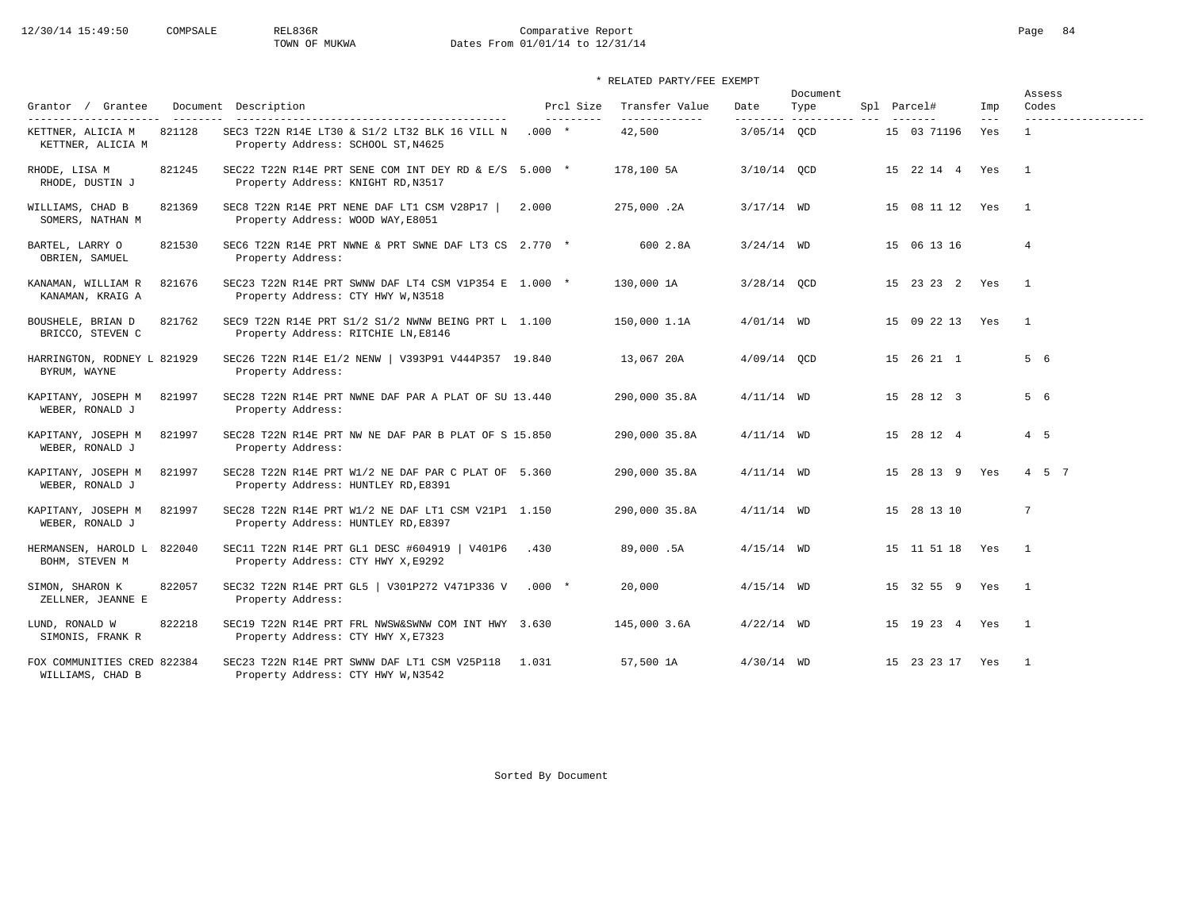# 12/30/14 15:49:50 COMPSALE REL836R Comparative Report Comparative Report Page 84 Dates From 01/01/14 to 12/31/14

### \* RELATED PARTY/FEE EXEMPT

|                                                 |        |                                                                                             |         |                        |                                 |               | Document                        |                    |                            | Assess                       |
|-------------------------------------------------|--------|---------------------------------------------------------------------------------------------|---------|------------------------|---------------------------------|---------------|---------------------------------|--------------------|----------------------------|------------------------------|
| Grantor / Grantee<br>---------------------      |        | Document Description<br>-------------------------------------                               |         | Prcl Size<br>--------- | Transfer Value<br>------------- | Date          | Type<br>-------- ---------- --- | Spl Parcel#        | Imp<br>$\qquad \qquad - -$ | Codes<br>------------------- |
| KETTNER, ALICIA M<br>KETTNER, ALICIA M          | 821128 | SEC3 T22N R14E LT30 & S1/2 LT32 BLK 16 VILL N<br>Property Address: SCHOOL ST, N4625         | $.000*$ |                        | 42,500                          | 3/05/14 OCD   |                                 | 15 03 71196        | Yes                        | $\mathbf{1}$                 |
| RHODE, LISA M<br>RHODE, DUSTIN J                | 821245 | SEC22 T22N R14E PRT SENE COM INT DEY RD & E/S 5.000 *<br>Property Address: KNIGHT RD, N3517 |         |                        | 178,100 5A                      | 3/10/14 OCD   |                                 | 15 22 14 4 Yes     |                            | $\overline{1}$               |
| WILLIAMS, CHAD B<br>SOMERS, NATHAN M            | 821369 | SEC8 T22N R14E PRT NENE DAF LT1 CSM V28P17<br>Property Address: WOOD WAY, E8051             | 2.000   |                        | 275,000.2A                      | $3/17/14$ WD  |                                 | 15 08 11 12 Yes    |                            | $\overline{1}$               |
| BARTEL, LARRY O<br>OBRIEN, SAMUEL               | 821530 | SEC6 T22N R14E PRT NWNE & PRT SWNE DAF LT3 CS 2.770 *<br>Property Address:                  |         |                        | 600 2.8A                        | $3/24/14$ WD  |                                 | 15 06 13 16        |                            | $\overline{4}$               |
| KANAMAN, WILLIAM R<br>KANAMAN, KRAIG A          | 821676 | SEC23 T22N R14E PRT SWNW DAF LT4 CSM V1P354 E 1.000 *<br>Property Address: CTY HWY W, N3518 |         |                        | 130,000 1A                      | $3/28/14$ OCD |                                 | 15 23 23 2 Yes     |                            | $\sim$ 1                     |
| BOUSHELE, BRIAN D<br>BRICCO, STEVEN C           | 821762 | SEC9 T22N R14E PRT S1/2 S1/2 NWNW BEING PRT L 1.100<br>Property Address: RITCHIE LN, E8146  |         |                        | 150,000 1.1A                    | $4/01/14$ WD  |                                 | 15 09 22 13 Yes    |                            | $\mathbf{1}$                 |
| HARRINGTON, RODNEY L 821929<br>BYRUM, WAYNE     |        | SEC26 T22N R14E E1/2 NENW   V393P91 V444P357 19.840<br>Property Address:                    |         |                        | 13,067 20A                      | $4/09/14$ OCD |                                 | 15 26 21 1         |                            | 5 6                          |
| KAPITANY, JOSEPH M<br>WEBER, RONALD J           | 821997 | SEC28 T22N R14E PRT NWNE DAF PAR A PLAT OF SU 13.440<br>Property Address:                   |         |                        | 290,000 35.8A                   | $4/11/14$ WD  |                                 | 15 28 12 3         |                            | 5 6                          |
| KAPITANY, JOSEPH M<br>WEBER, RONALD J           | 821997 | SEC28 T22N R14E PRT NW NE DAF PAR B PLAT OF S 15.850<br>Property Address:                   |         |                        | 290,000 35.8A                   | $4/11/14$ WD  |                                 | 15 28 12 4         |                            | 4 5                          |
| KAPITANY, JOSEPH M<br>WEBER, RONALD J           | 821997 | SEC28 T22N R14E PRT W1/2 NE DAF PAR C PLAT OF 5.360<br>Property Address: HUNTLEY RD, E8391  |         |                        | 290,000 35.8A                   | $4/11/14$ WD  |                                 | 15 28 13 9 Yes     |                            | 4 5 7                        |
| KAPITANY, JOSEPH M<br>WEBER, RONALD J           | 821997 | SEC28 T22N R14E PRT W1/2 NE DAF LT1 CSM V21P1 1.150<br>Property Address: HUNTLEY RD, E8397  |         |                        | 290,000 35.8A                   | $4/11/14$ WD  |                                 | 15 28 13 10        |                            | $7\phantom{.0}$              |
| HERMANSEN, HAROLD L<br>BOHM, STEVEN M           | 822040 | SEC11 T22N R14E PRT GL1 DESC #604919   V401P6<br>Property Address: CTY HWY X, E9292         | .430    |                        | 89,000.5A                       | $4/15/14$ WD  |                                 | 15 11 51 18        | Yes                        | $\overline{1}$               |
| SIMON, SHARON K<br>ZELLNER, JEANNE E            | 822057 | SEC32 T22N R14E PRT GL5   V301P272 V471P336 V .000 *<br>Property Address:                   |         |                        | 20,000                          | $4/15/14$ WD  |                                 | 15 32 55 9 Yes     |                            | $\overline{1}$               |
| LUND, RONALD W<br>SIMONIS, FRANK R              | 822218 | SEC19 T22N R14E PRT FRL NWSW&SWNW COM INT HWY 3.630<br>Property Address: CTY HWY X, E7323   |         |                        | 145,000 3.6A                    | $4/22/14$ WD  |                                 | 15  19  23  4  Yes |                            | $\overline{1}$               |
| FOX COMMUNITIES CRED 822384<br>WILLIAMS, CHAD B |        | SEC23 T22N R14E PRT SWNW DAF LT1 CSM V25P118 1.031<br>Property Address: CTY HWY W, N3542    |         |                        | 57,500 1A                       | $4/30/14$ WD  |                                 | 15 23 23 17 Yes    |                            | $\overline{1}$               |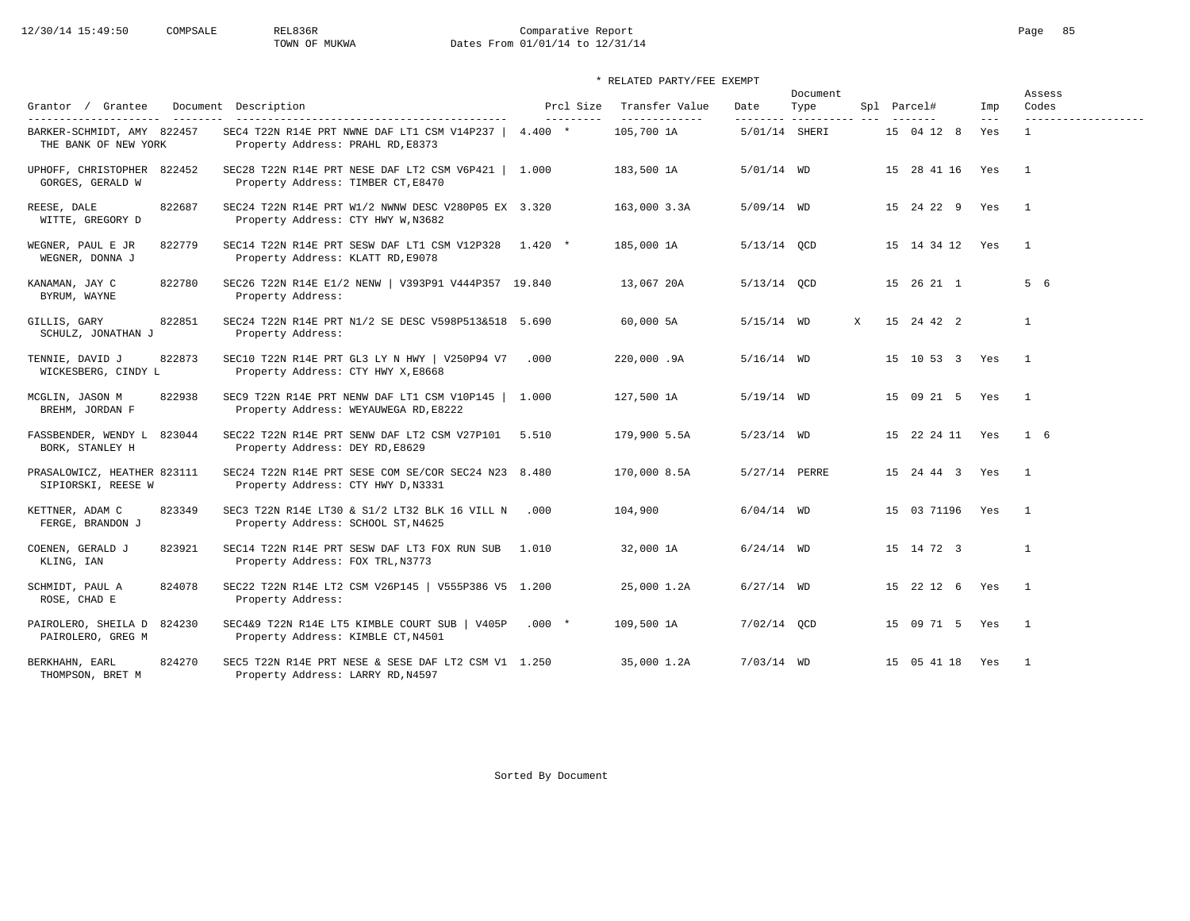# 12/30/14 15:49:50 COMPSALE REL836R Comparative Report Comparative Report Page 85 Dates From 01/01/14 to 12/31/14

### \* RELATED PARTY/FEE EXEMPT

| Grantor / Grantee                                  | Document Description                                                                                                              | Prcl Size  | Transfer Value               | Date          | Document<br>Type         |   | Spl Parcel#        | Imp          | Assess<br>Codes                     |
|----------------------------------------------------|-----------------------------------------------------------------------------------------------------------------------------------|------------|------------------------------|---------------|--------------------------|---|--------------------|--------------|-------------------------------------|
| BARKER-SCHMIDT, AMY 822457<br>THE BANK OF NEW YORK | ___________________________________<br>SEC4 T22N R14E PRT NWNE DAF LT1 CSM V14P237   4.400 *<br>Property Address: PRAHL RD, E8373 | ---------- | --------------<br>105,700 1A | 5/01/14 SHERI | --------- ---------- --- |   | 15 04 12 8         | $---$<br>Yes | -------------------<br>$\mathbf{1}$ |
| UPHOFF, CHRISTOPHER 822452<br>GORGES, GERALD W     | SEC28 T22N R14E PRT NESE DAF LT2 CSM V6P421   1.000<br>Property Address: TIMBER CT, E8470                                         |            | 183,500 1A                   | $5/01/14$ WD  |                          |   | 15 28 41 16        | Yes          | $\overline{1}$                      |
| REESE, DALE<br>822687<br>WITTE, GREGORY D          | SEC24 T22N R14E PRT W1/2 NWNW DESC V280P05 EX 3.320<br>Property Address: CTY HWY W, N3682                                         |            | 163,000 3.3A                 | $5/09/14$ WD  |                          |   | 15 24 22 9 Yes     |              | $\overline{1}$                      |
| WEGNER, PAUL E JR<br>822779<br>WEGNER, DONNA J     | SEC14 T22N R14E PRT SESW DAF LT1 CSM V12P328 1.420 *<br>Property Address: KLATT RD, E9078                                         |            | 185,000 1A                   | $5/13/14$ OCD |                          |   | 15 14 34 12 Yes    |              | $\overline{1}$                      |
| 822780<br>KANAMAN, JAY C<br>BYRUM, WAYNE           | SEC26 T22N R14E E1/2 NENW   V393P91 V444P357 19.840<br>Property Address:                                                          |            | 13,067 20A                   | 5/13/14 QCD   |                          |   | 15 26 21 1         |              | 5 6                                 |
| 822851<br>GILLIS, GARY<br>SCHULZ, JONATHAN J       | SEC24 T22N R14E PRT N1/2 SE DESC V598P513&518 5.690<br>Property Address:                                                          |            | 60,000 5A                    | $5/15/14$ WD  |                          | X | 15 24 42 2         |              | $\mathbf{1}$                        |
| 822873<br>TENNIE, DAVID J<br>WICKESBERG, CINDY L   | SEC10 T22N R14E PRT GL3 LY N HWY   V250P94 V7<br>Property Address: CTY HWY X, E8668                                               | .000       | 220,000.9A                   | $5/16/14$ WD  |                          |   | 15 10 53 3 Yes     |              | $\overline{1}$                      |
| 822938<br>MCGLIN, JASON M<br>BREHM, JORDAN F       | SEC9 T22N R14E PRT NENW DAF LT1 CSM V10P145   1.000<br>Property Address: WEYAUWEGA RD, E8222                                      |            | 127,500 1A                   | $5/19/14$ WD  |                          |   | 15 09 21 5 Yes     |              | $\overline{1}$                      |
| FASSBENDER, WENDY L<br>823044<br>BORK, STANLEY H   | SEC22 T22N R14E PRT SENW DAF LT2 CSM V27P101 5.510<br>Property Address: DEY RD, E8629                                             |            | 179,900 5.5A                 | $5/23/14$ WD  |                          |   | 15 22 24 11 Yes    |              | $1\quad 6$                          |
| PRASALOWICZ, HEATHER 823111<br>SIPIORSKI, REESE W  | SEC24 T22N R14E PRT SESE COM SE/COR SEC24 N23 8.480<br>Property Address: CTY HWY D, N3331                                         |            | 170,000 8.5A                 | 5/27/14 PERRE |                          |   | 15  24  44  3  Yes |              | $\overline{1}$                      |
| 823349<br>KETTNER, ADAM C<br>FERGE, BRANDON J      | SEC3 T22N R14E LT30 & S1/2 LT32 BLK 16 VILL N<br>Property Address: SCHOOL ST, N4625                                               | .000       | 104,900                      | $6/04/14$ WD  |                          |   | 15 03 71196 Yes    |              | $\overline{\phantom{0}}$            |
| 823921<br>COENEN, GERALD J<br>KLING, IAN           | SEC14 T22N R14E PRT SESW DAF LT3 FOX RUN SUB<br>Property Address: FOX TRL, N3773                                                  | 1.010      | 32,000 1A                    | $6/24/14$ WD  |                          |   | 15 14 72 3         |              | $\mathbf{1}$                        |
| 824078<br>SCHMIDT, PAUL A<br>ROSE, CHAD E          | SEC22 T22N R14E LT2 CSM V26P145   V555P386 V5 1.200<br>Property Address:                                                          |            | 25,000 1.2A                  | $6/27/14$ WD  |                          |   | 15 22 12 6 Yes     |              | $\overline{1}$                      |
| PAIROLERO, SHEILA D<br>824230<br>PAIROLERO, GREG M | SEC4&9 T22N R14E LT5 KIMBLE COURT SUB   V405P .000 *<br>Property Address: KIMBLE CT, N4501                                        |            | 109,500 1A                   | $7/02/14$ OCD |                          |   | 15 09 71 5 Yes     |              | $\overline{\phantom{1}}$            |
| 824270<br>BERKHAHN, EARL<br>THOMPSON, BRET M       | SEC5 T22N R14E PRT NESE & SESE DAF LT2 CSM V1 1.250<br>Property Address: LARRY RD, N4597                                          |            | 35,000 1.2A                  | $7/03/14$ WD  |                          |   | 15 05 41 18 Yes    |              | $\overline{1}$                      |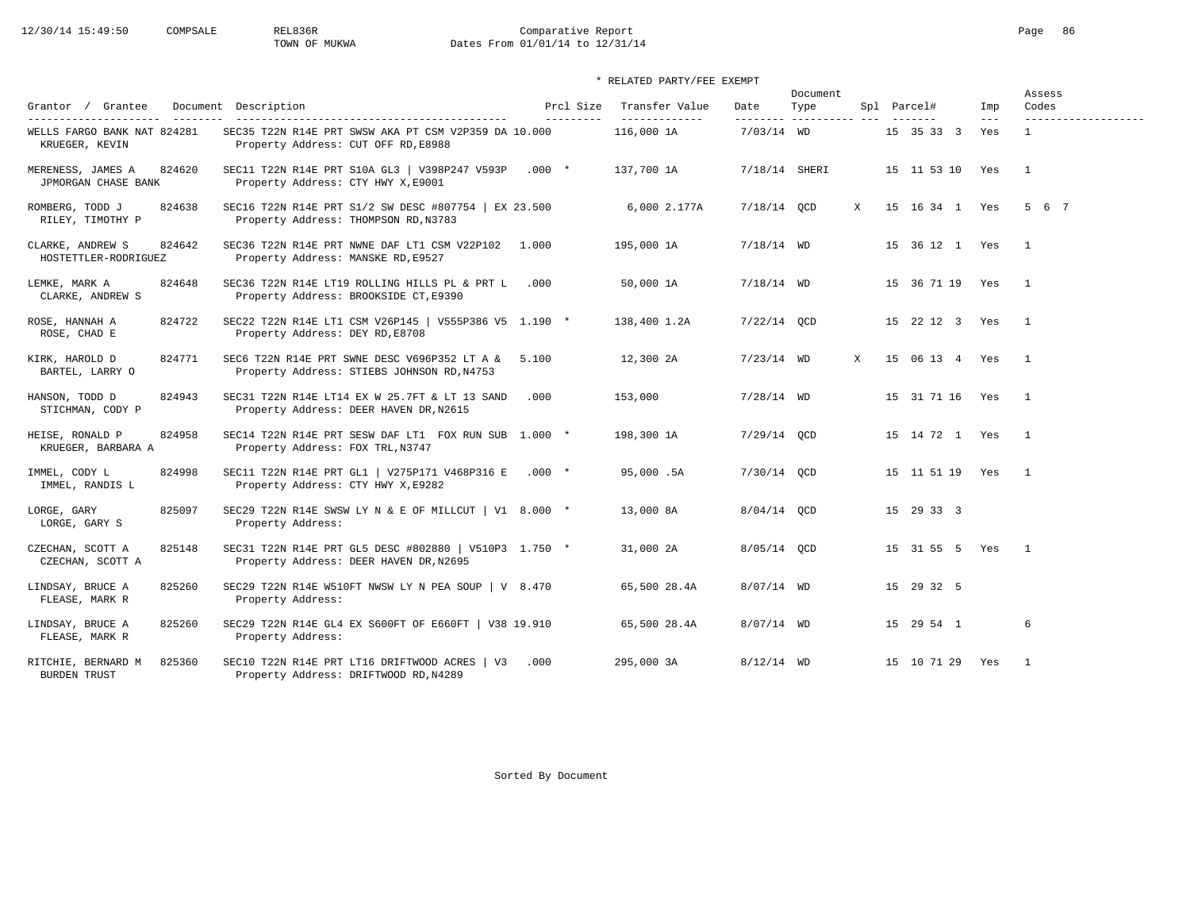# 12/30/14 15:49:50 COMPSALE REL836R Comparative Report Comparative Report Page 86 Dates From 01/01/14 to 12/31/14

### \* RELATED PARTY/FEE EXEMPT

|                                               |          |                                                                                                  |                         |                                  |               | Document                         |   |                        |              | Assess                       |
|-----------------------------------------------|----------|--------------------------------------------------------------------------------------------------|-------------------------|----------------------------------|---------------|----------------------------------|---|------------------------|--------------|------------------------------|
| Grantor / Grantee                             | ________ | Document Description<br>-------------------------------------                                    | Prcl Size<br>---------- | Transfer Value<br>______________ | Date          | Type<br>--------- ---------- --- |   | Spl Parcel#            | Imp<br>$---$ | Codes<br>------------------- |
| WELLS FARGO BANK NAT 824281<br>KRUEGER, KEVIN |          | SEC35 T22N R14E PRT SWSW AKA PT CSM V2P359 DA 10.000<br>Property Address: CUT OFF RD, E8988      |                         | 116,000 1A                       | $7/03/14$ WD  |                                  |   | 15 35 33 3             | Yes          | $\mathbf{1}$                 |
| MERENESS, JAMES A<br>JPMORGAN CHASE BANK      | 824620   | SEC11 T22N R14E PRT S10A GL3   V398P247 V593P .000 *<br>Property Address: CTY HWY X, E9001       |                         | 137,700 1A                       | 7/18/14 SHERI |                                  |   | 15 11 53 10 Yes        |              | $\overline{1}$               |
| ROMBERG, TODD J<br>RILEY, TIMOTHY P           | 824638   | SEC16 T22N R14E PRT S1/2 SW DESC #807754   EX 23.500<br>Property Address: THOMPSON RD, N3783     |                         | 6,000 2.177A                     | 7/18/14 QCD   |                                  | X | 15 16 34 1 Yes 5 6 7   |              |                              |
| CLARKE, ANDREW S<br>HOSTETTLER-RODRIGUEZ      | 824642   | SEC36 T22N R14E PRT NWNE DAF LT1 CSM V22P102 1.000<br>Property Address: MANSKE RD, E9527         |                         | 195,000 1A                       | $7/18/14$ WD  |                                  |   | 15 36 12 1 Yes         |              | $\overline{1}$               |
| LEMKE, MARK A<br>CLARKE, ANDREW S             | 824648   | SEC36 T22N R14E LT19 ROLLING HILLS PL & PRT L .000<br>Property Address: BROOKSIDE CT, E9390      |                         | 50,000 1A                        | $7/18/14$ WD  |                                  |   | 15 36 71 19 Yes        |              | $\overline{1}$               |
| ROSE, HANNAH A<br>ROSE, CHAD E                | 824722   | SEC22 T22N R14E LT1 CSM V26P145   V555P386 V5 1.190 *<br>Property Address: DEY RD, E8708         |                         | 138,400 1.2A                     | $7/22/14$ OCD |                                  |   | 15 22 12 3 Yes         |              | $\overline{1}$               |
| KIRK, HAROLD D<br>BARTEL, LARRY O             | 824771   | SEC6 T22N R14E PRT SWNE DESC V696P352 LT A & 5.100<br>Property Address: STIEBS JOHNSON RD, N4753 |                         | 12,300 2A                        | $7/23/14$ WD  |                                  | X | 15 06 13 4 Yes         |              | $\overline{1}$               |
| HANSON, TODD D<br>STICHMAN, CODY P            | 824943   | SEC31 T22N R14E LT14 EX W 25.7FT & LT 13 SAND<br>Property Address: DEER HAVEN DR, N2615          | .000                    | 153,000                          | $7/28/14$ WD  |                                  |   | 15 31 71 16 Yes        |              | $\overline{1}$               |
| HEISE, RONALD P<br>KRUEGER, BARBARA A         | 824958   | SEC14 T22N R14E PRT SESW DAF LT1 FOX RUN SUB 1.000 *<br>Property Address: FOX TRL, N3747         |                         | 198,300 1A                       | $7/29/14$ OCD |                                  |   | 15  14  72  1  Yes     |              | $\overline{1}$               |
| IMMEL, CODY L<br>IMMEL, RANDIS L              | 824998   | SEC11 T22N R14E PRT GL1   V275P171 V468P316 E .000 *<br>Property Address: CTY HWY X, E9282       |                         | 95,000.5A                        | 7/30/14 QCD   |                                  |   | 15  11  51  19  Yes  1 |              |                              |
| LORGE, GARY<br>LORGE, GARY S                  | 825097   | SEC29 T22N R14E SWSW LY N & E OF MILLCUT   V1 8.000 *<br>Property Address:                       |                         | 13,000 8A                        | $8/04/14$ OCD |                                  |   | 15 29 33 3             |              |                              |
| CZECHAN, SCOTT A<br>CZECHAN, SCOTT A          | 825148   | SEC31 T22N R14E PRT GL5 DESC #802880   V510P3 1.750 *<br>Property Address: DEER HAVEN DR, N2695  |                         | 31,000 2A                        | 8/05/14 QCD   |                                  |   | 15 31 55 5 Yes         |              | $\overline{1}$               |
| LINDSAY, BRUCE A<br>FLEASE, MARK R            | 825260   | SEC29 T22N R14E W510FT NWSW LY N PEA SOUP $\vert$ V 8.470<br>Property Address:                   |                         | 65,500 28.4A                     | $8/07/14$ WD  |                                  |   | 15 29 32 5             |              |                              |
| LINDSAY, BRUCE A<br>FLEASE, MARK R            | 825260   | SEC29 T22N R14E GL4 EX S600FT OF E660FT   V38 19.910<br>Property Address:                        |                         | 65,500 28.4A                     | $8/07/14$ WD  |                                  |   | 15 29 54 1             |              | 6                            |
| RITCHIE, BERNARD M<br><b>BURDEN TRUST</b>     | 825360   | SEC10 T22N R14E PRT LT16 DRIFTWOOD ACRES   V3<br>Property Address: DRIFTWOOD RD, N4289           | .000                    | 295,000 3A                       | $8/12/14$ WD  |                                  |   | 15 10 71 29 Yes        |              | $\mathbf{1}$                 |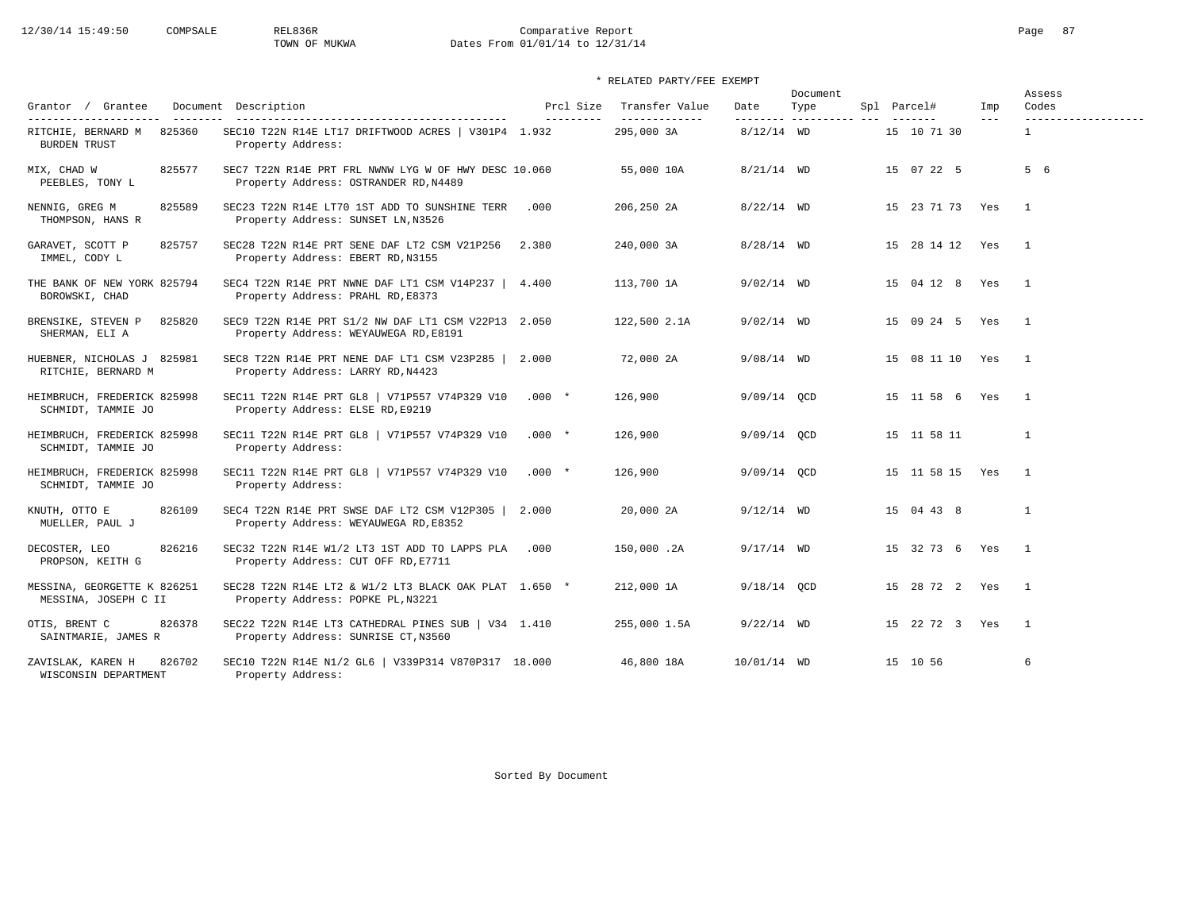# 12/30/14 15:49:50 COMPSALE REL836R Comparative Report Comparative Report Page 87<br>TOWN OF MUKWA Dates From 01/01/14 to 12/31/14 Dates From 01/01/14 to 12/31/14

### \* RELATED PARTY/FEE EXEMPT

| Grantor / Grantee                                                             | Document Description                                                                                             | Prcl Size  | Transfer Value              | Date          | Document<br>Type         | Spl Parcel#     | Imp   | Assess<br>Codes                     |
|-------------------------------------------------------------------------------|------------------------------------------------------------------------------------------------------------------|------------|-----------------------------|---------------|--------------------------|-----------------|-------|-------------------------------------|
| ----------------------<br>825360<br>RITCHIE, BERNARD M<br><b>BURDEN TRUST</b> | ------------------------------------<br>SEC10 T22N R14E LT17 DRIFTWOOD ACRES   V301P4 1.932<br>Property Address: | ---------- | -------------<br>295,000 3A | $8/12/14$ WD  | --------- ---------- --- | 15 10 71 30     | $---$ | -------------------<br>$\mathbf{1}$ |
| MIX, CHAD W<br>825577<br>PEEBLES, TONY L                                      | SEC7 T22N R14E PRT FRL NWNW LYG W OF HWY DESC 10.060<br>Property Address: OSTRANDER RD, N4489                    |            | 55,000 10A                  | $8/21/14$ WD  |                          | 15 07 22 5      |       | 5 6                                 |
| 825589<br>NENNIG, GREG M<br>THOMPSON, HANS R                                  | SEC23 T22N R14E LT70 1ST ADD TO SUNSHINE TERR<br>Property Address: SUNSET LN, N3526                              | .000       | 206,250 2A                  | $8/22/14$ WD  |                          | 15 23 71 73 Yes |       | $\overline{1}$                      |
| GARAVET, SCOTT P<br>825757<br>IMMEL, CODY L                                   | SEC28 T22N R14E PRT SENE DAF LT2 CSM V21P256<br>Property Address: EBERT RD, N3155                                | 2.380      | 240,000 3A                  | $8/28/14$ WD  |                          | 15 28 14 12 Yes |       | $\overline{1}$                      |
| THE BANK OF NEW YORK 825794<br>BOROWSKI, CHAD                                 | SEC4 T22N R14E PRT NWNE DAF LT1 CSM V14P237 $\vert$ 4.400<br>Property Address: PRAHL RD, E8373                   |            | 113,700 1A                  | $9/02/14$ WD  |                          | 15 04 12 8 Yes  |       | $\overline{1}$                      |
| BRENSIKE, STEVEN P<br>825820<br>SHERMAN, ELI A                                | SEC9 T22N R14E PRT S1/2 NW DAF LT1 CSM V22P13 2.050<br>Property Address: WEYAUWEGA RD, E8191                     |            | 122,500 2.1A                | $9/02/14$ WD  |                          | 15 09 24 5 Yes  |       | $\overline{1}$                      |
| HUEBNER, NICHOLAS J 825981<br>RITCHIE, BERNARD M                              | SEC8 T22N R14E PRT NENE DAF LT1 CSM V23P285   2.000<br>Property Address: LARRY RD, N4423                         |            | 72,000 2A                   | $9/08/14$ WD  |                          | 15 08 11 10 Yes |       | $\overline{1}$                      |
| HEIMBRUCH, FREDERICK 825998<br>SCHMIDT, TAMMIE JO                             | SEC11 T22N R14E PRT GL8   V71P557 V74P329 V10<br>Property Address: ELSE RD, E9219                                | $.000*$    | 126,900                     | $9/09/14$ OCD |                          | 15 11 58 6 Yes  |       | $\overline{1}$                      |
| HEIMBRUCH, FREDERICK 825998<br>SCHMIDT, TAMMIE JO                             | SEC11 T22N R14E PRT GL8   V71P557 V74P329 V10<br>Property Address:                                               | $.000*$    | 126,900                     | $9/09/14$ OCD |                          | 15 11 58 11     |       | $\mathbf{1}$                        |
| HEIMBRUCH, FREDERICK 825998<br>SCHMIDT, TAMMIE JO                             | SEC11 T22N R14E PRT GL8   V71P557 V74P329 V10<br>Property Address:                                               | $.000*$    | 126,900                     | $9/09/14$ QCD |                          | 15 11 58 15 Yes |       | $\overline{1}$                      |
| 826109<br>KNUTH, OTTO E<br>MUELLER, PAUL J                                    | SEC4 T22N R14E PRT SWSE DAF LT2 CSM V12P305   2.000<br>Property Address: WEYAUWEGA RD, E8352                     |            | 20,000 2A                   | $9/12/14$ WD  |                          | 15 04 43 8      |       | $\mathbf{1}$                        |
| 826216<br>DECOSTER, LEO<br>PROPSON, KEITH G                                   | SEC32 T22N R14E W1/2 LT3 1ST ADD TO LAPPS PLA<br>Property Address: CUT OFF RD, E7711                             | .000       | 150,000.2A                  | $9/17/14$ WD  |                          | 15 32 73 6 Yes  |       | $\overline{1}$                      |
| MESSINA, GEORGETTE K 826251<br>MESSINA, JOSEPH C II                           | SEC28 T22N R14E LT2 & W1/2 LT3 BLACK OAK PLAT 1.650 *<br>Property Address: POPKE PL, N3221                       |            | 212,000 1A                  | $9/18/14$ QCD |                          | 15 28 72 2 Yes  |       | $\mathbf{1}$                        |
| OTIS, BRENT C<br>826378<br>SAINTMARIE, JAMES R                                | SEC22 T22N R14E LT3 CATHEDRAL PINES SUB   V34 1.410<br>Property Address: SUNRISE CT, N3560                       |            | 255,000 1.5A                | $9/22/14$ WD  |                          | 15 22 72 3 Yes  |       | $\overline{1}$                      |
| 826702<br>ZAVISLAK, KAREN H<br>WISCONSIN DEPARTMENT                           | SEC10 T22N R14E N1/2 GL6   V339P314 V870P317 18.000<br>Property Address:                                         |            | 46,800 18A                  | 10/01/14 WD   |                          | 15 10 56        |       | 6                                   |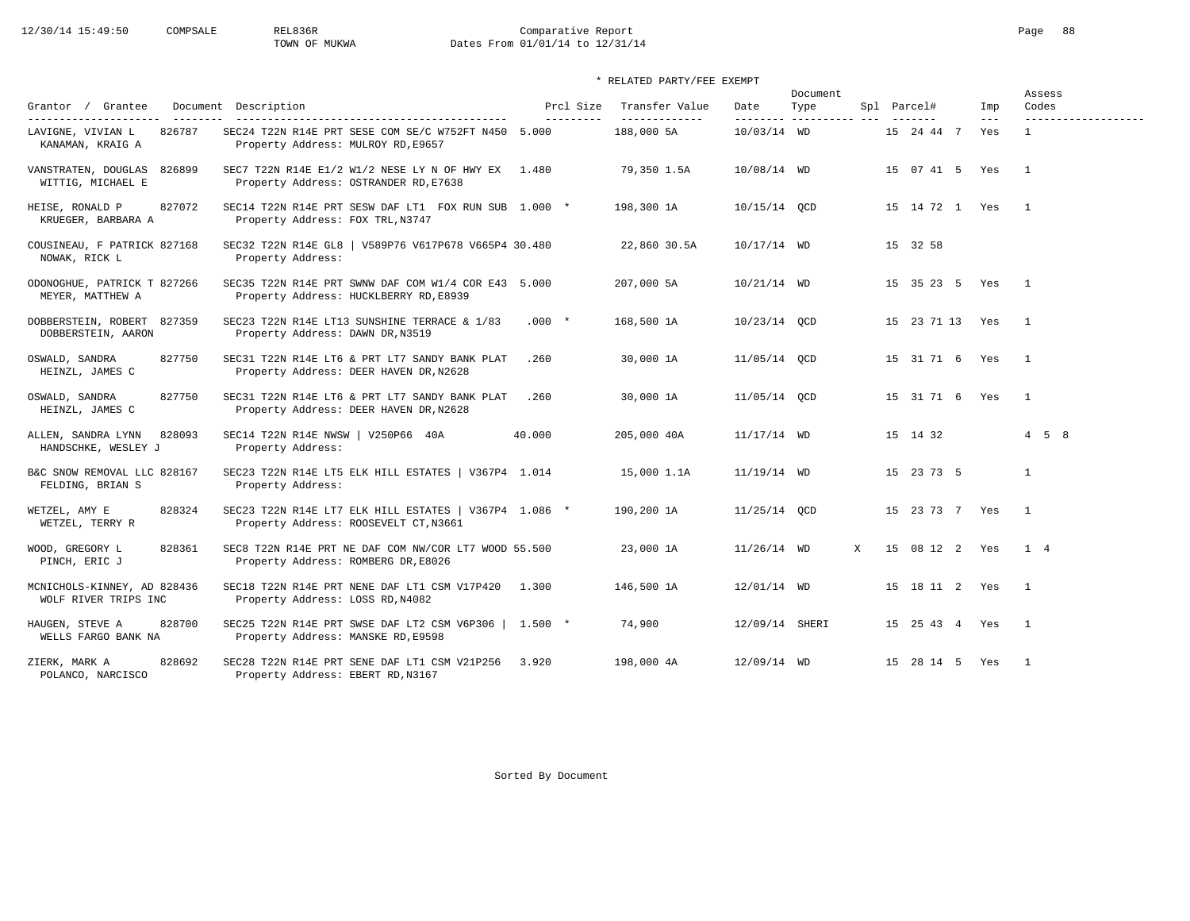# 12/30/14 15:49:50 COMPSALE REL836R Comparative Report Comparative Report Page 88<br>TOWN OF MUKWA Dates From 01/01/14 to 12/31/14 Dates From 01/01/14 to 12/31/14

### \* RELATED PARTY/FEE EXEMPT

|                                                     |                                                                                                |                         |                                  |                | Document                         |   |             |                       |                            | Assess                              |
|-----------------------------------------------------|------------------------------------------------------------------------------------------------|-------------------------|----------------------------------|----------------|----------------------------------|---|-------------|-----------------------|----------------------------|-------------------------------------|
| Grantor / Grantee<br>---------------------          | Document Description<br>-------------------------------------                                  | Prcl Size<br>---------- | Transfer Value<br>-------------- | Date           | Type<br>--------- ---------- --- |   | Spl Parcel# | --------              | Imp<br>$\qquad \qquad - -$ | Codes                               |
| 826787<br>LAVIGNE, VIVIAN L<br>KANAMAN, KRAIG A     | SEC24 T22N R14E PRT SESE COM SE/C W752FT N450 5.000<br>Property Address: MULROY RD, E9657      |                         | 188,000 5A                       | 10/03/14 WD    |                                  |   |             | 15 24 44 7            | Yes                        | -------------------<br>$\mathbf{1}$ |
| VANSTRATEN, DOUGLAS<br>826899<br>WITTIG, MICHAEL E  | SEC7 T22N R14E E1/2 W1/2 NESE LY N OF HWY EX 1.480<br>Property Address: OSTRANDER RD, E7638    |                         | 79,350 1.5A                      | 10/08/14 WD    |                                  |   |             | 15 07 41 5 Yes        |                            | $\overline{1}$                      |
| HEISE, RONALD P<br>827072<br>KRUEGER, BARBARA A     | SEC14 T22N R14E PRT SESW DAF LT1 FOX RUN SUB 1.000 *<br>Property Address: FOX TRL, N3747       |                         | 198,300 1A                       | 10/15/14 QCD   |                                  |   |             | 15  14  72  1  Yes  1 |                            |                                     |
| COUSINEAU, F PATRICK 827168<br>NOWAK, RICK L        | SEC32 T22N R14E GL8   V589P76 V617P678 V665P4 30.480<br>Property Address:                      |                         | 22,860 30.5A                     | 10/17/14 WD    |                                  |   |             | 15 32 58              |                            |                                     |
| ODONOGHUE, PATRICK T 827266<br>MEYER, MATTHEW A     | SEC35 T22N R14E PRT SWNW DAF COM W1/4 COR E43 5.000<br>Property Address: HUCKLBERRY RD, E8939  |                         | 207,000 5A                       | $10/21/14$ WD  |                                  |   |             | 15 35 23 5 Yes 1      |                            |                                     |
| DOBBERSTEIN, ROBERT 827359<br>DOBBERSTEIN, AARON    | SEC23 T22N R14E LT13 SUNSHINE TERRACE & 1/83<br>Property Address: DAWN DR, N3519               | $.000*$                 | 168,500 1A                       | 10/23/14 QCD   |                                  |   |             | 15 23 71 13 Yes       |                            | $\overline{1}$                      |
| 827750<br>OSWALD, SANDRA<br>HEINZL, JAMES C         | SEC31 T22N R14E LT6 & PRT LT7 SANDY BANK PLAT<br>Property Address: DEER HAVEN DR, N2628        | .260                    | 30,000 1A                        | 11/05/14 QCD   |                                  |   |             | 15 31 71 6 Yes        |                            | $\overline{1}$                      |
| 827750<br>OSWALD, SANDRA<br>HEINZL, JAMES C         | SEC31 T22N R14E LT6 & PRT LT7 SANDY BANK PLAT<br>Property Address: DEER HAVEN DR, N2628        | .260                    | 30,000 1A                        | 11/05/14 OCD   |                                  |   |             | 15 31 71 6 Yes        |                            | $\overline{1}$                      |
| ALLEN, SANDRA LYNN<br>828093<br>HANDSCHKE, WESLEY J | SEC14 T22N R14E NWSW   V250P66 40A<br>Property Address:                                        | 40.000                  | 205,000 40A                      | 11/17/14 WD    |                                  |   |             | 15 14 32              |                            | $4\quad 5\quad 8$                   |
| B&C SNOW REMOVAL LLC 828167<br>FELDING, BRIAN S     | SEC23 T22N R14E LT5 ELK HILL ESTATES   V367P4 1.014<br>Property Address:                       |                         | 15,000 1.1A                      | $11/19/14$ WD  |                                  |   |             | 15 23 73 5            |                            | $\mathbf{1}$                        |
| 828324<br>WETZEL, AMY E<br>WETZEL, TERRY R          | SEC23 T22N R14E LT7 ELK HILL ESTATES   V367P4 1.086 *<br>Property Address: ROOSEVELT CT, N3661 |                         | 190,200 1A                       | $11/25/14$ QCD |                                  |   |             | 15 23 73 7 Yes        |                            | $\overline{1}$                      |
| 828361<br>WOOD, GREGORY L<br>PINCH, ERIC J          | SEC8 T22N R14E PRT NE DAF COM NW/COR LT7 WOOD 55.500<br>Property Address: ROMBERG DR, E8026    |                         | 23,000 1A                        | $11/26/14$ WD  |                                  | X |             | 15 08 12 2 Yes        |                            | $1 \quad 4$                         |
| MCNICHOLS-KINNEY, AD 828436<br>WOLF RIVER TRIPS INC | SEC18 T22N R14E PRT NENE DAF LT1 CSM V17P420 1.300<br>Property Address: LOSS RD, N4082         |                         | 146,500 1A                       | 12/01/14 WD    |                                  |   |             | 15 18 11 2 Yes        |                            | $\overline{1}$                      |
| HAUGEN, STEVE A<br>828700<br>WELLS FARGO BANK NA    | SEC25 T22N R14E PRT SWSE DAF LT2 CSM V6P306   1.500 *<br>Property Address: MANSKE RD, E9598    |                         | 74,900                           | 12/09/14 SHERI |                                  |   |             | 15  25  43  4  Yes    |                            | $\overline{1}$                      |
| 828692<br>ZIERK, MARK A<br>POLANCO, NARCISCO        | SEC28 T22N R14E PRT SENE DAF LT1 CSM V21P256 3.920<br>Property Address: EBERT RD, N3167        |                         | 198,000 4A                       | 12/09/14 WD    |                                  |   |             | 15 28 14 5 Yes        |                            | $\overline{1}$                      |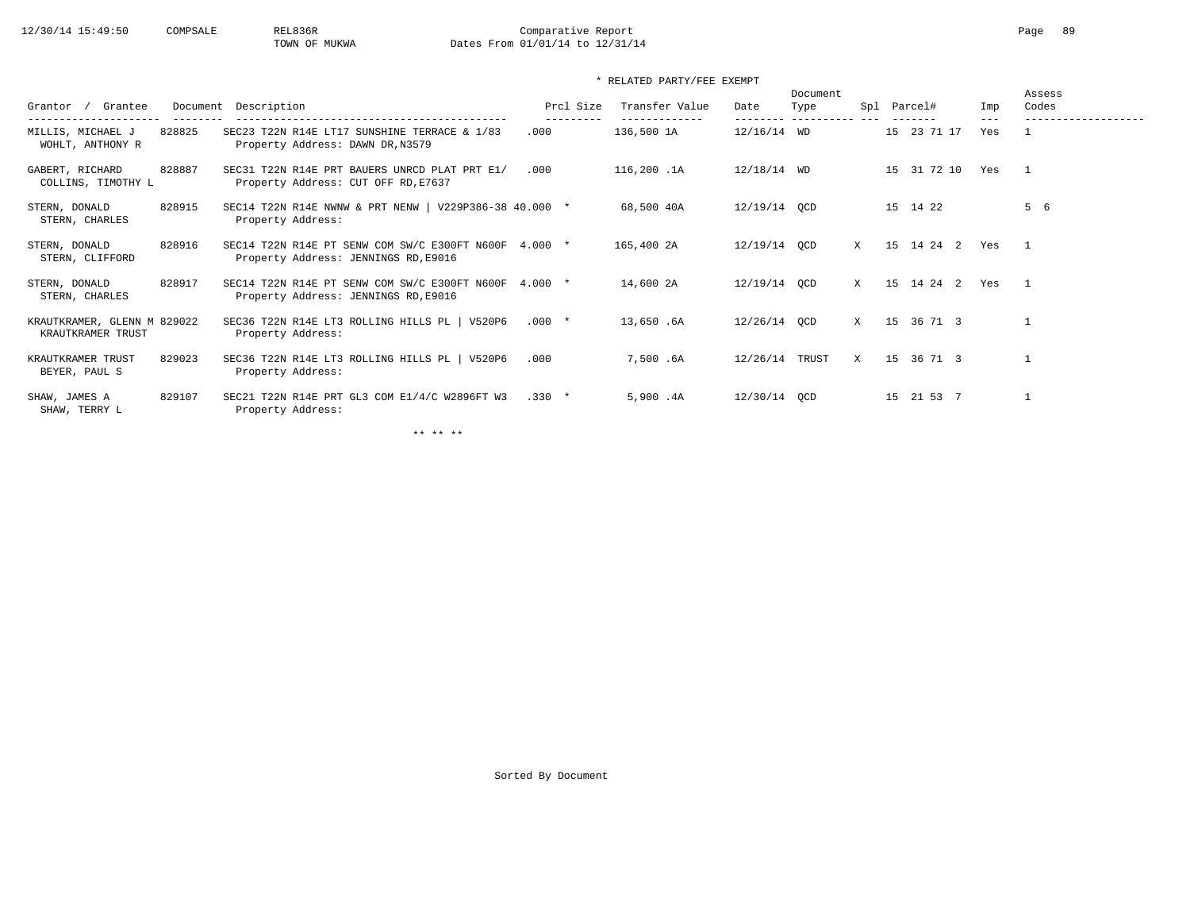# 12/30/14 15:49:50 COMPSALE REL836R Comparative Report Comparative Report Page 89 Dates From 01/01/14 to 12/31/14

### \* RELATED PARTY/FEE EXEMPT

| Grantee<br>Grantor                               |        | Document Description                                                                          | Prcl Size | Transfer Value | Date          | Document<br>Type<br>---------- | Spl | Parcel#        | Imp            | Assess<br>Codes |
|--------------------------------------------------|--------|-----------------------------------------------------------------------------------------------|-----------|----------------|---------------|--------------------------------|-----|----------------|----------------|-----------------|
| MILLIS, MICHAEL J<br>WOHLT, ANTHONY R            | 828825 | SEC23 T22N R14E LT17 SUNSHINE TERRACE & 1/83<br>Property Address: DAWN DR, N3579              | .000      | 136,500 1A     | $12/16/14$ WD |                                |     | 15 23 71 17    | $- - -$<br>Yes |                 |
| GABERT, RICHARD<br>COLLINS, TIMOTHY L            | 828887 | SEC31 T22N R14E PRT BAUERS UNRCD PLAT PRT E1/<br>Property Address: CUT OFF RD, E7637          | .000      | 116,200 .1A    | $12/18/14$ WD |                                |     | 31 72 10<br>15 | Yes            |                 |
| STERN, DONALD<br>STERN, CHARLES                  | 828915 | SEC14 T22N R14E NWNW & PRT NENW   V229P386-38 40.000 *<br>Property Address:                   |           | 68,500 40A     | 12/19/14 QCD  |                                |     | 15 14 22       |                | 5 6             |
| STERN, DONALD<br>STERN, CLIFFORD                 | 828916 | SEC14 T22N R14E PT SENW COM SW/C E300FT N600F 4.000 *<br>Property Address: JENNINGS RD, E9016 |           | 165,400 2A     | 12/19/14 QCD  |                                | X   | 15 14 24 2     | Yes            | $\mathbf{1}$    |
| STERN, DONALD<br>STERN, CHARLES                  | 828917 | SEC14 T22N R14E PT SENW COM SW/C E300FT N600F 4.000 *<br>Property Address: JENNINGS RD, E9016 |           | 14,600 2A      | 12/19/14 OCD  |                                | X   | 15 14 24 2     | Yes            | $\mathbf{1}$    |
| KRAUTKRAMER, GLENN M 829022<br>KRAUTKRAMER TRUST |        | SEC36 T22N R14E LT3 ROLLING HILLS PL   V520P6<br>Property Address:                            | $.000*$   | 13,650.6A      | 12/26/14 QCD  |                                | X   | 15<br>36 71 3  |                |                 |
| KRAUTKRAMER TRUST<br>BEYER, PAUL S               | 829023 | SEC36 T22N R14E LT3 ROLLING HILLS PL   V520P6<br>Property Address:                            | .000      | 7,500.6A       | 12/26/14      | TRUST                          | X   | 36 71 3<br>15  |                |                 |
| SHAW, JAMES A<br>SHAW, TERRY L                   | 829107 | SEC21 T22N R14E PRT GL3 COM E1/4/C W2896FT W3<br>Property Address:                            | $.330*$   | 5,900.4A       | 12/30/14 OCD  |                                |     | 21 53 7<br>15  |                |                 |

\*\* \*\* \*\*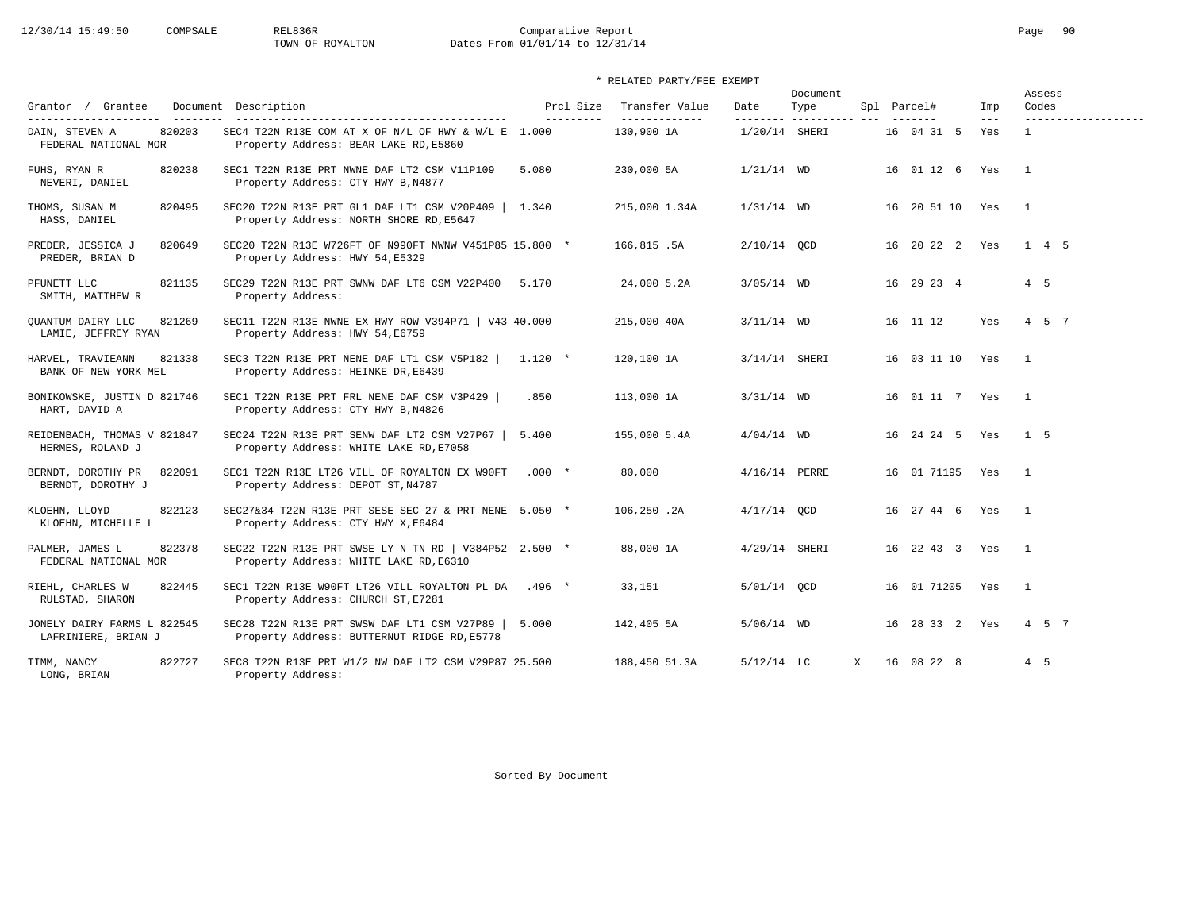# 12/30/14 15:49:50 COMPSALE REL836R Comparative Report Comparative Report Page 90 Dates From 01/01/14 to 12/31/14

### \* RELATED PARTY/FEE EXEMPT

| Grantor / Grantee                                                          | Document Description                                                                            | Prcl Size | Transfer Value              | Date            | Document<br>Type     |   | Spl Parcel#     | Imp          | Assess<br>Codes                     |
|----------------------------------------------------------------------------|-------------------------------------------------------------------------------------------------|-----------|-----------------------------|-----------------|----------------------|---|-----------------|--------------|-------------------------------------|
| ----------------------<br>820203<br>DAIN, STEVEN A<br>FEDERAL NATIONAL MOR | SEC4 T22N R13E COM AT X OF N/L OF HWY & W/L E 1.000<br>Property Address: BEAR LAKE RD, E5860    | --------- | -------------<br>130,900 1A | 1/20/14 SHERI   | --------- ---------- |   | 16 04 31 5      | $---$<br>Yes | -------------------<br>$\mathbf{1}$ |
| FUHS, RYAN R<br>820238<br>NEVERI, DANIEL                                   | SEC1 T22N R13E PRT NWNE DAF LT2 CSM V11P109<br>Property Address: CTY HWY B, N4877               | 5.080     | 230,000 5A                  | $1/21/14$ WD    |                      |   | 16 01 12 6      | Yes          | $\overline{1}$                      |
| THOMS, SUSAN M<br>820495<br>HASS, DANIEL                                   | SEC20 T22N R13E PRT GL1 DAF LT1 CSM V20P409   1.340<br>Property Address: NORTH SHORE RD, E5647  |           | 215,000 1.34A               | $1/31/14$ WD    |                      |   | 16 20 51 10 Yes |              | $\mathbf{1}$                        |
| PREDER, JESSICA J<br>820649<br>PREDER, BRIAN D                             | SEC20 T22N R13E W726FT OF N990FT NWNW V451P85 15.800 *<br>Property Address: HWY 54, E5329       |           | 166,815.5A                  | $2/10/14$ OCD   |                      |   | 16 20 22 2 Yes  |              | 1 4 5                               |
| 821135<br>PFUNETT LLC<br>SMITH, MATTHEW R                                  | SEC29 T22N R13E PRT SWNW DAF LT6 CSM V22P400<br>Property Address:                               | 5.170     | 24,000 5.2A                 | $3/05/14$ WD    |                      |   | 16 29 23 4      |              | $4\quad 5$                          |
| 821269<br>OUANTUM DAIRY LLC<br>LAMIE, JEFFREY RYAN                         | SEC11 T22N R13E NWNE EX HWY ROW V394P71   V43 40.000<br>Property Address: HWY 54, E6759         |           | 215,000 40A                 | $3/11/14$ WD    |                      |   | 16 11 12        | Yes          | 4 5 7                               |
| HARVEL, TRAVIEANN<br>821338<br>BANK OF NEW YORK MEL                        | SEC3 T22N R13E PRT NENE DAF LT1 CSM V5P182<br>Property Address: HEINKE DR, E6439                | $1.120$ * | 120,100 1A                  | 3/14/14 SHERI   |                      |   | 16 03 11 10     | Yes          | $\overline{1}$                      |
| BONIKOWSKE, JUSTIN D 821746<br>HART, DAVID A                               | SEC1 T22N R13E PRT FRL NENE DAF CSM V3P429<br>Property Address: CTY HWY B, N4826                | .850      | 113,000 1A                  | $3/31/14$ WD    |                      |   | 16 01 11 7 Yes  |              | $\overline{1}$                      |
| REIDENBACH, THOMAS V 821847<br>HERMES, ROLAND J                            | SEC24 T22N R13E PRT SENW DAF LT2 CSM V27P67  <br>Property Address: WHITE LAKE RD, E7058         | 5.400     | 155,000 5.4A                | $4/04/14$ WD    |                      |   | 16 24 24 5 Yes  |              | 1 <sub>5</sub>                      |
| 822091<br>BERNDT, DOROTHY PR<br>BERNDT, DOROTHY J                          | SEC1 T22N R13E LT26 VILL OF ROYALTON EX W90FT<br>Property Address: DEPOT ST, N4787              | $.000*$   | 80,000                      | $4/16/14$ PERRE |                      |   | 16 01 71195     | Yes          | $\overline{1}$                      |
| 822123<br>KLOEHN, LLOYD<br>KLOEHN, MICHELLE L                              | SEC27&34 T22N R13E PRT SESE SEC 27 & PRT NENE 5.050 *<br>Property Address: CTY HWY X, E6484     |           | 106,250.2A                  | $4/17/14$ OCD   |                      |   | 16 27 44 6 Yes  |              | $\overline{1}$                      |
| 822378<br>PALMER, JAMES L<br>FEDERAL NATIONAL MOR                          | SEC22 T22N R13E PRT SWSE LY N TN RD   V384P52 2.500 *<br>Property Address: WHITE LAKE RD, E6310 |           | 88,000 1A                   | $4/29/14$ SHERI |                      |   | 16 22 43 3      | Yes          | $\overline{1}$                      |
| 822445<br>RIEHL, CHARLES W<br>RULSTAD, SHARON                              | SEC1 T22N R13E W90FT LT26 VILL ROYALTON PL DA<br>Property Address: CHURCH ST, E7281             | $.496*$   | 33,151                      | 5/01/14 QCD     |                      |   | 16 01 71205 Yes |              | $\overline{1}$                      |
| JONELY DAIRY FARMS L 822545<br>LAFRINIERE, BRIAN J                         | SEC28 T22N R13E PRT SWSW DAF LT1 CSM V27P89  <br>Property Address: BUTTERNUT RIDGE RD, E5778    | 5.000     | 142,405 5A                  | $5/06/14$ WD    |                      |   | 16 28 33 2 Yes  |              | 4 5 7                               |
| 822727<br>TIMM, NANCY<br>LONG, BRIAN                                       | SEC8 T22N R13E PRT W1/2 NW DAF LT2 CSM V29P87 25.500<br>Property Address:                       |           | 188,450 51.3A               | $5/12/14$ LC    |                      | X | 16 08 22 8      |              | 4 5                                 |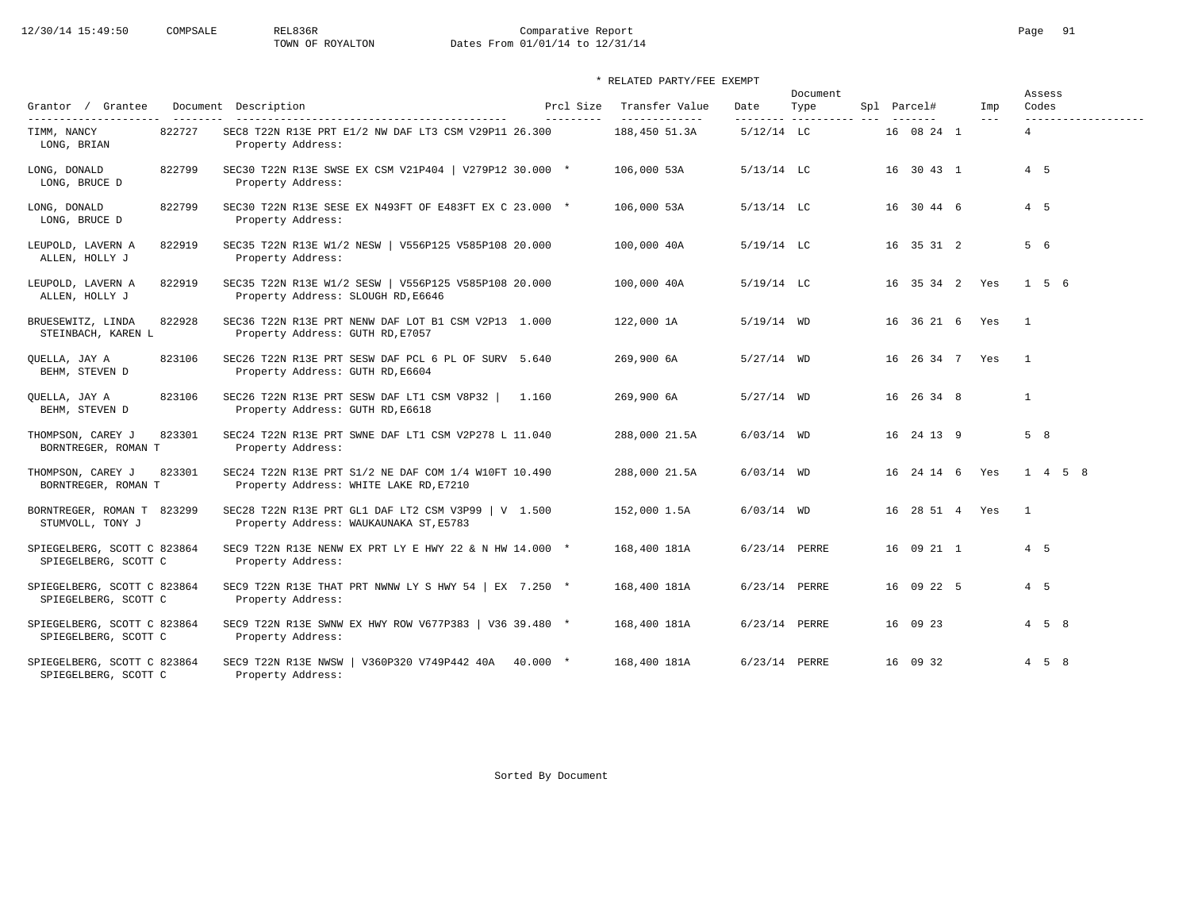# 12/30/14 15:49:50 COMPSALE REL836R Comparative Report Comparative Report Page 91<br>TOWN OF ROYALTON Dates From 01/01/14 to 12/31/14 Dates From 01/01/14 to 12/31/14

### \* RELATED PARTY/FEE EXEMPT

| Grantor / Grantee                                   |        | Document Description                                                                           | Prcl Size | Transfer Value                 | Date            | Document<br>Type        | Spl Parcel#    | Imp     | Assess<br>Codes         |
|-----------------------------------------------------|--------|------------------------------------------------------------------------------------------------|-----------|--------------------------------|-----------------|-------------------------|----------------|---------|-------------------------|
| ---------------------<br>TIMM, NANCY<br>LONG, BRIAN | 822727 | SEC8 T22N R13E PRT E1/2 NW DAF LT3 CSM V29P11 26.300<br>Property Address:                      | --------- | -------------<br>188,450 51.3A | $5/12/14$ LC    | -------- ---------- --- | 16 08 24 1     | $- - -$ | ------------------<br>4 |
| LONG, DONALD<br>LONG, BRUCE D                       | 822799 | SEC30 T22N R13E SWSE EX CSM V21P404   V279P12 30.000 *<br>Property Address:                    |           | 106,000 53A                    | $5/13/14$ LC    |                         | 16 30 43 1     |         | $4\quad 5$              |
| LONG, DONALD<br>LONG, BRUCE D                       | 822799 | SEC30 T22N R13E SESE EX N493FT OF E483FT EX C 23.000 *<br>Property Address:                    |           | 106,000 53A                    | $5/13/14$ LC    |                         | 16 30 44 6     |         | 4 5                     |
| LEUPOLD, LAVERN A<br>ALLEN, HOLLY J                 | 822919 | SEC35 T22N R13E W1/2 NESW   V556P125 V585P108 20.000<br>Property Address:                      |           | 100,000 40A                    | $5/19/14$ LC    |                         | 16 35 31 2     |         | 5 6                     |
| LEUPOLD, LAVERN A<br>ALLEN, HOLLY J                 | 822919 | SEC35 T22N R13E W1/2 SESW   V556P125 V585P108 20.000<br>Property Address: SLOUGH RD, E6646     |           | 100,000 40A                    | $5/19/14$ LC    |                         | 16 35 34 2 Yes |         | 1 5 6                   |
| BRUESEWITZ, LINDA<br>STEINBACH, KAREN L             | 822928 | SEC36 T22N R13E PRT NENW DAF LOT B1 CSM V2P13 1.000<br>Property Address: GUTH RD, E7057        |           | 122,000 1A                     | $5/19/14$ WD    |                         | 16 36 21 6 Yes |         | $\mathbf{1}$            |
| QUELLA, JAY A<br>BEHM, STEVEN D                     | 823106 | SEC26 T22N R13E PRT SESW DAF PCL 6 PL OF SURV 5.640<br>Property Address: GUTH RD, E6604        |           | 269,900 6A                     | $5/27/14$ WD    |                         | 16 26 34 7 Yes |         | $\overline{1}$          |
| QUELLA, JAY A<br>BEHM, STEVEN D                     | 823106 | SEC26 T22N R13E PRT SESW DAF LT1 CSM V8P32  <br>Property Address: GUTH RD, E6618               | 1.160     | 269,900 6A                     | $5/27/14$ WD    |                         | 16 26 34 8     |         | $\mathbf{1}$            |
| THOMPSON, CAREY J<br>BORNTREGER, ROMAN T            | 823301 | SEC24 T22N R13E PRT SWNE DAF LT1 CSM V2P278 L 11.040<br>Property Address:                      |           | 288,000 21.5A                  | $6/03/14$ WD    |                         | 16 24 13 9     |         | $5 \quad 8$             |
| THOMPSON, CAREY J<br>BORNTREGER, ROMAN T            | 823301 | SEC24 T22N R13E PRT S1/2 NE DAF COM 1/4 W10FT 10.490<br>Property Address: WHITE LAKE RD, E7210 |           | 288,000 21.5A                  | $6/03/14$ WD    |                         | 16 24 14 6     | Yes     | 1 4 5 8                 |
| BORNTREGER, ROMAN T 823299<br>STUMVOLL, TONY J      |        | SEC28 T22N R13E PRT GL1 DAF LT2 CSM V3P99   V 1.500<br>Property Address: WAUKAUNAKA ST, E5783  |           | 152,000 1.5A                   | $6/03/14$ WD    |                         | 16 28 51 4 Yes |         | $\overline{1}$          |
| SPIEGELBERG, SCOTT C 823864<br>SPIEGELBERG, SCOTT C |        | SEC9 T22N R13E NENW EX PRT LY E HWY 22 & N HW 14.000 *<br>Property Address:                    |           | 168,400 181A                   | $6/23/14$ PERRE |                         | 16 09 21 1     |         | $4\quad 5$              |
| SPIEGELBERG, SCOTT C 823864<br>SPIEGELBERG, SCOTT C |        | SEC9 T22N R13E THAT PRT NWNW LY S HWY 54 $\mid$ EX 7.250 $\star$<br>Property Address:          |           | 168,400 181A                   | 6/23/14 PERRE   |                         | 16 09 22 5     |         | 4 5                     |
| SPIEGELBERG, SCOTT C 823864<br>SPIEGELBERG, SCOTT C |        | SEC9 T22N R13E SWNW EX HWY ROW V677P383   V36 39.480 *<br>Property Address:                    |           | 168,400 181A                   | 6/23/14 PERRE   |                         | 16 09 23       |         | $4 \quad 5 \quad 8$     |
| SPIEGELBERG, SCOTT C 823864<br>SPIEGELBERG, SCOTT C |        | SEC9 T22N R13E NWSW<br>V360P320 V749P442 40A 40.000 *<br>Property Address:                     |           | 168,400 181A                   | 6/23/14 PERRE   |                         | 16 09 32       |         | $4\quad 5\quad 8$       |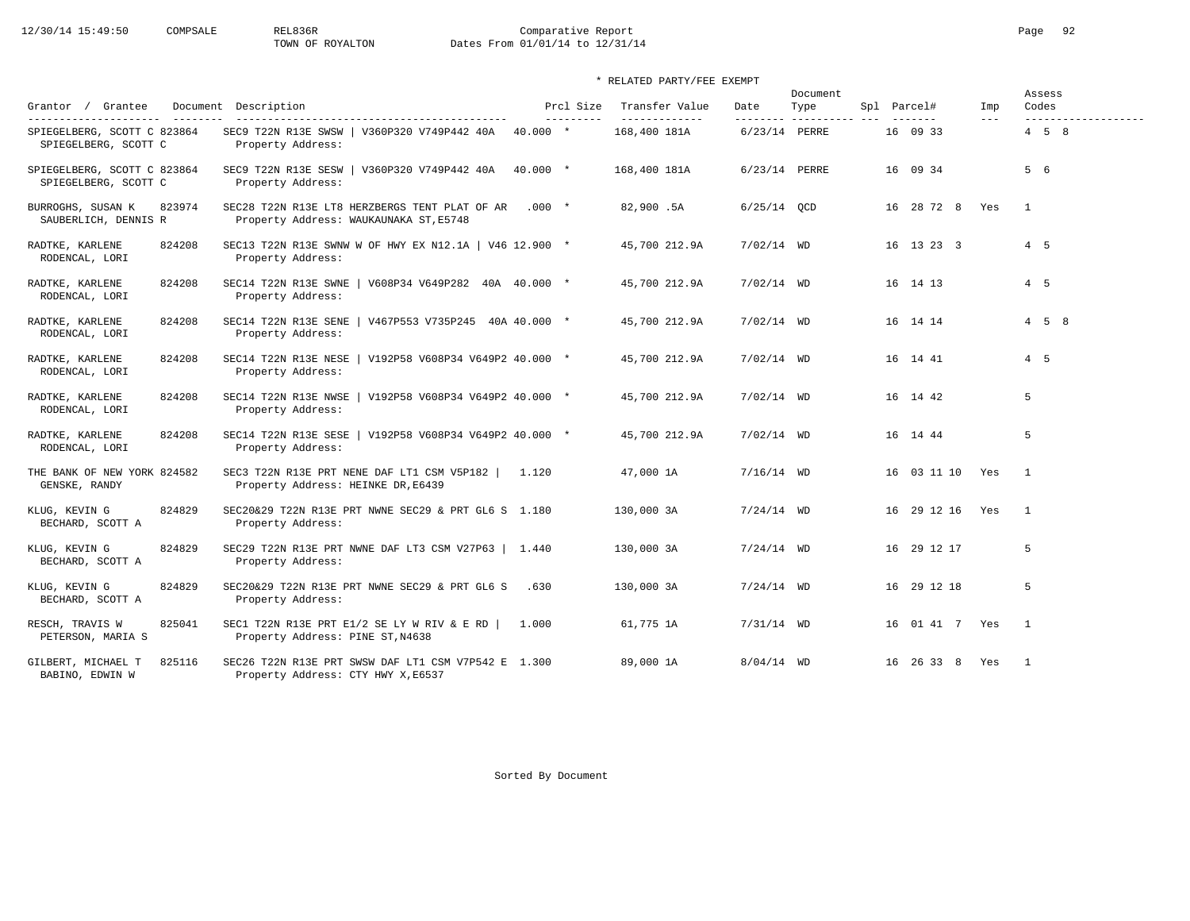# 12/30/14 15:49:50 COMPSALE REL836R Comparative Report Comparative Report Page 92<br>
TOWN OF ROYALTON Dates From 01/01/14 to 12/31/14 Dates From 01/01/14 to 12/31/14

### \* RELATED PARTY/FEE EXEMPT

|                                                          |                                                                                           |       |                         |                                 |                   | Document            |                 |                            | Assess            |                     |
|----------------------------------------------------------|-------------------------------------------------------------------------------------------|-------|-------------------------|---------------------------------|-------------------|---------------------|-----------------|----------------------------|-------------------|---------------------|
| Grantor / Grantee<br>----------------------<br>_________ | Document Description<br>-----------------------------------                               |       | Prcl Size<br>---------- | Transfer Value<br>_____________ | Date<br>--------- | Type<br>___________ | Spl Parcel#     | Imp<br>$\qquad \qquad - -$ | Codes             | ------------------- |
| SPIEGELBERG, SCOTT C 823864<br>SPIEGELBERG, SCOTT C      | SEC9 T22N R13E SWSW   V360P320 V749P442 40A 40.000 *<br>Property Address:                 |       |                         | 168,400 181A                    | 6/23/14 PERRE     |                     | 16 09 33        |                            | $4\quad 5\quad 8$ |                     |
| SPIEGELBERG, SCOTT C 823864<br>SPIEGELBERG, SCOTT C      | SEC9 T22N R13E SESW   V360P320 V749P442 40A 40.000 *<br>Property Address:                 |       |                         | 168,400 181A                    | 6/23/14 PERRE     |                     | 16 09 34        |                            | 5 6               |                     |
| 823974<br>BURROGHS, SUSAN K<br>SAUBERLICH, DENNIS R      | SEC28 T22N R13E LT8 HERZBERGS TENT PLAT OF AR<br>Property Address: WAUKAUNAKA ST, E5748   |       | $.000*$                 | 82,900.5A                       | $6/25/14$ QCD     |                     | 16 28 72 8 Yes  |                            | $\mathbf{1}$      |                     |
| RADTKE, KARLENE<br>824208<br>RODENCAL, LORI              | SEC13 T22N R13E SWNW W OF HWY EX N12.1A   V46 12.900 *<br>Property Address:               |       |                         | 45,700 212.9A                   | $7/02/14$ WD      |                     | 16 13 23 3      |                            | $4\quad 5$        |                     |
| RADTKE, KARLENE<br>824208<br>RODENCAL, LORI              | SEC14 T22N R13E SWNE<br>  $V608P34 V649P282 40A 40.000 *$<br>Property Address:            |       |                         | 45,700 212.9A                   | $7/02/14$ WD      |                     | 16 14 13        |                            | $4\quad 5$        |                     |
| 824208<br>RADTKE, KARLENE<br>RODENCAL, LORI              | SEC14 T22N R13E SENE<br>$\sqrt{467}$ P553 V735P245 40A 40.000 *<br>Property Address:      |       |                         | 45,700 212.9A                   | $7/02/14$ WD      |                     | 16 14 14        |                            | $4\quad 5\quad 8$ |                     |
| 824208<br>RADTKE, KARLENE<br>RODENCAL, LORI              | SEC14 T22N R13E NESE   V192P58 V608P34 V649P2 40.000 *<br>Property Address:               |       |                         | 45,700 212.9A                   | $7/02/14$ WD      |                     | 16 14 41        |                            | $4\quad 5$        |                     |
| 824208<br>RADTKE, KARLENE<br>RODENCAL, LORI              | SEC14 T22N R13E NWSE   V192P58 V608P34 V649P2 40.000 *<br>Property Address:               |       |                         | 45,700 212.9A                   | $7/02/14$ WD      |                     | 16 14 42        |                            | 5                 |                     |
| RADTKE, KARLENE<br>824208<br>RODENCAL, LORI              | SEC14 T22N R13E SESE   V192P58 V608P34 V649P2 40.000 *<br>Property Address:               |       |                         | 45,700 212.9A                   | $7/02/14$ WD      |                     | 16 14 44        |                            | 5                 |                     |
| THE BANK OF NEW YORK 824582<br>GENSKE, RANDY             | SEC3 T22N R13E PRT NENE DAF LT1 CSM V5P182  <br>Property Address: HEINKE DR, E6439        | 1.120 |                         | 47,000 1A                       | $7/16/14$ WD      |                     | 16 03 11 10 Yes |                            | $\overline{1}$    |                     |
| 824829<br>KLUG, KEVIN G<br>BECHARD, SCOTT A              | SEC20&29 T22N R13E PRT NWNE SEC29 & PRT GL6 S 1.180<br>Property Address:                  |       |                         | 130,000 3A                      | $7/24/14$ WD      |                     | 16 29 12 16 Yes |                            | $\overline{1}$    |                     |
| KLUG, KEVIN G<br>824829<br>BECHARD, SCOTT A              | SEC29 T22N R13E PRT NWNE DAF LT3 CSM V27P63   1.440<br>Property Address:                  |       |                         | 130,000 3A                      | $7/24/14$ WD      |                     | 16 29 12 17     |                            | 5                 |                     |
| KLUG, KEVIN G<br>824829<br>BECHARD, SCOTT A              | SEC20&29 T22N R13E PRT NWNE SEC29 & PRT GL6 S<br>Property Address:                        | .630  |                         | 130,000 3A                      | $7/24/14$ WD      |                     | 16 29 12 18     |                            | 5                 |                     |
| RESCH, TRAVIS W<br>825041<br>PETERSON, MARIA S           | SEC1 T22N R13E PRT E1/2 SE LY W RIV & E RD<br>Property Address: PINE ST, N4638            | 1,000 |                         | 61,775 1A                       | $7/31/14$ WD      |                     | 16 01 41 7 Yes  |                            | $\overline{1}$    |                     |
| 825116<br>GILBERT, MICHAEL T<br>BABINO, EDWIN W          | SEC26 T22N R13E PRT SWSW DAF LT1 CSM V7P542 E 1.300<br>Property Address: CTY HWY X, E6537 |       |                         | 89,000 1A                       | $8/04/14$ WD      |                     | 16 26 33 8      | Yes                        | $\overline{1}$    |                     |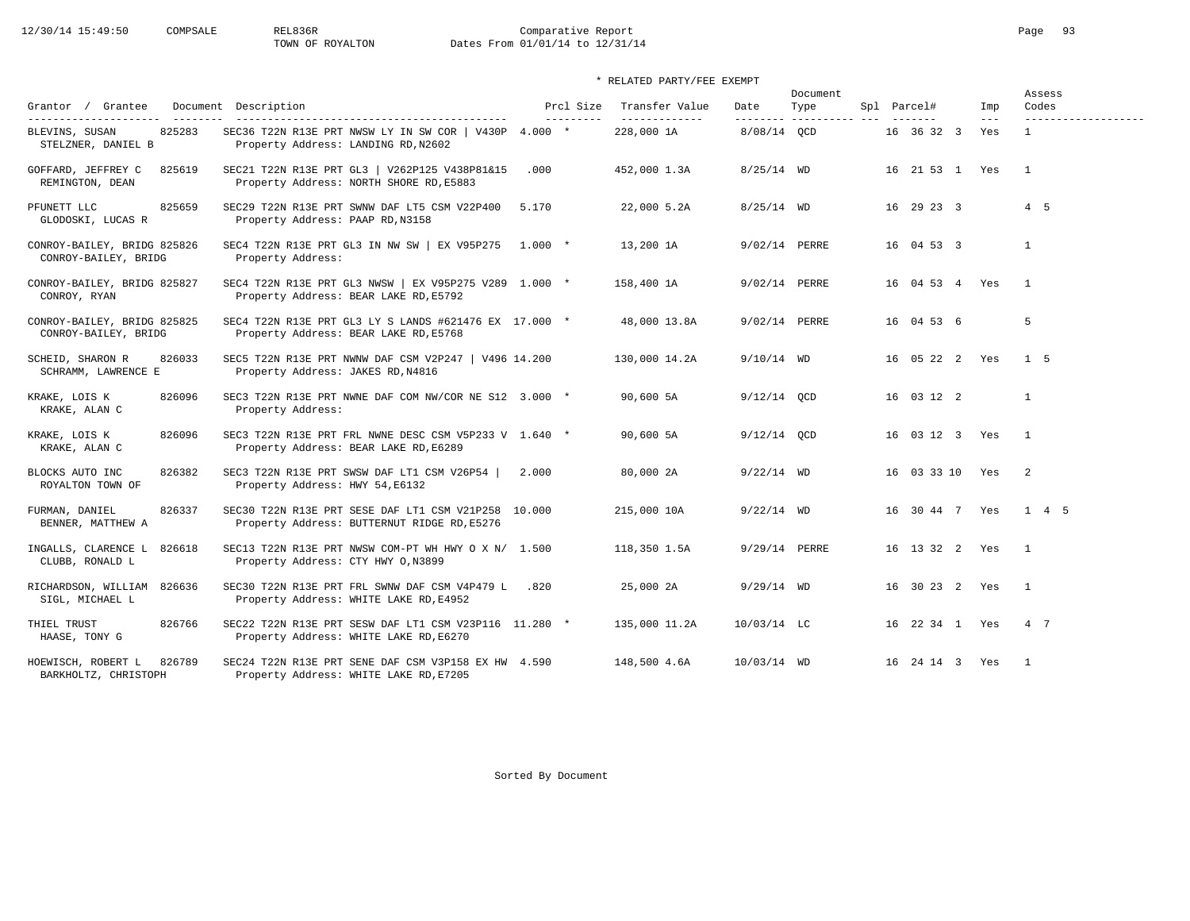# 12/30/14 15:49:50 COMPSALE REL836R Comparative Report Comparative Report Page 93<br>TOWN OF ROYALTON Dates From 01/01/14 to 12/31/14 Dates From 01/01/14 to 12/31/14

### \* RELATED PARTY/FEE EXEMPT

|                                                      |                                                                                                    |                         |                                 |                  | Document                |                    |              | Assess                       |  |  |  |  |
|------------------------------------------------------|----------------------------------------------------------------------------------------------------|-------------------------|---------------------------------|------------------|-------------------------|--------------------|--------------|------------------------------|--|--|--|--|
| Grantor / Grantee<br>---------------------           | Document Description                                                                               | Prcl Size<br>---------- | Transfer Value<br>------------- | Date<br>-------- | Type<br>----------- --- | Spl Parcel#        | Imp<br>$---$ | Codes<br>------------------- |  |  |  |  |
| 825283<br>BLEVINS, SUSAN<br>STELZNER, DANIEL B       | SEC36 T22N R13E PRT NWSW LY IN SW COR   V430P $4.000$ *<br>Property Address: LANDING RD, N2602     |                         | 228,000 1A                      | 8/08/14 OCD      |                         | 16 36 32 3         | Yes          | $\mathbf{1}$                 |  |  |  |  |
| GOFFARD, JEFFREY C<br>825619<br>REMINGTON, DEAN      | SEC21 T22N R13E PRT GL3   V262P125 V438P81&15<br>Property Address: NORTH SHORE RD, E5883           | .000                    | 452,000 1.3A                    | $8/25/14$ WD     |                         | 16 21 53 1 Yes     |              | $\overline{1}$               |  |  |  |  |
| PFUNETT LLC<br>825659<br>GLODOSKI, LUCAS R           | SEC29 T22N R13E PRT SWNW DAF LT5 CSM V22P400<br>Property Address: PAAP RD, N3158                   | 5.170                   | 22,000 5.2A                     | $8/25/14$ WD     |                         | 16 29 23 3         |              | 4 5                          |  |  |  |  |
| CONROY-BAILEY, BRIDG 825826<br>CONROY-BAILEY, BRIDG  | SEC4 T22N R13E PRT GL3 IN NW SW   EX V95P275 1.000 *<br>Property Address:                          |                         | 13,200 1A                       | 9/02/14 PERRE    |                         | 16 04 53 3         |              | $\mathbf{1}$                 |  |  |  |  |
| CONROY-BAILEY, BRIDG 825827<br>CONROY, RYAN          | SEC4 T22N R13E PRT GL3 NWSW   EX V95P275 V289 1.000 *<br>Property Address: BEAR LAKE RD, E5792     |                         | 158,400 1A                      | 9/02/14 PERRE    |                         | 16 04 53 4 Yes     |              | $\overline{1}$               |  |  |  |  |
| CONROY-BAILEY, BRIDG 825825<br>CONROY-BAILEY, BRIDG  | SEC4 T22N R13E PRT GL3 LY S LANDS #621476 EX 17.000 *<br>Property Address: BEAR LAKE RD, E5768     |                         | 48,000 13.8A                    | 9/02/14 PERRE    |                         | 16 04 53 6         |              | 5                            |  |  |  |  |
| 826033<br>SCHEID, SHARON R<br>SCHRAMM, LAWRENCE E    | SEC5 T22N R13E PRT NWNW DAF CSM V2P247   V496 14.200<br>Property Address: JAKES RD, N4816          |                         | 130,000 14.2A                   | $9/10/14$ WD     |                         | 16 05 22 2 Yes     |              | 1 <sub>5</sub>               |  |  |  |  |
| 826096<br>KRAKE, LOIS K<br>KRAKE, ALAN C             | SEC3 T22N R13E PRT NWNE DAF COM NW/COR NE S12 3.000 *<br>Property Address:                         |                         | 90,600 5A                       | $9/12/14$ OCD    |                         | 16 03 12 2         |              | $\mathbf{1}$                 |  |  |  |  |
| KRAKE, LOIS K<br>826096<br>KRAKE, ALAN C             | SEC3 T22N R13E PRT FRL NWNE DESC CSM V5P233 V 1.640 *<br>Property Address: BEAR LAKE RD, E6289     |                         | 90,600 5A                       | $9/12/14$ OCD    |                         | 16 03 12 3 Yes     |              | $\overline{1}$               |  |  |  |  |
| 826382<br>BLOCKS AUTO INC<br>ROYALTON TOWN OF        | SEC3 T22N R13E PRT SWSW DAF LT1 CSM V26P54  <br>Property Address: HWY 54, E6132                    | 2.000                   | 80,000 2A                       | $9/22/14$ WD     |                         | 16 03 33 10 Yes    |              | $\overline{2}$               |  |  |  |  |
| FURMAN, DANIEL<br>826337<br>BENNER, MATTHEW A        | SEC30 T22N R13E PRT SESE DAF LT1 CSM V21P258 10.000<br>Property Address: BUTTERNUT RIDGE RD, E5276 |                         | 215,000 10A                     | $9/22/14$ WD     |                         | 16 30 44 7 Yes     |              | 1 4 5                        |  |  |  |  |
| INGALLS, CLARENCE L 826618<br>CLUBB, RONALD L        | SEC13 T22N R13E PRT NWSW COM-PT WH HWY O X N/ 1.500<br>Property Address: CTY HWY 0, N3899          |                         | 118,350 1.5A                    | 9/29/14 PERRE    |                         | 16  13  32  2  Yes |              | $\overline{1}$               |  |  |  |  |
| RICHARDSON, WILLIAM 826636<br>SIGL, MICHAEL L        | SEC30 T22N R13E PRT FRL SWNW DAF CSM V4P479 L .820<br>Property Address: WHITE LAKE RD, E4952       |                         | 25,000 2A                       | $9/29/14$ WD     |                         | 16 30 23 2 Yes     |              | $\overline{1}$               |  |  |  |  |
| THIEL TRUST<br>826766<br>HAASE, TONY G               | SEC22 T22N R13E PRT SESW DAF LT1 CSM V23P116 11.280 *<br>Property Address: WHITE LAKE RD, E6270    |                         | 135,000 11.2A                   | $10/03/14$ LC    |                         | 16 22 34 1 Yes     |              | 4 7                          |  |  |  |  |
| HOEWISCH, ROBERT L<br>826789<br>BARKHOLTZ, CHRISTOPH | SEC24 T22N R13E PRT SENE DAF CSM V3P158 EX HW 4.590<br>Property Address: WHITE LAKE RD, E7205      |                         | 148,500 4.6A                    | 10/03/14 WD      |                         | 16 24 14 3 Yes     |              | $\overline{1}$               |  |  |  |  |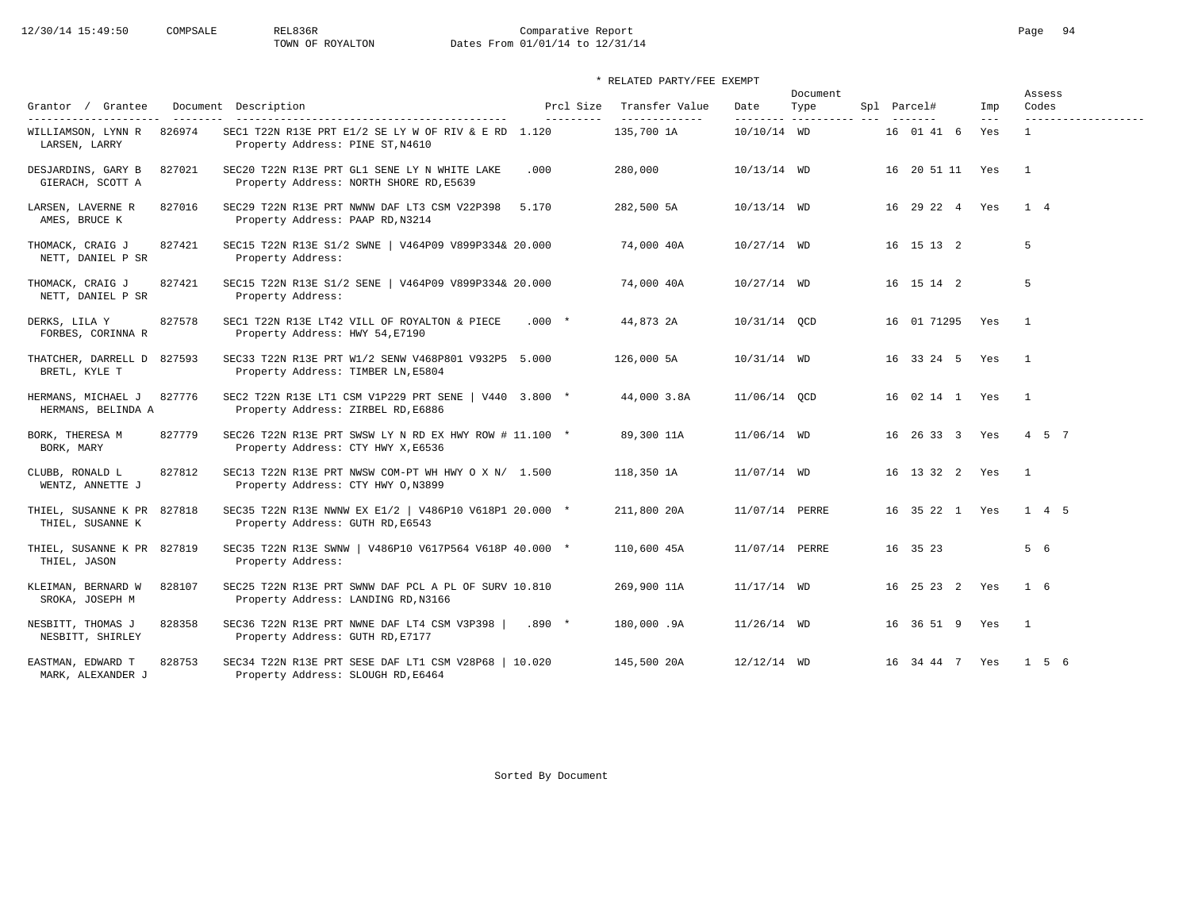# 12/30/14 15:49:50 COMPSALE REL836R Comparative Report Comparative Report Page 94 Dates From 01/01/14 to 12/31/14

### \* RELATED PARTY/FEE EXEMPT

| Grantor / Grantee                              |        | Document Description                                                                                                             | Prcl Size  | Transfer Value               | Date           | Document<br>Type        | Spl Parcel#        | Imp                        | Assess<br>Codes                     |
|------------------------------------------------|--------|----------------------------------------------------------------------------------------------------------------------------------|------------|------------------------------|----------------|-------------------------|--------------------|----------------------------|-------------------------------------|
| WILLIAMSON, LYNN R<br>LARSEN, LARRY            | 826974 | -------------------------------------<br>SEC1 T22N R13E PRT E1/2 SE LY W OF RIV & E RD 1.120<br>Property Address: PINE ST, N4610 | ---------- | --------------<br>135,700 1A | 10/10/14 WD    | -------- ---------- --- | 16 01 41 6         | $\qquad \qquad - -$<br>Yes | -------------------<br>$\mathbf{1}$ |
| DESJARDINS, GARY B<br>GIERACH, SCOTT A         | 827021 | SEC20 T22N R13E PRT GL1 SENE LY N WHITE LAKE<br>Property Address: NORTH SHORE RD, E5639                                          | .000       | 280,000                      | $10/13/14$ WD  |                         | 16 20 51 11 Yes    |                            | $\overline{1}$                      |
| LARSEN, LAVERNE R<br>AMES, BRUCE K             | 827016 | SEC29 T22N R13E PRT NWNW DAF LT3 CSM V22P398<br>Property Address: PAAP RD, N3214                                                 | 5.170      | 282,500 5A                   | 10/13/14 WD    |                         | 16 29 22 4 Yes     |                            | $1 \quad 4$                         |
| THOMACK, CRAIG J<br>NETT, DANIEL P SR          | 827421 | SEC15 T22N R13E S1/2 SWNE   V464P09 V899P334& 20.000<br>Property Address:                                                        |            | 74,000 40A                   | $10/27/14$ WD  |                         | 16 15 13 2         |                            | 5                                   |
| THOMACK, CRAIG J<br>NETT, DANIEL P SR          | 827421 | SEC15 T22N R13E S1/2 SENE   V464P09 V899P334& 20.000<br>Property Address:                                                        |            | 74,000 40A                   | $10/27/14$ WD  |                         | 16 15 14 2         |                            | 5                                   |
| DERKS, LILA Y<br>FORBES, CORINNA R             | 827578 | SEC1 T22N R13E LT42 VILL OF ROYALTON & PIECE<br>Property Address: HWY 54, E7190                                                  | $.000*$    | 44,873 2A                    | 10/31/14 QCD   |                         | 16 01 71295 Yes    |                            | $\overline{1}$                      |
| THATCHER, DARRELL D 827593<br>BRETL, KYLE T    |        | SEC33 T22N R13E PRT W1/2 SENW V468P801 V932P5 5.000<br>Property Address: TIMBER LN, E5804                                        |            | 126,000 5A                   | 10/31/14 WD    |                         | 16 33 24 5 Yes     |                            | $\mathbf{1}$                        |
| HERMANS, MICHAEL J<br>HERMANS, BELINDA A       | 827776 | SEC2 T22N R13E LT1 CSM V1P229 PRT SENE   V440 3.800 *<br>Property Address: ZIRBEL RD, E6886                                      |            | 44,000 3.8A                  | 11/06/14 OCD   |                         | 16 02 14 1 Yes     |                            | $\overline{\phantom{a}}$            |
| BORK, THERESA M<br>BORK, MARY                  | 827779 | SEC26 T22N R13E PRT SWSW LY N RD EX HWY ROW # 11.100 *<br>Property Address: CTY HWY X, E6536                                     |            | 89,300 11A                   | 11/06/14 WD    |                         | 16 26 33 3 Yes     |                            | 4 5 7                               |
| CLUBB, RONALD L<br>WENTZ, ANNETTE J            | 827812 | SEC13 T22N R13E PRT NWSW COM-PT WH HWY O X N/ 1.500<br>Property Address: CTY HWY 0, N3899                                        |            | 118,350 1A                   | 11/07/14 WD    |                         | 16  13  32  2  Yes |                            | $\overline{1}$                      |
| THIEL, SUSANNE K PR 827818<br>THIEL, SUSANNE K |        | SEC35 T22N R13E NWNW EX E1/2   V486P10 V618P1 20.000 *<br>Property Address: GUTH RD, E6543                                       |            | 211,800 20A                  | 11/07/14 PERRE |                         | 16 35 22 1 Yes     |                            | $1 \quad 4 \quad 5$                 |
| THIEL, SUSANNE K PR 827819<br>THIEL, JASON     |        | SEC35 T22N R13E SWNW   V486P10 V617P564 V618P 40.000 *<br>Property Address:                                                      |            | 110,600 45A                  | 11/07/14 PERRE |                         | 16 35 23           |                            | 5 6                                 |
| KLEIMAN, BERNARD W<br>SROKA, JOSEPH M          | 828107 | SEC25 T22N R13E PRT SWNW DAF PCL A PL OF SURV 10.810<br>Property Address: LANDING RD, N3166                                      |            | 269,900 11A                  | $11/17/14$ WD  |                         | 16 25 23 2 Yes     |                            | $1\quad 6$                          |
| NESBITT, THOMAS J<br>NESBITT, SHIRLEY          | 828358 | SEC36 T22N R13E PRT NWNE DAF LT4 CSM V3P398  <br>Property Address: GUTH RD, E7177                                                | $.890 *$   | 180,000.9A                   | $11/26/14$ WD  |                         | 16 36 51 9 Yes     |                            | $\overline{1}$                      |
| EASTMAN, EDWARD T<br>MARK, ALEXANDER J         | 828753 | SEC34 T22N R13E PRT SESE DAF LT1 CSM V28P68   10.020<br>Property Address: SLOUGH RD, E6464                                       |            | 145,500 20A                  | $12/12/14$ WD  |                         | 16 34 44 7 Yes     |                            | 156                                 |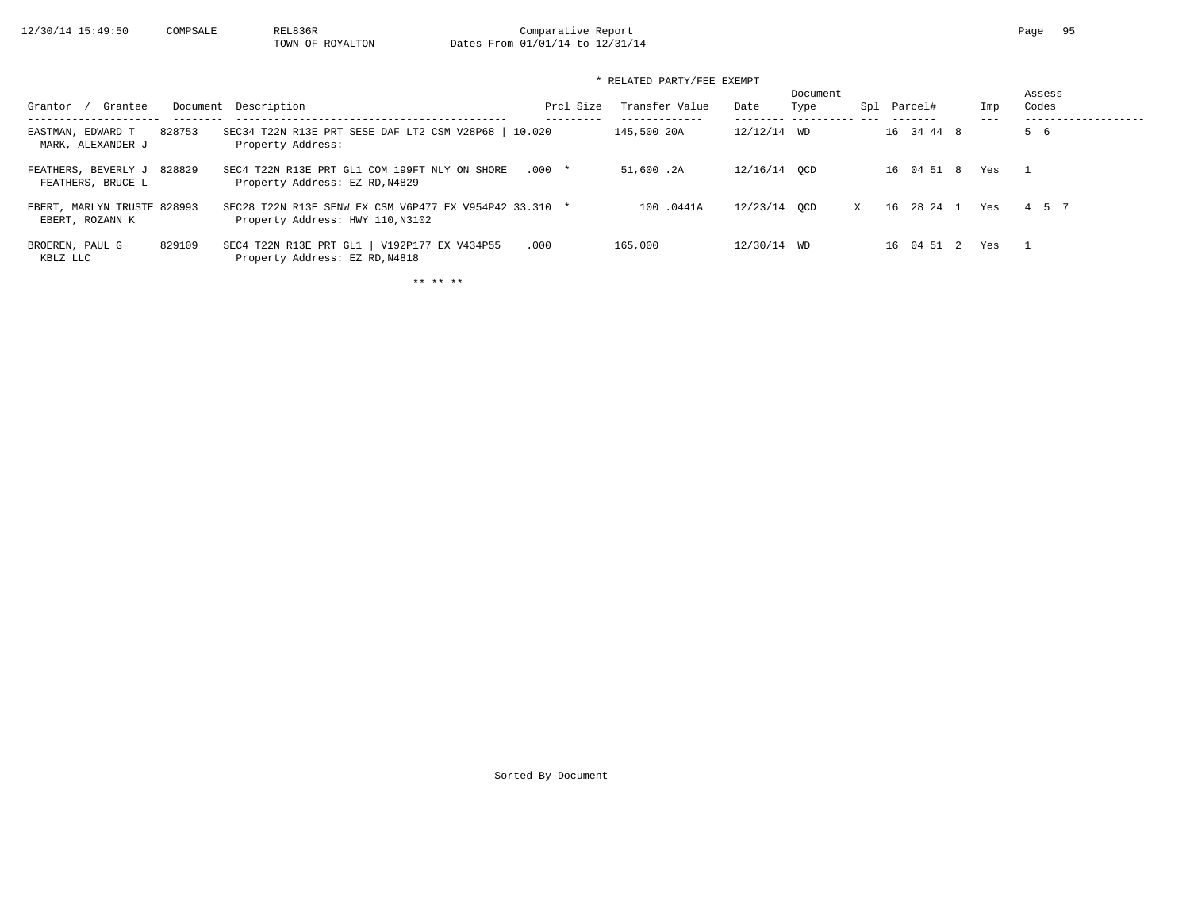### \* RELATED PARTY/FEE EXEMPT

| Document Description<br>Grantee<br>Grantor                                                                                         | Prcl Size                                              | Transfer Value | Date         | Document<br>Type | Spl          | Parcel#    | Imp | Assess<br>Codes          |
|------------------------------------------------------------------------------------------------------------------------------------|--------------------------------------------------------|----------------|--------------|------------------|--------------|------------|-----|--------------------------|
| 828753<br>EASTMAN, EDWARD T<br>Property Address:<br>MARK, ALEXANDER J                                                              | SEC34 T22N R13E PRT SESE DAF LT2 CSM V28P68   10.020   | 145,500 20A    | 12/12/14 WD  |                  |              | 16 34 44 8 |     | 5 6                      |
| FEATHERS, BEVERLY J 828829<br>SEC4 T22N R13E PRT GL1 COM 199FT NLY ON SHORE<br>Property Address: EZ RD, N4829<br>FEATHERS, BRUCE L | $.000*$                                                | 51,600.2A      | 12/16/14 OCD |                  |              | 16 04 51 8 | Yes | $\overline{\phantom{1}}$ |
| EBERT, MARLYN TRUSTE 828993<br>Property Address: HWY 110, N3102<br>EBERT, ROZANN K                                                 | SEC28 T22N R13E SENW EX CSM V6P477 EX V954P42 33.310 * | 100.0441A      | 12/23/14 OCD |                  | $\mathbf{x}$ | 16 28 24 1 | Yes | 4 5 7                    |
| SEC4 T22N R13E PRT GL1   V192P177 EX V434P55<br>829109<br>BROEREN, PAUL G<br>Property Address: EZ RD, N4818<br>KBLZ LLC            | .000                                                   | 165,000        | 12/30/14 WD  |                  |              | 16 04 51 2 | Yes | $\mathbf{1}$             |

\*\* \*\* \*\*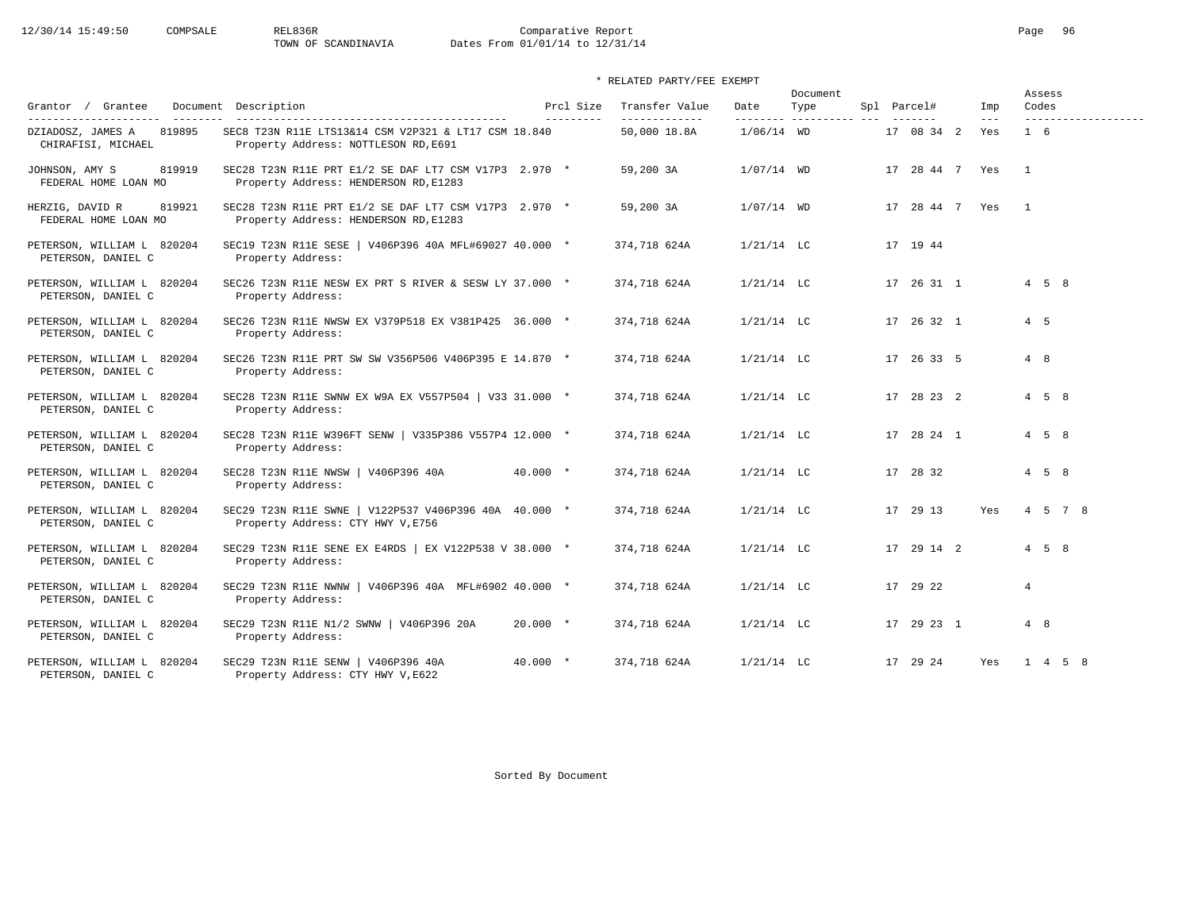12/30/14 15:49:50 COMPSALE REL836R Comparative Report Comparative Report Page 96 Dates From 01/01/14 to 12/31/14

\* RELATED PARTY/FEE EXEMPT

| Grantor / Grantee                                                          | Document Description                                                                           | Prcl Size  | Transfer Value                | Date         | Document<br>Type        | Spl Parcel# |                               | Imp            | Assess<br>Codes   |         |                     |
|----------------------------------------------------------------------------|------------------------------------------------------------------------------------------------|------------|-------------------------------|--------------|-------------------------|-------------|-------------------------------|----------------|-------------------|---------|---------------------|
| ---------------------<br>DZIADOSZ, JAMES A<br>819895<br>CHIRAFISI, MICHAEL | SEC8 T23N R11E LTS13&14 CSM V2P321 & LT17 CSM 18.840<br>Property Address: NOTTLESON RD, E691   | ---------  | -------------<br>50,000 18.8A | $1/06/14$ WD | -------- ---------- --- |             | $- - - - - - -$<br>17 08 34 2 | $- - -$<br>Yes | $1\quad 6$        |         | ------------------- |
| JOHNSON, AMY S<br>819919<br>FEDERAL HOME LOAN MO                           | SEC28 T23N R11E PRT E1/2 SE DAF LT7 CSM V17P3 2.970 *<br>Property Address: HENDERSON RD, E1283 |            | 59,200 3A                     | $1/07/14$ WD |                         |             | 17 28 44 7 Yes                |                | $\overline{1}$    |         |                     |
| HERZIG, DAVID R<br>819921<br>FEDERAL HOME LOAN MO                          | SEC28 T23N R11E PRT E1/2 SE DAF LT7 CSM V17P3 2.970 *<br>Property Address: HENDERSON RD, E1283 |            | 59,200 3A                     | $1/07/14$ WD |                         |             | 17 28 44 7 Yes                |                | $\overline{1}$    |         |                     |
| PETERSON, WILLIAM L 820204<br>PETERSON, DANIEL C                           | SEC19 T23N R11E SESE   V406P396 40A MFL#69027 40.000 *<br>Property Address:                    |            | 374,718 624A                  | $1/21/14$ LC |                         |             | 17 19 44                      |                |                   |         |                     |
| PETERSON, WILLIAM L 820204<br>PETERSON, DANIEL C                           | SEC26 T23N R11E NESW EX PRT S RIVER & SESW LY 37.000 *<br>Property Address:                    |            | 374,718 624A                  | $1/21/14$ LC |                         |             | 17 26 31 1                    |                | $4\quad 5\quad 8$ |         |                     |
| PETERSON, WILLIAM L 820204<br>PETERSON, DANIEL C                           | SEC26 T23N R11E NWSW EX V379P518 EX V381P425 36.000 *<br>Property Address:                     |            | 374,718 624A                  | $1/21/14$ LC |                         |             | 17 26 32 1                    |                | $4\quad 5$        |         |                     |
| PETERSON, WILLIAM L 820204<br>PETERSON, DANIEL C                           | SEC26 T23N R11E PRT SW SW V356P506 V406P395 E 14.870 *<br>Property Address:                    |            | 374,718 624A                  | $1/21/14$ LC |                         |             | 17 26 33 5                    |                | 4 8               |         |                     |
| PETERSON, WILLIAM L 820204<br>PETERSON, DANIEL C                           | SEC28 T23N R11E SWNW EX W9A EX V557P504   V33 31.000 *<br>Property Address:                    |            | 374,718 624A                  | $1/21/14$ LC |                         |             | 17 28 23 2                    |                | $4\quad 5\quad 8$ |         |                     |
| PETERSON, WILLIAM L 820204<br>PETERSON, DANIEL C                           | SEC28 T23N R11E W396FT SENW   V335P386 V557P4 12.000 *<br>Property Address:                    |            | 374,718 624A                  | $1/21/14$ LC |                         |             | 17 28 24 1                    |                | $4\quad 5\quad 8$ |         |                     |
| PETERSON, WILLIAM L 820204<br>PETERSON, DANIEL C                           | SEC28 T23N R11E NWSW   V406P396 40A<br>Property Address:                                       | $40.000 *$ | 374,718 624A                  | $1/21/14$ LC |                         |             | 17 28 32                      |                | $4\quad 5\quad 8$ |         |                     |
| PETERSON, WILLIAM L 820204<br>PETERSON, DANIEL C                           | SEC29 T23N R11E SWNE   V122P537 V406P396 40A 40.000 *<br>Property Address: CTY HWY V, E756     |            | 374,718 624A                  | $1/21/14$ LC |                         |             | 17 29 13                      | Yes            |                   | 4 5 7 8 |                     |
| PETERSON, WILLIAM L 820204<br>PETERSON, DANIEL C                           | SEC29 T23N R11E SENE EX E4RDS   EX V122P538 V 38.000 *<br>Property Address:                    |            | 374,718 624A                  | $1/21/14$ LC |                         |             | 17 29 14 2                    |                | $4\quad 5\quad 8$ |         |                     |
| PETERSON, WILLIAM L 820204<br>PETERSON, DANIEL C                           | SEC29 T23N R11E NWNW   V406P396 40A MFL#6902 40.000 *<br>Property Address:                     |            | 374,718 624A                  | $1/21/14$ LC |                         |             | 17 29 22                      |                | $\overline{4}$    |         |                     |
| PETERSON, WILLIAM L 820204<br>PETERSON, DANIEL C                           | SEC29 T23N R11E N1/2 SWNW   V406P396 20A<br>Property Address:                                  | $20.000 *$ | 374,718 624A                  | $1/21/14$ LC |                         |             | 17 29 23 1                    |                | 4 8               |         |                     |
| PETERSON, WILLIAM L 820204<br>PETERSON, DANIEL C                           | SEC29 T23N R11E SENW   V406P396 40A<br>Property Address: CTY HWY V, E622                       | $40.000 *$ | 374,718 624A                  | $1/21/14$ LC |                         |             | 17 29 24                      | Yes            |                   | 1 4 5 8 |                     |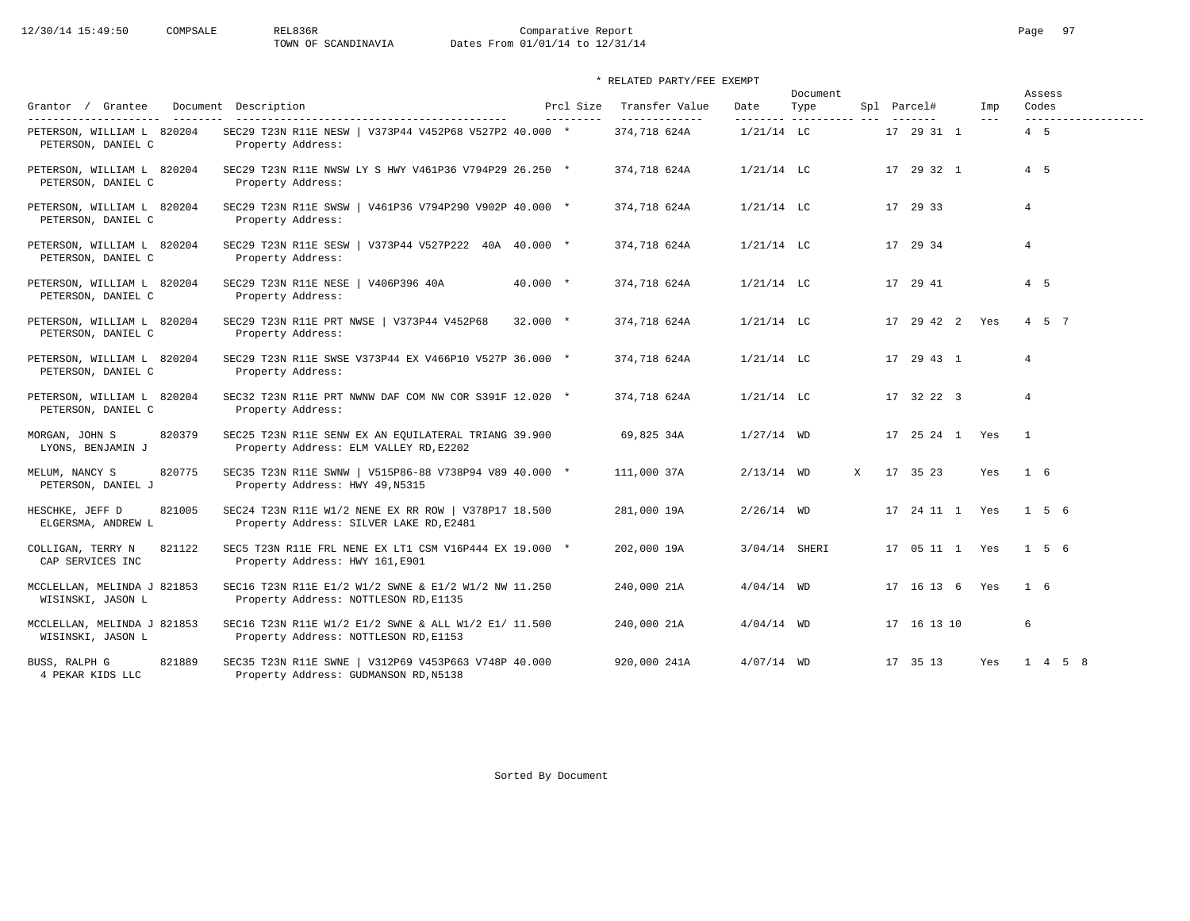12/30/14 15:49:50 COMPSALE REL836R Comparative Report Comparative Report Page 97<br>TOWN OF SCANDINAVIA Dates From 01/01/14 to 12/31/14 Dates From 01/01/14 to 12/31/14

\* RELATED PARTY/FEE EXEMPT

| Grantor / Grantee                                                         | Document Description                                                                            | Prcl Size  | Transfer Value                | Date                      | Document<br>Type |   | Spl Parcel#           | Imp     | Codes          | Assess  |                     |
|---------------------------------------------------------------------------|-------------------------------------------------------------------------------------------------|------------|-------------------------------|---------------------------|------------------|---|-----------------------|---------|----------------|---------|---------------------|
| ---------------------<br>PETERSON, WILLIAM L 820204<br>PETERSON, DANIEL C | SEC29 T23N R11E NESW   V373P44 V452P68 V527P2 40.000 *<br>Property Address:                     | ---------  | -------------<br>374,718 624A | ---------<br>$1/21/14$ LC | ----------- ---  |   | -------<br>17 29 31 1 | $- - -$ | $4\quad 5$     |         | ------------------- |
| PETERSON, WILLIAM L 820204<br>PETERSON, DANIEL C                          | SEC29 T23N R11E NWSW LY S HWY V461P36 V794P29 26.250 *<br>Property Address:                     |            | 374,718 624A                  | $1/21/14$ LC              |                  |   | 17 29 32 1            |         | $4\quad 5$     |         |                     |
| PETERSON, WILLIAM L 820204<br>PETERSON, DANIEL C                          | SEC29 T23N R11E SWSW   V461P36 V794P290 V902P 40.000 *<br>Property Address:                     |            | 374,718 624A                  | $1/21/14$ LC              |                  |   | 17 29 33              |         | $\overline{4}$ |         |                     |
| PETERSON, WILLIAM L 820204<br>PETERSON, DANIEL C                          | SEC29 T23N R11E SESW   V373P44 V527P222 40A 40.000 *<br>Property Address:                       |            | 374,718 624A                  | $1/21/14$ LC              |                  |   | 17 29 34              |         | $\overline{4}$ |         |                     |
| PETERSON, WILLIAM L 820204<br>PETERSON, DANIEL C                          | SEC29 T23N R11E NESE   V406P396 40A<br>Property Address:                                        | $40.000 *$ | 374,718 624A                  | $1/21/14$ LC              |                  |   | 17 29 41              |         | $4\quad 5$     |         |                     |
| PETERSON, WILLIAM L 820204<br>PETERSON, DANIEL C                          | SEC29 T23N R11E PRT NWSE   V373P44 V452P68<br>Property Address:                                 | $32.000 *$ | 374,718 624A                  | $1/21/14$ LC              |                  |   | 17 29 42 2 Yes        |         |                | 4 5 7   |                     |
| PETERSON, WILLIAM L 820204<br>PETERSON, DANIEL C                          | SEC29 T23N R11E SWSE V373P44 EX V466P10 V527P 36.000 *<br>Property Address:                     |            | 374,718 624A                  | $1/21/14$ LC              |                  |   | 17 29 43 1            |         | $\overline{4}$ |         |                     |
| PETERSON, WILLIAM L 820204<br>PETERSON, DANIEL C                          | SEC32 T23N R11E PRT NWNW DAF COM NW COR S391F 12.020 *<br>Property Address:                     |            | 374,718 624A                  | $1/21/14$ LC              |                  |   | 17 32 22 3            |         | $\overline{4}$ |         |                     |
| 820379<br>MORGAN, JOHN S<br>LYONS, BENJAMIN J                             | SEC25 T23N R11E SENW EX AN EQUILATERAL TRIANG 39.900<br>Property Address: ELM VALLEY RD, E2202  |            | 69,825 34A                    | $1/27/14$ WD              |                  |   | 17 25 24 1 Yes        |         | $\overline{1}$ |         |                     |
| 820775<br>MELUM, NANCY S<br>PETERSON, DANIEL J                            | SEC35 T23N R11E SWNW   V515P86-88 V738P94 V89 40.000 *<br>Property Address: HWY 49, N5315       |            | 111,000 37A                   | $2/13/14$ WD              |                  | X | 17 35 23              | Yes     | $1\quad 6$     |         |                     |
| HESCHKE, JEFF D<br>821005<br>ELGERSMA, ANDREW L                           | SEC24 T23N R11E W1/2 NENE EX RR ROW   V378P17 18.500<br>Property Address: SILVER LAKE RD, E2481 |            | 281,000 19A                   | $2/26/14$ WD              |                  |   | 17 24 11 1 Yes        |         |                | 1 5 6   |                     |
| COLLIGAN, TERRY N<br>821122<br>CAP SERVICES INC                           | SEC5 T23N R11E FRL NENE EX LT1 CSM V16P444 EX 19.000 *<br>Property Address: HWY 161, E901       |            | 202,000 19A                   | 3/04/14 SHERI             |                  |   | 17 05 11 1 Yes        |         |                | 1 5 6   |                     |
| MCCLELLAN, MELINDA J 821853<br>WISINSKI, JASON L                          | SEC16 T23N R11E E1/2 W1/2 SWNE & E1/2 W1/2 NW 11.250<br>Property Address: NOTTLESON RD, E1135   |            | 240,000 21A                   | $4/04/14$ WD              |                  |   | 17 16 13 6 Yes        |         | 1 6            |         |                     |
| MCCLELLAN, MELINDA J 821853<br>WISINSKI, JASON L                          | SEC16 T23N R11E W1/2 E1/2 SWNE & ALL W1/2 E1/ 11.500<br>Property Address: NOTTLESON RD, E1153   |            | 240,000 21A                   | $4/04/14$ WD              |                  |   | 17 16 13 10           |         | 6              |         |                     |
| 821889<br>BUSS, RALPH G<br>4 PEKAR KIDS LLC                               | SEC35 T23N R11E SWNE   V312P69 V453P663 V748P 40.000<br>Property Address: GUDMANSON RD, N5138   |            | 920,000 241A                  | $4/07/14$ WD              |                  |   | 17 35 13              | Yes     |                | 1 4 5 8 |                     |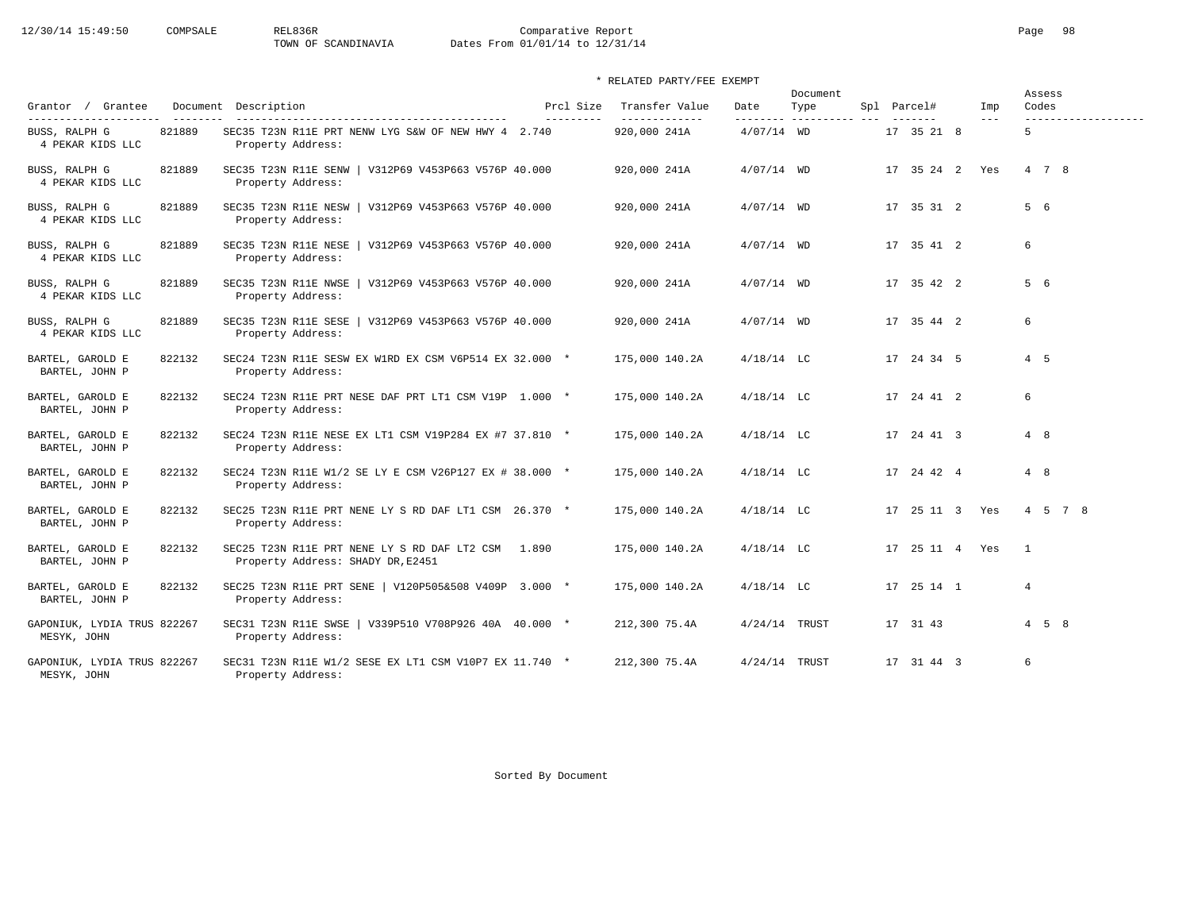# 12/30/14 15:49:50 COMPSALE REL836R Comparative Report Comparative Report Page 98<br>TOWN OF SCANDINAVIA Dates From 01/01/14 to 12/31/14 Dates From 01/01/14 to 12/31/14

### \* RELATED PARTY/FEE EXEMPT

|                                            |        |                                                                                         |                        |                                 |                 | Document |                |                | Assess            |
|--------------------------------------------|--------|-----------------------------------------------------------------------------------------|------------------------|---------------------------------|-----------------|----------|----------------|----------------|-------------------|
| Grantor / Grantee                          |        | Document Description                                                                    | Prcl Size<br>--------- | Transfer Value<br>------------- | Date            | Type     | Spl Parcel#    | Imp<br>$- - -$ | Codes             |
| BUSS, RALPH G<br>4 PEKAR KIDS LLC          | 821889 | SEC35 T23N R11E PRT NENW LYG S&W OF NEW HWY 4 2.740<br>Property Address:                |                        | 920,000 241A                    | $4/07/14$ WD    |          | 17 35 21 8     |                | 5                 |
| BUSS, RALPH G<br>4 PEKAR KIDS LLC          | 821889 | SEC35 T23N R11E SENW<br>  V312P69 V453P663 V576P 40.000<br>Property Address:            |                        | 920,000 241A                    | $4/07/14$ WD    |          | 17 35 24 2 Yes |                | 4 7 8             |
| BUSS, RALPH G<br>4 PEKAR KIDS LLC          | 821889 | SEC35 T23N R11E NESW<br>V312P69 V453P663 V576P 40.000<br>Property Address:              |                        | 920,000 241A                    | $4/07/14$ WD    |          | 17 35 31 2     |                | 5 6               |
| BUSS, RALPH G<br>4 PEKAR KIDS LLC          | 821889 | SEC35 T23N R11E NESE   V312P69 V453P663 V576P 40.000<br>Property Address:               |                        | 920,000 241A                    | $4/07/14$ WD    |          | 17 35 41 2     |                | 6                 |
| BUSS, RALPH G<br>4 PEKAR KIDS LLC          | 821889 | SEC35 T23N R11E NWSE<br>  V312P69 V453P663 V576P 40.000<br>Property Address:            |                        | 920,000 241A                    | $4/07/14$ WD    |          | 17 35 42 2     |                | 5 6               |
| BUSS, RALPH G<br>4 PEKAR KIDS LLC          | 821889 | SEC35 T23N R11E SESE<br>  V312P69 V453P663 V576P 40.000<br>Property Address:            |                        | 920,000 241A                    | $4/07/14$ WD    |          | 17 35 44 2     |                | 6                 |
| BARTEL, GAROLD E<br>BARTEL, JOHN P         | 822132 | SEC24 T23N R11E SESW EX W1RD EX CSM V6P514 EX 32.000 *<br>Property Address:             |                        | 175,000 140.2A                  | $4/18/14$ LC    |          | 17 24 34 5     |                | 4 5               |
| BARTEL, GAROLD E<br>BARTEL, JOHN P         | 822132 | SEC24 T23N R11E PRT NESE DAF PRT LT1 CSM V19P 1.000 *<br>Property Address:              |                        | 175,000 140.2A                  | $4/18/14$ LC    |          | 17  24  41  2  |                | 6                 |
| BARTEL, GAROLD E<br>BARTEL, JOHN P         | 822132 | SEC24 T23N R11E NESE EX LT1 CSM V19P284 EX #7 37.810 *<br>Property Address:             |                        | 175,000 140.2A                  | $4/18/14$ LC    |          | 17 24 41 3     |                | 4 8               |
| BARTEL, GAROLD E<br>BARTEL, JOHN P         | 822132 | SEC24 T23N R11E W1/2 SE LY E CSM V26P127 EX # 38.000 *<br>Property Address:             |                        | 175,000 140.2A                  | $4/18/14$ LC    |          | 17 24 42 4     |                | 4 8               |
| BARTEL, GAROLD E<br>BARTEL, JOHN P         | 822132 | SEC25 T23N R11E PRT NENE LY S RD DAF LT1 CSM 26.370 *<br>Property Address:              |                        | 175,000 140.2A                  | $4/18/14$ LC    |          | 17 25 11 3 Yes |                | 4 5 7 8           |
| BARTEL, GAROLD E<br>BARTEL, JOHN P         | 822132 | SEC25 T23N R11E PRT NENE LY S RD DAF LT2 CSM 1.890<br>Property Address: SHADY DR, E2451 |                        | 175,000 140.2A                  | $4/18/14$ LC    |          | 17 25 11 4 Yes |                | $\mathbf{1}$      |
| BARTEL, GAROLD E<br>BARTEL, JOHN P         | 822132 | SEC25 T23N R11E PRT SENE   V120P505&508 V409P 3.000 *<br>Property Address:              |                        | 175,000 140.2A                  | $4/18/14$ LC    |          | 17 25 14 1     |                | $\overline{4}$    |
| GAPONIUK, LYDIA TRUS 822267<br>MESYK, JOHN |        | SEC31 T23N R11E SWSE<br>$\sqrt{339}P510 V708P926 40A 40.000 *$<br>Property Address:     |                        | 212,300 75.4A                   | $4/24/14$ TRUST |          | 17 31 43       |                | $4\quad 5\quad 8$ |
| GAPONIUK, LYDIA TRUS 822267<br>MESYK, JOHN |        | SEC31 T23N R11E W1/2 SESE EX LT1 CSM V10P7 EX 11.740 *<br>Property Address:             |                        | 212,300 75.4A                   | $4/24/14$ TRUST |          | 17 31 44 3     |                | 6                 |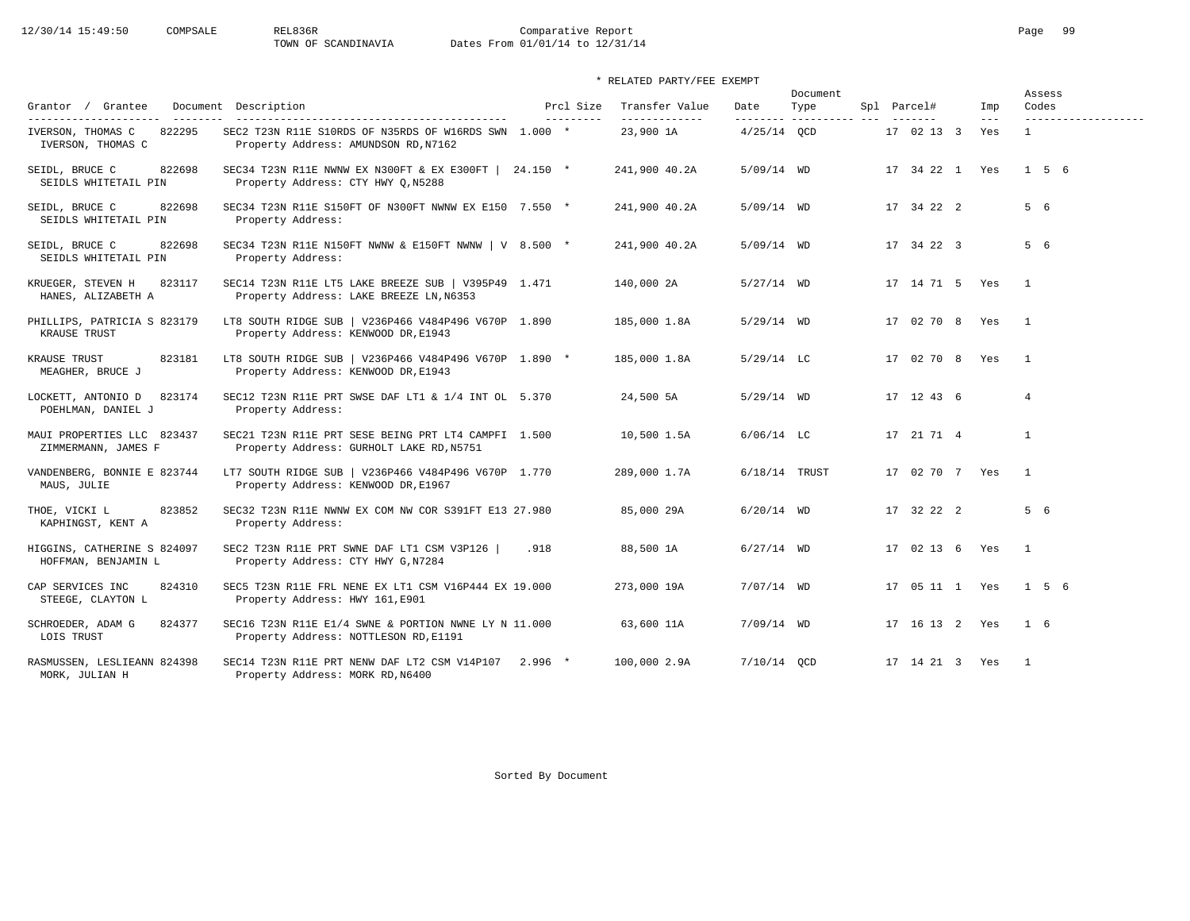12/30/14 15:49:50 COMPSALE REL836R Comparative Report Comparative Report Page 99

Dates From 01/01/14 to 12/31/14

\* RELATED PARTY/FEE EXEMPT

| Grantor / Grantee                                  | Document Description                                                                                                                   | Prcl Size | Transfer Value             | Date            | Document<br>Type        | Spl Parcel#    | Imp          | Assess<br>Codes                     |
|----------------------------------------------------|----------------------------------------------------------------------------------------------------------------------------------------|-----------|----------------------------|-----------------|-------------------------|----------------|--------------|-------------------------------------|
| IVERSON, THOMAS C<br>822295<br>IVERSON, THOMAS C   | -------------------------------------<br>SEC2 T23N R11E S10RDS OF N35RDS OF W16RDS SWN 1.000 *<br>Property Address: AMUNDSON RD, N7162 | --------- | -------------<br>23,900 1A | $4/25/14$ OCD   | -------- ---------- --- | 17 02 13 3     | $---$<br>Yes | -------------------<br>$\mathbf{1}$ |
| 822698<br>SEIDL, BRUCE C<br>SEIDLS WHITETAIL PIN   | SEC34 T23N R11E NWNW EX N300FT & EX E300FT   24.150 *<br>Property Address: CTY HWY Q, N5288                                            |           | 241,900 40.2A              | $5/09/14$ WD    |                         | 17 34 22 1 Yes |              | 156                                 |
| SEIDL, BRUCE C<br>822698<br>SEIDLS WHITETAIL PIN   | SEC34 T23N R11E S150FT OF N300FT NWNW EX E150 7.550 *<br>Property Address:                                                             |           | 241,900 40.2A              | 5/09/14 WD      |                         | 17 34 22 2     |              | 5 6                                 |
| SEIDL, BRUCE C<br>822698<br>SEIDLS WHITETAIL PIN   | SEC34 T23N R11E N150FT NWNW & E150FT NWNW   V 8.500 *<br>Property Address:                                                             |           | 241,900 40.2A              | $5/09/14$ WD    |                         | 17 34 22 3     |              | 5 6                                 |
| 823117<br>KRUEGER, STEVEN H<br>HANES, ALIZABETH A  | SEC14 T23N R11E LT5 LAKE BREEZE SUB   V395P49 1.471<br>Property Address: LAKE BREEZE LN, N6353                                         |           | 140,000 2A                 | $5/27/14$ WD    |                         | 17 14 71 5 Yes |              | $\overline{1}$                      |
| PHILLIPS, PATRICIA S 823179<br>KRAUSE TRUST        | LT8 SOUTH RIDGE SUB   V236P466 V484P496 V670P 1.890<br>Property Address: KENWOOD DR, E1943                                             |           | 185,000 1.8A               | $5/29/14$ WD    |                         | 17 02 70 8     | Yes          | $\overline{1}$                      |
| 823181<br>KRAUSE TRUST<br>MEAGHER, BRUCE J         | LT8 SOUTH RIDGE SUB   V236P466 V484P496 V670P 1.890 *<br>Property Address: KENWOOD DR, E1943                                           |           | 185,000 1.8A               | $5/29/14$ LC    |                         | 17 02 70 8 Yes |              | $\overline{1}$                      |
| LOCKETT, ANTONIO D<br>823174<br>POEHLMAN, DANIEL J | SEC12 T23N R11E PRT SWSE DAF LT1 & 1/4 INT OL 5.370<br>Property Address:                                                               |           | 24,500 5A                  | $5/29/14$ WD    |                         | 17 12 43 6     |              | $\overline{4}$                      |
| MAUI PROPERTIES LLC 823437<br>ZIMMERMANN, JAMES F  | SEC21 T23N R11E PRT SESE BEING PRT LT4 CAMPFI 1.500<br>Property Address: GURHOLT LAKE RD, N5751                                        |           | 10,500 1.5A                | $6/06/14$ LC    |                         | 17 21 71 4     |              | $\mathbf{1}$                        |
| VANDENBERG, BONNIE E 823744<br>MAUS, JULIE         | LT7 SOUTH RIDGE SUB   V236P466 V484P496 V670P 1.770<br>Property Address: KENWOOD DR, E1967                                             |           | 289,000 1.7A               | $6/18/14$ TRUST |                         | 17 02 70 7 Yes |              | $\overline{1}$                      |
| THOE, VICKI L<br>823852<br>KAPHINGST, KENT A       | SEC32 T23N R11E NWNW EX COM NW COR S391FT E13 27.980<br>Property Address:                                                              |           | 85,000 29A                 | $6/20/14$ WD    |                         | 17 32 22 2     |              | 5 6                                 |
| HIGGINS, CATHERINE S 824097<br>HOFFMAN, BENJAMIN L | SEC2 T23N R11E PRT SWNE DAF LT1 CSM V3P126  <br>Property Address: CTY HWY G, N7284                                                     | .918      | 88,500 1A                  | $6/27/14$ WD    |                         | 17 02 13 6 Yes |              | $\overline{1}$                      |
| CAP SERVICES INC<br>824310<br>STEEGE, CLAYTON L    | SEC5 T23N R11E FRL NENE EX LT1 CSM V16P444 EX 19.000<br>Property Address: HWY 161, E901                                                |           | 273,000 19A                | $7/07/14$ WD    |                         | 17 05 11 1 Yes |              | 1 5 6                               |
| SCHROEDER, ADAM G<br>824377<br>LOIS TRUST          | SEC16 T23N R11E E1/4 SWNE & PORTION NWNE LY N 11.000<br>Property Address: NOTTLESON RD, E1191                                          |           | 63,600 11A                 | $7/09/14$ WD    |                         | 17 16 13 2 Yes |              | $1\quad 6$                          |
| RASMUSSEN, LESLIEANN 824398<br>MORK, JULIAN H      | SEC14 T23N R11E PRT NENW DAF LT2 CSM V14P107 2.996 *<br>Property Address: MORK RD, N6400                                               |           | 100,000 2.9A               | $7/10/14$ OCD   |                         | 17 14 21 3 Yes |              | $\overline{1}$                      |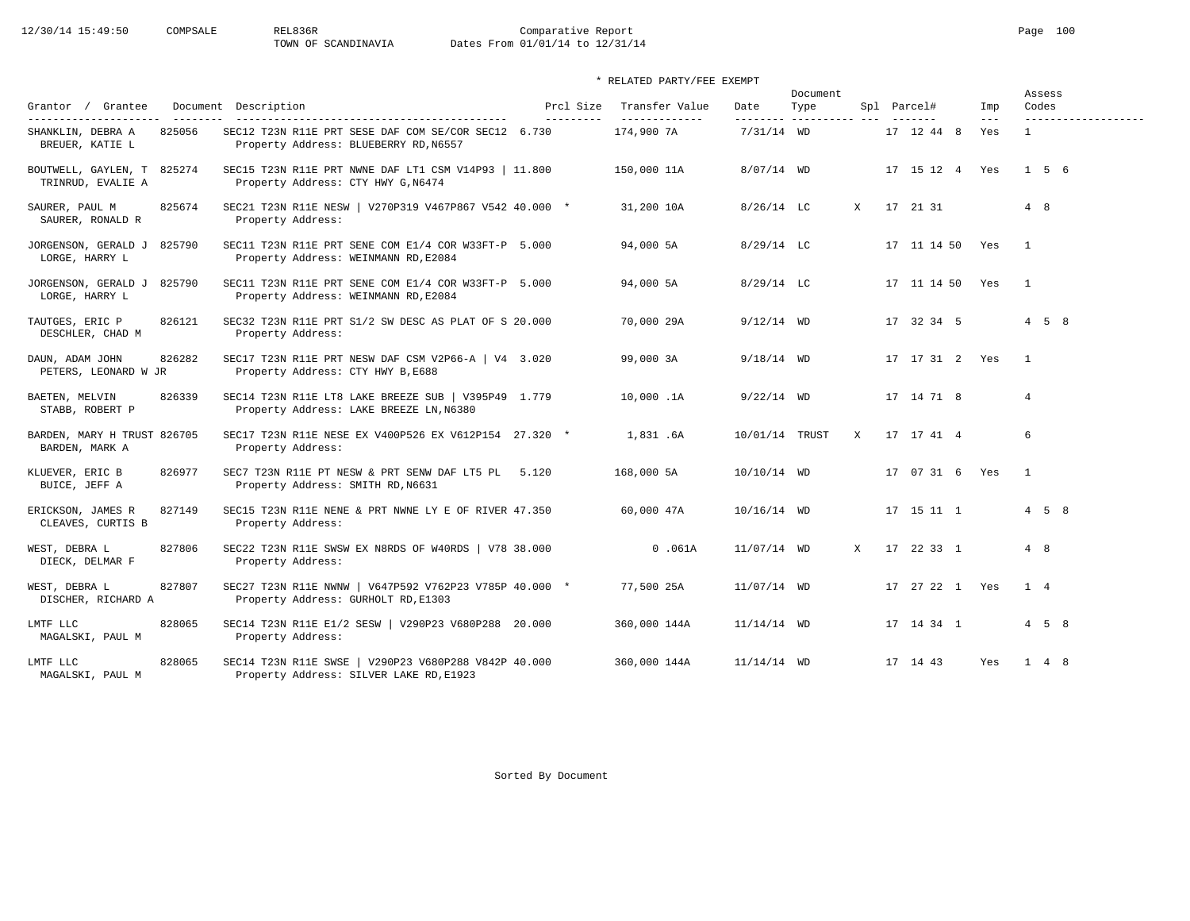### \* RELATED PARTY/FEE EXEMPT

| Grantor / Grantee                                              |                     | Document Description                                                                            | Prcl Size  | Transfer Value              | Date           | Document<br>Type         |              | Spl Parcel#     | Imp                  | Codes          | Assess              |  |
|----------------------------------------------------------------|---------------------|-------------------------------------------------------------------------------------------------|------------|-----------------------------|----------------|--------------------------|--------------|-----------------|----------------------|----------------|---------------------|--|
| ----------------------<br>SHANKLIN, DEBRA A<br>BREUER, KATIE L | _________<br>825056 | SEC12 T23N R11E PRT SESE DAF COM SE/COR SEC12 6.730<br>Property Address: BLUEBERRY RD, N6557    | ---------- | _____________<br>174,900 7A | $7/31/14$ WD   | --------- ---------- --- |              | 17 12 44 8      | $\frac{1}{2}$<br>Yes | $\mathbf{1}$   | ------------------- |  |
| BOUTWELL, GAYLEN, T 825274<br>TRINRUD, EVALIE A                |                     | SEC15 T23N R11E PRT NWNE DAF LT1 CSM V14P93   11.800<br>Property Address: CTY HWY G, N6474      |            | 150,000 11A                 | $8/07/14$ WD   |                          |              | 17 15 12 4 Yes  |                      |                | 156                 |  |
| SAURER, PAUL M<br>SAURER, RONALD R                             | 825674              | SEC21 T23N R11E NESW   V270P319 V467P867 V542 40.000 *<br>Property Address:                     |            | 31,200 10A                  | $8/26/14$ LC   |                          | X            | 17 21 31        |                      | 4 8            |                     |  |
| JORGENSON, GERALD J 825790<br>LORGE, HARRY L                   |                     | SEC11 T23N R11E PRT SENE COM E1/4 COR W33FT-P 5.000<br>Property Address: WEINMANN RD, E2084     |            | 94,000 5A                   | $8/29/14$ LC   |                          |              | 17 11 14 50 Yes |                      | $\overline{1}$ |                     |  |
| JORGENSON, GERALD J 825790<br>LORGE, HARRY L                   |                     | SEC11 T23N R11E PRT SENE COM E1/4 COR W33FT-P 5.000<br>Property Address: WEINMANN RD, E2084     |            | 94,000 5A                   | $8/29/14$ LC   |                          |              | 17 11 14 50 Yes |                      | $\overline{1}$ |                     |  |
| TAUTGES, ERIC P<br>DESCHLER, CHAD M                            | 826121              | SEC32 T23N R11E PRT S1/2 SW DESC AS PLAT OF S 20.000<br>Property Address:                       |            | 70,000 29A                  | $9/12/14$ WD   |                          |              | 17 32 34 5      |                      |                | $4\quad 5\quad 8$   |  |
| DAUN, ADAM JOHN<br>PETERS, LEONARD W JR                        | 826282              | SEC17 T23N R11E PRT NESW DAF CSM V2P66-A $\vert$ V4 3.020<br>Property Address: CTY HWY B, E688  |            | 99,000 3A                   | $9/18/14$ WD   |                          |              | 17 17 31 2 Yes  |                      | $\overline{1}$ |                     |  |
| BAETEN, MELVIN<br>STABB, ROBERT P                              | 826339              | SEC14 T23N R11E LT8 LAKE BREEZE SUB   V395P49 1.779<br>Property Address: LAKE BREEZE LN, N6380  |            | 10,000.1A                   | $9/22/14$ WD   |                          |              | 17 14 71 8      |                      | $\overline{4}$ |                     |  |
| BARDEN, MARY H TRUST 826705<br>BARDEN, MARK A                  |                     | SEC17 T23N R11E NESE EX V400P526 EX V612P154 27.320 *<br>Property Address:                      |            | 1,831.6A                    | 10/01/14 TRUST |                          | X            | 17 17 41 4      |                      | 6              |                     |  |
| KLUEVER, ERIC B<br>BUICE, JEFF A                               | 826977              | SEC7 T23N R11E PT NESW & PRT SENW DAF LT5 PL 5.120<br>Property Address: SMITH RD, N6631         |            | 168,000 5A                  | 10/10/14 WD    |                          |              | 17 07 31 6 Yes  |                      | $\overline{1}$ |                     |  |
| ERICKSON, JAMES R<br>CLEAVES, CURTIS B                         | 827149              | SEC15 T23N R11E NENE & PRT NWNE LY E OF RIVER 47.350<br>Property Address:                       |            | 60,000 47A                  | $10/16/14$ WD  |                          |              | 17 15 11 1      |                      |                | $4\quad 5\quad 8$   |  |
| WEST, DEBRA L<br>DIECK, DELMAR F                               | 827806              | SEC22 T23N R11E SWSW EX N8RDS OF W40RDS   V78 38.000<br>Property Address:                       |            | 0.061A                      | 11/07/14 WD    |                          | $\mathbf{x}$ | 17 22 33 1      |                      | 4 8            |                     |  |
| WEST, DEBRA L<br>DISCHER, RICHARD A                            | 827807              | SEC27 T23N R11E NWNW   V647P592 V762P23 V785P 40.000 *<br>Property Address: GURHOLT RD, E1303   |            | 77,500 25A                  | $11/07/14$ WD  |                          |              | 17 27 22 1 Yes  |                      | 1 4            |                     |  |
| LMTF LLC<br>MAGALSKI, PAUL M                                   | 828065              | SEC14 T23N R11E E1/2 SESW   V290P23 V680P288 20.000<br>Property Address:                        |            | 360,000 144A                | $11/14/14$ WD  |                          |              | 17 14 34 1      |                      |                | $4\quad 5\quad 8$   |  |
| LMTF LLC<br>MAGALSKI, PAUL M                                   | 828065              | SEC14 T23N R11E SWSE   V290P23 V680P288 V842P 40.000<br>Property Address: SILVER LAKE RD, E1923 |            | 360,000 144A                | $11/14/14$ WD  |                          |              | 17 14 43        | Yes                  |                | $1 \quad 4 \quad 8$ |  |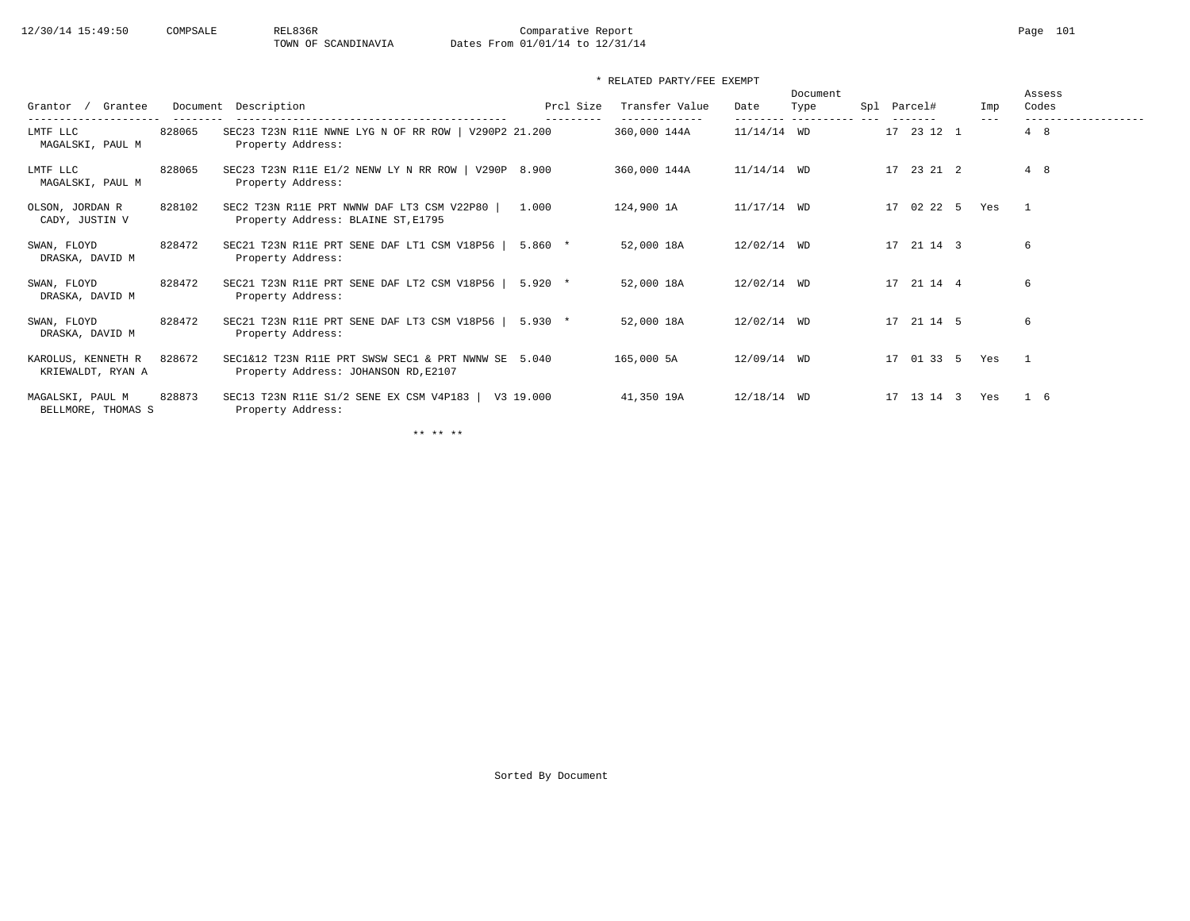\* RELATED PARTY/FEE EXEMPT

| Grantee<br>Grantor                      |        | Document Description                                                                        | Prcl Size | Transfer Value<br>---------- | Date          | Document<br>Type<br>---------- | Spl | Parcel#    | Imp<br>$- - -$ | Assess<br>Codes<br>. <u>.</u> . |
|-----------------------------------------|--------|---------------------------------------------------------------------------------------------|-----------|------------------------------|---------------|--------------------------------|-----|------------|----------------|---------------------------------|
| LMTF LLC<br>MAGALSKI, PAUL M            | 828065 | SEC23 T23N R11E NWNE LYG N OF RR ROW   V290P2 21.200<br>Property Address:                   |           | 360,000 144A                 | $11/14/14$ WD |                                |     | 17 23 12 1 |                | 4 8                             |
| LMTF LLC<br>MAGALSKI, PAUL M            | 828065 | SEC23 T23N R11E E1/2 NENW LY N RR ROW   V290P 8.900<br>Property Address:                    |           | 360,000 144A                 | $11/14/14$ WD |                                |     | 17 23 21 2 |                | 4 8                             |
| OLSON, JORDAN R<br>CADY, JUSTIN V       | 828102 | SEC2 T23N R11E PRT NWNW DAF LT3 CSM V22P80<br>Property Address: BLAINE ST, E1795            | 1.000     | 124,900 1A                   | $11/17/14$ WD |                                |     | 17 02 22 5 | Yes            | $\overline{1}$                  |
| SWAN, FLOYD<br>DRASKA, DAVID M          | 828472 | SEC21 T23N R11E PRT SENE DAF LT1 CSM V18P56<br>Property Address:                            | $5.860*$  | 52,000 18A                   | 12/02/14 WD   |                                |     | 17 21 14 3 |                | 6                               |
| SWAN, FLOYD<br>DRASKA, DAVID M          | 828472 | SEC21 T23N R11E PRT SENE DAF LT2 CSM V18P56  <br>Property Address:                          | $5.920$ * | 52,000 18A                   | 12/02/14 WD   |                                |     | 17 21 14 4 |                | 6                               |
| SWAN, FLOYD<br>DRASKA, DAVID M          | 828472 | SEC21 T23N R11E PRT SENE DAF LT3 CSM V18P56<br>Property Address:                            | $5.930*$  | 52,000 18A                   | 12/02/14 WD   |                                |     | 17 21 14 5 |                | 6                               |
| KAROLUS, KENNETH R<br>KRIEWALDT, RYAN A | 828672 | SEC1&12 T23N R11E PRT SWSW SEC1 & PRT NWNW SE 5.040<br>Property Address: JOHANSON RD, E2107 |           | 165,000 5A                   | 12/09/14 WD   |                                |     | 17 01 33 5 | Yes            | $\overline{1}$                  |
| MAGALSKI, PAUL M<br>BELLMORE, THOMAS S  | 828873 | SEC13 T23N R11E S1/2 SENE EX CSM V4P183<br>Property Address:                                | V3 19.000 | 41,350 19A                   | $12/18/14$ WD |                                |     | 17 13 14 3 | Yes            | 1 6                             |

\*\* \*\* \*\*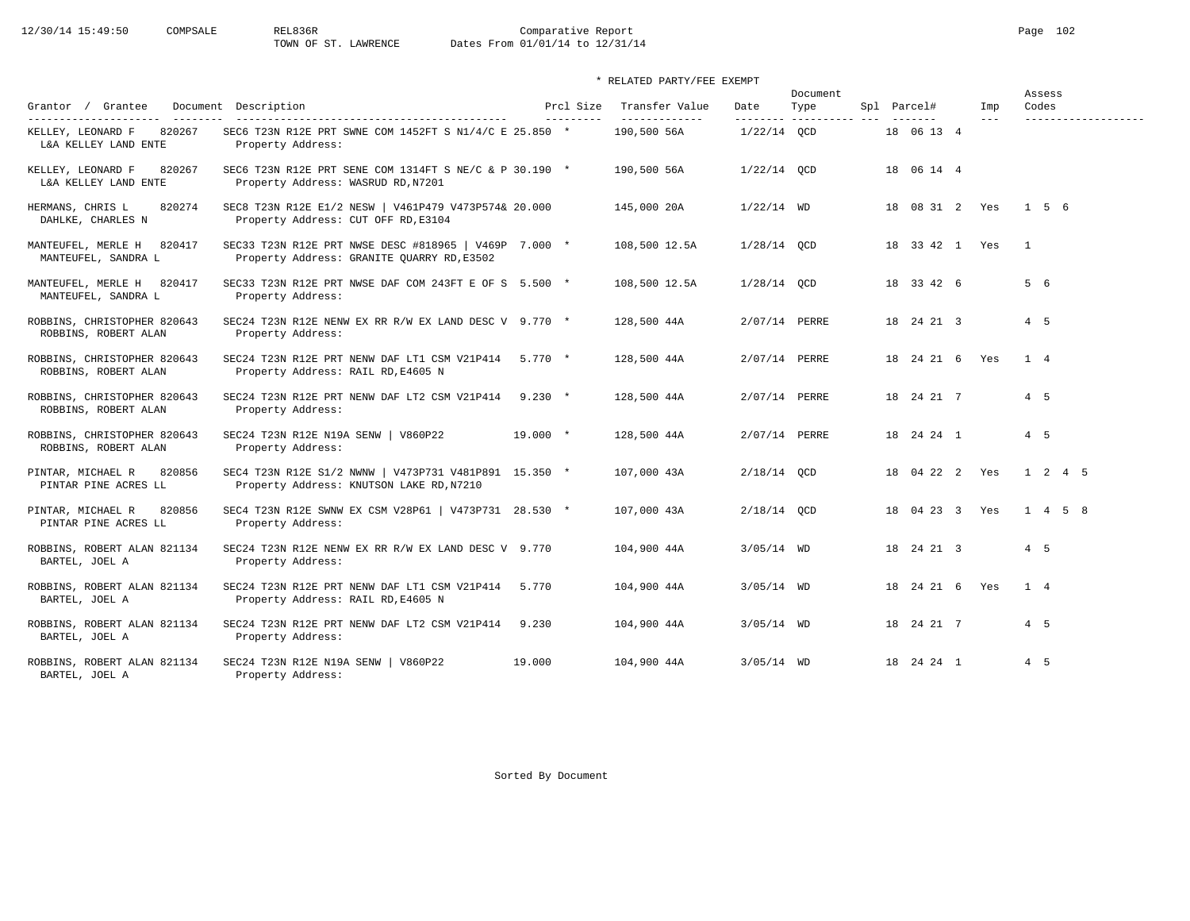12/30/14 15:49:50 COMPSALE REL836R Comparative Report Page 102<br>TOWN OF ST. LAWRENCE Dates From 01/01/14 to 12/31/14 Dates From 01/01/14 to 12/31/14

\* RELATED PARTY/FEE EXEMPT

|                                                     |                                                                                                     |                        |                                 |               | Document                         |                    |              | Assess                       |
|-----------------------------------------------------|-----------------------------------------------------------------------------------------------------|------------------------|---------------------------------|---------------|----------------------------------|--------------------|--------------|------------------------------|
| Grantor / Grantee<br>----------------------         | Document Description                                                                                | Prcl Size<br>--------- | Transfer Value<br>------------- | Date          | Type<br>--------- ---------- --- | Spl Parcel#        | Imp<br>$---$ | Codes<br>------------------- |
| 820267<br>KELLEY, LEONARD F<br>L&A KELLEY LAND ENTE | SEC6 T23N R12E PRT SWNE COM 1452FT S N1/4/C E 25.850 *<br>Property Address:                         |                        | 190,500 56A                     | $1/22/14$ OCD |                                  | 18 06 13 4         |              |                              |
| KELLEY, LEONARD F<br>820267<br>L&A KELLEY LAND ENTE | SEC6 T23N R12E PRT SENE COM 1314FT S NE/C & P 30.190 $*$<br>Property Address: WASRUD RD, N7201      |                        | 190,500 56A                     | $1/22/14$ OCD |                                  | 18 06 14 4         |              |                              |
| HERMANS, CHRIS L<br>820274<br>DAHLKE, CHARLES N     | SEC8 T23N R12E E1/2 NESW   V461P479 V473P574& 20.000<br>Property Address: CUT OFF RD, E3104         |                        | 145,000 20A                     | $1/22/14$ WD  |                                  | 18 08 31 2 Yes     |              | 156                          |
| MANTEUFEL, MERLE H<br>820417<br>MANTEUFEL, SANDRA L | SEC33 T23N R12E PRT NWSE DESC #818965   V469P 7.000 *<br>Property Address: GRANITE QUARRY RD, E3502 |                        | 108,500 12.5A                   | $1/28/14$ OCD |                                  | 18 33 42 1 Yes     |              | $\overline{1}$               |
| MANTEUFEL, MERLE H<br>820417<br>MANTEUFEL, SANDRA L | SEC33 T23N R12E PRT NWSE DAF COM 243FT E OF S 5.500 *<br>Property Address:                          |                        | 108,500 12.5A                   | $1/28/14$ QCD |                                  | 18 33 42 6         |              | 5 6                          |
| ROBBINS, CHRISTOPHER 820643<br>ROBBINS, ROBERT ALAN | SEC24 T23N R12E NENW EX RR R/W EX LAND DESC V 9.770 *<br>Property Address:                          |                        | 128,500 44A                     | 2/07/14 PERRE |                                  | 18 24 21 3         |              | 4 5                          |
| ROBBINS, CHRISTOPHER 820643<br>ROBBINS, ROBERT ALAN | SEC24 T23N R12E PRT NENW DAF LT1 CSM V21P414 5.770 *<br>Property Address: RAIL RD, E4605 N          |                        | 128,500 44A                     | 2/07/14 PERRE |                                  | 18 24 21 6 Yes     |              | $1 \quad 4$                  |
| ROBBINS, CHRISTOPHER 820643<br>ROBBINS, ROBERT ALAN | SEC24 T23N R12E PRT NENW DAF LT2 CSM V21P414<br>Property Address:                                   | $9.230 *$              | 128,500 44A                     | 2/07/14 PERRE |                                  | 18 24 21 7         |              | 4 5                          |
| ROBBINS, CHRISTOPHER 820643<br>ROBBINS, ROBERT ALAN | SEC24 T23N R12E N19A SENW   V860P22<br>Property Address:                                            | $19.000 *$             | 128,500 44A                     | 2/07/14 PERRE |                                  | 18  24  24  1      |              | $4\quad 5$                   |
| 820856<br>PINTAR, MICHAEL R<br>PINTAR PINE ACRES LL | SEC4 T23N R12E S1/2 NWNW   V473P731 V481P891 15.350 *<br>Property Address: KNUTSON LAKE RD, N7210   |                        | 107,000 43A                     | $2/18/14$ OCD |                                  | 18 04 22 2 Yes     |              | 1 2 4 5                      |
| PINTAR, MICHAEL R<br>820856<br>PINTAR PINE ACRES LL | SEC4 T23N R12E SWNW EX CSM V28P61   V473P731 28.530 *<br>Property Address:                          |                        | 107,000 43A                     | $2/18/14$ OCD |                                  | 18 04 23 3 Yes     |              | $1 \t 4 \t 5 \t 8$           |
| ROBBINS, ROBERT ALAN 821134<br>BARTEL, JOEL A       | SEC24 T23N R12E NENW EX RR R/W EX LAND DESC V 9.770<br>Property Address:                            |                        | 104,900 44A                     | $3/05/14$ WD  |                                  | 18 24 21 3         |              | $4\quad 5$                   |
| ROBBINS, ROBERT ALAN 821134<br>BARTEL, JOEL A       | SEC24 T23N R12E PRT NENW DAF LT1 CSM V21P414 5.770<br>Property Address: RAIL RD, E4605 N            |                        | 104,900 44A                     | $3/05/14$ WD  |                                  | 18  24  21  6  Yes |              | 1 4                          |
| ROBBINS, ROBERT ALAN 821134<br>BARTEL, JOEL A       | SEC24 T23N R12E PRT NENW DAF LT2 CSM V21P414<br>Property Address:                                   | 9.230                  | 104,900 44A                     | $3/05/14$ WD  |                                  | 18 24 21 7         |              | $4\quad 5$                   |
| ROBBINS, ROBERT ALAN 821134<br>BARTEL, JOEL A       | SEC24 T23N R12E N19A SENW   V860P22<br>Property Address:                                            | 19,000                 | 104,900 44A                     | $3/05/14$ WD  |                                  | 18  24  24  1      |              | 4 5                          |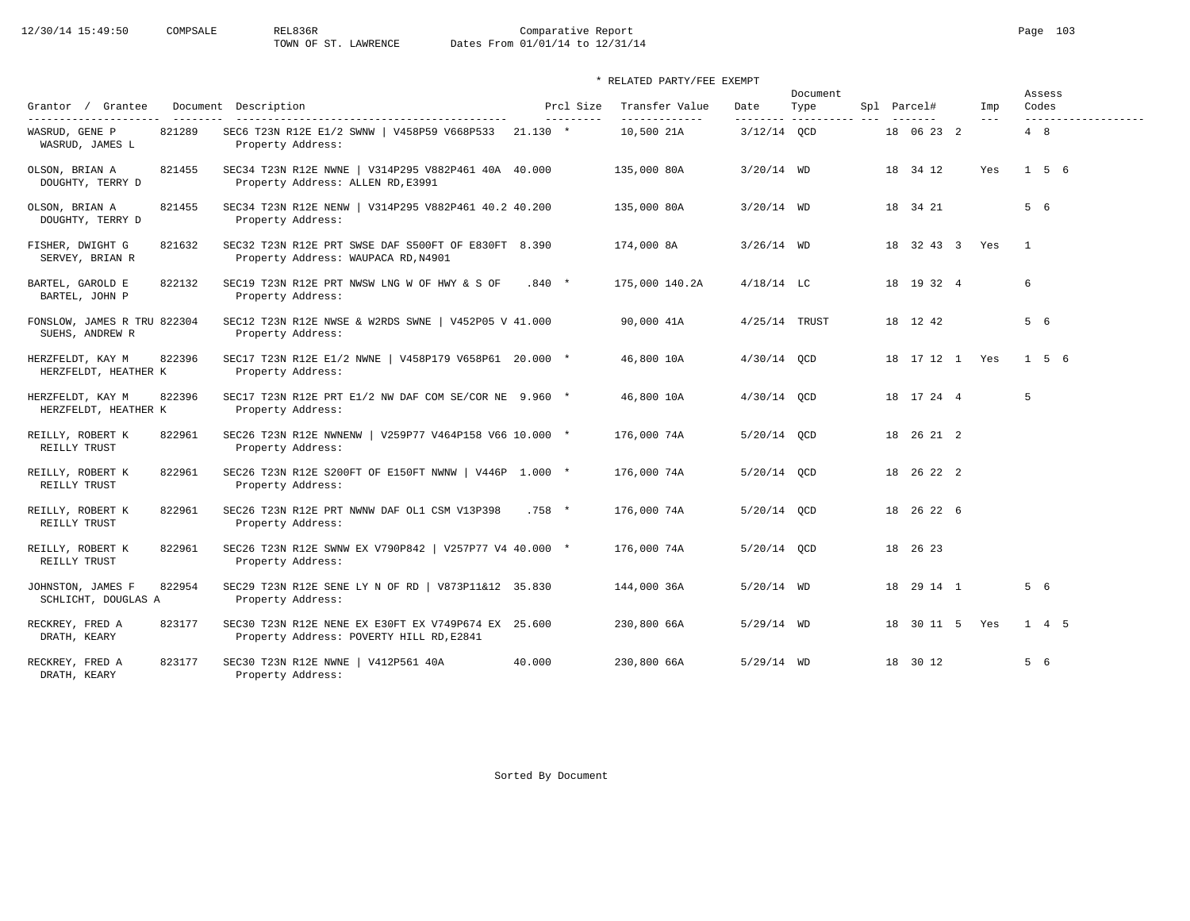12/30/14 15:49:50 COMPSALE REL836R Comparative Report Page 103<br>TOWN OF ST. LAWRENCE Dates From 01/01/14 to 12/31/14 Dates From 01/01/14 to 12/31/14

### \* RELATED PARTY/FEE EXEMPT

|                                                |        |                                                                                                 |          |                         |                                 |                   | Document                |  |                    |                            |                | Assess |                     |
|------------------------------------------------|--------|-------------------------------------------------------------------------------------------------|----------|-------------------------|---------------------------------|-------------------|-------------------------|--|--------------------|----------------------------|----------------|--------|---------------------|
| Grantor / Grantee<br>----------------------    |        | Document Description<br>-----------------------------------                                     |          | Prcl Size<br>---------- | Transfer Value<br>_____________ | Date<br>--------- | Type<br>----------- --- |  | Spl Parcel#        | Imp<br>$\qquad \qquad - -$ | Codes          |        | ------------------- |
| WASRUD, GENE P<br>WASRUD, JAMES L              | 821289 | SEC6 T23N R12E E1/2 SWNW   V458P59 V668P533 21.130 *<br>Property Address:                       |          |                         | 10,500 21A                      | $3/12/14$ OCD     |                         |  | 18 06 23 2         |                            | 4 8            |        |                     |
| OLSON, BRIAN A<br>DOUGHTY, TERRY D             | 821455 | SEC34 T23N R12E NWNE   V314P295 V882P461 40A 40.000<br>Property Address: ALLEN RD, E3991        |          |                         | 135,000 80A                     | $3/20/14$ WD      |                         |  | 18 34 12           | Yes                        |                | 156    |                     |
| OLSON, BRIAN A<br>DOUGHTY, TERRY D             | 821455 | SEC34 T23N R12E NENW   V314P295 V882P461 40.2 40.200<br>Property Address:                       |          |                         | 135,000 80A                     | $3/20/14$ WD      |                         |  | 18 34 21           |                            | 5 6            |        |                     |
| FISHER, DWIGHT G<br>SERVEY, BRIAN R            | 821632 | SEC32 T23N R12E PRT SWSE DAF S500FT OF E830FT 8.390<br>Property Address: WAUPACA RD, N4901      |          |                         | 174,000 8A                      | $3/26/14$ WD      |                         |  | 18 32 43 3 Yes     |                            | $\overline{1}$ |        |                     |
| BARTEL, GAROLD E<br>BARTEL, JOHN P             | 822132 | SEC19 T23N R12E PRT NWSW LNG W OF HWY & S OF<br>Property Address:                               | $.840*$  |                         | 175,000 140.2A                  | $4/18/14$ LC      |                         |  | 18 19 32 4         |                            | 6              |        |                     |
| FONSLOW, JAMES R TRU 822304<br>SUEHS, ANDREW R |        | SEC12 T23N R12E NWSE & W2RDS SWNE   V452P05 V 41.000<br>Property Address:                       |          |                         | 90,000 41A                      | 4/25/14 TRUST     |                         |  | 18 12 42           |                            | 5 6            |        |                     |
| HERZFELDT, KAY M<br>HERZFELDT, HEATHER K       | 822396 | SEC17 T23N R12E E1/2 NWNE   V458P179 V658P61 20.000 *<br>Property Address:                      |          |                         | 46,800 10A                      | $4/30/14$ OCD     |                         |  | 18  17  12  1  Yes |                            |                | 156    |                     |
| HERZFELDT, KAY M<br>HERZFELDT, HEATHER K       | 822396 | SEC17 T23N R12E PRT E1/2 NW DAF COM SE/COR NE 9.960 *<br>Property Address:                      |          |                         | 46,800 10A                      | $4/30/14$ OCD     |                         |  | 18 17 24 4         |                            | 5              |        |                     |
| REILLY, ROBERT K<br>REILLY TRUST               | 822961 | SEC26 T23N R12E NWNENW   V259P77 V464P158 V66 10.000 *<br>Property Address:                     |          |                         | 176,000 74A                     | 5/20/14 OCD       |                         |  | 18  26  21  2      |                            |                |        |                     |
| REILLY, ROBERT K<br>REILLY TRUST               | 822961 | SEC26 T23N R12E S200FT OF E150FT NWNW   V446P 1.000 *<br>Property Address:                      |          |                         | 176,000 74A                     | 5/20/14 OCD       |                         |  | 18 26 22 2         |                            |                |        |                     |
| REILLY, ROBERT K<br>REILLY TRUST               | 822961 | SEC26 T23N R12E PRT NWNW DAF OL1 CSM V13P398<br>Property Address:                               | $.758$ * |                         | 176,000 74A                     | 5/20/14 OCD       |                         |  | 18  26  22  6      |                            |                |        |                     |
| REILLY, ROBERT K<br>REILLY TRUST               | 822961 | SEC26 T23N R12E SWNW EX V790P842   V257P77 V4 40.000 *<br>Property Address:                     |          |                         | 176,000 74A                     | 5/20/14 QCD       |                         |  | 18 26 23           |                            |                |        |                     |
| JOHNSTON, JAMES F<br>SCHLICHT, DOUGLAS A       | 822954 | SEC29 T23N R12E SENE LY N OF RD   V873P11&12 35.830<br>Property Address:                        |          |                         | 144,000 36A                     | $5/20/14$ WD      |                         |  | 18  29  14  1      |                            | 5 6            |        |                     |
| RECKREY, FRED A<br>DRATH, KEARY                | 823177 | SEC30 T23N R12E NENE EX E30FT EX V749P674 EX 25.600<br>Property Address: POVERTY HILL RD, E2841 |          |                         | 230,800 66A                     | $5/29/14$ WD      |                         |  | 18 30 11 5 Yes     |                            |                | 1 4 5  |                     |
| RECKREY, FRED A<br>DRATH, KEARY                | 823177 | SEC30 T23N R12E NWNE   V412P561 40A<br>Property Address:                                        | 40.000   |                         | 230,800 66A                     | $5/29/14$ WD      |                         |  | 18 30 12           |                            | 5 6            |        |                     |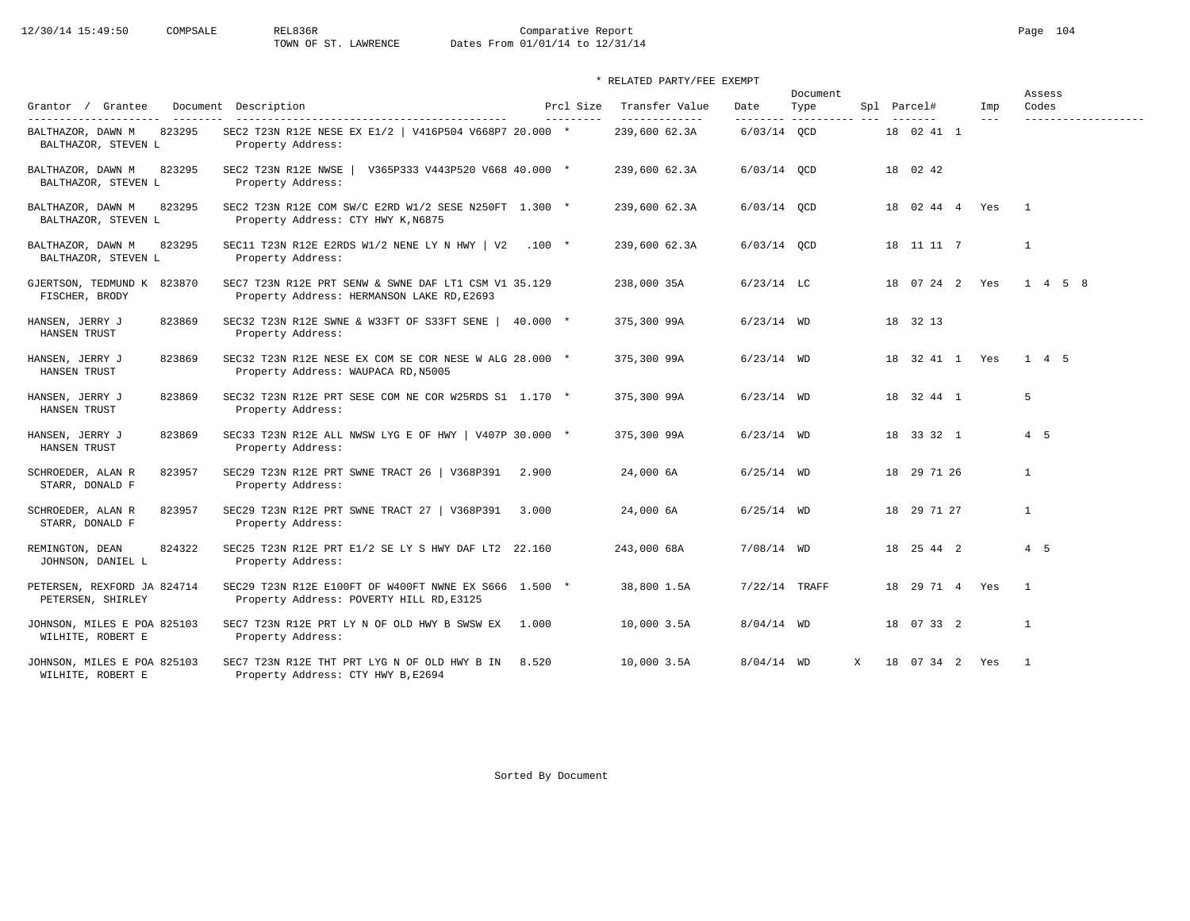12/30/14 15:49:50 COMPSALE REL836R Comparative Report Page 104<br>TOWN OF ST. LAWRENCE Dates From 01/01/14 to 12/31/14 Dates From 01/01/14 to 12/31/14

\* RELATED PARTY/FEE EXEMPT

|                                                    |                                                                                                    |                         |                                 |                 | Document                         |   |                    |                | Assess                       |
|----------------------------------------------------|----------------------------------------------------------------------------------------------------|-------------------------|---------------------------------|-----------------|----------------------------------|---|--------------------|----------------|------------------------------|
| Grantor / Grantee<br>_____________________         | Document Description                                                                               | Prcl Size<br>---------- | Transfer Value<br>------------- | Date            | Type<br>--------- ---------- --- |   | Spl Parcel#        | Imp<br>$- - -$ | Codes<br>------------------- |
| 823295<br>BALTHAZOR, DAWN M<br>BALTHAZOR, STEVEN L | SEC2 T23N R12E NESE EX E1/2   V416P504 V668P7 20.000 *<br>Property Address:                        |                         | 239,600 62.3A                   | $6/03/14$ QCD   |                                  |   | 18  02  41  1      |                |                              |
| 823295<br>BALTHAZOR, DAWN M<br>BALTHAZOR, STEVEN L | SEC2 T23N R12E NWSE<br>V365P333 V443P520 V668 40.000 *<br>Property Address:                        |                         | 239,600 62.3A                   | $6/03/14$ QCD   |                                  |   | 18 02 42           |                |                              |
| 823295<br>BALTHAZOR, DAWN M<br>BALTHAZOR, STEVEN L | SEC2 T23N R12E COM SW/C E2RD W1/2 SESE N250FT 1.300 *<br>Property Address: CTY HWY K, N6875        |                         | 239,600 62.3A                   | $6/03/14$ OCD   |                                  |   | 18 02 44 4 Yes     |                | $\mathbf{1}$                 |
| BALTHAZOR, DAWN M<br>823295<br>BALTHAZOR, STEVEN L | SEC11 T23N R12E E2RDS W1/2 NENE LY N HWY   V2 .100 $*$<br>Property Address:                        |                         | 239,600 62.3A                   | $6/03/14$ OCD   |                                  |   | 18 11 11 7         |                | $\mathbf{1}$                 |
| GJERTSON, TEDMUND K 823870<br>FISCHER, BRODY       | SEC7 T23N R12E PRT SENW & SWNE DAF LT1 CSM V1 35.129<br>Property Address: HERMANSON LAKE RD, E2693 |                         | 238,000 35A                     | $6/23/14$ LC    |                                  |   | 18 07 24 2 Yes     |                | 1 4 5 8                      |
| HANSEN, JERRY J<br>823869<br>HANSEN TRUST          | SEC32 T23N R12E SWNE & W33FT OF S33FT SENE   40.000 *<br>Property Address:                         |                         | 375,300 99A                     | $6/23/14$ WD    |                                  |   | 18 32 13           |                |                              |
| 823869<br>HANSEN, JERRY J<br>HANSEN TRUST          | SEC32 T23N R12E NESE EX COM SE COR NESE W ALG 28.000 *<br>Property Address: WAUPACA RD, N5005      |                         | 375,300 99A                     | $6/23/14$ WD    |                                  |   | 18 32 41 1 Yes     |                | 1 4 5                        |
| 823869<br>HANSEN, JERRY J<br>HANSEN TRUST          | SEC32 T23N R12E PRT SESE COM NE COR W25RDS S1 1.170 *<br>Property Address:                         |                         | 375,300 99A                     | $6/23/14$ WD    |                                  |   | 18 32 44 1         |                | $5^{\circ}$                  |
| 823869<br>HANSEN, JERRY J<br>HANSEN TRUST          | SEC33 T23N R12E ALL NWSW LYG E OF HWY   V407P 30.000 *<br>Property Address:                        |                         | 375,300 99A                     | $6/23/14$ WD    |                                  |   | 18 33 32 1         |                | $4\quad 5$                   |
| 823957<br>SCHROEDER, ALAN R<br>STARR, DONALD F     | SEC29 T23N R12E PRT SWNE TRACT 26   V368P391 2.900<br>Property Address:                            |                         | 24,000 6A                       | $6/25/14$ WD    |                                  |   | 18 29 71 26        |                | $\mathbf{1}$                 |
| SCHROEDER, ALAN R<br>823957<br>STARR, DONALD F     | SEC29 T23N R12E PRT SWNE TRACT 27   V368P391 3.000<br>Property Address:                            |                         | 24,000 6A                       | $6/25/14$ WD    |                                  |   | 18 29 71 27        |                | $\mathbf{1}$                 |
| 824322<br>REMINGTON, DEAN<br>JOHNSON, DANIEL L     | SEC25 T23N R12E PRT E1/2 SE LY S HWY DAF LT2 22.160<br>Property Address:                           |                         | 243,000 68A                     | $7/08/14$ WD    |                                  |   | 18  25  44  2      |                | 4 5                          |
| PETERSEN, REXFORD JA 824714<br>PETERSEN, SHIRLEY   | SEC29 T23N R12E E100FT OF W400FT NWNE EX S666 1.500 *<br>Property Address: POVERTY HILL RD, E3125  |                         | 38,800 1.5A                     | $7/22/14$ TRAFF |                                  |   | 18  29  71  4  Yes |                | $\mathbf{1}$                 |
| JOHNSON, MILES E POA 825103<br>WILHITE, ROBERT E   | SEC7 T23N R12E PRT LY N OF OLD HWY B SWSW EX 1.000<br>Property Address:                            |                         | 10,000 3.5A                     | $8/04/14$ WD    |                                  |   | 18 07 33 2         |                | $\mathbf{1}$                 |
| JOHNSON, MILES E POA 825103<br>WILHITE, ROBERT E   | SEC7 T23N R12E THT PRT LYG N OF OLD HWY B IN<br>Property Address: CTY HWY B, E2694                 | 8.520                   | 10,000 3.5A                     | $8/04/14$ WD    |                                  | X | 18 07 34 2 Yes     |                | $\overline{1}$               |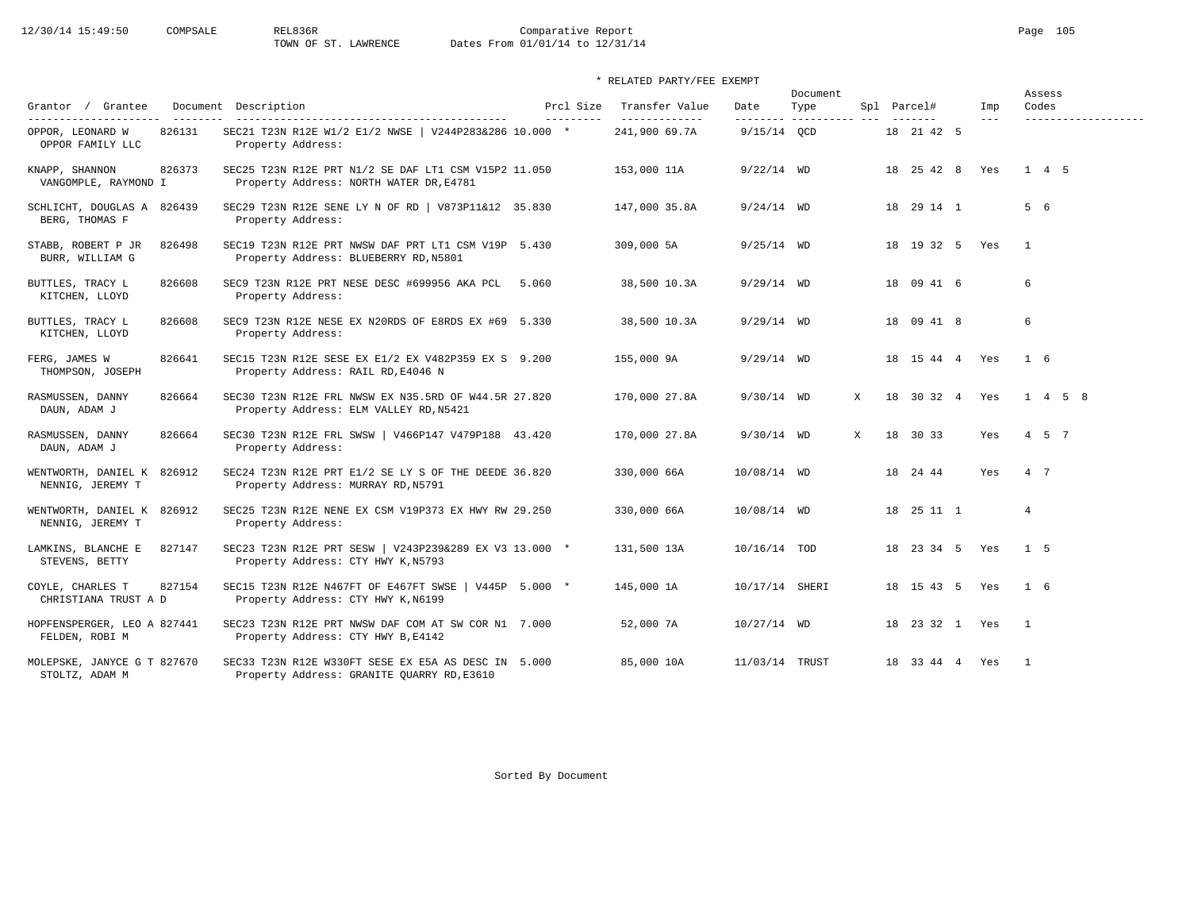\* RELATED PARTY/FEE EXEMPT

|                                                    |                                                                                                   |                        |                                 |                  | Document                |   |                          |                | Assess                       |
|----------------------------------------------------|---------------------------------------------------------------------------------------------------|------------------------|---------------------------------|------------------|-------------------------|---|--------------------------|----------------|------------------------------|
| Grantor / Grantee<br>---------------------         | Document Description                                                                              | Prcl Size<br>--------- | Transfer Value<br>------------- | Date<br>-------- | Type<br>----------- --- |   | Spl Parcel#<br>$- - - -$ | Imp<br>$- - -$ | Codes<br>------------------- |
| OPPOR, LEONARD W<br>826131<br>OPPOR FAMILY LLC     | SEC21 T23N R12E W1/2 E1/2 NWSE   V244P283&286 10.000 *<br>Property Address:                       |                        | 241,900 69.7A                   | $9/15/14$ OCD    |                         |   | 18 21 42 5               |                |                              |
| 826373<br>KNAPP, SHANNON<br>VANGOMPLE, RAYMOND I   | SEC25 T23N R12E PRT N1/2 SE DAF LT1 CSM V15P2 11.050<br>Property Address: NORTH WATER DR, E4781   |                        | 153,000 11A                     | $9/22/14$ WD     |                         |   | 18  25  42  8            | Yes            | $1 \quad 4 \quad 5$          |
| SCHLICHT, DOUGLAS A 826439<br>BERG, THOMAS F       | SEC29 T23N R12E SENE LY N OF RD   V873P11&12 35.830<br>Property Address:                          |                        | 147,000 35.8A                   | $9/24/14$ WD     |                         |   | 18 29 14 1               |                | 5 6                          |
| STABB, ROBERT P JR<br>826498<br>BURR, WILLIAM G    | SEC19 T23N R12E PRT NWSW DAF PRT LT1 CSM V19P 5.430<br>Property Address: BLUEBERRY RD, N5801      |                        | 309,000 5A                      | $9/25/14$ WD     |                         |   | 18  19  32  5  Yes       |                | $\overline{1}$               |
| 826608<br>BUTTLES, TRACY L<br>KITCHEN, LLOYD       | SEC9 T23N R12E PRT NESE DESC #699956 AKA PCL<br>Property Address:                                 | 5.060                  | 38,500 10.3A                    | $9/29/14$ WD     |                         |   | 18 09 41 6               |                | 6                            |
| BUTTLES, TRACY L<br>826608<br>KITCHEN, LLOYD       | SEC9 T23N R12E NESE EX N20RDS OF E8RDS EX #69 5.330<br>Property Address:                          |                        | 38,500 10.3A                    | $9/29/14$ WD     |                         |   | 18 09 41 8               |                | 6                            |
| 826641<br>FERG, JAMES W<br>THOMPSON, JOSEPH        | SEC15 T23N R12E SESE EX E1/2 EX V482P359 EX S 9.200<br>Property Address: RAIL RD, E4046 N         |                        | 155,000 9A                      | $9/29/14$ WD     |                         |   | 18  15  44  4  Yes       |                | 1 6                          |
| 826664<br>RASMUSSEN, DANNY<br>DAUN, ADAM J         | SEC30 T23N R12E FRL NWSW EX N35.5RD OF W44.5R 27.820<br>Property Address: ELM VALLEY RD, N5421    |                        | 170,000 27.8A                   | $9/30/14$ WD     |                         | X | 18 30 32 4 Yes           |                | $1 \t4 \t5 \t8$              |
| 826664<br>RASMUSSEN, DANNY<br>DAUN, ADAM J         | SEC30 T23N R12E FRL SWSW   V466P147 V479P188 43.420<br>Property Address:                          |                        | 170,000 27.8A                   | $9/30/14$ WD     |                         | X | 18 30 33                 | Yes            | 4 5 7                        |
| WENTWORTH, DANIEL K 826912<br>NENNIG, JEREMY T     | SEC24 T23N R12E PRT E1/2 SE LY S OF THE DEEDE 36.820<br>Property Address: MURRAY RD, N5791        |                        | 330,000 66A                     | 10/08/14 WD      |                         |   | 18 24 44                 | Yes            | 4 7                          |
| WENTWORTH, DANIEL K 826912<br>NENNIG, JEREMY T     | SEC25 T23N R12E NENE EX CSM V19P373 EX HWY RW 29.250<br>Property Address:                         |                        | 330,000 66A                     | 10/08/14 WD      |                         |   | 18  25  11  1            |                | $\overline{4}$               |
| LAMKINS, BLANCHE E<br>827147<br>STEVENS, BETTY     | SEC23 T23N R12E PRT SESW   V243P239&289 EX V3 13.000 *<br>Property Address: CTY HWY K, N5793      |                        | 131,500 13A                     | 10/16/14 TOD     |                         |   | 18  23  34  5  Yes       |                | $1\quad5$                    |
| COYLE, CHARLES T<br>827154<br>CHRISTIANA TRUST A D | SEC15 T23N R12E N467FT OF E467FT SWSE   V445P 5.000 *<br>Property Address: CTY HWY K, N6199       |                        | 145,000 1A                      | 10/17/14 SHERI   |                         |   | 18  15  43  5  Yes       |                | 1 6                          |
| HOPFENSPERGER, LEO A 827441<br>FELDEN, ROBI M      | SEC23 T23N R12E PRT NWSW DAF COM AT SW COR N1 7.000<br>Property Address: CTY HWY B, E4142         |                        | 52,000 7A                       | $10/27/14$ WD    |                         |   | 18  23  32  1  Yes       |                | $\overline{1}$               |
| MOLEPSKE, JANYCE G T 827670<br>STOLTZ, ADAM M      | SEC33 T23N R12E W330FT SESE EX E5A AS DESC IN 5.000<br>Property Address: GRANITE QUARRY RD, E3610 |                        | 85,000 10A                      | 11/03/14 TRUST   |                         |   | 18 33 44 4 Yes           |                | $\mathbf{1}$                 |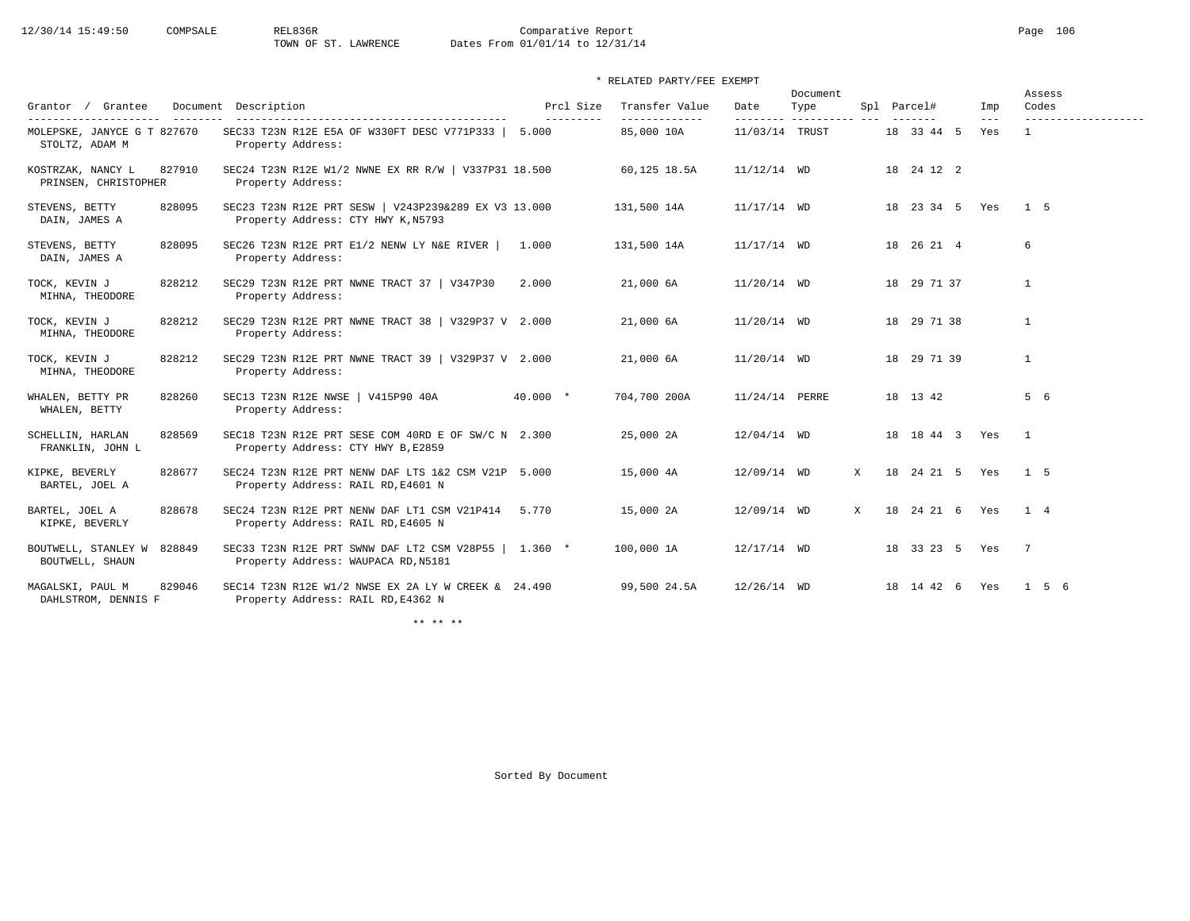12/30/14 15:49:50 COMPSALE REL836R Comparative Report Page 106<br>TOWN OF ST. LAWRENCE Dates From 01/01/14 to 12/31/14

Dates From 01/01/14 to 12/31/14

\* RELATED PARTY/FEE EXEMPT

|                                                     |                                                                                              |           |                |                | Document        |   |                    |              | Assess          |
|-----------------------------------------------------|----------------------------------------------------------------------------------------------|-----------|----------------|----------------|-----------------|---|--------------------|--------------|-----------------|
| Grantee<br>Grantor /                                | Document Description                                                                         | Prcl Size | Transfer Value | Date           | Type<br>------- |   | Spl Parcel#        | Imp<br>$---$ | Codes           |
| MOLEPSKE, JANYCE G T 827670<br>STOLTZ, ADAM M       | SEC33 T23N R12E E5A OF W330FT DESC V771P333   5.000<br>Property Address:                     |           | 85,000 10A     | 11/03/14 TRUST |                 |   | 18 33 44 5         | Yes          | $\mathbf{1}$    |
| KOSTRZAK, NANCY L<br>827910<br>PRINSEN, CHRISTOPHER | SEC24 T23N R12E W1/2 NWNE EX RR R/W   V337P31 18.500<br>Property Address:                    |           | 60,125 18.5A   | $11/12/14$ WD  |                 |   | 18  24  12  2      |              |                 |
| STEVENS, BETTY<br>828095<br>DAIN, JAMES A           | SEC23 T23N R12E PRT SESW   V243P239&289 EX V3 13.000<br>Property Address: CTY HWY K, N5793   |           | 131,500 14A    | $11/17/14$ WD  |                 |   | 18 23 34 5 Yes     |              | 1 <sub>5</sub>  |
| STEVENS, BETTY<br>828095<br>DAIN, JAMES A           | SEC26 T23N R12E PRT E1/2 NENW LY N&E RIVER<br>Property Address:                              | 1.000     | 131,500 14A    | $11/17/14$ WD  |                 |   | 18  26  21  4      |              | 6               |
| 828212<br>TOCK, KEVIN J<br>MIHNA, THEODORE          | SEC29 T23N R12E PRT NWNE TRACT 37   V347P30<br>Property Address:                             | 2.000     | 21,000 6A      | $11/20/14$ WD  |                 |   | 18 29 71 37        |              | $\mathbf{1}$    |
| TOCK, KEVIN J<br>828212<br>MIHNA, THEODORE          | SEC29 T23N R12E PRT NWNE TRACT 38   V329P37 V 2.000<br>Property Address:                     |           | 21,000 6A      | 11/20/14 WD    |                 |   | 18 29 71 38        |              | $\mathbf{1}$    |
| TOCK, KEVIN J<br>828212<br>MIHNA, THEODORE          | SEC29 T23N R12E PRT NWNE TRACT 39   V329P37 V 2.000<br>Property Address:                     |           | 21,000 6A      | 11/20/14 WD    |                 |   | 18 29 71 39        |              | $\mathbf{1}$    |
| WHALEN, BETTY PR<br>828260<br>WHALEN, BETTY         | SEC13 T23N R12E NWSE   V415P90 40A<br>Property Address:                                      | $40.000*$ | 704,700 200A   | 11/24/14 PERRE |                 |   | 18 13 42           |              | 5 6             |
| SCHELLIN, HARLAN<br>828569<br>FRANKLIN, JOHN L      | SEC18 T23N R12E PRT SESE COM 40RD E OF SW/C N 2.300<br>Property Address: CTY HWY B, E2859    |           | 25,000 2A      | $12/04/14$ WD  |                 |   | 18  18  44  3  Yes |              | $\mathbf{1}$    |
| KIPKE, BEVERLY<br>828677<br>BARTEL, JOEL A          | SEC24 T23N R12E PRT NENW DAF LTS 1&2 CSM V21P 5.000<br>Property Address: RAIL RD, E4601 N    |           | 15,000 4A      | 12/09/14 WD    |                 | X | 18  24  21  5  Yes |              | 1 5             |
| BARTEL, JOEL A<br>828678<br>KIPKE, BEVERLY          | SEC24 T23N R12E PRT NENW DAF LT1 CSM V21P414<br>Property Address: RAIL RD, E4605 N           | 5.770     | 15,000 2A      | 12/09/14 WD    |                 | X | 18  24  21  6  Yes |              | 1 4             |
| BOUTWELL, STANLEY W<br>828849<br>BOUTWELL, SHAUN    | SEC33 T23N R12E PRT SWNW DAF LT2 CSM V28P55   1.360 *<br>Property Address: WAUPACA RD, N5181 |           | 100,000 1A     | $12/17/14$ WD  |                 |   | 18 33 23 5 Yes     |              | $7\phantom{0}7$ |
| MAGALSKI, PAUL M<br>829046<br>DAHLSTROM, DENNIS F   | SEC14 T23N R12E W1/2 NWSE EX 2A LY W CREEK & 24.490<br>Property Address: RAIL RD, E4362 N    |           | 99,500 24.5A   | $12/26/14$ WD  |                 |   | 18  14  42  6  Yes |              | 1 5 6           |

\*\* \*\* \*\*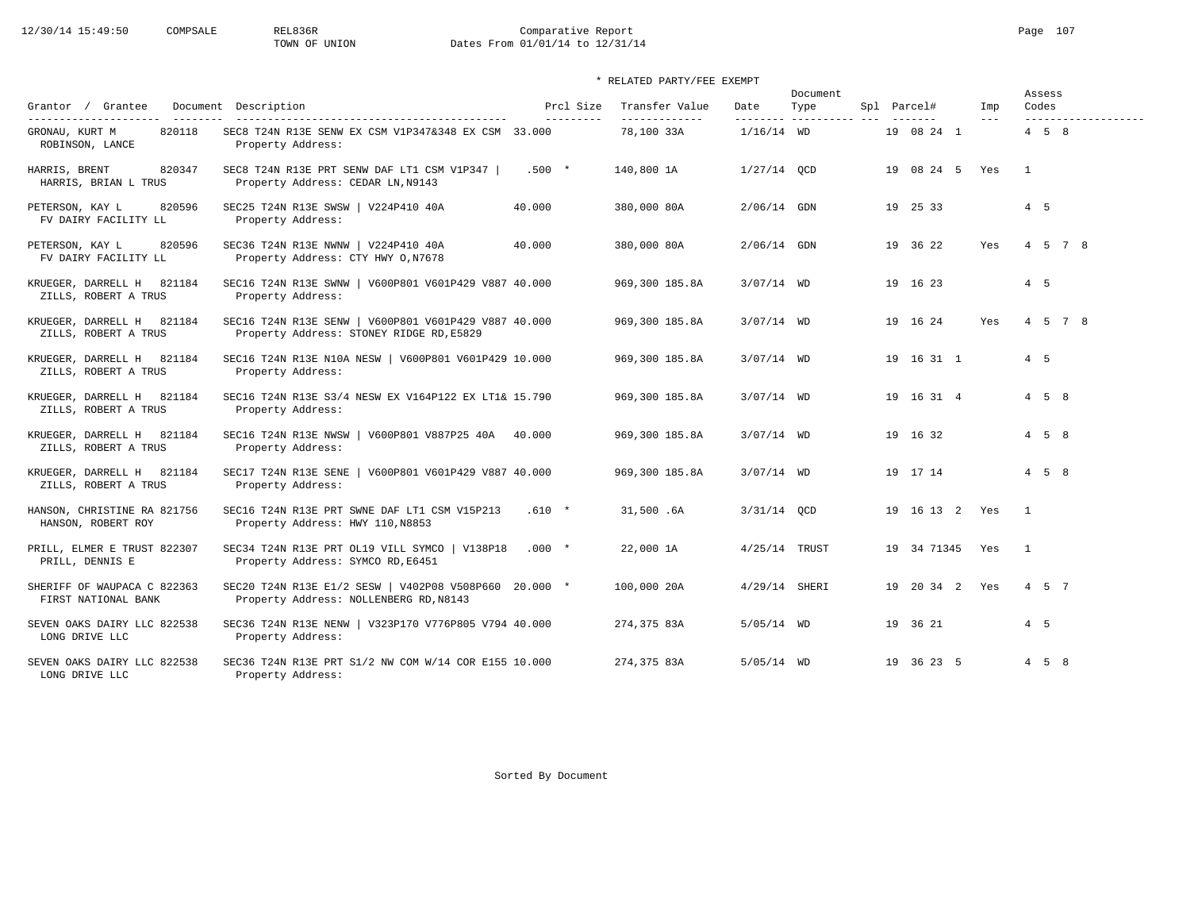# 12/30/14 15:49:50 COMPSALE REL836R Comparative Report Comparative Report Page 107<br>TOWN OF UNION Dates From 01/01/14 to 12/31/14 Dates From 01/01/14 to 12/31/14

### \* RELATED PARTY/FEE EXEMPT

| Grantor / Grantee                                                    | Document Description                                                                             | Prcl Size  | Transfer Value              | Date            | Document<br>Type      | Spl Parcel#        | Imp   | Assess<br>Codes                          |
|----------------------------------------------------------------------|--------------------------------------------------------------------------------------------------|------------|-----------------------------|-----------------|-----------------------|--------------------|-------|------------------------------------------|
| ---------------------<br>820118<br>GRONAU, KURT M<br>ROBINSON, LANCE | SEC8 T24N R13E SENW EX CSM V1P347&348 EX CSM 33.000<br>Property Address:                         | ---------- | -------------<br>78,100 33A | $1/16/14$ WD    | --------- ----------- | 19 08 24 1         | $---$ | -------------------<br>$4\quad 5\quad 8$ |
| 820347<br>HARRIS, BRENT<br>HARRIS, BRIAN L TRUS                      | SEC8 T24N R13E PRT SENW DAF LT1 CSM V1P347  <br>Property Address: CEDAR LN, N9143                | $.500 *$   | 140,800 1A                  | $1/27/14$ OCD   |                       | 19 08 24 5 Yes     |       | $\overline{1}$                           |
| PETERSON, KAY L<br>820596<br>FV DAIRY FACILITY LL                    | SEC25 T24N R13E SWSW   V224P410 40A<br>Property Address:                                         | 40.000     | 380,000 80A                 | $2/06/14$ GDN   |                       | 19 25 33           |       | 4 5                                      |
| 820596<br>PETERSON, KAY L<br>FV DAIRY FACILITY LL                    | SEC36 T24N R13E NWNW   V224P410 40A<br>Property Address: CTY HWY 0, N7678                        | 40.000     | 380,000 80A                 | 2/06/14 GDN     |                       | 19 36 22           | Yes   | 4 5 7 8                                  |
| KRUEGER, DARRELL H 821184<br>ZILLS, ROBERT A TRUS                    | SEC16 T24N R13E SWNW   V600P801 V601P429 V887 40.000<br>Property Address:                        |            | 969,300 185.8A              | $3/07/14$ WD    |                       | 19 16 23           |       | 4 5                                      |
| KRUEGER, DARRELL H 821184<br>ZILLS, ROBERT A TRUS                    | SEC16 T24N R13E SENW   V600P801 V601P429 V887 40.000<br>Property Address: STONEY RIDGE RD, E5829 |            | 969,300 185.8A              | $3/07/14$ WD    |                       | 19 16 24           | Yes   | 4 5 7 8                                  |
| KRUEGER, DARRELL H 821184<br>ZILLS, ROBERT A TRUS                    | SEC16 T24N R13E N10A NESW   V600P801 V601P429 10.000<br>Property Address:                        |            | 969,300 185.8A              | $3/07/14$ WD    |                       | 19 16 31 1         |       | 4 5                                      |
| KRUEGER, DARRELL H 821184<br>ZILLS, ROBERT A TRUS                    | SEC16 T24N R13E S3/4 NESW EX V164P122 EX LT1& 15.790<br>Property Address:                        |            | 969,300 185.8A              | $3/07/14$ WD    |                       | 19 16 31 4         |       | $4\quad 5\quad 8$                        |
| KRUEGER, DARRELL H<br>821184<br>ZILLS, ROBERT A TRUS                 | SEC16 T24N R13E NWSW   V600P801 V887P25 40A 40.000<br>Property Address:                          |            | 969,300 185.8A              | $3/07/14$ WD    |                       | 19 16 32           |       | $4 \quad 5 \quad 8$                      |
| 821184<br>KRUEGER, DARRELL H<br>ZILLS, ROBERT A TRUS                 | SEC17 T24N R13E SENE   V600P801 V601P429 V887 40.000<br>Property Address:                        |            | 969,300 185.8A              | $3/07/14$ WD    |                       | 19 17 14           |       | $4 \quad 5 \quad 8$                      |
| HANSON, CHRISTINE RA 821756<br>HANSON, ROBERT ROY                    | SEC16 T24N R13E PRT SWNE DAF LT1 CSM V15P213<br>Property Address: HWY 110, N8853                 | $.610 *$   | 31,500.6A                   | 3/31/14 OCD     |                       | 19  16  13  2  Yes |       | $\overline{1}$                           |
| PRILL, ELMER E TRUST 822307<br>PRILL, DENNIS E                       | SEC34 T24N R13E PRT OL19 VILL SYMCO   V138P18<br>Property Address: SYMCO RD, E6451               | $.000*$    | 22,000 1A                   | $4/25/14$ TRUST |                       | 19 34 71345        | Yes   | $\overline{1}$                           |
| SHERIFF OF WAUPACA C 822363<br>FIRST NATIONAL BANK                   | SEC20 T24N R13E E1/2 SESW   V402P08 V508P660 20.000 *<br>Property Address: NOLLENBERG RD, N8143  |            | 100,000 20A                 | $4/29/14$ SHERI |                       | 19 20 34 2 Yes     |       | 4 5 7                                    |
| SEVEN OAKS DAIRY LLC 822538<br>LONG DRIVE LLC                        | SEC36 T24N R13E NENW   V323P170 V776P805 V794 40.000<br>Property Address:                        |            | 274,375 83A                 | $5/05/14$ WD    |                       | 19 36 21           |       | 4 5                                      |
| SEVEN OAKS DAIRY LLC 822538<br>LONG DRIVE LLC                        | SEC36 T24N R13E PRT S1/2 NW COM W/14 COR E155 10.000<br>Property Address:                        |            | 274,375 83A                 | $5/05/14$ WD    |                       | 19 36 23 5         |       | $4\quad 5\quad 8$                        |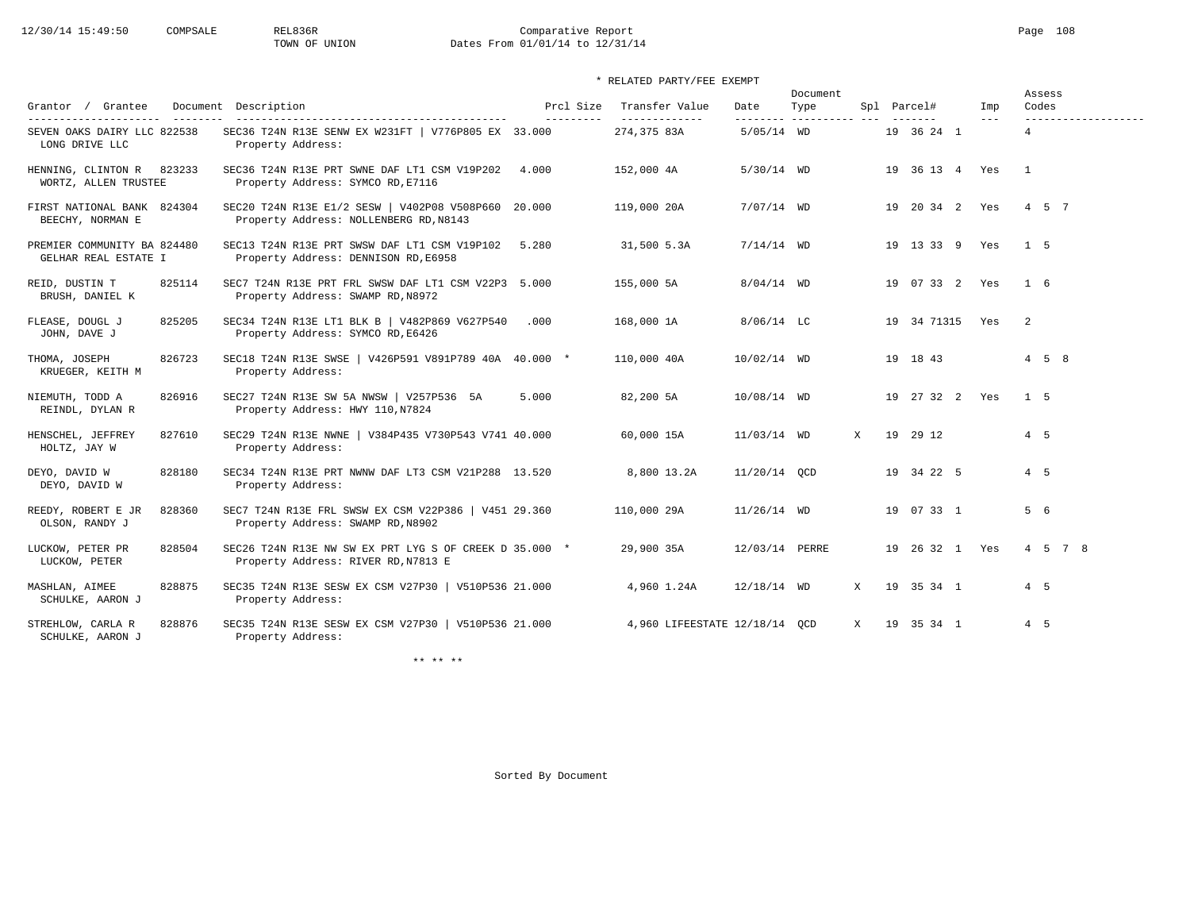# 12/30/14 15:49:50 COMPSALE REL836R Comparative Report Comparative Report Page 108 Dates From 01/01/14 to 12/31/14

### \* RELATED PARTY/FEE EXEMPT

|                                                     |        |                                                                                               |                         |                                 |                | Document                         |              |                    |              | Assess            |
|-----------------------------------------------------|--------|-----------------------------------------------------------------------------------------------|-------------------------|---------------------------------|----------------|----------------------------------|--------------|--------------------|--------------|-------------------|
| Grantor / Grantee<br>----------------               |        | Document Description                                                                          | Prcl Size<br>---------- | Transfer Value<br>------------- | Date           | Type<br>--------- ---------- --- |              | Spl Parcel#        | Imp<br>$---$ | Codes             |
| SEVEN OAKS DAIRY LLC 822538<br>LONG DRIVE LLC       |        | SEC36 T24N R13E SENW EX W231FT   V776P805 EX 33.000<br>Property Address:                      |                         | 274,375 83A                     | $5/05/14$ WD   |                                  |              | 19 36 24 1         |              | $\overline{4}$    |
| HENNING, CLINTON R 823233<br>WORTZ, ALLEN TRUSTEE   |        | SEC36 T24N R13E PRT SWNE DAF LT1 CSM V19P202<br>Property Address: SYMCO RD, E7116             | 4.000                   | 152,000 4A                      | $5/30/14$ WD   |                                  |              | 19 36 13 4 Yes     |              | $\overline{1}$    |
| FIRST NATIONAL BANK 824304<br>BEECHY, NORMAN E      |        | SEC20 T24N R13E E1/2 SESW   V402P08 V508P660 20.000<br>Property Address: NOLLENBERG RD, N8143 |                         | 119,000 20A                     | $7/07/14$ WD   |                                  |              | 19 20 34 2 Yes     |              | 4 5 7             |
| PREMIER COMMUNITY BA 824480<br>GELHAR REAL ESTATE I |        | SEC13 T24N R13E PRT SWSW DAF LT1 CSM V19P102<br>Property Address: DENNISON RD, E6958          | 5.280                   | 31,500 5.3A                     | $7/14/14$ WD   |                                  |              | 19  13  33  9  Yes |              | 1 5               |
| REID, DUSTIN T<br>BRUSH, DANIEL K                   | 825114 | SEC7 T24N R13E PRT FRL SWSW DAF LT1 CSM V22P3 5.000<br>Property Address: SWAMP RD, N8972      |                         | 155,000 5A                      | $8/04/14$ WD   |                                  |              | 19 07 33 2 Yes     |              | 1 6               |
| FLEASE, DOUGL J<br>JOHN, DAVE J                     | 825205 | SEC34 T24N R13E LT1 BLK B   V482P869 V627P540<br>Property Address: SYMCO RD, E6426            | .000                    | 168,000 1A                      | $8/06/14$ LC   |                                  |              | 19 34 71315 Yes    |              | -2                |
| THOMA, JOSEPH<br>KRUEGER, KEITH M                   | 826723 | SEC18 T24N R13E SWSE   V426P591 V891P789 40A 40.000 *<br>Property Address:                    |                         | 110,000 40A                     | $10/02/14$ WD  |                                  |              | 19 18 43           |              | $4\quad 5\quad 8$ |
| NIEMUTH, TODD A<br>REINDL, DYLAN R                  | 826916 | SEC27 T24N R13E SW 5A NWSW   V257P536 5A<br>Property Address: HWY 110, N7824                  | 5.000                   | 82,200 5A                       | 10/08/14 WD    |                                  |              | 19 27 32 2 Yes     |              | 1 5               |
| HENSCHEL, JEFFREY<br>HOLTZ, JAY W                   | 827610 | SEC29 T24N R13E NWNE   V384P435 V730P543 V741 40.000<br>Property Address:                     |                         | 60,000 15A                      | 11/03/14 WD    |                                  | X            | 19 29 12           |              | $4\quad 5$        |
| DEYO, DAVID W<br>DEYO, DAVID W                      | 828180 | SEC34 T24N R13E PRT NWNW DAF LT3 CSM V21P288 13.520<br>Property Address:                      |                         | 8,800 13.2A                     | 11/20/14 OCD   |                                  |              | 19 34 22 5         |              | 4 5               |
| REEDY, ROBERT E JR<br>OLSON, RANDY J                | 828360 | SEC7 T24N R13E FRL SWSW EX CSM V22P386   V451 29.360<br>Property Address: SWAMP RD, N8902     |                         | 110,000 29A                     | $11/26/14$ WD  |                                  |              | 19 07 33 1         |              | 5 6               |
| LUCKOW, PETER PR<br>LUCKOW, PETER                   | 828504 | SEC26 T24N R13E NW SW EX PRT LYG S OF CREEK D 35.000 *<br>Property Address: RIVER RD, N7813 E |                         | 29,900 35A                      | 12/03/14 PERRE |                                  |              | 19 26 32 1 Yes     |              | 4 5 7 8           |
| MASHLAN, AIMEE<br>SCHULKE, AARON J                  | 828875 | SEC35 T24N R13E SESW EX CSM V27P30   V510P536 21.000<br>Property Address:                     |                         | 4,960 1.24A                     | $12/18/14$ WD  |                                  | X            | 19 35 34 1         |              | 4 5               |
| STREHLOW, CARLA R<br>SCHULKE, AARON J               | 828876 | SEC35 T24N R13E SESW EX CSM V27P30   V510P536 21.000<br>Property Address:                     |                         | 4,960 LIFEESTATE 12/18/14 QCD   |                |                                  | $\mathbf{x}$ | 19 35 34 1         |              | 4 5               |

\*\* \*\* \*\*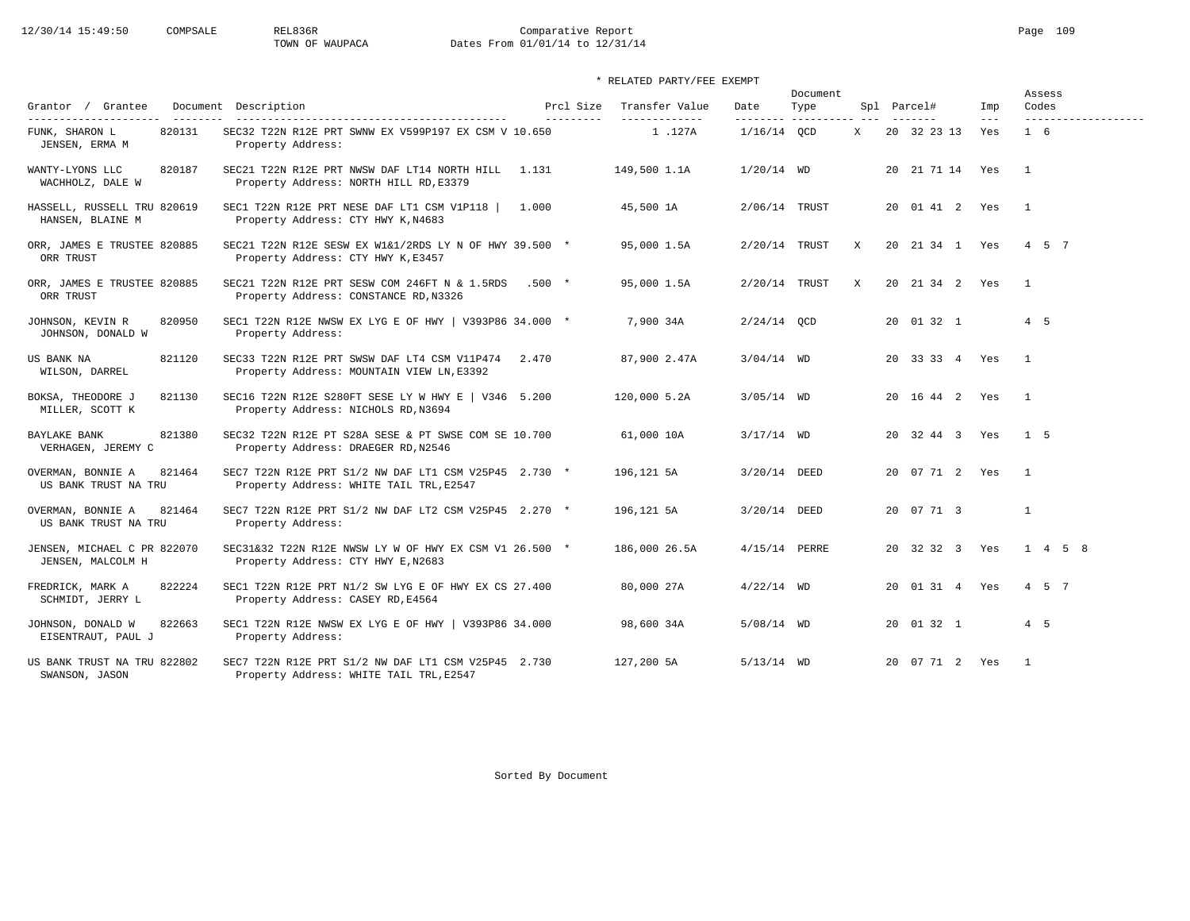# 12/30/14 15:49:50 COMPSALE REL836R Comparative Report Page 109 TOWN OF WAUPACA Dates From 01/01/14 to 12/31/14

# \* RELATED PARTY/FEE EXEMPT

|                                                     |                                                                                                  |                        |                                  |                   | Document           |   |                 |              | Assess                       |
|-----------------------------------------------------|--------------------------------------------------------------------------------------------------|------------------------|----------------------------------|-------------------|--------------------|---|-----------------|--------------|------------------------------|
| Grantor / Grantee<br>----------------------         | Document Description                                                                             | Prcl Size<br>--------- | Transfer Value<br>-------------- | Date<br>--------- | Type<br>---------- |   | Spl Parcel#     | Imp<br>$---$ | Codes<br>------------------- |
| 820131<br>FUNK, SHARON L<br>JENSEN, ERMA M          | SEC32 T22N R12E PRT SWNW EX V599P197 EX CSM V 10.650<br>Property Address:                        |                        | 1.127A                           | $1/16/14$ OCD     |                    | X | 20 32 23 13     | Yes          | $1\quad 6$                   |
| WANTY-LYONS LLC<br>820187<br>WACHHOLZ, DALE W       | SEC21 T22N R12E PRT NWSW DAF LT14 NORTH HILL 1.131<br>Property Address: NORTH HILL RD, E3379     |                        | 149,500 1.1A                     | $1/20/14$ WD      |                    |   | 20 21 71 14 Yes |              | $\overline{1}$               |
| HASSELL, RUSSELL TRU 820619<br>HANSEN, BLAINE M     | SEC1 T22N R12E PRT NESE DAF LT1 CSM V1P118<br>Property Address: CTY HWY K, N4683                 | 1.000                  | 45,500 1A                        | 2/06/14 TRUST     |                    |   | 20 01 41 2 Yes  |              | $\overline{1}$               |
| ORR, JAMES E TRUSTEE 820885<br>ORR TRUST            | SEC21 T22N R12E SESW EX W1&1/2RDS LY N OF HWY 39.500 *<br>Property Address: CTY HWY K, E3457     |                        | 95,000 1.5A                      | $2/20/14$ TRUST   |                    | X | 20 21 34 1 Yes  |              | 4 5 7                        |
| ORR, JAMES E TRUSTEE 820885<br>ORR TRUST            | SEC21 T22N R12E PRT SESW COM 246FT N & 1.5RDS<br>Property Address: CONSTANCE RD, N3326           | $.500*$                | 95,000 1.5A                      | 2/20/14 TRUST     |                    | X | 20 21 34 2 Yes  |              | $\overline{1}$               |
| JOHNSON, KEVIN R<br>820950<br>JOHNSON, DONALD W     | SEC1 T22N R12E NWSW EX LYG E OF HWY   V393P86 34.000 *<br>Property Address:                      |                        | 7,900 34A                        | $2/24/14$ OCD     |                    |   | 20 01 32 1      |              | 4 5                          |
| US BANK NA<br>821120<br>WILSON, DARREL              | SEC33 T22N R12E PRT SWSW DAF LT4 CSM V11P474 2.470<br>Property Address: MOUNTAIN VIEW LN, E3392  |                        | 87,900 2.47A                     | $3/04/14$ WD      |                    |   | 20 33 33 4 Yes  |              | $\overline{1}$               |
| BOKSA, THEODORE J<br>821130<br>MILLER, SCOTT K      | SEC16 T22N R12E S280FT SESE LY W HWY E   V346 5.200<br>Property Address: NICHOLS RD, N3694       |                        | 120,000 5.2A                     | $3/05/14$ WD      |                    |   | 20 16 44 2 Yes  |              | $\mathbf{1}$                 |
| 821380<br>BAYLAKE BANK<br>VERHAGEN, JEREMY C        | SEC32 T22N R12E PT S28A SESE & PT SWSE COM SE 10.700<br>Property Address: DRAEGER RD, N2546      |                        | 61,000 10A                       | $3/17/14$ WD      |                    |   | 20 32 44 3 Yes  |              | 1 <sub>5</sub>               |
| 821464<br>OVERMAN, BONNIE A<br>US BANK TRUST NA TRU | SEC7 T22N R12E PRT S1/2 NW DAF LT1 CSM V25P45 2.730 *<br>Property Address: WHITE TAIL TRL, E2547 |                        | 196,121 5A                       | 3/20/14 DEED      |                    |   | 20 07 71 2 Yes  |              | $\overline{1}$               |
| OVERMAN, BONNIE A<br>821464<br>US BANK TRUST NA TRU | SEC7 T22N R12E PRT S1/2 NW DAF LT2 CSM V25P45 2.270 *<br>Property Address:                       |                        | 196,121 5A                       | 3/20/14 DEED      |                    |   | 20 07 71 3      |              | $\mathbf{1}$                 |
| JENSEN, MICHAEL C PR 822070<br>JENSEN, MALCOLM H    | SEC31&32 T22N R12E NWSW LY W OF HWY EX CSM V1 26.500 *<br>Property Address: CTY HWY E, N2683     |                        | 186,000 26.5A                    | 4/15/14 PERRE     |                    |   | 20 32 32 3 Yes  |              | $1 \t4 \t5 \t8$              |
| 822224<br>FREDRICK, MARK A<br>SCHMIDT, JERRY L      | SEC1 T22N R12E PRT N1/2 SW LYG E OF HWY EX CS 27.400<br>Property Address: CASEY RD, E4564        |                        | 80,000 27A                       | $4/22/14$ WD      |                    |   | 20 01 31 4 Yes  |              | 4 5 7                        |
| JOHNSON, DONALD W<br>822663<br>EISENTRAUT, PAUL J   | SEC1 T22N R12E NWSW EX LYG E OF HWY   V393P86 34.000<br>Property Address:                        |                        | 98,600 34A                       | 5/08/14 WD        |                    |   | 20 01 32 1      |              | $4\quad 5$                   |
| US BANK TRUST NA TRU 822802<br>SWANSON, JASON       | SEC7 T22N R12E PRT S1/2 NW DAF LT1 CSM V25P45 2.730<br>Property Address: WHITE TAIL TRL, E2547   |                        | 127,200 5A                       | $5/13/14$ WD      |                    |   | 20 07 71 2 Yes  |              | $\overline{1}$               |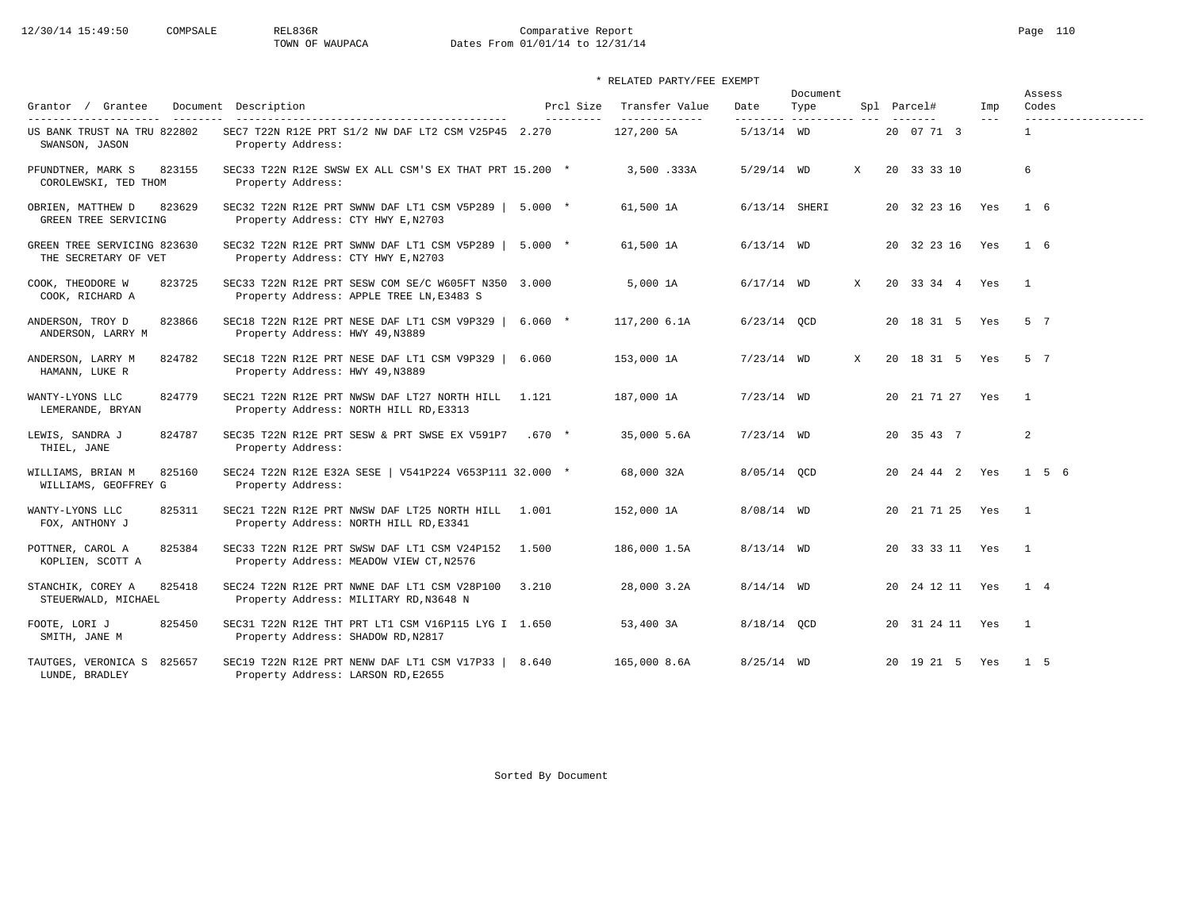# 12/30/14 15:49:50 COMPSALE REL836R Comparative Report Page 110 TOWN OF WAUPACA Dates From 01/01/14 to 12/31/14

|                                                     |                                                                                                 |                        |                                 |                  | Document                |   |                    |              | Assess                       |
|-----------------------------------------------------|-------------------------------------------------------------------------------------------------|------------------------|---------------------------------|------------------|-------------------------|---|--------------------|--------------|------------------------------|
| Grantor / Grantee<br>----------------------         | Document Description                                                                            | Prcl Size<br>--------- | Transfer Value<br>------------- | Date<br>-------- | Type<br>----------- --- |   | Spl Parcel#        | Imp<br>$---$ | Codes<br>------------------- |
| US BANK TRUST NA TRU 822802<br>SWANSON, JASON       | SEC7 T22N R12E PRT S1/2 NW DAF LT2 CSM V25P45 2.270<br>Property Address:                        |                        | 127,200 5A                      | $5/13/14$ WD     |                         |   | 20 07 71 3         |              | $\mathbf{1}$                 |
| 823155<br>PFUNDTNER, MARK S<br>COROLEWSKI, TED THOM | SEC33 T22N R12E SWSW EX ALL CSM'S EX THAT PRT 15.200 *<br>Property Address:                     |                        | 3,500 .333A                     | $5/29/14$ WD     |                         | X | 20 33 33 10        |              | 6                            |
| 823629<br>OBRIEN, MATTHEW D<br>GREEN TREE SERVICING | SEC32 T22N R12E PRT SWNW DAF LT1 CSM V5P289   5.000 *<br>Property Address: CTY HWY E, N2703     |                        | 61,500 1A                       | 6/13/14 SHERI    |                         |   | 20 32 23 16 Yes    |              | 1 6                          |
| GREEN TREE SERVICING 823630<br>THE SECRETARY OF VET | SEC32 T22N R12E PRT SWNW DAF LT1 CSM V5P289   5.000 *<br>Property Address: CTY HWY E, N2703     |                        | 61,500 1A                       | $6/13/14$ WD     |                         |   | 20 32 23 16 Yes    |              | $1\quad 6$                   |
| COOK, THEODORE W<br>823725<br>COOK, RICHARD A       | SEC33 T22N R12E PRT SESW COM SE/C W605FT N350 3.000<br>Property Address: APPLE TREE LN, E3483 S |                        | 5,000 1A                        | $6/17/14$ WD     |                         | X | 20 33 34 4 Yes     |              | $\overline{1}$               |
| ANDERSON, TROY D<br>823866<br>ANDERSON, LARRY M     | SEC18 T22N R12E PRT NESE DAF LT1 CSM V9P329   6.060 *<br>Property Address: HWY 49, N3889        |                        | 117,200 6.1A                    | $6/23/14$ OCD    |                         |   | 20 18 31 5 Yes     |              | 5 7                          |
| 824782<br>ANDERSON, LARRY M<br>HAMANN, LUKE R       | SEC18 T22N R12E PRT NESE DAF LT1 CSM V9P329  <br>Property Address: HWY 49, N3889                | 6.060                  | 153,000 1A                      | $7/23/14$ WD     |                         | X | 20 18 31 5         | Yes          | 5 7                          |
| 824779<br>WANTY-LYONS LLC<br>LEMERANDE, BRYAN       | SEC21 T22N R12E PRT NWSW DAF LT27 NORTH HILL<br>Property Address: NORTH HILL RD, E3313          | 1.121                  | 187,000 1A                      | $7/23/14$ WD     |                         |   | 20 21 71 27 Yes    |              | $\overline{1}$               |
| LEWIS, SANDRA J<br>824787<br>THIEL, JANE            | SEC35 T22N R12E PRT SESW & PRT SWSE EX V591P7<br>Property Address:                              | $.670*$                | 35,000 5.6A                     | $7/23/14$ WD     |                         |   | 20 35 43 7         |              | $\overline{a}$               |
| 825160<br>WILLIAMS, BRIAN M<br>WILLIAMS, GEOFFREY G | SEC24 T22N R12E E32A SESE   V541P224 V653P111 32.000 *<br>Property Address:                     |                        | 68,000 32A                      | 8/05/14 QCD      |                         |   | 20  24  44  2  Yes |              | 1 5 6                        |
| 825311<br>WANTY-LYONS LLC<br>FOX, ANTHONY J         | SEC21 T22N R12E PRT NWSW DAF LT25 NORTH HILL<br>Property Address: NORTH HILL RD, E3341          | 1.001                  | 152,000 1A                      | $8/08/14$ WD     |                         |   | 20 21 71 25 Yes    |              | $\overline{1}$               |
| 825384<br>POTTNER, CAROL A<br>KOPLIEN, SCOTT A      | SEC33 T22N R12E PRT SWSW DAF LT1 CSM V24P152<br>Property Address: MEADOW VIEW CT, N2576         | 1.500                  | 186,000 1.5A                    | $8/13/14$ WD     |                         |   | 20 33 33 11        | Yes          | $\overline{1}$               |
| STANCHIK, COREY A<br>825418<br>STEUERWALD, MICHAEL  | SEC24 T22N R12E PRT NWNE DAF LT1 CSM V28P100<br>Property Address: MILITARY RD, N3648 N          | 3.210                  | 28,000 3.2A                     | $8/14/14$ WD     |                         |   | 20 24 12 11 Yes    |              | 1 4                          |
| FOOTE, LORI J<br>825450<br>SMITH, JANE M            | SEC31 T22N R12E THT PRT LT1 CSM V16P115 LYG I 1.650<br>Property Address: SHADOW RD, N2817       |                        | 53,400 3A                       | 8/18/14 OCD      |                         |   | 20 31 24 11 Yes    |              | $\overline{1}$               |
| TAUTGES, VERONICA S 825657<br>LUNDE, BRADLEY        | SEC19 T22N R12E PRT NENW DAF LT1 CSM V17P33   8.640<br>Property Address: LARSON RD, E2655       |                        | 165,000 8.6A                    | $8/25/14$ WD     |                         |   | 20 19 21 5 Yes     |              | 1 5                          |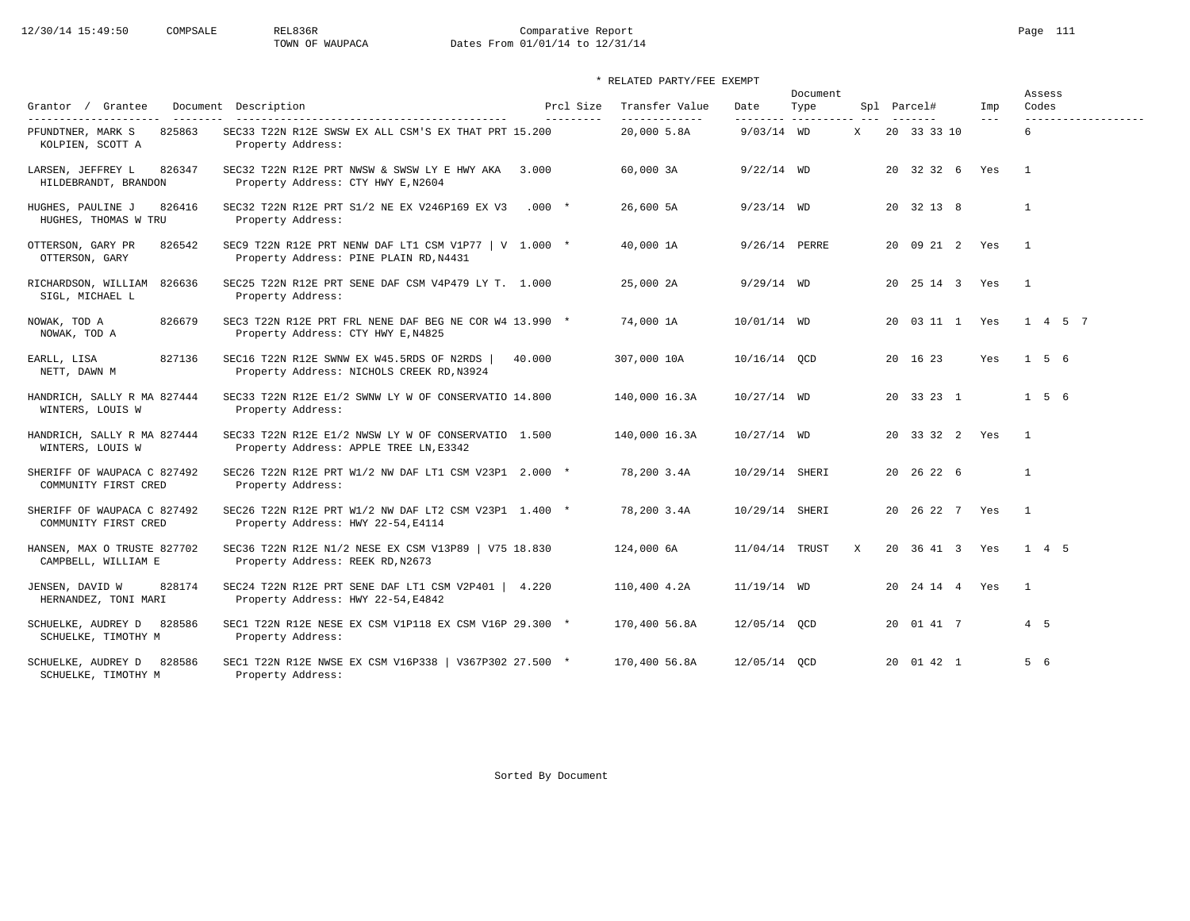# 12/30/14 15:49:50 COMPSALE REL836R Comparative Report Page 111 TOWN OF WAUPACA Dates From 01/01/14 to 12/31/14

# \* RELATED PARTY/FEE EXEMPT

| Grantor / Grantee<br>Document                                             | Description                                                                                     | Prcl Size | Transfer Value               | Date                     | Document<br>Type |   | Spl Parcel#        | Imp   | Assess<br>Codes          |
|---------------------------------------------------------------------------|-------------------------------------------------------------------------------------------------|-----------|------------------------------|--------------------------|------------------|---|--------------------|-------|--------------------------|
| ----------------------<br>825863<br>PFUNDTNER, MARK S<br>KOLPIEN, SCOTT A | SEC33 T22N R12E SWSW EX ALL CSM'S EX THAT PRT 15.200<br>Property Address:                       | --------- | -------------<br>20,000 5.8A | --------<br>$9/03/14$ WD | ----------       | X | 20 33 33 10        | $---$ | -------------------<br>6 |
| LARSEN, JEFFREY L<br>826347<br>HILDEBRANDT, BRANDON                       | SEC32 T22N R12E PRT NWSW & SWSW LY E HWY AKA<br>Property Address: CTY HWY E, N2604              | 3.000     | 60,000 3A                    | $9/22/14$ WD             |                  |   | 20 32 32 6 Yes     |       | $\overline{1}$           |
| 826416<br>HUGHES, PAULINE J<br>HUGHES, THOMAS W TRU                       | SEC32 T22N R12E PRT S1/2 NE EX V246P169 EX V3<br>Property Address:                              | $.000*$   | 26,600 5A                    | $9/23/14$ WD             |                  |   | 20 32 13 8         |       | 1                        |
| OTTERSON, GARY PR<br>826542<br>OTTERSON, GARY                             | SEC9 T22N R12E PRT NENW DAF LT1 CSM V1P77   V 1.000 *<br>Property Address: PINE PLAIN RD, N4431 |           | 40,000 1A                    | 9/26/14 PERRE            |                  |   | 20 09 21 2 Yes     |       | $\overline{1}$           |
| RICHARDSON, WILLIAM<br>826636<br>SIGL, MICHAEL L                          | SEC25 T22N R12E PRT SENE DAF CSM V4P479 LY T. 1.000<br>Property Address:                        |           | 25,000 2A                    | $9/29/14$ WD             |                  |   | 20 25 14 3 Yes     |       | $\overline{1}$           |
| NOWAK, TOD A<br>826679<br>NOWAK, TOD A                                    | SEC3 T22N R12E PRT FRL NENE DAF BEG NE COR W4 13.990 *<br>Property Address: CTY HWY E, N4825    |           | 74,000 1A                    | 10/01/14 WD              |                  |   | 20 03 11 1 Yes     |       | 1 4 5 7                  |
| 827136<br>EARLL, LISA<br>NETT, DAWN M                                     | SEC16 T22N R12E SWNW EX W45.5RDS OF N2RDS<br>Property Address: NICHOLS CREEK RD, N3924          | 40.000    | 307,000 10A                  | 10/16/14 QCD             |                  |   | 20 16 23           | Yes   | 156                      |
| HANDRICH, SALLY R MA 827444<br>WINTERS, LOUIS W                           | SEC33 T22N R12E E1/2 SWNW LY W OF CONSERVATIO 14.800<br>Property Address:                       |           | 140,000 16.3A                | $10/27/14$ WD            |                  |   | 20 33 23 1         |       | $1\quad 5\quad 6$        |
| HANDRICH, SALLY R MA 827444<br>WINTERS, LOUIS W                           | SEC33 T22N R12E E1/2 NWSW LY W OF CONSERVATIO 1.500<br>Property Address: APPLE TREE LN, E3342   |           | 140,000 16.3A                | 10/27/14 WD              |                  |   | 20 33 32 2 Yes     |       | $\overline{1}$           |
| SHERIFF OF WAUPACA C 827492<br>COMMUNITY FIRST CRED                       | SEC26 T22N R12E PRT W1/2 NW DAF LT1 CSM V23P1 2.000 *<br>Property Address:                      |           | 78,200 3.4A                  | 10/29/14 SHERI           |                  |   | 20 26 22 6         |       | $\mathbf{1}$             |
| SHERIFF OF WAUPACA C 827492<br>COMMUNITY FIRST CRED                       | SEC26 T22N R12E PRT W1/2 NW DAF LT2 CSM V23P1 1.400 *<br>Property Address: HWY 22-54, E4114     |           | 78,200 3.4A                  | 10/29/14 SHERI           |                  |   | 20 26 22 7 Yes     |       | $\overline{1}$           |
| HANSEN, MAX O TRUSTE 827702<br>CAMPBELL, WILLIAM E                        | SEC36 T22N R12E N1/2 NESE EX CSM V13P89   V75 18.830<br>Property Address: REEK RD, N2673        |           | 124,000 6A                   | 11/04/14 TRUST           |                  | X | 20 36 41 3 Yes     |       | 1 4 5                    |
| JENSEN, DAVID W<br>828174<br>HERNANDEZ, TONI MARI                         | SEC24 T22N R12E PRT SENE DAF LT1 CSM V2P401 $\vert$ 4.220<br>Property Address: HWY 22-54, E4842 |           | 110,400 4.2A                 | $11/19/14$ WD            |                  |   | 20  24  14  4  Yes |       | $\overline{1}$           |
| SCHUELKE, AUDREY D<br>828586<br>SCHUELKE, TIMOTHY M                       | SEC1 T22N R12E NESE EX CSM V1P118 EX CSM V16P 29.300 *<br>Property Address:                     |           | 170,400 56.8A                | 12/05/14 OCD             |                  |   | 20 01 41 7         |       | 4 5                      |
| 828586<br>SCHUELKE, AUDREY D<br>SCHUELKE, TIMOTHY M                       | SEC1 T22N R12E NWSE EX CSM V16P338   V367P302 27.500 *<br>Property Address:                     |           | 170,400 56.8A                | 12/05/14 OCD             |                  |   | 20 01 42 1         |       | 5 6                      |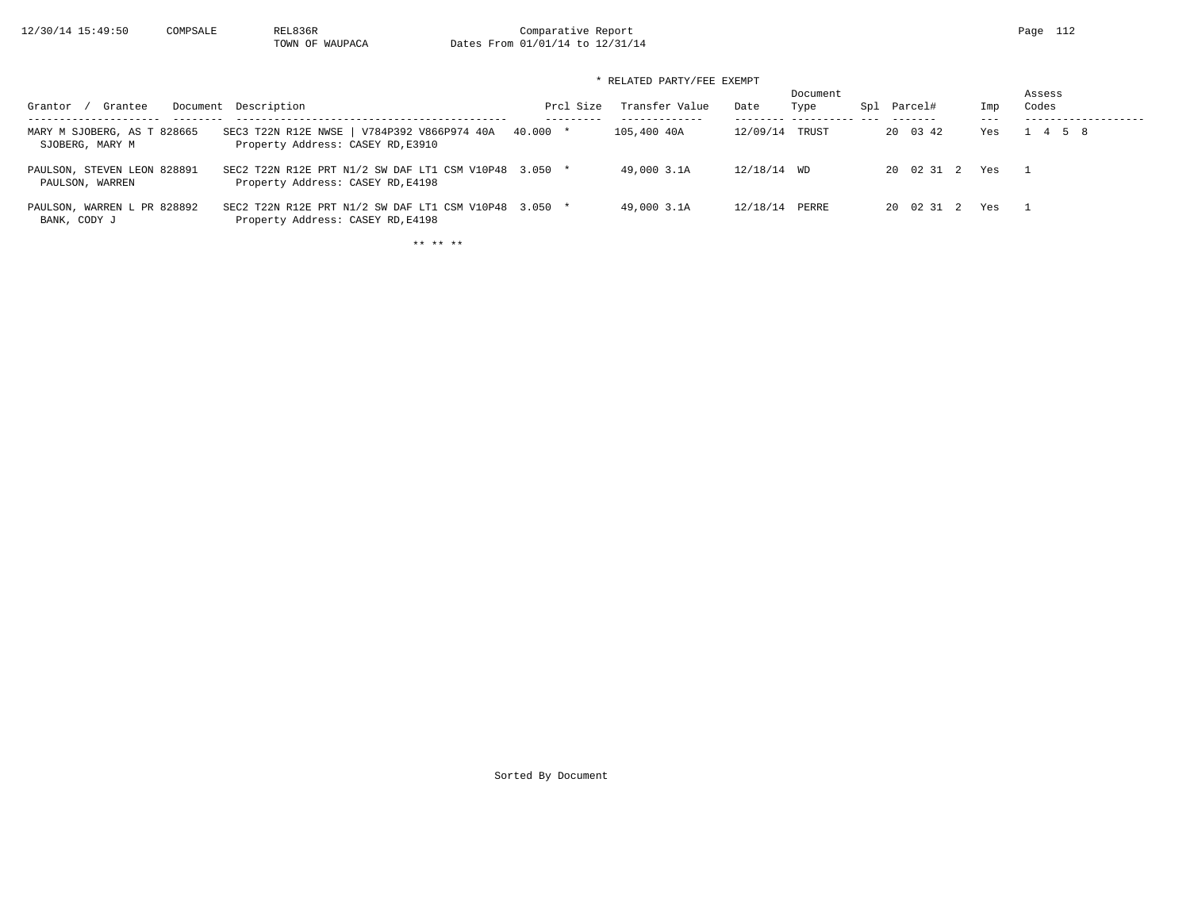12/30/14 15:49:50 COMPSALE REL836R Comparative Report Page 112<br>TOWN OF WAUPACA Dates From 01/01/14 to 12/31/14 Dates From 01/01/14 to 12/31/14

# \* RELATED PARTY/FEE EXEMPT

| Grantee<br>Grantor                             | Document Description                                                                       | Prcl Size | Transfer Value | Date        | Document<br>Type | Spl Parcel# | Imp<br>$- - -$ | Assess<br>Codes |
|------------------------------------------------|--------------------------------------------------------------------------------------------|-----------|----------------|-------------|------------------|-------------|----------------|-----------------|
| MARY M SJOBERG, AS T 828665<br>SJOBERG, MARY M | SEC3 T22N R12E NWSE   V784P392 V866P974 40A<br>Property Address: CASEY RD, E3910           | 40.000 *  | 105,400 40A    | 12/09/14    | TRUST            | 20 03 42    | Yes            | 1 4 5 8         |
| PAULSON, STEVEN LEON 828891<br>PAULSON, WARREN | SEC2 T22N R12E PRT N1/2 SW DAF LT1 CSM V10P48 3.050 *<br>Property Address: CASEY RD, E4198 |           | 49,000 3.1A    | 12/18/14 WD |                  | 20 02 31 2  | Yes            | $\sim$ 1        |
| PAULSON, WARREN L PR 828892<br>BANK, CODY J    | SEC2 T22N R12E PRT N1/2 SW DAF LT1 CSM V10P48 3.050 *<br>Property Address: CASEY RD, E4198 |           | 49,000 3.1A    | 12/18/14    | PERRE            | 20 02 31 2  | Yes            | - 1             |

\*\* \*\* \*\*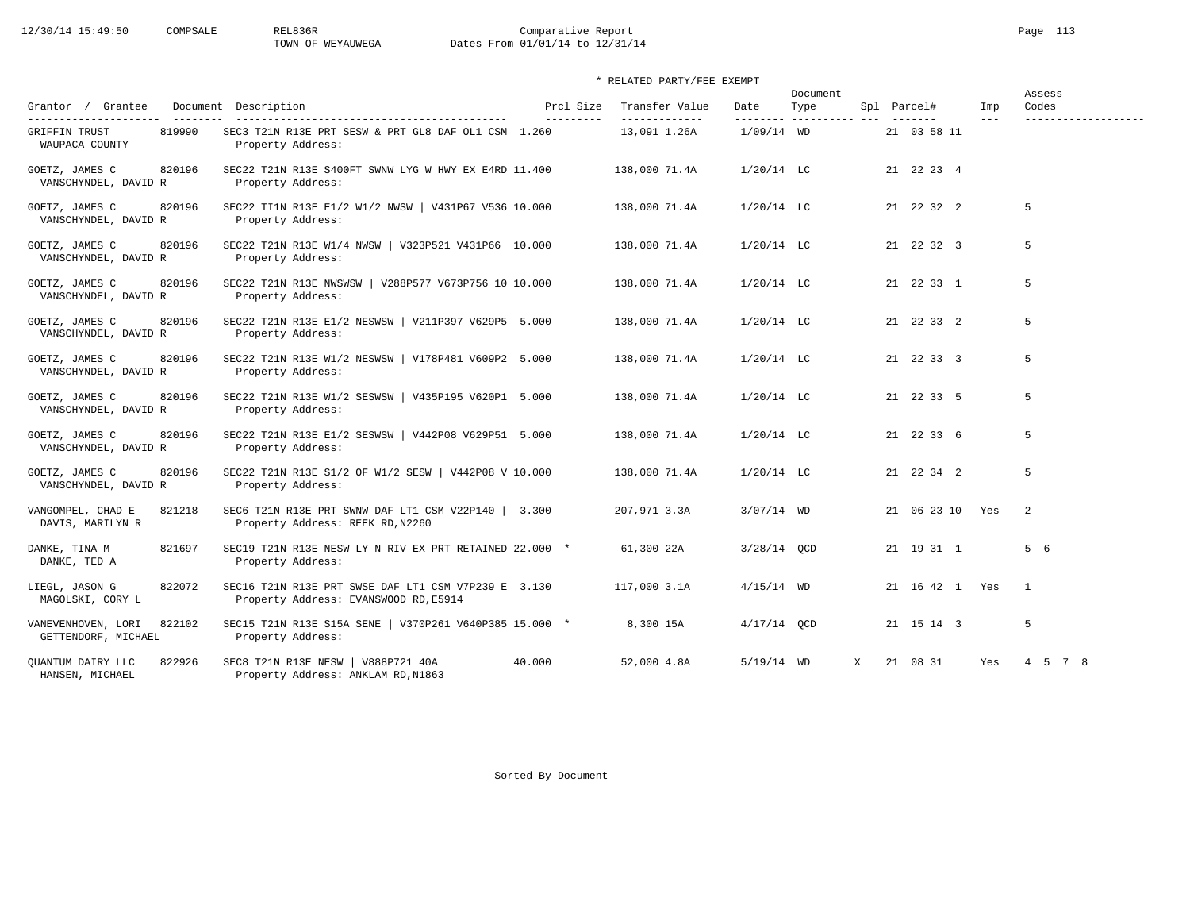# 12/30/14 15:49:50 COMPSALE REL836R Comparative Report Page 113 TOWN OF WEYAUWEGA Dates From 01/01/14 to 12/31/14

| Grantor / Grantee                                   | Document Description                                                                                              | Prcl Size | Transfer Value                | Date                      | Document<br>Type |   | Spl Parcel#     | Imp     | Assess<br>Codes |
|-----------------------------------------------------|-------------------------------------------------------------------------------------------------------------------|-----------|-------------------------------|---------------------------|------------------|---|-----------------|---------|-----------------|
| <b>GRIFFIN TRUST</b><br>819990<br>WAUPACA COUNTY    | -------------------------------------<br>SEC3 T21N R13E PRT SESW & PRT GL8 DAF OL1 CSM 1.260<br>Property Address: | --------- | -------------<br>13,091 1.26A | ---------<br>$1/09/14$ WD | -------------    |   | 21 03 58 11     | $- - -$ |                 |
| GOETZ, JAMES C<br>820196<br>VANSCHYNDEL, DAVID R    | SEC22 T21N R13E S400FT SWNW LYG W HWY EX E4RD 11.400<br>Property Address:                                         |           | 138,000 71.4A                 | $1/20/14$ LC              |                  |   | 21 22 23 4      |         |                 |
| 820196<br>GOETZ, JAMES C<br>VANSCHYNDEL, DAVID R    | SEC22 TI1N R13E E1/2 W1/2 NWSW   V431P67 V536 10.000<br>Property Address:                                         |           | 138,000 71.4A                 | $1/20/14$ LC              |                  |   | 21 22 32 2      |         | 5               |
| 820196<br>GOETZ, JAMES C<br>VANSCHYNDEL, DAVID R    | SEC22 T21N R13E W1/4 NWSW   V323P521 V431P66 10.000<br>Property Address:                                          |           | 138,000 71.4A                 | $1/20/14$ LC              |                  |   | 21 22 32 3      |         | 5               |
| 820196<br>GOETZ, JAMES C<br>VANSCHYNDEL, DAVID R    | SEC22 T21N R13E NWSWSW   V288P577 V673P756 10 10.000<br>Property Address:                                         |           | 138,000 71.4A                 | $1/20/14$ LC              |                  |   | 21 22 33 1      |         | 5               |
| GOETZ, JAMES C<br>820196<br>VANSCHYNDEL, DAVID R    | SEC22 T21N R13E E1/2 NESWSW   V211P397 V629P5 5.000<br>Property Address:                                          |           | 138,000 71.4A                 | $1/20/14$ LC              |                  |   | 21 22 33 2      |         | 5               |
| 820196<br>GOETZ, JAMES C<br>VANSCHYNDEL, DAVID R    | SEC22 T21N R13E W1/2 NESWSW   V178P481 V609P2 5.000<br>Property Address:                                          |           | 138,000 71.4A                 | $1/20/14$ LC              |                  |   | 21 22 33 3      |         | 5               |
| 820196<br>GOETZ, JAMES C<br>VANSCHYNDEL, DAVID R    | SEC22 T21N R13E W1/2 SESWSW   V435P195 V620P1 5.000<br>Property Address:                                          |           | 138,000 71.4A                 | $1/20/14$ LC              |                  |   | 21 22 33 5      |         | 5               |
| 820196<br>GOETZ, JAMES C<br>VANSCHYNDEL, DAVID R    | SEC22 T21N R13E E1/2 SESWSW   V442P08 V629P51 5.000<br>Property Address:                                          |           | 138,000 71.4A                 | $1/20/14$ LC              |                  |   | 21 22 33 6      |         | 5               |
| 820196<br>GOETZ, JAMES C<br>VANSCHYNDEL, DAVID R    | SEC22 T21N R13E S1/2 OF W1/2 SESW   V442P08 V 10.000<br>Property Address:                                         |           | 138,000 71.4A                 | $1/20/14$ LC              |                  |   | 21 22 34 2      |         | 5               |
| VANGOMPEL, CHAD E<br>821218<br>DAVIS, MARILYN R     | SEC6 T21N R13E PRT SWNW DAF LT1 CSM V22P140   3.300<br>Property Address: REEK RD, N2260                           |           | 207,971 3.3A                  | $3/07/14$ WD              |                  |   | 21 06 23 10 Yes |         | 2               |
| 821697<br>DANKE, TINA M<br>DANKE, TED A             | SEC19 T21N R13E NESW LY N RIV EX PRT RETAINED 22.000 *<br>Property Address:                                       |           | 61,300 22A                    | $3/28/14$ OCD             |                  |   | 21 19 31 1      |         | 5 6             |
| 822072<br>LIEGL, JASON G<br>MAGOLSKI, CORY L        | SEC16 T21N R13E PRT SWSE DAF LT1 CSM V7P239 E 3.130<br>Property Address: EVANSWOOD RD, E5914                      |           | 117,000 3.1A                  | $4/15/14$ WD              |                  |   | 21 16 42 1 Yes  |         | $\overline{1}$  |
| 822102<br>VANEVENHOVEN, LORI<br>GETTENDORF, MICHAEL | SEC15 T21N R13E S15A SENE   V370P261 V640P385 15.000 *<br>Property Address:                                       |           | 8,300 15A                     | $4/17/14$ OCD             |                  |   | 21 15 14 3      |         | 5               |
| 822926<br>OUANTUM DAIRY LLC<br>HANSEN, MICHAEL      | SEC8 T21N R13E NESW   V888P721 40A<br>Property Address: ANKLAM RD, N1863                                          | 40.000    | 52,000 4.8A                   | $5/19/14$ WD              |                  | X | 21 08 31        | Yes     | 4 5 7 8         |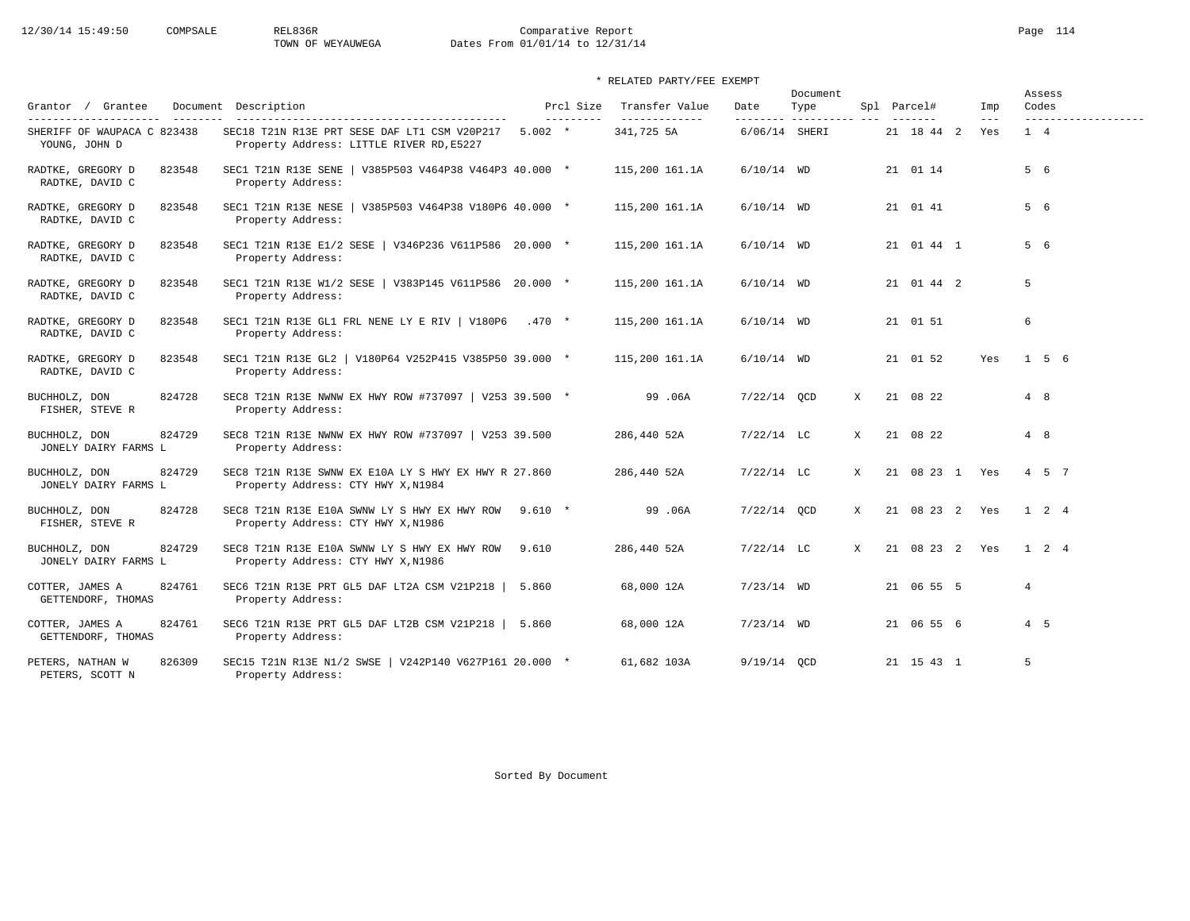# 12/30/14 15:49:50 COMPSALE REL836R Comparative Report Page 114 TOWN OF WEYAUWEGA Dates From 01/01/14 to 12/31/14

# \* RELATED PARTY/FEE EXEMPT

|                                                 |                                                                                            |           |                         |                                 |                  | Document |              |                |                |                     | Assess              |
|-------------------------------------------------|--------------------------------------------------------------------------------------------|-----------|-------------------------|---------------------------------|------------------|----------|--------------|----------------|----------------|---------------------|---------------------|
| Grantor / Grantee<br>---------------------      | Document Description                                                                       |           | Prcl Size<br>---------- | Transfer Value<br>------------- | Date<br>-------- | Type     |              | Spl Parcel#    | Imp<br>$- - -$ | Codes               | ------------------- |
| SHERIFF OF WAUPACA C 823438<br>YOUNG, JOHN D    | SEC18 T21N R13E PRT SESE DAF LT1 CSM V20P217<br>Property Address: LITTLE RIVER RD, E5227   | $5.002$ * |                         | 341,725 5A                      | 6/06/14 SHERI    |          |              | 21 18 44 2     | Yes            | $1 \quad 4$         |                     |
| 823548<br>RADTKE, GREGORY D<br>RADTKE, DAVID C  | SEC1 T21N R13E SENE   V385P503 V464P38 V464P3 40.000 *<br>Property Address:                |           |                         | 115,200 161.1A                  | $6/10/14$ WD     |          |              | 21 01 14       |                | 5 6                 |                     |
| 823548<br>RADTKE, GREGORY D<br>RADTKE, DAVID C  | SEC1 T21N R13E NESE   V385P503 V464P38 V180P6 40.000 *<br>Property Address:                |           |                         | 115,200 161.1A                  | $6/10/14$ WD     |          |              | 21 01 41       |                | 5 6                 |                     |
| RADTKE, GREGORY D<br>823548<br>RADTKE, DAVID C  | SEC1 T21N R13E E1/2 SESE   V346P236 V611P586 20.000 *<br>Property Address:                 |           |                         | 115,200 161.1A                  | $6/10/14$ WD     |          |              | 21 01 44 1     |                | 5 6                 |                     |
| 823548<br>RADTKE, GREGORY D<br>RADTKE, DAVID C  | SEC1 T21N R13E W1/2 SESE   V383P145 V611P586 20.000 *<br>Property Address:                 |           |                         | 115,200 161.1A                  | $6/10/14$ WD     |          |              | 21 01 44 2     |                | 5                   |                     |
| RADTKE, GREGORY D<br>823548<br>RADTKE, DAVID C  | SEC1 T21N R13E GL1 FRL NENE LY E RIV   V180P6<br>Property Address:                         | $.470*$   |                         | 115,200 161.1A                  | $6/10/14$ WD     |          |              | 21 01 51       |                | 6                   |                     |
| 823548<br>RADTKE, GREGORY D<br>RADTKE, DAVID C  | SEC1 T21N R13E GL2   V180P64 V252P415 V385P50 39.000 *<br>Property Address:                |           |                         | 115,200 161.1A                  | $6/10/14$ WD     |          |              | 21 01 52       | Yes            |                     | 156                 |
| BUCHHOLZ, DON<br>824728<br>FISHER, STEVE R      | SEC8 T21N R13E NWNW EX HWY ROW #737097   V253 39.500 *<br>Property Address:                |           |                         | 99.06A                          | $7/22/14$ OCD    |          | X            | 21 08 22       |                | 4 8                 |                     |
| 824729<br>BUCHHOLZ, DON<br>JONELY DAIRY FARMS L | SEC8 T21N R13E NWNW EX HWY ROW #737097   V253 39.500<br>Property Address:                  |           |                         | 286,440 52A                     | $7/22/14$ LC     |          | X            | 21 08 22       |                | 4 8                 |                     |
| 824729<br>BUCHHOLZ, DON<br>JONELY DAIRY FARMS L | SEC8 T21N R13E SWNW EX E10A LY S HWY EX HWY R 27.860<br>Property Address: CTY HWY X, N1984 |           |                         | 286,440 52A                     | $7/22/14$ LC     |          | X            | 21 08 23 1 Yes |                |                     | $4 \quad 5 \quad 7$ |
| 824728<br>BUCHHOLZ, DON<br>FISHER, STEVE R      | SEC8 T21N R13E E10A SWNW LY S HWY EX HWY ROW<br>Property Address: CTY HWY X, N1986         | $9.610 *$ |                         | 99.06A                          | $7/22/14$ OCD    |          | $\mathbf{x}$ | 21 08 23 2 Yes |                |                     | $1\quad 2\quad 4$   |
| 824729<br>BUCHHOLZ, DON<br>JONELY DAIRY FARMS L | SEC8 T21N R13E E10A SWNW LY S HWY EX HWY ROW<br>Property Address: CTY HWY X, N1986         | 9.610     |                         | 286,440 52A                     | $7/22/14$ LC     |          | X            | 21 08 23 2 Yes |                | $1 \quad 2 \quad 4$ |                     |
| 824761<br>COTTER, JAMES A<br>GETTENDORF, THOMAS | SEC6 T21N R13E PRT GL5 DAF LT2A CSM V21P218  <br>Property Address:                         | 5.860     |                         | 68,000 12A                      | $7/23/14$ WD     |          |              | 21 06 55 5     |                | $\overline{4}$      |                     |
| 824761<br>COTTER, JAMES A<br>GETTENDORF, THOMAS | SEC6 T21N R13E PRT GL5 DAF LT2B CSM V21P218   5.860<br>Property Address:                   |           |                         | 68,000 12A                      | $7/23/14$ WD     |          |              | 21 06 55 6     |                | $4\quad 5$          |                     |
| 826309<br>PETERS, NATHAN W<br>PETERS, SCOTT N   | SEC15 T21N R13E N1/2 SWSE   V242P140 V627P161 20.000 *<br>Property Address:                |           |                         | 61,682 103A                     | $9/19/14$ OCD    |          |              | 21 15 43 1     |                | 5                   |                     |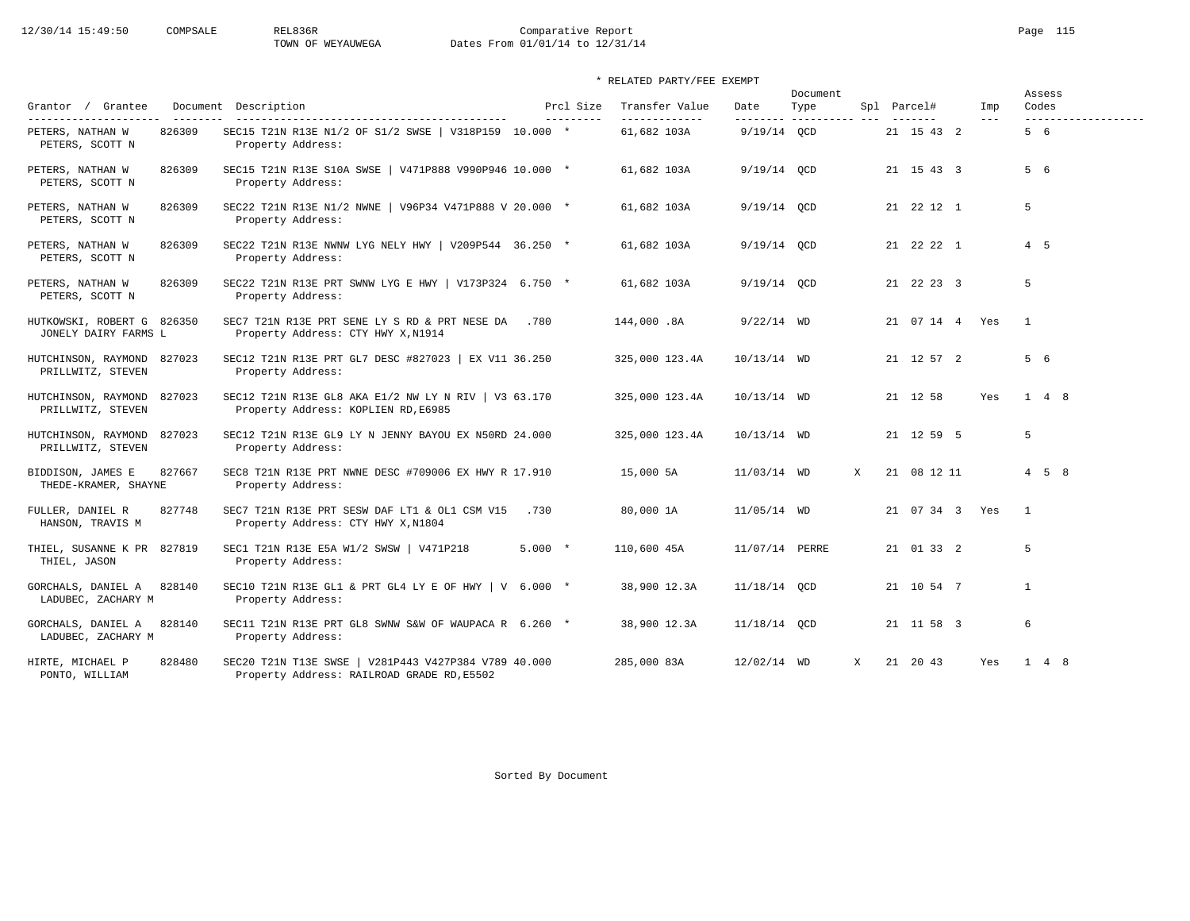# 12/30/14 15:49:50 COMPSALE REL836R Comparative Report Page 115 TOWN OF WEYAUWEGA Dates From 01/01/14 to 12/31/14

# \* RELATED PARTY/FEE EXEMPT

|                                                    |        |                                                                                                    |           |                         |                                 |                | Document                     |   |                |                |                | Assess              |
|----------------------------------------------------|--------|----------------------------------------------------------------------------------------------------|-----------|-------------------------|---------------------------------|----------------|------------------------------|---|----------------|----------------|----------------|---------------------|
| Grantor / Grantee<br>---------------------         |        | Document Description                                                                               |           | Prcl Size<br>---------- | Transfer Value<br>------------- | Date           | Type<br>--------- ---------- |   | Spl Parcel#    | Imp<br>$- - -$ | Codes          | ------------------- |
| PETERS, NATHAN W<br>PETERS, SCOTT N                | 826309 | SEC15 T21N R13E N1/2 OF S1/2 SWSE   V318P159 10.000 *<br>Property Address:                         |           |                         | 61,682 103A                     | 9/19/14 OCD    |                              |   | 21 15 43 2     |                | 5 6            |                     |
| PETERS, NATHAN W<br>PETERS, SCOTT N                | 826309 | SEC15 T21N R13E S10A SWSE   V471P888 V990P946 10.000 *<br>Property Address:                        |           |                         | 61,682 103A                     | 9/19/14 OCD    |                              |   | 21 15 43 3     |                | 5 6            |                     |
| PETERS, NATHAN W<br>PETERS, SCOTT N                | 826309 | SEC22 T21N R13E N1/2 NWNE   V96P34 V471P888 V 20.000 *<br>Property Address:                        |           |                         | 61,682 103A                     | $9/19/14$ QCD  |                              |   | 21 22 12 1     |                | 5              |                     |
| PETERS, NATHAN W<br>PETERS, SCOTT N                | 826309 | SEC22 T21N R13E NWNW LYG NELY HWY   V209P544 36.250 *<br>Property Address:                         |           |                         | 61,682 103A                     | 9/19/14 OCD    |                              |   | 21 22 22 1     |                | $4\quad 5$     |                     |
| PETERS, NATHAN W<br>PETERS, SCOTT N                | 826309 | SEC22 T21N R13E PRT SWNW LYG E HWY   V173P324 6.750 *<br>Property Address:                         |           |                         | 61,682 103A                     | 9/19/14 OCD    |                              |   | 21 22 23 3     |                | 5              |                     |
| HUTKOWSKI, ROBERT G 826350<br>JONELY DAIRY FARMS L |        | SEC7 T21N R13E PRT SENE LY S RD & PRT NESE DA .780<br>Property Address: CTY HWY X, N1914           |           |                         | 144,000.8A                      | $9/22/14$ WD   |                              |   | 21 07 14 4 Yes |                | $\overline{1}$ |                     |
| HUTCHINSON, RAYMOND 827023<br>PRILLWITZ, STEVEN    |        | SEC12 T21N R13E PRT GL7 DESC #827023   EX V11 36.250<br>Property Address:                          |           |                         | 325,000 123.4A                  | 10/13/14 WD    |                              |   | 21 12 57 2     |                | 5 6            |                     |
| HUTCHINSON, RAYMOND 827023<br>PRILLWITZ, STEVEN    |        | SEC12 T21N R13E GL8 AKA E1/2 NW LY N RIV   V3 63.170<br>Property Address: KOPLIEN RD, E6985        |           |                         | 325,000 123.4A                  | $10/13/14$ WD  |                              |   | 21 12 58       | Yes            |                | $1 \quad 4 \quad 8$ |
| HUTCHINSON, RAYMOND<br>PRILLWITZ, STEVEN           | 827023 | SEC12 T21N R13E GL9 LY N JENNY BAYOU EX N50RD 24.000<br>Property Address:                          |           |                         | 325,000 123.4A                  | $10/13/14$ WD  |                              |   | 21 12 59 5     |                | 5              |                     |
| BIDDISON, JAMES E<br>THEDE-KRAMER, SHAYNE          | 827667 | SEC8 T21N R13E PRT NWNE DESC #709006 EX HWY R 17.910<br>Property Address:                          |           |                         | 15,000 5A                       | 11/03/14 WD    |                              | X | 21 08 12 11    |                |                | $4\quad 5\quad 8$   |
| FULLER, DANIEL R<br>HANSON, TRAVIS M               | 827748 | SEC7 T21N R13E PRT SESW DAF LT1 & OL1 CSM V15<br>Property Address: CTY HWY X, N1804                | .730      |                         | 80,000 1A                       | $11/05/14$ WD  |                              |   | 21 07 34 3 Yes |                | $\mathbf{1}$   |                     |
| THIEL, SUSANNE K PR 827819<br>THIEL, JASON         |        | SEC1 T21N R13E E5A W1/2 SWSW   V471P218<br>Property Address:                                       | $5.000 *$ |                         | 110,600 45A                     | 11/07/14 PERRE |                              |   | 21 01 33 2     |                | 5              |                     |
| GORCHALS, DANIEL A<br>LADUBEC, ZACHARY M           | 828140 | SEC10 T21N R13E GL1 & PRT GL4 LY E OF HWY   V $6.000$ *<br>Property Address:                       |           |                         | 38,900 12.3A                    | 11/18/14 QCD   |                              |   | 21 10 54 7     |                | $\mathbf{1}$   |                     |
| GORCHALS, DANIEL A<br>LADUBEC, ZACHARY M           | 828140 | SEC11 T21N R13E PRT GL8 SWNW S&W OF WAUPACA R 6.260 *<br>Property Address:                         |           |                         | 38,900 12.3A                    | 11/18/14 OCD   |                              |   | 21 11 58 3     |                | 6              |                     |
| HIRTE, MICHAEL P<br>PONTO, WILLIAM                 | 828480 | SEC20 T21N T13E SWSE   V281P443 V427P384 V789 40.000<br>Property Address: RAILROAD GRADE RD, E5502 |           |                         | 285,000 83A                     | 12/02/14 WD    |                              | X | 21 20 43       | Yes            |                | $1 \quad 4 \quad 8$ |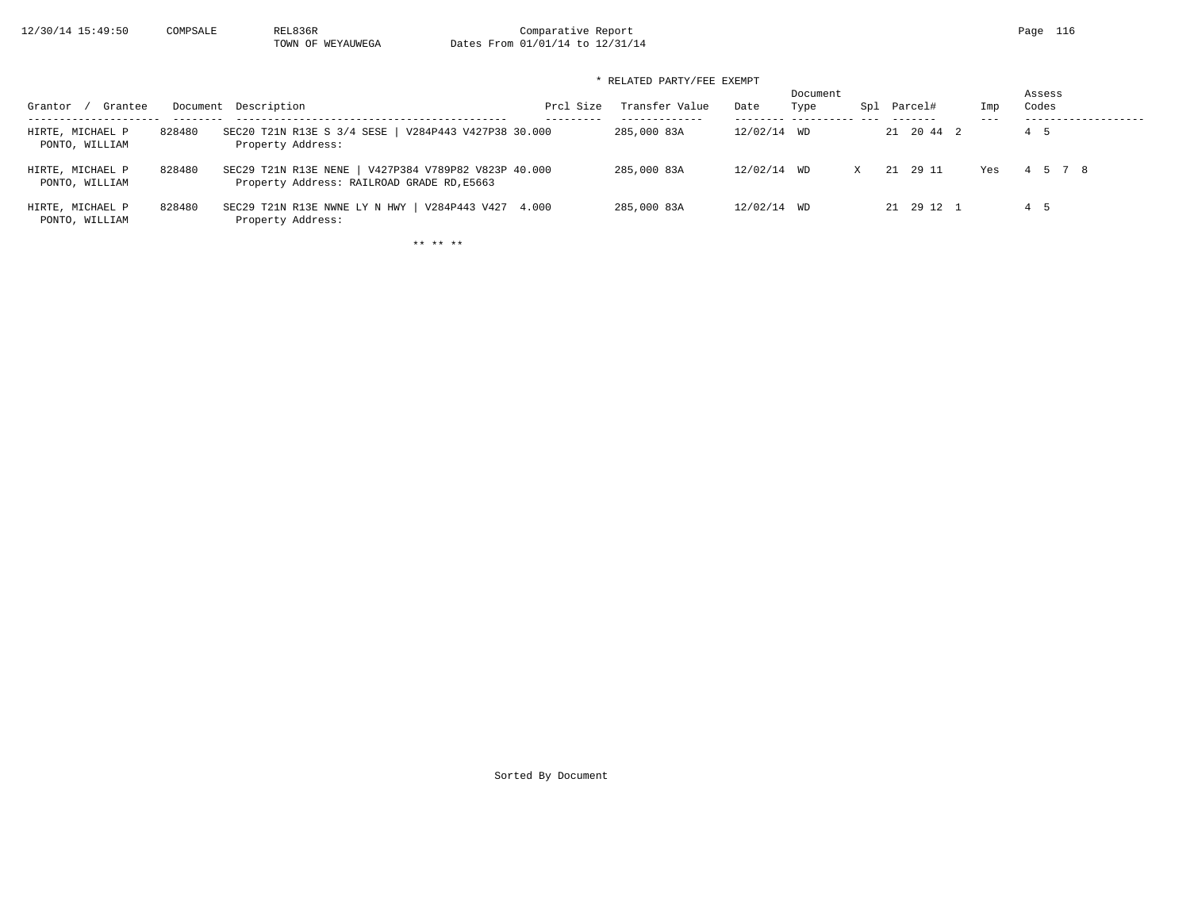TOWN OF WEYAUWEGA Dates From 01/01/14 to 12/31/14

# \* RELATED PARTY/FEE EXEMPT

| Grantee<br>Grantor                 |        | Document Description                                                                                | Prcl Size | Transfer Value | Date        | Document<br>Type | Spl Parcel# | Imp<br>--- | Assess<br>Codes |
|------------------------------------|--------|-----------------------------------------------------------------------------------------------------|-----------|----------------|-------------|------------------|-------------|------------|-----------------|
| HIRTE, MICHAEL P<br>PONTO, WILLIAM | 828480 | SEC20 T21N R13E S 3/4 SESE<br>V284P443 V427P38 30.000<br>Property Address:                          |           | 285,000 83A    | 12/02/14 WD |                  | 21 20 44 2  |            | 4 5             |
| HIRTE, MICHAEL P<br>PONTO, WILLIAM | 828480 | SEC29 T21N R13E NENE<br>V427P384 V789P82 V823P 40.000<br>Property Address: RAILROAD GRADE RD, E5663 |           | 285,000 83A    | 12/02/14 WD |                  | 21 29 11    | Yes        | 4 5 7 8         |
| HIRTE, MICHAEL P<br>PONTO, WILLIAM | 828480 | SEC29 T21N R13E NWNE LY N HWY<br>V284P443 V427<br>Property Address:                                 | 4.000     | 285,000 83A    | 12/02/14 WD |                  | 21 29 12 1  |            | 4 5             |

\*\* \*\* \*\*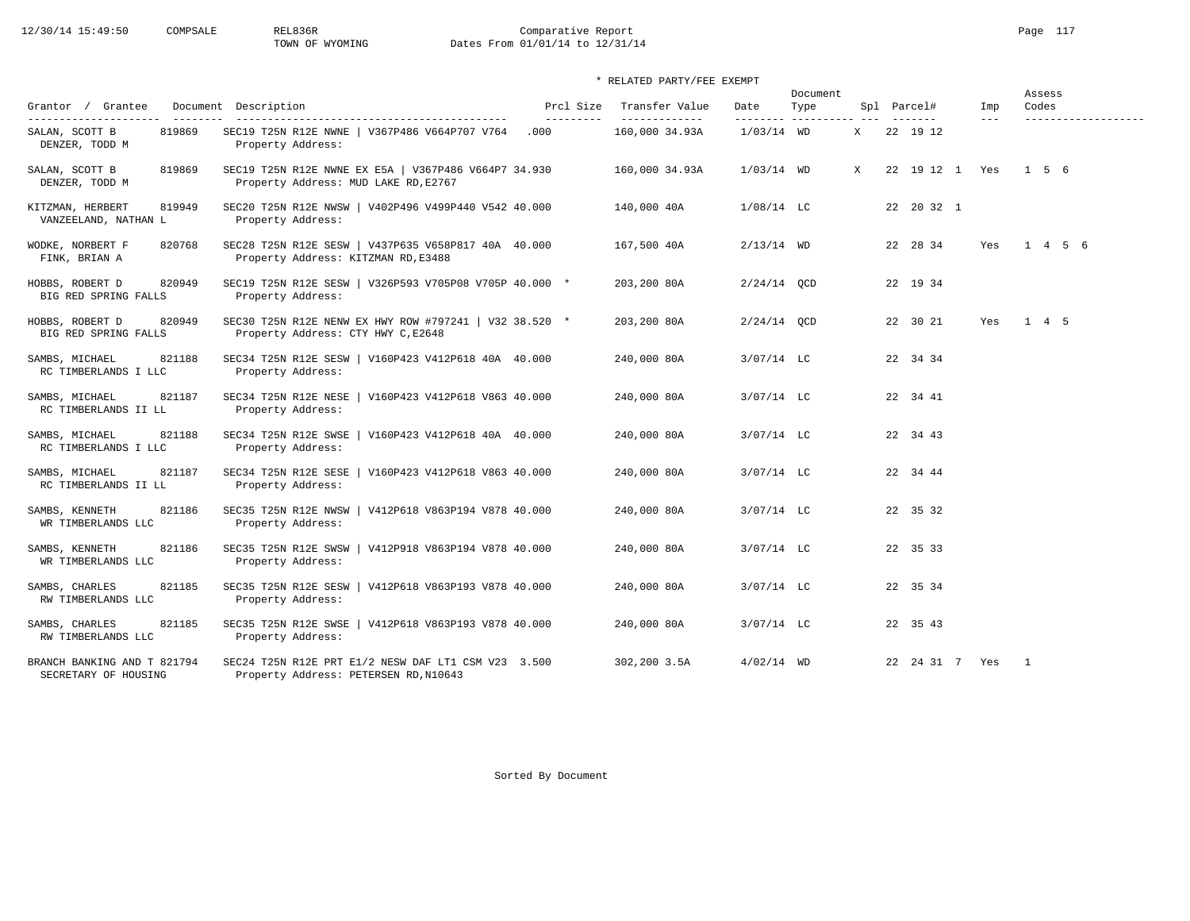# 12/30/14 15:49:50 COMPSALE REL836R Comparative Report Page 117<br>TOWN OF WYOMING Dates From 01/01/14 to 12/31/14 Dates From 01/01/14 to 12/31/14

|                                                     |                                                                                              |                         |                                 |                   | Document           |   |                    |                            | Assess            |
|-----------------------------------------------------|----------------------------------------------------------------------------------------------|-------------------------|---------------------------------|-------------------|--------------------|---|--------------------|----------------------------|-------------------|
| Grantor / Grantee<br>----------------------         | Document Description                                                                         | Prcl Size<br>---------- | Transfer Value<br>_____________ | Date<br>--------- | Type<br>---------- |   | Spl Parcel#        | Imp<br>$\qquad \qquad - -$ | Codes             |
| SALAN, SCOTT B<br>819869<br>DENZER, TODD M          | SEC19 T25N R12E NWNE   V367P486 V664P707 V764<br>Property Address:                           | .000                    | 160,000 34.93A                  | $1/03/14$ WD      |                    | X | 22 19 12           |                            |                   |
| SALAN, SCOTT B<br>819869<br>DENZER, TODD M          | SEC19 T25N R12E NWNE EX E5A   V367P486 V664P7 34.930<br>Property Address: MUD LAKE RD, E2767 |                         | 160,000 34.93A                  | $1/03/14$ WD      |                    | X | 22 19 12 1 Yes     |                            | $1\quad 5\quad 6$ |
| 819949<br>KITZMAN, HERBERT<br>VANZEELAND, NATHAN L  | SEC20 T25N R12E NWSW   V402P496 V499P440 V542 40.000<br>Property Address:                    |                         | 140,000 40A                     | $1/08/14$ LC      |                    |   | 22 20 32 1         |                            |                   |
| 820768<br>WODKE, NORBERT F<br>FINK, BRIAN A         | SEC28 T25N R12E SESW   V437P635 V658P817 40A 40.000<br>Property Address: KITZMAN RD, E3488   |                         | 167,500 40A                     | $2/13/14$ WD      |                    |   | 22 28 34           | Yes                        | 1 4 5 6           |
| 820949<br>HOBBS, ROBERT D<br>BIG RED SPRING FALLS   | SEC19 T25N R12E SESW   V326P593 V705P08 V705P 40.000 *<br>Property Address:                  |                         | 203,200 80A                     | $2/24/14$ QCD     |                    |   | 22 19 34           |                            |                   |
| HOBBS, ROBERT D<br>820949<br>BIG RED SPRING FALLS   | SEC30 T25N R12E NENW EX HWY ROW #797241   V32 38.520 *<br>Property Address: CTY HWY C, E2648 |                         | 203,200 80A                     | $2/24/14$ OCD     |                    |   | 22 30 21           | Yes                        | 1 4 5             |
| SAMBS, MICHAEL<br>821188<br>RC TIMBERLANDS I LLC    | SEC34 T25N R12E SESW   V160P423 V412P618 40A 40.000<br>Property Address:                     |                         | 240,000 80A                     | $3/07/14$ LC      |                    |   | 22 34 34           |                            |                   |
| 821187<br>SAMBS, MICHAEL<br>RC TIMBERLANDS II LL    | SEC34 T25N R12E NESE   V160P423 V412P618 V863 40.000<br>Property Address:                    |                         | 240,000 80A                     | $3/07/14$ LC      |                    |   | 22 34 41           |                            |                   |
| SAMBS, MICHAEL<br>821188<br>RC TIMBERLANDS I LLC    | SEC34 T25N R12E SWSE<br>  V160P423 V412P618 40A 40.000<br>Property Address:                  |                         | 240,000 80A                     | $3/07/14$ LC      |                    |   | 22 34 43           |                            |                   |
| 821187<br>SAMBS, MICHAEL<br>RC TIMBERLANDS II LL    | SEC34 T25N R12E SESE<br>V160P423 V412P618 V863 40.000<br>Property Address:                   |                         | 240,000 80A                     | $3/07/14$ LC      |                    |   | 22 34 44           |                            |                   |
| SAMBS, KENNETH<br>821186<br>WR TIMBERLANDS LLC      | SEC35 T25N R12E NWSW   V412P618 V863P194 V878 40.000<br>Property Address:                    |                         | 240,000 80A                     | $3/07/14$ LC      |                    |   | 22 35 32           |                            |                   |
| 821186<br>SAMBS, KENNETH<br>WR TIMBERLANDS LLC      | SEC35 T25N R12E SWSW   V412P918 V863P194 V878 40.000<br>Property Address:                    |                         | 240,000 80A                     | $3/07/14$ LC      |                    |   | 22 35 33           |                            |                   |
| 821185<br>SAMBS, CHARLES<br>RW TIMBERLANDS LLC      | SEC35 T25N R12E SESW   V412P618 V863P193 V878 40.000<br>Property Address:                    |                         | 240,000 80A                     | $3/07/14$ LC      |                    |   | 22 35 34           |                            |                   |
| SAMBS, CHARLES<br>821185<br>RW TIMBERLANDS LLC      | SEC35 T25N R12E SWSE<br>  V412P618 V863P193 V878 40.000<br>Property Address:                 |                         | 240,000 80A                     | $3/07/14$ LC      |                    |   | 22 35 43           |                            |                   |
| BRANCH BANKING AND T 821794<br>SECRETARY OF HOUSING | SEC24 T25N R12E PRT E1/2 NESW DAF LT1 CSM V23 3.500<br>Property Address: PETERSEN RD, N10643 |                         | 302,200 3.5A                    | $4/02/14$ WD      |                    |   | 22  24  31  7  Yes |                            | $\overline{1}$    |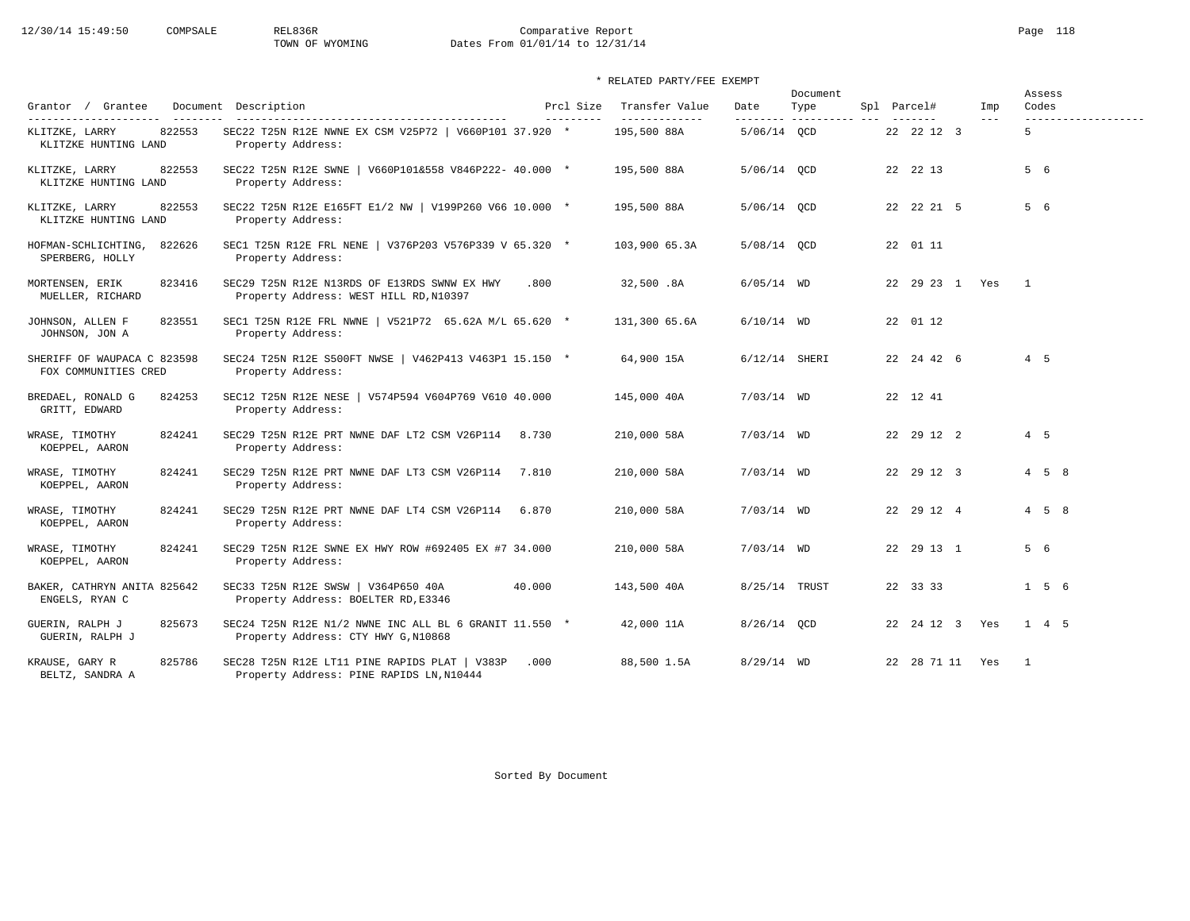# 12/30/14 15:49:50 COMPSALE REL836R Comparative Report Page 118 TOWN OF WYOMING Dates From 01/01/14 to 12/31/14

| Grantor / Grantee                                   |        | Document Description                                                                          | Prcl Size | Transfer Value | Date            | Document<br>Type | Spl Parcel#        | Imp   | Codes          | Assess              |
|-----------------------------------------------------|--------|-----------------------------------------------------------------------------------------------|-----------|----------------|-----------------|------------------|--------------------|-------|----------------|---------------------|
| ---------------------                               |        | -----------------------------------                                                           | --------- | -------------  | --------        |                  |                    | $---$ |                | ------------------- |
| KLITZKE, LARRY<br>KLITZKE HUNTING LAND              | 822553 | SEC22 T25N R12E NWNE EX CSM V25P72   V660P101 37.920 *<br>Property Address:                   |           | 195,500 88A    | 5/06/14 OCD     |                  | 22 22 12 3         |       | 5              |                     |
| KLITZKE, LARRY<br>KLITZKE HUNTING LAND              | 822553 | SEC22 T25N R12E SWNE   V660P101&558 V846P222- 40.000 *<br>Property Address:                   |           | 195,500 88A    | 5/06/14 QCD     |                  | 22 22 13           |       | 5 6            |                     |
| KLITZKE, LARRY<br>KLITZKE HUNTING LAND              | 822553 | SEC22 T25N R12E E165FT E1/2 NW   V199P260 V66 10.000 *<br>Property Address:                   |           | 195,500 88A    | 5/06/14 QCD     |                  | 22 22 21 5         |       | 5 6            |                     |
| HOFMAN-SCHLICHTING,<br>SPERBERG, HOLLY              | 822626 | SEC1 T25N R12E FRL NENE   V376P203 V576P339 V 65.320 *<br>Property Address:                   |           | 103,900 65.3A  | 5/08/14 OCD     |                  | 22 01 11           |       |                |                     |
| MORTENSEN, ERIK<br>MUELLER, RICHARD                 | 823416 | SEC29 T25N R12E N13RDS OF E13RDS SWNW EX HWY<br>Property Address: WEST HILL RD, N10397        | .800      | 32,500.8A      | $6/05/14$ WD    |                  | 22 29 23 1 Yes     |       | $\overline{1}$ |                     |
| JOHNSON, ALLEN F<br>JOHNSON, JON A                  | 823551 | SEC1 T25N R12E FRL NWNE   V521P72 65.62A M/L 65.620 *<br>Property Address:                    |           | 131,300 65.6A  | $6/10/14$ WD    |                  | 22 01 12           |       |                |                     |
| SHERIFF OF WAUPACA C 823598<br>FOX COMMUNITIES CRED |        | SEC24 T25N R12E S500FT NWSE   V462P413 V463P1 15.150 *<br>Property Address:                   |           | 64,900 15A     | $6/12/14$ SHERI |                  | 22 24 42 6         |       | $4\quad 5$     |                     |
| BREDAEL, RONALD G<br>GRITT, EDWARD                  | 824253 | SEC12 T25N R12E NESE   V574P594 V604P769 V610 40.000<br>Property Address:                     |           | 145,000 40A    | $7/03/14$ WD    |                  | 22 12 41           |       |                |                     |
| WRASE, TIMOTHY<br>KOEPPEL, AARON                    | 824241 | SEC29 T25N R12E PRT NWNE DAF LT2 CSM V26P114<br>Property Address:                             | 8.730     | 210,000 58A    | $7/03/14$ WD    |                  | 22 29 12 2         |       | $4\quad 5$     |                     |
| WRASE, TIMOTHY<br>KOEPPEL, AARON                    | 824241 | SEC29 T25N R12E PRT NWNE DAF LT3 CSM V26P114<br>Property Address:                             | 7.810     | 210,000 58A    | $7/03/14$ WD    |                  | 22 29 12 3         |       |                | $4\quad 5\quad 8$   |
| WRASE, TIMOTHY<br>KOEPPEL, AARON                    | 824241 | SEC29 T25N R12E PRT NWNE DAF LT4 CSM V26P114 6.870<br>Property Address:                       |           | 210,000 58A    | $7/03/14$ WD    |                  | 22 29 12 4         |       |                | $4\quad 5\quad 8$   |
| WRASE, TIMOTHY<br>KOEPPEL, AARON                    | 824241 | SEC29 T25N R12E SWNE EX HWY ROW #692405 EX #7 34.000<br>Property Address:                     |           | 210,000 58A    | $7/03/14$ WD    |                  | 22 29 13 1         |       | 5 6            |                     |
| BAKER, CATHRYN ANITA 825642<br>ENGELS, RYAN C       |        | SEC33 T25N R12E SWSW   V364P650 40A<br>Property Address: BOELTER RD, E3346                    | 40.000    | 143,500 40A    | 8/25/14 TRUST   |                  | 22 33 33           |       |                | $1\quad 5\quad 6$   |
| GUERIN, RALPH J<br>GUERIN, RALPH J                  | 825673 | SEC24 T25N R12E N1/2 NWNE INC ALL BL 6 GRANIT 11.550 *<br>Property Address: CTY HWY G, N10868 |           | 42,000 11A     | 8/26/14 OCD     |                  | 22  24  12  3  Yes |       |                | 1 4 5               |
| KRAUSE, GARY R<br>BELTZ, SANDRA A                   | 825786 | SEC28 T25N R12E LT11 PINE RAPIDS PLAT   V383P<br>Property Address: PINE RAPIDS LN, N10444     | .000      | 88,500 1.5A    | $8/29/14$ WD    |                  | 22 28 71 11 Yes    |       | $\overline{1}$ |                     |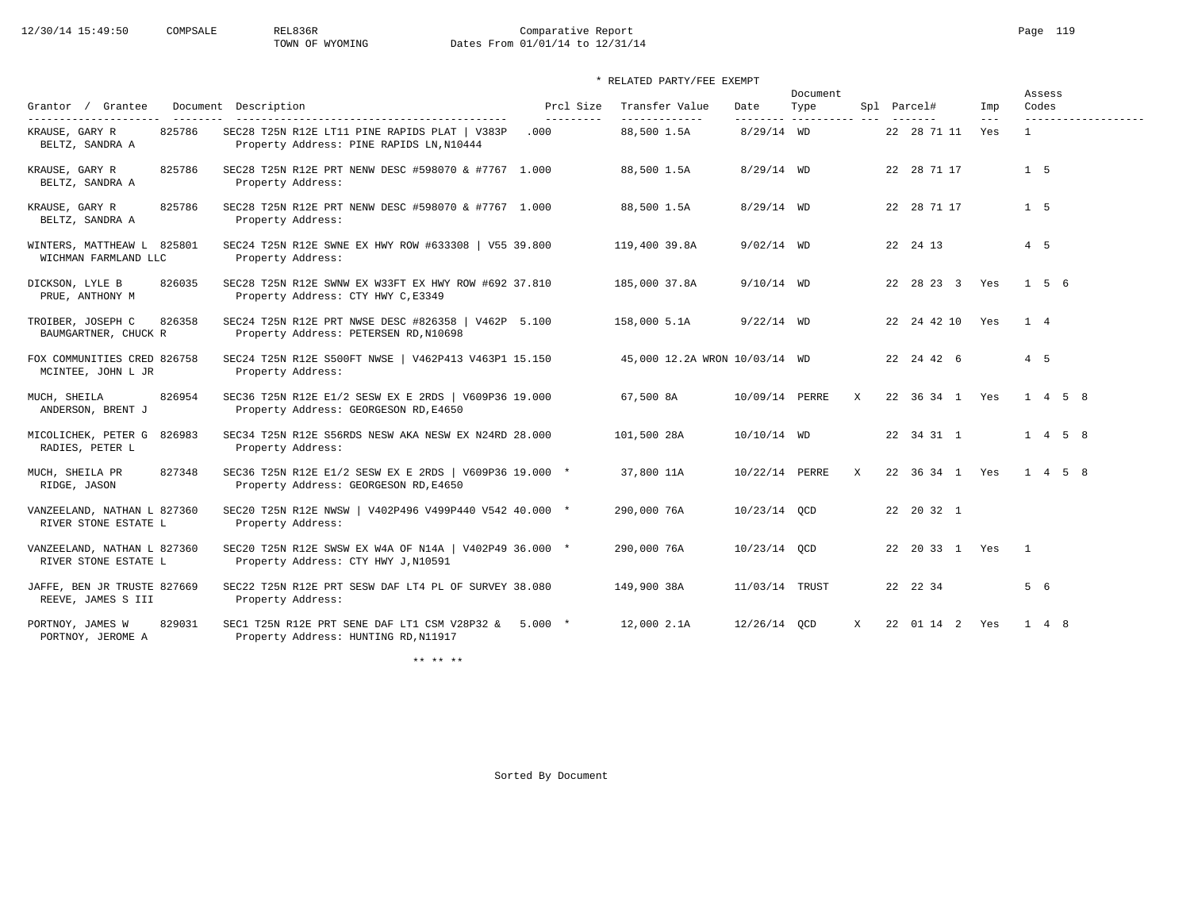# 12/30/14 15:49:50 COMPSALE REL836R Comparative Report Comparative Report Page 119 Dates From 01/01/14 to 12/31/14

# \* RELATED PARTY/FEE EXEMPT

|                                                     |                                                                                                 |                         |                                 |                | Document                        |   |                     |              | Assess                       |
|-----------------------------------------------------|-------------------------------------------------------------------------------------------------|-------------------------|---------------------------------|----------------|---------------------------------|---|---------------------|--------------|------------------------------|
| Grantor / Grantee                                   | Document Description<br>--------------------------------------                                  | Prcl Size<br>---------- | Transfer Value<br>------------- | Date           | Type<br>-------- ---------- --- |   | Spl Parcel#         | Imp<br>$---$ | Codes<br>------------------- |
| 825786<br>KRAUSE, GARY R<br>BELTZ, SANDRA A         | SEC28 T25N R12E LT11 PINE RAPIDS PLAT   V383P<br>Property Address: PINE RAPIDS LN, N10444       | .000                    | 88,500 1.5A                     | $8/29/14$ WD   |                                 |   | 22 28 71 11         | Yes          | $\mathbf{1}$                 |
| 825786<br>KRAUSE, GARY R<br>BELTZ, SANDRA A         | SEC28 T25N R12E PRT NENW DESC #598070 & #7767 1.000<br>Property Address:                        |                         | 88,500 1.5A                     | $8/29/14$ WD   |                                 |   | 22 28 71 17         |              | 1 <sub>5</sub>               |
| KRAUSE, GARY R<br>825786<br>BELTZ, SANDRA A         | SEC28 T25N R12E PRT NENW DESC #598070 & #7767 1.000<br>Property Address:                        |                         | 88,500 1.5A                     | $8/29/14$ WD   |                                 |   | 22 28 71 17         |              | 1 <sub>5</sub>               |
| WINTERS, MATTHEAW L 825801<br>WICHMAN FARMLAND LLC  | SEC24 T25N R12E SWNE EX HWY ROW #633308   V55 39.800<br>Property Address:                       |                         | 119,400 39.8A                   | $9/02/14$ WD   |                                 |   | 22 24 13            |              | 4 5                          |
| 826035<br>DICKSON, LYLE B<br>PRUE, ANTHONY M        | SEC28 T25N R12E SWNW EX W33FT EX HWY ROW #692 37.810<br>Property Address: CTY HWY C, E3349      |                         | 185,000 37.8A                   | $9/10/14$ WD   |                                 |   | 22 28 23 3 Yes      |              | $1 \quad 5 \quad 6$          |
| TROIBER, JOSEPH C<br>826358<br>BAUMGARTNER, CHUCK R | SEC24 T25N R12E PRT NWSE DESC #826358   V462P 5.100<br>Property Address: PETERSEN RD, N10698    |                         | 158,000 5.1A                    | $9/22/14$ WD   |                                 |   | 22  24  42  10  Yes |              | 1 4                          |
| FOX COMMUNITIES CRED 826758<br>MCINTEE, JOHN L JR   | SEC24 T25N R12E S500FT NWSE   V462P413 V463P1 15.150<br>Property Address:                       |                         | 45,000 12.2A WRON 10/03/14 WD   |                |                                 |   | 22 24 42 6          |              | 4 5                          |
| MUCH, SHEILA<br>826954<br>ANDERSON, BRENT J         | SEC36 T25N R12E E1/2 SESW EX E 2RDS   V609P36 19.000<br>Property Address: GEORGESON RD, E4650   |                         | 67,500 8A                       | 10/09/14 PERRE |                                 | X | 22 36 34 1 Yes      |              | $1 \t4 \t5 \t8$              |
| MICOLICHEK, PETER G 826983<br>RADIES, PETER L       | SEC34 T25N R12E S56RDS NESW AKA NESW EX N24RD 28.000<br>Property Address:                       |                         | 101,500 28A                     | 10/10/14 WD    |                                 |   | 22 34 31 1          |              | $1 \t 4 \t 5 \t 8$           |
| 827348<br>MUCH, SHEILA PR<br>RIDGE, JASON           | SEC36 T25N R12E E1/2 SESW EX E 2RDS   V609P36 19.000 *<br>Property Address: GEORGESON RD, E4650 |                         | 37,800 11A                      | 10/22/14 PERRE |                                 | X | 22 36 34 1 Yes      |              | 1 4 5 8                      |
| VANZEELAND, NATHAN L 827360<br>RIVER STONE ESTATE L | SEC20 T25N R12E NWSW   V402P496 V499P440 V542 40.000 *<br>Property Address:                     |                         | 290,000 76A                     | 10/23/14 OCD   |                                 |   | 22 20 32 1          |              |                              |
| VANZEELAND, NATHAN L 827360<br>RIVER STONE ESTATE L | SEC20 T25N R12E SWSW EX W4A OF N14A   V402P49 36.000 *<br>Property Address: CTY HWY J, N10591   |                         | 290,000 76A                     | 10/23/14 OCD   |                                 |   | 22 20 33 1 Yes      |              | $\overline{1}$               |
| JAFFE, BEN JR TRUSTE 827669<br>REEVE, JAMES S III   | SEC22 T25N R12E PRT SESW DAF LT4 PL OF SURVEY 38.080<br>Property Address:                       |                         | 149,900 38A                     | 11/03/14 TRUST |                                 |   | 22 22 34            |              | 5 6                          |
| 829031<br>PORTNOY, JAMES W<br>PORTNOY, JEROME A     | SEC1 T25N R12E PRT SENE DAF LT1 CSM V28P32 & 5.000 $*$<br>Property Address: HUNTING RD, N11917  |                         | 12,000 2.1A                     | 12/26/14 OCD   |                                 | X | 22 01 14 2 Yes      |              | $1 \quad 4 \quad 8$          |

\*\* \*\* \*\*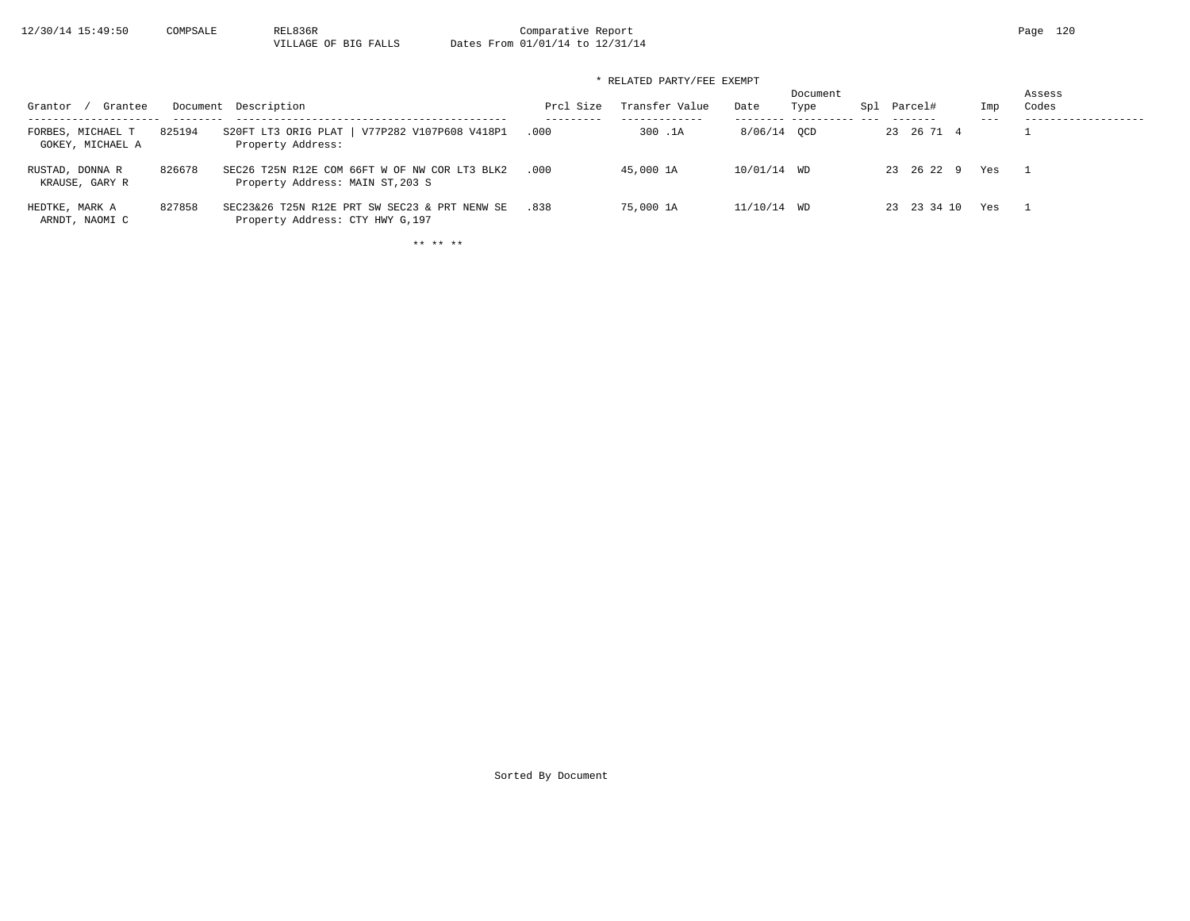12/30/14 15:49:50 COMPSALE REL836R Comparative Report Page 120<br>VILLAGE OF BIG FALLS Dates From 01/01/14 to 12/31/14 Dates From 01/01/14 to 12/31/14

\* RELATED PARTY/FEE EXEMPT

| Grantee<br>Grantor                    |        | Document Description                                                              | Prcl Size | Transfer Value | Date        | Document<br>Type | Spl | Parcel#     | Imp | Assess<br>Codes |
|---------------------------------------|--------|-----------------------------------------------------------------------------------|-----------|----------------|-------------|------------------|-----|-------------|-----|-----------------|
| FORBES, MICHAEL T<br>GOKEY, MICHAEL A | 825194 | V77P282 V107P608 V418P1<br>S20FT LT3 ORIG PLAT  <br>Property Address:             | .000      | 300.1A         | 8/06/14 OCD |                  |     | 23 26 71 4  |     |                 |
| RUSTAD, DONNA R<br>KRAUSE, GARY R     | 826678 | SEC26 T25N R12E COM 66FT W OF NW COR LT3 BLK2<br>Property Address: MAIN ST, 203 S | .000      | 45,000 1A      | 10/01/14 WD |                  |     | 23 26 22 9  | Yes |                 |
| HEDTKE, MARK A<br>ARNDT, NAOMI C      | 827858 | SEC23&26 T25N R12E PRT SW SEC23 & PRT NENW SE<br>Property Address: CTY HWY G, 197 | .838      | 75,000 1A      | 11/10/14 WD |                  |     | 23 23 34 10 | Yes |                 |

\*\* \*\* \*\*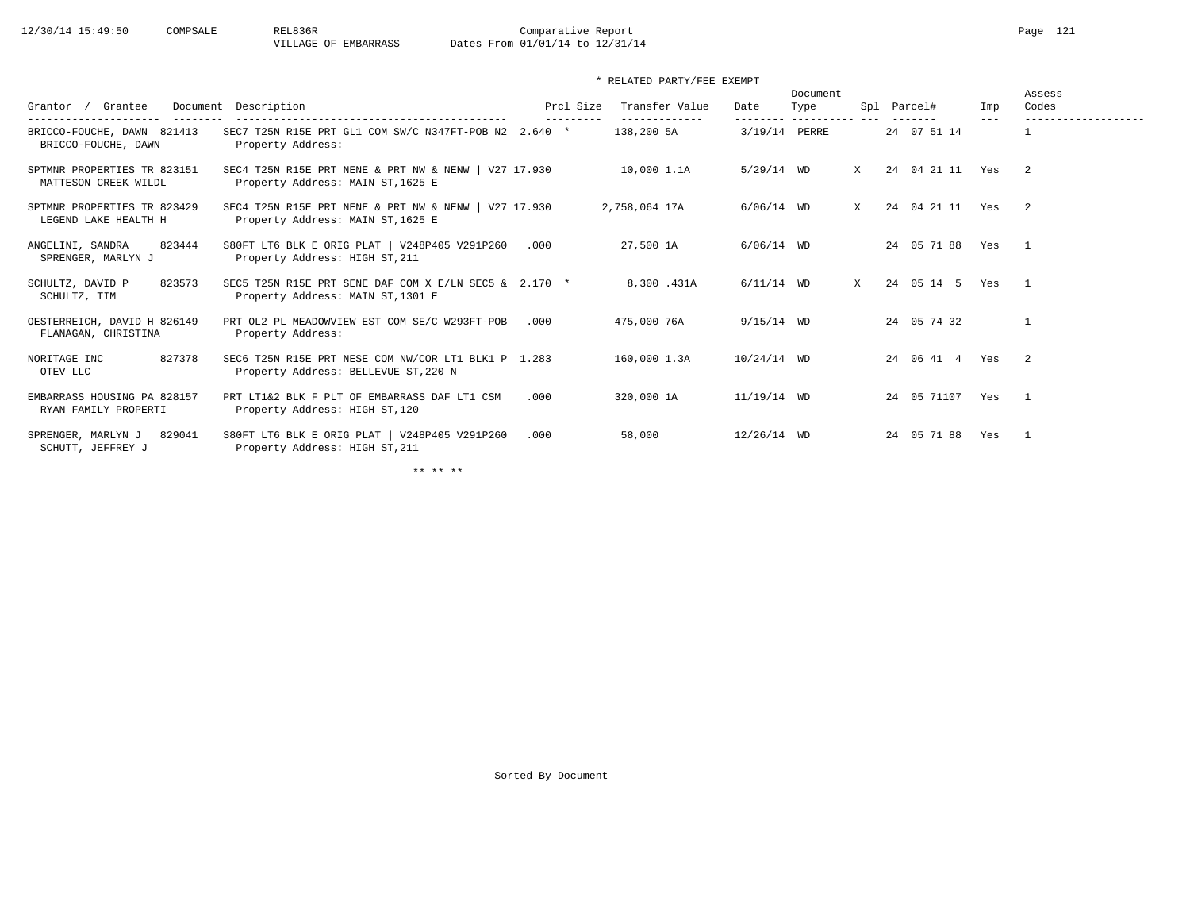| Grantee<br>Grantor /<br>.<br>---------              | Document Description                                                                         | Prcl Size<br>--------- | Transfer Value<br>------------- | Date          | Document<br>Type<br>--------- ---------- --- |   | Spl Parcel#<br>------- | Imp<br>$- - -$ | Assess<br>Codes<br>------------------- |
|-----------------------------------------------------|----------------------------------------------------------------------------------------------|------------------------|---------------------------------|---------------|----------------------------------------------|---|------------------------|----------------|----------------------------------------|
| BRICCO-FOUCHE, DAWN 821413<br>BRICCO-FOUCHE, DAWN   | SEC7 T25N R15E PRT GL1 COM SW/C N347FT-POB N2 2.640 *<br>Property Address:                   |                        | 138,200 5A                      |               | 3/19/14 PERRE                                |   | 24 07 51 14            |                |                                        |
| SPTMNR PROPERTIES TR 823151<br>MATTESON CREEK WILDL | SEC4 T25N R15E PRT NENE & PRT NW & NENW   $V27$ 17.930<br>Property Address: MAIN ST, 1625 E  |                        | 10,000 1.1A                     | $5/29/14$ WD  |                                              | X | 24 04 21 11 Yes        |                | $\overline{2}$                         |
| SPTMNR PROPERTIES TR 823429<br>LEGEND LAKE HEALTH H | SEC4 T25N R15E PRT NENE & PRT NW & NENW   $V27$ 17.930<br>Property Address: MAIN ST, 1625 E  |                        | 2,758,064 17A                   | $6/06/14$ WD  |                                              | X | 24 04 21 11 Yes        |                | $\overline{2}$                         |
| 823444<br>ANGELINI, SANDRA<br>SPRENGER, MARLYN J    | S80FT LT6 BLK E ORIG PLAT   V248P405 V291P260<br>Property Address: HIGH ST, 211              | .000                   | 27,500 1A                       | $6/06/14$ WD  |                                              |   | 24 05 71 88 Yes 1      |                |                                        |
| SCHULTZ, DAVID P<br>823573<br>SCHULTZ, TIM          | SEC5 T25N R15E PRT SENE DAF COM X E/LN SEC5 & 2.170 $*$<br>Property Address: MAIN ST, 1301 E |                        | 8,300 .431A                     | $6/11/14$ WD  |                                              | X | 24 05 14 5             | Yes            | $\overline{1}$                         |
| OESTERREICH, DAVID H 826149<br>FLANAGAN, CHRISTINA  | PRT OL2 PL MEADOWVIEW EST COM SE/C W293FT-POB<br>Property Address:                           | .000                   | 475,000 76A                     | $9/15/14$ WD  |                                              |   | 24 05 74 32            |                | 1                                      |
| 827378<br>NORITAGE INC<br>OTEV LLC                  | SEC6 T25N R15E PRT NESE COM NW/COR LT1 BLK1 P 1.283<br>Property Address: BELLEVUE ST, 220 N  |                        | 160,000 1.3A                    | $10/24/14$ WD |                                              |   | 24 06 41 4 Yes 2       |                |                                        |
| EMBARRASS HOUSING PA 828157<br>RYAN FAMILY PROPERTI | PRT LT1&2 BLK F PLT OF EMBARRASS DAF LT1 CSM<br>Property Address: HIGH ST, 120               | .000                   | 320,000 1A                      | $11/19/14$ WD |                                              |   | 24  05  71107  Yes  1  |                |                                        |
| SPRENGER, MARLYN J<br>829041<br>SCHUTT, JEFFREY J   | S80FT LT6 BLK E ORIG PLAT   V248P405 V291P260<br>Property Address: HIGH ST, 211              | .000                   | 58,000                          | 12/26/14 WD   |                                              |   | 24 05 71 88 Yes        |                | $\overline{1}$                         |

\*\* \*\* \*\*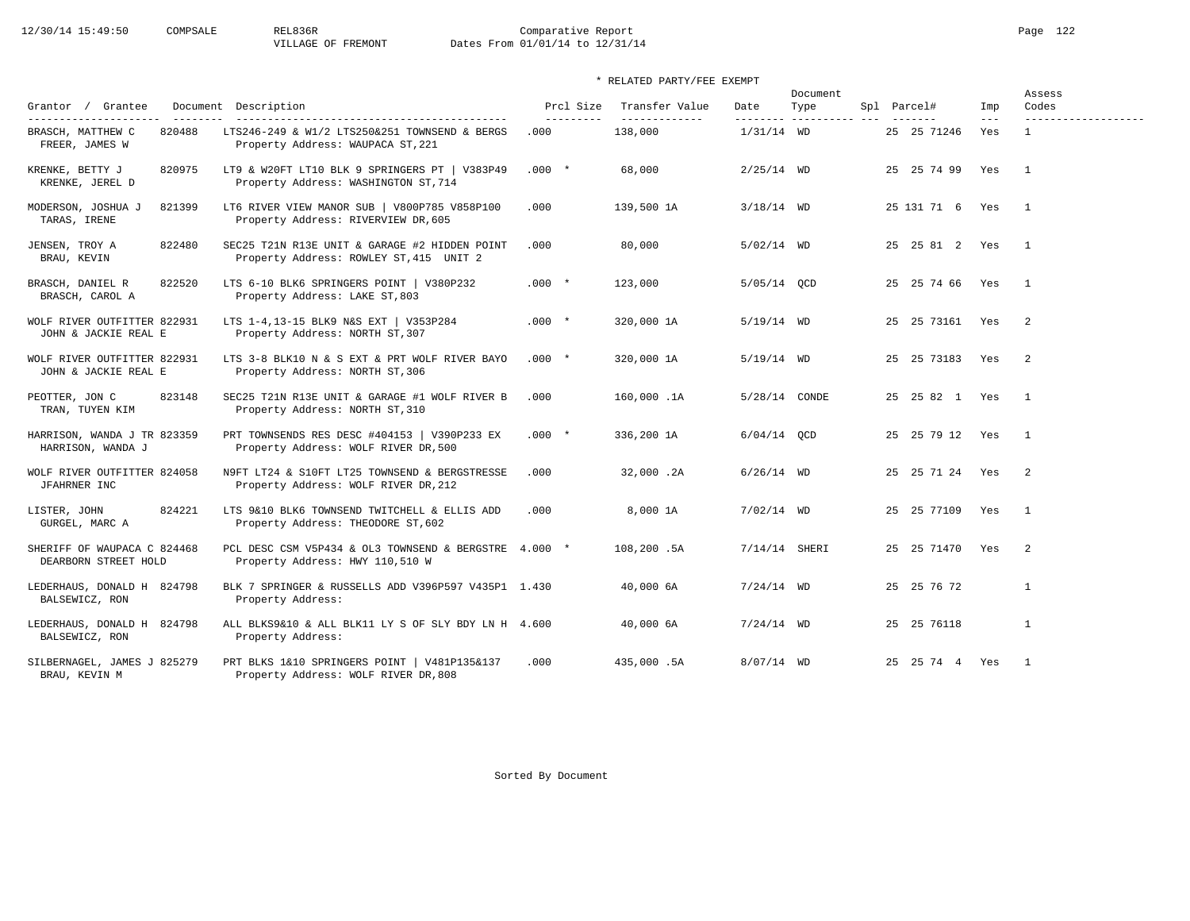# 12/30/14 15:49:50 COMPSALE REL836R Comparative Report<br>
VILLAGE OF FREMONT Dates From 01/01/14 to 12/31/14 Dates From 01/01/14 to 12/31/14

| Grantor / Grantee                                                       | Document Description                                                                                                      | Prcl Size          | Transfer Value           | Date            | Document<br>Type         | Spl Parcel#         | Imp            | Assess<br>Codes                     |
|-------------------------------------------------------------------------|---------------------------------------------------------------------------------------------------------------------------|--------------------|--------------------------|-----------------|--------------------------|---------------------|----------------|-------------------------------------|
| ----------------------<br>820488<br>BRASCH, MATTHEW C<br>FREER, JAMES W | -----------------------------------<br>LTS246-249 & W1/2 LTS250&251 TOWNSEND & BERGS<br>Property Address: WAUPACA ST, 221 | ----------<br>.000 | -------------<br>138,000 | $1/31/14$ WD    | --------- ---------- --- | 25 25 71246         | $- - -$<br>Yes | -------------------<br>$\mathbf{1}$ |
| KRENKE, BETTY J<br>820975<br>KRENKE, JEREL D                            | LT9 & W20FT LT10 BLK 9 SPRINGERS PT   V383P49<br>Property Address: WASHINGTON ST, 714                                     | $.000*$            | 68,000                   | $2/25/14$ WD    |                          | 25 25 74 99         | Yes            | $\overline{1}$                      |
| 821399<br>MODERSON, JOSHUA J<br>TARAS, IRENE                            | LT6 RIVER VIEW MANOR SUB   V800P785 V858P100<br>Property Address: RIVERVIEW DR, 605                                       | .000               | 139,500 1A               | $3/18/14$ WD    |                          | 25 131 71 6 Yes     |                | $\overline{1}$                      |
| 822480<br>JENSEN, TROY A<br>BRAU, KEVIN                                 | SEC25 T21N R13E UNIT & GARAGE #2 HIDDEN POINT<br>Property Address: ROWLEY ST, 415 UNIT 2                                  | .000               | 80,000                   | $5/02/14$ WD    |                          | 25  25  81  2  Yes  |                | $\overline{1}$                      |
| 822520<br>BRASCH, DANIEL R<br>BRASCH, CAROL A                           | LTS 6-10 BLK6 SPRINGERS POINT   V380P232<br>Property Address: LAKE ST, 803                                                | $.000*$            | 123,000                  | 5/05/14 QCD     |                          | 25 25 74 66 Yes     |                | $\overline{1}$                      |
| WOLF RIVER OUTFITTER 822931<br>JOHN & JACKIE REAL E                     | LTS 1-4, 13-15 BLK9 N&S EXT   V353P284<br>Property Address: NORTH ST, 307                                                 | $.000*$            | 320,000 1A               | $5/19/14$ WD    |                          | 25  25  73161  Yes  |                | 2                                   |
| WOLF RIVER OUTFITTER 822931<br>JOHN & JACKIE REAL E                     | LTS 3-8 BLK10 N & S EXT & PRT WOLF RIVER BAYO<br>Property Address: NORTH ST, 306                                          | $.000 *$           | 320,000 1A               | $5/19/14$ WD    |                          | 25 25 73183 Yes     |                | $\overline{2}$                      |
| 823148<br>PEOTTER, JON C<br>TRAN, TUYEN KIM                             | SEC25 T21N R13E UNIT & GARAGE #1 WOLF RIVER B<br>Property Address: NORTH ST, 310                                          | .000               | 160,000.1A               | 5/28/14 CONDE   |                          | 25  25  82  1  Yes  |                | $\mathbf{1}$                        |
| HARRISON, WANDA J TR 823359<br>HARRISON, WANDA J                        | PRT TOWNSENDS RES DESC #404153   V390P233 EX<br>Property Address: WOLF RIVER DR, 500                                      | $.000*$            | 336,200 1A               | $6/04/14$ OCD   |                          | 25 25 79 12 Yes     |                | $\overline{1}$                      |
| WOLF RIVER OUTFITTER 824058<br>JFAHRNER INC                             | N9FT LT24 & S10FT LT25 TOWNSEND & BERGSTRESSE<br>Property Address: WOLF RIVER DR, 212                                     | .000               | 32,000.2A                | $6/26/14$ WD    |                          | 25  25  71  24  Yes |                | $\overline{2}$                      |
| 824221<br>LISTER, JOHN<br>GURGEL, MARC A                                | LTS 9&10 BLK6 TOWNSEND TWITCHELL & ELLIS ADD<br>Property Address: THEODORE ST, 602                                        | .000               | 8,000 1A                 | $7/02/14$ WD    |                          | 25 25 77109 Yes     |                | $\overline{1}$                      |
| SHERIFF OF WAUPACA C 824468<br>DEARBORN STREET HOLD                     | PCL DESC CSM V5P434 & OL3 TOWNSEND & BERGSTRE 4.000 *<br>Property Address: HWY 110,510 W                                  |                    | 108,200.5A               | $7/14/14$ SHERI |                          | 25 25 71470 Yes     |                | 2                                   |
| LEDERHAUS, DONALD H 824798<br>BALSEWICZ, RON                            | BLK 7 SPRINGER & RUSSELLS ADD V396P597 V435P1 1.430<br>Property Address:                                                  |                    | 40,000 6A                | $7/24/14$ WD    |                          | 25 25 76 72         |                | $\mathbf{1}$                        |
| LEDERHAUS, DONALD H 824798<br>BALSEWICZ, RON                            | ALL BLKS9&10 & ALL BLK11 LY S OF SLY BDY LN H 4.600<br>Property Address:                                                  |                    | 40,000 6A                | $7/24/14$ WD    |                          | 25 25 76118         |                | $\mathbf{1}$                        |
| SILBERNAGEL, JAMES J 825279<br>BRAU, KEVIN M                            | PRT BLKS 1&10 SPRINGERS POINT   V481P135&137<br>Property Address: WOLF RIVER DR, 808                                      | .000               | 435,000.5A               | $8/07/14$ WD    |                          | 25  25  74  4  Yes  |                | $\overline{1}$                      |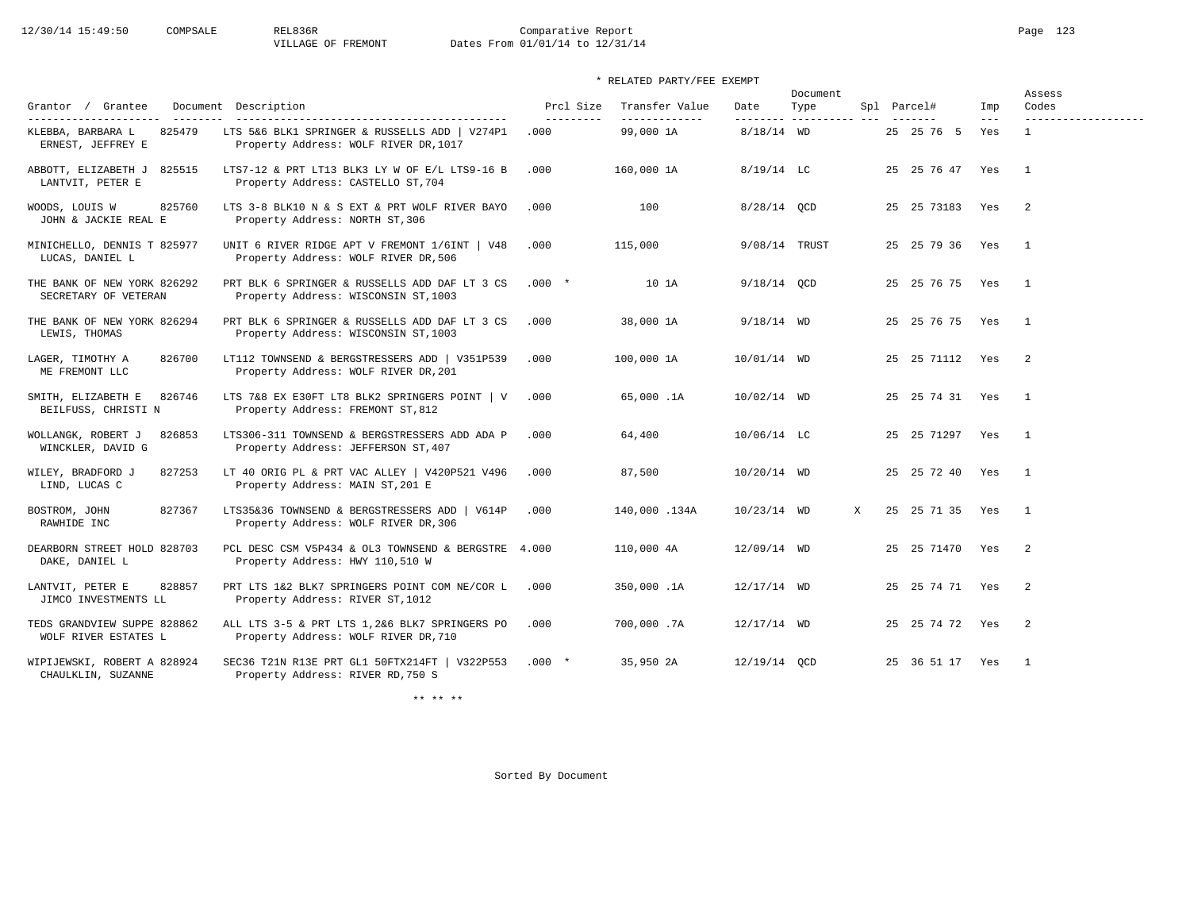# 12/30/14 15:49:50 COMPSALE REL836R Comparative Report Comparative Report Page 123 Dates From 01/01/14 to 12/31/14

# \* RELATED PARTY/FEE EXEMPT

|                                                     |                                                                                        |                         |                                 |               | Document |   |                    |                | Assess         |  |
|-----------------------------------------------------|----------------------------------------------------------------------------------------|-------------------------|---------------------------------|---------------|----------|---|--------------------|----------------|----------------|--|
| Grantor / Grantee                                   | Document Description                                                                   | Prcl Size<br>---------- | Transfer Value<br>------------- | Date          | Type     |   | Spl Parcel#        | Imp<br>$- - -$ | Codes          |  |
| 825479<br>KLEBBA, BARBARA L<br>ERNEST, JEFFREY E    | LTS 5&6 BLK1 SPRINGER & RUSSELLS ADD   V274P1<br>Property Address: WOLF RIVER DR, 1017 | .000                    | 99,000 1A                       | $8/18/14$ WD  |          |   | 25 25 76 5         | Yes            | 1              |  |
| ABBOTT, ELIZABETH J 825515<br>LANTVIT, PETER E      | LTS7-12 & PRT LT13 BLK3 LY W OF E/L LTS9-16 B<br>Property Address: CASTELLO ST, 704    | .000                    | 160,000 1A                      | $8/19/14$ LC  |          |   | 25 25 76 47 Yes    |                | $\overline{1}$ |  |
| 825760<br>WOODS, LOUIS W<br>JOHN & JACKIE REAL E    | LTS 3-8 BLK10 N & S EXT & PRT WOLF RIVER BAYO<br>Property Address: NORTH ST, 306       | .000                    | 100                             | $8/28/14$ QCD |          |   | 25 25 73183        | Yes            | -2             |  |
| MINICHELLO, DENNIS T 825977<br>LUCAS, DANIEL L      | UNIT 6 RIVER RIDGE APT V FREMONT 1/6INT   V48<br>Property Address: WOLF RIVER DR, 506  | .000                    | 115,000                         | 9/08/14 TRUST |          |   | 25 25 79 36 Yes    |                | $\overline{1}$ |  |
| THE BANK OF NEW YORK 826292<br>SECRETARY OF VETERAN | PRT BLK 6 SPRINGER & RUSSELLS ADD DAF LT 3 CS<br>Property Address: WISCONSIN ST, 1003  | $.000*$                 | 10 1A                           | $9/18/14$ QCD |          |   | 25 25 76 75 Yes    |                | $\overline{1}$ |  |
| THE BANK OF NEW YORK 826294<br>LEWIS, THOMAS        | PRT BLK 6 SPRINGER & RUSSELLS ADD DAF LT 3 CS<br>Property Address: WISCONSIN ST, 1003  | .000                    | 38,000 1A                       | $9/18/14$ WD  |          |   | 25 25 76 75 Yes    |                | $\mathbf{1}$   |  |
| 826700<br>LAGER, TIMOTHY A<br>ME FREMONT LLC        | LT112 TOWNSEND & BERGSTRESSERS ADD   V351P539<br>Property Address: WOLF RIVER DR, 201  | .000                    | 100,000 1A                      | 10/01/14 WD   |          |   | 25  25  71112  Yes |                | 2              |  |
| 826746<br>SMITH, ELIZABETH E<br>BEILFUSS, CHRISTI N | LTS 7&8 EX E30FT LT8 BLK2 SPRINGERS POINT   V<br>Property Address: FREMONT ST, 812     | .000                    | 65,000.1A                       | 10/02/14 WD   |          |   | 25 25 74 31 Yes    |                | $\overline{1}$ |  |
| WOLLANGK, ROBERT J<br>826853<br>WINCKLER, DAVID G   | LTS306-311 TOWNSEND & BERGSTRESSERS ADD ADA P<br>Property Address: JEFFERSON ST, 407   | .000                    | 64,400                          | 10/06/14 LC   |          |   | 25 25 71297 Yes    |                | $\overline{1}$ |  |
| WILEY, BRADFORD J<br>827253<br>LIND, LUCAS C        | LT 40 ORIG PL & PRT VAC ALLEY   V420P521 V496<br>Property Address: MAIN ST, 201 E      | .000                    | 87,500                          | 10/20/14 WD   |          |   | 25 25 72 40        | Yes            | $\overline{1}$ |  |
| 827367<br>BOSTROM, JOHN<br>RAWHIDE INC              | LTS35&36 TOWNSEND & BERGSTRESSERS ADD   V614P<br>Property Address: WOLF RIVER DR, 306  | .000                    | 140,000.134A                    | $10/23/14$ WD |          | X | 25 25 71 35 Yes    |                | $\overline{1}$ |  |
| DEARBORN STREET HOLD 828703<br>DAKE, DANIEL L       | PCL DESC CSM V5P434 & OL3 TOWNSEND & BERGSTRE 4.000<br>Property Address: HWY 110,510 W |                         | 110,000 4A                      | 12/09/14 WD   |          |   | 25 25 71470 Yes    |                | 2              |  |
| 828857<br>LANTVIT, PETER E<br>JIMCO INVESTMENTS LL  | PRT LTS 1&2 BLK7 SPRINGERS POINT COM NE/COR L<br>Property Address: RIVER ST, 1012      | .000                    | 350,000.1A                      | 12/17/14 WD   |          |   | 25 25 74 71 Yes    |                | 2              |  |
| TEDS GRANDVIEW SUPPE 828862<br>WOLF RIVER ESTATES L | ALL LTS 3-5 & PRT LTS 1,2&6 BLK7 SPRINGERS PO<br>Property Address: WOLF RIVER DR, 710  | .000                    | 700,000.7A                      | 12/17/14 WD   |          |   | 25 25 74 72 Yes    |                | 2              |  |
| WIPIJEWSKI, ROBERT A 828924<br>CHAULKLIN, SUZANNE   | SEC36 T21N R13E PRT GL1 50FTX214FT   V322P553<br>Property Address: RIVER RD, 750 S     | $.000*$                 | 35,950 2A                       | 12/19/14 OCD  |          |   | 25 36 51 17 Yes    |                | $\overline{1}$ |  |

\*\* \*\* \*\*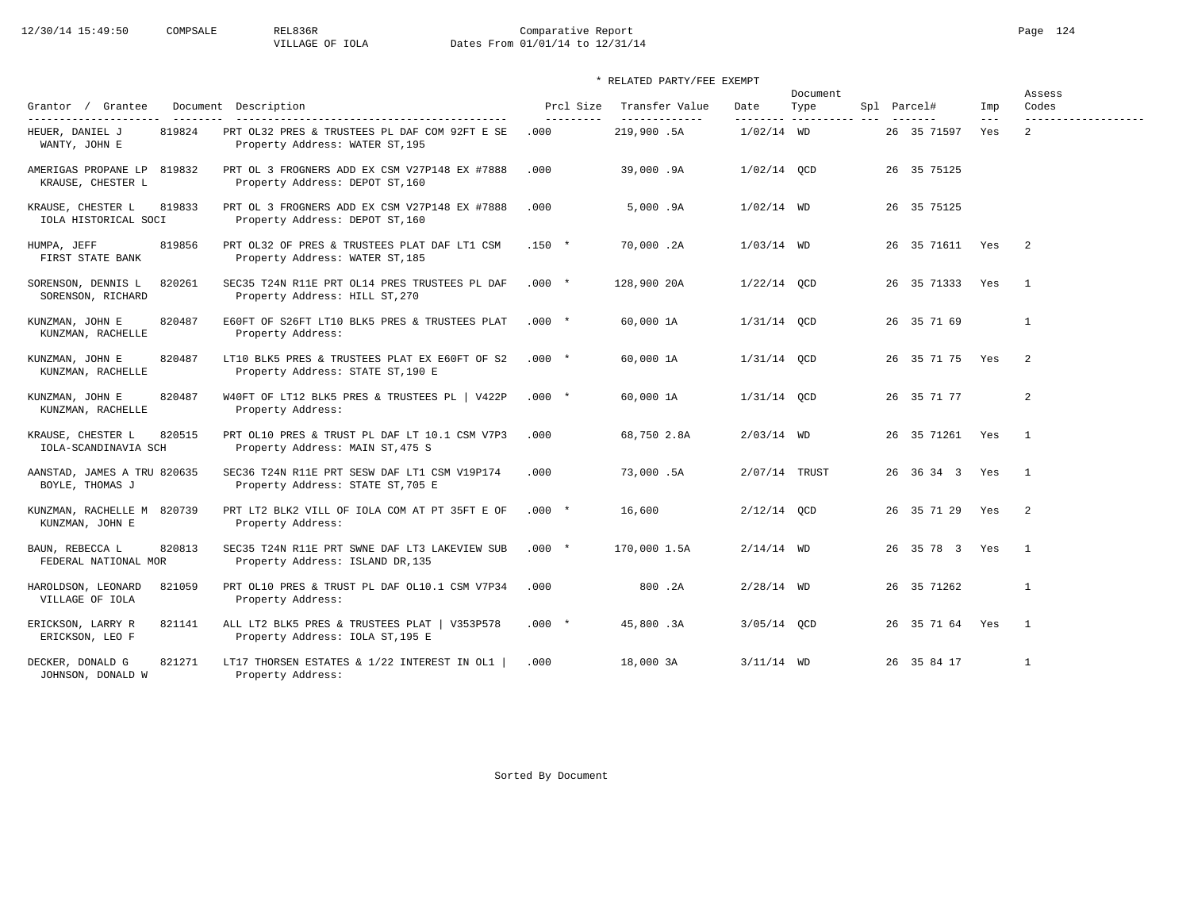# 12/30/14 15:49:50 COMPSALE REL836R Comparative Report Page 124<br>VILLAGE OF IOLA Dates From 01/01/14 to 12/31/14 Dates From 01/01/14 to 12/31/14

# \* RELATED PARTY/FEE EXEMPT

| Grantor / Grantee                                                    | Document Description                                                                                                     | Prcl Size          | Transfer Value               | Date                      | Document<br>Type | Spl Parcel#     | Imp          | Assess<br>Codes                       |
|----------------------------------------------------------------------|--------------------------------------------------------------------------------------------------------------------------|--------------------|------------------------------|---------------------------|------------------|-----------------|--------------|---------------------------------------|
| ----------------------<br>819824<br>HEUER, DANIEL J<br>WANTY, JOHN E | ------------------------------------<br>PRT OL32 PRES & TRUSTEES PL DAF COM 92FT E SE<br>Property Address: WATER ST, 195 | ----------<br>.000 | --------------<br>219,900.5A | ---------<br>$1/02/14$ WD | --------------   | 26 35 71597     | $---$<br>Yes | -------------------<br>$\overline{2}$ |
| AMERIGAS PROPANE LP 819832<br>KRAUSE, CHESTER L                      | PRT OL 3 FROGNERS ADD EX CSM V27P148 EX #7888<br>Property Address: DEPOT ST, 160                                         | .000               | 39,000.9A                    | $1/02/14$ OCD             |                  | 26 35 75125     |              |                                       |
| 819833<br>KRAUSE, CHESTER L<br>IOLA HISTORICAL SOCI                  | PRT OL 3 FROGNERS ADD EX CSM V27P148 EX #7888<br>Property Address: DEPOT ST, 160                                         | .000               | 5.000.9A                     | $1/02/14$ WD              |                  | 26 35 75125     |              |                                       |
| HUMPA, JEFF<br>819856<br>FIRST STATE BANK                            | PRT OL32 OF PRES & TRUSTEES PLAT DAF LT1 CSM<br>Property Address: WATER ST, 185                                          | $.150 *$           | 70,000.2A                    | $1/03/14$ WD              |                  | 26 35 71611 Yes |              | $\overline{2}$                        |
| 820261<br>SORENSON, DENNIS L<br>SORENSON, RICHARD                    | SEC35 T24N R11E PRT OL14 PRES TRUSTEES PL DAF<br>Property Address: HILL ST, 270                                          | $.000*$            | 128,900 20A                  | $1/22/14$ QCD             |                  | 26 35 71333 Yes |              | $\overline{1}$                        |
| 820487<br>KUNZMAN, JOHN E<br>KUNZMAN, RACHELLE                       | E60FT OF S26FT LT10 BLK5 PRES & TRUSTEES PLAT<br>Property Address:                                                       | $.000 *$           | 60,000 1A                    | $1/31/14$ OCD             |                  | 26 35 71 69     |              | $\mathbf{1}$                          |
| KUNZMAN, JOHN E<br>820487<br>KUNZMAN, RACHELLE                       | LT10 BLK5 PRES & TRUSTEES PLAT EX E60FT OF S2<br>Property Address: STATE ST, 190 E                                       | $.000*$            | 60,000 1A                    | $1/31/14$ QCD             |                  | 26 35 71 75 Yes |              | 2                                     |
| KUNZMAN, JOHN E<br>820487<br>KUNZMAN, RACHELLE                       | W40FT OF LT12 BLK5 PRES & TRUSTEES PL   V422P<br>Property Address:                                                       | $.000*$            | 60,000 1A                    | $1/31/14$ QCD             |                  | 26 35 71 77     |              | 2                                     |
| KRAUSE, CHESTER L<br>820515<br>IOLA-SCANDINAVIA SCH                  | PRT OL10 PRES & TRUST PL DAF LT 10.1 CSM V7P3<br>Property Address: MAIN ST, 475 S                                        | .000               | 68,750 2.8A                  | $2/03/14$ WD              |                  | 26 35 71261 Yes |              | $\mathbf{1}$                          |
| AANSTAD, JAMES A TRU 820635<br>BOYLE, THOMAS J                       | SEC36 T24N R11E PRT SESW DAF LT1 CSM V19P174<br>Property Address: STATE ST, 705 E                                        | .000               | 73,000.5A                    | 2/07/14 TRUST             |                  | 26 36 34 3 Yes  |              | $\overline{1}$                        |
| KUNZMAN, RACHELLE M 820739<br>KUNZMAN, JOHN E                        | PRT LT2 BLK2 VILL OF IOLA COM AT PT 35FT E OF<br>Property Address:                                                       | $.000*$            | 16,600                       | $2/12/14$ OCD             |                  | 26 35 71 29 Yes |              | $\overline{2}$                        |
| 820813<br>BAUN, REBECCA L<br>FEDERAL NATIONAL MOR                    | SEC35 T24N R11E PRT SWNE DAF LT3 LAKEVIEW SUB<br>Property Address: ISLAND DR, 135                                        | $.000*$            | 170,000 1.5A                 | $2/14/14$ WD              |                  | 26 35 78 3 Yes  |              | $\overline{1}$                        |
| 821059<br>HAROLDSON, LEONARD<br>VILLAGE OF IOLA                      | PRT OL10 PRES & TRUST PL DAF OL10.1 CSM V7P34<br>Property Address:                                                       | .000               | 800.2A                       | $2/28/14$ WD              |                  | 26 35 71262     |              | $\mathbf{1}$                          |
| 821141<br>ERICKSON, LARRY R<br>ERICKSON, LEO F                       | ALL LT2 BLK5 PRES & TRUSTEES PLAT   V353P578<br>Property Address: IOLA ST, 195 E                                         | $.000*$            | 45,800.3A                    | 3/05/14 OCD               |                  | 26 35 71 64 Yes |              | $\overline{1}$                        |
| 821271<br>DECKER, DONALD G<br>JOHNSON, DONALD W                      | LT17 THORSEN ESTATES & 1/22 INTEREST IN OL1<br>Property Address:                                                         | .000               | 18,000 3A                    | $3/11/14$ WD              |                  | 26 35 84 17     |              | $\overline{1}$                        |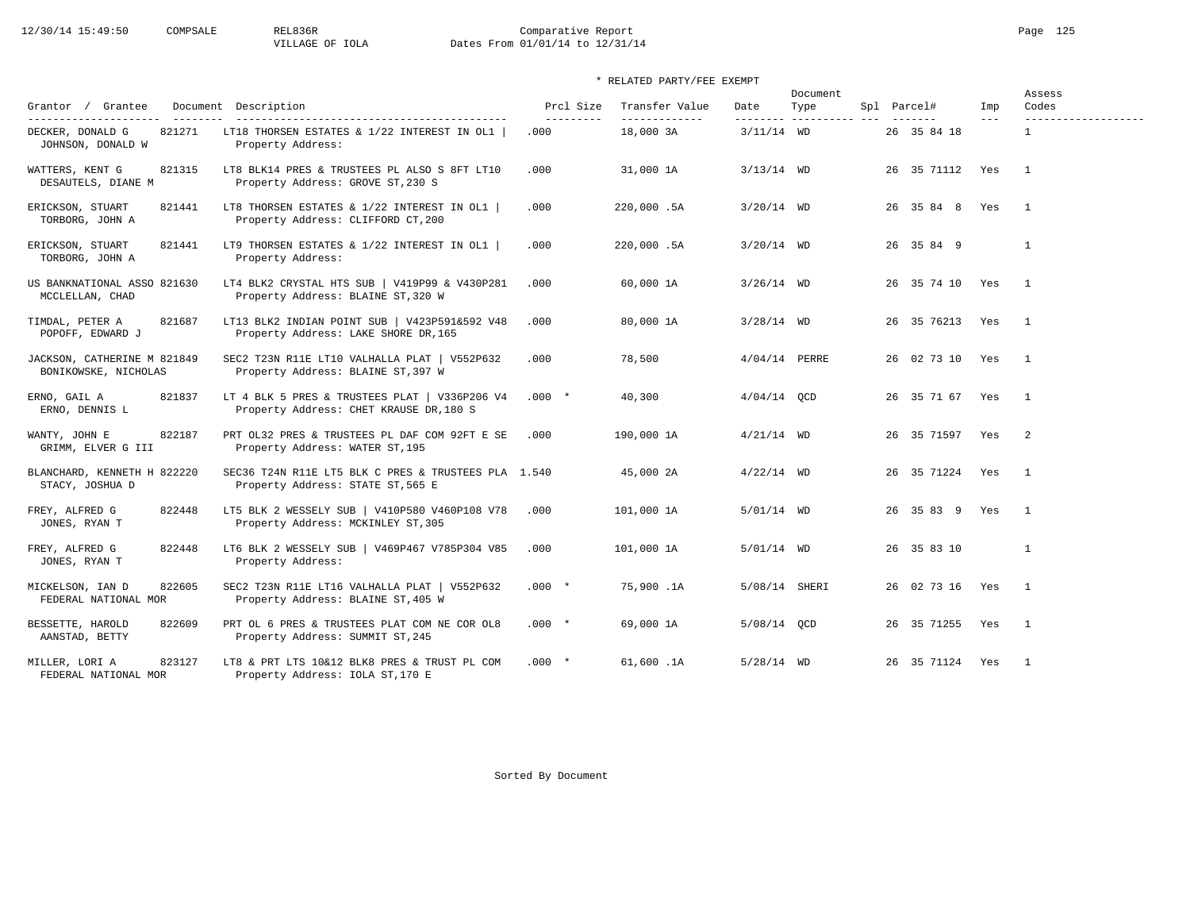# 12/30/14 15:49:50 COMPSALE REL836R Comparative Report Page 125<br>VILLAGE OF IOLA Dates From 01/01/14 to 12/31/14 Dates From 01/01/14 to 12/31/14

# \* RELATED PARTY/FEE EXEMPT

|                                                     |                                                                                          |                         |                                  |                 | Document                     |  |                 |              | Assess                   |
|-----------------------------------------------------|------------------------------------------------------------------------------------------|-------------------------|----------------------------------|-----------------|------------------------------|--|-----------------|--------------|--------------------------|
| Grantor / Grantee<br>---------------------          | Document Description                                                                     | Prcl Size<br>---------- | Transfer Value<br>-------------- | Date            | Type<br>--------- ---------- |  | Spl Parcel#     | Imp<br>$---$ | Codes                    |
| 821271<br>DECKER, DONALD G<br>JOHNSON, DONALD W     | LT18 THORSEN ESTATES & 1/22 INTEREST IN OL1<br>Property Address:                         | .000                    | 18,000 3A                        | $3/11/14$ WD    |                              |  | 26 35 84 18     |              | $\mathbf{1}$             |
| WATTERS, KENT G<br>821315<br>DESAUTELS, DIANE M     | LT8 BLK14 PRES & TRUSTEES PL ALSO S 8FT LT10<br>Property Address: GROVE ST, 230 S        | .000                    | 31,000 1A                        | $3/13/14$ WD    |                              |  | 26 35 71112 Yes |              | $\overline{1}$           |
| 821441<br>ERICKSON, STUART<br>TORBORG, JOHN A       | LT8 THORSEN ESTATES & 1/22 INTEREST IN OL1  <br>Property Address: CLIFFORD CT, 200       | .000                    | 220,000.5A                       | $3/20/14$ WD    |                              |  | 26 35 84 8 Yes  |              | $\overline{1}$           |
| ERICKSON, STUART<br>821441<br>TORBORG, JOHN A       | LT9 THORSEN ESTATES & 1/22 INTEREST IN OL1  <br>Property Address:                        | .000                    | 220,000.5A                       | $3/20/14$ WD    |                              |  | 26 35 84 9      |              | $\mathbf{1}$             |
| US BANKNATIONAL ASSO 821630<br>MCCLELLAN, CHAD      | LT4 BLK2 CRYSTAL HTS SUB   V419P99 & V430P281<br>Property Address: BLAINE ST, 320 W      | .000                    | 60,000 1A                        | $3/26/14$ WD    |                              |  | 26 35 74 10 Yes |              | $\overline{1}$           |
| 821687<br>TIMDAL, PETER A<br>POPOFF, EDWARD J       | LT13 BLK2 INDIAN POINT SUB   V423P591&592 V48<br>Property Address: LAKE SHORE DR, 165    | .000                    | 80,000 1A                        | $3/28/14$ WD    |                              |  | 26 35 76213 Yes |              | $\overline{1}$           |
| JACKSON, CATHERINE M 821849<br>BONIKOWSKE, NICHOLAS | SEC2 T23N R11E LT10 VALHALLA PLAT   V552P632<br>Property Address: BLAINE ST, 397 W       | .000                    | 78,500                           | $4/04/14$ PERRE |                              |  | 26 02 73 10 Yes |              | $\overline{1}$           |
| ERNO, GAIL A<br>821837<br>ERNO, DENNIS L            | LT 4 BLK 5 PRES & TRUSTEES PLAT   V336P206 V4<br>Property Address: CHET KRAUSE DR, 180 S | $.000*$                 | 40,300                           | $4/04/14$ QCD   |                              |  | 26 35 71 67 Yes |              | $\overline{1}$           |
| WANTY, JOHN E<br>822187<br>GRIMM, ELVER G III       | PRT OL32 PRES & TRUSTEES PL DAF COM 92FT E SE<br>Property Address: WATER ST, 195         | .000                    | 190,000 1A                       | $4/21/14$ WD    |                              |  | 26 35 71597 Yes |              | $\overline{\phantom{0}}$ |
| BLANCHARD, KENNETH H 822220<br>STACY, JOSHUA D      | SEC36 T24N R11E LT5 BLK C PRES & TRUSTEES PLA 1.540<br>Property Address: STATE ST, 565 E |                         | 45,000 2A                        | $4/22/14$ WD    |                              |  | 26 35 71224 Yes |              | $\overline{1}$           |
| FREY, ALFRED G<br>822448<br>JONES, RYAN T           | LT5 BLK 2 WESSELY SUB   V410P580 V460P108 V78<br>Property Address: MCKINLEY ST, 305      | .000                    | 101,000 1A                       | $5/01/14$ WD    |                              |  | 26 35 83 9 Yes  |              | $\overline{1}$           |
| FREY, ALFRED G<br>822448<br>JONES, RYAN T           | LT6 BLK 2 WESSELY SUB   V469P467 V785P304 V85<br>Property Address:                       | .000                    | 101,000 1A                       | $5/01/14$ WD    |                              |  | 26 35 83 10     |              | $\mathbf{1}$             |
| 822605<br>MICKELSON, IAN D<br>FEDERAL NATIONAL MOR  | SEC2 T23N R11E LT16 VALHALLA PLAT   V552P632<br>Property Address: BLAINE ST, 405 W       | $.000*$                 | 75,900.1A                        | 5/08/14 SHERI   |                              |  | 26 02 73 16 Yes |              | $\overline{1}$           |
| BESSETTE, HAROLD<br>822609<br>AANSTAD, BETTY        | PRT OL 6 PRES & TRUSTEES PLAT COM NE COR OL8<br>Property Address: SUMMIT ST, 245         | $.000*$                 | 69,000 1A                        | $5/08/14$ OCD   |                              |  | 26 35 71255 Yes |              | $\overline{1}$           |
| 823127<br>MILLER, LORI A<br>FEDERAL NATIONAL MOR    | LT8 & PRT LTS 10&12 BLK8 PRES & TRUST PL COM<br>Property Address: IOLA ST, 170 E         | $.000*$                 | 61,600.1A                        | $5/28/14$ WD    |                              |  | 26 35 71124 Yes |              | $\sim$ 1                 |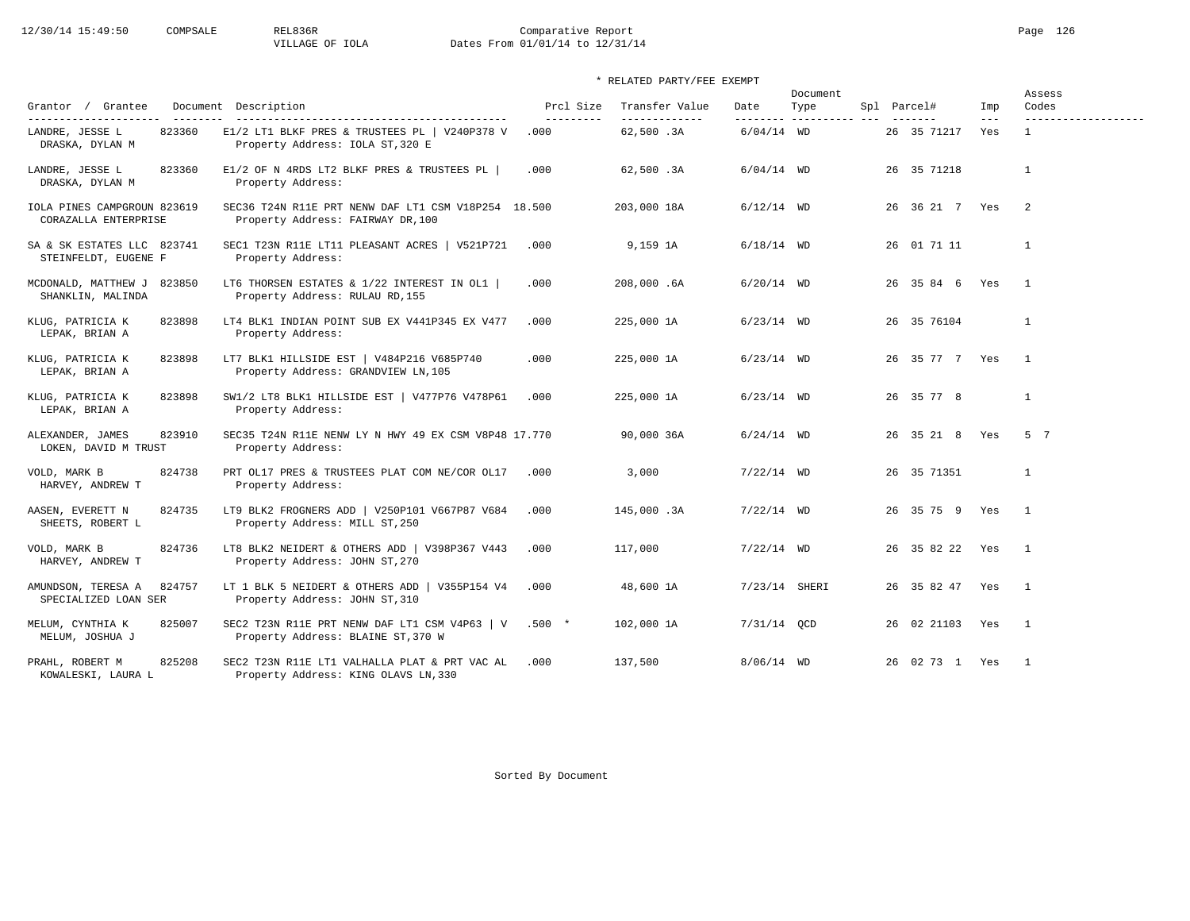# 12/30/14 15:49:50 COMPSALE REL836R Comparative Report Page 126<br>VILLAGE OF IOLA Dates From 01/01/14 to 12/31/14 Dates From 01/01/14 to 12/31/14

# \* RELATED PARTY/FEE EXEMPT

| Grantor / Grantee                                    |                                                                                            | Prcl Size  | Transfer Value | Date          | Document                         |                 |                | Assess<br>Codes     |
|------------------------------------------------------|--------------------------------------------------------------------------------------------|------------|----------------|---------------|----------------------------------|-----------------|----------------|---------------------|
| ----------------------                               | Document Description<br>-----------------------------------                                | ---------- | -------------- |               | Type<br>--------- ---------- --- | Spl Parcel#     | Imp<br>$- - -$ | ------------------- |
| 823360<br>LANDRE, JESSE L<br>DRASKA, DYLAN M         | E1/2 LT1 BLKF PRES & TRUSTEES PL   V240P378 V<br>Property Address: IOLA ST, 320 E          | .000       | 62,500.3A      | $6/04/14$ WD  |                                  | 26 35 71217     | Yes            | $\mathbf{1}$        |
| LANDRE, JESSE L<br>823360<br>DRASKA, DYLAN M         | E1/2 OF N 4RDS LT2 BLKF PRES & TRUSTEES PL<br>Property Address:                            | .000       | 62,500.3A      | $6/04/14$ WD  |                                  | 26 35 71218     |                | $\mathbf{1}$        |
| IOLA PINES CAMPGROUN 823619<br>CORAZALLA ENTERPRISE  | SEC36 T24N R11E PRT NENW DAF LT1 CSM V18P254 18.500<br>Property Address: FAIRWAY DR, 100   |            | 203,000 18A    | $6/12/14$ WD  |                                  | 26 36 21 7 Yes  |                | -2                  |
| SA & SK ESTATES LLC 823741<br>STEINFELDT, EUGENE F   | SEC1 T23N R11E LT11 PLEASANT ACRES   V521P721<br>Property Address:                         | .000       | 9,159 1A       | $6/18/14$ WD  |                                  | 26 01 71 11     |                | $\mathbf{1}$        |
| MCDONALD, MATTHEW J<br>823850<br>SHANKLIN, MALINDA   | LT6 THORSEN ESTATES & 1/22 INTEREST IN OL1  <br>Property Address: RULAU RD, 155            | .000       | 208,000.6A     | $6/20/14$ WD  |                                  | 26 35 84 6 Yes  |                | $\overline{1}$      |
| KLUG, PATRICIA K<br>823898<br>LEPAK, BRIAN A         | LT4 BLK1 INDIAN POINT SUB EX V441P345 EX V477<br>Property Address:                         | .000       | 225,000 1A     | $6/23/14$ WD  |                                  | 26 35 76104     |                | $\mathbf{1}$        |
| 823898<br>KLUG, PATRICIA K<br>LEPAK, BRIAN A         | LT7 BLK1 HILLSIDE EST   V484P216 V685P740<br>Property Address: GRANDVIEW LN, 105           | .000       | 225,000 1A     | $6/23/14$ WD  |                                  | 26 35 77 7 Yes  |                | $\overline{1}$      |
| 823898<br>KLUG, PATRICIA K<br>LEPAK, BRIAN A         | SW1/2 LT8 BLK1 HILLSIDE EST   V477P76 V478P61<br>Property Address:                         | .000       | 225,000 1A     | $6/23/14$ WD  |                                  | 26 35 77 8      |                | $\mathbf{1}$        |
| 823910<br>ALEXANDER, JAMES<br>LOKEN, DAVID M TRUST   | SEC35 T24N R11E NENW LY N HWY 49 EX CSM V8P48 17.770<br>Property Address:                  |            | 90,000 36A     | $6/24/14$ WD  |                                  | 26 35 21 8 Yes  |                | 5 7                 |
| 824738<br>VOLD, MARK B<br>HARVEY, ANDREW T           | PRT OL17 PRES & TRUSTEES PLAT COM NE/COR OL17<br>Property Address:                         | .000       | 3,000          | $7/22/14$ WD  |                                  | 26 35 71351     |                | $\mathbf{1}$        |
| AASEN, EVERETT N<br>824735<br>SHEETS, ROBERT L       | LT9 BLK2 FROGNERS ADD   V250P101 V667P87 V684<br>Property Address: MILL ST, 250            | .000       | 145,000.3A     | $7/22/14$ WD  |                                  | 26 35 75 9 Yes  |                | $\overline{1}$      |
| VOLD, MARK B<br>824736<br>HARVEY, ANDREW T           | LT8 BLK2 NEIDERT & OTHERS ADD   V398P367 V443<br>Property Address: JOHN ST, 270            | .000       | 117,000        | $7/22/14$ WD  |                                  | 26 35 82 22 Yes |                | $\overline{1}$      |
| AMUNDSON, TERESA A<br>824757<br>SPECIALIZED LOAN SER | LT 1 BLK 5 NEIDERT & OTHERS ADD   V355P154 V4<br>Property Address: JOHN ST, 310            | .000       | 48,600 1A      | 7/23/14 SHERI |                                  | 26 35 82 47 Yes |                | $\mathbf{1}$        |
| MELUM, CYNTHIA K<br>825007<br>MELUM, JOSHUA J        | SEC2 T23N R11E PRT NENW DAF LT1 CSM V4P63   V .500 *<br>Property Address: BLAINE ST, 370 W |            | 102,000 1A     | 7/31/14 OCD   |                                  | 26 02 21103 Yes |                | $\overline{1}$      |
| 825208<br>PRAHL, ROBERT M<br>KOWALESKI, LAURA L      | SEC2 T23N R11E LT1 VALHALLA PLAT & PRT VAC AL<br>Property Address: KING OLAVS LN, 330      | .000       | 137,500        | $8/06/14$ WD  |                                  | 26 02 73 1 Yes  |                | $\mathbf{1}$        |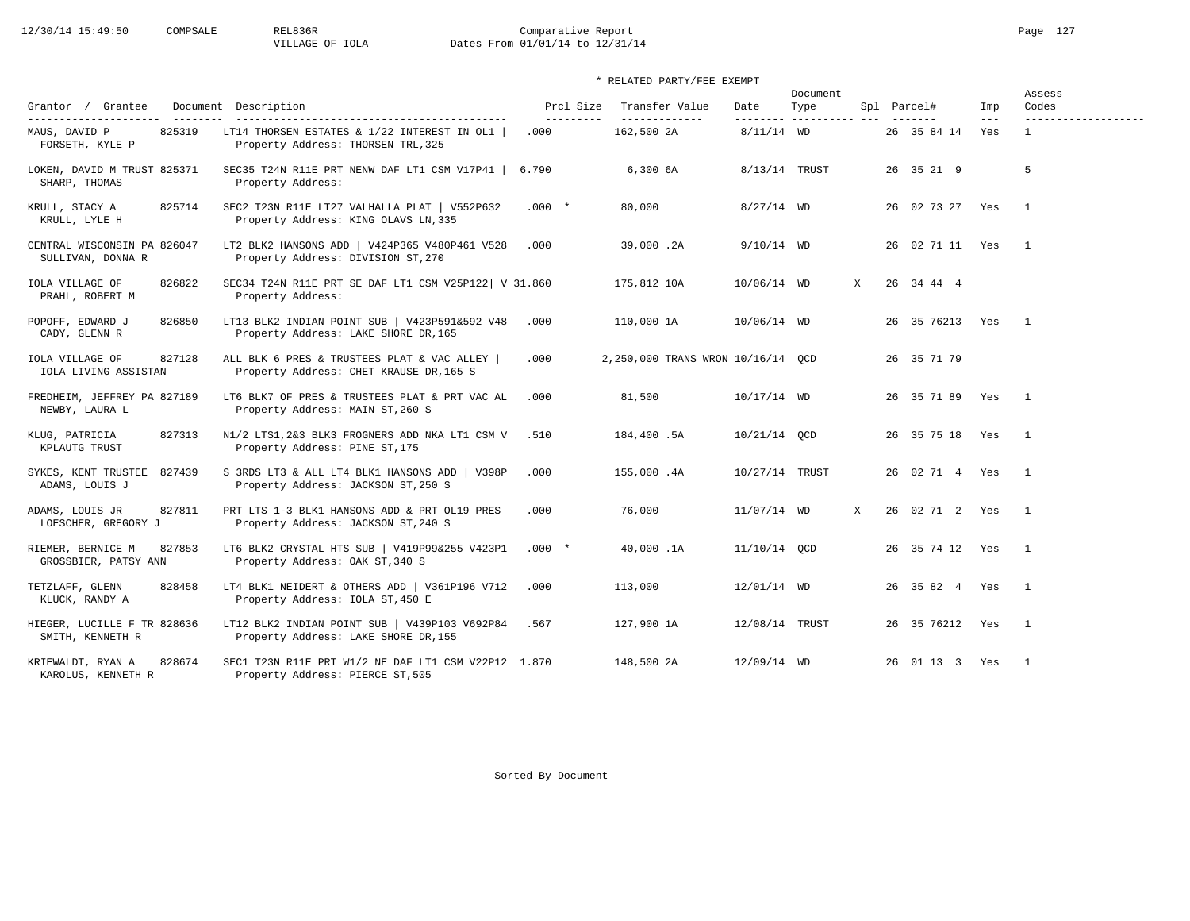# 12/30/14 15:49:50 COMPSALE REL836R Comparative Report Page 127<br>VILLAGE OF IOLA Dates From 01/01/14 to 12/31/14 Dates From 01/01/14 to 12/31/14

# \* RELATED PARTY/FEE EXEMPT

| Grantor / Grantee                                                   | Document Description                                                                       | Prcl Size          | Transfer Value                    | Date           | Document<br>Type         |   | Spl Parcel#       | Imp            | Assess<br>Codes                     |
|---------------------------------------------------------------------|--------------------------------------------------------------------------------------------|--------------------|-----------------------------------|----------------|--------------------------|---|-------------------|----------------|-------------------------------------|
| ---------------------<br>825319<br>MAUS, DAVID P<br>FORSETH, KYLE P | LT14 THORSEN ESTATES & 1/22 INTEREST IN OL1<br>Property Address: THORSEN TRL, 325          | ----------<br>.000 | --------------<br>162,500 2A      | $8/11/14$ WD   | --------- ---------- --- |   | 26 35 84 14       | $- - -$<br>Yes | -------------------<br>$\mathbf{1}$ |
| LOKEN, DAVID M TRUST 825371<br>SHARP, THOMAS                        | SEC35 T24N R11E PRT NENW DAF LT1 CSM V17P41   6.790<br>Property Address:                   |                    | 6,300.6A                          | 8/13/14 TRUST  |                          |   | 26 35 21 9        |                | 5                                   |
| 825714<br>KRULL, STACY A<br>KRULL, LYLE H                           | SEC2 T23N R11E LT27 VALHALLA PLAT   V552P632<br>Property Address: KING OLAVS LN, 335       | $.000*$            | 80,000                            | $8/27/14$ WD   |                          |   | 26 02 73 27 Yes   |                | $\overline{1}$                      |
| CENTRAL WISCONSIN PA 826047<br>SULLIVAN, DONNA R                    | LT2 BLK2 HANSONS ADD   V424P365 V480P461 V528<br>Property Address: DIVISION ST, 270        | .000               | 39,000.2A                         | $9/10/14$ WD   |                          |   | 26 02 71 11 Yes   |                | $\overline{1}$                      |
| IOLA VILLAGE OF<br>826822<br>PRAHL, ROBERT M                        | SEC34 T24N R11E PRT SE DAF LT1 CSM V25P122   V 31.860<br>Property Address:                 |                    | 175,812 10A                       | 10/06/14 WD    |                          | X | 26 34 44 4        |                |                                     |
| POPOFF, EDWARD J<br>826850<br>CADY, GLENN R                         | LT13 BLK2 INDIAN POINT SUB   V423P591&592 V48<br>Property Address: LAKE SHORE DR, 165      | .000               | 110,000 1A                        | 10/06/14 WD    |                          |   | 26 35 76213 Yes 1 |                |                                     |
| 827128<br>IOLA VILLAGE OF<br>IOLA LIVING ASSISTAN                   | ALL BLK 6 PRES & TRUSTEES PLAT & VAC ALLEY  <br>Property Address: CHET KRAUSE DR, 165 S    | .000               | 2,250,000 TRANS WRON 10/16/14 QCD |                |                          |   | 26 35 71 79       |                |                                     |
| FREDHEIM, JEFFREY PA 827189<br>NEWBY, LAURA L                       | LT6 BLK7 OF PRES & TRUSTEES PLAT & PRT VAC AL<br>Property Address: MAIN ST, 260 S          | .000               | 81,500                            | 10/17/14 WD    |                          |   | 26 35 71 89 Yes 1 |                |                                     |
| 827313<br>KLUG, PATRICIA<br>KPLAUTG TRUST                           | N1/2 LTS1, 2&3 BLK3 FROGNERS ADD NKA LT1 CSM V<br>Property Address: PINE ST, 175           | .510               | 184,400.5A                        | 10/21/14 QCD   |                          |   | 26 35 75 18 Yes   |                | $\overline{\phantom{1}}$            |
| SYKES, KENT TRUSTEE 827439<br>ADAMS, LOUIS J                        | S 3RDS LT3 & ALL LT4 BLK1 HANSONS ADD   V398P<br>Property Address: JACKSON ST, 250 S       | .000               | 155,000.4A                        | 10/27/14 TRUST |                          |   | 26 02 71 4 Yes    |                | $\overline{1}$                      |
| ADAMS, LOUIS JR<br>827811<br>LOESCHER, GREGORY J                    | PRT LTS 1-3 BLK1 HANSONS ADD & PRT OL19 PRES<br>Property Address: JACKSON ST, 240 S        | .000               | 76,000                            | 11/07/14 WD    |                          | X | 26 02 71 2 Yes    |                | $\overline{1}$                      |
| RIEMER, BERNICE M<br>827853<br>GROSSBIER, PATSY ANN                 | LT6 BLK2 CRYSTAL HTS SUB   V419P99&255 V423P1<br>Property Address: OAK ST, 340 S           | $.000*$            | 40,000.1A                         | 11/10/14 OCD   |                          |   | 26 35 74 12 Yes   |                | $\overline{1}$                      |
| TETZLAFF, GLENN<br>828458<br>KLUCK, RANDY A                         | LT4 BLK1 NEIDERT & OTHERS ADD   V361P196 V712<br>Property Address: IOLA ST, 450 E          | .000               | 113,000                           | 12/01/14 WD    |                          |   | 26 35 82 4 Yes    |                | $\overline{1}$                      |
| HIEGER, LUCILLE F TR 828636<br>SMITH, KENNETH R                     | LT12 BLK2 INDIAN POINT SUB   V439P103 V692P84 .567<br>Property Address: LAKE SHORE DR, 155 |                    | 127,900 1A                        | 12/08/14 TRUST |                          |   | 26 35 76212 Yes   |                | $\overline{\phantom{0}}$            |
| 828674<br>KRIEWALDT, RYAN A<br>KAROLUS, KENNETH R                   | SEC1 T23N R11E PRT W1/2 NE DAF LT1 CSM V22P12 1.870<br>Property Address: PIERCE ST, 505    |                    | 148,500 2A                        | 12/09/14 WD    |                          |   | 26 01 13 3 Yes    |                | $\overline{1}$                      |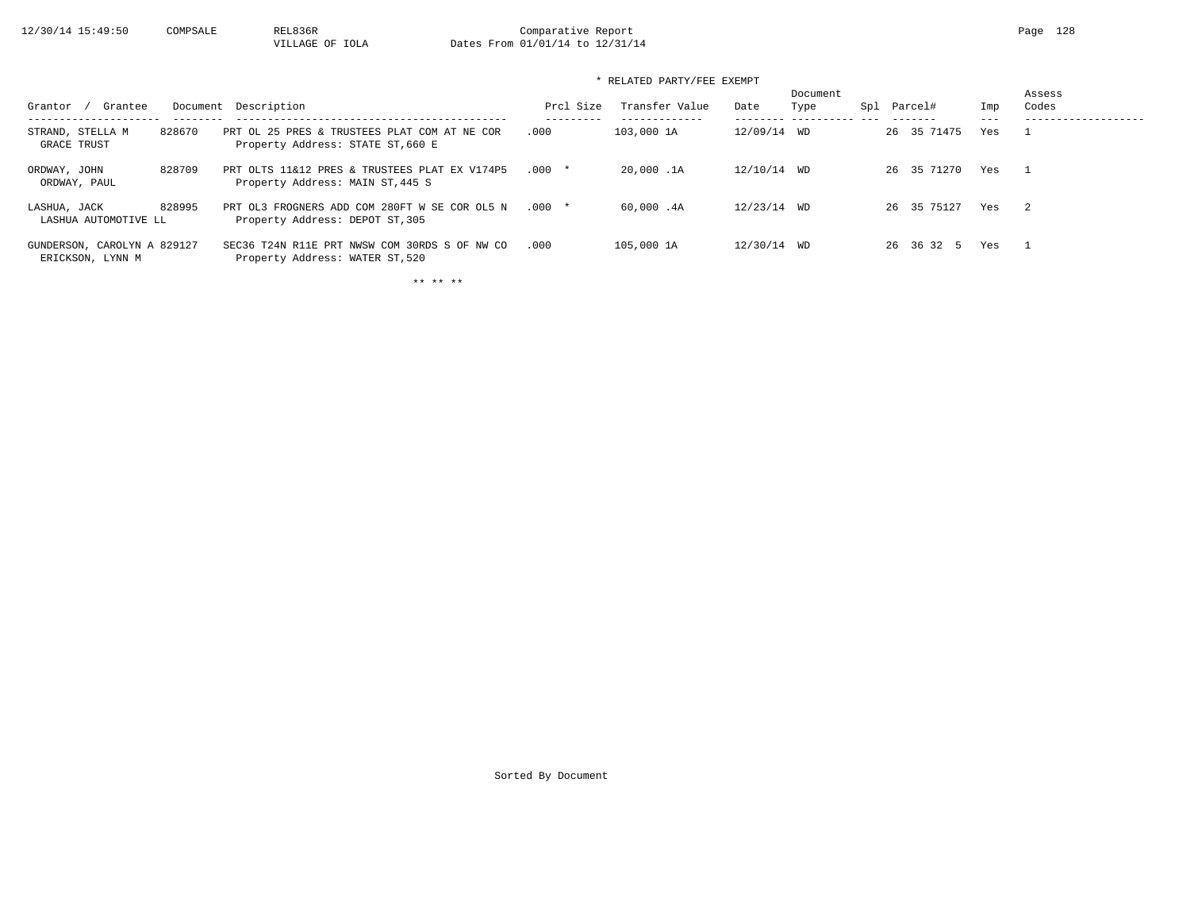| Grantee<br>Grantor                              |        | Document Description                                                              | Prcl Size | Transfer Value | Date        | Document<br>Type | Spl | Parcel#     | Imp | Assess<br>Codes            |
|-------------------------------------------------|--------|-----------------------------------------------------------------------------------|-----------|----------------|-------------|------------------|-----|-------------|-----|----------------------------|
| STRAND, STELLA M<br>GRACE TRUST                 | 828670 | PRT OL 25 PRES & TRUSTEES PLAT COM AT NE COR<br>Property Address: STATE ST, 660 E | .000      | 103,000 1A     | 12/09/14 WD |                  |     | 26 35 71475 | Yes |                            |
| ORDWAY, JOHN<br>ORDWAY, PAUL                    | 828709 | PRT OLTS 11&12 PRES & TRUSTEES PLAT EX V174P5<br>Property Address: MAIN ST, 445 S | $.000*$   | 20,000.1A      | 12/10/14 WD |                  |     | 26 35 71270 | Yes |                            |
| LASHUA, JACK<br>LASHUA AUTOMOTIVE LL            | 828995 | PRT OL3 FROGNERS ADD COM 280FT W SE COR OL5 N<br>Property Address: DEPOT ST, 305  | $.000*$   | 60.000 .4A     | 12/23/14 WD |                  |     | 26 35 75127 | Yes | $\overline{\phantom{0}}^2$ |
| GUNDERSON, CAROLYN A 829127<br>ERICKSON, LYNN M |        | SEC36 T24N R11E PRT NWSW COM 30RDS S OF NW CO<br>Property Address: WATER ST, 520  | .000      | 105,000 1A     | 12/30/14 WD |                  |     | 26 36 32 5  | Yes |                            |

\*\* \*\* \*\*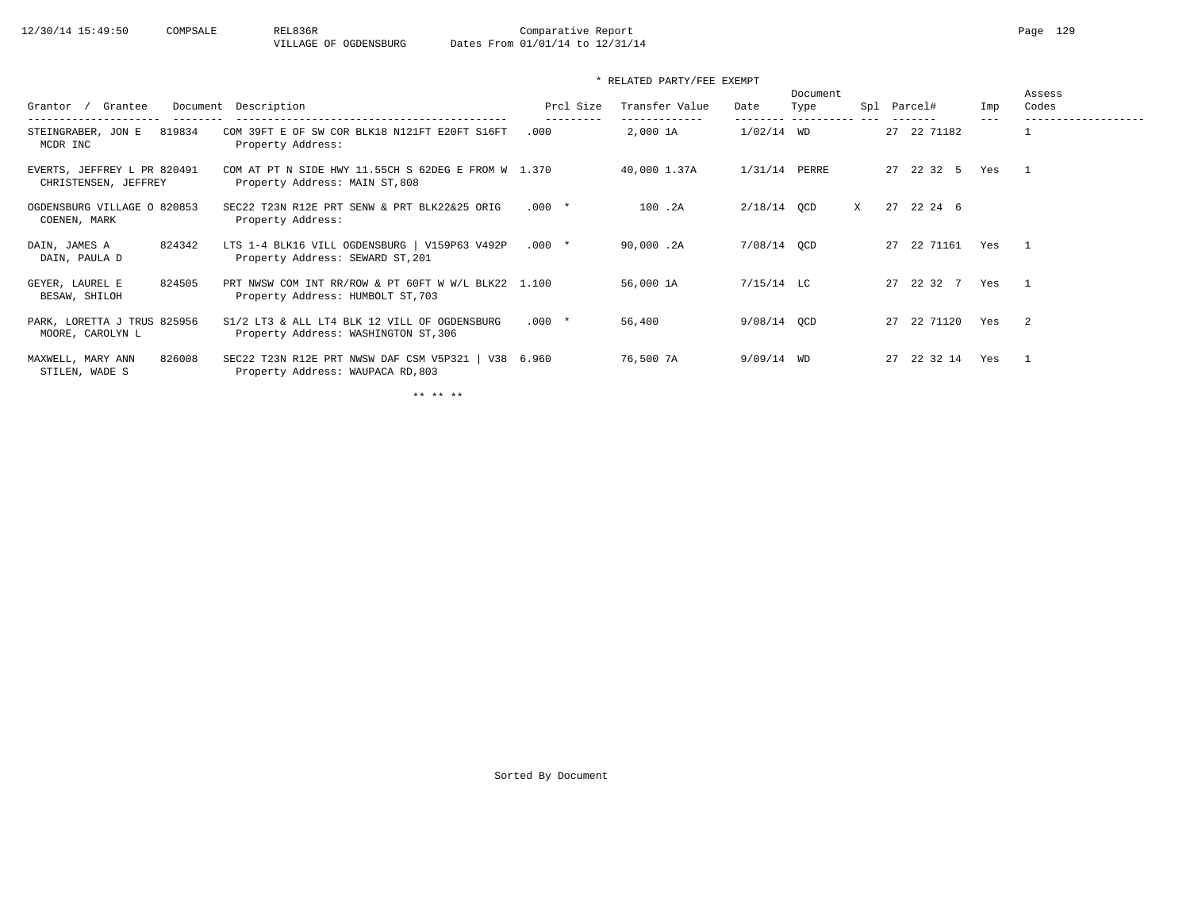| Grantee<br>Grantor                                  | Document Description                                                                     | Prcl Size         | Transfer Value            | Date          | Document<br>Type | Spl | Parcel#        | Imp | Assess<br>Codes |
|-----------------------------------------------------|------------------------------------------------------------------------------------------|-------------------|---------------------------|---------------|------------------|-----|----------------|-----|-----------------|
| 819834<br>STEINGRABER, JON E<br>MCDR INC            | COM 39FT E OF SW COR BLK18 N121FT E20FT S16FT<br>Property Address:                       | ---------<br>.000 | -------------<br>2,000 1A | $1/02/14$ WD  | -----------      |     | 27 22 71182    | --- |                 |
| EVERTS, JEFFREY L PR 820491<br>CHRISTENSEN, JEFFREY | COM AT PT N SIDE HWY 11.55CH S 62DEG E FROM W 1.370<br>Property Address: MAIN ST, 808    |                   | 40,000 1.37A              | 1/31/14 PERRE |                  |     | 27 22 32 5     | Yes | $\overline{1}$  |
| OGDENSBURG VILLAGE O 820853<br>COENEN, MARK         | SEC22 T23N R12E PRT SENW & PRT BLK22&25 ORIG<br>Property Address:                        | $.000*$           | 100.2A                    | $2/18/14$ OCD |                  | X   | 27 22 24 6     |     |                 |
| 824342<br>DAIN, JAMES A<br>DAIN, PAULA D            | LTS 1-4 BLK16 VILL OGDENSBURG   V159P63 V492P<br>Property Address: SEWARD ST, 201        | $.000*$           | 90,000.2A                 | 7/08/14 OCD   |                  |     | 22 71161<br>27 | Yes | $\overline{1}$  |
| GEYER, LAUREL E<br>824505<br>BESAW, SHILOH          | PRT NWSW COM INT RR/ROW & PT 60FT W W/L BLK22 1.100<br>Property Address: HUMBOLT ST, 703 |                   | 56,000 1A                 | $7/15/14$ LC  |                  |     | 27 22 32 7     | Yes | $\overline{1}$  |
| PARK, LORETTA J TRUS 825956<br>MOORE, CAROLYN L     | S1/2 LT3 & ALL LT4 BLK 12 VILL OF OGDENSBURG<br>Property Address: WASHINGTON ST, 306     | $.000*$           | 56,400                    | 9/08/14 OCD   |                  |     | 22 71120<br>27 | Yes | - 2             |
| 826008<br>MAXWELL, MARY ANN<br>STILEN, WADE S       | SEC22 T23N R12E PRT NWSW DAF CSM V5P321   V38 6.960<br>Property Address: WAUPACA RD, 803 |                   | 76,500 7A                 | $9/09/14$ WD  |                  |     | 22 32 14<br>27 | Yes | $\overline{1}$  |

\*\* \*\* \*\*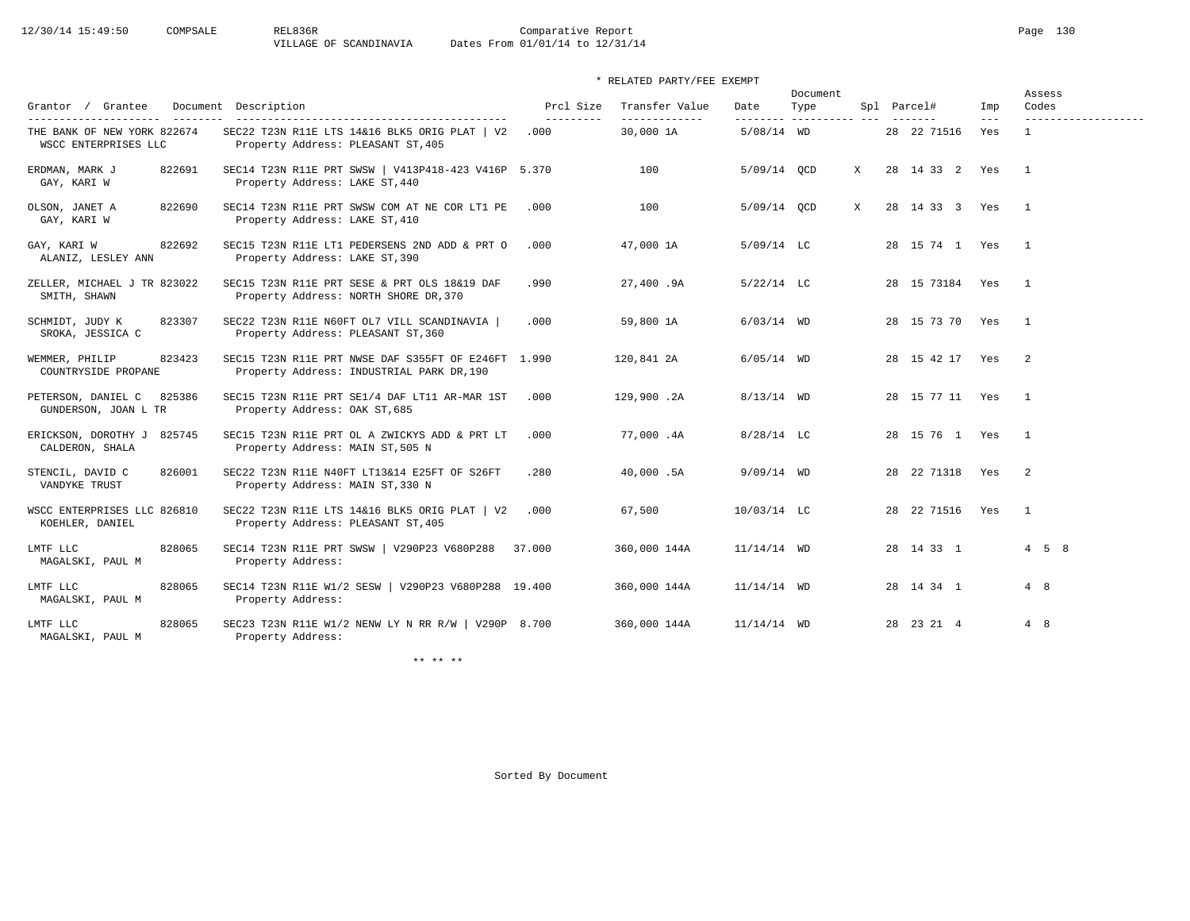|                                                      |                                                                                                  |                        |                                 |               | Document              |                    |                | Assess                     |
|------------------------------------------------------|--------------------------------------------------------------------------------------------------|------------------------|---------------------------------|---------------|-----------------------|--------------------|----------------|----------------------------|
| Grantor / Grantee                                    | Document Description<br>---------------------------------                                        | Prcl Size<br>--------- | Transfer Value<br>------------- | Date          | Type<br>----------- - | Spl Parcel#        | Imp<br>$- - -$ | Codes<br>.                 |
| THE BANK OF NEW YORK 822674<br>WSCC ENTERPRISES LLC  | SEC22 T23N R11E LTS 14&16 BLK5 ORIG PLAT   V2<br>Property Address: PLEASANT ST, 405              | .000                   | 30,000 1A                       | $5/08/14$ WD  |                       | 28 22 71516        | Yes            | $\mathbf{1}$               |
| ERDMAN, MARK J<br>822691<br>GAY, KARI W              | SEC14 T23N R11E PRT SWSW   V413P418-423 V416P 5.370<br>Property Address: LAKE ST, 440            |                        | 100                             | 5/09/14 OCD   | X                     | 28 14 33 2 Yes     |                | $\mathbf{1}$               |
| 822690<br>OLSON, JANET A<br>GAY, KARI W              | SEC14 T23N R11E PRT SWSW COM AT NE COR LT1 PE<br>Property Address: LAKE ST, 410                  | .000                   | 100                             | $5/09/14$ OCD | X                     | 28 14 33 3 Yes     |                | $\overline{1}$             |
| GAY, KARI W<br>822692<br>ALANIZ, LESLEY ANN          | SEC15 T23N R11E LT1 PEDERSENS 2ND ADD & PRT O<br>Property Address: LAKE ST, 390                  | .000                   | 47,000 1A                       | $5/09/14$ LC  |                       | 28 15 74 1 Yes 1   |                |                            |
| ZELLER, MICHAEL J TR 823022<br>SMITH, SHAWN          | SEC15 T23N R11E PRT SESE & PRT OLS 18&19 DAF<br>Property Address: NORTH SHORE DR, 370            | .990                   | 27,400.9A                       | $5/22/14$ LC  |                       | 28 15 73184 Yes    |                | $\overline{1}$             |
| SCHMIDT, JUDY K<br>823307<br>SROKA, JESSICA C        | SEC22 T23N R11E N60FT OL7 VILL SCANDINAVIA  <br>Property Address: PLEASANT ST, 360               | .000                   | 59,800 1A                       | $6/03/14$ WD  |                       | 28 15 73 70 Yes    |                | $\overline{1}$             |
| 823423<br>WEMMER, PHILIP<br>COUNTRYSIDE PROPANE      | SEC15 T23N R11E PRT NWSE DAF S355FT OF E246FT 1.990<br>Property Address: INDUSTRIAL PARK DR, 190 |                        | 120,841 2A                      | $6/05/14$ WD  |                       | 28 15 42 17 Yes    |                | $\overline{2}$             |
| PETERSON, DANIEL C<br>825386<br>GUNDERSON, JOAN L TR | SEC15 T23N R11E PRT SE1/4 DAF LT11 AR-MAR 1ST<br>Property Address: OAK ST, 685                   | .000                   | 129,900.2A                      | $8/13/14$ WD  |                       | 28 15 77 11 Yes    |                | $\overline{1}$             |
| ERICKSON, DOROTHY J 825745<br>CALDERON, SHALA        | SEC15 T23N R11E PRT OL A ZWICKYS ADD & PRT LT<br>Property Address: MAIN ST, 505 N                | .000                   | 77,000.4A                       | $8/28/14$ LC  |                       | 28 15 76 1 Yes     |                | $\overline{1}$             |
| STENCIL, DAVID C<br>826001<br>VANDYKE TRUST          | SEC22 T23N R11E N40FT LT13&14 E25FT OF S26FT<br>Property Address: MAIN ST, 330 N                 | .280                   | 40,000.5A                       | $9/09/14$ WD  |                       | 28  22  71318  Yes |                | $\overline{\phantom{0}}^2$ |
| WSCC ENTERPRISES LLC 826810<br>KOEHLER, DANIEL       | SEC22 T23N R11E LTS 14&16 BLK5 ORIG PLAT   V2<br>Property Address: PLEASANT ST, 405              | .000                   | 67,500                          | $10/03/14$ LC |                       | 28  22  71516  Yes |                | $\mathbf{1}$               |
| 828065<br>LMTF LLC<br>MAGALSKI, PAUL M               | SEC14 T23N R11E PRT SWSW   V290P23 V680P288<br>Property Address:                                 | 37.000                 | 360,000 144A                    | $11/14/14$ WD |                       | 28 14 33 1         |                | $4\quad 5\quad 8$          |
| LMTF LLC<br>828065<br>MAGALSKI, PAUL M               | SEC14 T23N R11E W1/2 SESW   V290P23 V680P288 19.400<br>Property Address:                         |                        | 360,000 144A                    | $11/14/14$ WD |                       | 28 14 34 1         |                | 4 8                        |
| 828065<br>LMTF LLC<br>MAGALSKI, PAUL M               | SEC23 T23N R11E W1/2 NENW LY N RR R/W   V290P 8.700<br>Property Address:                         |                        | 360,000 144A                    | $11/14/14$ WD |                       | 28 23 21 4         |                | 4 8                        |

\*\* \*\* \*\*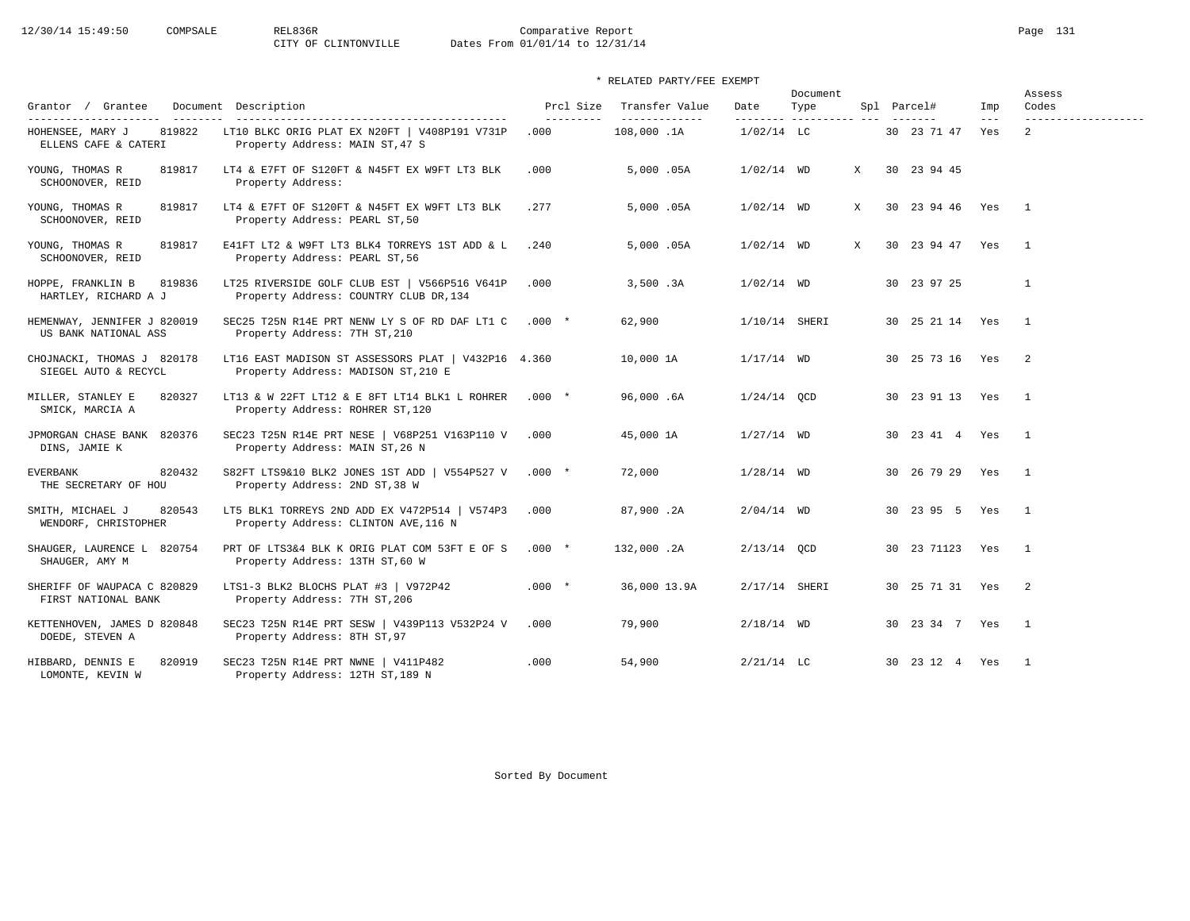| Grantor / Grantee                                   | Document Description                                                                       | Prcl Size          | Transfer Value               | Date            | Document<br>Type        |              | Spl Parcel#        | Imp                  | Assess<br>Codes                       |
|-----------------------------------------------------|--------------------------------------------------------------------------------------------|--------------------|------------------------------|-----------------|-------------------------|--------------|--------------------|----------------------|---------------------------------------|
| HOHENSEE, MARY J<br>819822<br>ELLENS CAFE & CATERI  | LT10 BLKC ORIG PLAT EX N20FT   V408P191 V731P<br>Property Address: MAIN ST, 47 S           | ----------<br>.000 | ______________<br>108,000.1A | $1/02/14$ LC    | -------- ---------- --- |              | 30 23 71 47        | $\frac{1}{2}$<br>Yes | -------------------<br>$\overline{2}$ |
| YOUNG, THOMAS R<br>819817<br>SCHOONOVER, REID       | LT4 & E7FT OF S120FT & N45FT EX W9FT LT3 BLK<br>Property Address:                          | .000               | 5,000.05A                    | $1/02/14$ WD    |                         | $\mathbf{x}$ | 30 23 94 45        |                      |                                       |
| YOUNG, THOMAS R<br>819817<br>SCHOONOVER, REID       | LT4 & E7FT OF S120FT & N45FT EX W9FT LT3 BLK<br>Property Address: PEARL ST, 50             | . 277              | 5,000.05A                    | $1/02/14$ WD    |                         | X            | 30 23 94 46 Yes 1  |                      |                                       |
| YOUNG, THOMAS R<br>819817<br>SCHOONOVER, REID       | E41FT LT2 & W9FT LT3 BLK4 TORREYS 1ST ADD & L<br>Property Address: PEARL ST, 56            | .240               | 5,000.05A                    | $1/02/14$ WD    |                         | $\mathbf{x}$ | 30 23 94 47 Yes    |                      | $\overline{1}$                        |
| HOPPE, FRANKLIN B<br>819836<br>HARTLEY, RICHARD A J | LT25 RIVERSIDE GOLF CLUB EST   V566P516 V641P<br>Property Address: COUNTRY CLUB DR, 134    | .000               | 3,500.3A                     | $1/02/14$ WD    |                         |              | 30 23 97 25        |                      | $\mathbf{1}$                          |
| HEMENWAY, JENNIFER J 820019<br>US BANK NATIONAL ASS | SEC25 T25N R14E PRT NENW LY S OF RD DAF LT1 C .000 *<br>Property Address: 7TH ST, 210      |                    | 62,900                       | 1/10/14 SHERI   |                         |              | 30 25 21 14 Yes    |                      | $\overline{1}$                        |
| CHOJNACKI, THOMAS J 820178<br>SIEGEL AUTO & RECYCL  | LT16 EAST MADISON ST ASSESSORS PLAT   V432P16 4.360<br>Property Address: MADISON ST, 210 E |                    | 10,000 1A                    | $1/17/14$ WD    |                         |              | 30 25 73 16 Yes    |                      | $\overline{\phantom{0}}$ 2            |
| MILLER, STANLEY E<br>820327<br>SMICK, MARCIA A      | LT13 & W 22FT LT12 & E 8FT LT14 BLK1 L ROHRER<br>Property Address: ROHRER ST, 120          | $.000*$            | 96,000.6A                    | $1/24/14$ OCD   |                         |              | 30 23 91 13 Yes    |                      | $\overline{1}$                        |
| JPMORGAN CHASE BANK 820376<br>DINS, JAMIE K         | SEC23 T25N R14E PRT NESE   V68P251 V163P110 V<br>Property Address: MAIN ST, 26 N           | .000               | 45,000 1A                    | $1/27/14$ WD    |                         |              | 30  23  41  4  Yes |                      | $\overline{1}$                        |
| <b>EVERBANK</b><br>820432<br>THE SECRETARY OF HOU   | S82FT LTS9&10 BLK2 JONES 1ST ADD   V554P527 V .000 *<br>Property Address: 2ND ST, 38 W     |                    | 72,000                       | $1/28/14$ WD    |                         |              | 30 26 79 29 Yes    |                      | $\overline{1}$                        |
| 820543<br>SMITH, MICHAEL J<br>WENDORF, CHRISTOPHER  | LT5 BLK1 TORREYS 2ND ADD EX V472P514   V574P3<br>Property Address: CLINTON AVE, 116 N      | .000               | 87,900.2A                    | $2/04/14$ WD    |                         |              | 30 23 95 5 Yes     |                      | $\overline{1}$                        |
| SHAUGER, LAURENCE L 820754<br>SHAUGER, AMY M        | PRT OF LTS3&4 BLK K ORIG PLAT COM 53FT E OF S<br>Property Address: 13TH ST, 60 W           | $.000*$            | 132,000.2A                   | $2/13/14$ OCD   |                         |              | 30 23 71123 Yes    |                      | $\sim$ 1                              |
| SHERIFF OF WAUPACA C 820829<br>FIRST NATIONAL BANK  | LTS1-3 BLK2 BLOCHS PLAT #3   V972P42<br>Property Address: 7TH ST, 206                      | $.000*$            | 36,000 13.9A                 | $2/17/14$ SHERI |                         |              | 30 25 71 31 Yes    |                      | $\overline{\phantom{0}}$ 2            |
| KETTENHOVEN, JAMES D 820848<br>DOEDE, STEVEN A      | SEC23 T25N R14E PRT SESW   V439P113 V532P24 V<br>Property Address: 8TH ST, 97              | .000               | 79,900                       | $2/18/14$ WD    |                         |              | 30 23 34 7 Yes     |                      | $\overline{1}$                        |
| HIBBARD, DENNIS E<br>820919<br>LOMONTE, KEVIN W     | SEC23 T25N R14E PRT NWNE   V411P482<br>Property Address: 12TH ST, 189 N                    | .000               | 54,900                       | $2/21/14$ LC    |                         |              | 30  23  12  4  Yes |                      | $\overline{1}$                        |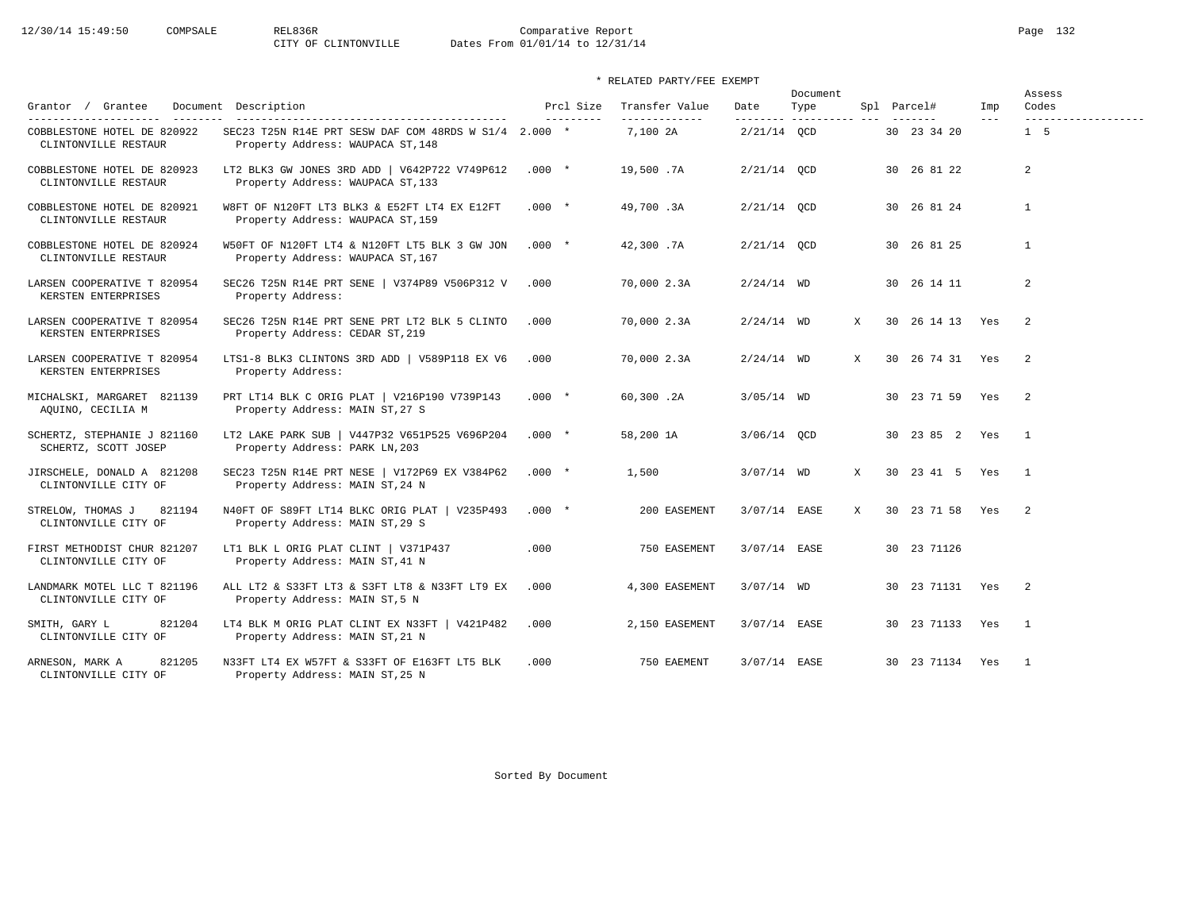12/30/14 15:49:50 COMPSALE REL836R Comparative Report Page 132<br>CITY OF CLINTONVILLE Dates From 01/01/14 to 12/31/14

Dates From 01/01/14 to 12/31/14

\* RELATED PARTY/FEE EXEMPT

|                                                     |                                                                                            |          |                        |                                 |                  | Document                |   |                 |              | Assess                       |
|-----------------------------------------------------|--------------------------------------------------------------------------------------------|----------|------------------------|---------------------------------|------------------|-------------------------|---|-----------------|--------------|------------------------------|
| Grantee<br>Grantor /                                | Document Description                                                                       |          | Prcl Size<br>--------- | Transfer Value<br>------------- | Date<br>-------- | Type<br>----------- --- |   | Spl Parcel#     | Imp<br>$---$ | Codes<br>------------------- |
| COBBLESTONE HOTEL DE 820922<br>CLINTONVILLE RESTAUR | SEC23 T25N R14E PRT SESW DAF COM 48RDS W S1/4 2.000 *<br>Property Address: WAUPACA ST, 148 |          |                        | 7,100 2A                        | $2/21/14$ OCD    |                         |   | 30 23 34 20     |              | 1 <sub>5</sub>               |
| COBBLESTONE HOTEL DE 820923<br>CLINTONVILLE RESTAUR | LT2 BLK3 GW JONES 3RD ADD   V642P722 V749P612<br>Property Address: WAUPACA ST, 133         | $.000*$  |                        | 19,500.7A                       | $2/21/14$ OCD    |                         |   | 30 26 81 22     |              | 2                            |
| COBBLESTONE HOTEL DE 820921<br>CLINTONVILLE RESTAUR | W8FT OF N120FT LT3 BLK3 & E52FT LT4 EX E12FT<br>Property Address: WAUPACA ST, 159          | $.000*$  |                        | 49,700.3A                       | 2/21/14 OCD      |                         |   | 30 26 81 24     |              | $\mathbf{1}$                 |
| COBBLESTONE HOTEL DE 820924<br>CLINTONVILLE RESTAUR | W50FT OF N120FT LT4 & N120FT LT5 BLK 3 GW JON<br>Property Address: WAUPACA ST, 167         | $.000*$  |                        | 42,300.7A                       | 2/21/14 OCD      |                         |   | 30 26 81 25     |              | $\mathbf{1}$                 |
| LARSEN COOPERATIVE T 820954<br>KERSTEN ENTERPRISES  | SEC26 T25N R14E PRT SENE   V374P89 V506P312 V<br>Property Address:                         | .000     |                        | 70,000 2.3A                     | $2/24/14$ WD     |                         |   | 30 26 14 11     |              | 2                            |
| LARSEN COOPERATIVE T 820954<br>KERSTEN ENTERPRISES  | SEC26 T25N R14E PRT SENE PRT LT2 BLK 5 CLINTO<br>Property Address: CEDAR ST, 219           | .000     |                        | 70,000 2.3A                     | $2/24/14$ WD     |                         | X | 30 26 14 13 Yes |              | -2                           |
| LARSEN COOPERATIVE T 820954<br>KERSTEN ENTERPRISES  | LTS1-8 BLK3 CLINTONS 3RD ADD   V589P118 EX V6<br>Property Address:                         | .000     |                        | 70,000 2.3A                     | $2/24/14$ WD     |                         | X | 30 26 74 31 Yes |              | 2                            |
| MICHALSKI, MARGARET 821139<br>AQUINO, CECILIA M     | PRT LT14 BLK C ORIG PLAT   V216P190 V739P143<br>Property Address: MAIN ST, 27 S            | $.000 *$ |                        | 60,300.2A                       | $3/05/14$ WD     |                         |   | 30 23 71 59 Yes |              | 2                            |
| SCHERTZ, STEPHANIE J 821160<br>SCHERTZ, SCOTT JOSEP | LT2 LAKE PARK SUB   V447P32 V651P525 V696P204<br>Property Address: PARK LN, 203            | $.000*$  |                        | 58,200 1A                       | 3/06/14 OCD      |                         |   | 30 23 85 2 Yes  |              | $\overline{1}$               |
| JIRSCHELE, DONALD A 821208<br>CLINTONVILLE CITY OF  | SEC23 T25N R14E PRT NESE   V172P69 EX V384P62<br>Property Address: MAIN ST, 24 N           | $.000*$  |                        | 1,500                           | $3/07/14$ WD     |                         | X | 30 23 41 5 Yes  |              | $\overline{\phantom{1}}$     |
| STRELOW, THOMAS J<br>821194<br>CLINTONVILLE CITY OF | N40FT OF S89FT LT14 BLKC ORIG PLAT   V235P493<br>Property Address: MAIN ST, 29 S           | $.000*$  |                        | 200 EASEMENT                    | 3/07/14 EASE     |                         | X | 30 23 71 58 Yes |              | $\overline{\phantom{0}}^2$   |
| FIRST METHODIST CHUR 821207<br>CLINTONVILLE CITY OF | LT1 BLK L ORIG PLAT CLINT   V371P437<br>Property Address: MAIN ST, 41 N                    | .000     |                        | 750 EASEMENT                    | 3/07/14 EASE     |                         |   | 30 23 71126     |              |                              |
| LANDMARK MOTEL LLC T 821196<br>CLINTONVILLE CITY OF | ALL LT2 & S33FT LT3 & S3FT LT8 & N33FT LT9 EX<br>Property Address: MAIN ST, 5 N            | .000     |                        | 4,300 EASEMENT                  | $3/07/14$ WD     |                         |   | 30 23 71131 Yes |              | $\overline{\phantom{0}}^2$   |
| 821204<br>SMITH, GARY L<br>CLINTONVILLE CITY OF     | LT4 BLK M ORIG PLAT CLINT EX N33FT   V421P482<br>Property Address: MAIN ST, 21 N           | .000     |                        | 2,150 EASEMENT                  | 3/07/14 EASE     |                         |   | 30 23 71133 Yes |              | $\overline{1}$               |
| ARNESON, MARK A<br>821205<br>CLINTONVILLE CITY OF   | N33FT LT4 EX W57FT & S33FT OF E163FT LT5 BLK<br>Property Address: MAIN ST, 25 N            | .000     |                        | 750 EAEMENT                     | 3/07/14 EASE     |                         |   | 30 23 71134 Yes |              | $\overline{1}$               |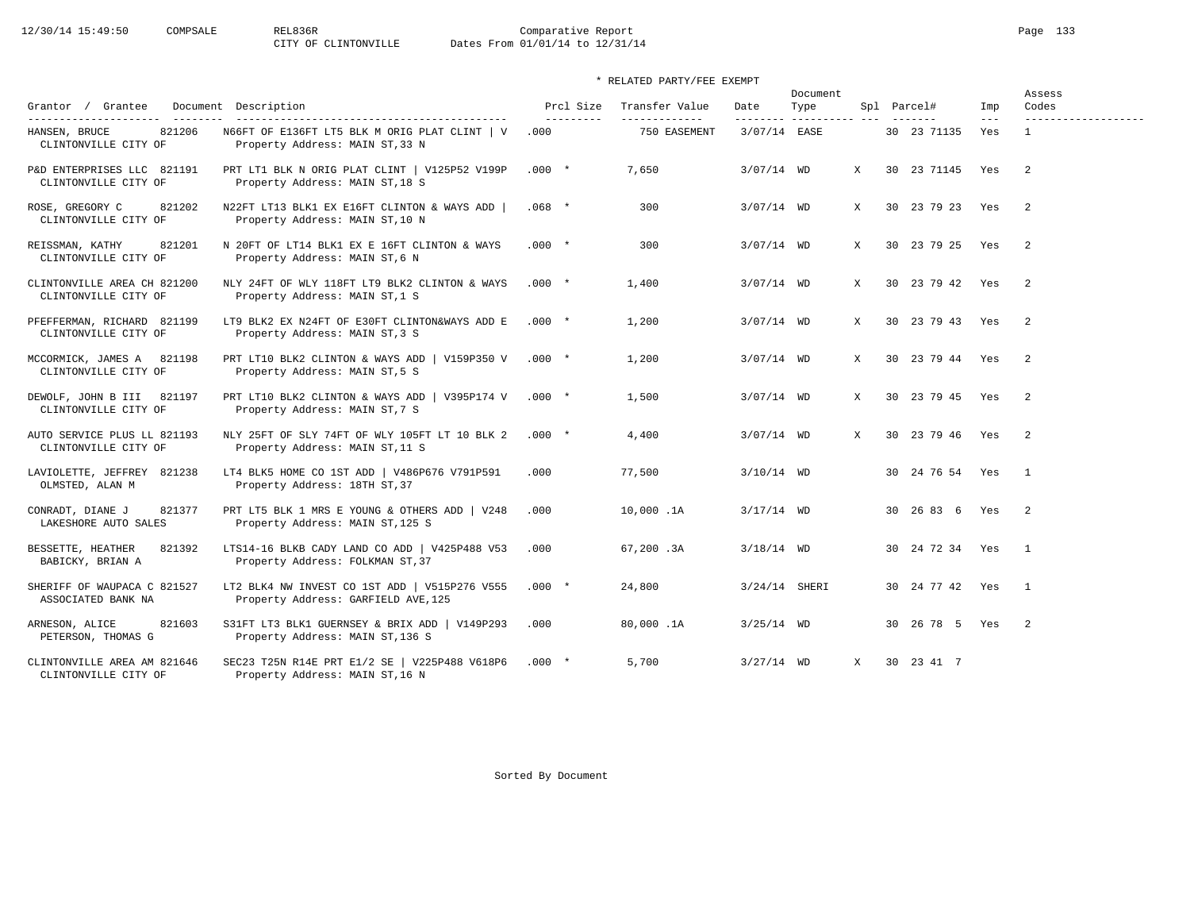# 12/30/14 15:49:50 COMPSALE REL836R Comparative Report Page 133<br>CITY OF CLINTONVILLE Dates From 01/01/14 to 12/31/14 Dates From 01/01/14 to 12/31/14

# \* RELATED PARTY/FEE EXEMPT

| Grantor / Grantee                                   | Document Description<br>--------------------------------                             | Prcl Size<br>$- - - - - - - - -$ | Transfer Value<br>------------- | Date            | Document<br>Type |              | Spl Parcel#           | Imp            | Assess<br>Codes            |
|-----------------------------------------------------|--------------------------------------------------------------------------------------|----------------------------------|---------------------------------|-----------------|------------------|--------------|-----------------------|----------------|----------------------------|
| 821206<br>HANSEN, BRUCE<br>CLINTONVILLE CITY OF     | N66FT OF E136FT LT5 BLK M ORIG PLAT CLINT   V<br>Property Address: MAIN ST, 33 N     | .000                             | 750 EASEMENT                    | 3/07/14 EASE    |                  |              | 30 23 71135           | $- - -$<br>Yes | $\mathbf{1}$               |
| P&D ENTERPRISES LLC 821191<br>CLINTONVILLE CITY OF  | PRT LT1 BLK N ORIG PLAT CLINT   V125P52 V199P<br>Property Address: MAIN ST, 18 S     | $.000*$                          | 7,650                           | $3/07/14$ WD    |                  | X            | 30 23 71145 Yes       |                | $\overline{2}$             |
| 821202<br>ROSE, GREGORY C<br>CLINTONVILLE CITY OF   | N22FT LT13 BLK1 EX E16FT CLINTON & WAYS ADD<br>Property Address: MAIN ST, 10 N       | $.068$ *                         | 300                             | $3/07/14$ WD    |                  | X            | 30 23 79 23 Yes       |                | $\overline{2}$             |
| REISSMAN, KATHY<br>821201<br>CLINTONVILLE CITY OF   | N 20FT OF LT14 BLK1 EX E 16FT CLINTON & WAYS<br>Property Address: MAIN ST, 6 N       | $.000 *$                         | 300                             | $3/07/14$ WD    |                  | X            | 30 23 79 25 Yes       |                | $\overline{2}$             |
| CLINTONVILLE AREA CH 821200<br>CLINTONVILLE CITY OF | NLY 24FT OF WLY 118FT LT9 BLK2 CLINTON & WAYS<br>Property Address: MAIN ST, 1 S      | $.000*$                          | 1,400                           | $3/07/14$ WD    |                  | X            | 30 23 79 42 Yes       |                | $\overline{2}$             |
| PFEFFERMAN, RICHARD 821199<br>CLINTONVILLE CITY OF  | LT9 BLK2 EX N24FT OF E30FT CLINTON&WAYS ADD E<br>Property Address: MAIN ST, 3 S      | $.000 *$                         | 1,200                           | $3/07/14$ WD    |                  | $\mathbf{x}$ | 30 23 79 43 Yes       |                | $\overline{2}$             |
| MCCORMICK, JAMES A 821198<br>CLINTONVILLE CITY OF   | PRT LT10 BLK2 CLINTON & WAYS ADD   V159P350 V<br>Property Address: MAIN ST, 5 S      | $.000*$                          | 1,200                           | $3/07/14$ WD    |                  | X            | 30 23 79 44 Yes       |                | $\overline{2}$             |
| DEWOLF, JOHN B III 821197<br>CLINTONVILLE CITY OF   | PRT LT10 BLK2 CLINTON & WAYS ADD   V395P174 V<br>Property Address: MAIN ST, 7 S      | $.000*$                          | 1,500                           | $3/07/14$ WD    |                  | X            | 30 23 79 45 Yes       |                | $\overline{2}$             |
| AUTO SERVICE PLUS LL 821193<br>CLINTONVILLE CITY OF | NLY 25FT OF SLY 74FT OF WLY 105FT LT 10 BLK 2<br>Property Address: MAIN ST, 11 S     | $.000 *$                         | 4,400                           | $3/07/14$ WD    |                  | X            | 30 23 79 46 Yes       |                | $\overline{2}$             |
| LAVIOLETTE, JEFFREY 821238<br>OLMSTED, ALAN M       | LT4 BLK5 HOME CO 1ST ADD   V486P676 V791P591<br>Property Address: 18TH ST, 37        | .000                             | 77,500                          | $3/10/14$ WD    |                  |              | 30 24 76 54 Yes       |                | $\overline{1}$             |
| 821377<br>CONRADT, DIANE J<br>LAKESHORE AUTO SALES  | PRT LT5 BLK 1 MRS E YOUNG & OTHERS ADD   V248<br>Property Address: MAIN ST, 125 S    | .000                             | 10,000.1A                       | $3/17/14$ WD    |                  |              | 30 26 83 6 Yes        |                | $\overline{\phantom{0}}^2$ |
| 821392<br>BESSETTE, HEATHER<br>BABICKY, BRIAN A     | LTS14-16 BLKB CADY LAND CO ADD   V425P488 V53<br>Property Address: FOLKMAN ST, 37    | .000                             | 67,200.3A                       | $3/18/14$ WD    |                  |              | 30 24 72 34 Yes       |                | $\overline{1}$             |
| SHERIFF OF WAUPACA C 821527<br>ASSOCIATED BANK NA   | LT2 BLK4 NW INVEST CO 1ST ADD   V515P276 V555<br>Property Address: GARFIELD AVE, 125 | $.000*$                          | 24,800                          | $3/24/14$ SHERI |                  |              | 30 24 77 42 Yes       |                | $\overline{1}$             |
| 821603<br>ARNESON, ALICE<br>PETERSON, THOMAS G      | S31FT LT3 BLK1 GUERNSEY & BRIX ADD   V149P293<br>Property Address: MAIN ST, 136 S    | .000                             | 80,000.1A                       | $3/25/14$ WD    |                  |              | 30  26  78  5  Yes  2 |                |                            |
| CLINTONVILLE AREA AM 821646<br>CLINTONVILLE CITY OF | SEC23 T25N R14E PRT E1/2 SE   V225P488 V618P6<br>Property Address: MAIN ST, 16 N     | $.000*$                          | 5,700                           | $3/27/14$ WD    |                  | $\mathbf{x}$ | 30 23 41 7            |                |                            |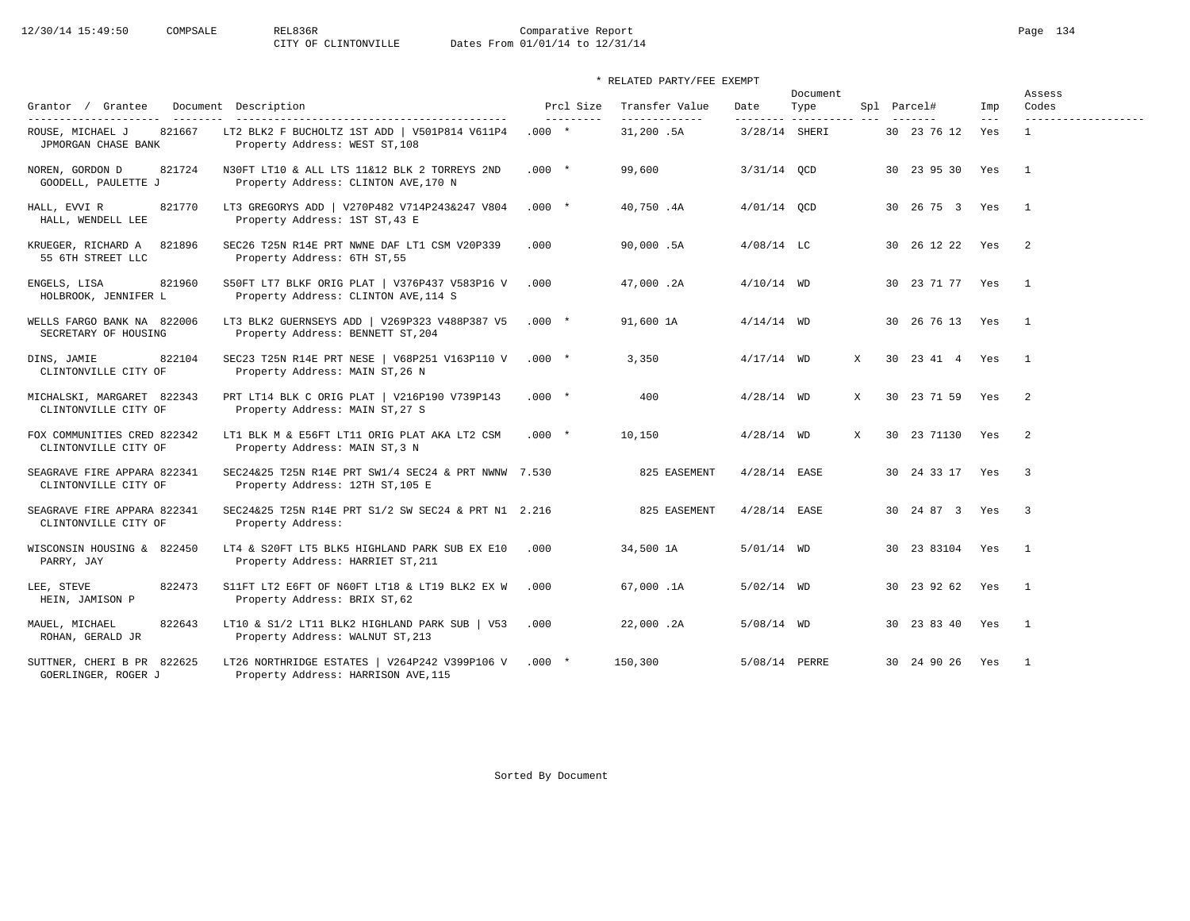12/30/14 15:49:50 COMPSALE REL836R Comparative Report Page 134<br>CITY OF CLINTONVILLE Dates From 01/01/14 to 12/31/14 Dates From 01/01/14 to 12/31/14

\* RELATED PARTY/FEE EXEMPT

| Grantor / Grantee                                   | Document Description                                                                    |         | Prcl Size | Transfer Value             | Date           | Document<br>Type |   | Spl Parcel#     | Imp          | Assess<br>Codes            |
|-----------------------------------------------------|-----------------------------------------------------------------------------------------|---------|-----------|----------------------------|----------------|------------------|---|-----------------|--------------|----------------------------|
| 821667<br>ROUSE, MICHAEL J<br>JPMORGAN CHASE BANK   | LT2 BLK2 F BUCHOLTZ 1ST ADD   V501P814 V611P4<br>Property Address: WEST ST, 108         | $.000*$ | --------- | -------------<br>31,200.5A | 3/28/14 SHERI  |                  |   | 30 23 76 12     | $---$<br>Yes | $\mathbf{1}$               |
| 821724<br>NOREN, GORDON D<br>GOODELL, PAULETTE J    | N30FT LT10 & ALL LTS 11&12 BLK 2 TORREYS 2ND<br>Property Address: CLINTON AVE, 170 N    | $.000*$ |           | 99,600                     | $3/31/14$ OCD  |                  |   | 30 23 95 30 Yes |              | $\mathbf{1}$               |
| 821770<br>HALL, EVVI R<br>HALL, WENDELL LEE         | LT3 GREGORYS ADD   V270P482 V714P243&247 V804<br>Property Address: 1ST ST, 43 E         | $.000*$ |           | 40,750.4A                  | $4/01/14$ OCD  |                  |   | 30 26 75 3 Yes  |              | $\mathbf{1}$               |
| KRUEGER, RICHARD A<br>821896<br>55 6TH STREET LLC   | SEC26 T25N R14E PRT NWNE DAF LT1 CSM V20P339<br>Property Address: 6TH ST, 55            | .000    |           | 90,000.5A                  | $4/08/14$ LC   |                  |   | 30 26 12 22 Yes |              | $\overline{2}$             |
| ENGELS, LISA<br>821960<br>HOLBROOK, JENNIFER L      | S50FT LT7 BLKF ORIG PLAT   V376P437 V583P16 V<br>Property Address: CLINTON AVE, 114 S   | .000    |           | 47,000.2A                  | $4/10/14$ WD   |                  |   | 30 23 71 77 Yes |              | $\overline{1}$             |
| WELLS FARGO BANK NA 822006<br>SECRETARY OF HOUSING  | LT3 BLK2 GUERNSEYS ADD   V269P323 V488P387 V5<br>Property Address: BENNETT ST, 204      | $.000*$ |           | 91,600 1A                  | $4/14/14$ WD   |                  |   | 30 26 76 13 Yes |              | $\mathbf{1}$               |
| 822104<br>DINS, JAMIE<br>CLINTONVILLE CITY OF       | SEC23 T25N R14E PRT NESE   V68P251 V163P110 V<br>Property Address: MAIN ST, 26 N        | $.000*$ |           | 3,350                      | $4/17/14$ WD   |                  | X | 30 23 41 4 Yes  |              | $\overline{1}$             |
| MICHALSKI, MARGARET 822343<br>CLINTONVILLE CITY OF  | PRT LT14 BLK C ORIG PLAT   V216P190 V739P143<br>Property Address: MAIN ST, 27 S         | $.000*$ |           | 400                        | $4/28/14$ WD   |                  | X | 30 23 71 59 Yes |              | $\overline{2}$             |
| FOX COMMUNITIES CRED 822342<br>CLINTONVILLE CITY OF | LT1 BLK M & E56FT LT11 ORIG PLAT AKA LT2 CSM<br>Property Address: MAIN ST, 3 N          | $.000*$ |           | 10,150                     | $4/28/14$ WD   |                  | X | 30 23 71130 Yes |              | $\overline{\phantom{0}}^2$ |
| SEAGRAVE FIRE APPARA 822341<br>CLINTONVILLE CITY OF | SEC24&25 T25N R14E PRT SW1/4 SEC24 & PRT NWNW 7.530<br>Property Address: 12TH ST, 105 E |         |           | 825 EASEMENT               | $4/28/14$ EASE |                  |   | 30 24 33 17 Yes |              | $\overline{\mathbf{3}}$    |
| SEAGRAVE FIRE APPARA 822341<br>CLINTONVILLE CITY OF | SEC24&25 T25N R14E PRT S1/2 SW SEC24 & PRT N1 2.216<br>Property Address:                |         |           | 825 EASEMENT               | $4/28/14$ EASE |                  |   | 30 24 87 3 Yes  |              | $\overline{\mathbf{3}}$    |
| WISCONSIN HOUSING & 822450<br>PARRY, JAY            | LT4 & S20FT LT5 BLK5 HIGHLAND PARK SUB EX E10<br>Property Address: HARRIET ST, 211      | .000    |           | 34,500 1A                  | $5/01/14$ WD   |                  |   | 30 23 83104 Yes |              | $\mathbf{1}$               |
| LEE, STEVE<br>822473<br>HEIN, JAMISON P             | S11FT LT2 E6FT OF N60FT LT18 & LT19 BLK2 EX W<br>Property Address: BRIX ST, 62          | .000    |           | 67,000.1A                  | $5/02/14$ WD   |                  |   | 30 23 92 62 Yes |              | $\overline{1}$             |
| 822643<br>MAUEL, MICHAEL<br>ROHAN, GERALD JR        | LT10 & S1/2 LT11 BLK2 HIGHLAND PARK SUB   V53<br>Property Address: WALNUT ST, 213       | .000    |           | 22,000.2A                  | $5/08/14$ WD   |                  |   | 30 23 83 40     | Yes          | $\overline{\phantom{1}}$   |
| SUTTNER, CHERI B PR 822625<br>GOERLINGER, ROGER J   | LT26 NORTHRIDGE ESTATES   V264P242 V399P106 V<br>Property Address: HARRISON AVE, 115    | $.000*$ |           | 150,300                    | 5/08/14 PERRE  |                  |   | 30 24 90 26 Yes |              | $\overline{1}$             |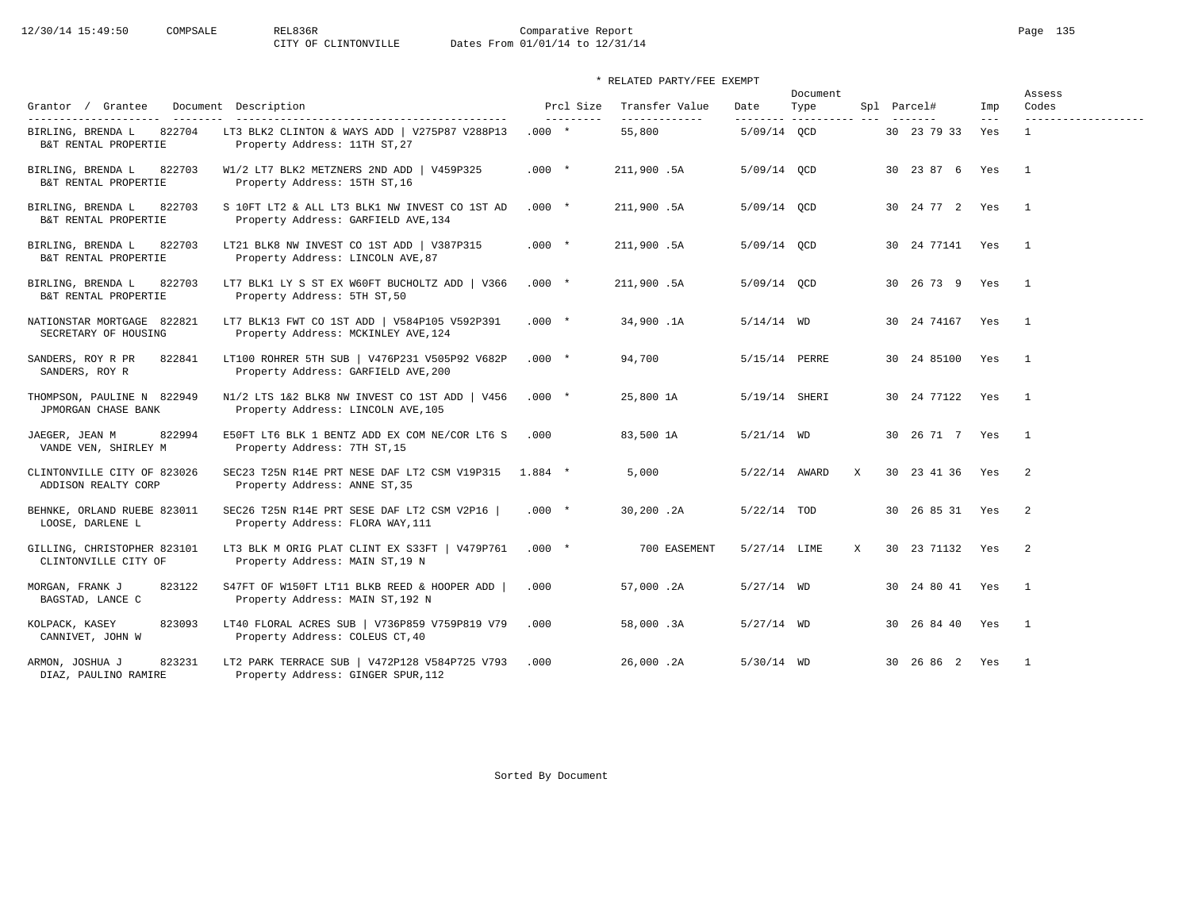# 12/30/14 15:49:50 COMPSALE REL836R Comparative Report Page 135<br>CITY OF CLINTONVILLE Dates From 01/01/14 to 12/31/14 Dates From 01/01/14 to 12/31/14

| Grantor / Grantee                                                            | Document Description                                                                                                   | Prcl Size             | Transfer Value          | Date                    | Document<br>Type |              | Spl Parcel#         | Imp            | Assess<br>Codes                     |
|------------------------------------------------------------------------------|------------------------------------------------------------------------------------------------------------------------|-----------------------|-------------------------|-------------------------|------------------|--------------|---------------------|----------------|-------------------------------------|
| ---------------------<br>822704<br>BIRLING, BRENDA L<br>B&T RENTAL PROPERTIE | ------------------------------------<br>LT3 BLK2 CLINTON & WAYS ADD   V275P87 V288P13<br>Property Address: 11TH ST, 27 | ----------<br>$.000*$ | -------------<br>55,800 | --------<br>5/09/14 OCD | -----------      |              | 30 23 79 33         | $- - -$<br>Yes | -------------------<br>$\mathbf{1}$ |
| 822703<br>BIRLING, BRENDA L<br>B&T RENTAL PROPERTIE                          | W1/2 LT7 BLK2 METZNERS 2ND ADD   V459P325<br>Property Address: 15TH ST, 16                                             | $.000*$               | 211,900.5A              | 5/09/14 QCD             |                  |              | 30 23 87 6 Yes      |                | $\overline{\phantom{0}}$            |
| 822703<br>BIRLING, BRENDA L<br>B&T RENTAL PROPERTIE                          | S 10FT LT2 & ALL LT3 BLK1 NW INVEST CO 1ST AD<br>Property Address: GARFIELD AVE, 134                                   | $.000*$               | 211,900.5A              | 5/09/14 QCD             |                  |              | 30 24 77 2 Yes      |                | $\frac{1}{2}$                       |
| BIRLING, BRENDA L<br>822703<br>B&T RENTAL PROPERTIE                          | LT21 BLK8 NW INVEST CO 1ST ADD   V387P315<br>Property Address: LINCOLN AVE, 87                                         | $.000*$               | 211,900.5A              | 5/09/14 OCD             |                  |              | 30 24 77141 Yes     |                | $\overline{1}$                      |
| 822703<br>BIRLING, BRENDA L<br>B&T RENTAL PROPERTIE                          | LT7 BLK1 LY S ST EX W60FT BUCHOLTZ ADD   V366<br>Property Address: 5TH ST, 50                                          | $.000*$               | 211,900.5A              | 5/09/14 OCD             |                  |              | 30 26 73 9 Yes      |                | $\overline{1}$                      |
| NATIONSTAR MORTGAGE 822821<br>SECRETARY OF HOUSING                           | LT7 BLK13 FWT CO 1ST ADD   V584P105 V592P391<br>Property Address: MCKINLEY AVE, 124                                    | $.000$ *              | 34,900.1A               | $5/14/14$ WD            |                  |              | 30 24 74167 Yes     |                | $\overline{1}$                      |
| SANDERS, ROY R PR<br>822841<br>SANDERS, ROY R                                | LT100 ROHRER 5TH SUB   V476P231 V505P92 V682P<br>Property Address: GARFIELD AVE, 200                                   | $.000*$               | 94,700                  | 5/15/14 PERRE           |                  |              | 30 24 85100 Yes     |                | $\overline{1}$                      |
| THOMPSON, PAULINE N 822949<br>JPMORGAN CHASE BANK                            | N1/2 LTS 1&2 BLK8 NW INVEST CO 1ST ADD   V456<br>Property Address: LINCOLN AVE, 105                                    | $.000*$               | 25,800 1A               | 5/19/14 SHERI           |                  |              | 30 24 77122 Yes     |                | $\overline{1}$                      |
| 822994<br>JAEGER, JEAN M<br>VANDE VEN, SHIRLEY M                             | E50FT LT6 BLK 1 BENTZ ADD EX COM NE/COR LT6 S<br>Property Address: 7TH ST, 15                                          | .000                  | 83,500 1A               | $5/21/14$ WD            |                  |              | 30 26 71 7 Yes      |                | $\overline{1}$                      |
| CLINTONVILLE CITY OF 823026<br>ADDISON REALTY CORP                           | SEC23 T25N R14E PRT NESE DAF LT2 CSM V19P315<br>Property Address: ANNE ST, 35                                          | $1.884$ *             | 5,000                   | 5/22/14 AWARD           |                  | $\mathbf{X}$ | 30 23 41 36 Yes     |                | $\overline{\phantom{0}}^2$          |
| BEHNKE, ORLAND RUEBE 823011<br>LOOSE, DARLENE L                              | SEC26 T25N R14E PRT SESE DAF LT2 CSM V2P16<br>Property Address: FLORA WAY, 111                                         | $.000*$               | 30,200.2A               | $5/22/14$ TOD           |                  |              | 30 26 85 31 Yes     |                | 2                                   |
| GILLING, CHRISTOPHER 823101<br>CLINTONVILLE CITY OF                          | LT3 BLK M ORIG PLAT CLINT EX S33FT   V479P761<br>Property Address: MAIN ST, 19 N                                       | $.000*$               | 700 EASEMENT            | 5/27/14 LIME            |                  | X            | 30 23 71132 Yes     |                | $\overline{\phantom{0}}^2$          |
| MORGAN, FRANK J<br>823122<br>BAGSTAD, LANCE C                                | S47FT OF W150FT LT11 BLKB REED & HOOPER ADD  <br>Property Address: MAIN ST, 192 N                                      | .000                  | 57,000.2A               | $5/27/14$ WD            |                  |              | 30  24  80  41  Yes |                | $\overline{\phantom{a}}$            |
| KOLPACK, KASEY<br>823093<br>CANNIVET, JOHN W                                 | LT40 FLORAL ACRES SUB   V736P859 V759P819 V79<br>Property Address: COLEUS CT, 40                                       | .000                  | 58,000.3A               | $5/27/14$ WD            |                  |              | 30 26 84 40         | Yes            | $\overline{1}$                      |
| 823231<br>ARMON, JOSHUA J<br>DIAZ, PAULINO RAMIRE                            | LT2 PARK TERRACE SUB   V472P128 V584P725 V793<br>Property Address: GINGER SPUR, 112                                    | .000                  | 26,000.2A               | $5/30/14$ WD            |                  |              | 30 26 86 2 Yes      |                | $\mathbf{1}$                        |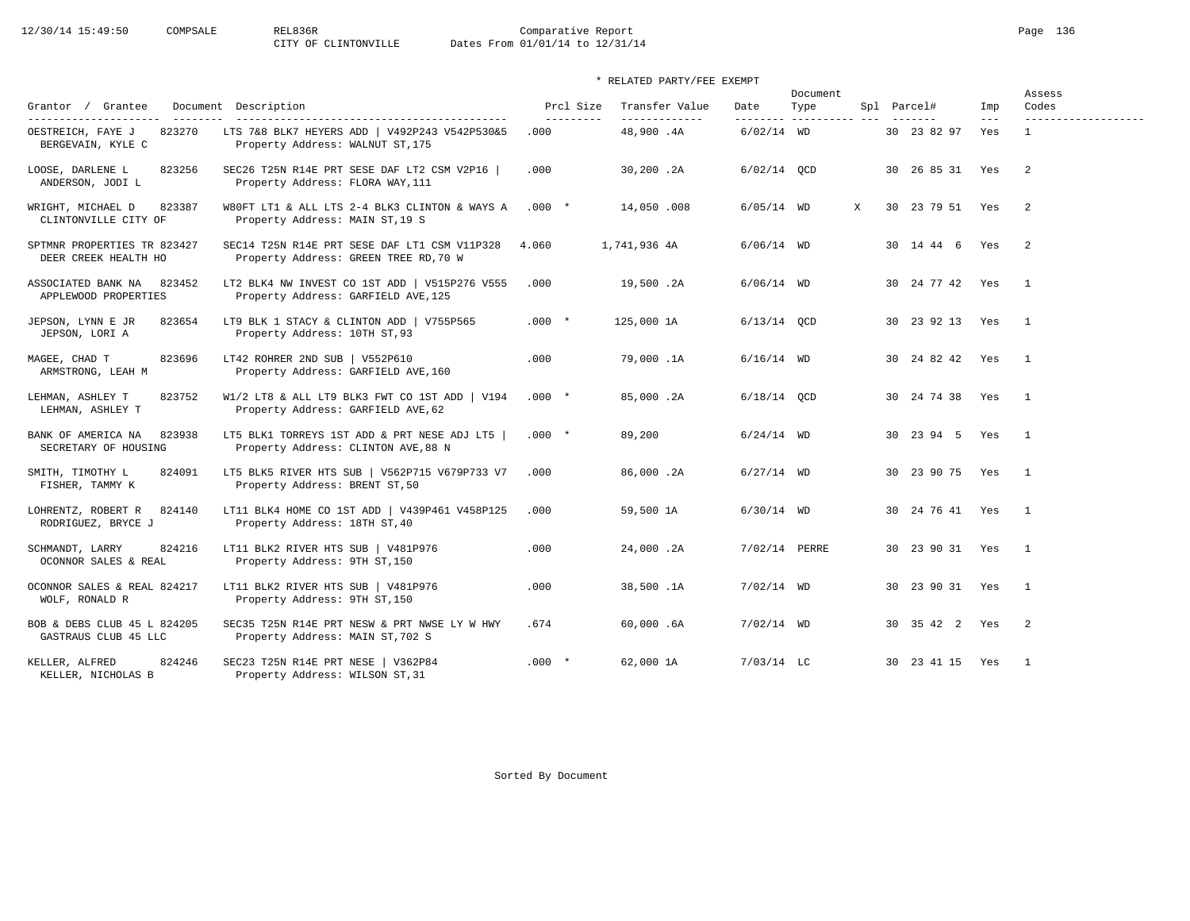|                                                      |                                                                                       |                         |                                  |               | Document                         |                        |                | Assess                       |
|------------------------------------------------------|---------------------------------------------------------------------------------------|-------------------------|----------------------------------|---------------|----------------------------------|------------------------|----------------|------------------------------|
| Grantor / Grantee<br>----------------------          | Document Description                                                                  | Prcl Size<br>---------- | Transfer Value<br>-------------- | Date          | Type<br>--------- ---------- --- | Spl Parcel#            | Imp<br>$- - -$ | Codes<br>------------------- |
| 823270<br>OESTREICH, FAYE J<br>BERGEVAIN, KYLE C     | LTS 7&8 BLK7 HEYERS ADD   V492P243 V542P530&5<br>Property Address: WALNUT ST, 175     | .000                    | 48,900.4A                        | $6/02/14$ WD  |                                  | 30 23 82 97            | Yes            | $\mathbf{1}$                 |
| LOOSE, DARLENE L<br>823256<br>ANDERSON, JODI L       | SEC26 T25N R14E PRT SESE DAF LT2 CSM V2P16<br>Property Address: FLORA WAY, 111        | .000                    | 30,200.2A                        | $6/02/14$ OCD |                                  | 30 26 85 31 Yes        |                | $\overline{2}$               |
| 823387<br>WRIGHT, MICHAEL D<br>CLINTONVILLE CITY OF  | W80FT LT1 & ALL LTS 2-4 BLK3 CLINTON & WAYS A<br>Property Address: MAIN ST, 19 S      | $.000$ *                | 14,050.008                       | $6/05/14$ WD  | X                                | 30 23 79 51 Yes        |                | $\overline{2}$               |
| SPTMNR PROPERTIES TR 823427<br>DEER CREEK HEALTH HO  | SEC14 T25N R14E PRT SESE DAF LT1 CSM V11P328<br>Property Address: GREEN TREE RD, 70 W | 4.060                   | 1,741,936 4A                     | $6/06/14$ WD  |                                  | 30 14 44 6 Yes         |                | $\overline{2}$               |
| ASSOCIATED BANK NA<br>823452<br>APPLEWOOD PROPERTIES | LT2 BLK4 NW INVEST CO 1ST ADD   V515P276 V555<br>Property Address: GARFIELD AVE, 125  | .000                    | 19,500.2A                        | $6/06/14$ WD  |                                  | 30 24 77 42 Yes        |                | $\overline{1}$               |
| JEPSON, LYNN E JR<br>823654<br>JEPSON, LORI A        | LT9 BLK 1 STACY & CLINTON ADD   V755P565<br>Property Address: 10TH ST, 93             | $.000*$                 | 125,000 1A                       | $6/13/14$ OCD |                                  | 30 23 92 13 Yes        |                | $\overline{\phantom{0}}$     |
| 823696<br>MAGEE, CHAD T<br>ARMSTRONG, LEAH M         | LT42 ROHRER 2ND SUB   V552P610<br>Property Address: GARFIELD AVE, 160                 | .000                    | 79,000.1A                        | $6/16/14$ WD  |                                  | 30 24 82 42 Yes        |                | $\overline{1}$               |
| 823752<br>LEHMAN, ASHLEY T<br>LEHMAN, ASHLEY T       | W1/2 LT8 & ALL LT9 BLK3 FWT CO 1ST ADD   V194<br>Property Address: GARFIELD AVE, 62   | $.000*$                 | 85,000.2A                        | $6/18/14$ QCD |                                  | 30 24 74 38 Yes        |                | $\mathbf{1}$                 |
| BANK OF AMERICA NA<br>823938<br>SECRETARY OF HOUSING | LT5 BLK1 TORREYS 1ST ADD & PRT NESE ADJ LT5<br>Property Address: CLINTON AVE, 88 N    | $.000*$                 | 89,200                           | $6/24/14$ WD  |                                  | 30  23  94  5  Yes  1  |                |                              |
| SMITH, TIMOTHY L<br>824091<br>FISHER, TAMMY K        | LT5 BLK5 RIVER HTS SUB   V562P715 V679P733 V7<br>Property Address: BRENT ST, 50       | .000                    | 86,000.2A                        | $6/27/14$ WD  |                                  | 30 23 90 75 Yes        |                | $\overline{1}$               |
| LOHRENTZ, ROBERT R<br>824140<br>RODRIGUEZ, BRYCE J   | LT11 BLK4 HOME CO 1ST ADD   V439P461 V458P125<br>Property Address: 18TH ST, 40        | .000                    | 59,500 1A                        | $6/30/14$ WD  |                                  | 30  24  76  41  Yes  1 |                |                              |
| 824216<br>SCHMANDT, LARRY<br>OCONNOR SALES & REAL    | LT11 BLK2 RIVER HTS SUB   V481P976<br>Property Address: 9TH ST, 150                   | .000                    | 24,000.2A                        | 7/02/14 PERRE |                                  | 30 23 90 31 Yes        |                | $\overline{1}$               |
| OCONNOR SALES & REAL 824217<br>WOLF, RONALD R        | LT11 BLK2 RIVER HTS SUB   V481P976<br>Property Address: 9TH ST, 150                   | .000                    | 38,500.1A                        | $7/02/14$ WD  |                                  | 30 23 90 31 Yes        |                | $\overline{1}$               |
| BOB & DEBS CLUB 45 L 824205<br>GASTRAUS CLUB 45 LLC  | SEC35 T25N R14E PRT NESW & PRT NWSE LY W HWY<br>Property Address: MAIN ST, 702 S      | .674                    | 60,000.6A                        | $7/02/14$ WD  |                                  | 30 35 42 2 Yes         |                | $\overline{\phantom{0}}$ 2   |
| 824246<br>KELLER, ALFRED<br>KELLER, NICHOLAS B       | SEC23 T25N R14E PRT NESE   V362P84<br>Property Address: WILSON ST, 31                 | $.000*$                 | 62,000 1A                        | $7/03/14$ LC  |                                  | 30 23 41 15 Yes        |                | $\overline{1}$               |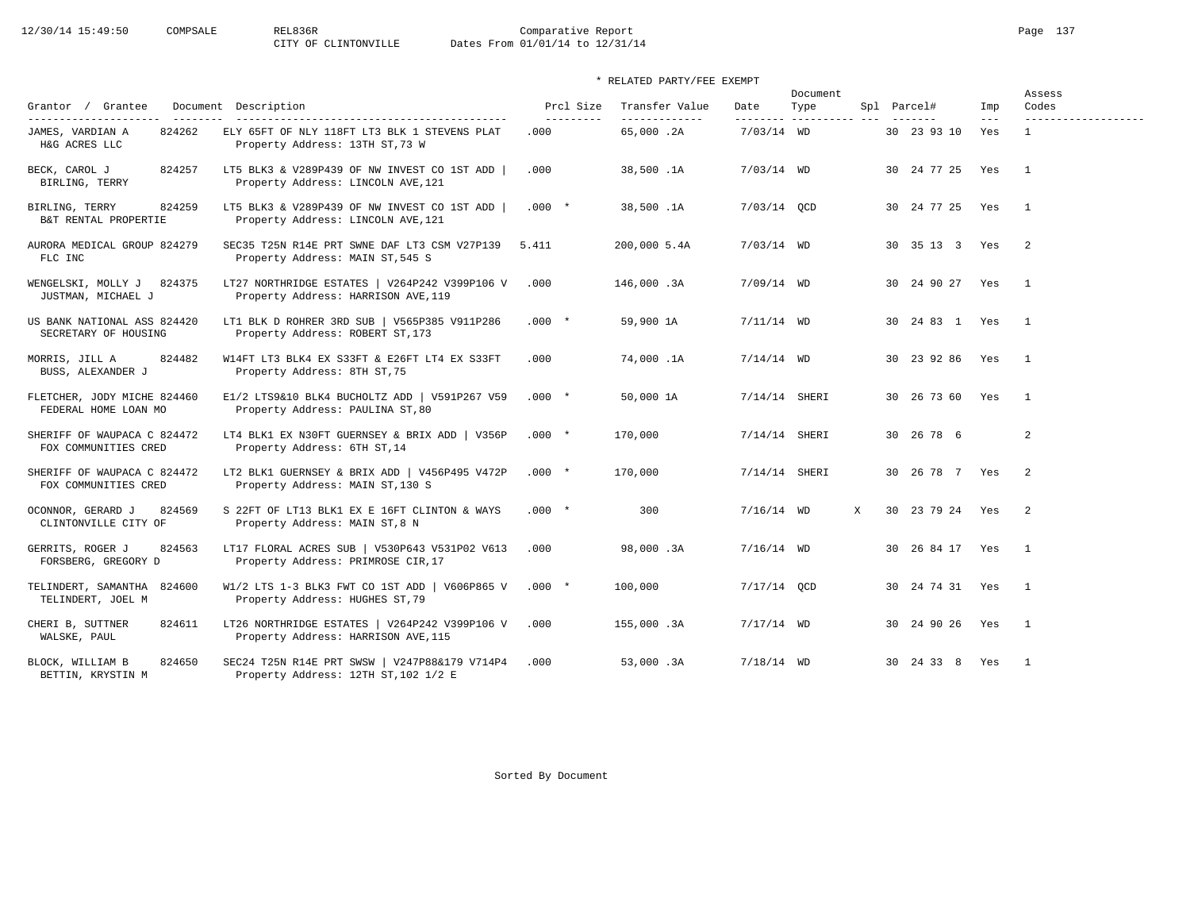# 12/30/14 15:49:50 COMPSALE REL836R Comparative Report Page 137<br>CITY OF CLINTONVILLE Dates From 01/01/14 to 12/31/14 Dates From 01/01/14 to 12/31/14

| Grantor / Grantee                                                     | Document Description                                                                  | Prcl Size          | Transfer Value             | Date            | Document<br>Type         |   | Spl Parcel#     | Imp            | Assess<br>Codes                     |
|-----------------------------------------------------------------------|---------------------------------------------------------------------------------------|--------------------|----------------------------|-----------------|--------------------------|---|-----------------|----------------|-------------------------------------|
| ----------------------<br>824262<br>JAMES, VARDIAN A<br>H&G ACRES LLC | ELY 65FT OF NLY 118FT LT3 BLK 1 STEVENS PLAT<br>Property Address: 13TH ST, 73 W       | ----------<br>.000 | -------------<br>65,000.2A | $7/03/14$ WD    | --------- ---------- --- |   | 30 23 93 10     | $- - -$<br>Yes | -------------------<br>$\mathbf{1}$ |
| BECK, CAROL J<br>824257<br>BIRLING, TERRY                             | LT5 BLK3 & V289P439 OF NW INVEST CO 1ST ADD  <br>Property Address: LINCOLN AVE, 121   | .000               | 38,500.1A                  | $7/03/14$ WD    |                          |   | 30 24 77 25 Yes |                | $\overline{1}$                      |
| BIRLING, TERRY<br>824259<br>B&T RENTAL PROPERTIE                      | LT5 BLK3 & V289P439 OF NW INVEST CO 1ST ADD  <br>Property Address: LINCOLN AVE, 121   | $.000*$            | 38,500.1A                  | 7/03/14 QCD     |                          |   | 30 24 77 25 Yes |                | $\mathbf{1}$                        |
| AURORA MEDICAL GROUP 824279<br>FLC INC                                | SEC35 T25N R14E PRT SWNE DAF LT3 CSM V27P139<br>Property Address: MAIN ST, 545 S      | 5.411              | 200,000 5.4A               | $7/03/14$ WD    |                          |   | 30 35 13 3 Yes  |                | $\overline{2}$                      |
| WENGELSKI, MOLLY J<br>824375<br>JUSTMAN, MICHAEL J                    | LT27 NORTHRIDGE ESTATES   V264P242 V399P106 V<br>Property Address: HARRISON AVE, 119  | .000               | 146,000.3A                 | $7/09/14$ WD    |                          |   | 30 24 90 27 Yes |                | $\overline{1}$                      |
| US BANK NATIONAL ASS 824420<br>SECRETARY OF HOUSING                   | LT1 BLK D ROHRER 3RD SUB   V565P385 V911P286<br>Property Address: ROBERT ST, 173      | $.000 *$           | 59,900 1A                  | $7/11/14$ WD    |                          |   | 30 24 83 1 Yes  |                | $\overline{1}$                      |
| 824482<br>MORRIS, JILL A<br>BUSS, ALEXANDER J                         | W14FT LT3 BLK4 EX S33FT & E26FT LT4 EX S33FT<br>Property Address: 8TH ST, 75          | .000               | 74,000.1A                  | $7/14/14$ WD    |                          |   | 30 23 92 86 Yes |                | $\overline{1}$                      |
| FLETCHER, JODY MICHE 824460<br>FEDERAL HOME LOAN MO                   | E1/2 LTS9&10 BLK4 BUCHOLTZ ADD   V591P267 V59<br>Property Address: PAULINA ST, 80     | $.000 *$           | 50,000 1A                  | 7/14/14 SHERI   |                          |   | 30 26 73 60 Yes |                | $\mathbf{1}$                        |
| SHERIFF OF WAUPACA C 824472<br>FOX COMMUNITIES CRED                   | LT4 BLK1 EX N30FT GUERNSEY & BRIX ADD   V356P<br>Property Address: 6TH ST, 14         | $.000*$            | 170,000                    | $7/14/14$ SHERI |                          |   | 30 26 78 6      |                | $\overline{2}$                      |
| SHERIFF OF WAUPACA C 824472<br>FOX COMMUNITIES CRED                   | LT2 BLK1 GUERNSEY & BRIX ADD   V456P495 V472P<br>Property Address: MAIN ST, 130 S     | $.000 *$           | 170,000                    | 7/14/14 SHERI   |                          |   | 30 26 78 7 Yes  |                | 2                                   |
| 824569<br>OCONNOR, GERARD J<br>CLINTONVILLE CITY OF                   | S 22FT OF LT13 BLK1 EX E 16FT CLINTON & WAYS<br>Property Address: MAIN ST, 8 N        | $.000*$            | 300                        | $7/16/14$ WD    |                          | X | 30 23 79 24 Yes |                | 2                                   |
| 824563<br>GERRITS, ROGER J<br>FORSBERG, GREGORY D                     | LT17 FLORAL ACRES SUB   V530P643 V531P02 V613<br>Property Address: PRIMROSE CIR, 17   | .000               | 98,000.3A                  | $7/16/14$ WD    |                          |   | 30 26 84 17 Yes |                | $\overline{1}$                      |
| TELINDERT, SAMANTHA 824600<br>TELINDERT, JOEL M                       | W1/2 LTS 1-3 BLK3 FWT CO 1ST ADD   V606P865 V<br>Property Address: HUGHES ST, 79      | $.000*$            | 100,000                    | $7/17/14$ OCD   |                          |   | 30 24 74 31 Yes |                | $\overline{\phantom{1}}$            |
| CHERI B, SUTTNER<br>824611<br>WALSKE, PAUL                            | LT26 NORTHRIDGE ESTATES   V264P242 V399P106 V<br>Property Address: HARRISON AVE, 115  | .000               | 155,000.3A                 | $7/17/14$ WD    |                          |   | 30 24 90 26 Yes |                | $\overline{1}$                      |
| 824650<br>BLOCK, WILLIAM B<br>BETTIN, KRYSTIN M                       | SEC24 T25N R14E PRT SWSW   V247P88&179 V714P4<br>Property Address: 12TH ST, 102 1/2 E | .000               | 53,000.3A                  | $7/18/14$ WD    |                          |   | 30 24 33 8 Yes  |                | $\overline{1}$                      |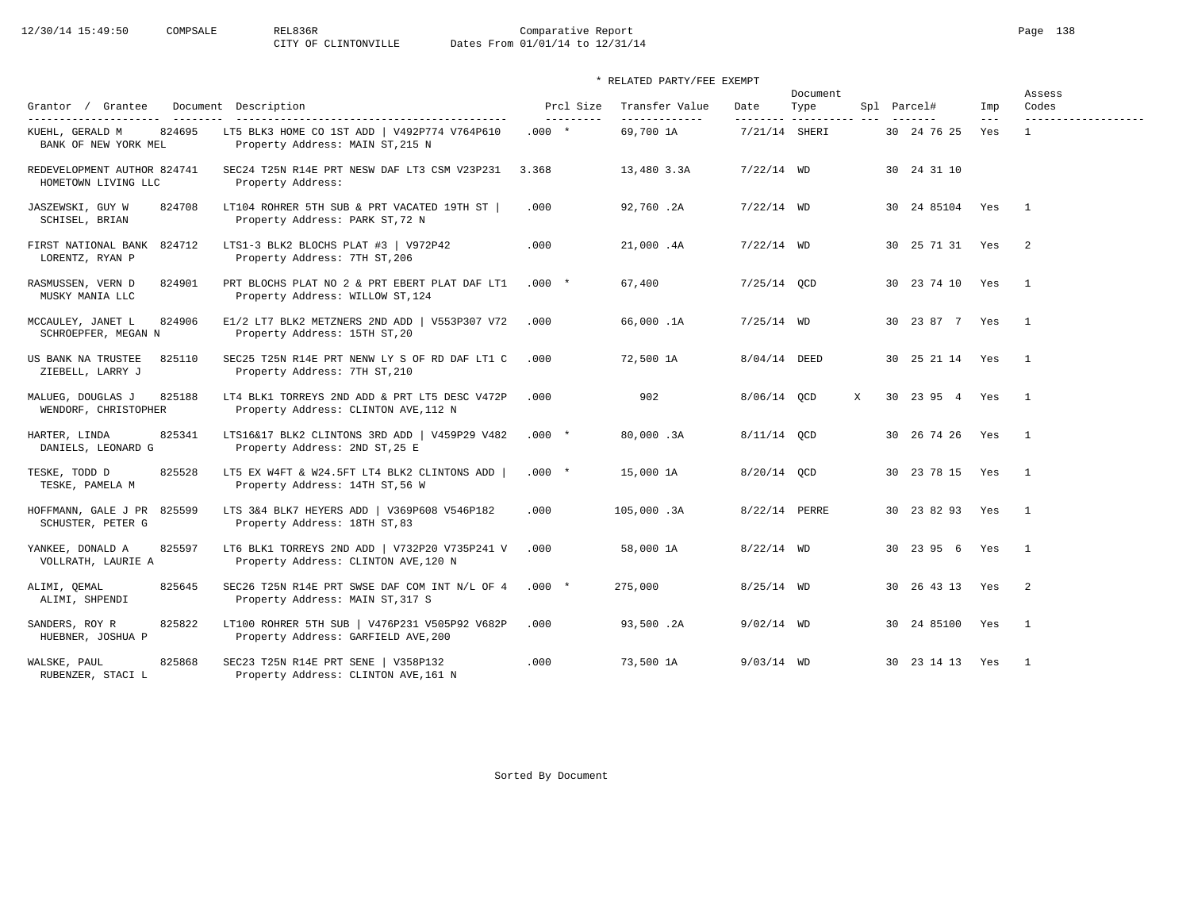12/30/14 15:49:50 COMPSALE REL836R Comparative Report Page 138<br>CITY OF CLINTONVILLE Dates From 01/01/14 to 12/31/14 Dates From 01/01/14 to 12/31/14

\* RELATED PARTY/FEE EXEMPT

| Grantor / Grantee                                   | Document Description                                                                  | Prcl Size                           | Transfer Value             | Date                      | Document<br>Type |   | Spl Parcel#        | Imp            | Assess<br>Codes                     |
|-----------------------------------------------------|---------------------------------------------------------------------------------------|-------------------------------------|----------------------------|---------------------------|------------------|---|--------------------|----------------|-------------------------------------|
| KUEHL, GERALD M<br>824695<br>BANK OF NEW YORK MEL   | LT5 BLK3 HOME CO 1ST ADD   V492P774 V764P610<br>Property Address: MAIN ST, 215 N      | $- - - - - - - - - - -$<br>$.000 *$ | -------------<br>69,700 1A | --------<br>7/21/14 SHERI | .                |   | 30 24 76 25        | $- - -$<br>Yes | -------------------<br>$\mathbf{1}$ |
| REDEVELOPMENT AUTHOR 824741<br>HOMETOWN LIVING LLC  | SEC24 T25N R14E PRT NESW DAF LT3 CSM V23P231<br>Property Address:                     | 3.368                               | 13,480 3.3A                | $7/22/14$ WD              |                  |   | 30 24 31 10        |                |                                     |
| 824708<br>JASZEWSKI, GUY W<br>SCHISEL, BRIAN        | LT104 ROHRER 5TH SUB & PRT VACATED 19TH ST<br>Property Address: PARK ST, 72 N         | .000                                | 92,760.2A                  | $7/22/14$ WD              |                  |   | 30  24  85104  Yes |                | $\overline{\phantom{0}}$            |
| FIRST NATIONAL BANK 824712<br>LORENTZ, RYAN P       | LTS1-3 BLK2 BLOCHS PLAT #3   V972P42<br>Property Address: 7TH ST, 206                 | .000                                | 21,000.4A                  | $7/22/14$ WD              |                  |   | 30 25 71 31 Yes    |                | $\overline{2}$                      |
| RASMUSSEN, VERN D<br>824901<br>MUSKY MANIA LLC      | PRT BLOCHS PLAT NO 2 & PRT EBERT PLAT DAF LT1<br>Property Address: WILLOW ST, 124     | $.000*$                             | 67,400                     | $7/25/14$ QCD             |                  |   | 30 23 74 10 Yes    |                | $\overline{1}$                      |
| MCCAULEY, JANET L<br>824906<br>SCHROEPFER, MEGAN N  | E1/2 LT7 BLK2 METZNERS 2ND ADD   V553P307 V72<br>Property Address: 15TH ST, 20        | .000                                | 66,000.1A                  | $7/25/14$ WD              |                  |   | 30 23 87 7 Yes     |                | $\overline{1}$                      |
| US BANK NA TRUSTEE<br>825110<br>ZIEBELL, LARRY J    | SEC25 T25N R14E PRT NENW LY S OF RD DAF LT1 C<br>Property Address: 7TH ST, 210        | .000                                | 72,500 1A                  | 8/04/14 DEED              |                  |   | 30 25 21 14 Yes    |                | $\overline{1}$                      |
| 825188<br>MALUEG, DOUGLAS J<br>WENDORF, CHRISTOPHER | LT4 BLK1 TORREYS 2ND ADD & PRT LT5 DESC V472P<br>Property Address: CLINTON AVE, 112 N | .000                                | 902                        | 8/06/14 QCD               |                  | X | 30 23 95 4 Yes     |                | $\mathbf{1}$                        |
| HARTER, LINDA<br>825341<br>DANIELS, LEONARD G       | LTS16&17 BLK2 CLINTONS 3RD ADD   V459P29 V482<br>Property Address: 2ND ST, 25 E       | $.000*$                             | 80,000.3A                  | 8/11/14 OCD               |                  |   | 30 26 74 26 Yes    |                | $\overline{1}$                      |
| TESKE, TODD D<br>825528<br>TESKE, PAMELA M          | LT5 EX W4FT & W24.5FT LT4 BLK2 CLINTONS ADD  <br>Property Address: 14TH ST, 56 W      | $.000*$                             | 15,000 1A                  | 8/20/14 OCD               |                  |   | 30 23 78 15 Yes    |                | $\overline{1}$                      |
| HOFFMANN, GALE J PR 825599<br>SCHUSTER, PETER G     | LTS 3&4 BLK7 HEYERS ADD   V369P608 V546P182<br>Property Address: 18TH ST, 83          | .000                                | 105,000.3A                 | 8/22/14 PERRE             |                  |   | 30 23 82 93 Yes    |                | $\overline{1}$                      |
| 825597<br>YANKEE, DONALD A<br>VOLLRATH, LAURIE A    | LT6 BLK1 TORREYS 2ND ADD   V732P20 V735P241 V<br>Property Address: CLINTON AVE, 120 N | .000                                | 58,000 1A                  | $8/22/14$ WD              |                  |   | 30 23 95 6 Yes     |                | $\overline{1}$                      |
| 825645<br>ALIMI, OEMAL<br>ALIMI, SHPENDI            | SEC26 T25N R14E PRT SWSE DAF COM INT N/L OF 4<br>Property Address: MAIN ST, 317 S     | $.000*$                             | 275,000                    | $8/25/14$ WD              |                  |   | 30 26 43 13 Yes    |                | $\overline{2}$                      |
| SANDERS, ROY R<br>825822<br>HUEBNER, JOSHUA P       | LT100 ROHRER 5TH SUB   V476P231 V505P92 V682P<br>Property Address: GARFIELD AVE, 200  | .000                                | 93,500.2A                  | $9/02/14$ WD              |                  |   | 30  24  85100  Yes |                | $\overline{1}$                      |
| 825868<br>WALSKE, PAUL<br>RUBENZER, STACI L         | SEC23 T25N R14E PRT SENE   V358P132<br>Property Address: CLINTON AVE, 161 N           | .000                                | 73,500 1A                  | $9/03/14$ WD              |                  |   | 30 23 14 13 Yes    |                | $\overline{1}$                      |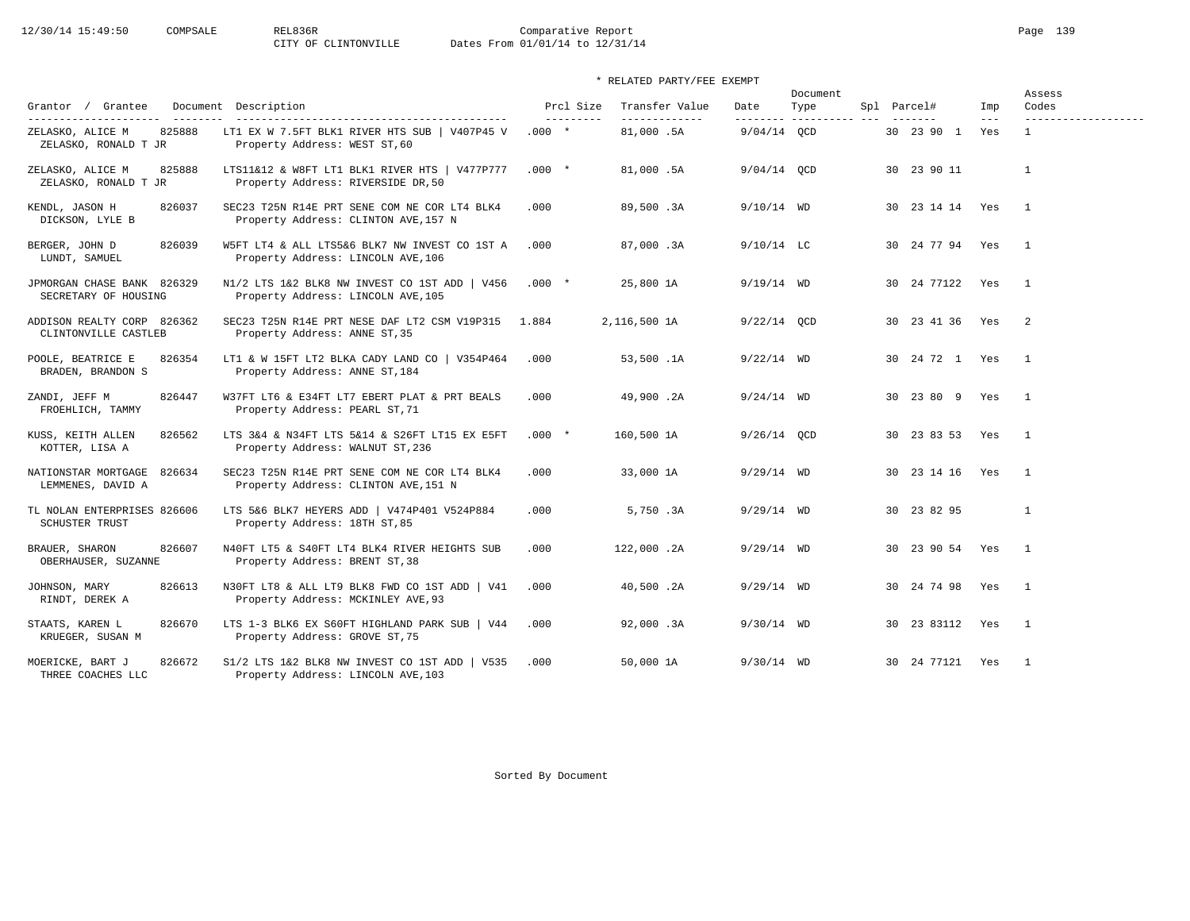# 12/30/14 15:49:50 COMPSALE REL836R Comparative Report Page 139<br>CITY OF CLINTONVILLE Dates From 01/01/14 to 12/31/14 Dates From 01/01/14 to 12/31/14

| Grantor / Grantee                                    |                                                                                      | Prcl Size  | Transfer Value | Date          | Document            | Spl Parcel#     | Imp     | Assess<br>Codes     |
|------------------------------------------------------|--------------------------------------------------------------------------------------|------------|----------------|---------------|---------------------|-----------------|---------|---------------------|
| ----------------------                               | Document Description<br>------------------------------------                         | ---------- | -------------  | ---------     | Type<br>----------- |                 | $- - -$ | ------------------- |
| 825888<br>ZELASKO, ALICE M<br>ZELASKO, RONALD T JR   | LT1 EX W 7.5FT BLK1 RIVER HTS SUB   V407P45 V<br>Property Address: WEST ST, 60       | $.000 *$   | 81,000.5A      | $9/04/14$ OCD |                     | 30  23  90  1   | Yes     | $\mathbf{1}$        |
| 825888<br>ZELASKO, ALICE M<br>ZELASKO, RONALD T JR   | LTS11&12 & W8FT LT1 BLK1 RIVER HTS   V477P777<br>Property Address: RIVERSIDE DR, 50  | $.000*$    | 81,000.5A      | $9/04/14$ OCD |                     | 30 23 90 11     |         | $\mathbf{1}$        |
| 826037<br>KENDL, JASON H<br>DICKSON, LYLE B          | SEC23 T25N R14E PRT SENE COM NE COR LT4 BLK4<br>Property Address: CLINTON AVE, 157 N | .000       | 89,500.3A      | $9/10/14$ WD  |                     | 30 23 14 14 Yes |         | $\overline{1}$      |
| BERGER, JOHN D<br>826039<br>LUNDT, SAMUEL            | W5FT LT4 & ALL LTS5&6 BLK7 NW INVEST CO 1ST A<br>Property Address: LINCOLN AVE, 106  | .000       | 87,000.3A      | $9/10/14$ LC  |                     | 30 24 77 94 Yes |         | $\overline{1}$      |
| JPMORGAN CHASE BANK 826329<br>SECRETARY OF HOUSING   | N1/2 LTS 1&2 BLK8 NW INVEST CO 1ST ADD   V456<br>Property Address: LINCOLN AVE, 105  | $.000*$    | 25,800 1A      | $9/19/14$ WD  |                     | 30 24 77122 Yes |         | $\overline{1}$      |
| ADDISON REALTY CORP 826362<br>CLINTONVILLE CASTLEB   | SEC23 T25N R14E PRT NESE DAF LT2 CSM V19P315<br>Property Address: ANNE ST, 35        | 1.884      | 2,116,500 1A   | $9/22/14$ OCD |                     | 30 23 41 36     | Yes     | $\overline{2}$      |
| POOLE, BEATRICE E<br>826354<br>BRADEN, BRANDON S     | LT1 & W 15FT LT2 BLKA CADY LAND CO   V354P464<br>Property Address: ANNE ST, 184      | .000       | 53,500.1A      | $9/22/14$ WD  |                     | 30 24 72 1 Yes  |         | $\overline{1}$      |
| ZANDI, JEFF M<br>826447<br>FROEHLICH, TAMMY          | W37FT LT6 & E34FT LT7 EBERT PLAT & PRT BEALS<br>Property Address: PEARL ST, 71       | .000       | 49,900.2A      | $9/24/14$ WD  |                     | 30 23 80 9 Yes  |         | $\overline{1}$      |
| KUSS, KEITH ALLEN<br>826562<br>KOTTER, LISA A        | LTS 3&4 & N34FT LTS 5&14 & S26FT LT15 EX E5FT<br>Property Address: WALNUT ST, 236    | $.000 *$   | 160,500 1A     | $9/26/14$ OCD |                     | 30 23 83 53     | Yes     | $\overline{1}$      |
| NATIONSTAR MORTGAGE<br>826634<br>LEMMENES, DAVID A   | SEC23 T25N R14E PRT SENE COM NE COR LT4 BLK4<br>Property Address: CLINTON AVE, 151 N | .000       | 33,000 1A      | $9/29/14$ WD  |                     | 30 23 14 16 Yes |         | $\overline{1}$      |
| TL NOLAN ENTERPRISES 826606<br><b>SCHUSTER TRUST</b> | LTS 5&6 BLK7 HEYERS ADD   V474P401 V524P884<br>Property Address: 18TH ST, 85         | .000       | 5,750.3A       | $9/29/14$ WD  |                     | 30 23 82 95     |         | $\mathbf{1}$        |
| 826607<br>BRAUER, SHARON<br>OBERHAUSER, SUZANNE      | N40FT LT5 & S40FT LT4 BLK4 RIVER HEIGHTS SUB<br>Property Address: BRENT ST, 38       | .000       | 122,000.2A     | $9/29/14$ WD  |                     | 30 23 90 54 Yes |         | $\overline{1}$      |
| JOHNSON, MARY<br>826613<br>RINDT, DEREK A            | N30FT LT8 & ALL LT9 BLK8 FWD CO 1ST ADD   V41<br>Property Address: MCKINLEY AVE, 93  | .000       | 40,500.2A      | $9/29/14$ WD  |                     | 30 24 74 98     | Yes     | $\overline{1}$      |
| STAATS, KAREN L<br>826670<br>KRUEGER, SUSAN M        | LTS 1-3 BLK6 EX S60FT HIGHLAND PARK SUB   V44<br>Property Address: GROVE ST, 75      | .000       | 92,000.3A      | $9/30/14$ WD  |                     | 30 23 83112 Yes |         | $\overline{1}$      |
| MOERICKE, BART J<br>826672<br>THREE COACHES LLC      | S1/2 LTS 1&2 BLK8 NW INVEST CO 1ST ADD   V535<br>Property Address: LINCOLN AVE, 103  | .000       | 50,000 1A      | $9/30/14$ WD  |                     | 30 24 77121 Yes |         | $\overline{1}$      |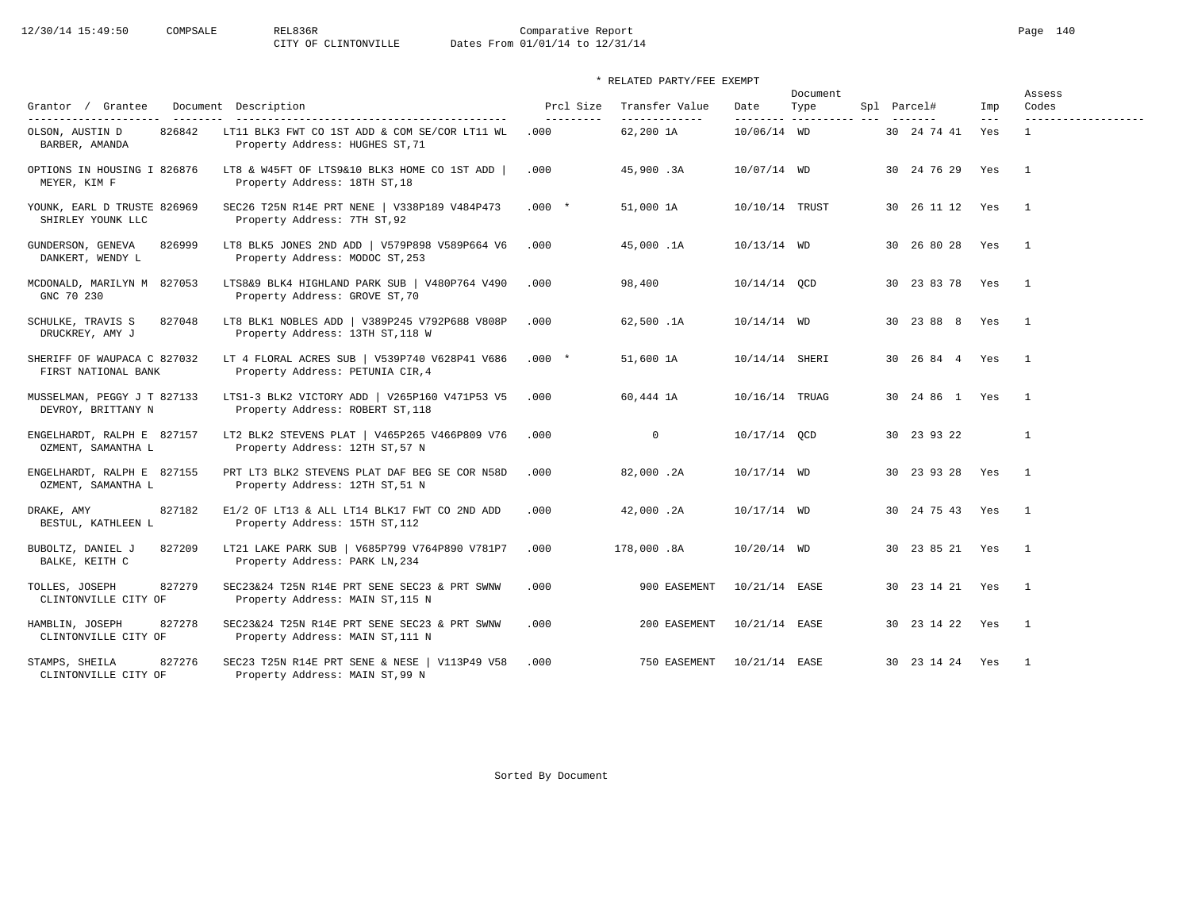12/30/14 15:49:50 COMPSALE REL836R Comparative Report Page 140<br>CITY OF CLINTONVILLE Dates From 01/01/14 to 12/31/14

# \* RELATED PARTY/FEE EXEMPT

| Grantor / Grantee                                                    | Document Description                                                                                                      | Prcl Size          | Transfer Value             | Date                    | Document<br>Type | Spl Parcel#     | Imp          | Assess<br>Codes          |
|----------------------------------------------------------------------|---------------------------------------------------------------------------------------------------------------------------|--------------------|----------------------------|-------------------------|------------------|-----------------|--------------|--------------------------|
| ---------------------<br>826842<br>OLSON, AUSTIN D<br>BARBER, AMANDA | -------------------------------------<br>LT11 BLK3 FWT CO 1ST ADD & COM SE/COR LT11 WL<br>Property Address: HUGHES ST, 71 | ----------<br>.000 | -------------<br>62,200 1A | --------<br>10/06/14 WD | -----------      | 30 24 74 41     | $---$<br>Yes | -------------------      |
| OPTIONS IN HOUSING I 826876<br>MEYER, KIM F                          | LT8 & W45FT OF LTS9&10 BLK3 HOME CO 1ST ADD<br>Property Address: 18TH ST, 18                                              | .000               | 45,900.3A                  | 10/07/14 WD             |                  | 30 24 76 29 Yes |              | $\overline{1}$           |
| YOUNK, EARL D TRUSTE 826969<br>SHIRLEY YOUNK LLC                     | SEC26 T25N R14E PRT NENE   V338P189 V484P473<br>Property Address: 7TH ST, 92                                              | $.000*$            | 51,000 1A                  | 10/10/14 TRUST          |                  | 30 26 11 12 Yes |              | $\mathbf{1}$             |
| GUNDERSON, GENEVA<br>826999<br>DANKERT, WENDY L                      | LT8 BLK5 JONES 2ND ADD   V579P898 V589P664 V6<br>Property Address: MODOC ST, 253                                          | .000               | 45,000.1A                  | 10/13/14 WD             |                  | 30 26 80 28     | Yes          | $\mathbf{1}$             |
| MCDONALD, MARILYN M 827053<br>GNC 70 230                             | LTS8&9 BLK4 HIGHLAND PARK SUB   V480P764 V490<br>Property Address: GROVE ST, 70                                           | .000               | 98,400                     | 10/14/14 QCD            |                  | 30 23 83 78 Yes |              | $\overline{\phantom{1}}$ |
| SCHULKE, TRAVIS S<br>827048<br>DRUCKREY, AMY J                       | LT8 BLK1 NOBLES ADD   V389P245 V792P688 V808P<br>Property Address: 13TH ST, 118 W                                         | .000               | 62,500.1A                  | $10/14/14$ WD           |                  | 30 23 88 8 Yes  |              | $\mathbf{1}$             |
| SHERIFF OF WAUPACA C 827032<br>FIRST NATIONAL BANK                   | LT 4 FLORAL ACRES SUB   V539P740 V628P41 V686<br>Property Address: PETUNIA CIR, 4                                         | $.000*$            | 51,600 1A                  | 10/14/14 SHERI          |                  | 30 26 84 4 Yes  |              | $\overline{1}$           |
| MUSSELMAN, PEGGY J T 827133<br>DEVROY, BRITTANY N                    | LTS1-3 BLK2 VICTORY ADD   V265P160 V471P53 V5<br>Property Address: ROBERT ST, 118                                         | .000               | 60,444 1A                  | 10/16/14 TRUAG          |                  | 30 24 86 1 Yes  |              | $\overline{1}$           |
| ENGELHARDT, RALPH E 827157<br>OZMENT, SAMANTHA L                     | LT2 BLK2 STEVENS PLAT   V465P265 V466P809 V76<br>Property Address: 12TH ST, 57 N                                          | .000               | $\circ$                    | 10/17/14 QCD            |                  | 30 23 93 22     |              | $\mathbf{1}$             |
| ENGELHARDT, RALPH E 827155<br>OZMENT, SAMANTHA L                     | PRT LT3 BLK2 STEVENS PLAT DAF BEG SE COR N58D<br>Property Address: 12TH ST, 51 N                                          | .000               | 82,000.2A                  | 10/17/14 WD             |                  | 30 23 93 28 Yes |              | $\overline{1}$           |
| 827182<br>DRAKE, AMY<br>BESTUL, KATHLEEN L                           | E1/2 OF LT13 & ALL LT14 BLK17 FWT CO 2ND ADD<br>Property Address: 15TH ST, 112                                            | .000               | 42,000.2A                  | 10/17/14 WD             |                  | 30 24 75 43 Yes |              | $\overline{1}$           |
| BUBOLTZ, DANIEL J<br>827209<br>BALKE, KEITH C                        | LT21 LAKE PARK SUB   V685P799 V764P890 V781P7<br>Property Address: PARK LN, 234                                           | .000               | 178,000.8A                 | $10/20/14$ WD           |                  | 30 23 85 21 Yes |              | $\mathbf{1}$             |
| 827279<br>TOLLES, JOSEPH<br>CLINTONVILLE CITY OF                     | SEC23&24 T25N R14E PRT SENE SEC23 & PRT SWNW<br>Property Address: MAIN ST, 115 N                                          | .000               | 900 EASEMENT               | 10/21/14 EASE           |                  | 30 23 14 21 Yes |              | $\overline{1}$           |
| HAMBLIN, JOSEPH<br>827278<br>CLINTONVILLE CITY OF                    | SEC23&24 T25N R14E PRT SENE SEC23 & PRT SWNW<br>Property Address: MAIN ST, 111 N                                          | .000               | 200 EASEMENT               | 10/21/14 EASE           |                  | 30 23 14 22 Yes |              | $\overline{1}$           |
| 827276<br>STAMPS, SHEILA<br>CLINTONVILLE CITY OF                     | SEC23 T25N R14E PRT SENE & NESE   V113P49 V58<br>Property Address: MAIN ST, 99 N                                          | .000               | 750 EASEMENT               | 10/21/14 EASE           |                  | 30 23 14 24 Yes |              | $\overline{1}$           |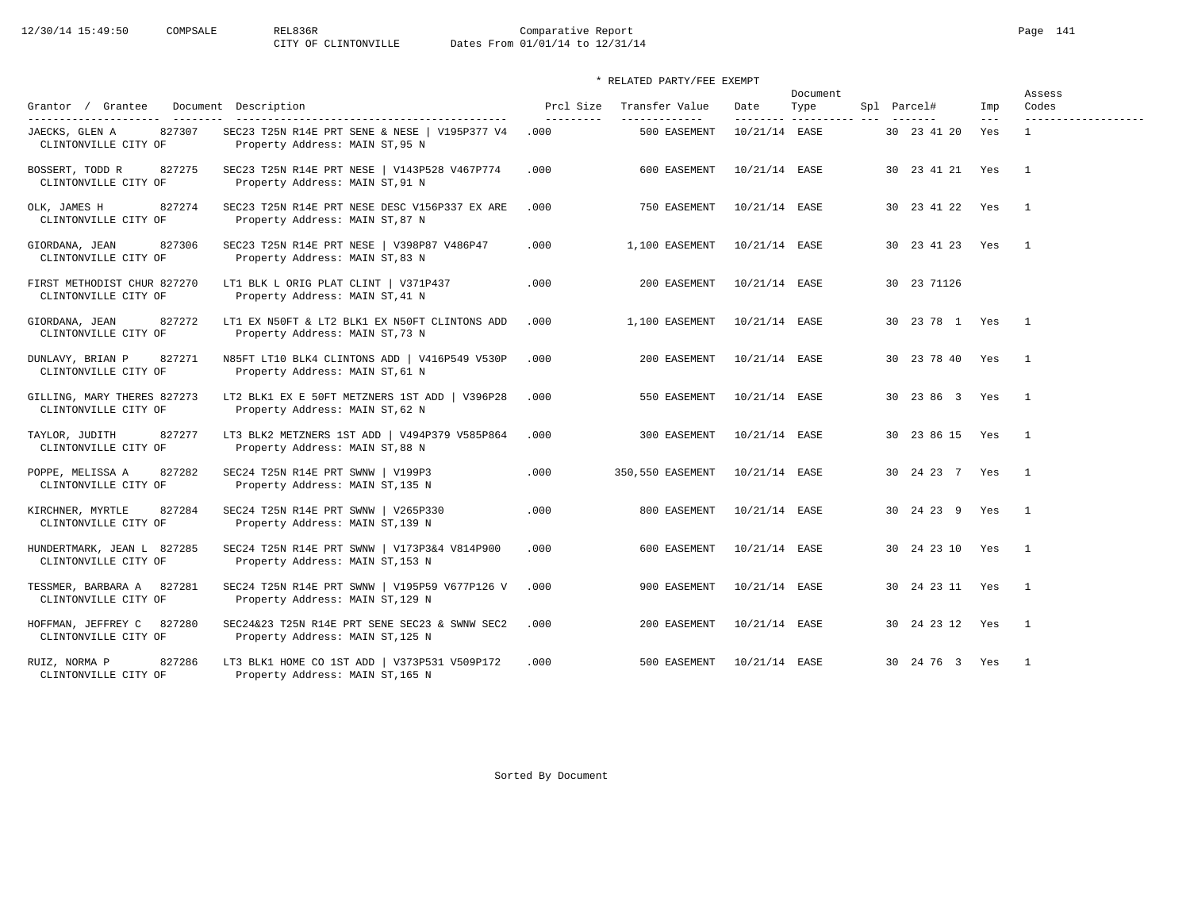12/30/14 15:49:50 COMPSALE REL836R Comparative Report Page 141 Dates From 01/01/14 to 12/31/14

\* RELATED PARTY/FEE EXEMPT

|                                                      |                                                                                   |                         |                                 | Document          |                        |  |                 | Assess       |                              |
|------------------------------------------------------|-----------------------------------------------------------------------------------|-------------------------|---------------------------------|-------------------|------------------------|--|-----------------|--------------|------------------------------|
| Grantor / Grantee                                    | Document Description                                                              | Prcl Size<br>---------- | Transfer Value<br>------------- | Date<br>--------- | Type<br>-------------- |  | Spl Parcel#     | Imp<br>$---$ | Codes<br>------------------- |
| JAECKS, GLEN A<br>827307<br>CLINTONVILLE CITY OF     | SEC23 T25N R14E PRT SENE & NESE   V195P377 V4<br>Property Address: MAIN ST, 95 N  | .000                    | 500 EASEMENT                    | 10/21/14 EASE     |                        |  | 30 23 41 20     | Yes          | $\mathbf{1}$                 |
| BOSSERT, TODD R<br>827275<br>CLINTONVILLE CITY OF    | SEC23 T25N R14E PRT NESE   V143P528 V467P774<br>Property Address: MAIN ST, 91 N   | .000                    | 600 EASEMENT                    | 10/21/14 EASE     |                        |  | 30 23 41 21 Yes |              | $\overline{1}$               |
| OLK, JAMES H<br>827274<br>CLINTONVILLE CITY OF       | SEC23 T25N R14E PRT NESE DESC V156P337 EX ARE<br>Property Address: MAIN ST, 87 N  | .000                    | 750 EASEMENT                    | 10/21/14 EASE     |                        |  | 30 23 41 22 Yes |              | $\overline{1}$               |
| 827306<br>GIORDANA, JEAN<br>CLINTONVILLE CITY OF     | SEC23 T25N R14E PRT NESE   V398P87 V486P47<br>Property Address: MAIN ST, 83 N     | .000                    | 1,100 EASEMENT                  | 10/21/14 EASE     |                        |  | 30 23 41 23 Yes |              | $\overline{1}$               |
| FIRST METHODIST CHUR 827270<br>CLINTONVILLE CITY OF  | LT1 BLK L ORIG PLAT CLINT   V371P437<br>Property Address: MAIN ST, 41 N           | .000                    | 200 EASEMENT                    | 10/21/14 EASE     |                        |  | 30 23 71126     |              |                              |
| GIORDANA, JEAN<br>827272<br>CLINTONVILLE CITY OF     | LT1 EX N50FT & LT2 BLK1 EX N50FT CLINTONS ADD<br>Property Address: MAIN ST, 73 N  | .000                    | 1,100 EASEMENT                  | 10/21/14 EASE     |                        |  | 30 23 78 1 Yes  |              | $\overline{1}$               |
| 827271<br>DUNLAVY, BRIAN P<br>CLINTONVILLE CITY OF   | N85FT LT10 BLK4 CLINTONS ADD   V416P549 V530P<br>Property Address: MAIN ST, 61 N  | .000                    | 200 EASEMENT                    | 10/21/14 EASE     |                        |  | 30 23 78 40 Yes |              | $\overline{1}$               |
| GILLING, MARY THERES 827273<br>CLINTONVILLE CITY OF  | LT2 BLK1 EX E 50FT METZNERS 1ST ADD   V396P28<br>Property Address: MAIN ST, 62 N  | .000                    | 550 EASEMENT                    | 10/21/14 EASE     |                        |  | 30 23 86 3 Yes  |              | $\overline{1}$               |
| TAYLOR, JUDITH<br>827277<br>CLINTONVILLE CITY OF     | LT3 BLK2 METZNERS 1ST ADD   V494P379 V585P864<br>Property Address: MAIN ST, 88 N  | .000                    | 300 EASEMENT                    | 10/21/14 EASE     |                        |  | 30 23 86 15 Yes |              | $\overline{1}$               |
| 827282<br>POPPE, MELISSA A<br>CLINTONVILLE CITY OF   | SEC24 T25N R14E PRT SWNW   V199P3<br>Property Address: MAIN ST, 135 N             | .000                    | 350,550 EASEMENT 10/21/14 EASE  |                   |                        |  | 30 24 23 7 Yes  |              | $\overline{1}$               |
| 827284<br>KIRCHNER, MYRTLE<br>CLINTONVILLE CITY OF   | SEC24 T25N R14E PRT SWNW   V265P330<br>Property Address: MAIN ST, 139 N           | .000                    | 800 EASEMENT                    | 10/21/14 EASE     |                        |  | 30 24 23 9 Yes  |              | $\overline{1}$               |
| HUNDERTMARK, JEAN L 827285<br>CLINTONVILLE CITY OF   | SEC24 T25N R14E PRT SWNW   V173P3&4 V814P900<br>Property Address: MAIN ST, 153 N  | .000                    | 600 EASEMENT                    | 10/21/14 EASE     |                        |  | 30 24 23 10 Yes |              | $\overline{1}$               |
| TESSMER, BARBARA A 827281<br>CLINTONVILLE CITY OF    | SEC24 T25N R14E PRT SWNW   V195P59 V677P126 V<br>Property Address: MAIN ST, 129 N | .000                    | 900 EASEMENT                    | 10/21/14 EASE     |                        |  | 30 24 23 11 Yes |              | $\overline{1}$               |
| HOFFMAN, JEFFREY C<br>827280<br>CLINTONVILLE CITY OF | SEC24&23 T25N R14E PRT SENE SEC23 & SWNW SEC2<br>Property Address: MAIN ST, 125 N | .000                    | 200 EASEMENT                    | 10/21/14 EASE     |                        |  | 30 24 23 12 Yes |              | $\overline{1}$               |
| 827286<br>RUIZ, NORMA P<br>CLINTONVILLE CITY OF      | LT3 BLK1 HOME CO 1ST ADD   V373P531 V509P172<br>Property Address: MAIN ST, 165 N  | .000                    | 500 EASEMENT                    | 10/21/14 EASE     |                        |  | 30 24 76 3 Yes  |              | $\overline{1}$               |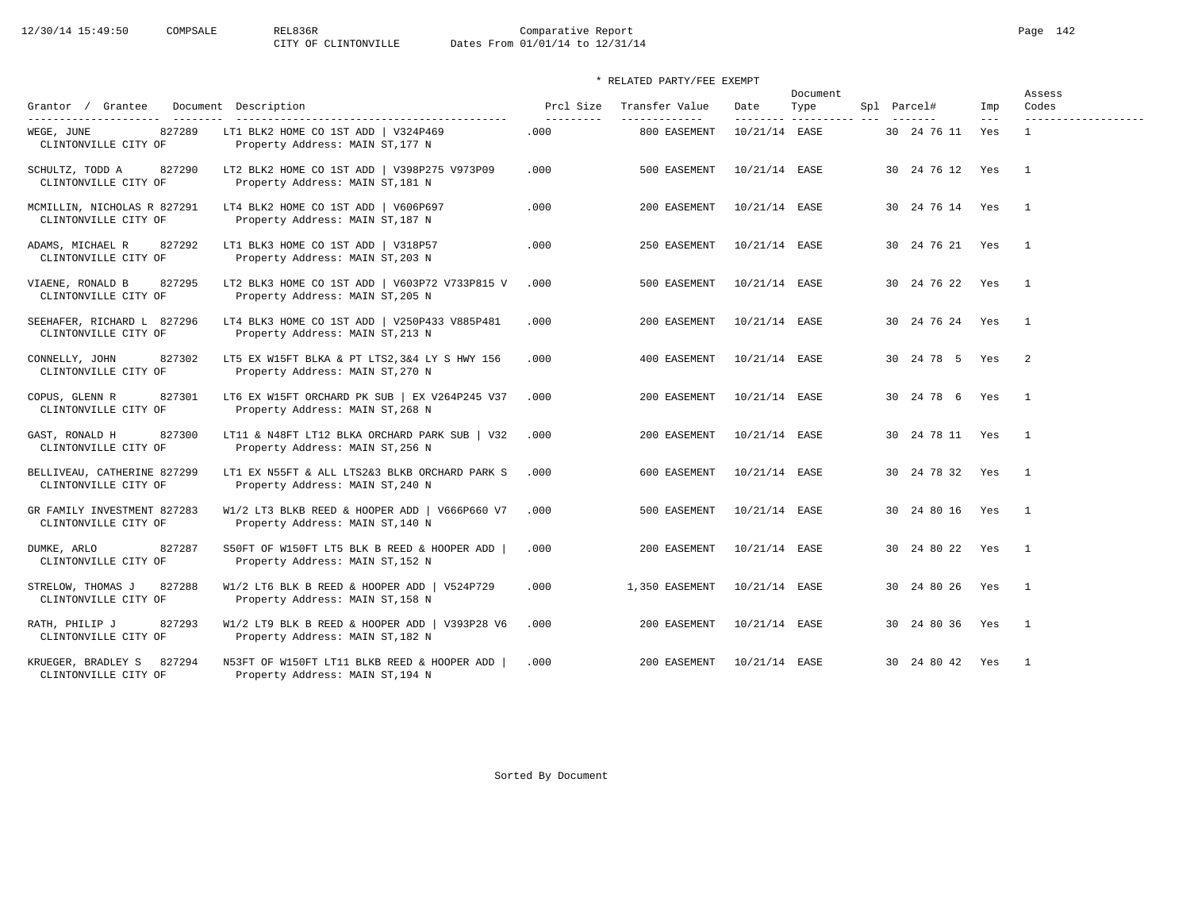|                                                      |                                                                                   |                        |                                  |                   |                        | Document |  |                 |                | Assess                       |  |
|------------------------------------------------------|-----------------------------------------------------------------------------------|------------------------|----------------------------------|-------------------|------------------------|----------|--|-----------------|----------------|------------------------------|--|
| Grantor / Grantee<br>----------------------          | Document Description                                                              | Prcl Size<br>--------- | Transfer Value<br>-------------- | Date<br>--------- | Type<br>-------------- |          |  | Spl Parcel#     | Imp<br>$- - -$ | Codes<br>------------------- |  |
| 827289<br>WEGE, JUNE<br>CLINTONVILLE CITY OF         | LT1 BLK2 HOME CO 1ST ADD   V324P469<br>Property Address: MAIN ST, 177 N           | .000                   | 800 EASEMENT                     | 10/21/14 EASE     |                        |          |  | 30 24 76 11     | Yes            | $\mathbf{1}$                 |  |
| SCHULTZ, TODD A<br>827290<br>CLINTONVILLE CITY OF    | LT2 BLK2 HOME CO 1ST ADD   V398P275 V973P09<br>Property Address: MAIN ST, 181 N   | .000                   | 500 EASEMENT                     | 10/21/14 EASE     |                        |          |  | 30 24 76 12 Yes |                | $\overline{1}$               |  |
| MCMILLIN, NICHOLAS R 827291<br>CLINTONVILLE CITY OF  | LT4 BLK2 HOME CO 1ST ADD   V606P697<br>Property Address: MAIN ST, 187 N           | .000                   | 200 EASEMENT                     | 10/21/14 EASE     |                        |          |  | 30 24 76 14 Yes |                | $\overline{1}$               |  |
| 827292<br>ADAMS, MICHAEL R<br>CLINTONVILLE CITY OF   | LT1 BLK3 HOME CO 1ST ADD   V318P57<br>Property Address: MAIN ST, 203 N            | .000                   | 250 EASEMENT                     | 10/21/14 EASE     |                        |          |  | 30 24 76 21 Yes |                | $\overline{1}$               |  |
| 827295<br>VIAENE, RONALD B<br>CLINTONVILLE CITY OF   | LT2 BLK3 HOME CO 1ST ADD   V603P72 V733P815 V<br>Property Address: MAIN ST, 205 N | .000                   | 500 EASEMENT                     | 10/21/14 EASE     |                        |          |  | 30 24 76 22 Yes |                | $\overline{1}$               |  |
| SEEHAFER, RICHARD L 827296<br>CLINTONVILLE CITY OF   | LT4 BLK3 HOME CO 1ST ADD   V250P433 V885P481<br>Property Address: MAIN ST, 213 N  | .000                   | 200 EASEMENT                     | 10/21/14 EASE     |                        |          |  | 30 24 76 24 Yes |                | $\overline{1}$               |  |
| 827302<br>CONNELLY, JOHN<br>CLINTONVILLE CITY OF     | LT5 EX W15FT BLKA & PT LTS2, 3&4 LY S HWY 156<br>Property Address: MAIN ST, 270 N | .000.                  | 400 EASEMENT                     | 10/21/14 EASE     |                        |          |  | 30 24 78 5 Yes  |                | $\overline{2}$               |  |
| 827301<br>COPUS, GLENN R<br>CLINTONVILLE CITY OF     | LT6 EX W15FT ORCHARD PK SUB   EX V264P245 V37<br>Property Address: MAIN ST, 268 N | .000                   | 200 EASEMENT                     | 10/21/14 EASE     |                        |          |  | 30 24 78 6 Yes  |                | $\overline{1}$               |  |
| 827300<br>GAST, RONALD H<br>CLINTONVILLE CITY OF     | LT11 & N48FT LT12 BLKA ORCHARD PARK SUB   V32<br>Property Address: MAIN ST, 256 N | .000                   | 200 EASEMENT                     | 10/21/14 EASE     |                        |          |  | 30 24 78 11 Yes |                | $\overline{1}$               |  |
| BELLIVEAU, CATHERINE 827299<br>CLINTONVILLE CITY OF  | LT1 EX N55FT & ALL LTS2&3 BLKB ORCHARD PARK S<br>Property Address: MAIN ST, 240 N | .000                   | 600 EASEMENT                     | 10/21/14 EASE     |                        |          |  | 30 24 78 32 Yes |                | $\overline{1}$               |  |
| GR FAMILY INVESTMENT 827283<br>CLINTONVILLE CITY OF  | W1/2 LT3 BLKB REED & HOOPER ADD   V666P660 V7<br>Property Address: MAIN ST, 140 N | .000                   | 500 EASEMENT                     | 10/21/14 EASE     |                        |          |  | 30 24 80 16 Yes |                | $\overline{1}$               |  |
| 827287<br>DUMKE, ARLO<br>CLINTONVILLE CITY OF        | S50FT OF W150FT LT5 BLK B REED & HOOPER ADD<br>Property Address: MAIN ST, 152 N   | .000                   | 200 EASEMENT                     | 10/21/14 EASE     |                        |          |  | 30 24 80 22 Yes |                | $\overline{1}$               |  |
| STRELOW, THOMAS J<br>827288<br>CLINTONVILLE CITY OF  | W1/2 LT6 BLK B REED & HOOPER ADD   V524P729<br>Property Address: MAIN ST, 158 N   | .000                   | 1,350 EASEMENT                   | 10/21/14 EASE     |                        |          |  | 30 24 80 26 Yes |                | $\overline{1}$               |  |
| 827293<br>RATH, PHILIP J<br>CLINTONVILLE CITY OF     | W1/2 LT9 BLK B REED & HOOPER ADD   V393P28 V6<br>Property Address: MAIN ST, 182 N | .000                   | 200 EASEMENT                     | 10/21/14 EASE     |                        |          |  | 30 24 80 36 Yes |                | $\overline{1}$               |  |
| 827294<br>KRUEGER, BRADLEY S<br>CLINTONVILLE CITY OF | N53FT OF W150FT LT11 BLKB REED & HOOPER ADD<br>Property Address: MAIN ST, 194 N   | .000.                  | 200 EASEMENT                     | 10/21/14 EASE     |                        |          |  | 30 24 80 42 Yes |                | $\overline{1}$               |  |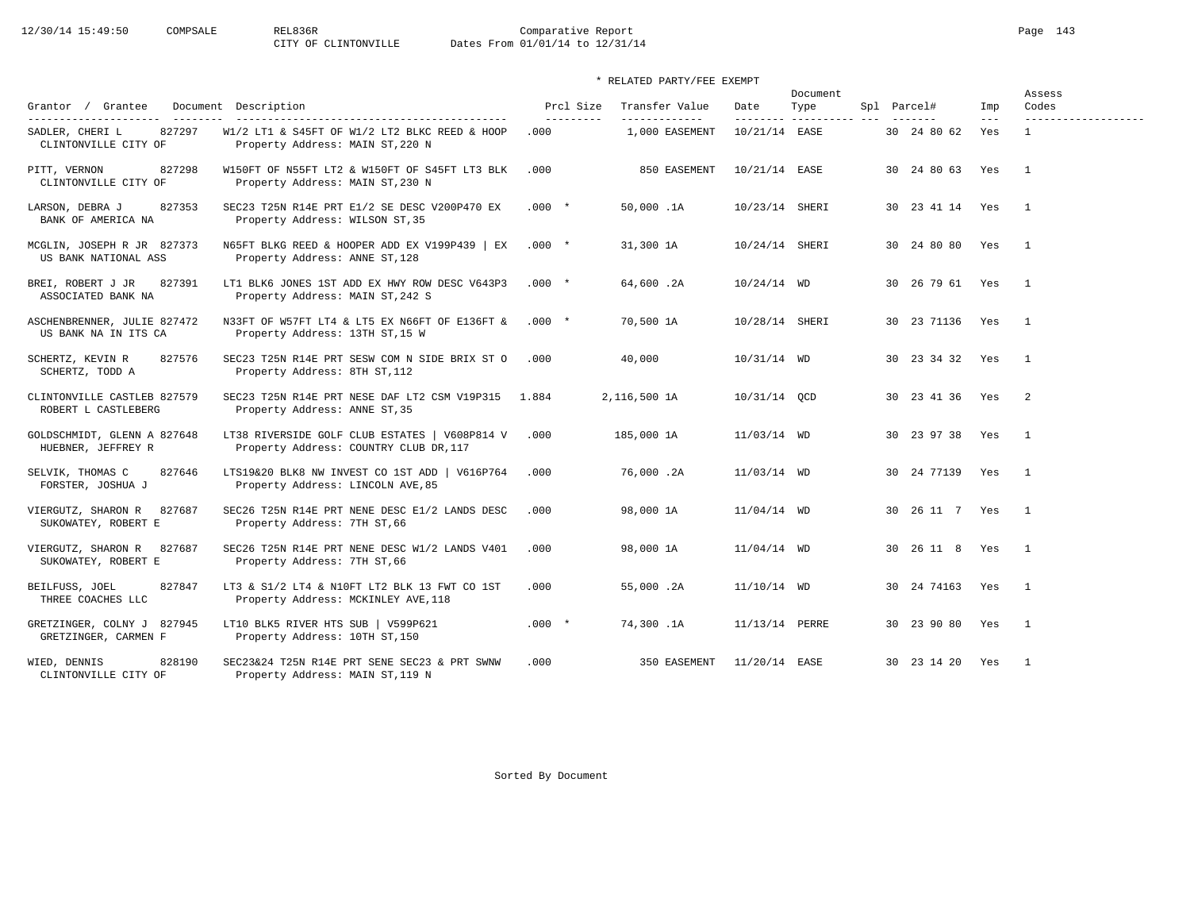| Grantor / Grantee                                                           | Document Description                                                                    | Prcl Size         | Transfer Value                  | Date                      | Document<br>Type | Spl Parcel# |                 | Imp                        | Assess<br>Codes                     |
|-----------------------------------------------------------------------------|-----------------------------------------------------------------------------------------|-------------------|---------------------------------|---------------------------|------------------|-------------|-----------------|----------------------------|-------------------------------------|
| ----------------------<br>827297<br>SADLER, CHERI L<br>CLINTONVILLE CITY OF | W1/2 LT1 & S45FT OF W1/2 LT2 BLKC REED & HOOP<br>Property Address: MAIN ST, 220 N       | ---------<br>.000 | -------------<br>1,000 EASEMENT | --------<br>10/21/14 EASE | ----------       |             | 30 24 80 62     | $\qquad \qquad - -$<br>Yes | -------------------<br>$\mathbf{1}$ |
| 827298<br>PITT, VERNON<br>CLINTONVILLE CITY OF                              | W150FT OF N55FT LT2 & W150FT OF S45FT LT3 BLK<br>Property Address: MAIN ST, 230 N       | .000              | 850 EASEMENT                    | 10/21/14 EASE             |                  |             | 30 24 80 63 Yes |                            | $\overline{1}$                      |
| 827353<br>LARSON, DEBRA J<br>BANK OF AMERICA NA                             | SEC23 T25N R14E PRT E1/2 SE DESC V200P470 EX<br>Property Address: WILSON ST, 35         | $.000*$           | 50,000.1A                       | 10/23/14 SHERI            |                  |             | 30 23 41 14 Yes |                            | $\overline{1}$                      |
| MCGLIN, JOSEPH R JR 827373<br>US BANK NATIONAL ASS                          | N65FT BLKG REED & HOOPER ADD EX V199P439   EX<br>Property Address: ANNE ST, 128         | $.000*$           | 31,300 1A                       | 10/24/14 SHERI            |                  |             | 30 24 80 80 Yes |                            | $\overline{1}$                      |
| 827391<br>BREI, ROBERT J JR<br>ASSOCIATED BANK NA                           | LT1 BLK6 JONES 1ST ADD EX HWY ROW DESC V643P3<br>Property Address: MAIN ST, 242 S       | $.000*$           | 64,600.2A                       | $10/24/14$ WD             |                  |             | 30 26 79 61 Yes |                            | $\overline{1}$                      |
| ASCHENBRENNER, JULIE 827472<br>US BANK NA IN ITS CA                         | N33FT OF W57FT LT4 & LT5 EX N66FT OF E136FT &<br>Property Address: 13TH ST, 15 W        | $.000*$           | 70,500 1A                       | 10/28/14 SHERI            |                  |             | 30 23 71136 Yes |                            | $\overline{1}$                      |
| SCHERTZ, KEVIN R<br>827576<br>SCHERTZ, TODD A                               | SEC23 T25N R14E PRT SESW COM N SIDE BRIX ST O<br>Property Address: 8TH ST, 112          | .000              | 40,000                          | $10/31/14$ WD             |                  |             | 30 23 34 32     | Yes                        | $\overline{1}$                      |
| CLINTONVILLE CASTLEB 827579<br>ROBERT L CASTLEBERG                          | SEC23 T25N R14E PRT NESE DAF LT2 CSM V19P315<br>Property Address: ANNE ST, 35           | 1.884             | 2,116,500 1A                    | 10/31/14 OCD              |                  |             | 30 23 41 36 Yes |                            | $\overline{2}$                      |
| GOLDSCHMIDT, GLENN A 827648<br>HUEBNER, JEFFREY R                           | LT38 RIVERSIDE GOLF CLUB ESTATES   V608P814 V<br>Property Address: COUNTRY CLUB DR, 117 | .000              | 185,000 1A                      | 11/03/14 WD               |                  |             | 30 23 97 38 Yes |                            | $\overline{1}$                      |
| 827646<br>SELVIK, THOMAS C<br>FORSTER, JOSHUA J                             | LTS19&20 BLK8 NW INVEST CO 1ST ADD   V616P764<br>Property Address: LINCOLN AVE, 85      | .000              | 76,000.2A                       | 11/03/14 WD               |                  |             | 30 24 77139 Yes |                            | $\mathbf{1}$                        |
| 827687<br>VIERGUTZ, SHARON R<br>SUKOWATEY, ROBERT E                         | SEC26 T25N R14E PRT NENE DESC E1/2 LANDS DESC<br>Property Address: 7TH ST, 66           | .000              | 98,000 1A                       | $11/04/14$ WD             |                  |             | 30 26 11 7 Yes  |                            | $\overline{1}$                      |
| VIERGUTZ, SHARON R<br>827687<br>SUKOWATEY, ROBERT E                         | SEC26 T25N R14E PRT NENE DESC W1/2 LANDS V401<br>Property Address: 7TH ST, 66           | .000              | 98,000 1A                       | $11/04/14$ WD             |                  |             | 30 26 11 8      | Yes                        | $\mathbf{1}$                        |
| 827847<br>BEILFUSS, JOEL<br>THREE COACHES LLC                               | LT3 & S1/2 LT4 & N10FT LT2 BLK 13 FWT CO 1ST<br>Property Address: MCKINLEY AVE, 118     | .000              | 55,000.2A                       | $11/10/14$ WD             |                  |             | 30 24 74163 Yes |                            | $\overline{1}$                      |
| GRETZINGER, COLNY J 827945<br>GRETZINGER, CARMEN F                          | LT10 BLK5 RIVER HTS SUB   V599P621<br>Property Address: 10TH ST, 150                    | $.000*$           | 74,300.1A                       | 11/13/14 PERRE            |                  |             | 30 23 90 80     | Yes                        | $\overline{1}$                      |
| 828190<br>WIED, DENNIS<br>CLINTONVILLE CITY OF                              | SEC23&24 T25N R14E PRT SENE SEC23 & PRT SWNW<br>Property Address: MAIN ST, 119 N        | .000              | 350 EASEMENT                    | 11/20/14 EASE             |                  |             | 30 23 14 20 Yes |                            | $\sim$ 1                            |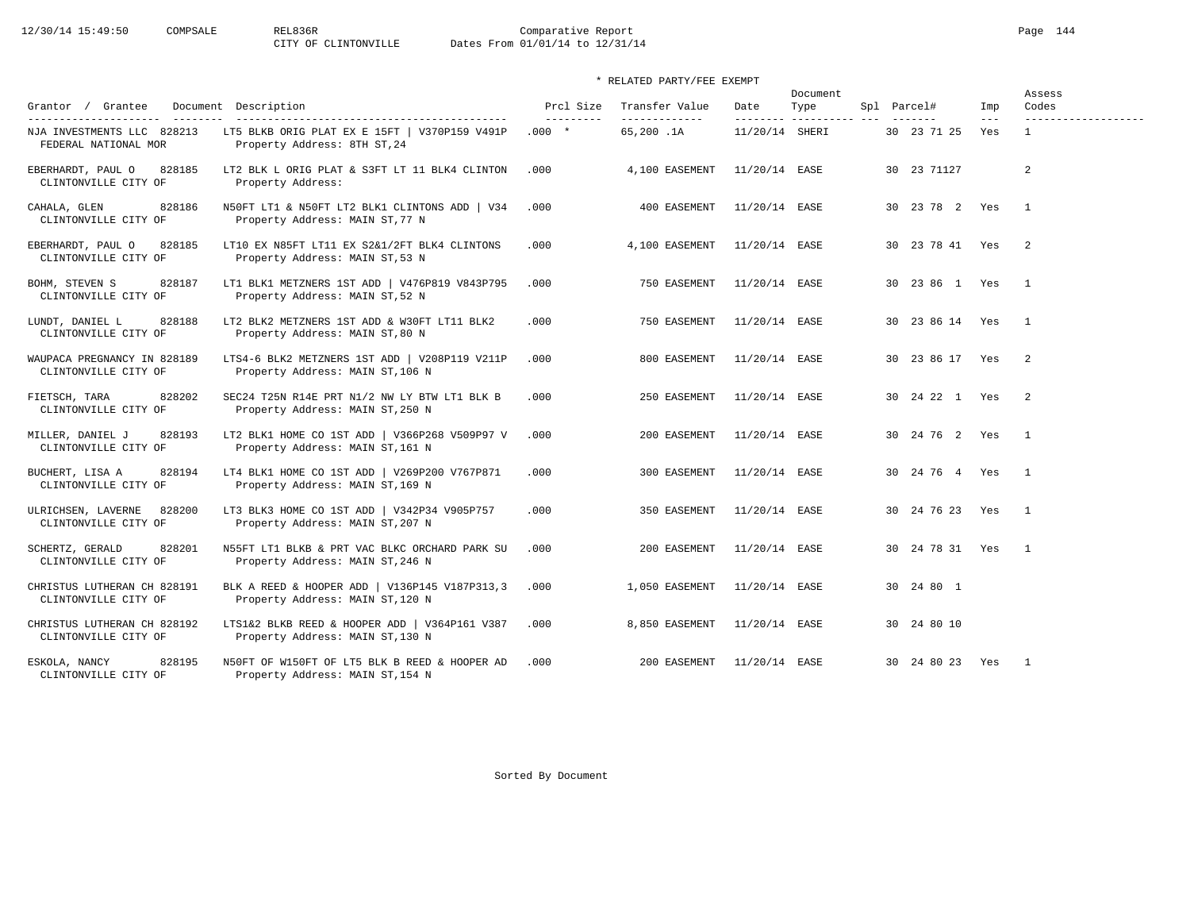12/30/14 15:49:50 COMPSALE REL836R Comparative Report Page 144<br>CITY OF CLINTONVILLE Dates From 01/01/14 to 12/31/14 Dates From 01/01/14 to 12/31/14

| Grantor / Grantee<br>Document                                                | Description                                                                                                           | Prcl Size              | Transfer Value               | Date                        | Document<br>Type | Spl Parcel#     | Imp            | Assess<br>Codes                       |
|------------------------------------------------------------------------------|-----------------------------------------------------------------------------------------------------------------------|------------------------|------------------------------|-----------------------------|------------------|-----------------|----------------|---------------------------------------|
| ----------------------<br>NJA INVESTMENTS LLC 828213<br>FEDERAL NATIONAL MOR | ------------------------------------<br>LT5 BLKB ORIG PLAT EX E 15FT   V370P159 V491P<br>Property Address: 8TH ST, 24 | ----------<br>$.000 *$ | -------------<br>65,200.1A   | ---------<br>11/20/14 SHERI | ----------- ---  | 30 23 71 25     | $- - -$<br>Yes | -------------------<br>$\overline{1}$ |
| EBERHARDT, PAUL O<br>828185<br>CLINTONVILLE CITY OF                          | LT2 BLK L ORIG PLAT & S3FT LT 11 BLK4 CLINTON<br>Property Address:                                                    | .000                   | 4,100 EASEMENT               | 11/20/14 EASE               |                  | 30 23 71127     |                | 2                                     |
| CAHALA, GLEN<br>828186<br>CLINTONVILLE CITY OF                               | N50FT LT1 & N50FT LT2 BLK1 CLINTONS ADD   V34<br>Property Address: MAIN ST, 77 N                                      | .000                   | 400 EASEMENT                 | 11/20/14 EASE               |                  | 30 23 78 2 Yes  |                | $\overline{1}$                        |
| 828185<br>EBERHARDT, PAUL O<br>CLINTONVILLE CITY OF                          | LT10 EX N85FT LT11 EX S2&1/2FT BLK4 CLINTONS<br>Property Address: MAIN ST, 53 N                                       | .000                   | 4,100 EASEMENT               | 11/20/14 EASE               |                  | 30 23 78 41     | Yes            | $\overline{2}$                        |
| 828187<br>BOHM, STEVEN S<br>CLINTONVILLE CITY OF                             | LT1 BLK1 METZNERS 1ST ADD   V476P819 V843P795<br>Property Address: MAIN ST, 52 N                                      | .000                   | 750 EASEMENT                 | 11/20/14 EASE               |                  | 30 23 86 1      | Yes            | $\overline{1}$                        |
| LUNDT, DANIEL L<br>828188<br>CLINTONVILLE CITY OF                            | LT2 BLK2 METZNERS 1ST ADD & W30FT LT11 BLK2<br>Property Address: MAIN ST, 80 N                                        | .000                   | 750 EASEMENT                 | 11/20/14 EASE               |                  | 30 23 86 14     | Yes            | $\overline{1}$                        |
| WAUPACA PREGNANCY IN 828189<br>CLINTONVILLE CITY OF                          | LTS4-6 BLK2 METZNERS 1ST ADD   V208P119 V211P<br>Property Address: MAIN ST, 106 N                                     | .000                   | 800 EASEMENT                 | 11/20/14 EASE               |                  | 30 23 86 17     | Yes            | $\overline{2}$                        |
| 828202<br>FIETSCH, TARA<br>CLINTONVILLE CITY OF                              | SEC24 T25N R14E PRT N1/2 NW LY BTW LT1 BLK B<br>Property Address: MAIN ST, 250 N                                      | .000                   | 250 EASEMENT                 | 11/20/14 EASE               |                  | 30 24 22 1 Yes  |                | $\overline{2}$                        |
| MILLER, DANIEL J<br>828193<br>CLINTONVILLE CITY OF                           | LT2 BLK1 HOME CO 1ST ADD   V366P268 V509P97 V<br>Property Address: MAIN ST, 161 N                                     | .000                   | 200 EASEMENT                 | 11/20/14 EASE               |                  | 30 24 76 2 Yes  |                | $\overline{1}$                        |
| 828194<br>BUCHERT, LISA A<br>CLINTONVILLE CITY OF                            | LT4 BLK1 HOME CO 1ST ADD   V269P200 V767P871<br>Property Address: MAIN ST, 169 N                                      | .000                   | 300 EASEMENT                 | 11/20/14 EASE               |                  | 30 24 76 4 Yes  |                | $\overline{1}$                        |
| ULRICHSEN, LAVERNE<br>828200<br>CLINTONVILLE CITY OF                         | LT3 BLK3 HOME CO 1ST ADD   V342P34 V905P757<br>Property Address: MAIN ST, 207 N                                       | .000                   | 350 EASEMENT                 | 11/20/14 EASE               |                  | 30 24 76 23     | Yes            | $\overline{1}$                        |
| 828201<br>SCHERTZ, GERALD<br>CLINTONVILLE CITY OF                            | N55FT LT1 BLKB & PRT VAC BLKC ORCHARD PARK SU<br>Property Address: MAIN ST, 246 N                                     | .000                   | 200 EASEMENT                 | 11/20/14 EASE               |                  | 30 24 78 31 Yes |                | $\overline{1}$                        |
| CHRISTUS LUTHERAN CH 828191<br>CLINTONVILLE CITY OF                          | BLK A REED & HOOPER ADD   V136P145 V187P313,3<br>Property Address: MAIN ST, 120 N                                     | .000                   | 1,050 EASEMENT               | 11/20/14 EASE               |                  | 30  24  80  1   |                |                                       |
| CHRISTUS LUTHERAN CH 828192<br>CLINTONVILLE CITY OF                          | LTS1&2 BLKB REED & HOOPER ADD   V364P161 V387<br>Property Address: MAIN ST, 130 N                                     | .000                   | 8,850 EASEMENT 11/20/14 EASE |                             |                  | 30 24 80 10     |                |                                       |
| 828195<br>ESKOLA, NANCY<br>CLINTONVILLE CITY OF                              | N50FT OF W150FT OF LT5 BLK B REED & HOOPER AD<br>Property Address: MAIN ST, 154 N                                     | .000                   | 200 EASEMENT                 | 11/20/14 EASE               |                  | 30 24 80 23     | Yes            | $\overline{1}$                        |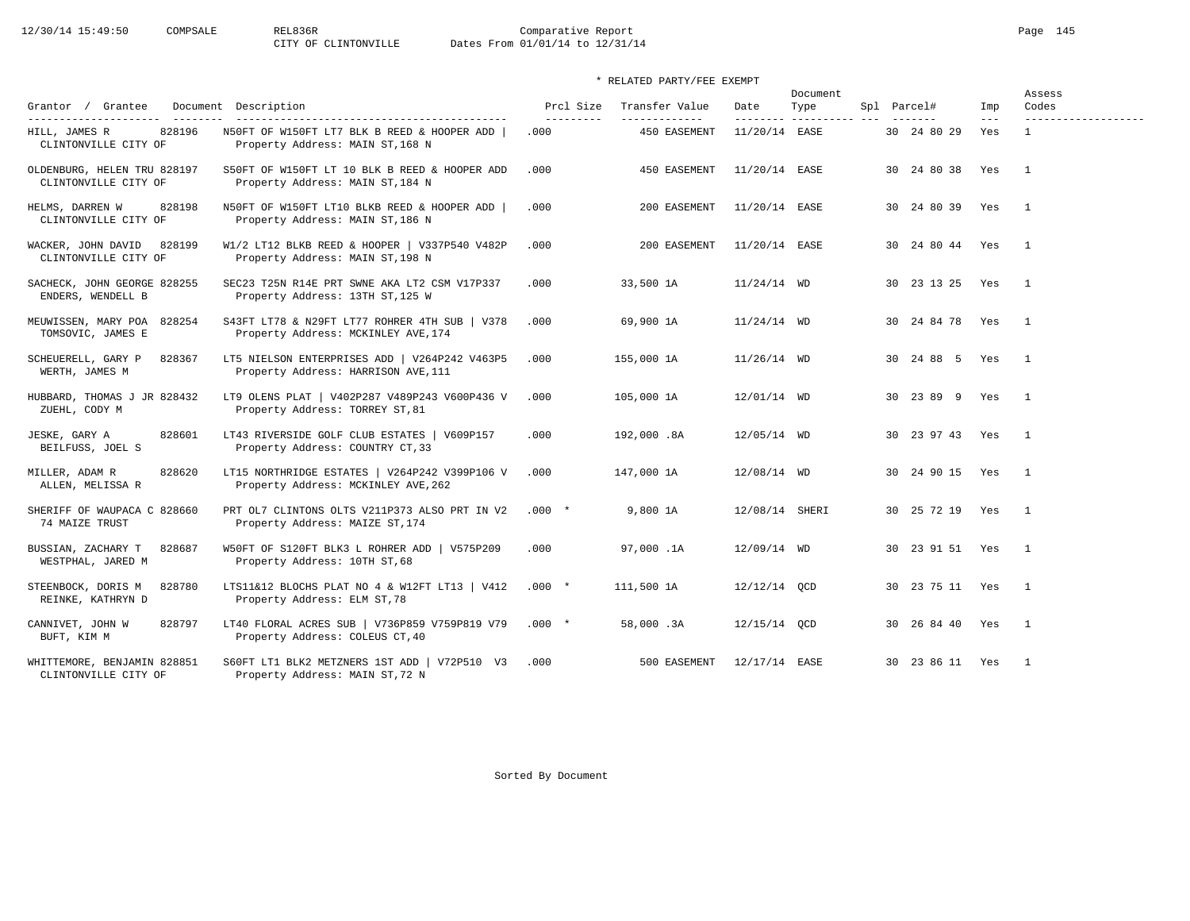12/30/14 15:49:50 COMPSALE REL836R Comparative Report Page 145<br>CITY OF CLINTONVILLE Dates From 01/01/14 to 12/31/14 Dates From 01/01/14 to 12/31/14

## \* RELATED PARTY/FEE EXEMPT

| Grantor / Grantee                                                        | Document Description                                                                 | Prcl Size         | Transfer Value                | Date           | Document<br>Type        | Spl Parcel#     | Imp          | Assess<br>Codes                     |
|--------------------------------------------------------------------------|--------------------------------------------------------------------------------------|-------------------|-------------------------------|----------------|-------------------------|-----------------|--------------|-------------------------------------|
| ---------------------<br>828196<br>HILL, JAMES R<br>CLINTONVILLE CITY OF | N50FT OF W150FT LT7 BLK B REED & HOOPER ADD<br>Property Address: MAIN ST, 168 N      | ---------<br>.000 | -------------<br>450 EASEMENT | 11/20/14 EASE  | -------- ---------- --- | 30 24 80 29     | $---$<br>Yes | -------------------<br>$\mathbf{1}$ |
| OLDENBURG, HELEN TRU 828197<br>CLINTONVILLE CITY OF                      | S50FT OF W150FT LT 10 BLK B REED & HOOPER ADD<br>Property Address: MAIN ST, 184 N    | .000              | 450 EASEMENT                  | 11/20/14 EASE  |                         | 30 24 80 38     | Yes          | $\overline{1}$                      |
| HELMS, DARREN W<br>828198<br>CLINTONVILLE CITY OF                        | N50FT OF W150FT LT10 BLKB REED & HOOPER ADD<br>Property Address: MAIN ST, 186 N      | .000              | 200 EASEMENT                  | 11/20/14 EASE  |                         | 30 24 80 39 Yes |              | $\overline{1}$                      |
| WACKER, JOHN DAVID 828199<br>CLINTONVILLE CITY OF                        | W1/2 LT12 BLKB REED & HOOPER   V337P540 V482P<br>Property Address: MAIN ST, 198 N    | .000              | 200 EASEMENT                  | 11/20/14 EASE  |                         | 30 24 80 44 Yes |              | $\overline{1}$                      |
| SACHECK, JOHN GEORGE 828255<br>ENDERS, WENDELL B                         | SEC23 T25N R14E PRT SWNE AKA LT2 CSM V17P337<br>Property Address: 13TH ST, 125 W     | .000              | 33,500 1A                     | $11/24/14$ WD  |                         | 30 23 13 25 Yes |              | $\overline{1}$                      |
| MEUWISSEN, MARY POA 828254<br>TOMSOVIC, JAMES E                          | S43FT LT78 & N29FT LT77 ROHRER 4TH SUB   V378<br>Property Address: MCKINLEY AVE, 174 | .000              | 69,900 1A                     | $11/24/14$ WD  |                         | 30 24 84 78 Yes |              | $\overline{1}$                      |
| SCHEUERELL, GARY P<br>828367<br>WERTH, JAMES M                           | LT5 NIELSON ENTERPRISES ADD   V264P242 V463P5<br>Property Address: HARRISON AVE, 111 | .000              | 155,000 1A                    | $11/26/14$ WD  |                         | 30 24 88 5 Yes  |              | $\overline{1}$                      |
| HUBBARD, THOMAS J JR 828432<br>ZUEHL, CODY M                             | LT9 OLENS PLAT   V402P287 V489P243 V600P436 V<br>Property Address: TORREY ST, 81     | .000              | 105,000 1A                    | 12/01/14 WD    |                         | 30 23 89 9 Yes  |              | $\overline{1}$                      |
| 828601<br>JESKE, GARY A<br>BEILFUSS, JOEL S                              | LT43 RIVERSIDE GOLF CLUB ESTATES   V609P157<br>Property Address: COUNTRY CT, 33      | .000              | 192,000.8A                    | 12/05/14 WD    |                         | 30 23 97 43 Yes |              | $\overline{1}$                      |
| 828620<br>MILLER, ADAM R<br>ALLEN, MELISSA R                             | LT15 NORTHRIDGE ESTATES   V264P242 V399P106 V<br>Property Address: MCKINLEY AVE, 262 | .000              | 147,000 1A                    | 12/08/14 WD    |                         | 30 24 90 15 Yes |              | $\overline{\phantom{0}}$            |
| SHERIFF OF WAUPACA C 828660<br>74 MAIZE TRUST                            | PRT OL7 CLINTONS OLTS V211P373 ALSO PRT IN V2<br>Property Address: MAIZE ST, 174     | $.000*$           | 9,800 1A                      | 12/08/14 SHERI |                         | 30 25 72 19 Yes |              | $\sqrt{1}$                          |
| BUSSIAN, ZACHARY T<br>828687<br>WESTPHAL, JARED M                        | W50FT OF S120FT BLK3 L ROHRER ADD   V575P209<br>Property Address: 10TH ST, 68        | .000              | 97,000.1A                     | 12/09/14 WD    |                         | 30 23 91 51 Yes |              | $\overline{1}$                      |
| STEENBOCK, DORIS M<br>828780<br>REINKE, KATHRYN D                        | LTS11&12 BLOCHS PLAT NO 4 & W12FT LT13   V412<br>Property Address: ELM ST, 78        | $.000 *$          | 111,500 1A                    | 12/12/14 OCD   |                         | 30 23 75 11 Yes |              | $\overline{1}$                      |
| CANNIVET, JOHN W<br>828797<br>BUFT, KIM M                                | LT40 FLORAL ACRES SUB   V736P859 V759P819 V79<br>Property Address: COLEUS CT, 40     | $.000*$           | 58,000.3A                     | 12/15/14 OCD   |                         | 30 26 84 40 Yes |              | $\overline{1}$                      |
| WHITTEMORE, BENJAMIN 828851<br>CLINTONVILLE CITY OF                      | S60FT LT1 BLK2 METZNERS 1ST ADD   V72P510 V3<br>Property Address: MAIN ST, 72 N      | .000              | 500 EASEMENT                  | 12/17/14 EASE  |                         | 30 23 86 11 Yes |              | $\overline{1}$                      |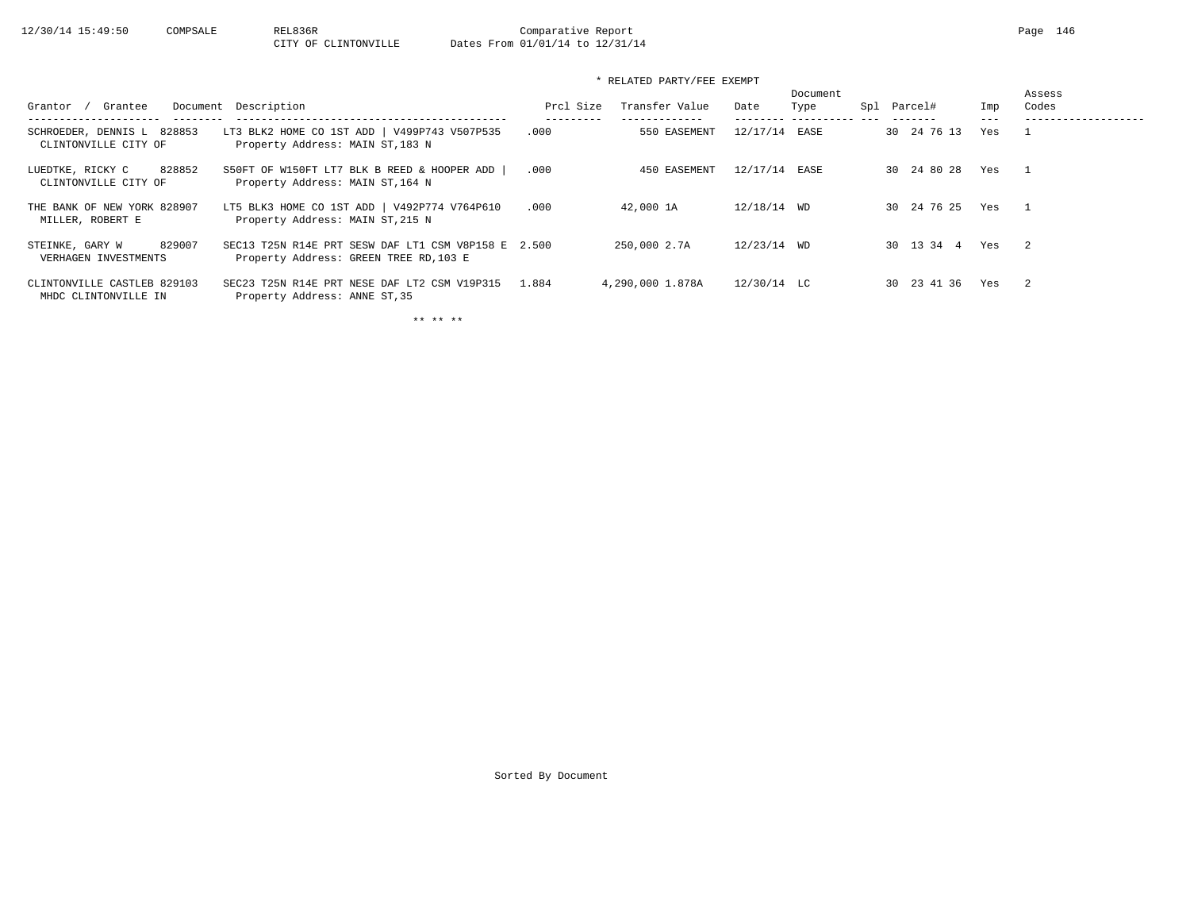## \* RELATED PARTY/FEE EXEMPT

| Grantee<br>Grantor                                  | Document Description                                                                          | Prcl Size | Transfer Value   | Date          | Document<br>Type | Spl | Parcel#     | Imp | Assess<br>Codes |
|-----------------------------------------------------|-----------------------------------------------------------------------------------------------|-----------|------------------|---------------|------------------|-----|-------------|-----|-----------------|
| SCHROEDER, DENNIS L 828853<br>CLINTONVILLE CITY OF  | LT3 BLK2 HOME CO 1ST ADD   V499P743 V507P535<br>Property Address: MAIN ST, 183 N              | .000      | 550 EASEMENT     | 12/17/14      | EASE             |     | 30 24 76 13 | Yes |                 |
| 828852<br>LUEDTKE, RICKY C<br>CLINTONVILLE CITY OF  | S50FT OF W150FT LT7 BLK B REED & HOOPER ADD<br>Property Address: MAIN ST, 164 N               | .000      | 450 EASEMENT     | 12/17/14      | EASE             |     | 30 24 80 28 | Yes |                 |
| THE BANK OF NEW YORK 828907<br>MILLER, ROBERT E     | LT5 BLK3 HOME CO 1ST ADD   V492P774 V764P610<br>Property Address: MAIN ST, 215 N              | .000      | 42,000 1A        | 12/18/14 WD   |                  |     | 30 24 76 25 | Yes | $\overline{1}$  |
| 829007<br>STEINKE, GARY W<br>VERHAGEN INVESTMENTS   | SEC13 T25N R14E PRT SESW DAF LT1 CSM V8P158 E 2.500<br>Property Address: GREEN TREE RD, 103 E |           | 250,000 2.7A     | 12/23/14 WD   |                  |     | 30 13 34 4  | Yes | $\overline{2}$  |
| CLINTONVILLE CASTLEB 829103<br>MHDC CLINTONVILLE IN | SEC23 T25N R14E PRT NESE DAF LT2 CSM V19P315<br>Property Address: ANNE ST, 35                 | 1.884     | 4,290,000 1.878A | $12/30/14$ LC |                  |     | 30 23 41 36 | Yes | $\overline{2}$  |

\*\* \*\* \*\*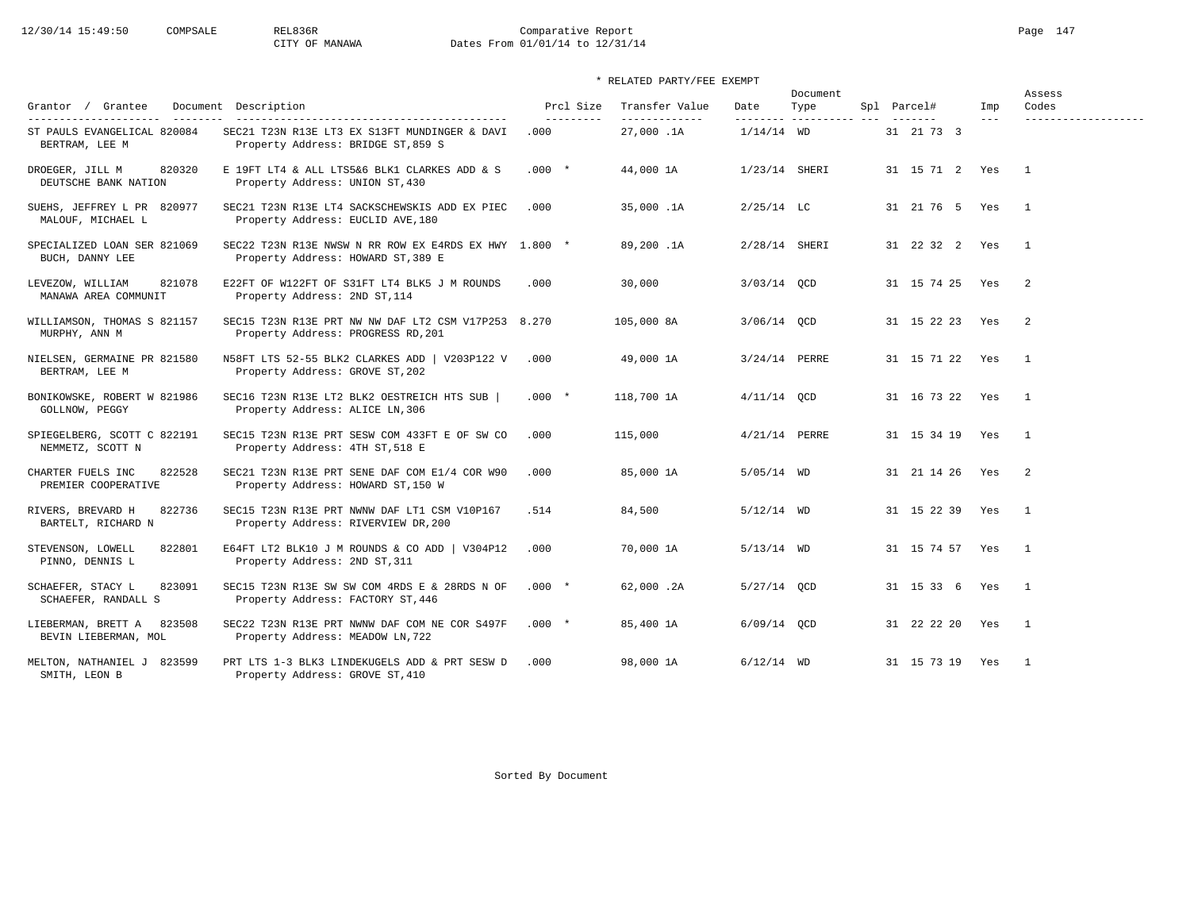# 12/30/14 15:49:50 COMPSALE REL836R Comparative Report Page 147 CITY OF MANAWA Dates From 01/01/14 to 12/31/14

## \* RELATED PARTY/FEE EXEMPT

| Grantor / Grantee<br>$- - - - - - - -$                                  | Document Description                                                                        | Prcl Size         | Transfer Value             | Date            | Document<br>Type      | Spl Parcel#     | Imp     | Assess<br>Codes     |
|-------------------------------------------------------------------------|---------------------------------------------------------------------------------------------|-------------------|----------------------------|-----------------|-----------------------|-----------------|---------|---------------------|
| ----------------------<br>ST PAULS EVANGELICAL 820084<br>BERTRAM, LEE M | SEC21 T23N R13E LT3 EX S13FT MUNDINGER & DAVI<br>Property Address: BRIDGE ST, 859 S         | ---------<br>.000 | -------------<br>27,000.1A | $1/14/14$ WD    | --------- ----------- | 31 21 73 3      | $- - -$ | ------------------- |
| 820320<br>DROEGER, JILL M<br>DEUTSCHE BANK NATION                       | E 19FT LT4 & ALL LTS5&6 BLK1 CLARKES ADD & S<br>Property Address: UNION ST, 430             | $.000*$           | 44,000 1A                  | 1/23/14 SHERI   |                       | 31 15 71 2 Yes  |         | $\overline{1}$      |
| SUEHS, JEFFREY L PR 820977<br>MALOUF, MICHAEL L                         | SEC21 T23N R13E LT4 SACKSCHEWSKIS ADD EX PIEC<br>Property Address: EUCLID AVE, 180          | .000              | 35,000.1A                  | $2/25/14$ LC    |                       | 31 21 76 5 Yes  |         | $\mathbf{1}$        |
| SPECIALIZED LOAN SER 821069<br>BUCH, DANNY LEE                          | SEC22 T23N R13E NWSW N RR ROW EX E4RDS EX HWY 1.800 *<br>Property Address: HOWARD ST, 389 E |                   | 89,200.1A                  | 2/28/14 SHERI   |                       | 31 22 32 2 Yes  |         | $\overline{1}$      |
| 821078<br>LEVEZOW, WILLIAM<br>MANAWA AREA COMMUNIT                      | E22FT OF W122FT OF S31FT LT4 BLK5 J M ROUNDS<br>Property Address: 2ND ST, 114               | .000              | 30,000                     | $3/03/14$ QCD   |                       | 31 15 74 25     | Yes     | -2                  |
| WILLIAMSON, THOMAS S 821157<br>MURPHY, ANN M                            | SEC15 T23N R13E PRT NW NW DAF LT2 CSM V17P253 8.270<br>Property Address: PROGRESS RD, 201   |                   | 105,000 8A                 | $3/06/14$ OCD   |                       | 31 15 22 23 Yes |         | 2                   |
| NIELSEN, GERMAINE PR 821580<br>BERTRAM, LEE M                           | N58FT LTS 52-55 BLK2 CLARKES ADD   V203P122 V<br>Property Address: GROVE ST, 202            | .000              | 49,000 1A                  | 3/24/14 PERRE   |                       | 31 15 71 22     | Yes     | $\overline{1}$      |
| BONIKOWSKE, ROBERT W 821986<br>GOLLNOW, PEGGY                           | SEC16 T23N R13E LT2 BLK2 OESTREICH HTS SUB  <br>Property Address: ALICE LN, 306             | $.000*$           | 118,700 1A                 | $4/11/14$ OCD   |                       | 31 16 73 22 Yes |         | $\mathbf{1}$        |
| SPIEGELBERG, SCOTT C 822191<br>NEMMETZ, SCOTT N                         | SEC15 T23N R13E PRT SESW COM 433FT E OF SW CO<br>Property Address: 4TH ST, 518 E            | .000              | 115,000                    | $4/21/14$ PERRE |                       | 31 15 34 19     | Yes     | $\overline{1}$      |
| 822528<br>CHARTER FUELS INC<br>PREMIER COOPERATIVE                      | SEC21 T23N R13E PRT SENE DAF COM E1/4 COR W90<br>Property Address: HOWARD ST, 150 W         | .000              | 85,000 1A                  | $5/05/14$ WD    |                       | 31 21 14 26 Yes |         | 2                   |
| RIVERS, BREVARD H<br>822736<br>BARTELT, RICHARD N                       | SEC15 T23N R13E PRT NWNW DAF LT1 CSM V10P167<br>Property Address: RIVERVIEW DR, 200         | .514              | 84,500                     | $5/12/14$ WD    |                       | 31 15 22 39 Yes |         | $\overline{1}$      |
| 822801<br>STEVENSON, LOWELL<br>PINNO, DENNIS L                          | E64FT LT2 BLK10 J M ROUNDS & CO ADD   V304P12<br>Property Address: 2ND ST, 311              | .000              | 70,000 1A                  | $5/13/14$ WD    |                       | 31 15 74 57     | Yes     | $\overline{1}$      |
| SCHAEFER, STACY L<br>823091<br>SCHAEFER, RANDALL S                      | SEC15 T23N R13E SW SW COM 4RDS E & 28RDS N OF<br>Property Address: FACTORY ST, 446          | $.000*$           | 62,000.2A                  | $5/27/14$ OCD   |                       | 31 15 33 6      | Yes     | $\overline{1}$      |
| LIEBERMAN, BRETT A<br>823508<br>BEVIN LIEBERMAN, MOL                    | SEC22 T23N R13E PRT NWNW DAF COM NE COR S497F<br>Property Address: MEADOW LN, 722           | $.000*$           | 85,400 1A                  | $6/09/14$ OCD   |                       | 31 22 22 20 Yes |         | $\overline{1}$      |
| MELTON, NATHANIEL J 823599<br>SMITH, LEON B                             | PRT LTS 1-3 BLK3 LINDEKUGELS ADD & PRT SESW D<br>Property Address: GROVE ST, 410            | .000              | 98,000 1A                  | $6/12/14$ WD    |                       | 31 15 73 19 Yes |         | $\overline{1}$      |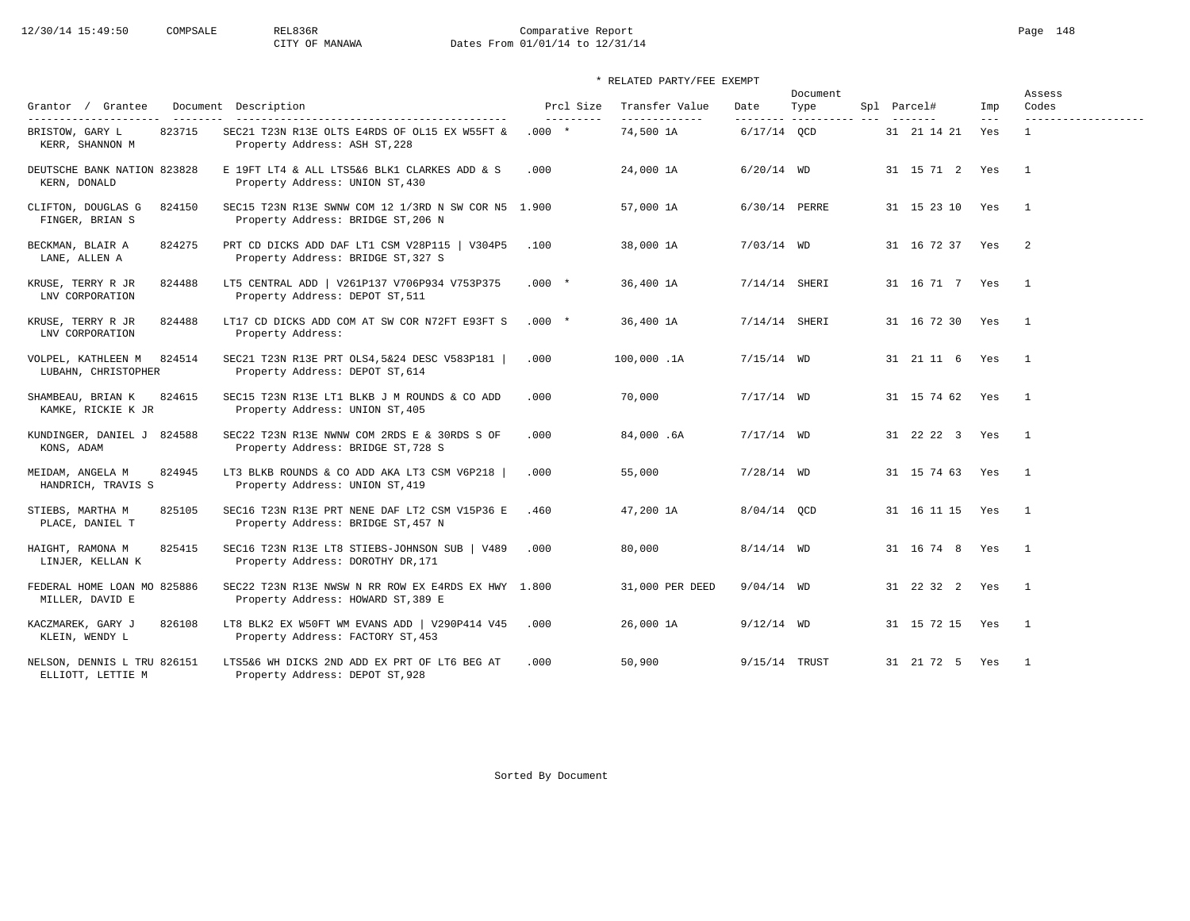# 12/30/14 15:49:50 COMPSALE REL836R Comparative Report Page 148 CITY OF MANAWA Dates From 01/01/14 to 12/31/14

| Grantor / Grantee                                   | Document Description                                                                      | Prcl Size  | Transfer Value  | Date            | Document<br>Type | Spl Parcel#       | Imp     | Assess<br>Codes     |
|-----------------------------------------------------|-------------------------------------------------------------------------------------------|------------|-----------------|-----------------|------------------|-------------------|---------|---------------------|
| ----------------------                              | -----------------------------------                                                       | ---------- | _____________   | ---------       | --------------   |                   | $- - -$ | ------------------- |
| 823715<br>BRISTOW, GARY L<br>KERR, SHANNON M        | SEC21 T23N R13E OLTS E4RDS OF OL15 EX W55FT &<br>Property Address: ASH ST, 228            | $.000 *$   | 74,500 1A       | $6/17/14$ OCD   |                  | 31 21 14 21       | Yes     | $\mathbf{1}$        |
| DEUTSCHE BANK NATION 823828<br>KERN, DONALD         | E 19FT LT4 & ALL LTS5&6 BLK1 CLARKES ADD & S<br>Property Address: UNION ST, 430           | .000       | 24,000 1A       | $6/20/14$ WD    |                  | 31 15 71 2 Yes    |         | $\overline{1}$      |
| 824150<br>CLIFTON, DOUGLAS G<br>FINGER, BRIAN S     | SEC15 T23N R13E SWNW COM 12 1/3RD N SW COR N5 1.900<br>Property Address: BRIDGE ST, 206 N |            | 57,000 1A       | 6/30/14 PERRE   |                  | 31 15 23 10 Yes   |         | $\overline{1}$      |
| BECKMAN, BLAIR A<br>824275<br>LANE, ALLEN A         | PRT CD DICKS ADD DAF LT1 CSM V28P115   V304P5<br>Property Address: BRIDGE ST, 327 S       | .100       | 38,000 1A       | $7/03/14$ WD    |                  | 31 16 72 37 Yes   |         | $\overline{2}$      |
| KRUSE, TERRY R JR<br>824488<br>LNV CORPORATION      | LT5 CENTRAL ADD   V261P137 V706P934 V753P375<br>Property Address: DEPOT ST, 511           | $.000*$    | 36,400 1A       | $7/14/14$ SHERI |                  | 31 16 71 7 Yes    |         | $\overline{1}$      |
| KRUSE, TERRY R JR<br>824488<br>LNV CORPORATION      | LT17 CD DICKS ADD COM AT SW COR N72FT E93FT S<br>Property Address:                        | $.000 *$   | 36,400 1A       | 7/14/14 SHERI   |                  | 31 16 72 30 Yes   |         | $\overline{1}$      |
| 824514<br>VOLPEL, KATHLEEN M<br>LUBAHN, CHRISTOPHER | SEC21 T23N R13E PRT OLS4, 5&24 DESC V583P181<br>Property Address: DEPOT ST, 614           | .000       | 100,000.1A      | $7/15/14$ WD    |                  | 31 21 11 6 Yes 1  |         |                     |
| SHAMBEAU, BRIAN K<br>824615<br>KAMKE, RICKIE K JR   | SEC15 T23N R13E LT1 BLKB J M ROUNDS & CO ADD<br>Property Address: UNION ST, 405           | .000       | 70,000          | $7/17/14$ WD    |                  | 31 15 74 62 Yes   |         | $\overline{1}$      |
| KUNDINGER, DANIEL J<br>824588<br>KONS, ADAM         | SEC22 T23N R13E NWNW COM 2RDS E & 30RDS S OF<br>Property Address: BRIDGE ST, 728 S        | .000       | 84,000.6A       | $7/17/14$ WD    |                  | 31 22 22 3 Yes    |         | $\overline{1}$      |
| 824945<br>MEIDAM, ANGELA M<br>HANDRICH, TRAVIS S    | LT3 BLKB ROUNDS & CO ADD AKA LT3 CSM V6P218  <br>Property Address: UNION ST, 419          | .000       | 55,000          | $7/28/14$ WD    |                  | 31 15 74 63 Yes   |         | $\sim$ 1            |
| STIEBS, MARTHA M<br>825105<br>PLACE, DANIEL T       | SEC16 T23N R13E PRT NENE DAF LT2 CSM V15P36 E<br>Property Address: BRIDGE ST, 457 N       | .460       | 47,200 1A       | 8/04/14 QCD     |                  | 31 16 11 15 Yes   |         | $\overline{1}$      |
| HAIGHT, RAMONA M<br>825415<br>LINJER, KELLAN K      | SEC16 T23N R13E LT8 STIEBS-JOHNSON SUB   V489<br>Property Address: DOROTHY DR, 171        | .000       | 80,000          | $8/14/14$ WD    |                  | 31 16 74 8 Yes    |         | $\sim$ 1            |
| FEDERAL HOME LOAN MO 825886<br>MILLER, DAVID E      | SEC22 T23N R13E NWSW N RR ROW EX E4RDS EX HWY 1.800<br>Property Address: HOWARD ST, 389 E |            | 31,000 PER DEED | $9/04/14$ WD    |                  | 31 22 32 2 Yes    |         | $\overline{1}$      |
| KACZMAREK, GARY J<br>826108<br>KLEIN, WENDY L       | LT8 BLK2 EX W50FT WM EVANS ADD   V290P414 V45<br>Property Address: FACTORY ST, 453        | .000       | 26,000 1A       | $9/12/14$ WD    |                  | 31 15 72 15 Yes 1 |         |                     |
| NELSON, DENNIS L TRU 826151<br>ELLIOTT, LETTIE M    | LTS5&6 WH DICKS 2ND ADD EX PRT OF LT6 BEG AT<br>Property Address: DEPOT ST, 928           | .000       | 50,900          | 9/15/14 TRUST   |                  | 31 21 72 5 Yes    |         | $\overline{1}$      |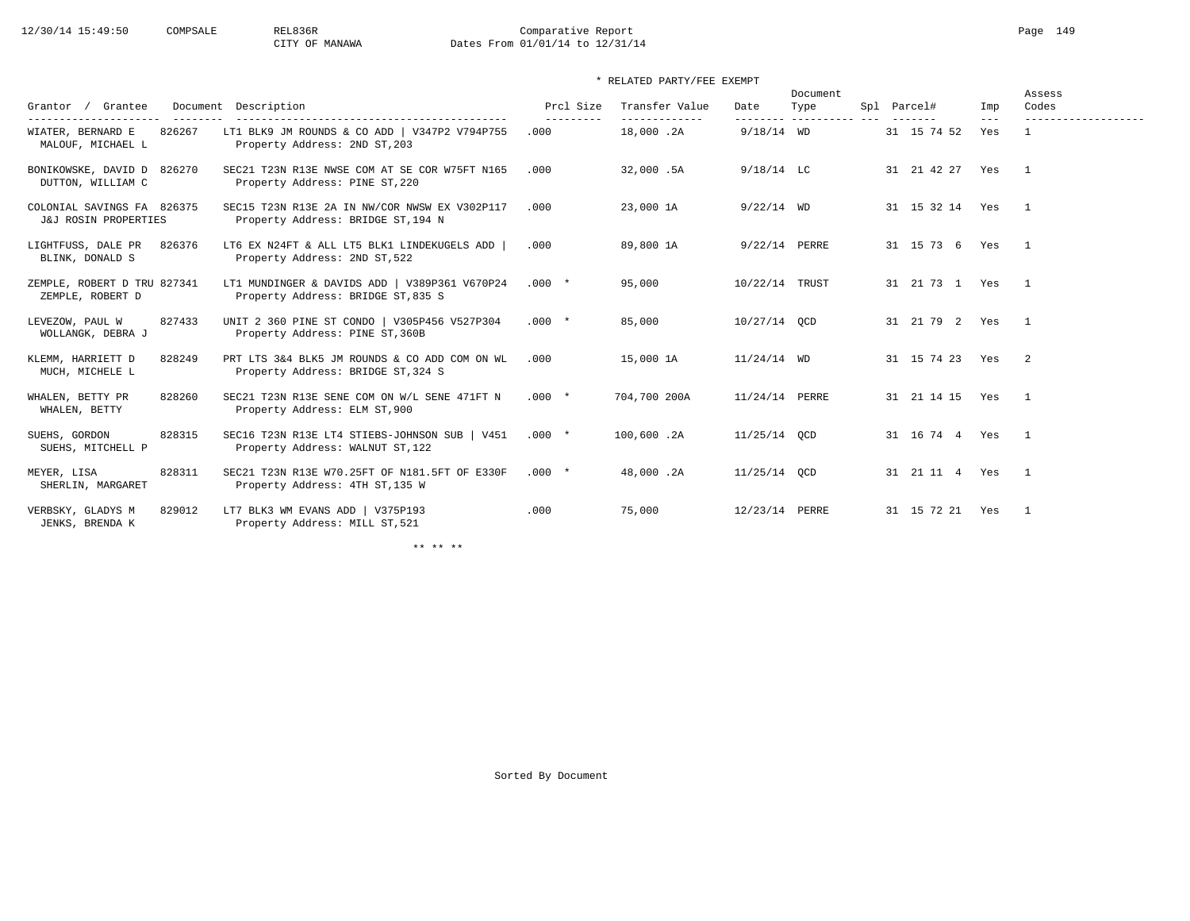# 12/30/14 15:49:50 COMPSALE REL836R Comparative Report Page 149 CITY OF MANAWA Dates From 01/01/14 to 12/31/14

## \* RELATED PARTY/FEE EXEMPT

|                                                    |        |                                                                                     |           |                                 |                | Document                     |                       |                | Assess         |
|----------------------------------------------------|--------|-------------------------------------------------------------------------------------|-----------|---------------------------------|----------------|------------------------------|-----------------------|----------------|----------------|
| Grantor / Grantee<br>----------------------        |        | Document Description                                                                | Prcl Size | Transfer Value<br>------------- | Date           | Type<br>--------- ---------- | Spl Parcel#           | Imp<br>$- - -$ | Codes<br>.     |
| WIATER, BERNARD E<br>MALOUF, MICHAEL L             | 826267 | LT1 BLK9 JM ROUNDS & CO ADD   V347P2 V794P755<br>Property Address: 2ND ST, 203      | .000      | 18,000.2A                       | $9/18/14$ WD   |                              | 31 15 74 52           | Yes            |                |
| BONIKOWSKE, DAVID D 826270<br>DUTTON, WILLIAM C    |        | SEC21 T23N R13E NWSE COM AT SE COR W75FT N165<br>Property Address: PINE ST, 220     | .000      | 32,000.5A                       | $9/18/14$ LC   |                              | 31 21 42 27 Yes       |                | $\overline{1}$ |
| COLONIAL SAVINGS FA 826375<br>J&J ROSIN PROPERTIES |        | SEC15 T23N R13E 2A IN NW/COR NWSW EX V302P117<br>Property Address: BRIDGE ST, 194 N | .000      | 23,000 1A                       | $9/22/14$ WD   |                              | 31 15 32 14 Yes       |                | $\overline{1}$ |
| LIGHTFUSS, DALE PR<br>BLINK, DONALD S              | 826376 | LT6 EX N24FT & ALL LT5 BLK1 LINDEKUGELS ADD<br>Property Address: 2ND ST, 522        | .000      | 89,800 1A                       | 9/22/14 PERRE  |                              | 31 15 73 6            | Yes            | $\overline{1}$ |
| ZEMPLE, ROBERT D TRU 827341<br>ZEMPLE, ROBERT D    |        | LT1 MUNDINGER & DAVIDS ADD   V389P361 V670P24<br>Property Address: BRIDGE ST, 835 S | $.000*$   | 95,000                          | 10/22/14 TRUST |                              | 31  21  73  1  Yes  1 |                |                |
| LEVEZOW, PAUL W<br>WOLLANGK, DEBRA J               | 827433 | UNIT 2 360 PINE ST CONDO   V305P456 V527P304<br>Property Address: PINE ST, 360B     | $.000*$   | 85,000                          | 10/27/14 OCD   |                              | 31  21  79  2  Yes  1 |                |                |
| KLEMM, HARRIETT D<br>MUCH, MICHELE L               | 828249 | PRT LTS 3&4 BLK5 JM ROUNDS & CO ADD COM ON WL<br>Property Address: BRIDGE ST, 324 S | .000      | 15,000 1A                       | $11/24/14$ WD  |                              | 31 15 74 23 Yes       |                | $\overline{2}$ |
| WHALEN, BETTY PR<br>WHALEN, BETTY                  | 828260 | SEC21 T23N R13E SENE COM ON W/L SENE 471FT N<br>Property Address: ELM ST, 900       | $.000*$   | 704,700 200A                    | 11/24/14 PERRE |                              | 31 21 14 15 Yes       |                | $\sim$ 1       |
| SUEHS, GORDON<br>SUEHS, MITCHELL P                 | 828315 | SEC16 T23N R13E LT4 STIEBS-JOHNSON SUB   V451<br>Property Address: WALNUT ST, 122   | $.000*$   | 100,600.2A                      | $11/25/14$ OCD |                              | 31 16 74 4 Yes 1      |                |                |
| MEYER, LISA<br>SHERLIN, MARGARET                   | 828311 | SEC21 T23N R13E W70.25FT OF N181.5FT OF E330F<br>Property Address: 4TH ST, 135 W    | $.000 *$  | 48,000.2A                       | $11/25/14$ OCD |                              | 31  21  11  4  Yes  1 |                |                |
| VERBSKY, GLADYS M<br>JENKS, BRENDA K               | 829012 | LT7 BLK3 WM EVANS ADD   V375P193<br>Property Address: MILL ST, 521                  | .000      | 75,000                          | 12/23/14 PERRE |                              | 31 15 72 21 Yes       |                | $\overline{1}$ |

\*\* \*\* \*\*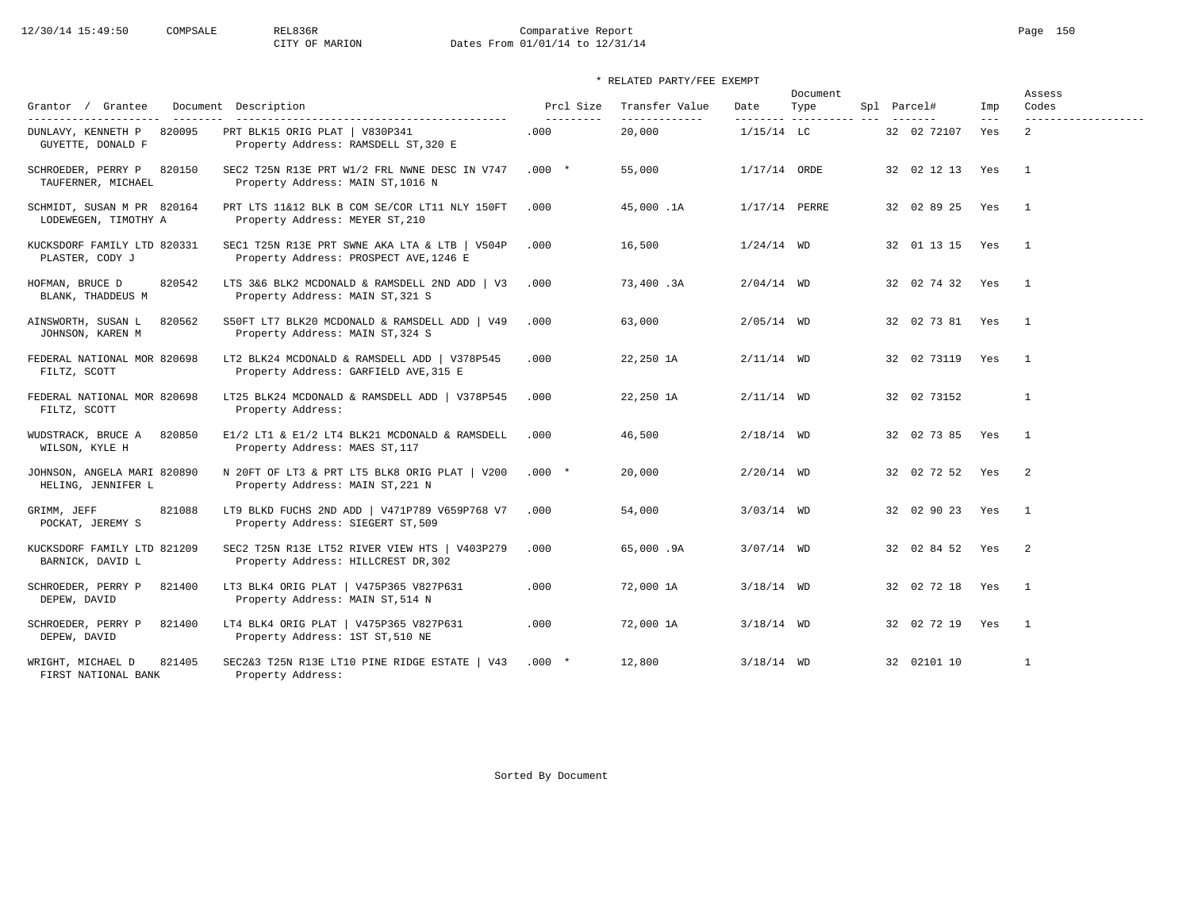# 12/30/14 15:49:50 COMPSALE REL836R Comparative Report Page 150<br>CITY OF MARION Dates From 01/01/14 to 12/31/14 Dates From 01/01/14 to 12/31/14

## \* RELATED PARTY/FEE EXEMPT

| Grantor / Grantee                                  | Document Description                                                                    | Prcl Size  | Transfer Value | Date           | Document<br>Type        | Spl Parcel#     | Imp     | Assess<br>Codes            |
|----------------------------------------------------|-----------------------------------------------------------------------------------------|------------|----------------|----------------|-------------------------|-----------------|---------|----------------------------|
| ----------------------                             |                                                                                         | ---------- | -------------  |                | -------- ---------- --- |                 | $- - -$ | -------------------        |
| 820095<br>DUNLAVY, KENNETH P<br>GUYETTE, DONALD F  | PRT BLK15 ORIG PLAT   V830P341<br>Property Address: RAMSDELL ST, 320 E                  | .000       | 20,000         | $1/15/14$ LC   |                         | 32 02 72107     | Yes     | $\overline{2}$             |
| SCHROEDER, PERRY P<br>820150<br>TAUFERNER, MICHAEL | SEC2 T25N R13E PRT W1/2 FRL NWNE DESC IN V747<br>Property Address: MAIN ST, 1016 N      | $.000*$    | 55,000         | $1/17/14$ ORDE |                         | 32 02 12 13 Yes |         | $\overline{1}$             |
| SCHMIDT, SUSAN M PR 820164<br>LODEWEGEN, TIMOTHY A | PRT LTS 11&12 BLK B COM SE/COR LT11 NLY 150FT<br>Property Address: MEYER ST, 210        | .000       | 45,000.1A      | 1/17/14 PERRE  |                         | 32 02 89 25 Yes |         | $\overline{1}$             |
| KUCKSDORF FAMILY LTD 820331<br>PLASTER, CODY J     | SEC1 T25N R13E PRT SWNE AKA LTA & LTB   V504P<br>Property Address: PROSPECT AVE, 1246 E | .000       | 16,500         | $1/24/14$ WD   |                         | 32 01 13 15 Yes |         | $\overline{\phantom{0}}$   |
| 820542<br>HOFMAN, BRUCE D<br>BLANK, THADDEUS M     | LTS 3&6 BLK2 MCDONALD & RAMSDELL 2ND ADD   V3<br>Property Address: MAIN ST, 321 S       | .000       | 73,400.3A      | $2/04/14$ WD   |                         | 32 02 74 32 Yes |         | $\overline{\phantom{0}}$   |
| 820562<br>AINSWORTH, SUSAN L<br>JOHNSON, KAREN M   | S50FT LT7 BLK20 MCDONALD & RAMSDELL ADD   V49<br>Property Address: MAIN ST, 324 S       | .000       | 63,000         | $2/05/14$ WD   |                         | 32 02 73 81 Yes |         | $\overline{\phantom{1}}$   |
| FEDERAL NATIONAL MOR 820698<br>FILTZ, SCOTT        | LT2 BLK24 MCDONALD & RAMSDELL ADD   V378P545<br>Property Address: GARFIELD AVE, 315 E   | .000       | 22,250 1A      | $2/11/14$ WD   |                         | 32 02 73119     | Yes     | $\overline{1}$             |
| FEDERAL NATIONAL MOR 820698<br>FILTZ, SCOTT        | LT25 BLK24 MCDONALD & RAMSDELL ADD   V378P545<br>Property Address:                      | .000       | 22,250 1A      | $2/11/14$ WD   |                         | 32 02 73152     |         | $\mathbf{1}$               |
| WUDSTRACK, BRUCE A<br>820850<br>WILSON, KYLE H     | E1/2 LT1 & E1/2 LT4 BLK21 MCDONALD & RAMSDELL<br>Property Address: MAES ST, 117         | .000       | 46,500         | $2/18/14$ WD   |                         | 32 02 73 85 Yes |         | $\overline{1}$             |
| JOHNSON, ANGELA MARI 820890<br>HELING, JENNIFER L  | N 20FT OF LT3 & PRT LT5 BLK8 ORIG PLAT   V200<br>Property Address: MAIN ST, 221 N       | $.000*$    | 20,000         | $2/20/14$ WD   |                         | 32 02 72 52 Yes |         | $\overline{\phantom{0}}^2$ |
| GRIMM, JEFF<br>821088<br>POCKAT, JEREMY S          | LT9 BLKD FUCHS 2ND ADD   V471P789 V659P768 V7<br>Property Address: SIEGERT ST, 509      | .000       | 54,000         | $3/03/14$ WD   |                         | 32 02 90 23 Yes |         | $\overline{1}$             |
| KUCKSDORF FAMILY LTD 821209<br>BARNICK, DAVID L    | SEC2 T25N R13E LT52 RIVER VIEW HTS   V403P279<br>Property Address: HILLCREST DR, 302    | .000       | 65,000.9A      | $3/07/14$ WD   |                         | 32 02 84 52 Yes |         | $\overline{2}$             |
| SCHROEDER, PERRY P<br>821400<br>DEPEW, DAVID       | LT3 BLK4 ORIG PLAT   V475P365 V827P631<br>Property Address: MAIN ST, 514 N              | .000       | 72,000 1A      | $3/18/14$ WD   |                         | 32 02 72 18 Yes |         | $\overline{1}$             |
| SCHROEDER, PERRY P<br>821400<br>DEPEW, DAVID       | LT4 BLK4 ORIG PLAT   V475P365 V827P631<br>Property Address: 1ST ST, 510 NE              | .000       | 72,000 1A      | $3/18/14$ WD   |                         | 32 02 72 19     | Yes     | $\overline{1}$             |
| 821405<br>WRIGHT, MICHAEL D<br>FIRST NATIONAL BANK | SEC2&3 T25N R13E LT10 PINE RIDGE ESTATE   V43<br>Property Address:                      | $.000*$    | 12,800         | $3/18/14$ WD   |                         | 32 02101 10     |         | $\overline{1}$             |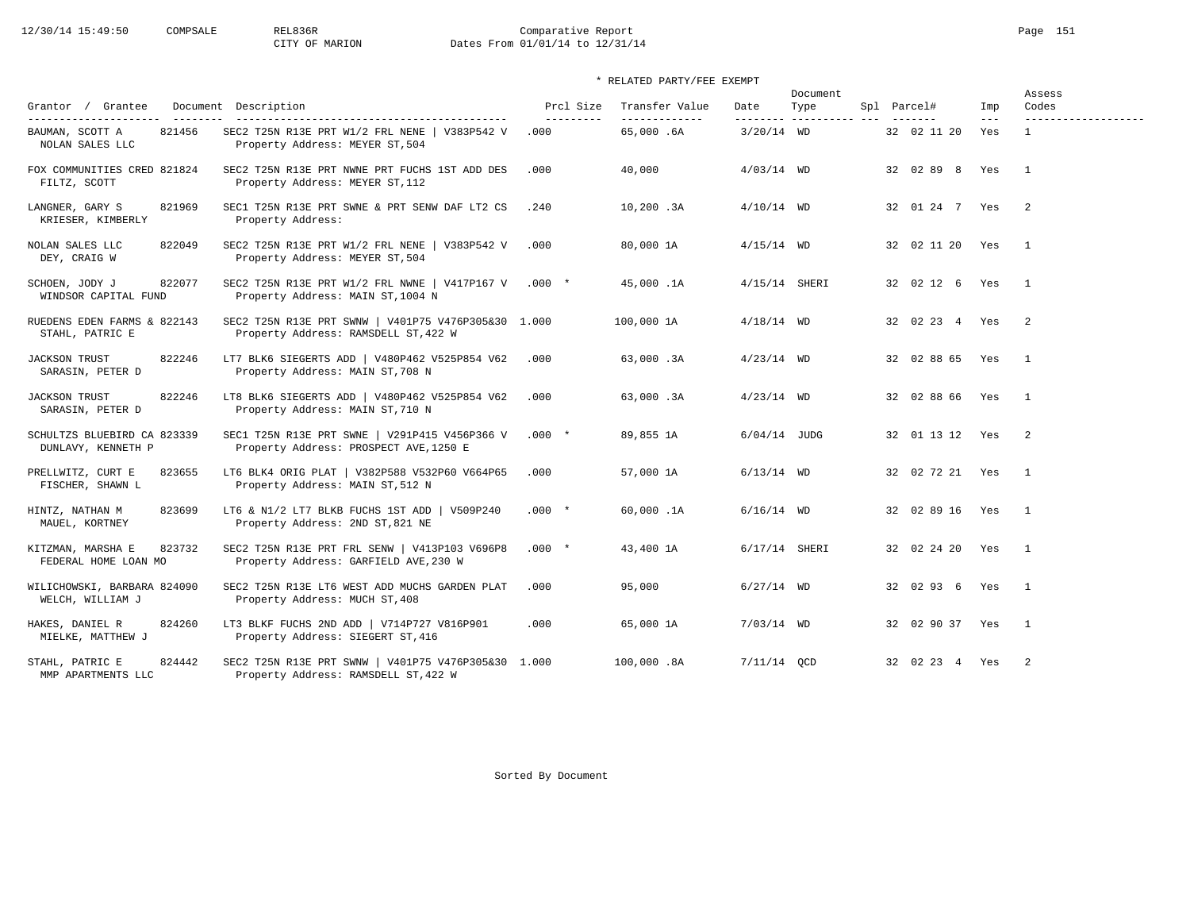# 12/30/14 15:49:50 COMPSALE REL836R Comparative Report Page 151 CITY OF MARION Dates From 01/01/14 to 12/31/14

## \* RELATED PARTY/FEE EXEMPT

| Grantor / Grantee                                   | Document Description                                                                                                    | Prcl Size          | Transfer Value              | Date            | Document<br>Type        | Spl Parcel#       | Imp          | Assess<br>Codes                     |
|-----------------------------------------------------|-------------------------------------------------------------------------------------------------------------------------|--------------------|-----------------------------|-----------------|-------------------------|-------------------|--------------|-------------------------------------|
| 821456<br>BAUMAN, SCOTT A<br>NOLAN SALES LLC        | -----------------------------------<br>SEC2 T25N R13E PRT W1/2 FRL NENE   V383P542 V<br>Property Address: MEYER ST, 504 | ----------<br>.000 | --------------<br>65,000.6A | $3/20/14$ WD    | -------- ---------- --- | 32 02 11 20       | $---$<br>Yes | -------------------<br>$\mathbf{1}$ |
| FOX COMMUNITIES CRED 821824<br>FILTZ, SCOTT         | SEC2 T25N R13E PRT NWNE PRT FUCHS 1ST ADD DES<br>Property Address: MEYER ST, 112                                        | .000               | 40,000                      | $4/03/14$ WD    |                         | 32 02 89 8 Yes    |              | $\overline{1}$                      |
| 821969<br>LANGNER, GARY S<br>KRIESER, KIMBERLY      | SEC1 T25N R13E PRT SWNE & PRT SENW DAF LT2 CS<br>Property Address:                                                      | .240               | 10,200.3A                   | $4/10/14$ WD    |                         | 32 01 24 7 Yes    |              | $\overline{\phantom{0}}$            |
| 822049<br>NOLAN SALES LLC<br>DEY, CRAIG W           | SEC2 T25N R13E PRT W1/2 FRL NENE   V383P542 V<br>Property Address: MEYER ST, 504                                        | .000               | 80,000 1A                   | $4/15/14$ WD    |                         | 32 02 11 20 Yes   |              | $\overline{1}$                      |
| 822077<br>SCHOEN, JODY J<br>WINDSOR CAPITAL FUND    | SEC2 T25N R13E PRT W1/2 FRL NWNE   V417P167 V .000 *<br>Property Address: MAIN ST, 1004 N                               |                    | 45,000.1A                   | $4/15/14$ SHERI |                         | 32 02 12 6 Yes    |              | $\overline{1}$                      |
| RUEDENS EDEN FARMS & 822143<br>STAHL, PATRIC E      | SEC2 T25N R13E PRT SWNW   V401P75 V476P305&30 1.000<br>Property Address: RAMSDELL ST, 422 W                             |                    | 100,000 1A                  | $4/18/14$ WD    |                         | 32 02 23 4 Yes    |              | $\overline{\phantom{a}}$            |
| 822246<br><b>JACKSON TRUST</b><br>SARASIN, PETER D  | LT7 BLK6 SIEGERTS ADD   V480P462 V525P854 V62<br>Property Address: MAIN ST, 708 N                                       | .000               | 63,000.3A                   | $4/23/14$ WD    |                         | 32 02 88 65 Yes   |              | $\overline{1}$                      |
| 822246<br><b>JACKSON TRUST</b><br>SARASIN, PETER D  | LT8 BLK6 SIEGERTS ADD   V480P462 V525P854 V62<br>Property Address: MAIN ST, 710 N                                       | .000               | 63,000.3A                   | $4/23/14$ WD    |                         | 32 02 88 66 Yes   |              | $\overline{\phantom{0}}$            |
| SCHULTZS BLUEBIRD CA 823339<br>DUNLAVY, KENNETH P   | SEC1 T25N R13E PRT SWNE   V291P415 V456P366 V<br>Property Address: PROSPECT AVE, 1250 E                                 | $.000*$            | 89,855 1A                   | $6/04/14$ JUDG  |                         | 32 01 13 12 Yes   |              | $\overline{\phantom{a}}$            |
| PRELLWITZ, CURT E<br>823655<br>FISCHER, SHAWN L     | LT6 BLK4 ORIG PLAT   V382P588 V532P60 V664P65<br>Property Address: MAIN ST, 512 N                                       | .000               | 57,000 1A                   | $6/13/14$ WD    |                         | 32 02 72 21 Yes   |              | $\overline{1}$                      |
| HINTZ, NATHAN M<br>823699<br>MAUEL, KORTNEY         | LT6 & N1/2 LT7 BLKB FUCHS 1ST ADD   V509P240<br>Property Address: 2ND ST, 821 NE                                        | $.000 *$           | 60,000.1A                   | $6/16/14$ WD    |                         | 32 02 89 16 Yes 1 |              |                                     |
| 823732<br>KITZMAN, MARSHA E<br>FEDERAL HOME LOAN MO | SEC2 T25N R13E PRT FRL SENW   V413P103 V696P8<br>Property Address: GARFIELD AVE, 230 W                                  | $.000*$            | 43,400 1A                   | $6/17/14$ SHERI |                         | 32 02 24 20 Yes 1 |              |                                     |
| WILICHOWSKI, BARBARA 824090<br>WELCH, WILLIAM J     | SEC2 T25N R13E LT6 WEST ADD MUCHS GARDEN PLAT<br>Property Address: MUCH ST, 408                                         | .000               | 95,000                      | $6/27/14$ WD    |                         | 32 02 93 6 Yes    |              | $\overline{1}$                      |
| HAKES, DANIEL R<br>824260<br>MIELKE, MATTHEW J      | LT3 BLKF FUCHS 2ND ADD   V714P727 V816P901<br>Property Address: SIEGERT ST, 416                                         | .000               | 65,000 1A                   | $7/03/14$ WD    |                         | 32 02 90 37 Yes   |              | $\overline{1}$                      |
| STAHL, PATRIC E<br>824442<br>MMP APARTMENTS LLC     | SEC2 T25N R13E PRT SWNW   V401P75 V476P305&30 1.000<br>Property Address: RAMSDELL ST, 422 W                             |                    | 100,000.8A                  | $7/11/14$ OCD   |                         | 32 02 23 4 Yes    |              | $\overline{2}$                      |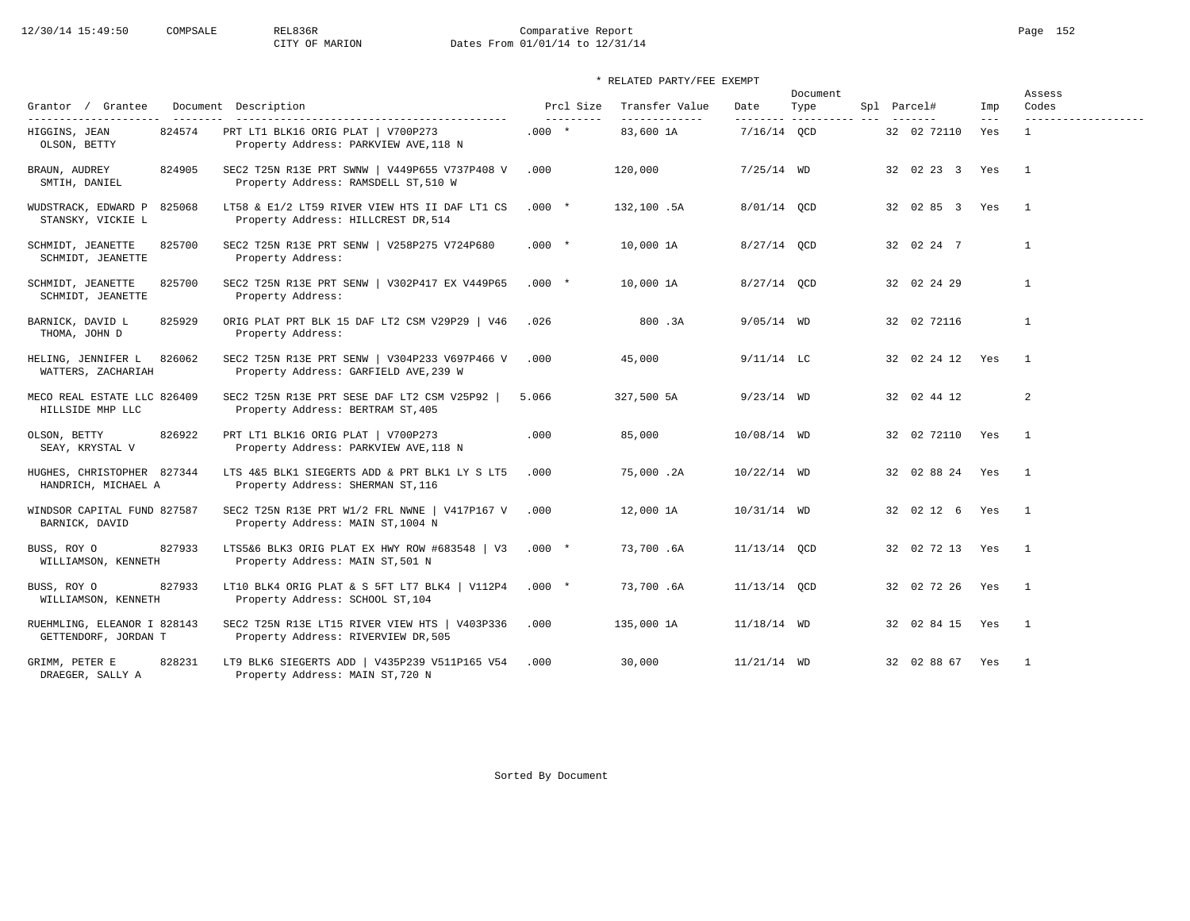# 12/30/14 15:49:50 COMPSALE REL836R Comparative Report Page 152 CITY OF MARION Dates From 01/01/14 to 12/31/14

## \* RELATED PARTY/FEE EXEMPT

| Grantor / Grantee                                       |        | Document Description                                                                                              |         | Prcl Size  | Transfer Value              | Date          | Document<br>Type         | Spl Parcel# |                   | Imp          | Assess<br>Codes                     |
|---------------------------------------------------------|--------|-------------------------------------------------------------------------------------------------------------------|---------|------------|-----------------------------|---------------|--------------------------|-------------|-------------------|--------------|-------------------------------------|
| ______________________<br>HIGGINS, JEAN<br>OLSON, BETTY | 824574 | ----------------------------------<br>PRT LT1 BLK16 ORIG PLAT   V700P273<br>Property Address: PARKVIEW AVE, 118 N | $.000*$ | ---------- | --------------<br>83,600 1A | $7/16/14$ OCD | --------- ---------- --- |             | 32 02 72110       | $---$<br>Yes | -------------------<br>$\mathbf{1}$ |
| BRAUN, AUDREY<br>SMTIH, DANIEL                          | 824905 | SEC2 T25N R13E PRT SWNW   V449P655 V737P408 V<br>Property Address: RAMSDELL ST, 510 W                             | .000    |            | 120,000                     | $7/25/14$ WD  |                          |             | 32 02 23 3 Yes    |              | $\overline{1}$                      |
| WUDSTRACK, EDWARD P 825068<br>STANSKY, VICKIE L         |        | LT58 & E1/2 LT59 RIVER VIEW HTS II DAF LT1 CS<br>Property Address: HILLCREST DR, 514                              | $.000*$ |            | 132,100.5A                  | 8/01/14 OCD   |                          |             | 32 02 85 3 Yes    |              | $\overline{1}$                      |
| SCHMIDT, JEANETTE<br>SCHMIDT, JEANETTE                  | 825700 | SEC2 T25N R13E PRT SENW   V258P275 V724P680<br>Property Address:                                                  | $.000*$ |            | 10,000 1A                   | 8/27/14 OCD   |                          |             | 32 02 24 7        |              | $\mathbf{1}$                        |
| SCHMIDT, JEANETTE<br>SCHMIDT, JEANETTE                  | 825700 | SEC2 T25N R13E PRT SENW   V302P417 EX V449P65<br>Property Address:                                                | $.000*$ |            | 10,000 1A                   | $8/27/14$ OCD |                          |             | 32 02 24 29       |              | $\mathbf{1}$                        |
| BARNICK, DAVID L<br>THOMA, JOHN D                       | 825929 | ORIG PLAT PRT BLK 15 DAF LT2 CSM V29P29   V46<br>Property Address:                                                | .026    |            | 800.3A                      | $9/05/14$ WD  |                          |             | 32 02 72116       |              | $\mathbf{1}$                        |
| HELING, JENNIFER L<br>WATTERS, ZACHARIAH                | 826062 | SEC2 T25N R13E PRT SENW   V304P233 V697P466 V<br>Property Address: GARFIELD AVE, 239 W                            | .000    |            | 45,000                      | $9/11/14$ LC  |                          |             | 32 02 24 12 Yes   |              | $\overline{1}$                      |
| MECO REAL ESTATE LLC 826409<br>HILLSIDE MHP LLC         |        | SEC2 T25N R13E PRT SESE DAF LT2 CSM V25P92  <br>Property Address: BERTRAM ST, 405                                 | 5.066   |            | 327,500 5A                  | $9/23/14$ WD  |                          |             | 32 02 44 12       |              | 2                                   |
| OLSON, BETTY<br>SEAY, KRYSTAL V                         | 826922 | PRT LT1 BLK16 ORIG PLAT   V700P273<br>Property Address: PARKVIEW AVE, 118 N                                       | .000    |            | 85,000                      | 10/08/14 WD   |                          |             | 32 02 72110 Yes 1 |              |                                     |
| HUGHES, CHRISTOPHER 827344<br>HANDRICH, MICHAEL A       |        | LTS 4&5 BLK1 SIEGERTS ADD & PRT BLK1 LY S LT5<br>Property Address: SHERMAN ST, 116                                | .000    |            | 75,000.2A                   | $10/22/14$ WD |                          |             | 32 02 88 24 Yes   |              | $\overline{1}$                      |
| WINDSOR CAPITAL FUND 827587<br>BARNICK, DAVID           |        | SEC2 T25N R13E PRT W1/2 FRL NWNE   V417P167 V<br>Property Address: MAIN ST, 1004 N                                | .000    |            | 12,000 1A                   | 10/31/14 WD   |                          |             | 32 02 12 6 Yes 1  |              |                                     |
| BUSS, ROY O<br>WILLIAMSON, KENNETH                      | 827933 | LTS5&6 BLK3 ORIG PLAT EX HWY ROW #683548   V3<br>Property Address: MAIN ST, 501 N                                 | $.000*$ |            | 73,700.6A                   | 11/13/14 QCD  |                          |             | 32 02 72 13 Yes   |              | $\overline{1}$                      |
| BUSS, ROY O<br>WILLIAMSON, KENNETH                      | 827933 | LT10 BLK4 ORIG PLAT & S 5FT LT7 BLK4   V112P4<br>Property Address: SCHOOL ST, 104                                 | $.000*$ |            | 73,700.6A                   | 11/13/14 OCD  |                          |             | 32 02 72 26 Yes   |              | $\overline{\phantom{0}}$            |
| RUEHMLING, ELEANOR I 828143<br>GETTENDORF, JORDAN T     |        | SEC2 T25N R13E LT15 RIVER VIEW HTS   V403P336<br>Property Address: RIVERVIEW DR, 505                              | .000    |            | 135,000 1A                  | $11/18/14$ WD |                          |             | 32 02 84 15 Yes 1 |              |                                     |
| GRIMM, PETER E<br>DRAEGER, SALLY A                      | 828231 | LT9 BLK6 SIEGERTS ADD   V435P239 V511P165 V54<br>Property Address: MAIN ST, 720 N                                 | .000    |            | 30,000                      | $11/21/14$ WD |                          |             | 32 02 88 67 Yes   |              | $\overline{1}$                      |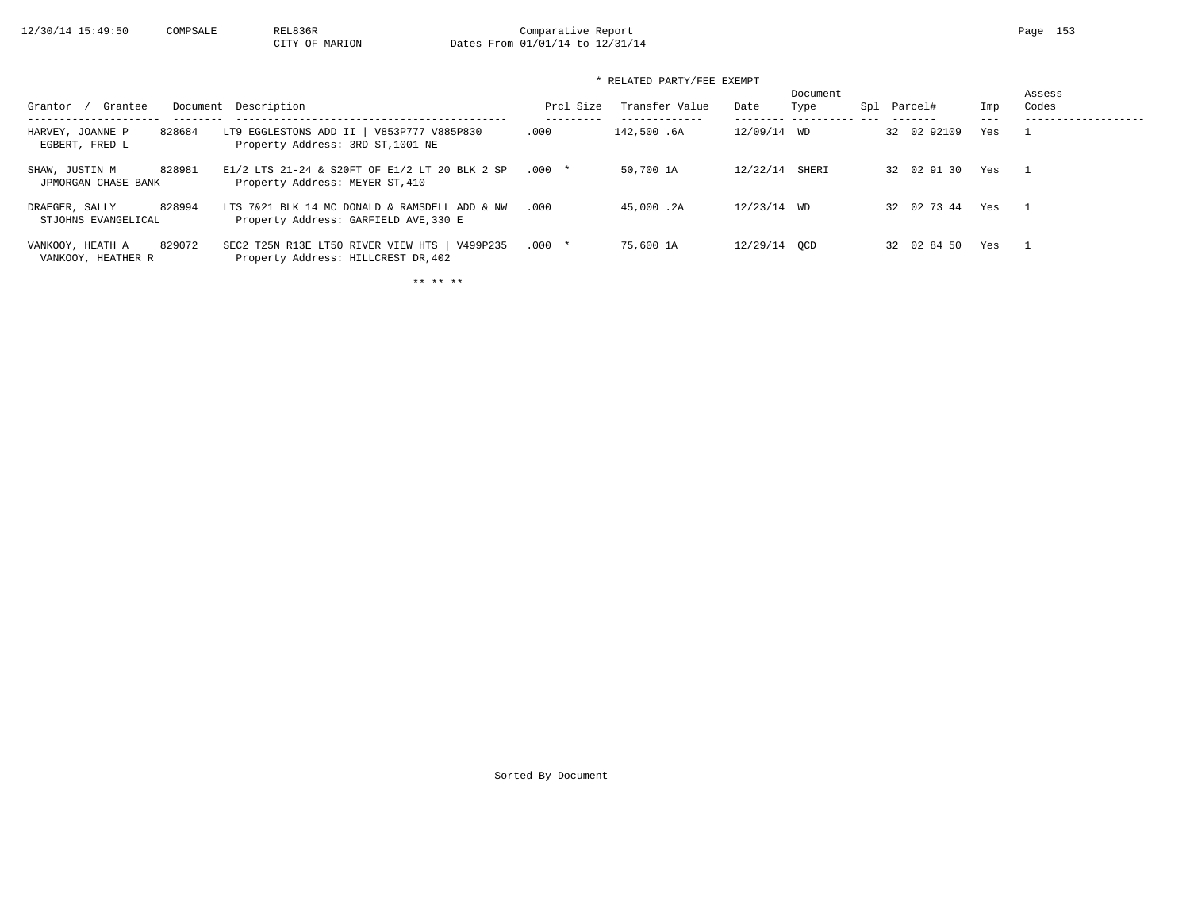# 12/30/14 15:49:50 COMPSALE REL836R Comparative Report Comparative Report Page 153 Dates From 01/01/14 to 12/31/14

## \* RELATED PARTY/FEE EXEMPT

| Grantee<br>Grantor                     |        | Document Description                                                                   | Prcl Size | Transfer Value | Date         | Document<br>Type | Spl | Parcel#     | Imp | Assess<br>Codes |
|----------------------------------------|--------|----------------------------------------------------------------------------------------|-----------|----------------|--------------|------------------|-----|-------------|-----|-----------------|
| HARVEY, JOANNE P<br>EGBERT, FRED L     | 828684 | LT9 EGGLESTONS ADD II   V853P777 V885P830<br>Property Address: 3RD ST, 1001 NE         | .000      | 142,500.6A     | 12/09/14 WD  |                  |     | 32 02 92109 | Yes |                 |
| SHAW, JUSTIN M<br>JPMORGAN CHASE BANK  | 828981 | E1/2 LTS 21-24 & S20FT OF E1/2 LT 20 BLK 2 SP<br>Property Address: MEYER ST, 410       | $.000*$   | 50,700 1A      | 12/22/14     | SHERI            |     | 32 02 91 30 | Yes |                 |
| DRAEGER, SALLY<br>STJOHNS EVANGELICAL  | 828994 | LTS 7&21 BLK 14 MC DONALD & RAMSDELL ADD & NW<br>Property Address: GARFIELD AVE, 330 E | .000      | 45,000.2A      | 12/23/14 WD  |                  |     | 32 02 73 44 | Yes |                 |
| VANKOOY, HEATH A<br>VANKOOY, HEATHER R | 829072 | SEC2 T25N R13E LT50 RIVER VIEW HTS   V499P235<br>Property Address: HILLCREST DR, 402   | $.000*$   | 75,600 1A      | 12/29/14 OCD |                  |     | 32 02 84 50 | Yes |                 |

\*\* \*\* \*\*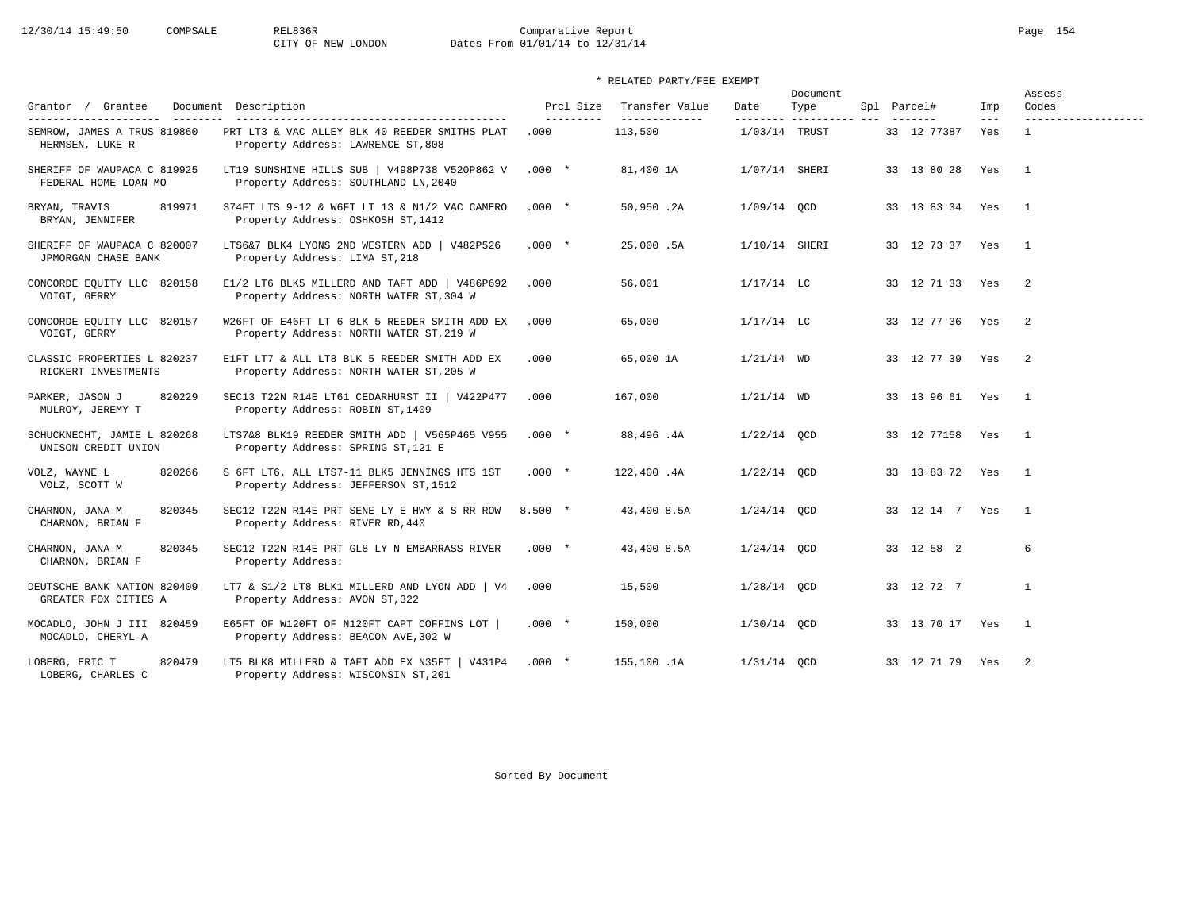# 12/30/14 15:49:50 COMPSALE REL836R Comparative Report Comparative Report Page 154 Dates From 01/01/14 to 12/31/14

## \* RELATED PARTY/FEE EXEMPT

|                                                     |                                                                                          | Document                |                                  |                 |                              |                 |                | Assess                     |  |
|-----------------------------------------------------|------------------------------------------------------------------------------------------|-------------------------|----------------------------------|-----------------|------------------------------|-----------------|----------------|----------------------------|--|
| Grantor / Grantee<br>________                       | Document Description<br>-------------------------------------                            | Prcl Size<br>---------- | Transfer Value<br>-------------- | Date            | Type<br>--------- ---------- | Spl Parcel#     | Imp<br>$- - -$ | Codes                      |  |
| SEMROW, JAMES A TRUS 819860<br>HERMSEN, LUKE R      | PRT LT3 & VAC ALLEY BLK 40 REEDER SMITHS PLAT<br>Property Address: LAWRENCE ST, 808      | .000                    | 113,500                          | $1/03/14$ TRUST |                              | 33 12 77387     | Yes            | $\mathbf{1}$               |  |
| SHERIFF OF WAUPACA C 819925<br>FEDERAL HOME LOAN MO | LT19 SUNSHINE HILLS SUB   V498P738 V520P862 V<br>Property Address: SOUTHLAND LN, 2040    | $.000*$                 | 81,400 1A                        | 1/07/14 SHERI   |                              | 33 13 80 28     | Yes            | $\overline{1}$             |  |
| 819971<br>BRYAN, TRAVIS<br>BRYAN, JENNIFER          | S74FT LTS 9-12 & W6FT LT 13 & N1/2 VAC CAMERO<br>Property Address: OSHKOSH ST, 1412      | $.000*$                 | 50,950.2A                        | $1/09/14$ QCD   |                              | 33 13 83 34 Yes |                | $\overline{1}$             |  |
| SHERIFF OF WAUPACA C 820007<br>JPMORGAN CHASE BANK  | LTS6&7 BLK4 LYONS 2ND WESTERN ADD   V482P526<br>Property Address: LIMA ST, 218           | $.000*$                 | 25,000.5A                        | $1/10/14$ SHERI |                              | 33 12 73 37 Yes |                | $\overline{1}$             |  |
| CONCORDE EQUITY LLC 820158<br>VOIGT, GERRY          | E1/2 LT6 BLK5 MILLERD AND TAFT ADD   V486P692<br>Property Address: NORTH WATER ST, 304 W | .000                    | 56,001                           | $1/17/14$ LC    |                              | 33 12 71 33 Yes |                | $\overline{\phantom{0}}^2$ |  |
| CONCORDE EQUITY LLC 820157<br>VOIGT, GERRY          | W26FT OF E46FT LT 6 BLK 5 REEDER SMITH ADD EX<br>Property Address: NORTH WATER ST, 219 W | .000                    | 65,000                           | $1/17/14$ LC    |                              | 33 12 77 36 Yes |                | 2                          |  |
| CLASSIC PROPERTIES L 820237<br>RICKERT INVESTMENTS  | E1FT LT7 & ALL LT8 BLK 5 REEDER SMITH ADD EX<br>Property Address: NORTH WATER ST, 205 W  | .000                    | 65,000 1A                        | $1/21/14$ WD    |                              | 33 12 77 39 Yes |                | $\overline{2}$             |  |
| 820229<br>PARKER, JASON J<br>MULROY, JEREMY T       | SEC13 T22N R14E LT61 CEDARHURST II   V422P477<br>Property Address: ROBIN ST, 1409        | .000                    | 167,000                          | $1/21/14$ WD    |                              | 33 13 96 61 Yes |                | $\overline{1}$             |  |
| SCHUCKNECHT, JAMIE L 820268<br>UNISON CREDIT UNION  | LTS7&8 BLK19 REEDER SMITH ADD   V565P465 V955<br>Property Address: SPRING ST, 121 E      | $.000*$                 | 88,496.4A                        | $1/22/14$ OCD   |                              | 33 12 77158 Yes |                | $\overline{1}$             |  |
| 820266<br>VOLZ, WAYNE L<br>VOLZ, SCOTT W            | S 6FT LT6, ALL LTS7-11 BLK5 JENNINGS HTS 1ST<br>Property Address: JEFFERSON ST, 1512     | $.000*$                 | 122,400.4A                       | $1/22/14$ QCD   |                              | 33 13 83 72 Yes |                | $\overline{1}$             |  |
| CHARNON, JANA M<br>820345<br>CHARNON, BRIAN F       | SEC12 T22N R14E PRT SENE LY E HWY & S RR ROW<br>Property Address: RIVER RD, 440          | $8.500*$                | 43,400 8.5A                      | $1/24/14$ QCD   |                              | 33 12 14 7 Yes  |                | $\overline{1}$             |  |
| 820345<br>CHARNON, JANA M<br>CHARNON, BRIAN F       | SEC12 T22N R14E PRT GL8 LY N EMBARRASS RIVER<br>Property Address:                        | $.000*$                 | 43,400 8.5A                      | $1/24/14$ OCD   |                              | 33 12 58 2      |                | 6                          |  |
| DEUTSCHE BANK NATION 820409<br>GREATER FOX CITIES A | LT7 & S1/2 LT8 BLK1 MILLERD AND LYON ADD   V4<br>Property Address: AVON ST, 322          | .000                    | 15,500                           | $1/28/14$ OCD   |                              | 33 12 72 7      |                | $\mathbf{1}$               |  |
| MOCADLO, JOHN J III 820459<br>MOCADLO, CHERYL A     | E65FT OF W120FT OF N120FT CAPT COFFINS LOT<br>Property Address: BEACON AVE, 302 W        | $.000*$                 | 150,000                          | 1/30/14 QCD     |                              | 33 13 70 17 Yes |                | $\overline{1}$             |  |
| LOBERG, ERIC T<br>820479<br>LOBERG, CHARLES C       | LT5 BLK8 MILLERD & TAFT ADD EX N35FT   V431P4<br>Property Address: WISCONSIN ST, 201     | $.000*$                 | 155,100.1A                       | $1/31/14$ OCD   |                              | 33 12 71 79 Yes |                | 2                          |  |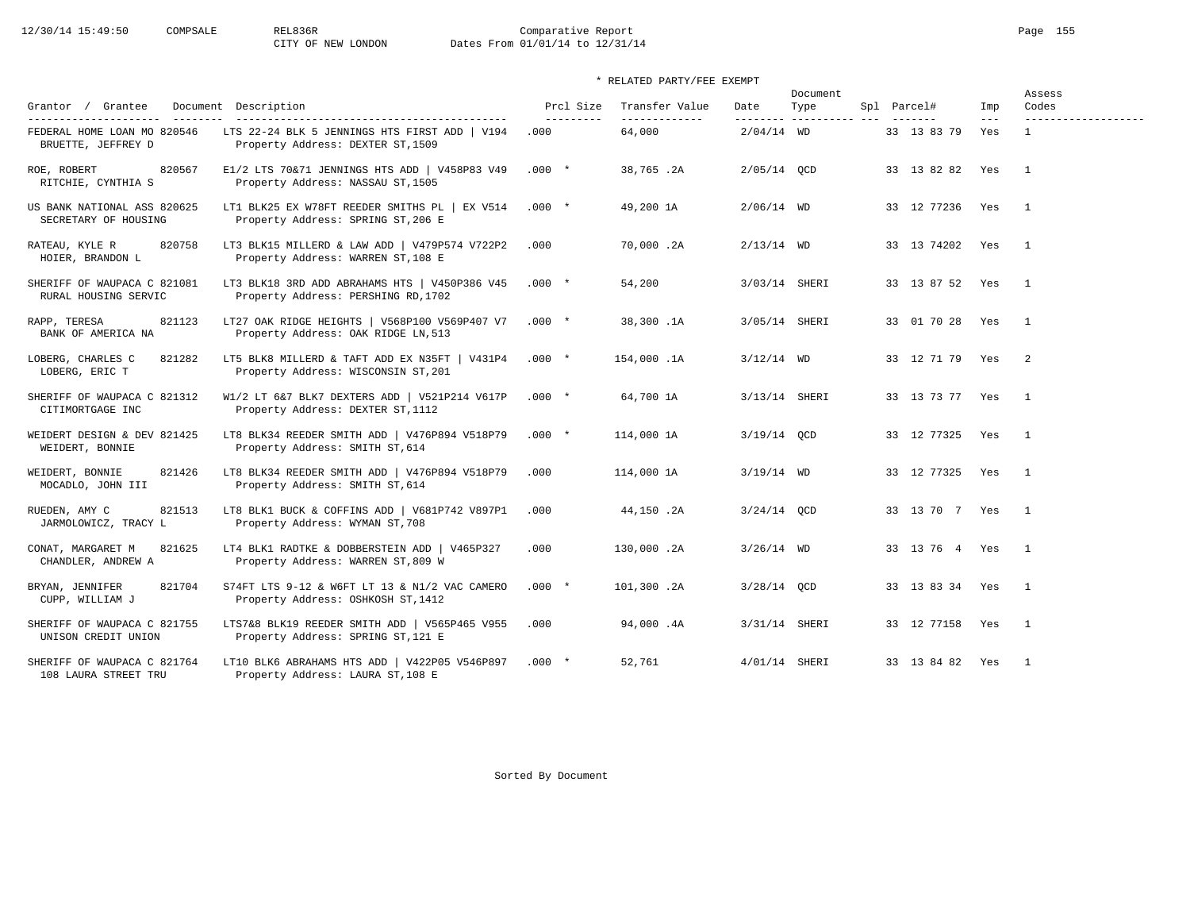# 12/30/14 15:49:50 COMPSALE REL836R Comparative Report Comparative Report Page 155 Dates From 01/01/14 to 12/31/14

## \* RELATED PARTY/FEE EXEMPT

|                                                     |                                                                                      |           | Prcl Size<br>Transfer Value |                  | Document                |                   |                            | Assess                       |  |
|-----------------------------------------------------|--------------------------------------------------------------------------------------|-----------|-----------------------------|------------------|-------------------------|-------------------|----------------------------|------------------------------|--|
| Grantor / Grantee<br>---------------------          | Document Description                                                                 | --------- | -------------               | Date<br>-------- | Type<br>--------------- | Spl Parcel#       | Imp<br>$\qquad \qquad - -$ | Codes<br>------------------- |  |
| FEDERAL HOME LOAN MO 820546<br>BRUETTE, JEFFREY D   | LTS 22-24 BLK 5 JENNINGS HTS FIRST ADD   V194<br>Property Address: DEXTER ST, 1509   | .000      | 64,000                      | $2/04/14$ WD     |                         | 33 13 83 79       | Yes                        | $\mathbf{1}$                 |  |
| 820567<br>ROE, ROBERT<br>RITCHIE, CYNTHIA S         | E1/2 LTS 70&71 JENNINGS HTS ADD   V458P83 V49<br>Property Address: NASSAU ST, 1505   | $.000*$   | 38,765.2A                   | 2/05/14 QCD      |                         | 33 13 82 82 Yes   |                            | $\overline{1}$               |  |
| US BANK NATIONAL ASS 820625<br>SECRETARY OF HOUSING | LT1 BLK25 EX W78FT REEDER SMITHS PL   EX V514<br>Property Address: SPRING ST, 206 E  | $.000*$   | 49,200 1A                   | $2/06/14$ WD     |                         | 33 12 77236 Yes   |                            | $\overline{1}$               |  |
| RATEAU, KYLE R<br>820758<br>HOIER, BRANDON L        | LT3 BLK15 MILLERD & LAW ADD   V479P574 V722P2<br>Property Address: WARREN ST, 108 E  | .000      | 70,000.2A                   | $2/13/14$ WD     |                         | 33 13 74202 Yes   |                            | $\overline{1}$               |  |
| SHERIFF OF WAUPACA C 821081<br>RURAL HOUSING SERVIC | LT3 BLK18 3RD ADD ABRAHAMS HTS   V450P386 V45<br>Property Address: PERSHING RD, 1702 | $.000*$   | 54,200                      |                  | 3/03/14 SHERI           | 33 13 87 52 Yes 1 |                            |                              |  |
| RAPP, TERESA<br>821123<br>BANK OF AMERICA NA        | LT27 OAK RIDGE HEIGHTS   V568P100 V569P407 V7<br>Property Address: OAK RIDGE LN, 513 | $.000*$   | 38,300.1A                   |                  | 3/05/14 SHERI           | 33 01 70 28 Yes   |                            | $\overline{1}$               |  |
| LOBERG, CHARLES C<br>821282<br>LOBERG, ERIC T       | LT5 BLK8 MILLERD & TAFT ADD EX N35FT   V431P4<br>Property Address: WISCONSIN ST, 201 | $.000*$   | 154,000.1A                  | $3/12/14$ WD     |                         | 33 12 71 79 Yes   |                            | $\overline{\phantom{0}}$ 2   |  |
| SHERIFF OF WAUPACA C 821312<br>CITIMORTGAGE INC     | W1/2 LT 6&7 BLK7 DEXTERS ADD   V521P214 V617P<br>Property Address: DEXTER ST, 1112   | $.000*$   | 64,700 1A                   | 3/13/14 SHERI    |                         | 33 13 73 77 Yes   |                            | $\overline{1}$               |  |
| WEIDERT DESIGN & DEV 821425<br>WEIDERT, BONNIE      | LT8 BLK34 REEDER SMITH ADD   V476P894 V518P79<br>Property Address: SMITH ST, 614     | $.000*$   | 114,000 1A                  | 3/19/14 QCD      |                         | 33 12 77325 Yes   |                            | $\sim$ 1                     |  |
| 821426<br>WEIDERT, BONNIE<br>MOCADLO, JOHN III      | LT8 BLK34 REEDER SMITH ADD   V476P894 V518P79<br>Property Address: SMITH ST, 614     | .000      | 114,000 1A                  | $3/19/14$ WD     |                         | 33 12 77325 Yes   |                            | $\overline{1}$               |  |
| 821513<br>RUEDEN, AMY C<br>JARMOLOWICZ, TRACY L     | LT8 BLK1 BUCK & COFFINS ADD   V681P742 V897P1<br>Property Address: WYMAN ST, 708     | .000      | 44,150.2A                   | $3/24/14$ OCD    |                         | 33 13 70 7 Yes 1  |                            |                              |  |
| 821625<br>CONAT, MARGARET M<br>CHANDLER, ANDREW A   | LT4 BLK1 RADTKE & DOBBERSTEIN ADD   V465P327<br>Property Address: WARREN ST, 809 W   | .000      | 130,000.2A                  | $3/26/14$ WD     |                         | 33 13 76 4 Yes 1  |                            |                              |  |
| BRYAN, JENNIFER<br>821704<br>CUPP, WILLIAM J        | S74FT LTS 9-12 & W6FT LT 13 & N1/2 VAC CAMERO<br>Property Address: OSHKOSH ST, 1412  | $.000*$   | 101,300.2A                  | $3/28/14$ QCD    |                         | 33 13 83 34 Yes   |                            | $\overline{1}$               |  |
| SHERIFF OF WAUPACA C 821755<br>UNISON CREDIT UNION  | LTS7&8 BLK19 REEDER SMITH ADD   V565P465 V955<br>Property Address: SPRING ST, 121 E  | .000      | 94,000.4A                   |                  | 3/31/14 SHERI           | 33 12 77158 Yes 1 |                            |                              |  |
| SHERIFF OF WAUPACA C 821764<br>108 LAURA STREET TRU | LT10 BLK6 ABRAHAMS HTS ADD   V422P05 V546P897<br>Property Address: LAURA ST, 108 E   | $.000*$   | 52,761                      | 4/01/14 SHERI    |                         | 33 13 84 82 Yes   |                            | $\overline{1}$               |  |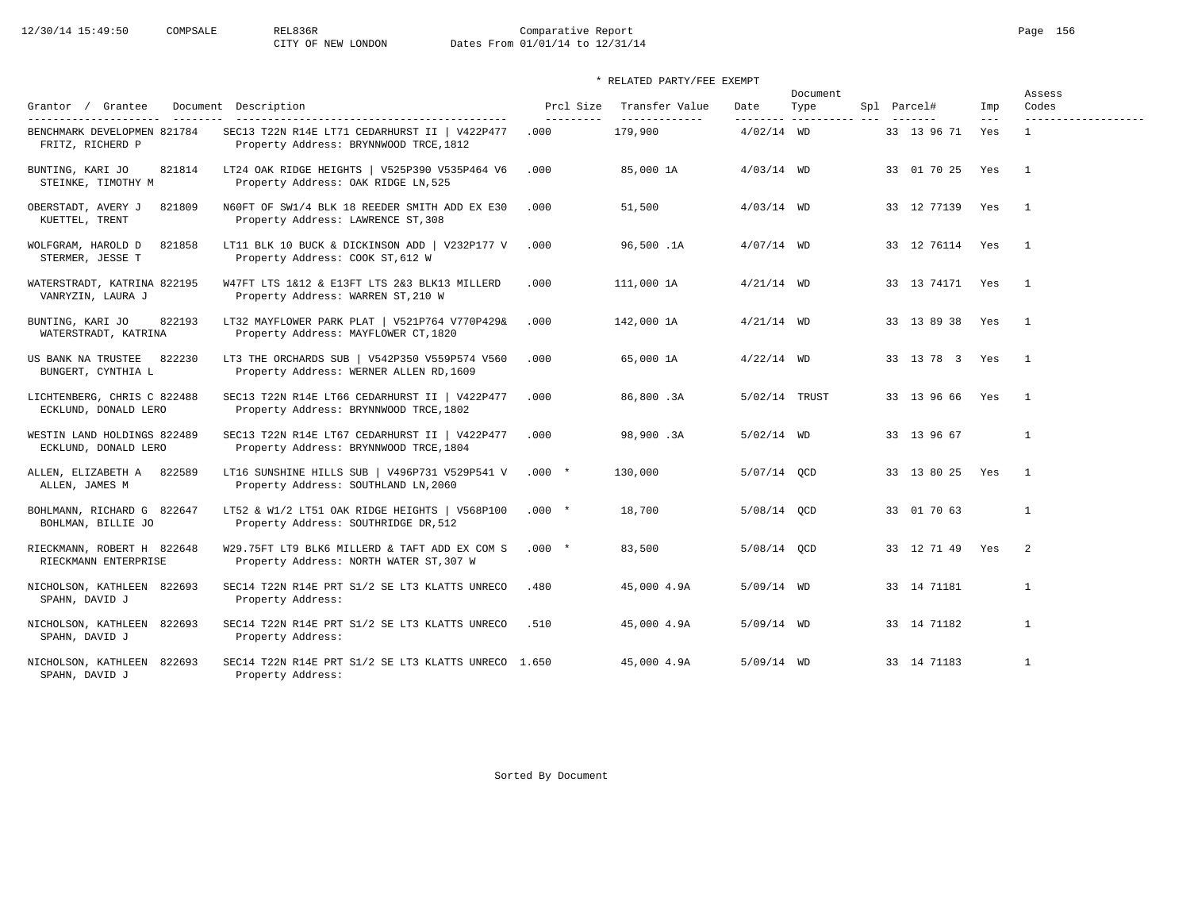# 12/30/14 15:49:50 COMPSALE REL836R Comparative Report Page 156<br>CITY OF NEW LONDON Dates From 01/01/14 to 12/31/14 Dates From 01/01/14 to 12/31/14

|                                                     |                                                                                          |                         |                                 |               | Document                        |                 |              | Assess                       |  |
|-----------------------------------------------------|------------------------------------------------------------------------------------------|-------------------------|---------------------------------|---------------|---------------------------------|-----------------|--------------|------------------------------|--|
| Grantor / Grantee<br>---------                      | Document Description<br>-----------------------------------                              | Prcl Size<br>---------- | Transfer Value<br>_____________ | Date          | Type<br>-------- ---------- --- | Spl Parcel#     | Imp<br>$---$ | Codes<br>------------------- |  |
| BENCHMARK DEVELOPMEN 821784<br>FRITZ, RICHERD P     | SEC13 T22N R14E LT71 CEDARHURST II   V422P477<br>Property Address: BRYNNWOOD TRCE, 1812  | .000                    | 179,900                         | $4/02/14$ WD  |                                 | 33 13 96 71     | Yes          | $\mathbf{1}$                 |  |
| BUNTING, KARI JO<br>821814<br>STEINKE, TIMOTHY M    | LT24 OAK RIDGE HEIGHTS   V525P390 V535P464 V6<br>Property Address: OAK RIDGE LN, 525     | .000                    | 85,000 1A                       | $4/03/14$ WD  |                                 | 33 01 70 25     | Yes          | $\overline{1}$               |  |
| OBERSTADT, AVERY J<br>821809<br>KUETTEL, TRENT      | N60FT OF SW1/4 BLK 18 REEDER SMITH ADD EX E30<br>Property Address: LAWRENCE ST, 308      | .000                    | 51,500                          | $4/03/14$ WD  |                                 | 33 12 77139 Yes |              | $\overline{1}$               |  |
| WOLFGRAM, HAROLD D<br>821858<br>STERMER, JESSE T    | LT11 BLK 10 BUCK & DICKINSON ADD   V232P177 V<br>Property Address: COOK ST, 612 W        | .000                    | 96,500.1A                       | $4/07/14$ WD  |                                 | 33 12 76114 Yes |              | $\overline{1}$               |  |
| WATERSTRADT, KATRINA 822195<br>VANRYZIN, LAURA J    | W47FT LTS 1&12 & E13FT LTS 2&3 BLK13 MILLERD<br>Property Address: WARREN ST, 210 W       | .000                    | 111,000 1A                      | $4/21/14$ WD  |                                 | 33 13 74171 Yes |              | $\overline{1}$               |  |
| BUNTING, KARI JO<br>822193<br>WATERSTRADT, KATRINA  | LT32 MAYFLOWER PARK PLAT   V521P764 V770P429&<br>Property Address: MAYFLOWER CT, 1820    | .000                    | 142,000 1A                      | $4/21/14$ WD  |                                 | 33 13 89 38 Yes |              | $\overline{1}$               |  |
| 822230<br>US BANK NA TRUSTEE<br>BUNGERT, CYNTHIA L  | LT3 THE ORCHARDS SUB   V542P350 V559P574 V560<br>Property Address: WERNER ALLEN RD, 1609 | .000                    | 65,000 1A                       | $4/22/14$ WD  |                                 | 33 13 78 3 Yes  |              | $\overline{1}$               |  |
| LICHTENBERG, CHRIS C 822488<br>ECKLUND, DONALD LERO | SEC13 T22N R14E LT66 CEDARHURST II   V422P477<br>Property Address: BRYNNWOOD TRCE, 1802  | .000                    | 86,800.3A                       | 5/02/14 TRUST |                                 | 33 13 96 66 Yes |              | $\overline{1}$               |  |
| WESTIN LAND HOLDINGS 822489<br>ECKLUND, DONALD LERO | SEC13 T22N R14E LT67 CEDARHURST II   V422P477<br>Property Address: BRYNNWOOD TRCE, 1804  | .000                    | 98,900.3A                       | $5/02/14$ WD  |                                 | 33 13 96 67     |              | $\mathbf{1}$                 |  |
| ALLEN, ELIZABETH A 822589<br>ALLEN, JAMES M         | LT16 SUNSHINE HILLS SUB   V496P731 V529P541 V<br>Property Address: SOUTHLAND LN, 2060    | $.000*$                 | 130,000                         | 5/07/14 OCD   |                                 | 33 13 80 25 Yes |              | $\overline{1}$               |  |
| BOHLMANN, RICHARD G 822647<br>BOHLMAN, BILLIE JO    | LT52 & W1/2 LT51 OAK RIDGE HEIGHTS   V568P100<br>Property Address: SOUTHRIDGE DR, 512    | $.000*$                 | 18,700                          | 5/08/14 OCD   |                                 | 33 01 70 63     |              | $\mathbf{1}$                 |  |
| RIECKMANN, ROBERT H 822648<br>RIECKMANN ENTERPRISE  | W29.75FT LT9 BLK6 MILLERD & TAFT ADD EX COM S<br>Property Address: NORTH WATER ST, 307 W | $.000*$                 | 83,500                          | 5/08/14 OCD   |                                 | 33 12 71 49 Yes |              | $\overline{2}$               |  |
| NICHOLSON, KATHLEEN 822693<br>SPAHN, DAVID J        | SEC14 T22N R14E PRT S1/2 SE LT3 KLATTS UNRECO<br>Property Address:                       | .480                    | 45,000 4.9A                     | $5/09/14$ WD  |                                 | 33 14 71181     |              | $\mathbf{1}$                 |  |
| NICHOLSON, KATHLEEN 822693<br>SPAHN, DAVID J        | SEC14 T22N R14E PRT S1/2 SE LT3 KLATTS UNRECO<br>Property Address:                       | .510                    | 45,000 4.9A                     | $5/09/14$ WD  |                                 | 33 14 71182     |              | $\mathbf{1}$                 |  |
| NICHOLSON, KATHLEEN 822693<br>SPAHN, DAVID J        | SEC14 T22N R14E PRT S1/2 SE LT3 KLATTS UNRECO 1.650<br>Property Address:                 |                         | 45,000 4.9A                     | $5/09/14$ WD  |                                 | 33 14 71183     |              | $\mathbf{1}$                 |  |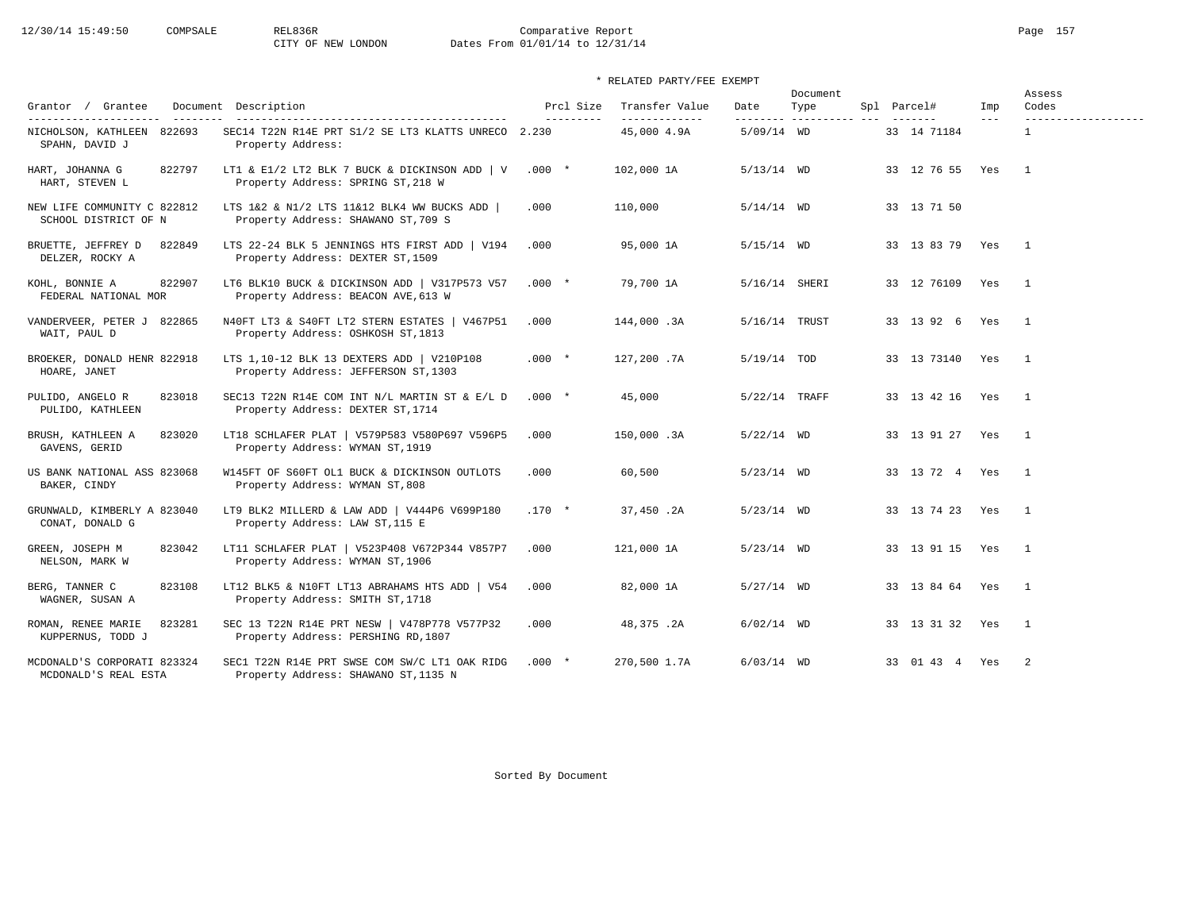# 12/30/14 15:49:50 COMPSALE REL836R Comparative Report Comparative Report Page 157 Dates From 01/01/14 to 12/31/14

| Grantor / Grantee                                                                   | Document Description                                                                         | Prcl Size | Transfer Value               | Date          | Document<br>Type         | Spl Parcel#       | Imp   | Assess<br>Codes                     |
|-------------------------------------------------------------------------------------|----------------------------------------------------------------------------------------------|-----------|------------------------------|---------------|--------------------------|-------------------|-------|-------------------------------------|
| ----------------------<br>---------<br>NICHOLSON, KATHLEEN 822693<br>SPAHN, DAVID J | SEC14 T22N R14E PRT S1/2 SE LT3 KLATTS UNRECO 2.230<br>Property Address:                     | --------- | -------------<br>45,000 4.9A | $5/09/14$ WD  | --------- ---------- --- | 33 14 71184       | $---$ | -------------------<br>$\mathbf{1}$ |
| 822797<br>HART, JOHANNA G<br>HART, STEVEN L                                         | LT1 & E1/2 LT2 BLK 7 BUCK & DICKINSON ADD   V $.000 *$<br>Property Address: SPRING ST, 218 W |           | 102,000 1A                   | $5/13/14$ WD  |                          | 33 12 76 55 Yes   |       | $\overline{1}$                      |
| NEW LIFE COMMUNITY C 822812<br>SCHOOL DISTRICT OF N                                 | LTS 1&2 & N1/2 LTS 11&12 BLK4 WW BUCKS ADD  <br>Property Address: SHAWANO ST, 709 S          | .000      | 110,000                      | $5/14/14$ WD  |                          | 33 13 71 50       |       |                                     |
| BRUETTE, JEFFREY D<br>822849<br>DELZER, ROCKY A                                     | LTS 22-24 BLK 5 JENNINGS HTS FIRST ADD   V194<br>Property Address: DEXTER ST, 1509           | .000      | 95,000 1A                    | $5/15/14$ WD  |                          | 33 13 83 79 Yes 1 |       |                                     |
| 822907<br>KOHL, BONNIE A<br>FEDERAL NATIONAL MOR                                    | LT6 BLK10 BUCK & DICKINSON ADD   V317P573 V57<br>Property Address: BEACON AVE, 613 W         | $.000 *$  | 79,700 1A                    | 5/16/14 SHERI |                          | 33 12 76109 Yes   |       | $\overline{1}$                      |
| VANDERVEER, PETER J 822865<br>WAIT, PAUL D                                          | N40FT LT3 & S40FT LT2 STERN ESTATES   V467P51<br>Property Address: OSHKOSH ST, 1813          | .000      | 144,000.3A                   | 5/16/14 TRUST |                          | 33 13 92 6 Yes    |       | $\sqrt{1}$                          |
| BROEKER, DONALD HENR 822918<br>HOARE, JANET                                         | LTS 1,10-12 BLK 13 DEXTERS ADD   V210P108<br>Property Address: JEFFERSON ST, 1303            | $.000*$   | 127,200.7A                   | $5/19/14$ TOD |                          | 33 13 73140       | Yes   | $\overline{1}$                      |
| PULIDO, ANGELO R<br>823018<br>PULIDO, KATHLEEN                                      | SEC13 T22N R14E COM INT N/L MARTIN ST & E/L D<br>Property Address: DEXTER ST, 1714           | $.000*$   | 45,000                       | 5/22/14 TRAFF |                          | 33 13 42 16 Yes   |       | $\overline{1}$                      |
| BRUSH, KATHLEEN A<br>823020<br>GAVENS, GERID                                        | LT18 SCHLAFER PLAT   V579P583 V580P697 V596P5<br>Property Address: WYMAN ST, 1919            | .000      | 150,000.3A                   | $5/22/14$ WD  |                          | 33 13 91 27 Yes   |       | $\overline{\phantom{1}}$            |
| US BANK NATIONAL ASS 823068<br>BAKER, CINDY                                         | W145FT OF S60FT OL1 BUCK & DICKINSON OUTLOTS<br>Property Address: WYMAN ST, 808              | .000      | 60,500                       | $5/23/14$ WD  |                          | 33 13 72 4 Yes    |       | $\overline{1}$                      |
| GRUNWALD, KIMBERLY A 823040<br>CONAT, DONALD G                                      | LT9 BLK2 MILLERD & LAW ADD   V444P6 V699P180<br>Property Address: LAW ST, 115 E              | $.170 *$  | 37,450.2A                    | $5/23/14$ WD  |                          | 33 13 74 23 Yes   |       | $\overline{1}$                      |
| GREEN, JOSEPH M<br>823042<br>NELSON, MARK W                                         | LT11 SCHLAFER PLAT   V523P408 V672P344 V857P7<br>Property Address: WYMAN ST, 1906            | .000      | 121,000 1A                   | $5/23/14$ WD  |                          | 33 13 91 15       | Yes   | $\overline{1}$                      |
| BERG, TANNER C<br>823108<br>WAGNER, SUSAN A                                         | LT12 BLK5 & N10FT LT13 ABRAHAMS HTS ADD   V54<br>Property Address: SMITH ST, 1718            | .000      | 82,000 1A                    | $5/27/14$ WD  |                          | 33 13 84 64 Yes   |       | $\overline{1}$                      |
| ROMAN, RENEE MARIE<br>823281<br>KUPPERNUS, TODD J                                   | SEC 13 T22N R14E PRT NESW   V478P778 V577P32<br>Property Address: PERSHING RD, 1807          | .000      | 48,375.2A                    | $6/02/14$ WD  |                          | 33 13 31 32 Yes   |       | $\overline{1}$                      |
| MCDONALD'S CORPORATI 823324<br>MCDONALD'S REAL ESTA                                 | SEC1 T22N R14E PRT SWSE COM SW/C LT1 OAK RIDG<br>Property Address: SHAWANO ST, 1135 N        | $.000*$   | 270,500 1.7A                 | $6/03/14$ WD  |                          | 33 01 43 4 Yes    |       | $\overline{\phantom{0}}^2$          |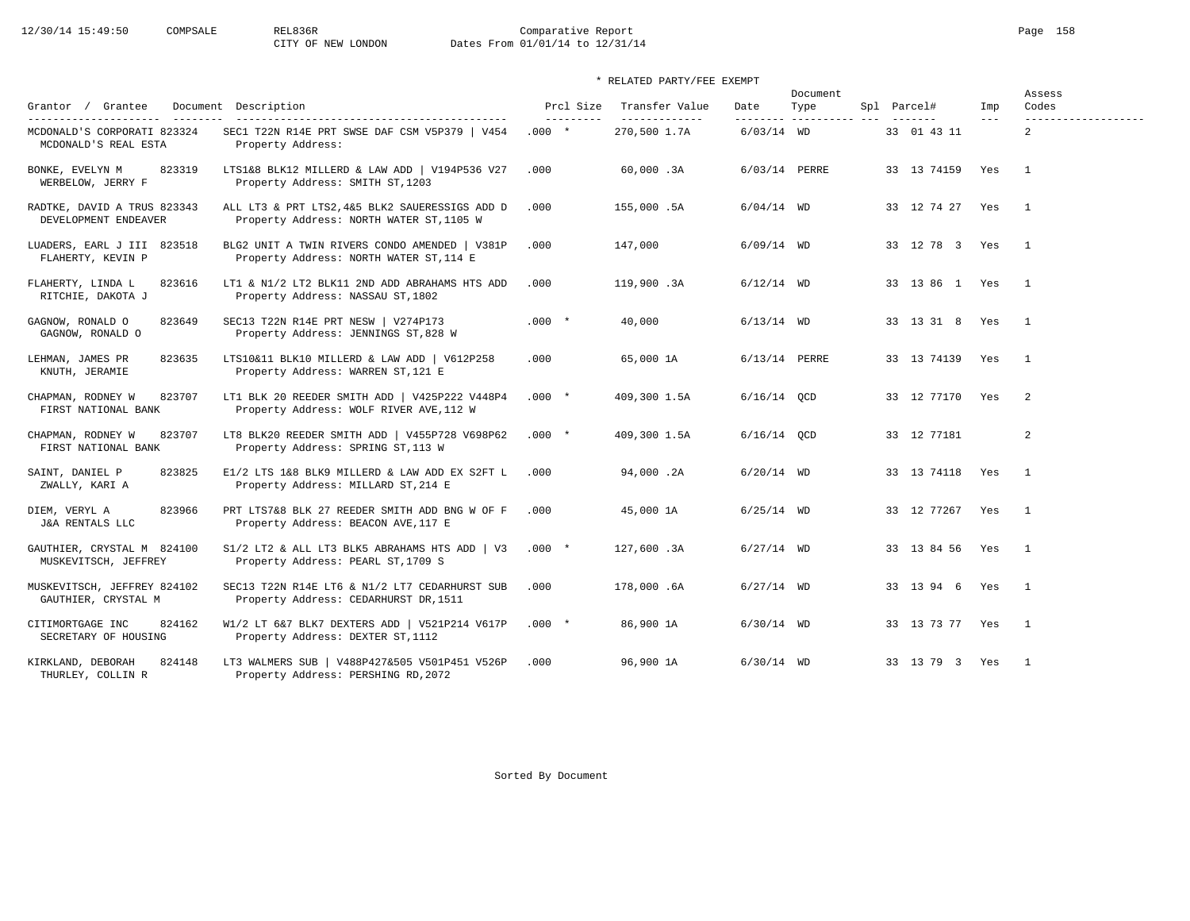# 12/30/14 15:49:50 COMPSALE REL836R Comparative Report Comparative Report Page 158 Dates From 01/01/14 to 12/31/14

## \* RELATED PARTY/FEE EXEMPT

|                                                       |                                                                                            |                         |                                 |                   | Document            |                 |                | Assess                       |
|-------------------------------------------------------|--------------------------------------------------------------------------------------------|-------------------------|---------------------------------|-------------------|---------------------|-----------------|----------------|------------------------------|
| Grantor / Grantee<br>--------------------- -------    | Document Description<br>--------------------------------------                             | Prcl Size<br>---------- | Transfer Value<br>------------- | Date<br>--------- | Type<br>----------- | Spl Parcel#     | Imp<br>$- - -$ | Codes<br>------------------- |
| MCDONALD'S CORPORATI 823324<br>MCDONALD'S REAL ESTA   | SEC1 T22N R14E PRT SWSE DAF CSM V5P379   V454<br>Property Address:                         | $.000*$                 | 270,500 1.7A                    | $6/03/14$ WD      |                     | 33 01 43 11     |                | $\overline{2}$               |
| 823319<br>BONKE, EVELYN M<br>WERBELOW, JERRY F        | LTS1&8 BLK12 MILLERD & LAW ADD   V194P536 V27<br>Property Address: SMITH ST, 1203          | .000                    | 60,000.3A                       |                   | 6/03/14 PERRE       | 33 13 74159 Yes |                | $\overline{1}$               |
| RADTKE, DAVID A TRUS 823343<br>DEVELOPMENT ENDEAVER   | ALL LT3 & PRT LTS2, 4&5 BLK2 SAUERESSIGS ADD D<br>Property Address: NORTH WATER ST, 1105 W | .000                    | 155,000.5A                      | $6/04/14$ WD      |                     | 33 12 74 27 Yes |                | $\mathbf{1}$                 |
| LUADERS, EARL J III 823518<br>FLAHERTY, KEVIN P       | BLG2 UNIT A TWIN RIVERS CONDO AMENDED   V381P<br>Property Address: NORTH WATER ST, 114 E   | .000                    | 147,000                         | $6/09/14$ WD      |                     | 33 12 78 3 Yes  |                | $\overline{1}$               |
| FLAHERTY, LINDA L<br>823616<br>RITCHIE, DAKOTA J      | LT1 & N1/2 LT2 BLK11 2ND ADD ABRAHAMS HTS ADD<br>Property Address: NASSAU ST, 1802         | .000                    | 119,900.3A                      | $6/12/14$ WD      |                     | 33 13 86 1 Yes  |                | $\overline{1}$               |
| GAGNOW, RONALD O<br>823649<br>GAGNOW, RONALD O        | SEC13 T22N R14E PRT NESW   V274P173<br>Property Address: JENNINGS ST, 828 W                | $.000 *$                | 40,000                          | $6/13/14$ WD      |                     | 33 13 31 8 Yes  |                | $\overline{1}$               |
| 823635<br>LEHMAN, JAMES PR<br>KNUTH, JERAMIE          | LTS10&11 BLK10 MILLERD & LAW ADD   V612P258<br>Property Address: WARREN ST, 121 E          | .000                    | 65,000 1A                       |                   | 6/13/14 PERRE       | 33 13 74139 Yes |                | $\overline{1}$               |
| 823707<br>CHAPMAN, RODNEY W<br>FIRST NATIONAL BANK    | LT1 BLK 20 REEDER SMITH ADD   V425P222 V448P4<br>Property Address: WOLF RIVER AVE, 112 W   | $.000*$                 | 409,300 1.5A                    | $6/16/14$ OCD     |                     | 33 12 77170 Yes |                | $\overline{2}$               |
| CHAPMAN, RODNEY W<br>823707<br>FIRST NATIONAL BANK    | LT8 BLK20 REEDER SMITH ADD   V455P728 V698P62<br>Property Address: SPRING ST, 113 W        | $.000*$                 | 409,300 1.5A                    | $6/16/14$ OCD     |                     | 33 12 77181     |                | 2                            |
| 823825<br>SAINT, DANIEL P<br>ZWALLY, KARI A           | E1/2 LTS 1&8 BLK9 MILLERD & LAW ADD EX S2FT L<br>Property Address: MILLARD ST, 214 E       | .000                    | 94,000.2A                       | $6/20/14$ WD      |                     | 33 13 74118 Yes |                | $\overline{1}$               |
| DIEM, VERYL A<br>823966<br><b>J&amp;A RENTALS LLC</b> | PRT LTS7&8 BLK 27 REEDER SMITH ADD BNG W OF F<br>Property Address: BEACON AVE, 117 E       | .000                    | 45,000 1A                       | $6/25/14$ WD      |                     | 33 12 77267 Yes |                | $\overline{1}$               |
| GAUTHIER, CRYSTAL M 824100<br>MUSKEVITSCH, JEFFREY    | S1/2 LT2 & ALL LT3 BLK5 ABRAHAMS HTS ADD   V3<br>Property Address: PEARL ST, 1709 S        | $.000*$                 | 127,600.3A                      | $6/27/14$ WD      |                     | 33 13 84 56 Yes |                | $\overline{1}$               |
| MUSKEVITSCH, JEFFREY 824102<br>GAUTHIER, CRYSTAL M    | SEC13 T22N R14E LT6 & N1/2 LT7 CEDARHURST SUB<br>Property Address: CEDARHURST DR, 1511     | .000                    | 178,000 .6A                     | $6/27/14$ WD      |                     | 33 13 94 6 Yes  |                | $\frac{1}{2}$                |
| CITIMORTGAGE INC<br>824162<br>SECRETARY OF HOUSING    | W1/2 LT 6&7 BLK7 DEXTERS ADD   V521P214 V617P<br>Property Address: DEXTER ST, 1112         | $.000*$                 | 86,900 1A                       | $6/30/14$ WD      |                     | 33 13 73 77 Yes |                | $\overline{1}$               |
| KIRKLAND, DEBORAH<br>824148<br>THURLEY, COLLIN R      | LT3 WALMERS SUB   V488P427&505 V501P451 V526P<br>Property Address: PERSHING RD, 2072       | .000                    | 96,900 1A                       | $6/30/14$ WD      |                     | 33 13 79 3 Yes  |                | $\mathbf{1}$                 |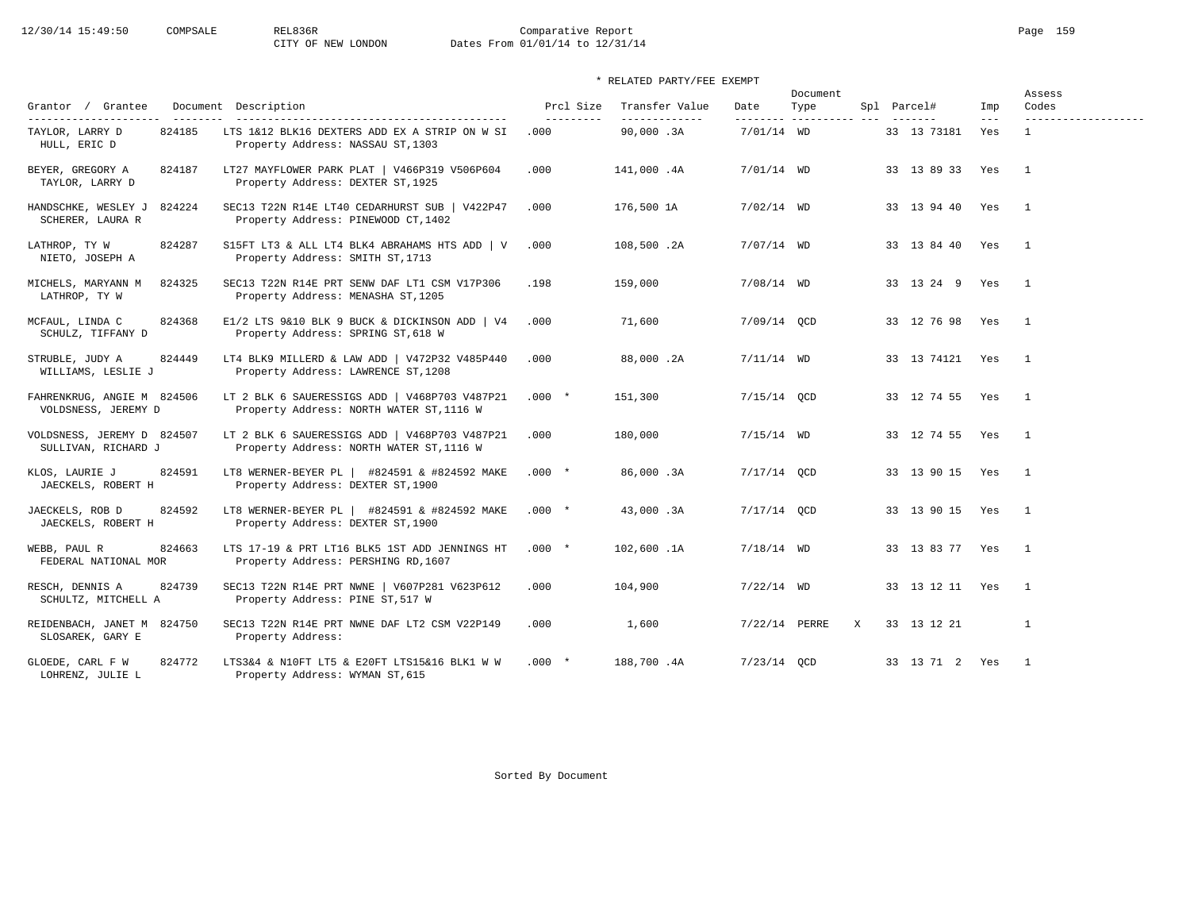# 12/30/14 15:49:50 COMPSALE REL836R Comparative Report Comparative Report Page 159 Dates From 01/01/14 to 12/31/14

## \* RELATED PARTY/FEE EXEMPT

| Grantor / Grantee                                             | Document Description                                                                                                   | Prcl Size          | Transfer Value             | Date          | Document<br>Type         |              | Spl Parcel#     | Imp                        | Assess<br>Codes                     |
|---------------------------------------------------------------|------------------------------------------------------------------------------------------------------------------------|--------------------|----------------------------|---------------|--------------------------|--------------|-----------------|----------------------------|-------------------------------------|
| ---------------------<br>TAYLOR, LARRY D<br>824185            | LTS 1&12 BLK16 DEXTERS ADD EX A STRIP ON W SI                                                                          | ----------<br>.000 | _____________<br>90,000.3A | 7/01/14 WD    | --------- ---------- --- |              | 33 13 73181     | $\qquad \qquad - -$<br>Yes | -------------------<br>$\mathbf{1}$ |
| HULL, ERIC D<br>BEYER, GREGORY A<br>824187<br>TAYLOR, LARRY D | Property Address: NASSAU ST, 1303<br>LT27 MAYFLOWER PARK PLAT   V466P319 V506P604<br>Property Address: DEXTER ST, 1925 | .000               | 141,000.4A                 | $7/01/14$ WD  |                          |              | 33 13 89 33 Yes |                            | $\overline{1}$                      |
| 824224<br>HANDSCHKE, WESLEY J<br>SCHERER, LAURA R             | SEC13 T22N R14E LT40 CEDARHURST SUB   V422P47<br>Property Address: PINEWOOD CT, 1402                                   | .000               | 176,500 1A                 | $7/02/14$ WD  |                          |              | 33 13 94 40 Yes |                            | $\overline{1}$                      |
| 824287<br>LATHROP, TY W<br>NIETO, JOSEPH A                    | S15FT LT3 & ALL LT4 BLK4 ABRAHAMS HTS ADD   V<br>Property Address: SMITH ST, 1713                                      | .000               | 108,500.2A                 | $7/07/14$ WD  |                          |              | 33 13 84 40 Yes |                            | $\overline{1}$                      |
| 824325<br>MICHELS, MARYANN M<br>LATHROP, TY W                 | SEC13 T22N R14E PRT SENW DAF LT1 CSM V17P306<br>Property Address: MENASHA ST, 1205                                     | .198               | 159,000                    | $7/08/14$ WD  |                          |              | 33 13 24 9 Yes  |                            | $\overline{1}$                      |
| MCFAUL, LINDA C<br>824368<br>SCHULZ, TIFFANY D                | E1/2 LTS 9&10 BLK 9 BUCK & DICKINSON ADD   V4<br>Property Address: SPRING ST, 618 W                                    | .000               | 71,600                     | 7/09/14 QCD   |                          |              | 33 12 76 98 Yes |                            | $\overline{1}$                      |
| 824449<br>STRUBLE, JUDY A<br>WILLIAMS, LESLIE J               | LT4 BLK9 MILLERD & LAW ADD   V472P32 V485P440<br>Property Address: LAWRENCE ST, 1208                                   | .000               | 88,000.2A                  | $7/11/14$ WD  |                          |              | 33 13 74121 Yes |                            | $\overline{1}$                      |
| FAHRENKRUG, ANGIE M 824506<br>VOLDSNESS, JEREMY D             | LT 2 BLK 6 SAUERESSIGS ADD   V468P703 V487P21<br>Property Address: NORTH WATER ST, 1116 W                              | $.000*$            | 151,300                    | 7/15/14 QCD   |                          |              | 33 12 74 55 Yes |                            | $\overline{1}$                      |
| VOLDSNESS, JEREMY D 824507<br>SULLIVAN, RICHARD J             | LT 2 BLK 6 SAUERESSIGS ADD   V468P703 V487P21<br>Property Address: NORTH WATER ST, 1116 W                              | .000               | 180,000                    | $7/15/14$ WD  |                          |              | 33 12 74 55 Yes |                            | $\overline{1}$                      |
| 824591<br>KLOS, LAURIE J<br>JAECKELS, ROBERT H                | LT8 WERNER-BEYER PL   #824591 & #824592 MAKE<br>Property Address: DEXTER ST, 1900                                      | $.000*$            | 86,000.3A                  | $7/17/14$ OCD |                          |              | 33 13 90 15 Yes |                            | $\overline{1}$                      |
| 824592<br>JAECKELS, ROB D<br>JAECKELS, ROBERT H               | LT8 WERNER-BEYER PL   #824591 & #824592 MAKE<br>Property Address: DEXTER ST, 1900                                      | $.000 *$           | 43,000.3A                  | $7/17/14$ OCD |                          |              | 33 13 90 15 Yes |                            | $\overline{1}$                      |
| WEBB, PAUL R<br>824663<br>FEDERAL NATIONAL MOR                | LTS 17-19 & PRT LT16 BLK5 1ST ADD JENNINGS HT<br>Property Address: PERSHING RD, 1607                                   | $.000*$            | 102,600.1A                 | $7/18/14$ WD  |                          |              | 33 13 83 77 Yes |                            | $\overline{1}$                      |
| 824739<br>RESCH, DENNIS A<br>SCHULTZ, MITCHELL A              | SEC13 T22N R14E PRT NWNE   V607P281 V623P612<br>Property Address: PINE ST, 517 W                                       | .000               | 104,900                    | $7/22/14$ WD  |                          |              | 33 13 12 11 Yes |                            | $\overline{1}$                      |
| REIDENBACH, JANET M 824750<br>SLOSAREK, GARY E                | SEC13 T22N R14E PRT NWNE DAF LT2 CSM V22P149<br>Property Address:                                                      | .000               | 1,600                      | 7/22/14 PERRE |                          | $\mathbf{x}$ | 33 13 12 21     |                            | $\mathbf{1}$                        |
| 824772<br>GLOEDE, CARL F W<br>LOHRENZ, JULIE L                | LTS3&4 & N10FT LT5 & E20FT LTS15&16 BLK1 W W<br>Property Address: WYMAN ST, 615                                        | $.000*$            | 188,700.4A                 | $7/23/14$ OCD |                          |              | 33 13 71 2 Yes  |                            | $\overline{1}$                      |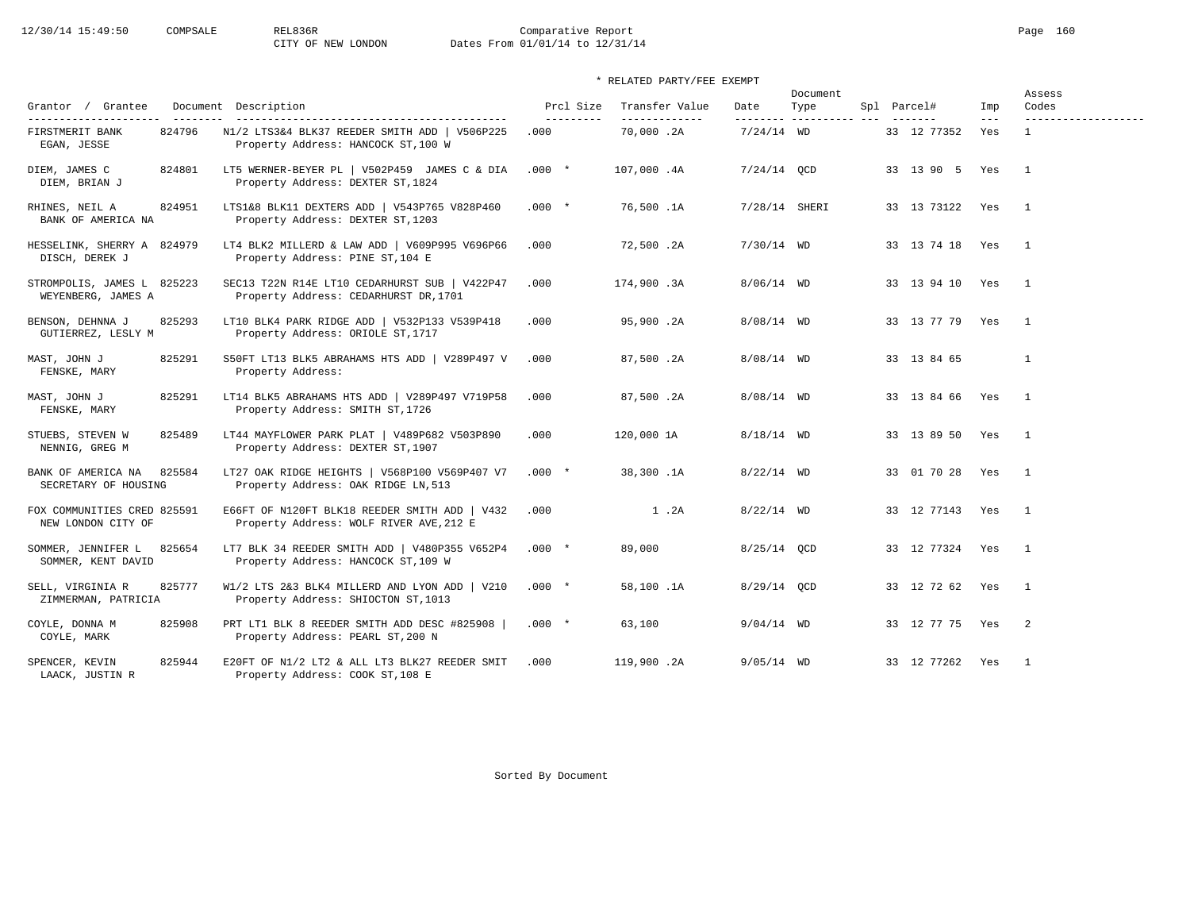# 12/30/14 15:49:50 COMPSALE REL836R Comparative Report Comparative Report Page 160 Dates From 01/01/14 to 12/31/14

## \* RELATED PARTY/FEE EXEMPT

| Grantor / Grantee                                        |        | Document Description                                                                     | Prcl Size          | Transfer Value             | Date          | Document<br>Type         | Spl Parcel#       | Imp          | Assess<br>Codes                     |
|----------------------------------------------------------|--------|------------------------------------------------------------------------------------------|--------------------|----------------------------|---------------|--------------------------|-------------------|--------------|-------------------------------------|
| ----------------------<br>FIRSTMERIT BANK<br>EGAN, JESSE | 824796 | N1/2 LTS3&4 BLK37 REEDER SMITH ADD   V506P225<br>Property Address: HANCOCK ST, 100 W     | ----------<br>.000 | _____________<br>70,000.2A | $7/24/14$ WD  | --------- ---------- --- | 33 12 77352       | $---$<br>Yes | -------------------<br>$\mathbf{1}$ |
| DIEM, JAMES C<br>DIEM, BRIAN J                           | 824801 | LT5 WERNER-BEYER PL   V502P459 JAMES C & DIA<br>Property Address: DEXTER ST, 1824        | $.000*$            | 107,000.4A                 | $7/24/14$ OCD |                          | 33 13 90 5 Yes    |              | $\overline{1}$                      |
| RHINES, NEIL A<br>BANK OF AMERICA NA                     | 824951 | LTS1&8 BLK11 DEXTERS ADD   V543P765 V828P460<br>Property Address: DEXTER ST, 1203        | $.000*$            | 76,500.1A                  | 7/28/14 SHERI |                          | 33 13 73122 Yes   |              | $\mathbf{1}$                        |
| HESSELINK, SHERRY A 824979<br>DISCH, DEREK J             |        | LT4 BLK2 MILLERD & LAW ADD   V609P995 V696P66<br>Property Address: PINE ST, 104 E        | .000               | 72,500.2A                  | $7/30/14$ WD  |                          | 33 13 74 18 Yes 1 |              |                                     |
| STROMPOLIS, JAMES L 825223<br>WEYENBERG, JAMES A         |        | SEC13 T22N R14E LT10 CEDARHURST SUB   V422P47<br>Property Address: CEDARHURST DR, 1701   | .000               | 174,900.3A                 | $8/06/14$ WD  |                          | 33 13 94 10 Yes   |              | $\overline{1}$                      |
| BENSON, DEHNNA J<br>GUTIERREZ, LESLY M                   | 825293 | LT10 BLK4 PARK RIDGE ADD   V532P133 V539P418<br>Property Address: ORIOLE ST, 1717        | .000               | 95,900.2A                  | $8/08/14$ WD  |                          | 33 13 77 79 Yes   |              | $\overline{1}$                      |
| MAST, JOHN J<br>FENSKE, MARY                             | 825291 | S50FT LT13 BLK5 ABRAHAMS HTS ADD   V289P497 V<br>Property Address:                       | .000               | 87,500.2A                  | $8/08/14$ WD  |                          | 33 13 84 65       |              | $\mathbf{1}$                        |
| MAST, JOHN J<br>FENSKE, MARY                             | 825291 | LT14 BLK5 ABRAHAMS HTS ADD   V289P497 V719P58<br>Property Address: SMITH ST, 1726        | .000               | 87,500.2A                  | $8/08/14$ WD  |                          | 33 13 84 66 Yes   |              | $\overline{1}$                      |
| STUEBS, STEVEN W<br>NENNIG, GREG M                       | 825489 | LT44 MAYFLOWER PARK PLAT   V489P682 V503P890<br>Property Address: DEXTER ST, 1907        | .000               | 120,000 1A                 | $8/18/14$ WD  |                          | 33 13 89 50 Yes   |              | $\overline{1}$                      |
| BANK OF AMERICA NA<br>SECRETARY OF HOUSING               | 825584 | LT27 OAK RIDGE HEIGHTS   V568P100 V569P407 V7<br>Property Address: OAK RIDGE LN, 513     | $.000*$            | 38,300.1A                  | $8/22/14$ WD  |                          | 33 01 70 28 Yes   |              | $\overline{\phantom{0}}$            |
| FOX COMMUNITIES CRED 825591<br>NEW LONDON CITY OF        |        | E66FT OF N120FT BLK18 REEDER SMITH ADD   V432<br>Property Address: WOLF RIVER AVE, 212 E | .000               | 1.2A                       | $8/22/14$ WD  |                          | 33 12 77143 Yes   |              | $\overline{\phantom{0}}$            |
| SOMMER, JENNIFER L<br>SOMMER, KENT DAVID                 | 825654 | LT7 BLK 34 REEDER SMITH ADD   V480P355 V652P4<br>Property Address: HANCOCK ST, 109 W     | $.000*$            | 89,000                     | 8/25/14 QCD   |                          | 33 12 77324 Yes 1 |              |                                     |
| SELL, VIRGINIA R<br>ZIMMERMAN, PATRICIA                  | 825777 | W1/2 LTS 2&3 BLK4 MILLERD AND LYON ADD   V210<br>Property Address: SHIOCTON ST, 1013     | $.000*$            | 58,100.1A                  | 8/29/14 QCD   |                          | 33 12 72 62 Yes   |              | $\overline{1}$                      |
| COYLE, DONNA M<br>COYLE, MARK                            | 825908 | PRT LT1 BLK 8 REEDER SMITH ADD DESC #825908  <br>Property Address: PEARL ST, 200 N       | $.000*$            | 63,100                     | $9/04/14$ WD  |                          | 33 12 77 75 Yes 2 |              |                                     |
| SPENCER, KEVIN<br>LAACK, JUSTIN R                        | 825944 | E20FT OF N1/2 LT2 & ALL LT3 BLK27 REEDER SMIT<br>Property Address: COOK ST, 108 E        | .000               | 119,900.2A                 | $9/05/14$ WD  |                          | 33 12 77262 Yes   |              | $\overline{1}$                      |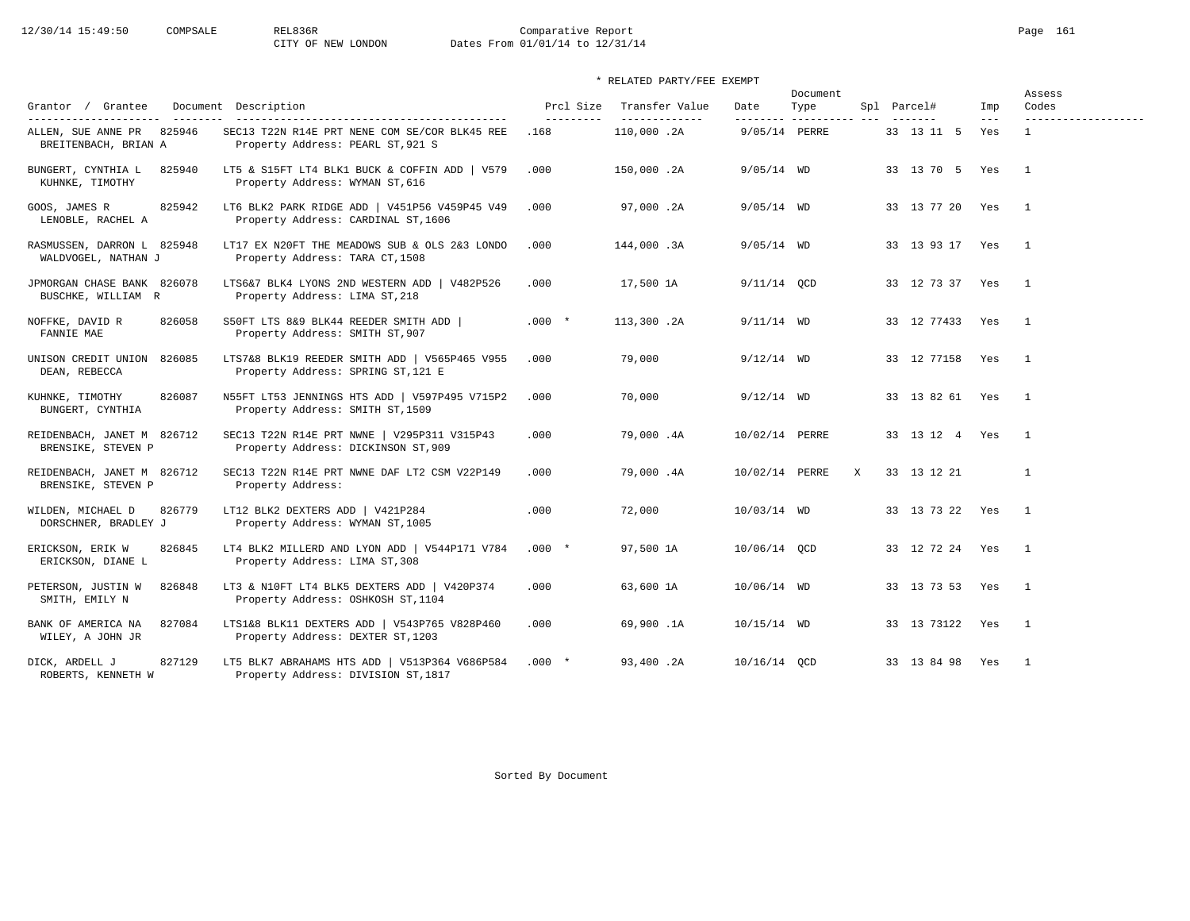# 12/30/14 15:49:50 COMPSALE REL836R Comparative Report Comparative Report Page 161 Dates From 01/01/14 to 12/31/14

## \* RELATED PARTY/FEE EXEMPT

| Grantor / Grantee<br>----------------------<br>--------- | Document Description                                                                 | Prcl Size<br>---------- | Transfer Value<br>-------------- | Date           | Document<br>Type<br>--------- ----------- |   | Spl Parcel#<br>------- | Imp<br>$---$ | Assess<br>Codes<br>------------------- |
|----------------------------------------------------------|--------------------------------------------------------------------------------------|-------------------------|----------------------------------|----------------|-------------------------------------------|---|------------------------|--------------|----------------------------------------|
| ALLEN, SUE ANNE PR 825946<br>BREITENBACH, BRIAN A        | SEC13 T22N R14E PRT NENE COM SE/COR BLK45 REE<br>Property Address: PEARL ST, 921 S   | .168                    | 110,000.2A                       | 9/05/14 PERRE  |                                           |   | 33 13 11 5             | Yes          | $\mathbf{1}$                           |
| BUNGERT, CYNTHIA L<br>825940<br>KUHNKE, TIMOTHY          | LT5 & S15FT LT4 BLK1 BUCK & COFFIN ADD   V579<br>Property Address: WYMAN ST, 616     | .000                    | 150,000.2A                       | $9/05/14$ WD   |                                           |   | 33 13 70 5 Yes         |              | $\overline{1}$                         |
| GOOS, JAMES R<br>825942<br>LENOBLE, RACHEL A             | LT6 BLK2 PARK RIDGE ADD   V451P56 V459P45 V49<br>Property Address: CARDINAL ST, 1606 | .000                    | 97,000.2A                        | $9/05/14$ WD   |                                           |   | 33 13 77 20 Yes        |              | $\mathbf{1}$                           |
| RASMUSSEN, DARRON L 825948<br>WALDVOGEL, NATHAN J        | LT17 EX N20FT THE MEADOWS SUB & OLS 2&3 LONDO<br>Property Address: TARA CT, 1508     | .000                    | 144,000.3A                       | $9/05/14$ WD   |                                           |   | 33 13 93 17 Yes        |              | $\overline{1}$                         |
| JPMORGAN CHASE BANK 826078<br>BUSCHKE, WILLIAM R         | LTS6&7 BLK4 LYONS 2ND WESTERN ADD   V482P526<br>Property Address: LIMA ST, 218       | .000                    | 17,500 1A                        | $9/11/14$ QCD  |                                           |   | 33 12 73 37 Yes        |              | $\overline{1}$                         |
| NOFFKE, DAVID R<br>826058<br>FANNIE MAE                  | S50FT LTS 8&9 BLK44 REEDER SMITH ADD  <br>Property Address: SMITH ST, 907            | $.000 *$                | 113,300.2A                       | $9/11/14$ WD   |                                           |   | 33 12 77433 Yes        |              | $\overline{1}$                         |
| UNISON CREDIT UNION 826085<br>DEAN, REBECCA              | LTS7&8 BLK19 REEDER SMITH ADD   V565P465 V955<br>Property Address: SPRING ST, 121 E  | .000                    | 79,000                           | $9/12/14$ WD   |                                           |   | 33 12 77158            | Yes          | $\overline{1}$                         |
| 826087<br>KUHNKE, TIMOTHY<br>BUNGERT, CYNTHIA            | N55FT LT53 JENNINGS HTS ADD   V597P495 V715P2<br>Property Address: SMITH ST, 1509    | .000                    | 70,000                           | $9/12/14$ WD   |                                           |   | 33 13 82 61 Yes        |              | $\overline{1}$                         |
| REIDENBACH, JANET M 826712<br>BRENSIKE, STEVEN P         | SEC13 T22N R14E PRT NWNE   V295P311 V315P43<br>Property Address: DICKINSON ST, 909   | .000                    | 79,000.4A                        | 10/02/14 PERRE |                                           |   | 33 13 12 4 Yes         |              | $\overline{1}$                         |
| REIDENBACH, JANET M 826712<br>BRENSIKE, STEVEN P         | SEC13 T22N R14E PRT NWNE DAF LT2 CSM V22P149<br>Property Address:                    | .000                    | 79,000.4A                        | 10/02/14 PERRE |                                           | X | 33 13 12 21            |              | $\mathbf{1}$                           |
| 826779<br>WILDEN, MICHAEL D<br>DORSCHNER, BRADLEY J      | LT12 BLK2 DEXTERS ADD   V421P284<br>Property Address: WYMAN ST, 1005                 | .000                    | 72,000                           | 10/03/14 WD    |                                           |   | 33 13 73 22 Yes        |              | $\overline{1}$                         |
| 826845<br>ERICKSON, ERIK W<br>ERICKSON, DIANE L          | LT4 BLK2 MILLERD AND LYON ADD   V544P171 V784<br>Property Address: LIMA ST, 308      | $.000*$                 | 97,500 1A                        | 10/06/14 OCD   |                                           |   | 33 12 72 24 Yes        |              | $\overline{1}$                         |
| PETERSON, JUSTIN W<br>826848<br>SMITH, EMILY N           | LT3 & N10FT LT4 BLK5 DEXTERS ADD   V420P374<br>Property Address: OSHKOSH ST, 1104    | .000                    | 63,600 1A                        | 10/06/14 WD    |                                           |   | 33 13 73 53 Yes        |              | $\overline{1}$                         |
| BANK OF AMERICA NA<br>827084<br>WILEY, A JOHN JR         | LTS1&8 BLK11 DEXTERS ADD   V543P765 V828P460<br>Property Address: DEXTER ST, 1203    | .000                    | 69,900.1A                        | $10/15/14$ WD  |                                           |   | 33 13 73122 Yes        |              | $\overline{1}$                         |
| 827129<br>DICK, ARDELL J<br>ROBERTS, KENNETH W           | LT5 BLK7 ABRAHAMS HTS ADD   V513P364 V686P584<br>Property Address: DIVISION ST, 1817 | $.000*$                 | 93,400.2A                        | 10/16/14 OCD   |                                           |   | 33 13 84 98 Yes        |              | $\mathbf{1}$                           |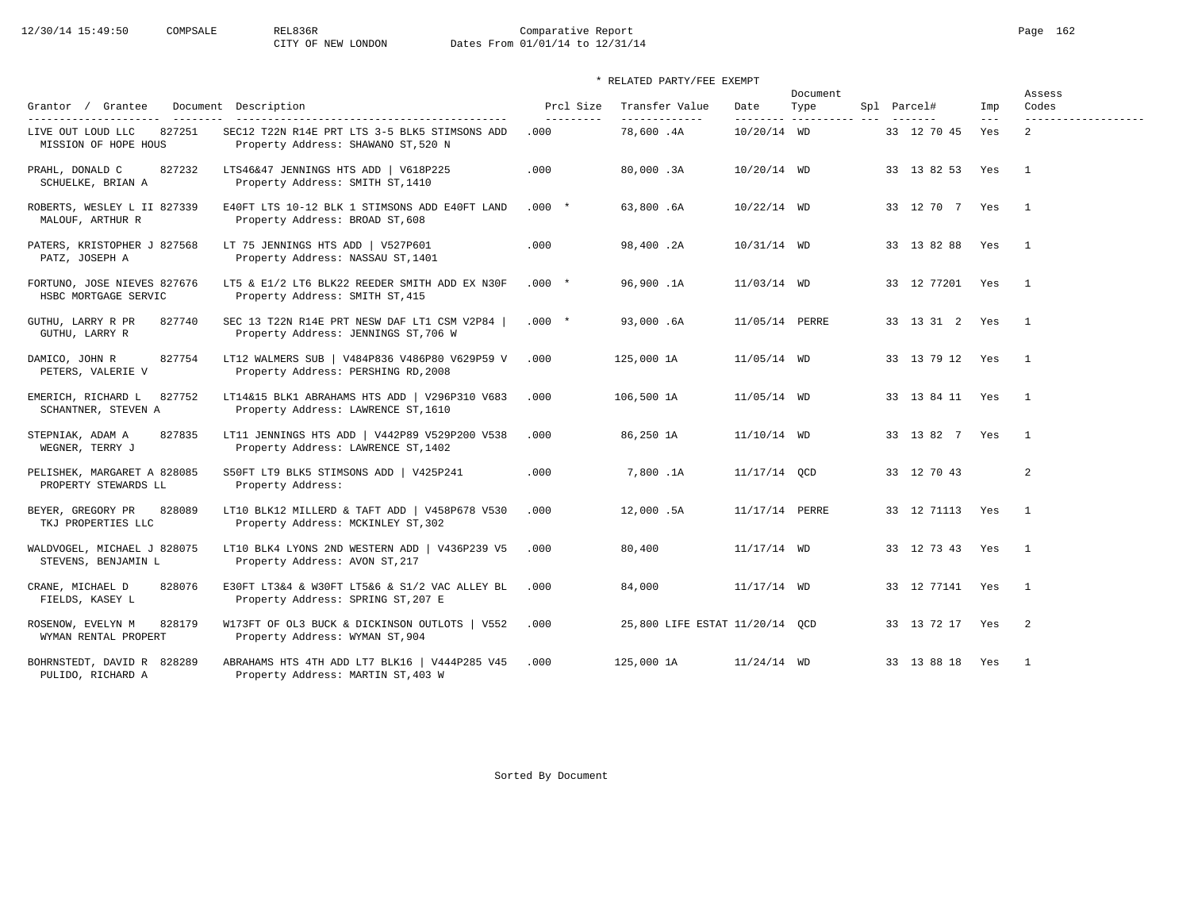# 12/30/14 15:49:50 COMPSALE REL836R Comparative Report Page 162<br>CITY OF NEW LONDON Dates From 01/01/14 to 12/31/14 Dates From 01/01/14 to 12/31/14

| Grantor / Grantee                                                                    | Document Description                                                                  | Prcl Size          | Transfer Value                 | Date           | Document<br>Type | Spl Parcel#      | Imp          | Assess<br>Codes                       |
|--------------------------------------------------------------------------------------|---------------------------------------------------------------------------------------|--------------------|--------------------------------|----------------|------------------|------------------|--------------|---------------------------------------|
| --------------------- -------<br>827251<br>LIVE OUT LOUD LLC<br>MISSION OF HOPE HOUS | SEC12 T22N R14E PRT LTS 3-5 BLK5 STIMSONS ADD<br>Property Address: SHAWANO ST, 520 N  | ----------<br>.000 | _____________<br>78,600.4A     | 10/20/14 WD    |                  | 33 12 70 45      | $---$<br>Yes | -------------------<br>$\overline{a}$ |
| PRAHL, DONALD C<br>827232<br>SCHUELKE, BRIAN A                                       | LTS46&47 JENNINGS HTS ADD   V618P225<br>Property Address: SMITH ST, 1410              | .000               | 80,000.3A                      | $10/20/14$ WD  |                  | 33 13 82 53 Yes  |              | $\overline{1}$                        |
| ROBERTS, WESLEY L II 827339<br>MALOUF, ARTHUR R                                      | E40FT LTS 10-12 BLK 1 STIMSONS ADD E40FT LAND<br>Property Address: BROAD ST, 608      | $.000*$            | 63,800.6A                      | $10/22/14$ WD  |                  | 33 12 70 7 Yes   |              | $\overline{1}$                        |
| PATERS, KRISTOPHER J 827568<br>PATZ, JOSEPH A                                        | LT 75 JENNINGS HTS ADD   V527P601<br>Property Address: NASSAU ST, 1401                | .000               | 98,400.2A                      | $10/31/14$ WD  |                  | 33 13 82 88 Yes  |              | $\overline{1}$                        |
| FORTUNO, JOSE NIEVES 827676<br>HSBC MORTGAGE SERVIC                                  | LT5 & E1/2 LT6 BLK22 REEDER SMITH ADD EX N30F<br>Property Address: SMITH ST, 415      | $.000*$            | 96,900.1A                      | 11/03/14 WD    |                  | 33 12 77201 Yes  |              | $\overline{1}$                        |
| 827740<br>GUTHU, LARRY R PR<br>GUTHU, LARRY R                                        | SEC 13 T22N R14E PRT NESW DAF LT1 CSM V2P84  <br>Property Address: JENNINGS ST, 706 W | $.000*$            | 93,000.6A                      | 11/05/14 PERRE |                  | 33 13 31 2 Yes   |              | $\overline{1}$                        |
| 827754<br>DAMICO, JOHN R<br>PETERS, VALERIE V                                        | LT12 WALMERS SUB   V484P836 V486P80 V629P59 V<br>Property Address: PERSHING RD, 2008  | .000               | 125,000 1A                     | 11/05/14 WD    |                  | 33 13 79 12 Yes  |              | $\overline{1}$                        |
| 827752<br>EMERICH, RICHARD L<br>SCHANTNER, STEVEN A                                  | LT14&15 BLK1 ABRAHAMS HTS ADD   V296P310 V683<br>Property Address: LAWRENCE ST, 1610  | .000               | 106,500 1A                     | 11/05/14 WD    |                  | 33 13 84 11 Yes  |              | $\overline{1}$                        |
| STEPNIAK, ADAM A<br>827835<br>WEGNER, TERRY J                                        | LT11 JENNINGS HTS ADD   V442P89 V529P200 V538<br>Property Address: LAWRENCE ST, 1402  | .000               | 86,250 1A                      | 11/10/14 WD    |                  | 33 13 82 7 Yes 1 |              |                                       |
| PELISHEK, MARGARET A 828085<br>PROPERTY STEWARDS LL                                  | S50FT LT9 BLK5 STIMSONS ADD   V425P241<br>Property Address:                           | .000               | 7,800.1A                       | 11/17/14 OCD   |                  | 33 12 70 43      |              | 2                                     |
| BEYER, GREGORY PR<br>828089<br>TKJ PROPERTIES LLC                                    | LT10 BLK12 MILLERD & TAFT ADD   V458P678 V530<br>Property Address: MCKINLEY ST, 302   | .000               | 12,000.5A                      | 11/17/14 PERRE |                  | 33 12 71113 Yes  |              | $\overline{1}$                        |
| WALDVOGEL, MICHAEL J 828075<br>STEVENS, BENJAMIN L                                   | LT10 BLK4 LYONS 2ND WESTERN ADD   V436P239 V5<br>Property Address: AVON ST, 217       | .000               | 80,400                         | $11/17/14$ WD  |                  | 33 12 73 43 Yes  |              | $\overline{1}$                        |
| CRANE, MICHAEL D<br>828076<br>FIELDS, KASEY L                                        | E30FT LT3&4 & W30FT LT5&6 & S1/2 VAC ALLEY BL<br>Property Address: SPRING ST, 207 E   | .000               | 84,000                         | $11/17/14$ WD  |                  | 33 12 77141 Yes  |              | $\overline{1}$                        |
| ROSENOW, EVELYN M<br>828179<br>WYMAN RENTAL PROPERT                                  | W173FT OF OL3 BUCK & DICKINSON OUTLOTS   V552<br>Property Address: WYMAN ST, 904      | .000               | 25,800 LIFE ESTAT 11/20/14 OCD |                |                  | 33 13 72 17 Yes  |              | $\overline{\phantom{0}}$ 2            |
| BOHRNSTEDT, DAVID R 828289<br>PULIDO, RICHARD A                                      | ABRAHAMS HTS 4TH ADD LT7 BLK16   V444P285 V45<br>Property Address: MARTIN ST, 403 W   | .000               | 125,000 1A                     | $11/24/14$ WD  |                  | 33 13 88 18 Yes  |              | $\mathbf{1}$                          |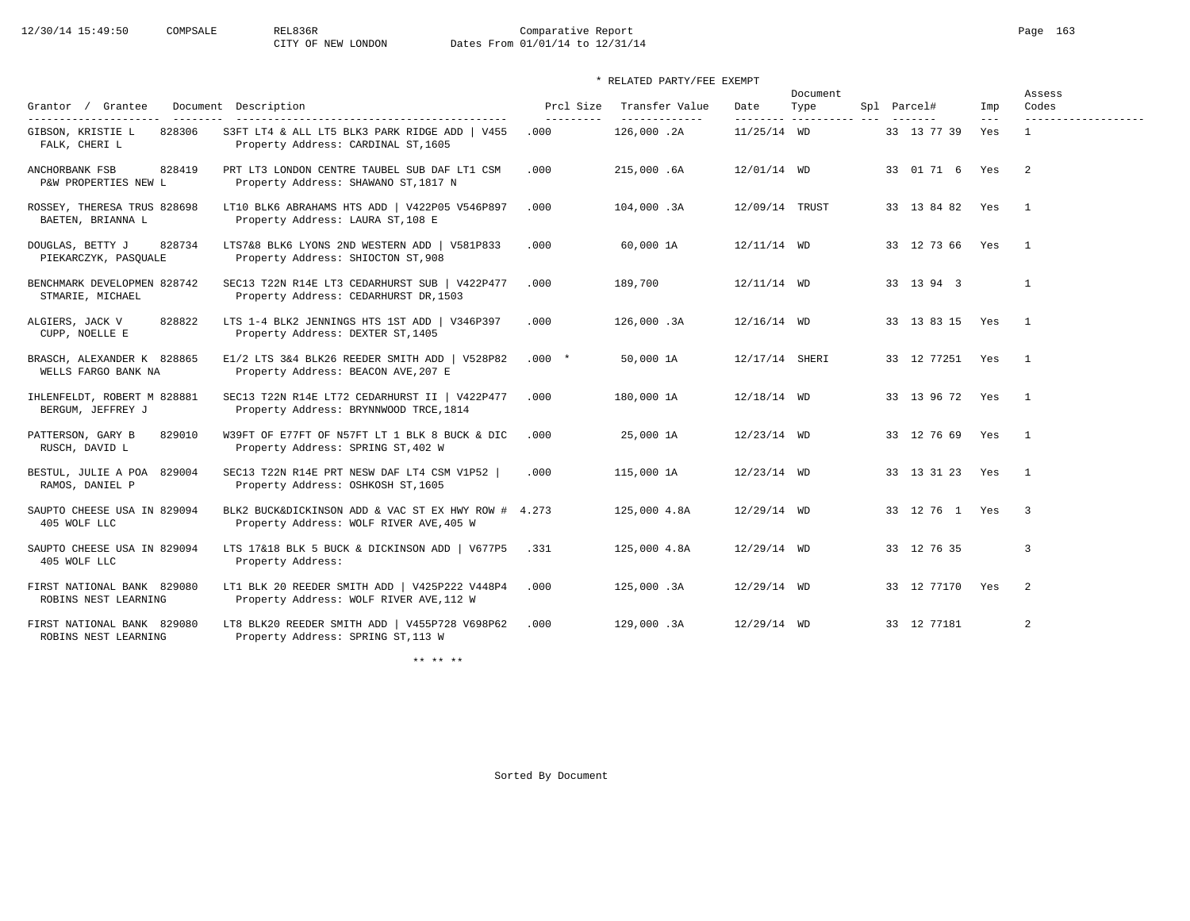# 12/30/14 15:49:50 COMPSALE REL836R Comparative Report Comparative Report Page 163 Dates From 01/01/14 to 12/31/14

## \* RELATED PARTY/FEE EXEMPT

| Grantor / Grantee                                                     | Document Description                                                                                                          | Prcl Size          | Transfer Value                | Date           | Document<br>Type         | Spl Parcel#       | Imp            | Assess<br>Codes                     |
|-----------------------------------------------------------------------|-------------------------------------------------------------------------------------------------------------------------------|--------------------|-------------------------------|----------------|--------------------------|-------------------|----------------|-------------------------------------|
| ---------------------<br>GIBSON, KRISTIE L<br>828306<br>FALK, CHERI L | -------------------------------------<br>S3FT LT4 & ALL LT5 BLK3 PARK RIDGE ADD   V455<br>Property Address: CARDINAL ST, 1605 | ----------<br>.000 | --------------<br>126,000 .2A | $11/25/14$ WD  | --------- ---------- --- | 33 13 77 39       | $- - -$<br>Yes | -------------------<br>$\mathbf{1}$ |
| ANCHORBANK FSB<br>828419<br>P&W PROPERTIES NEW L                      | PRT LT3 LONDON CENTRE TAUBEL SUB DAF LT1 CSM<br>Property Address: SHAWANO ST, 1817 N                                          | .000               | 215,000.6A                    | 12/01/14 WD    |                          | 33 01 71 6 Yes 2  |                |                                     |
| ROSSEY, THERESA TRUS 828698<br>BAETEN, BRIANNA L                      | LT10 BLK6 ABRAHAMS HTS ADD   V422P05 V546P897<br>Property Address: LAURA ST, 108 E                                            | .000               | 104,000.3A                    | 12/09/14 TRUST |                          | 33 13 84 82 Yes   |                | $\overline{1}$                      |
| 828734<br>DOUGLAS, BETTY J<br>PIEKARCZYK, PASQUALE                    | LTS7&8 BLK6 LYONS 2ND WESTERN ADD   V581P833<br>Property Address: SHIOCTON ST, 908                                            | .000               | 60,000 1A                     | $12/11/14$ WD  |                          | 33 12 73 66 Yes 1 |                |                                     |
| BENCHMARK DEVELOPMEN 828742<br>STMARIE, MICHAEL                       | SEC13 T22N R14E LT3 CEDARHURST SUB   V422P477<br>Property Address: CEDARHURST DR, 1503                                        | .000               | 189,700                       | $12/11/14$ WD  |                          | 33 13 94 3        |                | $\mathbf{1}$                        |
| 828822<br>ALGIERS, JACK V<br>CUPP, NOELLE E                           | LTS 1-4 BLK2 JENNINGS HTS 1ST ADD   V346P397<br>Property Address: DEXTER ST, 1405                                             | .000               | 126,000.3A                    | $12/16/14$ WD  |                          | 33 13 83 15 Yes 1 |                |                                     |
| BRASCH, ALEXANDER K 828865<br>WELLS FARGO BANK NA                     | E1/2 LTS 3&4 BLK26 REEDER SMITH ADD   V528P82<br>Property Address: BEACON AVE, 207 E                                          | $.000*$            | 50,000 1A                     | 12/17/14 SHERI |                          | 33 12 77251 Yes 1 |                |                                     |
| IHLENFELDT, ROBERT M 828881<br>BERGUM, JEFFREY J                      | SEC13 T22N R14E LT72 CEDARHURST II   V422P477<br>Property Address: BRYNNWOOD TRCE, 1814                                       | .000               | 180,000 1A                    | $12/18/14$ WD  |                          | 33 13 96 72 Yes 1 |                |                                     |
| PATTERSON, GARY B<br>829010<br>RUSCH, DAVID L                         | W39FT OF E77FT OF N57FT LT 1 BLK 8 BUCK & DIC<br>Property Address: SPRING ST, 402 W                                           | .000               | 25,000 1A                     | 12/23/14 WD    |                          | 33 12 76 69 Yes 1 |                |                                     |
| BESTUL, JULIE A POA 829004<br>RAMOS, DANIEL P                         | SEC13 T22N R14E PRT NESW DAF LT4 CSM V1P52  <br>Property Address: OSHKOSH ST, 1605                                            | .000               | 115,000 1A                    | $12/23/14$ WD  |                          | 33 13 31 23 Yes   |                | $\overline{1}$                      |
| SAUPTO CHEESE USA IN 829094<br>405 WOLF LLC                           | BLK2 BUCK&DICKINSON ADD & VAC ST EX HWY ROW # 4.273<br>Property Address: WOLF RIVER AVE, 405 W                                |                    | 125,000 4.8A                  | $12/29/14$ WD  |                          | 33 12 76 1 Yes    |                | $\overline{\phantom{a}}$            |
| SAUPTO CHEESE USA IN 829094<br>405 WOLF LLC                           | LTS 17&18 BLK 5 BUCK & DICKINSON ADD   V677P5 .331<br>Property Address:                                                       |                    | 125,000 4.8A                  | $12/29/14$ WD  |                          | 33 12 76 35       |                | 3                                   |
| FIRST NATIONAL BANK 829080<br>ROBINS NEST LEARNING                    | LT1 BLK 20 REEDER SMITH ADD   V425P222 V448P4<br>Property Address: WOLF RIVER AVE, 112 W                                      | .000               | 125,000.3A                    | $12/29/14$ WD  |                          | 33 12 77170 Yes   |                | $\overline{2}$                      |
| FIRST NATIONAL BANK 829080<br>ROBINS NEST LEARNING                    | LT8 BLK20 REEDER SMITH ADD   V455P728 V698P62<br>Property Address: SPRING ST, 113 W                                           | .000               | 129,000.3A                    | $12/29/14$ WD  |                          | 33 12 77181       |                | 2                                   |

\*\* \*\* \*\*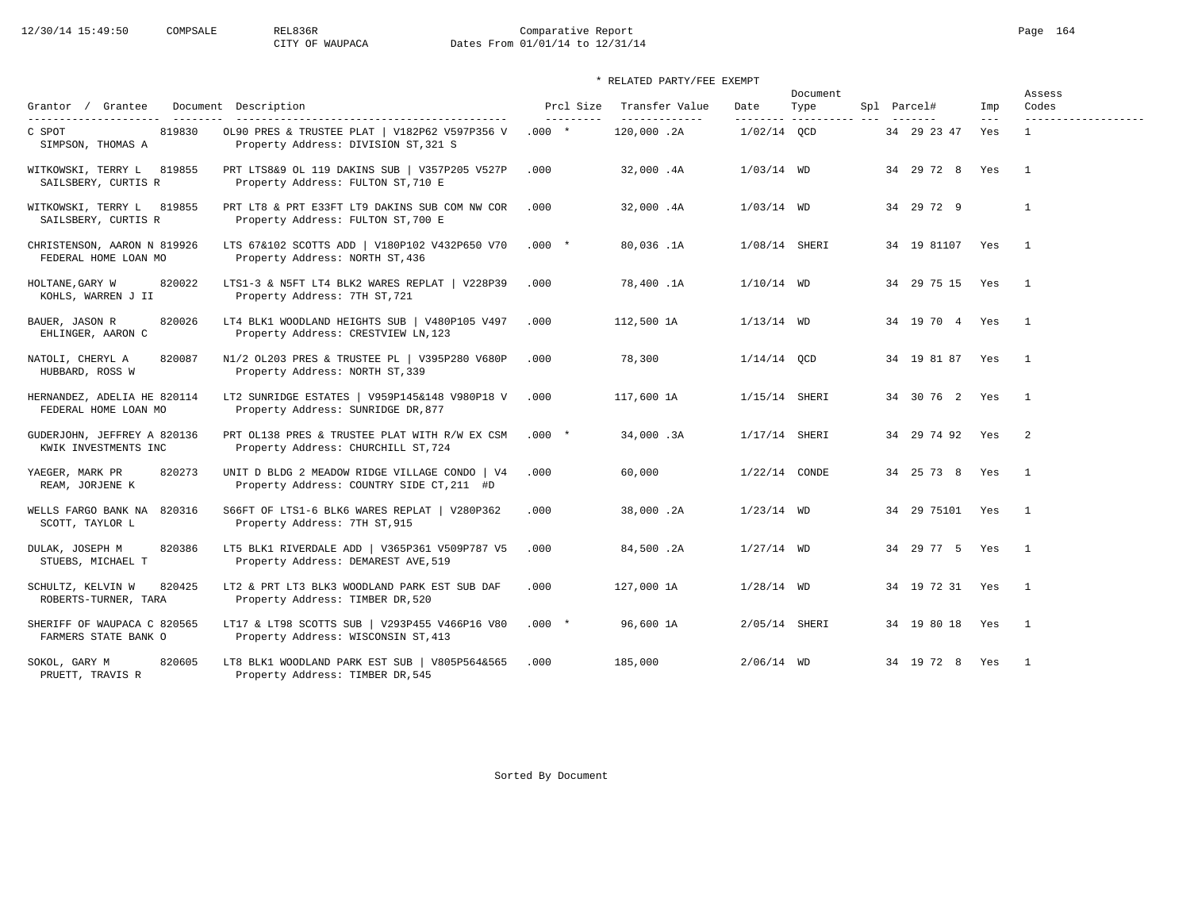# 12/30/14 15:49:50 COMPSALE REL836R Comparative Report Page 164 CITY OF WAUPACA Dates From 01/01/14 to 12/31/14

| Grantor / Grantee                                   | Document Description                                                                                                          | Prcl Size             | Transfer Value               | Date            | Document<br>Type        | Spl Parcel#            | Imp            | Assess<br>Codes                       |
|-----------------------------------------------------|-------------------------------------------------------------------------------------------------------------------------------|-----------------------|------------------------------|-----------------|-------------------------|------------------------|----------------|---------------------------------------|
| 819830<br>C SPOT<br>SIMPSON, THOMAS A               | ------------------------------------<br>OL90 PRES & TRUSTEE PLAT   V182P62 V597P356 V<br>Property Address: DIVISION ST, 321 S | ----------<br>$.000*$ | --------------<br>120,000.2A | $1/02/14$ OCD   | -------- ---------- --- | 34 29 23 47            | $- - -$<br>Yes | -------------------<br>$\overline{1}$ |
| WITKOWSKI, TERRY L 819855<br>SAILSBERY, CURTIS R    | PRT LTS8&9 OL 119 DAKINS SUB   V357P205 V527P<br>Property Address: FULTON ST, 710 E                                           | .000                  | 32,000.4A                    | $1/03/14$ WD    |                         | 34  29  72  8  Yes  1  |                |                                       |
| WITKOWSKI, TERRY L 819855<br>SAILSBERY, CURTIS R    | PRT LT8 & PRT E33FT LT9 DAKINS SUB COM NW COR<br>Property Address: FULTON ST, 700 E                                           | .000                  | 32,000.4A                    | $1/03/14$ WD    |                         | 34 29 72 9             |                | $\mathbf{1}$                          |
| CHRISTENSON, AARON N 819926<br>FEDERAL HOME LOAN MO | LTS 67&102 SCOTTS ADD   V180P102 V432P650 V70 .000 *<br>Property Address: NORTH ST, 436                                       |                       | 80,036.1A                    | $1/08/14$ SHERI |                         | 34  19  81107  Yes  1  |                |                                       |
| HOLTANE, GARY W<br>820022<br>KOHLS, WARREN J II     | LTS1-3 & N5FT LT4 BLK2 WARES REPLAT   V228P39<br>Property Address: 7TH ST, 721                                                | .000                  | 78,400.1A                    | $1/10/14$ WD    |                         | 34  29  75  15  Yes  1 |                |                                       |
| 820026<br>BAUER, JASON R<br>EHLINGER, AARON C       | LT4 BLK1 WOODLAND HEIGHTS SUB   V480P105 V497<br>Property Address: CRESTVIEW LN, 123                                          | .000                  | 112,500 1A                   | $1/13/14$ WD    |                         | 34  19  70  4  Yes  1  |                |                                       |
| NATOLI, CHERYL A<br>820087<br>HUBBARD, ROSS W       | N1/2 OL203 PRES & TRUSTEE PL   V395P280 V680P<br>Property Address: NORTH ST, 339                                              | .000                  | 78,300                       | $1/14/14$ OCD   |                         | 34  19  81  87  Yes  1 |                |                                       |
| HERNANDEZ, ADELIA HE 820114<br>FEDERAL HOME LOAN MO | LT2 SUNRIDGE ESTATES   V959P145&148 V980P18 V<br>Property Address: SUNRIDGE DR, 877                                           | .000                  | 117,600 1A                   | 1/15/14 SHERI   |                         | 34 30 76 2 Yes 1       |                |                                       |
| GUDERJOHN, JEFFREY A 820136<br>KWIK INVESTMENTS INC | PRT OL138 PRES & TRUSTEE PLAT WITH R/W EX CSM<br>Property Address: CHURCHILL ST, 724                                          | $.000*$               | 34,000.3A                    | $1/17/14$ SHERI |                         | 34 29 74 92 Yes 2      |                |                                       |
| 820273<br>YAEGER, MARK PR<br>REAM, JORJENE K        | UNIT D BLDG 2 MEADOW RIDGE VILLAGE CONDO   V4<br>Property Address: COUNTRY SIDE CT, 211 #D                                    | .000                  | 60,000                       | $1/22/14$ CONDE |                         | 34  25  73  8  Yes  1  |                |                                       |
| WELLS FARGO BANK NA 820316<br>SCOTT, TAYLOR L       | S66FT OF LTS1-6 BLK6 WARES REPLAT   V280P362<br>Property Address: 7TH ST, 915                                                 | .000                  | 38,000.2A                    | $1/23/14$ WD    |                         | 34  29  75101  Yes  1  |                |                                       |
| 820386<br>DULAK, JOSEPH M<br>STUEBS, MICHAEL T      | LT5 BLK1 RIVERDALE ADD   V365P361 V509P787 V5<br>Property Address: DEMAREST AVE, 519                                          | .000                  | 84,500.2A                    | $1/27/14$ WD    |                         | 34  29  77  5  Yes  1  |                |                                       |
| 820425<br>SCHULTZ, KELVIN W<br>ROBERTS-TURNER, TARA | LT2 & PRT LT3 BLK3 WOODLAND PARK EST SUB DAF<br>Property Address: TIMBER DR, 520                                              | .000                  | 127,000 1A                   | $1/28/14$ WD    |                         | 34  19  72  31  Yes  1 |                |                                       |
| SHERIFF OF WAUPACA C 820565<br>FARMERS STATE BANK O | LT17 & LT98 SCOTTS SUB   V293P455 V466P16 V80<br>Property Address: WISCONSIN ST, 413                                          | $.000*$               | 96,600 1A                    | 2/05/14 SHERI   |                         | 34  19  80  18  Yes  1 |                |                                       |
| 820605<br>SOKOL, GARY M<br>PRUETT, TRAVIS R         | LT8 BLK1 WOODLAND PARK EST SUB   V805P564&565<br>Property Address: TIMBER DR, 545                                             | .000                  | 185,000                      | $2/06/14$ WD    |                         | 34 19 72 8 Yes         |                | $\overline{1}$                        |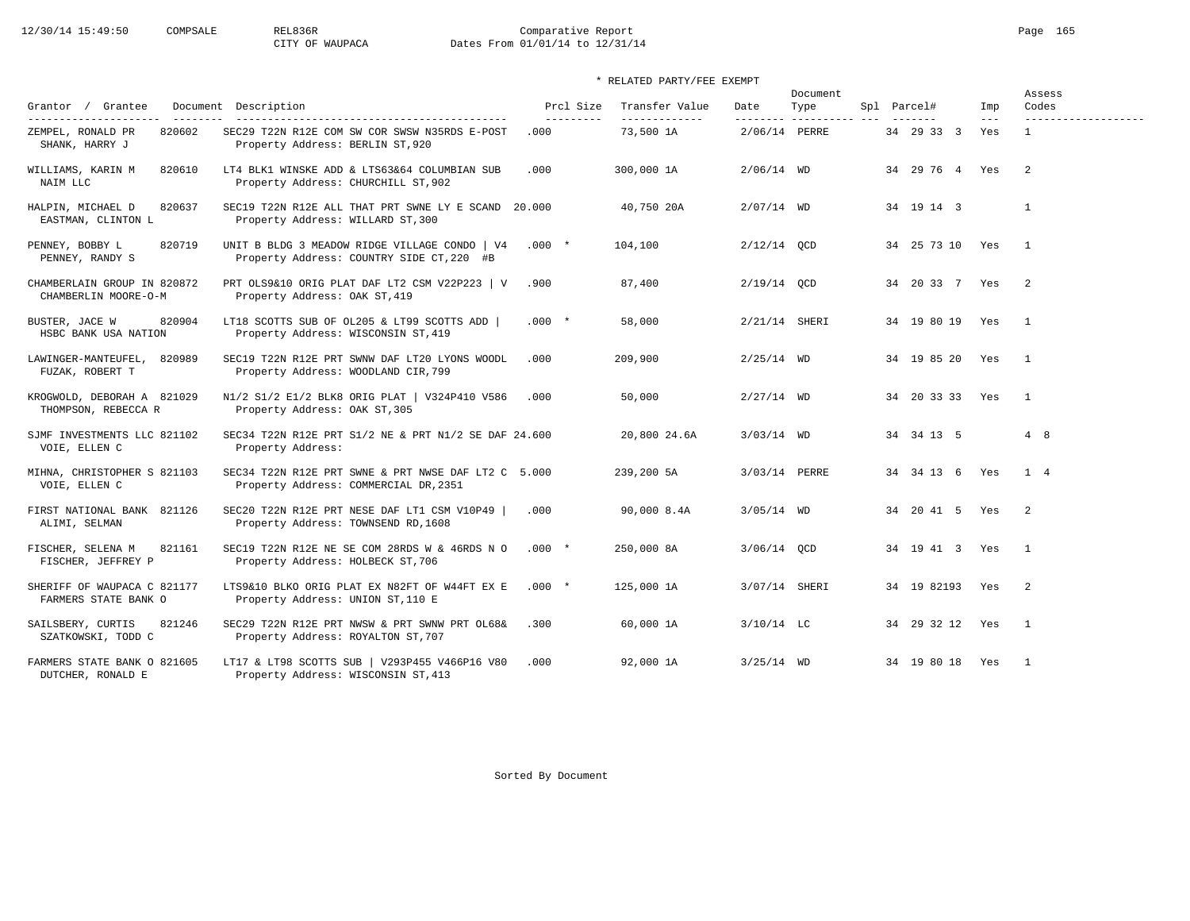# 12/30/14 15:49:50 COMPSALE REL836R Comparative Report Page 165 CITY OF WAUPACA Dates From 01/01/14 to 12/31/14

|                                                     |                                                                                              | Prcl Size  | Transfer Value |                  | Document            |                    |                | Assess                       |
|-----------------------------------------------------|----------------------------------------------------------------------------------------------|------------|----------------|------------------|---------------------|--------------------|----------------|------------------------------|
| Grantor / Grantee<br>----------------------         | Document Description                                                                         | ---------- | -------------- | Date<br>-------- | Type<br>----------- | Spl Parcel#        | Imp<br>$- - -$ | Codes<br>------------------- |
| 820602<br>ZEMPEL, RONALD PR<br>SHANK, HARRY J       | SEC29 T22N R12E COM SW COR SWSW N35RDS E-POST<br>Property Address: BERLIN ST, 920            | .000       | 73,500 1A      | 2/06/14 PERRE    |                     | 34 29 33 3         | Yes            | $\overline{1}$               |
| 820610<br>WILLIAMS, KARIN M<br>NAIM LLC             | LT4 BLK1 WINSKE ADD & LTS63&64 COLUMBIAN SUB<br>Property Address: CHURCHILL ST, 902          | .000       | 300,000 1A     | $2/06/14$ WD     |                     | 34 29 76 4 Yes     |                | $\overline{2}$               |
| 820637<br>HALPIN, MICHAEL D<br>EASTMAN, CLINTON L   | SEC19 T22N R12E ALL THAT PRT SWNE LY E SCAND 20.000<br>Property Address: WILLARD ST, 300     |            | 40,750 20A     | $2/07/14$ WD     |                     | 34 19 14 3         |                | <sup>1</sup>                 |
| 820719<br>PENNEY, BOBBY L<br>PENNEY, RANDY S        | UNIT B BLDG 3 MEADOW RIDGE VILLAGE CONDO   V4<br>Property Address: COUNTRY SIDE CT, 220 #B   | $.000*$    | 104,100        | $2/12/14$ OCD    |                     | 34 25 73 10 Yes    |                | $\overline{1}$               |
| CHAMBERLAIN GROUP IN 820872<br>CHAMBERLIN MOORE-O-M | PRT OLS9&10 ORIG PLAT DAF LT2 CSM V22P223   V<br>Property Address: OAK ST, 419               | .900       | 87,400         | $2/19/14$ QCD    |                     | 34 20 33 7 Yes     |                | $\overline{2}$               |
| BUSTER, JACE W<br>820904<br>HSBC BANK USA NATION    | LT18 SCOTTS SUB OF 0L205 & LT99 SCOTTS ADD  <br>Property Address: WISCONSIN ST, 419          | $.000*$    | 58,000         | 2/21/14 SHERI    |                     | 34 19 80 19 Yes    |                | $\overline{1}$               |
| LAWINGER-MANTEUFEL, 820989<br>FUZAK, ROBERT T       | SEC19 T22N R12E PRT SWNW DAF LT20 LYONS WOODL<br>Property Address: WOODLAND CIR, 799         | .000       | 209,900        | $2/25/14$ WD     |                     | 34 19 85 20        | Yes            | $\overline{1}$               |
| KROGWOLD, DEBORAH A 821029<br>THOMPSON, REBECCA R   | N1/2 S1/2 E1/2 BLK8 ORIG PLAT   V324P410 V586<br>Property Address: OAK ST, 305               | .000       | 50,000         | $2/27/14$ WD     |                     | 34 20 33 33 Yes    |                | $\overline{1}$               |
| SJMF INVESTMENTS LLC 821102<br>VOIE, ELLEN C        | SEC34 T22N R12E PRT S1/2 NE & PRT N1/2 SE DAF 24.600<br>Property Address:                    |            | 20,800 24.6A   | $3/03/14$ WD     |                     | 34 34 13 5         |                | 4 8                          |
| MIHNA, CHRISTOPHER S 821103<br>VOIE, ELLEN C        | SEC34 T22N R12E PRT SWNE & PRT NWSE DAF LT2 C 5.000<br>Property Address: COMMERCIAL DR, 2351 |            | 239,200 5A     | 3/03/14 PERRE    |                     | 34 34 13 6 Yes     |                | 1 4                          |
| FIRST NATIONAL BANK 821126<br>ALIMI, SELMAN         | SEC20 T22N R12E PRT NESE DAF LT1 CSM V10P49<br>Property Address: TOWNSEND RD, 1608           | .000       | 90,000 8.4A    | $3/05/14$ WD     |                     | 34  20  41  5  Yes |                | $\overline{2}$               |
| FISCHER, SELENA M<br>821161<br>FISCHER, JEFFREY P   | SEC19 T22N R12E NE SE COM 28RDS W & 46RDS N O<br>Property Address: HOLBECK ST, 706           | $.000*$    | 250,000 8A     | 3/06/14 OCD      |                     | 34 19 41 3 Yes     |                | $\overline{1}$               |
| SHERIFF OF WAUPACA C 821177<br>FARMERS STATE BANK O | LTS9&10 BLKO ORIG PLAT EX N82FT OF W44FT EX E<br>Property Address: UNION ST, 110 E           | $.000*$    | 125,000 1A     | 3/07/14 SHERI    |                     | 34 19 82193 Yes    |                | $\overline{\phantom{0}}^2$   |
| SAILSBERY, CURTIS<br>821246<br>SZATKOWSKI, TODD C   | SEC29 T22N R12E PRT NWSW & PRT SWNW PRT OL68&<br>Property Address: ROYALTON ST, 707          | .300       | 60,000 1A      | $3/10/14$ LC     |                     | 34 29 32 12 Yes    |                | $\overline{1}$               |
| FARMERS STATE BANK O 821605<br>DUTCHER, RONALD E    | LT17 & LT98 SCOTTS SUB   V293P455 V466P16 V80<br>Property Address: WISCONSIN ST, 413         | .000       | 92,000 1A      | $3/25/14$ WD     |                     | 34 19 80 18 Yes    |                | $\overline{1}$               |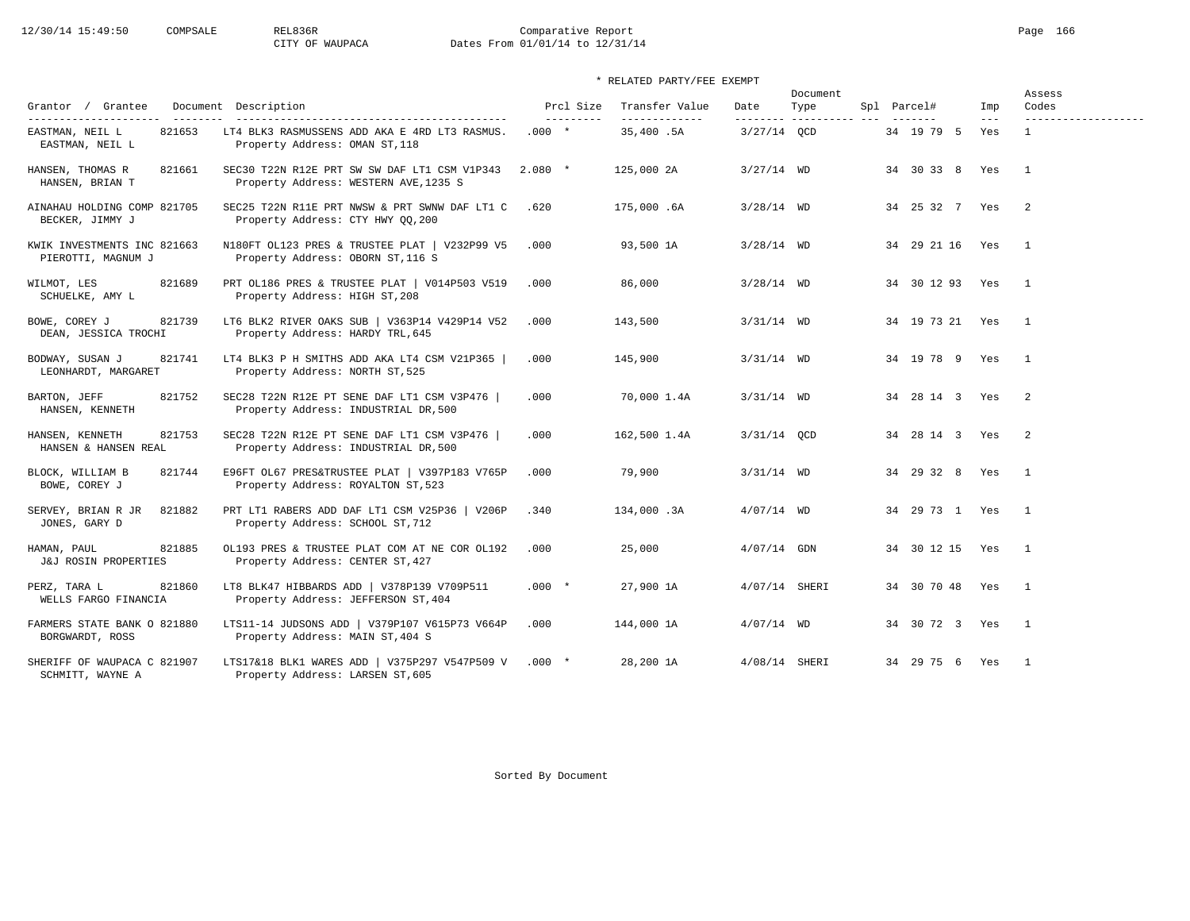# 12/30/14 15:49:50 COMPSALE REL836R Comparative Report Page 166 CITY OF WAUPACA Dates From 01/01/14 to 12/31/14

## \* RELATED PARTY/FEE EXEMPT

| Grantor / Grantee                                                      | Document Description                                                                  | Prcl Size             | Transfer Value             | Date            | Document<br>Type         | Spl Parcel#        | Imp          | Assess<br>Codes            |
|------------------------------------------------------------------------|---------------------------------------------------------------------------------------|-----------------------|----------------------------|-----------------|--------------------------|--------------------|--------------|----------------------------|
| ----------------------<br>821653<br>EASTMAN, NEIL L<br>EASTMAN, NEIL L | LT4 BLK3 RASMUSSENS ADD AKA E 4RD LT3 RASMUS.<br>Property Address: OMAN ST, 118       | ----------<br>$.000*$ | -------------<br>35,400.5A | $3/27/14$ OCD   | --------- ---------- --- | 34 19 79 5         | $---$<br>Yes | -------------------        |
| HANSEN, THOMAS R<br>821661<br>HANSEN, BRIAN T                          | SEC30 T22N R12E PRT SW SW DAF LT1 CSM V1P343<br>Property Address: WESTERN AVE, 1235 S | $2.080*$              | 125,000 2A                 | $3/27/14$ WD    |                          | 34 30 33 8 Yes     |              | $\overline{1}$             |
| AINAHAU HOLDING COMP 821705<br>BECKER, JIMMY J                         | SEC25 T22N R11E PRT NWSW & PRT SWNW DAF LT1 C<br>Property Address: CTY HWY QQ, 200    | .620                  | 175,000.6A                 | $3/28/14$ WD    |                          | 34  25  32  7  Yes |              | $\overline{\phantom{0}}^2$ |
| KWIK INVESTMENTS INC 821663<br>PIEROTTI, MAGNUM J                      | N180FT OL123 PRES & TRUSTEE PLAT   V232P99 V5<br>Property Address: OBORN ST, 116 S    | .000                  | 93,500 1A                  | $3/28/14$ WD    |                          | 34 29 21 16        | Yes          | $\overline{1}$             |
| 821689<br>WILMOT, LES<br>SCHUELKE, AMY L                               | PRT OL186 PRES & TRUSTEE PLAT   V014P503 V519<br>Property Address: HIGH ST, 208       | .000                  | 86,000                     | $3/28/14$ WD    |                          | 34 30 12 93 Yes    |              | $\overline{1}$             |
| BOWE, COREY J<br>821739<br>DEAN, JESSICA TROCHI                        | LT6 BLK2 RIVER OAKS SUB   V363P14 V429P14 V52<br>Property Address: HARDY TRL, 645     | .000                  | 143,500                    | $3/31/14$ WD    |                          | 34 19 73 21 Yes    |              | $\overline{1}$             |
| BODWAY, SUSAN J<br>821741<br>LEONHARDT, MARGARET                       | LT4 BLK3 P H SMITHS ADD AKA LT4 CSM V21P365<br>Property Address: NORTH ST, 525        | .000                  | 145,900                    | $3/31/14$ WD    |                          | 34 19 78 9 Yes     |              | $\overline{\phantom{1}}$   |
| 821752<br>BARTON, JEFF<br>HANSEN, KENNETH                              | SEC28 T22N R12E PT SENE DAF LT1 CSM V3P476  <br>Property Address: INDUSTRIAL DR, 500  | .000                  | 70,000 1.4A                | $3/31/14$ WD    |                          | 34  28  14  3  Yes |              | $\overline{2}$             |
| 821753<br>HANSEN, KENNETH<br>HANSEN & HANSEN REAL                      | SEC28 T22N R12E PT SENE DAF LT1 CSM V3P476  <br>Property Address: INDUSTRIAL DR, 500  | .000                  | 162,500 1.4A               | $3/31/14$ QCD   |                          | 34  28  14  3  Yes |              | $\overline{\phantom{0}}^2$ |
| 821744<br>BLOCK, WILLIAM B<br>BOWE, COREY J                            | E96FT OL67 PRES&TRUSTEE PLAT   V397P183 V765P<br>Property Address: ROYALTON ST, 523   | .000                  | 79,900                     | $3/31/14$ WD    |                          | 34 29 32 8 Yes     |              | $\overline{1}$             |
| 821882<br>SERVEY, BRIAN R JR<br>JONES, GARY D                          | PRT LT1 RABERS ADD DAF LT1 CSM V25P36   V206P<br>Property Address: SCHOOL ST, 712     | .340                  | 134,000.3A                 | $4/07/14$ WD    |                          | 34 29 73 1 Yes     |              | $\overline{\phantom{0}}$   |
| 821885<br>HAMAN, PAUL<br><b>J&amp;J ROSIN PROPERTIES</b>               | OL193 PRES & TRUSTEE PLAT COM AT NE COR OL192<br>Property Address: CENTER ST, 427     | .000                  | 25,000                     | $4/07/14$ GDN   |                          | 34 30 12 15 Yes    |              | $\overline{1}$             |
| 821860<br>PERZ, TARA L<br>WELLS FARGO FINANCIA                         | LT8 BLK47 HIBBARDS ADD   V378P139 V709P511<br>Property Address: JEFFERSON ST, 404     | $.000*$               | 27,900 1A                  | $4/07/14$ SHERI |                          | 34 30 70 48 Yes    |              | $\overline{1}$             |
| FARMERS STATE BANK O 821880<br>BORGWARDT, ROSS                         | LTS11-14 JUDSONS ADD   V379P107 V615P73 V664P<br>Property Address: MAIN ST, 404 S     | .000                  | 144,000 1A                 | $4/07/14$ WD    |                          | 34 30 72 3 Yes     |              | $\overline{1}$             |
| SHERIFF OF WAUPACA C 821907<br>SCHMITT, WAYNE A                        | LTS17&18 BLK1 WARES ADD   V375P297 V547P509 V<br>Property Address: LARSEN ST, 605     | $.000*$               | 28,200 1A                  | 4/08/14 SHERI   |                          | 34 29 75 6 Yes     |              | $\overline{1}$             |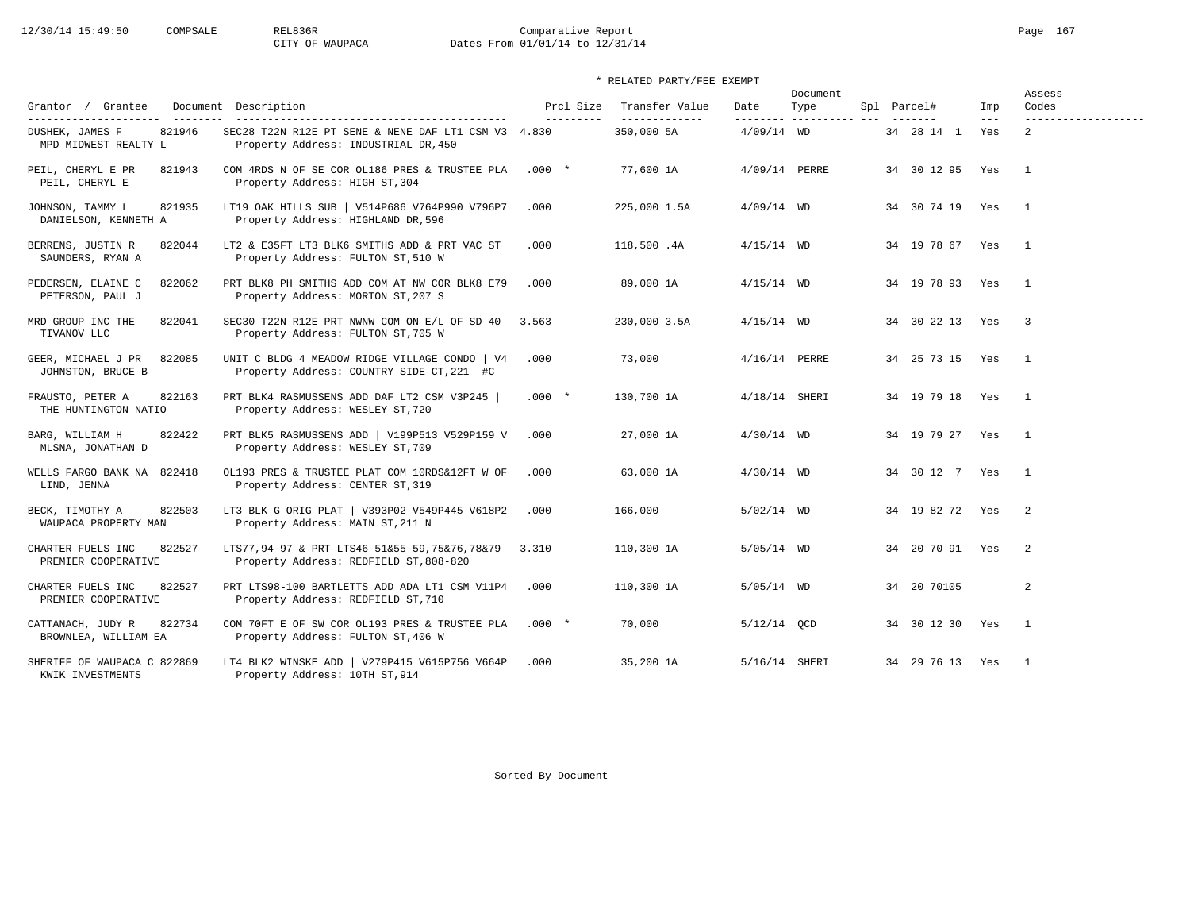# 12/30/14 15:49:50 COMPSALE REL836R Comparative Report Page 167 CITY OF WAUPACA Dates From 01/01/14 to 12/31/14

## \* RELATED PARTY/FEE EXEMPT

| Grantor / Grantee                                   | Document Description                                                                         | Prcl Size | Transfer Value | Date          | Document<br>Type | Spl Parcel#      | Imp   | Assess<br>Codes            |
|-----------------------------------------------------|----------------------------------------------------------------------------------------------|-----------|----------------|---------------|------------------|------------------|-------|----------------------------|
| ---------------------                               | ------------------------------------                                                         | --------- | -------------- | --------      | -----------      |                  | $---$ | -------------------        |
| 821946<br>DUSHEK, JAMES F<br>MPD MIDWEST REALTY L   | SEC28 T22N R12E PT SENE & NENE DAF LT1 CSM V3 4.830<br>Property Address: INDUSTRIAL DR, 450  |           | 350,000 5A     | $4/09/14$ WD  |                  | 34   28   14   1 | Yes   | 2                          |
| PEIL, CHERYL E PR<br>821943<br>PEIL, CHERYL E       | COM 4RDS N OF SE COR OL186 PRES & TRUSTEE PLA<br>Property Address: HIGH ST, 304              | $.000*$   | 77,600 1A      | 4/09/14 PERRE |                  | 34 30 12 95      | Yes   | $\overline{1}$             |
| 821935<br>JOHNSON, TAMMY L<br>DANIELSON, KENNETH A  | LT19 OAK HILLS SUB   V514P686 V764P990 V796P7<br>Property Address: HIGHLAND DR, 596          | .000      | 225,000 1.5A   | $4/09/14$ WD  |                  | 34 30 74 19 Yes  |       | $\mathbf{1}$               |
| BERRENS, JUSTIN R<br>822044<br>SAUNDERS, RYAN A     | LT2 & E35FT LT3 BLK6 SMITHS ADD & PRT VAC ST<br>Property Address: FULTON ST, 510 W           | .000      | 118,500 .4A    | $4/15/14$ WD  |                  | 34 19 78 67 Yes  |       | $\mathbf{1}$               |
| PEDERSEN, ELAINE C<br>822062<br>PETERSON, PAUL J    | PRT BLK8 PH SMITHS ADD COM AT NW COR BLK8 E79<br>Property Address: MORTON ST, 207 S          | .000      | 89,000 1A      | $4/15/14$ WD  |                  | 34 19 78 93 Yes  |       | $\overline{1}$             |
| MRD GROUP INC THE<br>822041<br>TIVANOV LLC          | SEC30 T22N R12E PRT NWNW COM ON E/L OF SD 40 3.563<br>Property Address: FULTON ST, 705 W     |           | 230,000 3.5A   | $4/15/14$ WD  |                  | 34 30 22 13 Yes  |       | $\overline{\phantom{a}}$   |
| GEER, MICHAEL J PR<br>822085<br>JOHNSTON, BRUCE B   | UNIT C BLDG 4 MEADOW RIDGE VILLAGE CONDO   V4<br>Property Address: COUNTRY SIDE CT, 221 #C   | .000      | 73,000         | 4/16/14 PERRE |                  | 34 25 73 15 Yes  |       | $\overline{1}$             |
| 822163<br>FRAUSTO, PETER A<br>THE HUNTINGTON NATIO  | PRT BLK4 RASMUSSENS ADD DAF LT2 CSM V3P245  <br>Property Address: WESLEY ST, 720             | $.000*$   | 130,700 1A     | 4/18/14 SHERI |                  | 34 19 79 18 Yes  |       | $\overline{1}$             |
| BARG, WILLIAM H<br>822422<br>MLSNA, JONATHAN D      | PRT BLK5 RASMUSSENS ADD   V199P513 V529P159 V<br>Property Address: WESLEY ST, 709            | .000      | 27,000 1A      | $4/30/14$ WD  |                  | 34 19 79 27 Yes  |       | $\overline{1}$             |
| WELLS FARGO BANK NA 822418<br>LIND, JENNA           | OL193 PRES & TRUSTEE PLAT COM 10RDS&12FT W OF<br>Property Address: CENTER ST, 319            | .000      | 63,000 1A      | $4/30/14$ WD  |                  | 34 30 12 7 Yes   |       | $\overline{1}$             |
| 822503<br>BECK, TIMOTHY A<br>WAUPACA PROPERTY MAN   | LT3 BLK G ORIG PLAT   V393P02 V549P445 V618P2<br>Property Address: MAIN ST, 211 N            | .000      | 166,000        | $5/02/14$ WD  |                  | 34 19 82 72 Yes  |       | $\overline{\phantom{0}}^2$ |
| 822527<br>CHARTER FUELS INC<br>PREMIER COOPERATIVE  | LTS77,94-97 & PRT LTS46-51&55-59,75&76,78&79 3.310<br>Property Address: REDFIELD ST, 808-820 |           | 110,300 1A     | $5/05/14$ WD  |                  | 34 20 70 91 Yes  |       | $\overline{2}$             |
| CHARTER FUELS INC<br>822527<br>PREMIER COOPERATIVE  | PRT LTS98-100 BARTLETTS ADD ADA LT1 CSM V11P4<br>Property Address: REDFIELD ST, 710          | .000      | 110,300 1A     | $5/05/14$ WD  |                  | 34 20 70105      |       | 2                          |
| CATTANACH, JUDY R<br>822734<br>BROWNLEA, WILLIAM EA | COM 70FT E OF SW COR OL193 PRES & TRUSTEE PLA<br>Property Address: FULTON ST, 406 W          | $.000*$   | 70,000         | $5/12/14$ OCD |                  | 34 30 12 30 Yes  |       | $\overline{1}$             |
| SHERIFF OF WAUPACA C 822869<br>KWIK INVESTMENTS     | LT4 BLK2 WINSKE ADD   V279P415 V615P756 V664P<br>Property Address: 10TH ST, 914              | .000      | 35,200 1A      | 5/16/14 SHERI |                  | 34 29 76 13 Yes  |       | $\overline{1}$             |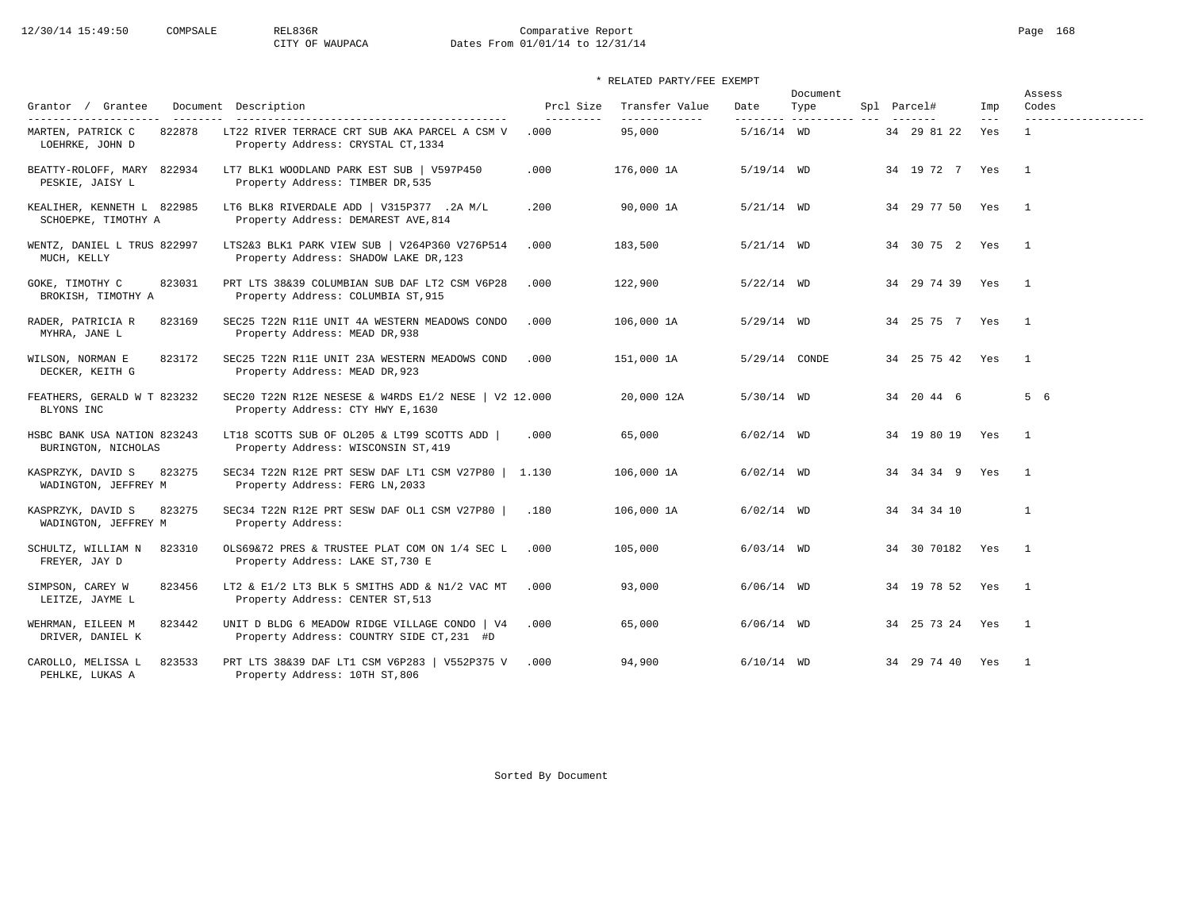# 12/30/14 15:49:50 COMPSALE REL836R Comparative Report Page 168 CITY OF WAUPACA Dates From 01/01/14 to 12/31/14

| Grantor / Grantee                                                       | Document Description                                                                       | Prcl Size          | Transfer Value          | Date          | Document<br>Type      | Spl Parcel#     | Imp          | Assess<br>Codes                     |
|-------------------------------------------------------------------------|--------------------------------------------------------------------------------------------|--------------------|-------------------------|---------------|-----------------------|-----------------|--------------|-------------------------------------|
| ---------------------<br>822878<br>MARTEN, PATRICK C<br>LOEHRKE, JOHN D | LT22 RIVER TERRACE CRT SUB AKA PARCEL A CSM V<br>Property Address: CRYSTAL CT, 1334        | ----------<br>.000 | -------------<br>95,000 | $5/16/14$ WD  | --------- ----------- | 34 29 81 22     | $---$<br>Yes | -------------------<br>$\mathbf{1}$ |
| BEATTY-ROLOFF, MARY 822934<br>PESKIE, JAISY L                           | LT7 BLK1 WOODLAND PARK EST SUB   V597P450<br>Property Address: TIMBER DR, 535              | .000               | 176,000 1A              | $5/19/14$ WD  |                       | 34 19 72 7 Yes  |              | $\overline{1}$                      |
| KEALIHER, KENNETH L 822985<br>SCHOEPKE, TIMOTHY A                       | LT6 BLK8 RIVERDALE ADD   V315P377 .2A M/L<br>Property Address: DEMAREST AVE, 814           | .200               | 90,000 1A               | $5/21/14$ WD  |                       | 34 29 77 50 Yes |              | $\overline{1}$                      |
| WENTZ, DANIEL L TRUS 822997<br>MUCH, KELLY                              | LTS2&3 BLK1 PARK VIEW SUB   V264P360 V276P514<br>Property Address: SHADOW LAKE DR, 123     | .000               | 183,500                 | $5/21/14$ WD  |                       | 34 30 75 2 Yes  |              | $\overline{1}$                      |
| GOKE, TIMOTHY C<br>823031<br>BROKISH, TIMOTHY A                         | PRT LTS 38&39 COLUMBIAN SUB DAF LT2 CSM V6P28<br>Property Address: COLUMBIA ST, 915        | .000               | 122,900                 | $5/22/14$ WD  |                       | 34 29 74 39     | Yes          | $\mathbf{1}$                        |
| RADER, PATRICIA R<br>823169<br>MYHRA, JANE L                            | SEC25 T22N R11E UNIT 4A WESTERN MEADOWS CONDO<br>Property Address: MEAD DR, 938            | .000               | 106,000 1A              | $5/29/14$ WD  |                       | 34 25 75 7 Yes  |              | $\overline{1}$                      |
| WILSON, NORMAN E<br>823172<br>DECKER, KEITH G                           | SEC25 T22N R11E UNIT 23A WESTERN MEADOWS COND<br>Property Address: MEAD DR, 923            | .000               | 151,000 1A              | 5/29/14 CONDE |                       | 34 25 75 42 Yes |              | $\overline{1}$                      |
| FEATHERS, GERALD W T 823232<br>BLYONS INC                               | SEC20 T22N R12E NESESE & W4RDS E1/2 NESE   V2 12.000<br>Property Address: CTY HWY E, 1630  |                    | 20,000 12A              | $5/30/14$ WD  |                       | 34 20 44 6      |              | 5 6                                 |
| HSBC BANK USA NATION 823243<br>BURINGTON, NICHOLAS                      | LT18 SCOTTS SUB OF OL205 & LT99 SCOTTS ADD<br>Property Address: WISCONSIN ST, 419          | .000               | 65,000                  | $6/02/14$ WD  |                       | 34 19 80 19 Yes |              | $\overline{1}$                      |
| 823275<br>KASPRZYK, DAVID S<br>WADINGTON, JEFFREY M                     | SEC34 T22N R12E PRT SESW DAF LT1 CSM V27P80  <br>Property Address: FERG LN, 2033           | 1.130              | 106,000 1A              | $6/02/14$ WD  |                       | 34 34 34 9 Yes  |              | $\overline{1}$                      |
| 823275<br>KASPRZYK, DAVID S<br>WADINGTON, JEFFREY M                     | SEC34 T22N R12E PRT SESW DAF OL1 CSM V27P80  <br>Property Address:                         | .180               | 106,000 1A              | $6/02/14$ WD  |                       | 34 34 34 10     |              | $\mathbf{1}$                        |
| 823310<br>SCHULTZ, WILLIAM N<br>FREYER, JAY D                           | OLS69&72 PRES & TRUSTEE PLAT COM ON 1/4 SEC L<br>Property Address: LAKE ST, 730 E          | .000               | 105,000                 | $6/03/14$ WD  |                       | 34 30 70182 Yes |              | $\overline{1}$                      |
| SIMPSON, CAREY W<br>823456<br>LEITZE, JAYME L                           | LT2 & E1/2 LT3 BLK 5 SMITHS ADD & N1/2 VAC MT<br>Property Address: CENTER ST, 513          | .000               | 93,000                  | $6/06/14$ WD  |                       | 34 19 78 52 Yes |              | $\overline{1}$                      |
| WEHRMAN, EILEEN M<br>823442<br>DRIVER, DANIEL K                         | UNIT D BLDG 6 MEADOW RIDGE VILLAGE CONDO   V4<br>Property Address: COUNTRY SIDE CT, 231 #D | .000               | 65,000                  | $6/06/14$ WD  |                       | 34 25 73 24 Yes |              | $\overline{1}$                      |
| CAROLLO, MELISSA L<br>823533<br>PEHLKE, LUKAS A                         | PRT LTS 38&39 DAF LT1 CSM V6P283   V552P375 V<br>Property Address: 10TH ST, 806            | .000               | 94,900                  | $6/10/14$ WD  |                       | 34 29 74 40 Yes |              | $\overline{1}$                      |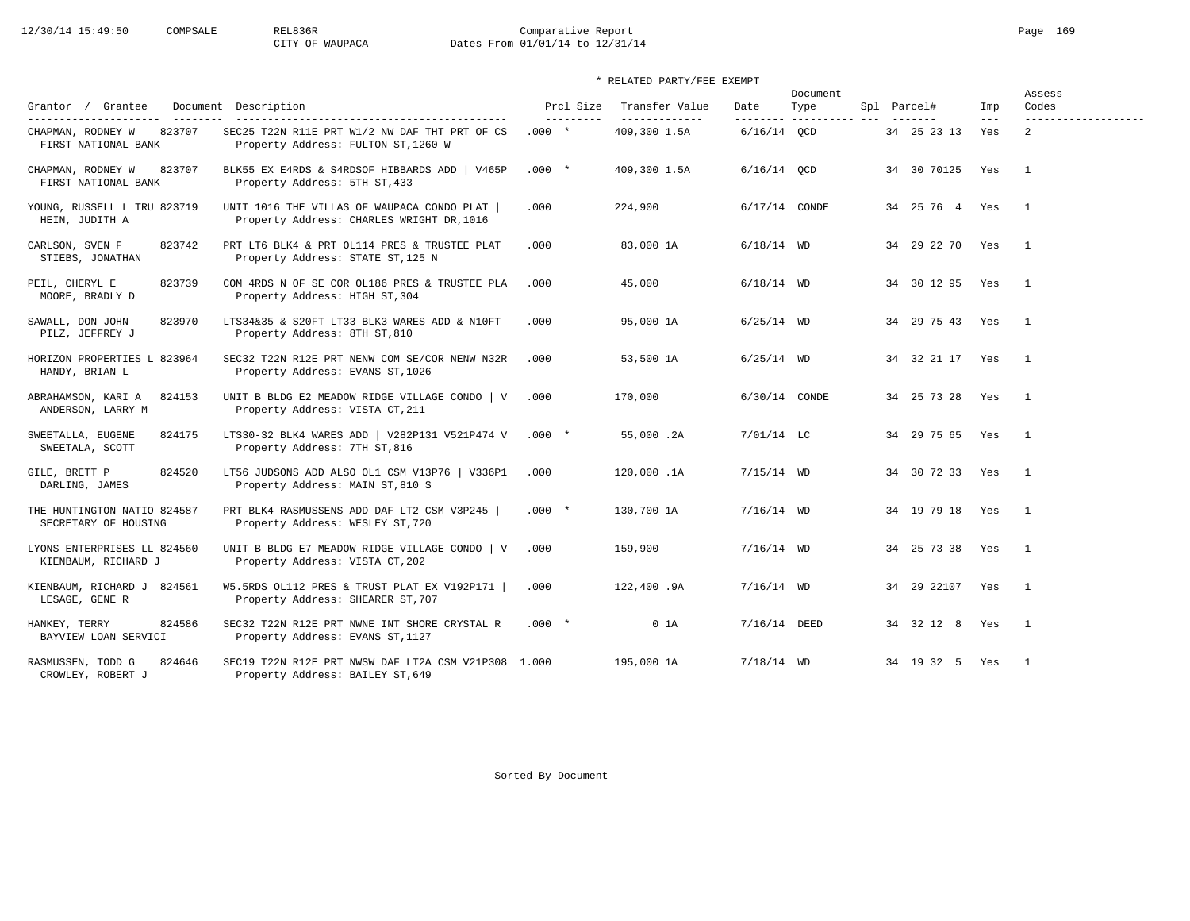# 12/30/14 15:49:50 COMPSALE REL836R Comparative Report Page 169 CITY OF WAUPACA Dates From 01/01/14 to 12/31/14

## \* RELATED PARTY/FEE EXEMPT

| Grantor / Grantee                                                           | Document Description                                                                                                           | Prcl Size             | Transfer Value                 | Date                      | Document<br>Type | Spl Parcel#        | Imp          | Assess<br>Codes                       |
|-----------------------------------------------------------------------------|--------------------------------------------------------------------------------------------------------------------------------|-----------------------|--------------------------------|---------------------------|------------------|--------------------|--------------|---------------------------------------|
| ---------------------<br>823707<br>CHAPMAN, RODNEY W<br>FIRST NATIONAL BANK | --------------------------------------<br>SEC25 T22N R11E PRT W1/2 NW DAF THT PRT OF CS<br>Property Address: FULTON ST, 1260 W | ----------<br>$.000*$ | --------------<br>409,300 1.5A | --------<br>$6/16/14$ OCD | ______________   | 34 25 23 13        | $---$<br>Yes | -------------------<br>$\mathfrak{D}$ |
| CHAPMAN, RODNEY W<br>823707<br>FIRST NATIONAL BANK                          | BLK55 EX E4RDS & S4RDSOF HIBBARDS ADD   V465P<br>Property Address: 5TH ST, 433                                                 | $.000*$               | 409,300 1.5A                   | $6/16/14$ OCD             |                  | 34 30 70125        | Yes          | $\overline{1}$                        |
| YOUNG, RUSSELL L TRU 823719<br>HEIN, JUDITH A                               | UNIT 1016 THE VILLAS OF WAUPACA CONDO PLAT  <br>Property Address: CHARLES WRIGHT DR, 1016                                      | .000                  | 224,900                        | 6/17/14 CONDE             |                  | 34  25  76  4  Yes |              | $\overline{1}$                        |
| CARLSON, SVEN F<br>823742<br>STIEBS, JONATHAN                               | PRT LT6 BLK4 & PRT OL114 PRES & TRUSTEE PLAT<br>Property Address: STATE ST, 125 N                                              | .000                  | 83,000 1A                      | $6/18/14$ WD              |                  | 34 29 22 70 Yes    |              | $\overline{1}$                        |
| PEIL, CHERYL E<br>823739<br>MOORE, BRADLY D                                 | COM 4RDS N OF SE COR OL186 PRES & TRUSTEE PLA<br>Property Address: HIGH ST, 304                                                | .000                  | 45,000                         | $6/18/14$ WD              |                  | 34 30 12 95        | Yes          | $\overline{1}$                        |
| 823970<br>SAWALL, DON JOHN<br>PILZ, JEFFREY J                               | LTS34&35 & S20FT LT33 BLK3 WARES ADD & N10FT<br>Property Address: 8TH ST, 810                                                  | .000                  | 95,000 1A                      | $6/25/14$ WD              |                  | 34 29 75 43        | Yes          | $\overline{1}$                        |
| HORIZON PROPERTIES L 823964<br>HANDY, BRIAN L                               | SEC32 T22N R12E PRT NENW COM SE/COR NENW N32R<br>Property Address: EVANS ST, 1026                                              | .000                  | 53,500 1A                      | $6/25/14$ WD              |                  | 34 32 21 17        | Yes          | $\overline{1}$                        |
| ABRAHAMSON, KARI A<br>824153<br>ANDERSON, LARRY M                           | UNIT B BLDG E2 MEADOW RIDGE VILLAGE CONDO   V<br>Property Address: VISTA CT, 211                                               | .000                  | 170,000                        | 6/30/14 CONDE             |                  | 34 25 73 28 Yes    |              | $\mathbf{1}$                          |
| SWEETALLA, EUGENE<br>824175<br>SWEETALA, SCOTT                              | LTS30-32 BLK4 WARES ADD   V282P131 V521P474 V<br>Property Address: 7TH ST, 816                                                 | $.000*$               | 55,000.2A                      | $7/01/14$ LC              |                  | 34 29 75 65        | Yes          | $\overline{1}$                        |
| 824520<br>GILE, BRETT P<br>DARLING, JAMES                                   | LT56 JUDSONS ADD ALSO OL1 CSM V13P76   V336P1<br>Property Address: MAIN ST, 810 S                                              | .000                  | 120,000.1A                     | $7/15/14$ WD              |                  | 34 30 72 33 Yes    |              | $\mathbf{1}$                          |
| THE HUNTINGTON NATIO 824587<br>SECRETARY OF HOUSING                         | PRT BLK4 RASMUSSENS ADD DAF LT2 CSM V3P245  <br>Property Address: WESLEY ST, 720                                               | $.000 *$              | 130,700 1A                     | $7/16/14$ WD              |                  | 34 19 79 18        | Yes          | $\overline{1}$                        |
| LYONS ENTERPRISES LL 824560<br>KIENBAUM, RICHARD J                          | UNIT B BLDG E7 MEADOW RIDGE VILLAGE CONDO   V<br>Property Address: VISTA CT, 202                                               | .000                  | 159,900                        | $7/16/14$ WD              |                  | 34 25 73 38        | Yes          | $\overline{1}$                        |
| KIENBAUM, RICHARD J 824561<br>LESAGE, GENE R                                | W5.5RDS OL112 PRES & TRUST PLAT EX V192P171  <br>Property Address: SHEARER ST, 707                                             | .000                  | 122,400.9A                     | $7/16/14$ WD              |                  | 34 29 22107 Yes    |              | $\overline{1}$                        |
| HANKEY, TERRY<br>824586<br>BAYVIEW LOAN SERVICI                             | SEC32 T22N R12E PRT NWNE INT SHORE CRYSTAL R<br>Property Address: EVANS ST, 1127                                               | $.000*$               | 0 <sub>1A</sub>                | 7/16/14 DEED              |                  | 34 32 12 8         | Yes          | $\overline{1}$                        |
| 824646<br>RASMUSSEN, TODD G<br>CROWLEY, ROBERT J                            | SEC19 T22N R12E PRT NWSW DAF LT2A CSM V21P308 1.000<br>Property Address: BAILEY ST, 649                                        |                       | 195,000 1A                     | $7/18/14$ WD              |                  | 34 19 32 5         | Yes          | $\blacksquare$                        |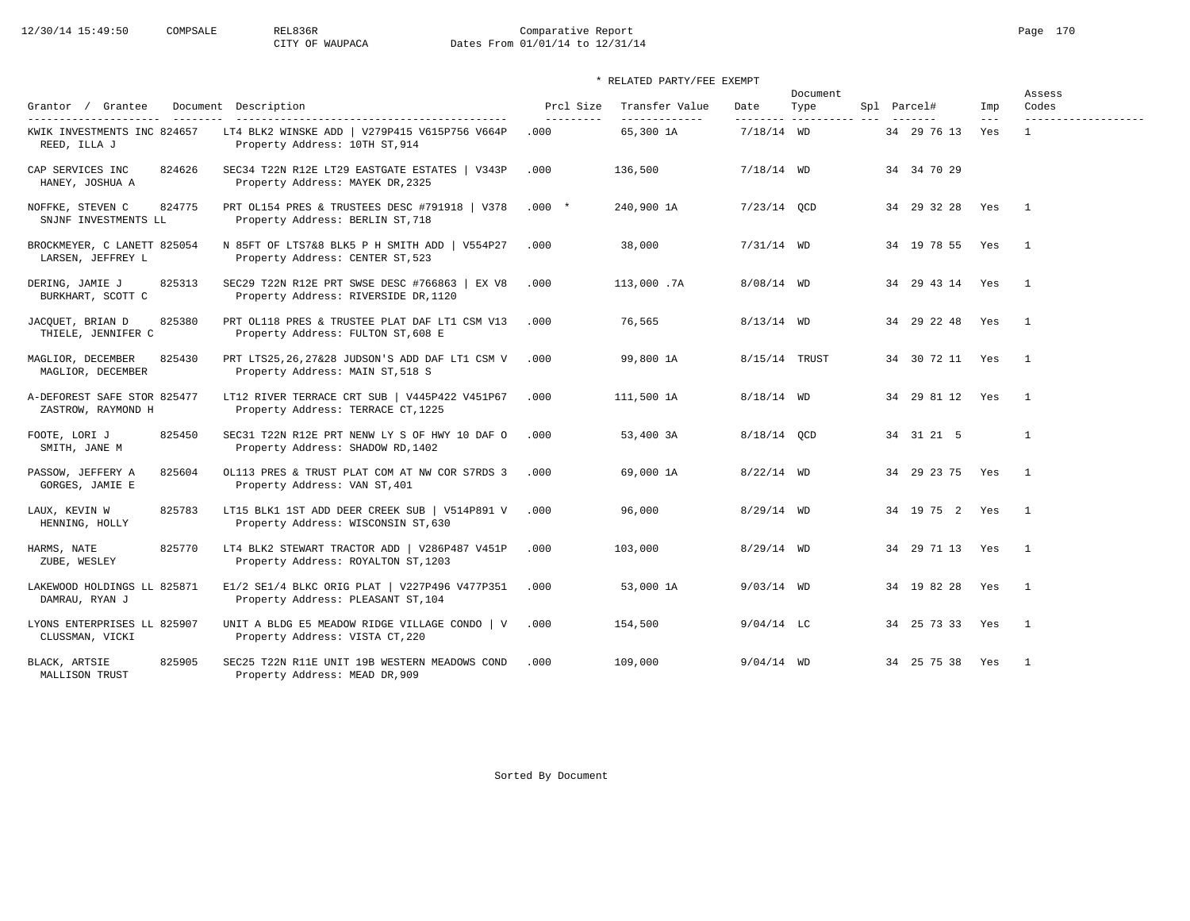# 12/30/14 15:49:50 COMPSALE REL836R Comparative Report Page 170 CITY OF WAUPACA Dates From 01/01/14 to 12/31/14

| Grantor / Grantee                                                                          | Document Description                                                                  | Prcl Size          | Transfer Value              | Date          | Document<br>Type         | Spl Parcel#     | Imp          | Assess<br>Codes     |
|--------------------------------------------------------------------------------------------|---------------------------------------------------------------------------------------|--------------------|-----------------------------|---------------|--------------------------|-----------------|--------------|---------------------|
| ----------------------<br>$- - - - - - - -$<br>KWIK INVESTMENTS INC 824657<br>REED, ILLA J | LT4 BLK2 WINSKE ADD   V279P415 V615P756 V664P<br>Property Address: 10TH ST, 914       | ----------<br>.000 | --------------<br>65,300 1A | $7/18/14$ WD  | --------- ---------- --- | 34 29 76 13     | $---$<br>Yes | ------------------- |
| CAP SERVICES INC<br>824626<br>HANEY, JOSHUA A                                              | SEC34 T22N R12E LT29 EASTGATE ESTATES   V343P<br>Property Address: MAYEK DR, 2325     | .000               | 136,500                     | $7/18/14$ WD  |                          | 34 34 70 29     |              |                     |
| NOFFKE, STEVEN C<br>824775<br>SNJNF INVESTMENTS LL                                         | PRT OL154 PRES & TRUSTEES DESC #791918   V378<br>Property Address: BERLIN ST, 718     | $.000*$            | 240,900 1A                  | $7/23/14$ QCD |                          | 34 29 32 28 Yes |              | $\mathbf{1}$        |
| BROCKMEYER, C LANETT 825054<br>LARSEN, JEFFREY L                                           | N 85FT OF LTS7&8 BLK5 P H SMITH ADD   V554P27<br>Property Address: CENTER ST, 523     | .000               | 38,000                      | $7/31/14$ WD  |                          | 34 19 78 55     | Yes          | $\overline{1}$      |
| DERING, JAMIE J<br>825313<br>BURKHART, SCOTT C                                             | SEC29 T22N R12E PRT SWSE DESC #766863   EX V8<br>Property Address: RIVERSIDE DR, 1120 | .000               | 113,000.7A                  | $8/08/14$ WD  |                          | 34 29 43 14 Yes |              | $\mathbf{1}$        |
| JACOUET, BRIAN D<br>825380<br>THIELE, JENNIFER C                                           | PRT OL118 PRES & TRUSTEE PLAT DAF LT1 CSM V13<br>Property Address: FULTON ST, 608 E   | .000               | 76,565                      | $8/13/14$ WD  |                          | 34 29 22 48     | Yes          | $\overline{1}$      |
| MAGLIOR, DECEMBER<br>825430<br>MAGLIOR, DECEMBER                                           | PRT LTS25,26,27&28 JUDSON'S ADD DAF LT1 CSM V<br>Property Address: MAIN ST, 518 S     | .000               | 99,800 1A                   |               | 8/15/14 TRUST            | 34 30 72 11 Yes |              | $\overline{1}$      |
| A-DEFOREST SAFE STOR 825477<br>ZASTROW, RAYMOND H                                          | LT12 RIVER TERRACE CRT SUB   V445P422 V451P67<br>Property Address: TERRACE CT, 1225   | .000               | 111,500 1A                  | $8/18/14$ WD  |                          | 34 29 81 12 Yes |              | $\overline{1}$      |
| FOOTE, LORI J<br>825450<br>SMITH, JANE M                                                   | SEC31 T22N R12E PRT NENW LY S OF HWY 10 DAF O<br>Property Address: SHADOW RD, 1402    | .000               | 53,400 3A                   | 8/18/14 OCD   |                          | 34 31 21 5      |              | $\mathbf{1}$        |
| 825604<br>PASSOW, JEFFERY A<br>GORGES, JAMIE E                                             | OL113 PRES & TRUST PLAT COM AT NW COR S7RDS 3<br>Property Address: VAN ST, 401        | .000               | 69,000 1A                   | $8/22/14$ WD  |                          | 34 29 23 75 Yes |              | $\overline{1}$      |
| 825783<br>LAUX, KEVIN W<br>HENNING, HOLLY                                                  | LT15 BLK1 1ST ADD DEER CREEK SUB   V514P891 V<br>Property Address: WISCONSIN ST, 630  | .000               | 96,000                      | $8/29/14$ WD  |                          | 34 19 75 2 Yes  |              | $\overline{1}$      |
| 825770<br>HARMS, NATE<br>ZUBE, WESLEY                                                      | LT4 BLK2 STEWART TRACTOR ADD   V286P487 V451P<br>Property Address: ROYALTON ST, 1203  | .000               | 103,000                     | $8/29/14$ WD  |                          | 34 29 71 13 Yes |              | $\overline{1}$      |
| LAKEWOOD HOLDINGS LL 825871<br>DAMRAU, RYAN J                                              | E1/2 SE1/4 BLKC ORIG PLAT   V227P496 V477P351<br>Property Address: PLEASANT ST, 104   | .000               | 53,000 1A                   | $9/03/14$ WD  |                          | 34 19 82 28 Yes |              | $\overline{1}$      |
| LYONS ENTERPRISES LL 825907<br>CLUSSMAN, VICKI                                             | UNIT A BLDG E5 MEADOW RIDGE VILLAGE CONDO   V<br>Property Address: VISTA CT, 220      | .000               | 154,500                     | $9/04/14$ LC  |                          | 34 25 73 33 Yes |              | $\overline{1}$      |
| 825905<br>BLACK, ARTSIE<br>MALLISON TRUST                                                  | SEC25 T22N R11E UNIT 19B WESTERN MEADOWS COND<br>Property Address: MEAD DR, 909       | .000               | 109,000                     | $9/04/14$ WD  |                          | 34 25 75 38 Yes |              | $\overline{1}$      |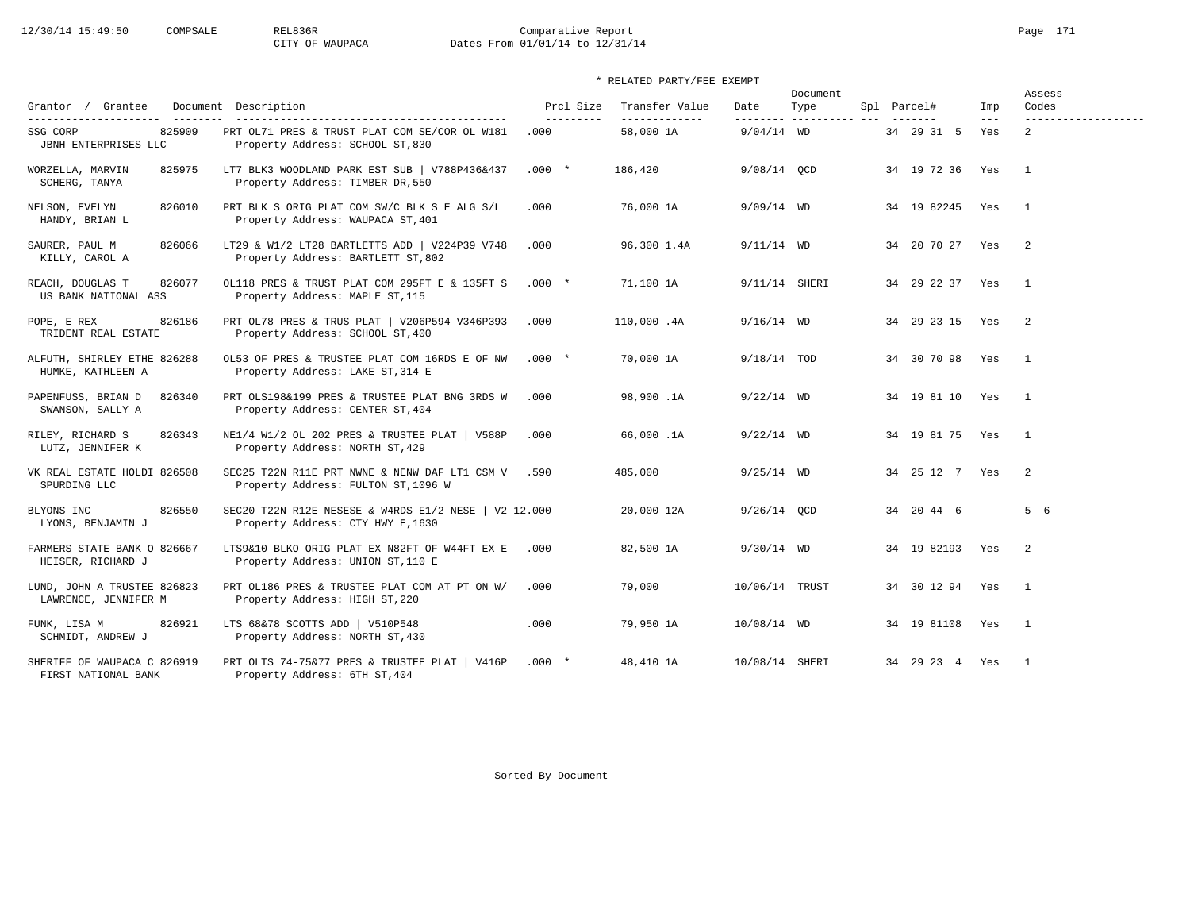# 12/30/14 15:49:50 COMPSALE REL836R Comparative Report Page 171 CITY OF WAUPACA Dates From 01/01/14 to 12/31/14

| Grantor / Grantee                                                   | Document Description                                                                      | Prcl Size          | Transfer Value              | Date           | Document<br>Type         | Spl Parcel#           | Imp          | Assess<br>Codes                       |
|---------------------------------------------------------------------|-------------------------------------------------------------------------------------------|--------------------|-----------------------------|----------------|--------------------------|-----------------------|--------------|---------------------------------------|
| ---------------------<br>825909<br>SSG CORP<br>JBNH ENTERPRISES LLC | PRT OL71 PRES & TRUST PLAT COM SE/COR OL W181<br>Property Address: SCHOOL ST, 830         | ----------<br>.000 | --------------<br>58,000 1A | $9/04/14$ WD   | --------- ---------- --- | 34 29 31 5            | $---$<br>Yes | -------------------<br>$\overline{2}$ |
| WORZELLA, MARVIN<br>825975<br>SCHERG, TANYA                         | LT7 BLK3 WOODLAND PARK EST SUB   V788P436&437<br>Property Address: TIMBER DR, 550         | $.000*$            | 186,420                     | 9/08/14 QCD    |                          | 34 19 72 36 Yes       |              | $\overline{\phantom{1}}$              |
| NELSON, EVELYN<br>826010<br>HANDY, BRIAN L                          | PRT BLK S ORIG PLAT COM SW/C BLK S E ALG S/L<br>Property Address: WAUPACA ST, 401         | .000               | 76,000 1A                   | $9/09/14$ WD   |                          | 34 19 82245 Yes       |              | $\overline{1}$                        |
| SAURER, PAUL M<br>826066<br>KILLY, CAROL A                          | LT29 & W1/2 LT28 BARTLETTS ADD   V224P39 V748<br>Property Address: BARTLETT ST, 802       | .000               | 96,300 1.4A                 | $9/11/14$ WD   |                          | 34 20 70 27 Yes       |              | $\overline{2}$                        |
| 826077<br>REACH, DOUGLAS T<br>US BANK NATIONAL ASS                  | OL118 PRES & TRUST PLAT COM 295FT E & 135FT S<br>Property Address: MAPLE ST, 115          | $.000*$            | 71,100 1A                   | 9/11/14 SHERI  |                          | 34 29 22 37 Yes       |              | $\overline{1}$                        |
| POPE, E REX<br>826186<br>TRIDENT REAL ESTATE                        | PRT OL78 PRES & TRUS PLAT   V206P594 V346P393<br>Property Address: SCHOOL ST, 400         | .000               | 110,000 .4A                 | $9/16/14$ WD   |                          | 34 29 23 15 Yes       |              | $\overline{\phantom{0}}^2$            |
| ALFUTH, SHIRLEY ETHE 826288<br>HUMKE, KATHLEEN A                    | OL53 OF PRES & TRUSTEE PLAT COM 16RDS E OF NW<br>Property Address: LAKE ST, 314 E         | $.000*$            | 70,000 1A                   | $9/18/14$ TOD  |                          | 34 30 70 98 Yes       |              | $\overline{1}$                        |
| PAPENFUSS, BRIAN D<br>826340<br>SWANSON, SALLY A                    | PRT OLS198&199 PRES & TRUSTEE PLAT BNG 3RDS W<br>Property Address: CENTER ST, 404         | .000               | 98,900.1A                   | $9/22/14$ WD   |                          | 34 19 81 10 Yes       |              | $\overline{1}$                        |
| RILEY, RICHARD S<br>826343<br>LUTZ, JENNIFER K                      | NE1/4 W1/2 OL 202 PRES & TRUSTEE PLAT   V588P<br>Property Address: NORTH ST, 429          | .000               | 66,000.1A                   | $9/22/14$ WD   |                          | 34 19 81 75 Yes       |              | $\overline{1}$                        |
| VK REAL ESTATE HOLDI 826508<br>SPURDING LLC                         | SEC25 T22N R11E PRT NWNE & NENW DAF LT1 CSM V<br>Property Address: FULTON ST, 1096 W      | .590               | 485,000                     | $9/25/14$ WD   |                          | 34 25 12 7 Yes        |              | $\overline{2}$                        |
| 826550<br>BLYONS INC<br>LYONS, BENJAMIN J                           | SEC20 T22N R12E NESESE & W4RDS E1/2 NESE   V2 12.000<br>Property Address: CTY HWY E, 1630 |                    | 20,000 12A                  | $9/26/14$ OCD  |                          | 34 20 44 6            |              | 5 6                                   |
| FARMERS STATE BANK O 826667<br>HEISER, RICHARD J                    | LTS9&10 BLKO ORIG PLAT EX N82FT OF W44FT EX E<br>Property Address: UNION ST, 110 E        | .000               | 82,500 1A                   | $9/30/14$ WD   |                          | 34 19 82193 Yes       |              | 2                                     |
| LUND, JOHN A TRUSTEE 826823<br>LAWRENCE, JENNIFER M                 | PRT OL186 PRES & TRUSTEE PLAT COM AT PT ON W/<br>Property Address: HIGH ST, 220           | .000               | 79,000                      | 10/06/14 TRUST |                          | 34 30 12 94 Yes       |              | $\overline{1}$                        |
| FUNK, LISA M<br>826921<br>SCHMIDT, ANDREW J                         | LTS 68&78 SCOTTS ADD   V510P548<br>Property Address: NORTH ST, 430                        | .000               | 79,950 1A                   | 10/08/14 WD    |                          | 34   19   81108   Yes |              | $\overline{1}$                        |
| SHERIFF OF WAUPACA C 826919<br>FIRST NATIONAL BANK                  | PRT OLTS 74-75&77 PRES & TRUSTEE PLAT   V416P<br>Property Address: 6TH ST, 404            | $.000*$            | 48,410 1A                   | 10/08/14 SHERI |                          | 34 29 23 4 Yes        |              | $\overline{1}$                        |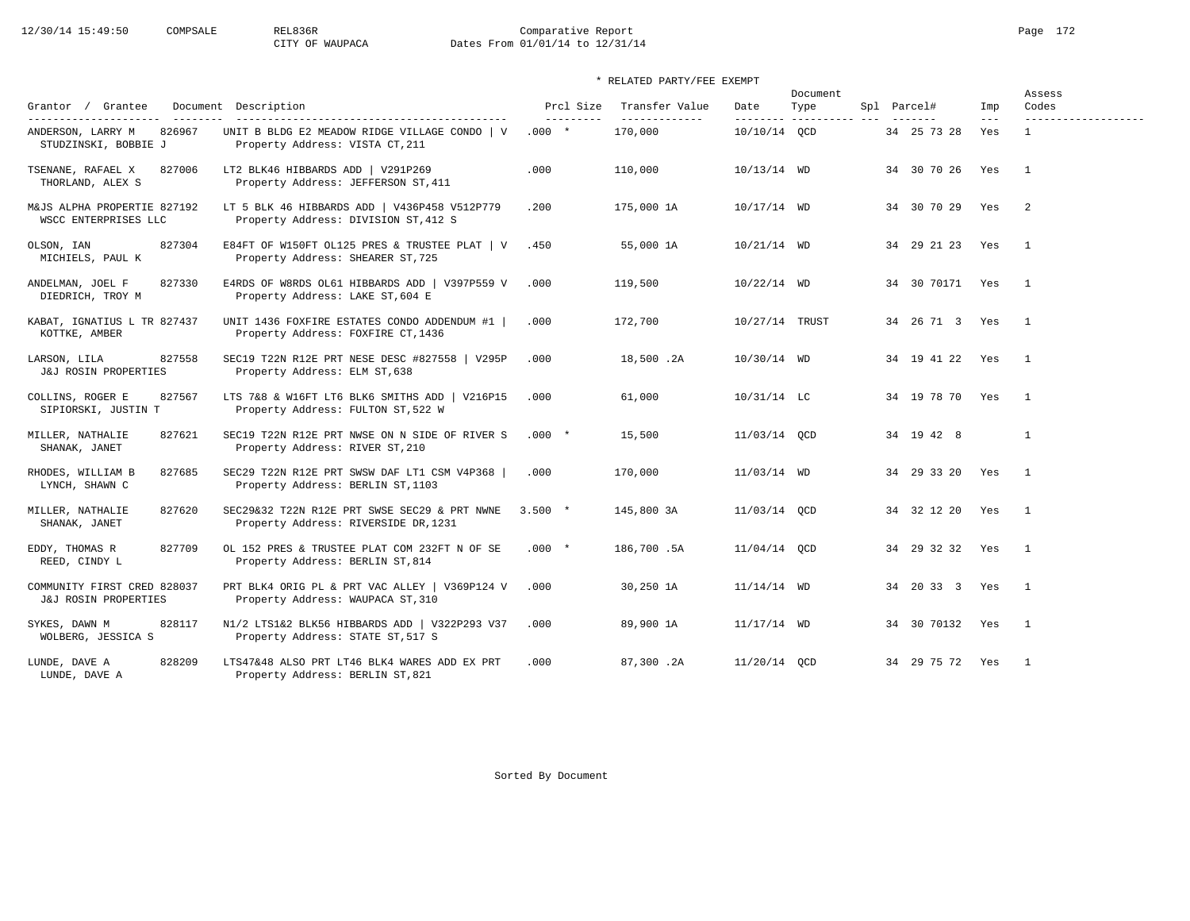# 12/30/14 15:49:50 COMPSALE REL836R Comparative Report Page 172 CITY OF WAUPACA Dates From 01/01/14 to 12/31/14

## \* RELATED PARTY/FEE EXEMPT

| Grantor / Grantee                                                             | Document Description                                                                                                     | Prcl Size             | Transfer Value           | Date           | Document<br>Type | Spl Parcel#        | Imp          | Assess<br>Codes                     |
|-------------------------------------------------------------------------------|--------------------------------------------------------------------------------------------------------------------------|-----------------------|--------------------------|----------------|------------------|--------------------|--------------|-------------------------------------|
| ----------------------<br>ANDERSON, LARRY M<br>826967<br>STUDZINSKI, BOBBIE J | ------------------------------------<br>UNIT B BLDG E2 MEADOW RIDGE VILLAGE CONDO   V<br>Property Address: VISTA CT, 211 | ----------<br>$.000*$ | -------------<br>170,000 | 10/10/14 QCD   |                  | 34 25 73 28        | $---$<br>Yes | -------------------<br>$\mathbf{1}$ |
| TSENANE, RAFAEL X<br>827006<br>THORLAND, ALEX S                               | LT2 BLK46 HIBBARDS ADD   V291P269<br>Property Address: JEFFERSON ST, 411                                                 | .000                  | 110,000                  | 10/13/14 WD    |                  | 34 30 70 26        | Yes          | $\overline{1}$                      |
| M&JS ALPHA PROPERTIE 827192<br>WSCC ENTERPRISES LLC                           | LT 5 BLK 46 HIBBARDS ADD   V436P458 V512P779<br>Property Address: DIVISION ST, 412 S                                     | .200                  | 175,000 1A               | 10/17/14 WD    |                  | 34 30 70 29 Yes    |              | $\overline{2}$                      |
| 827304<br>OLSON, IAN<br>MICHIELS, PAUL K                                      | E84FT OF W150FT OL125 PRES & TRUSTEE PLAT   V<br>Property Address: SHEARER ST, 725                                       | .450                  | 55,000 1A                | $10/21/14$ WD  |                  | 34 29 21 23 Yes    |              | $\overline{1}$                      |
| 827330<br>ANDELMAN, JOEL F<br>DIEDRICH, TROY M                                | E4RDS OF W8RDS OL61 HIBBARDS ADD   V397P559 V<br>Property Address: LAKE ST, 604 E                                        | .000                  | 119,500                  | $10/22/14$ WD  |                  | 34 30 70171 Yes    |              | $\overline{1}$                      |
| KABAT, IGNATIUS L TR 827437<br>KOTTKE, AMBER                                  | UNIT 1436 FOXFIRE ESTATES CONDO ADDENDUM #1<br>Property Address: FOXFIRE CT, 1436                                        | .000                  | 172,700                  | 10/27/14 TRUST |                  | 34  26  71  3  Yes |              | $\overline{1}$                      |
| 827558<br>LARSON, LILA<br>J&J ROSIN PROPERTIES                                | SEC19 T22N R12E PRT NESE DESC #827558   V295P<br>Property Address: ELM ST, 638                                           | .000                  | 18,500.2A                | 10/30/14 WD    |                  | 34 19 41 22 Yes    |              | $\overline{1}$                      |
| 827567<br>COLLINS, ROGER E<br>SIPIORSKI, JUSTIN T                             | LTS 7&8 & W16FT LT6 BLK6 SMITHS ADD   V216P15<br>Property Address: FULTON ST, 522 W                                      | .000                  | 61,000                   | $10/31/14$ LC  |                  | 34 19 78 70 Yes    |              | $\mathbf{1}$                        |
| MILLER, NATHALIE<br>827621<br>SHANAK, JANET                                   | SEC19 T22N R12E PRT NWSE ON N SIDE OF RIVER S<br>Property Address: RIVER ST, 210                                         | $.000*$               | 15,500                   | 11/03/14 QCD   |                  | 34 19 42 8         |              | $\mathbf{1}$                        |
| 827685<br>RHODES, WILLIAM B<br>LYNCH, SHAWN C                                 | SEC29 T22N R12E PRT SWSW DAF LT1 CSM V4P368<br>Property Address: BERLIN ST, 1103                                         | .000                  | 170,000                  | 11/03/14 WD    |                  | 34 29 33 20 Yes    |              | $\overline{1}$                      |
| MILLER, NATHALIE<br>827620<br>SHANAK, JANET                                   | SEC29&32 T22N R12E PRT SWSE SEC29 & PRT NWNE<br>Property Address: RIVERSIDE DR, 1231                                     | $3.500 *$             | 145,800 3A               | 11/03/14 OCD   |                  | 34 32 12 20 Yes    |              | $\overline{1}$                      |
| 827709<br>EDDY, THOMAS R<br>REED, CINDY L                                     | OL 152 PRES & TRUSTEE PLAT COM 232FT N OF SE<br>Property Address: BERLIN ST, 814                                         | $.000*$               | 186,700.5A               | 11/04/14 QCD   |                  | 34 29 32 32 Yes    |              | $\overline{1}$                      |
| COMMUNITY FIRST CRED 828037<br>J&J ROSIN PROPERTIES                           | PRT BLK4 ORIG PL & PRT VAC ALLEY   V369P124 V<br>Property Address: WAUPACA ST, 310                                       | .000                  | 30,250 1A                | $11/14/14$ WD  |                  | 34 20 33 3 Yes     |              | $\overline{\phantom{0}}$            |
| SYKES, DAWN M<br>828117<br>WOLBERG, JESSICA S                                 | N1/2 LTS1&2 BLK56 HIBBARDS ADD   V322P293 V37<br>Property Address: STATE ST, 517 S                                       | .000                  | 89,900 1A                | $11/17/14$ WD  |                  | 34 30 70132 Yes    |              | $\overline{1}$                      |
| 828209<br>LUNDE, DAVE A<br>LUNDE, DAVE A                                      | LTS47&48 ALSO PRT LT46 BLK4 WARES ADD EX PRT<br>Property Address: BERLIN ST, 821                                         | .000                  | 87,300.2A                | 11/20/14 OCD   |                  | 34 29 75 72 Yes    |              | $\overline{1}$                      |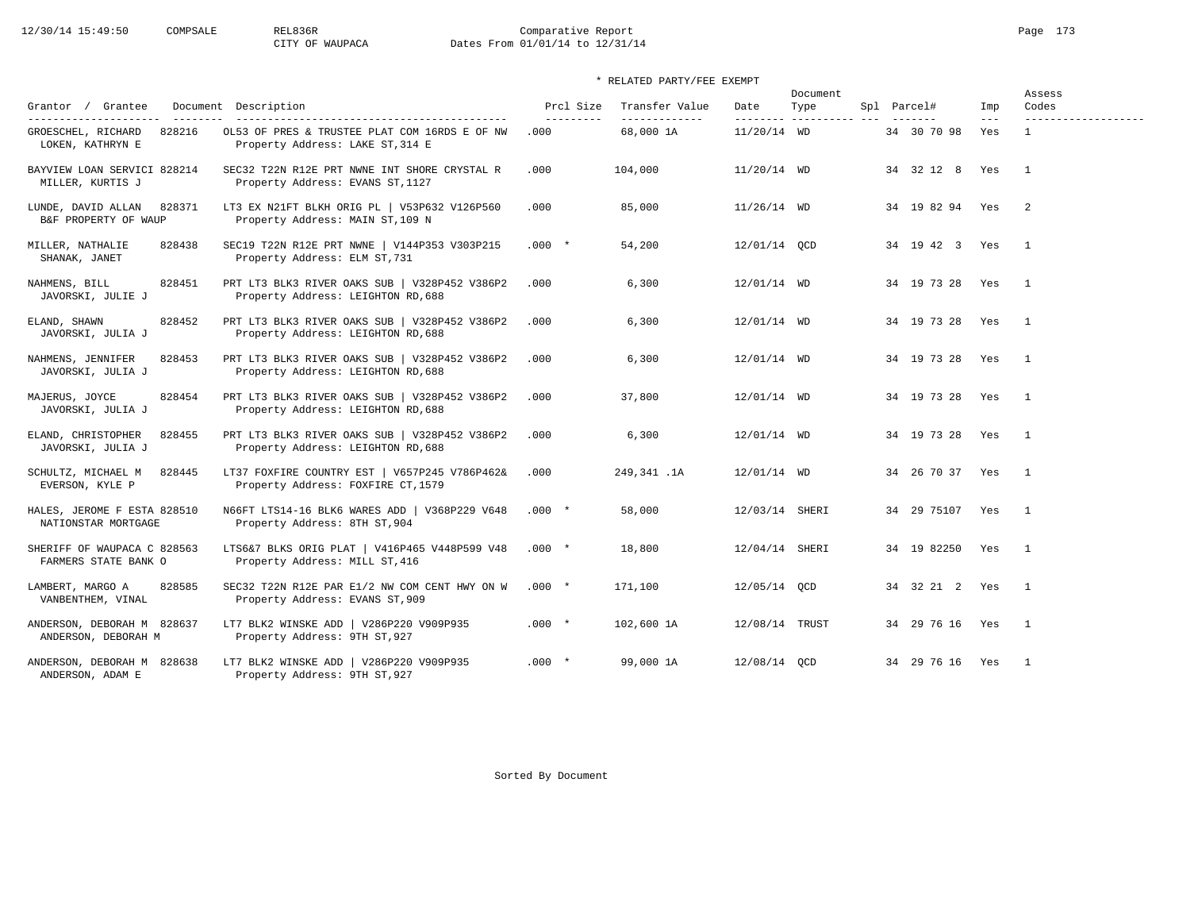# 12/30/14 15:49:50 COMPSALE REL836R Comparative Report Page 173 CITY OF WAUPACA Dates From 01/01/14 to 12/31/14

## \* RELATED PARTY/FEE EXEMPT

|                                                      |                                                                                     |                         |                                  |                | Document                         |                        |              | Assess                   |
|------------------------------------------------------|-------------------------------------------------------------------------------------|-------------------------|----------------------------------|----------------|----------------------------------|------------------------|--------------|--------------------------|
| Grantor / Grantee                                    | Document Description                                                                | Prcl Size<br>---------- | Transfer Value<br>-------------- | Date           | Type<br>--------- ---------- --- | Spl Parcel#            | Imp<br>$---$ | Codes                    |
| 828216<br>GROESCHEL, RICHARD<br>LOKEN, KATHRYN E     | OL53 OF PRES & TRUSTEE PLAT COM 16RDS E OF NW<br>Property Address: LAKE ST, 314 E   | .000                    | 68,000 1A                        | $11/20/14$ WD  |                                  | 34 30 70 98            | Yes          | $\mathbf{1}$             |
| BAYVIEW LOAN SERVICI 828214<br>MILLER, KURTIS J      | SEC32 T22N R12E PRT NWNE INT SHORE CRYSTAL R<br>Property Address: EVANS ST, 1127    | .000                    | 104,000                          | $11/20/14$ WD  |                                  | 34 32 12 8 Yes         |              | $\overline{1}$           |
| 828371<br>LUNDE, DAVID ALLAN<br>B&F PROPERTY OF WAUP | LT3 EX N21FT BLKH ORIG PL   V53P632 V126P560<br>Property Address: MAIN ST, 109 N    | .000                    | 85,000                           | $11/26/14$ WD  |                                  | 34 19 82 94 Yes        |              | $\overline{\phantom{0}}$ |
| MILLER, NATHALIE<br>828438<br>SHANAK, JANET          | SEC19 T22N R12E PRT NWNE   V144P353 V303P215<br>Property Address: ELM ST, 731       | $.000*$                 | 54,200                           | 12/01/14 QCD   |                                  | 34  19  42  3  Yes  1  |              |                          |
| 828451<br>NAHMENS, BILL<br>JAVORSKI, JULIE J         | PRT LT3 BLK3 RIVER OAKS SUB   V328P452 V386P2<br>Property Address: LEIGHTON RD, 688 | .000                    | 6,300                            | 12/01/14 WD    |                                  | 34 19 73 28 Yes        |              | $\overline{1}$           |
| ELAND, SHAWN<br>828452<br>JAVORSKI, JULIA J          | PRT LT3 BLK3 RIVER OAKS SUB   V328P452 V386P2<br>Property Address: LEIGHTON RD, 688 | .000                    | 6,300                            | 12/01/14 WD    |                                  | 34 19 73 28 Yes 1      |              |                          |
| NAHMENS, JENNIFER<br>828453<br>JAVORSKI, JULIA J     | PRT LT3 BLK3 RIVER OAKS SUB   V328P452 V386P2<br>Property Address: LEIGHTON RD, 688 | .000                    | 6,300                            | 12/01/14 WD    |                                  | 34 19 73 28 Yes 1      |              |                          |
| MAJERUS, JOYCE<br>828454<br>JAVORSKI, JULIA J        | PRT LT3 BLK3 RIVER OAKS SUB   V328P452 V386P2<br>Property Address: LEIGHTON RD, 688 | .000                    | 37,800                           | 12/01/14 WD    |                                  | 34 19 73 28 Yes        |              | $\overline{1}$           |
| ELAND, CHRISTOPHER<br>828455<br>JAVORSKI, JULIA J    | PRT LT3 BLK3 RIVER OAKS SUB   V328P452 V386P2<br>Property Address: LEIGHTON RD, 688 | .000                    | 6,300                            | 12/01/14 WD    |                                  | 34  19  73  28  Yes  1 |              |                          |
| SCHULTZ, MICHAEL M<br>828445<br>EVERSON, KYLE P      | LT37 FOXFIRE COUNTRY EST   V657P245 V786P462&<br>Property Address: FOXFIRE CT, 1579 | .000                    | 249,341.1A                       | 12/01/14 WD    |                                  | 34  26  70  37  Yes  1 |              |                          |
| HALES, JEROME F ESTA 828510<br>NATIONSTAR MORTGAGE   | N66FT LTS14-16 BLK6 WARES ADD   V368P229 V648<br>Property Address: 8TH ST, 904      | $.000 *$                | 58,000                           | 12/03/14 SHERI |                                  | 34  29  75107  Yes  1  |              |                          |
| SHERIFF OF WAUPACA C 828563<br>FARMERS STATE BANK O  | LTS6&7 BLKS ORIG PLAT   V416P465 V448P599 V48<br>Property Address: MILL ST, 416     | $.000*$                 | 18,800                           | 12/04/14 SHERI |                                  | 34 19 82250 Yes 1      |              |                          |
| 828585<br>LAMBERT, MARGO A<br>VANBENTHEM, VINAL      | SEC32 T22N R12E PAR E1/2 NW COM CENT HWY ON W<br>Property Address: EVANS ST, 909    | $.000$ $*$              | 171,100                          | 12/05/14 OCD   |                                  | 34 32 21 2 Yes         |              | $\overline{1}$           |
| ANDERSON, DEBORAH M 828637<br>ANDERSON, DEBORAH M    | LT7 BLK2 WINSKE ADD   V286P220 V909P935<br>Property Address: 9TH ST, 927            | $.000*$                 | 102,600 1A                       | 12/08/14 TRUST |                                  | 34  29  76  16  Yes  1 |              |                          |
| ANDERSON, DEBORAH M 828638<br>ANDERSON, ADAM E       | LT7 BLK2 WINSKE ADD   V286P220 V909P935<br>Property Address: 9TH ST, 927            | $.000*$                 | 99,000 1A                        | 12/08/14 OCD   |                                  | 34 29 76 16 Yes        |              | $\overline{1}$           |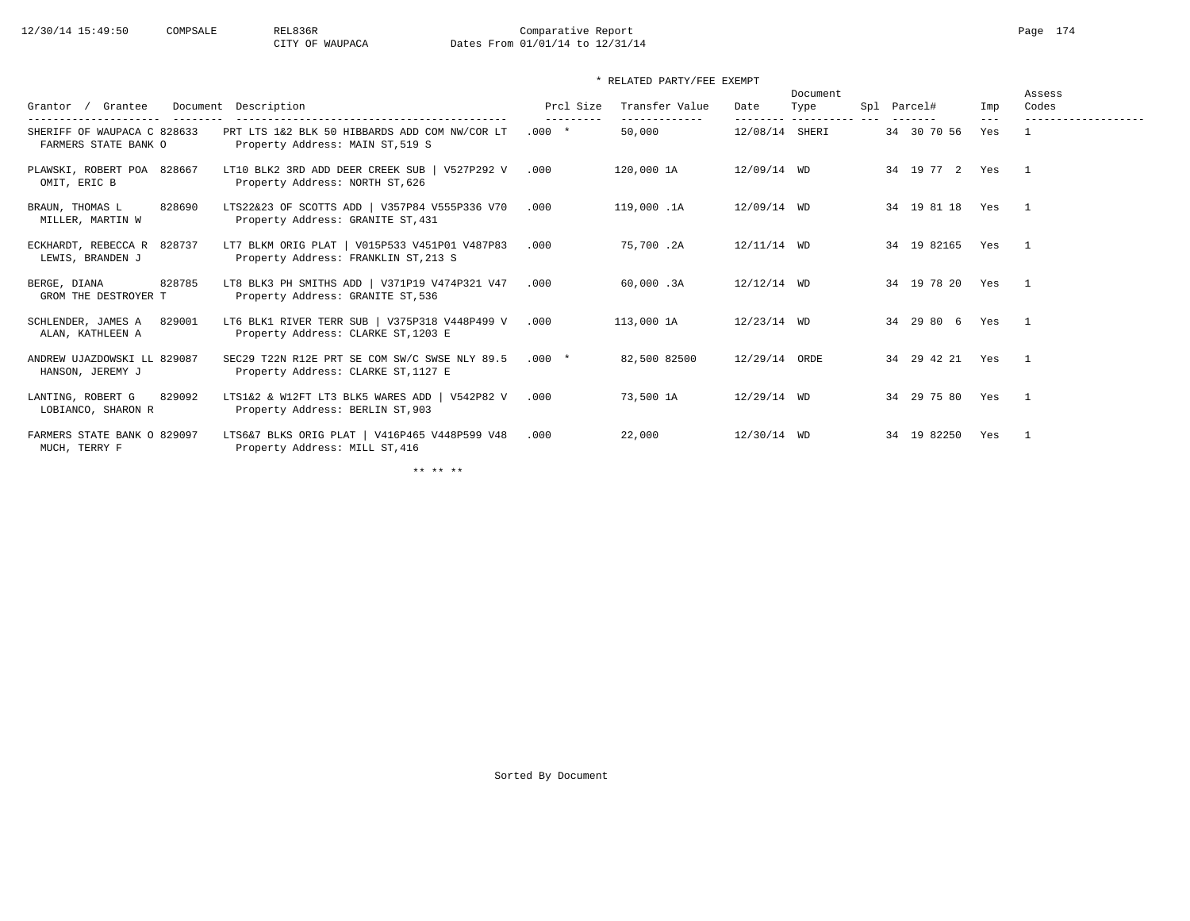# 12/30/14 15:49:50 COMPSALE REL836R Comparative Report Page 174 CITY OF WAUPACA Dates From 01/01/14 to 12/31/14

## \* RELATED PARTY/FEE EXEMPT

| Grantee<br>Grantor /<br>----------------<br>--------- | Document Description<br>-------------------------------------                         | Prcl Size<br>--------- | Transfer Value<br>------------- | Date           | Document<br>Type<br>--------- ---------- --- | Spl Parcel#<br>-------- | Imp          | Assess<br>Codes<br>------------------- |
|-------------------------------------------------------|---------------------------------------------------------------------------------------|------------------------|---------------------------------|----------------|----------------------------------------------|-------------------------|--------------|----------------------------------------|
| SHERIFF OF WAUPACA C 828633<br>FARMERS STATE BANK O   | PRT LTS 1&2 BLK 50 HIBBARDS ADD COM NW/COR LT<br>Property Address: MAIN ST, 519 S     | $.000*$                | 50,000                          | 12/08/14 SHERI |                                              | 34 30 70 56             | $---$<br>Yes |                                        |
| PLAWSKI, ROBERT POA 828667<br>OMIT, ERIC B            | LT10 BLK2 3RD ADD DEER CREEK SUB   V527P292 V<br>Property Address: NORTH ST, 626      | .000                   | 120,000 1A                      | 12/09/14 WD    |                                              | 34 19 77 2 Yes          |              | $\sim$ 1                               |
| 828690<br>BRAUN, THOMAS L<br>MILLER, MARTIN W         | LTS22&23 OF SCOTTS ADD   V357P84 V555P336 V70<br>Property Address: GRANITE ST, 431    | .000                   | 119,000.1A                      | 12/09/14 WD    |                                              | 34 19 81 18 Yes         |              | $\sim$ 1                               |
| ECKHARDT, REBECCA R 828737<br>LEWIS, BRANDEN J        | LT7 BLKM ORIG PLAT   V015P533 V451P01 V487P83<br>Property Address: FRANKLIN ST, 213 S | .000                   | 75,700.2A                       | $12/11/14$ WD  |                                              | 34 19 82165             | Yes          | $\overline{1}$                         |
| 828785<br>BERGE, DIANA<br>GROM THE DESTROYER T        | LT8 BLK3 PH SMITHS ADD   V371P19 V474P321 V47<br>Property Address: GRANITE ST, 536    | .000                   | 60,000.3A                       | $12/12/14$ WD  |                                              | 34 19 78 20 Yes         |              | $\sim$ 1                               |
| 829001<br>SCHLENDER, JAMES A<br>ALAN, KATHLEEN A      | LT6 BLK1 RIVER TERR SUB   V375P318 V448P499 V<br>Property Address: CLARKE ST, 1203 E  | .000                   | 113,000 1A                      | $12/23/14$ WD  |                                              | 34 29 80 6              | Yes          | $\overline{1}$                         |
| ANDREW UJAZDOWSKI LL 829087<br>HANSON, JEREMY J       | SEC29 T22N R12E PRT SE COM SW/C SWSE NLY 89.5<br>Property Address: CLARKE ST, 1127 E  | $.000*$                | 82,500 82500                    | 12/29/14 ORDE  |                                              | 34  29  42  21  Yes  1  |              |                                        |
| LANTING, ROBERT G<br>829092<br>LOBIANCO, SHARON R     | LTS1&2 & W12FT LT3 BLK5 WARES ADD   V542P82 V<br>Property Address: BERLIN ST, 903     | .000                   | 73,500 1A                       | 12/29/14 WD    |                                              | 34  29  75  80  Yes  1  |              |                                        |
| FARMERS STATE BANK O 829097<br>MUCH, TERRY F          | LTS6&7 BLKS ORIG PLAT   V416P465 V448P599 V48<br>Property Address: MILL ST, 416       | .000                   | 22,000                          | 12/30/14 WD    |                                              | 34 19 82250             | Yes          | $\mathbf{1}$                           |

\*\* \*\* \*\*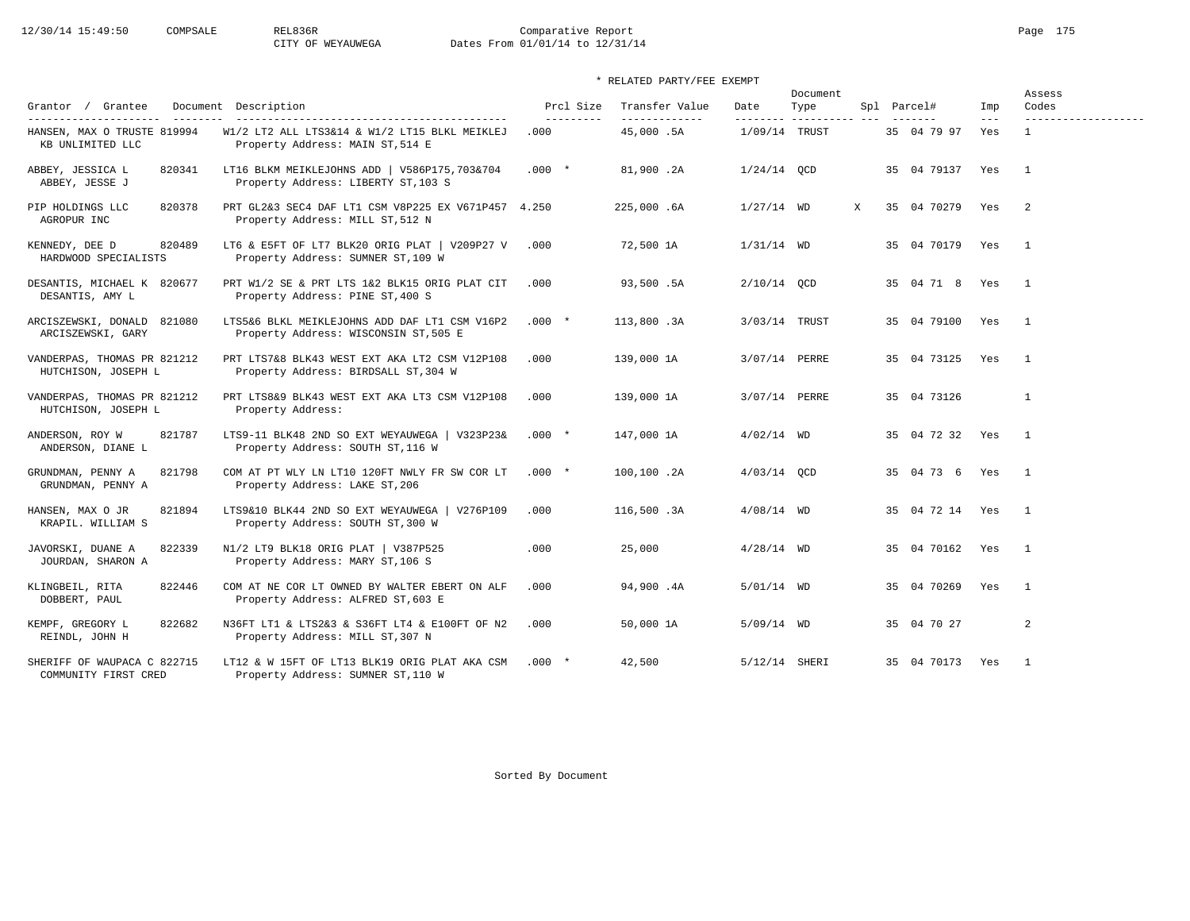# 12/30/14 15:49:50 COMPSALE REL836R Comparative Report Page 175 CITY OF WEYAUWEGA Dates From 01/01/14 to 12/31/14

## \* RELATED PARTY/FEE EXEMPT

| Grantor / Grantee                                   | Document Description                                                                                                      | Prcl Size                   | Transfer Value             | Date                        | Document<br>Type | Spl Parcel#     | Imp            | Assess<br>Codes     |
|-----------------------------------------------------|---------------------------------------------------------------------------------------------------------------------------|-----------------------------|----------------------------|-----------------------------|------------------|-----------------|----------------|---------------------|
| HANSEN, MAX O TRUSTE 819994<br>KB UNLIMITED LLC     | ------------------------------------<br>W1/2 LT2 ALL LTS3&14 & W1/2 LT15 BLKL MEIKLEJ<br>Property Address: MAIN ST, 514 E | $- - - - - - - - -$<br>.000 | -------------<br>45,000.5A | --------<br>$1/09/14$ TRUST |                  | 35 04 79 97     | $- - -$<br>Yes | ------------------- |
| 820341<br>ABBEY, JESSICA L<br>ABBEY, JESSE J        | LT16 BLKM MEIKLEJOHNS ADD   V586P175,703&704<br>Property Address: LIBERTY ST, 103 S                                       | $.000*$                     | 81,900.2A                  | $1/24/14$ QCD               |                  | 35 04 79137 Yes |                | $\overline{1}$      |
| PIP HOLDINGS LLC<br>820378<br>AGROPUR INC           | PRT GL2&3 SEC4 DAF LT1 CSM V8P225 EX V671P457 4.250<br>Property Address: MILL ST, 512 N                                   |                             | 225,000.6A                 | $1/27/14$ WD                | X                | 35 04 70279     | Yes            | -2                  |
| KENNEDY, DEE D<br>820489<br>HARDWOOD SPECIALISTS    | LT6 & E5FT OF LT7 BLK20 ORIG PLAT   V209P27 V<br>Property Address: SUMNER ST, 109 W                                       | .000                        | 72,500 1A                  | $1/31/14$ WD                |                  | 35 04 70179 Yes |                | $\overline{1}$      |
| DESANTIS, MICHAEL K 820677<br>DESANTIS, AMY L       | PRT W1/2 SE & PRT LTS 1&2 BLK15 ORIG PLAT CIT<br>Property Address: PINE ST, 400 S                                         | .000                        | 93,500.5A                  | 2/10/14 OCD                 |                  | 35 04 71 8 Yes  |                | $\overline{1}$      |
| ARCISZEWSKI, DONALD 821080<br>ARCISZEWSKI, GARY     | LTS5&6 BLKL MEIKLEJOHNS ADD DAF LT1 CSM V16P2<br>Property Address: WISCONSIN ST, 505 E                                    | $.000*$                     | 113,800.3A                 | 3/03/14 TRUST               |                  | 35 04 79100 Yes |                | $\overline{1}$      |
| VANDERPAS, THOMAS PR 821212<br>HUTCHISON, JOSEPH L  | PRT LTS7&8 BLK43 WEST EXT AKA LT2 CSM V12P108<br>Property Address: BIRDSALL ST, 304 W                                     | .000                        | 139,000 1A                 | 3/07/14 PERRE               |                  | 35 04 73125     | Yes            | $\overline{1}$      |
| VANDERPAS, THOMAS PR 821212<br>HUTCHISON, JOSEPH L  | PRT LTS8&9 BLK43 WEST EXT AKA LT3 CSM V12P108<br>Property Address:                                                        | .000                        | 139,000 1A                 | 3/07/14 PERRE               |                  | 35 04 73126     |                | $\mathbf{1}$        |
| ANDERSON, ROY W<br>821787<br>ANDERSON, DIANE L      | LTS9-11 BLK48 2ND SO EXT WEYAUWEGA   V323P23&<br>Property Address: SOUTH ST, 116 W                                        | $.000*$                     | 147,000 1A                 | $4/02/14$ WD                |                  | 35 04 72 32 Yes |                | $\overline{1}$      |
| 821798<br>GRUNDMAN, PENNY A<br>GRUNDMAN, PENNY A    | COM AT PT WLY LN LT10 120FT NWLY FR SW COR LT<br>Property Address: LAKE ST, 206                                           | $.000*$                     | 100,100.2A                 | $4/03/14$ QCD               |                  | 35 04 73 6 Yes  |                | $\overline{1}$      |
| HANSEN, MAX O JR<br>821894<br>KRAPIL. WILLIAM S     | LTS9&10 BLK44 2ND SO EXT WEYAUWEGA   V276P109<br>Property Address: SOUTH ST, 300 W                                        | .000                        | 116,500.3A                 | $4/08/14$ WD                |                  | 35 04 72 14 Yes |                | $\overline{1}$      |
| 822339<br>JAVORSKI, DUANE A<br>JOURDAN, SHARON A    | N1/2 LT9 BLK18 ORIG PLAT   V387P525<br>Property Address: MARY ST, 106 S                                                   | .000                        | 25,000                     | $4/28/14$ WD                |                  | 35 04 70162 Yes |                | $\overline{1}$      |
| 822446<br>KLINGBEIL, RITA<br>DOBBERT, PAUL          | COM AT NE COR LT OWNED BY WALTER EBERT ON ALF<br>Property Address: ALFRED ST, 603 E                                       | .000                        | 94,900.4A                  | $5/01/14$ WD                |                  | 35 04 70269 Yes |                | $\overline{1}$      |
| KEMPF, GREGORY L<br>822682<br>REINDL, JOHN H        | N36FT LT1 & LTS2&3 & S36FT LT4 & E100FT OF N2<br>Property Address: MILL ST, 307 N                                         | .000                        | 50,000 1A                  | $5/09/14$ WD                |                  | 35 04 70 27     |                | 2                   |
| SHERIFF OF WAUPACA C 822715<br>COMMUNITY FIRST CRED | LT12 & W 15FT OF LT13 BLK19 ORIG PLAT AKA CSM<br>Property Address: SUMNER ST, 110 W                                       | $.000*$                     | 42,500                     | 5/12/14 SHERI               |                  | 35 04 70173 Yes |                | $\overline{1}$      |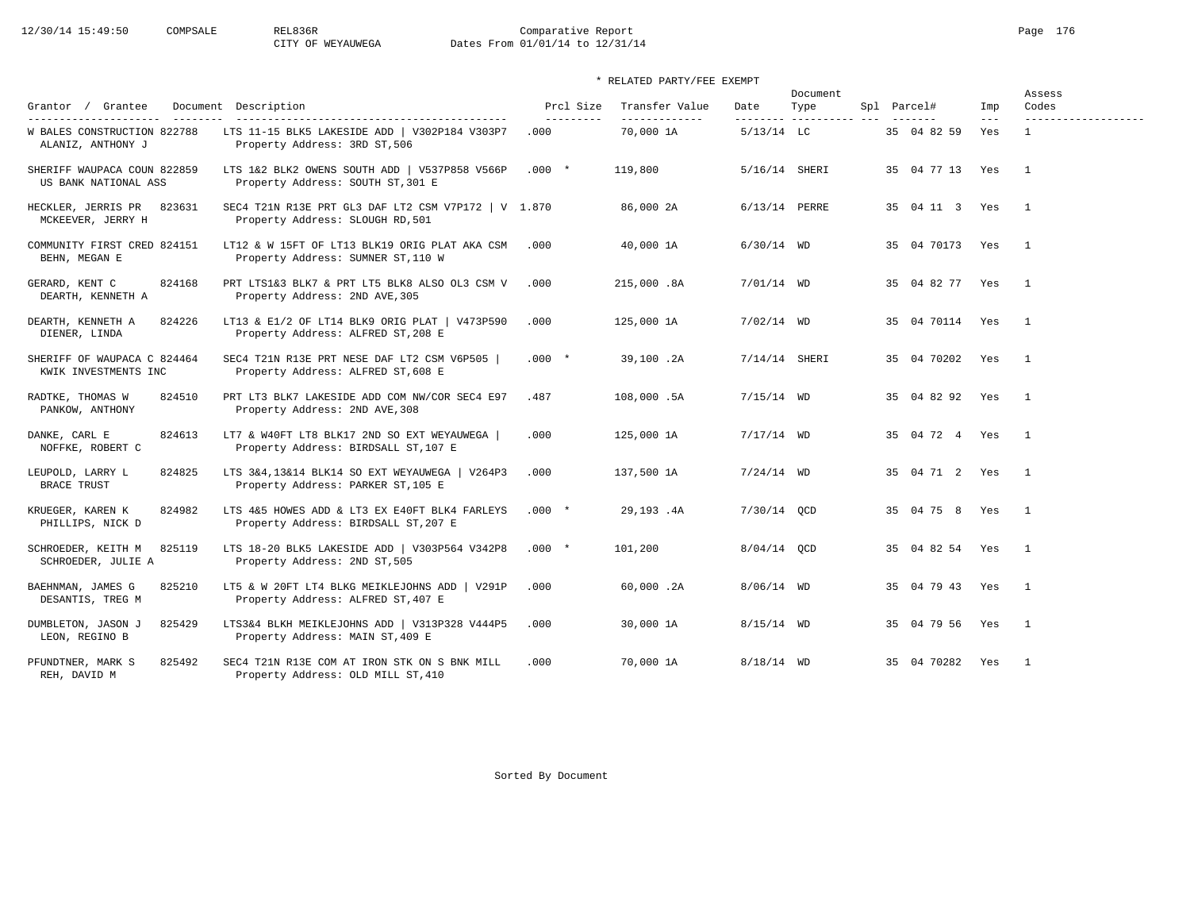# 12/30/14 15:49:50 COMPSALE REL836R Comparative Report Page 176 CITY OF WEYAUWEGA Dates From 01/01/14 to 12/31/14

| Grantor / Grantee                                   | Document Description                                                                                                    | Prcl Size                   | Transfer Value             | Date                     | Document<br>Type | Spl Parcel#     | Imp          | Assess<br>Codes                     |
|-----------------------------------------------------|-------------------------------------------------------------------------------------------------------------------------|-----------------------------|----------------------------|--------------------------|------------------|-----------------|--------------|-------------------------------------|
| W BALES CONSTRUCTION 822788<br>ALANIZ, ANTHONY J    | -------------------------------------<br>LTS 11-15 BLK5 LAKESIDE ADD   V302P184 V303P7<br>Property Address: 3RD ST, 506 | $- - - - - - - - -$<br>.000 | -------------<br>70,000 1A | --------<br>$5/13/14$ LC | -----------      | 35 04 82 59     | $---$<br>Yes | -------------------<br>$\mathbf{1}$ |
| SHERIFF WAUPACA COUN 822859<br>US BANK NATIONAL ASS | LTS 1&2 BLK2 OWENS SOUTH ADD   V537P858 V566P<br>Property Address: SOUTH ST, 301 E                                      | $.000*$                     | 119,800                    | 5/16/14 SHERI            |                  | 35 04 77 13 Yes |              | $\overline{1}$                      |
| 823631<br>HECKLER, JERRIS PR<br>MCKEEVER, JERRY H   | SEC4 T21N R13E PRT GL3 DAF LT2 CSM V7P172   V 1.870<br>Property Address: SLOUGH RD, 501                                 |                             | 86,000 2A                  | 6/13/14 PERRE            |                  | 35 04 11 3 Yes  |              | $\mathbf{1}$                        |
| COMMUNITY FIRST CRED 824151<br>BEHN, MEGAN E        | LT12 & W 15FT OF LT13 BLK19 ORIG PLAT AKA CSM<br>Property Address: SUMNER ST, 110 W                                     | .000                        | 40,000 1A                  | $6/30/14$ WD             |                  | 35 04 70173 Yes |              | $\mathbf{1}$                        |
| 824168<br>GERARD, KENT C<br>DEARTH, KENNETH A       | PRT LTS1&3 BLK7 & PRT LT5 BLK8 ALSO OL3 CSM V<br>Property Address: 2ND AVE, 305                                         | .000                        | 215,000.8A                 | $7/01/14$ WD             |                  | 35 04 82 77 Yes |              | $\overline{1}$                      |
| DEARTH, KENNETH A<br>824226<br>DIENER, LINDA        | LT13 & E1/2 OF LT14 BLK9 ORIG PLAT   V473P590<br>Property Address: ALFRED ST, 208 E                                     | .000                        | 125,000 1A                 | $7/02/14$ WD             |                  | 35 04 70114 Yes |              | $\mathbf{1}$                        |
| SHERIFF OF WAUPACA C 824464<br>KWIK INVESTMENTS INC | SEC4 T21N R13E PRT NESE DAF LT2 CSM V6P505<br>Property Address: ALFRED ST, 608 E                                        | $.000*$                     | 39,100.2A                  | $7/14/14$ SHERI          |                  | 35 04 70202     | Yes          | $\overline{1}$                      |
| 824510<br>RADTKE, THOMAS W<br>PANKOW, ANTHONY       | PRT LT3 BLK7 LAKESIDE ADD COM NW/COR SEC4 E97<br>Property Address: 2ND AVE, 308                                         | .487                        | 108,000.5A                 | $7/15/14$ WD             |                  | 35 04 82 92 Yes |              | $\overline{1}$                      |
| DANKE, CARL E<br>824613<br>NOFFKE, ROBERT C         | LT7 & W40FT LT8 BLK17 2ND SO EXT WEYAUWEGA  <br>Property Address: BIRDSALL ST, 107 E                                    | .000                        | 125,000 1A                 | $7/17/14$ WD             |                  | 35 04 72 4 Yes  |              | $\overline{1}$                      |
| 824825<br>LEUPOLD, LARRY L<br><b>BRACE TRUST</b>    | LTS 3&4,13&14 BLK14 SO EXT WEYAUWEGA   V264P3<br>Property Address: PARKER ST, 105 E                                     | .000                        | 137,500 1A                 | $7/24/14$ WD             |                  | 35 04 71 2 Yes  |              | $\overline{1}$                      |
| 824982<br>KRUEGER, KAREN K<br>PHILLIPS, NICK D      | LTS 4&5 HOWES ADD & LT3 EX E40FT BLK4 FARLEYS<br>Property Address: BIRDSALL ST, 207 E                                   | $.000*$                     | 29,193.4A                  | 7/30/14 OCD              |                  | 35 04 75 8 Yes  |              | $\overline{1}$                      |
| SCHROEDER, KEITH M<br>825119<br>SCHROEDER, JULIE A  | LTS 18-20 BLK5 LAKESIDE ADD   V303P564 V342P8<br>Property Address: 2ND ST, 505                                          | $.000*$                     | 101,200                    | 8/04/14 QCD              |                  | 35 04 82 54 Yes |              | $\overline{1}$                      |
| BAEHNMAN, JAMES G<br>825210<br>DESANTIS, TREG M     | LT5 & W 20FT LT4 BLKG MEIKLEJOHNS ADD   V291P<br>Property Address: ALFRED ST, 407 E                                     | .000                        | 60,000.2A                  | $8/06/14$ WD             |                  | 35 04 79 43 Yes |              | $\overline{1}$                      |
| DUMBLETON, JASON J<br>825429<br>LEON, REGINO B      | LTS3&4 BLKH MEIKLEJOHNS ADD   V313P328 V444P5<br>Property Address: MAIN ST, 409 E                                       | .000                        | 30,000 1A                  | $8/15/14$ WD             |                  | 35 04 79 56 Yes |              | $\overline{1}$                      |
| 825492<br>PFUNDTNER, MARK S<br>REH, DAVID M         | SEC4 T21N R13E COM AT IRON STK ON S BNK MILL<br>Property Address: OLD MILL ST, 410                                      | .000                        | 70,000 1A                  | $8/18/14$ WD             |                  | 35 04 70282     | Yes          | $\overline{1}$                      |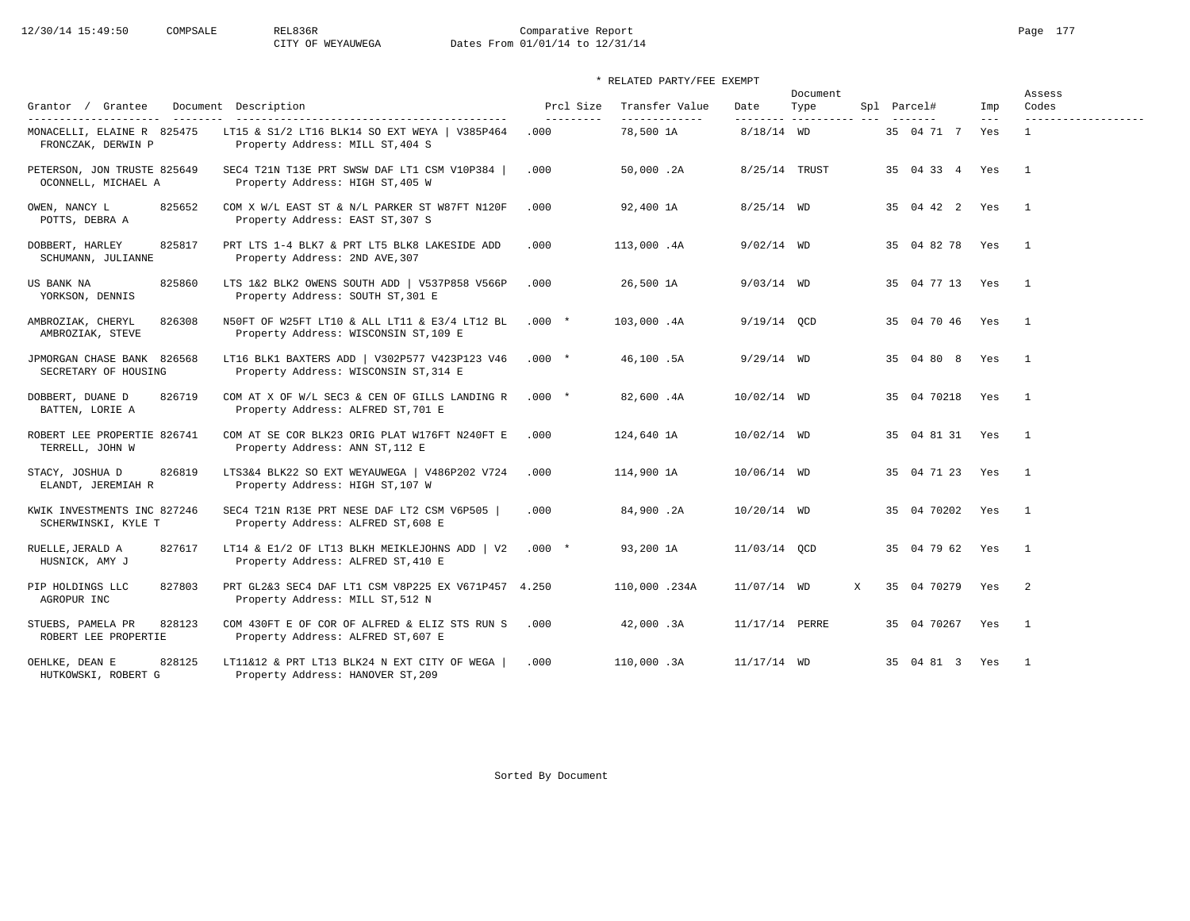# 12/30/14 15:49:50 COMPSALE REL836R Comparative Report Page 177 CITY OF WEYAUWEGA Dates From 01/01/14 to 12/31/14

| Grantor / Grantee                                                         | Document Description                                                                    | Prcl Size         | Transfer Value             | Date                      | Document<br>Type | Spl Parcel#     | Imp            | Assess<br>Codes                     |
|---------------------------------------------------------------------------|-----------------------------------------------------------------------------------------|-------------------|----------------------------|---------------------------|------------------|-----------------|----------------|-------------------------------------|
| ----------------------<br>$- - - - - - - -$<br>MONACELLI, ELAINE R 825475 | LT15 & S1/2 LT16 BLK14 SO EXT WEYA   V385P464                                           | ---------<br>.000 | -------------<br>78,500 1A | ---------<br>$8/18/14$ WD | _______________  | 35 04 71 7      | $- - -$<br>Yes | -------------------<br>$\mathbf{1}$ |
| FRONCZAK, DERWIN P                                                        | Property Address: MILL ST, 404 S                                                        |                   |                            |                           |                  |                 |                |                                     |
| PETERSON, JON TRUSTE 825649<br>OCONNELL, MICHAEL A                        | SEC4 T21N T13E PRT SWSW DAF LT1 CSM V10P384<br>Property Address: HIGH ST, 405 W         | .000              | 50,000.2A                  | 8/25/14 TRUST             |                  | 35 04 33 4      | Yes            | $\mathbf{1}$                        |
| OWEN, NANCY L<br>825652<br>POTTS, DEBRA A                                 | COM X W/L EAST ST & N/L PARKER ST W87FT N120F<br>Property Address: EAST ST, 307 S       | .000              | 92,400 1A                  | $8/25/14$ WD              |                  | 35 04 42 2 Yes  |                | $\mathbf{1}$                        |
| 825817<br>DOBBERT, HARLEY<br>SCHUMANN, JULIANNE                           | PRT LTS 1-4 BLK7 & PRT LT5 BLK8 LAKESIDE ADD<br>Property Address: 2ND AVE, 307          | .000              | 113,000.4A                 | $9/02/14$ WD              |                  | 35 04 82 78     | Yes            | $\overline{1}$                      |
| 825860<br>US BANK NA<br>YORKSON, DENNIS                                   | LTS 1&2 BLK2 OWENS SOUTH ADD   V537P858 V566P<br>Property Address: SOUTH ST, 301 E      | .000              | 26,500 1A                  | $9/03/14$ WD              |                  | 35 04 77 13 Yes |                | $\overline{1}$                      |
| 826308<br>AMBROZIAK, CHERYL<br>AMBROZIAK, STEVE                           | N50FT OF W25FT LT10 & ALL LT11 & E3/4 LT12 BL<br>Property Address: WISCONSIN ST, 109 E  | $.000 *$          | 103,000.4A                 | $9/19/14$ OCD             |                  | 35 04 70 46     | Yes            | $\overline{1}$                      |
| JPMORGAN CHASE BANK 826568<br>SECRETARY OF HOUSING                        | LT16 BLK1 BAXTERS ADD   V302P577 V423P123 V46<br>Property Address: WISCONSIN ST, 314 E  | $.000*$           | 46,100.5A                  | $9/29/14$ WD              |                  | 35 04 80 8      | Yes            | $\overline{1}$                      |
| 826719<br>DOBBERT, DUANE D<br>BATTEN, LORIE A                             | COM AT X OF W/L SEC3 & CEN OF GILLS LANDING R<br>Property Address: ALFRED ST, 701 E     | $.000*$           | 82,600.4A                  | 10/02/14 WD               |                  | 35 04 70218     | Yes            | $\overline{1}$                      |
| ROBERT LEE PROPERTIE 826741<br>TERRELL, JOHN W                            | COM AT SE COR BLK23 ORIG PLAT W176FT N240FT E<br>Property Address: ANN ST, 112 E        | .000              | 124,640 1A                 | 10/02/14 WD               |                  | 35 04 81 31     | Yes            | $\mathbf{1}$                        |
| 826819<br>STACY, JOSHUA D<br>ELANDT, JEREMIAH R                           | LTS3&4 BLK22 SO EXT WEYAUWEGA   V486P202 V724<br>Property Address: HIGH ST, 107 W       | .000              | 114,900 1A                 | 10/06/14 WD               |                  | 35 04 71 23 Yes |                | $\mathbf{1}$                        |
| KWIK INVESTMENTS INC 827246<br>SCHERWINSKI, KYLE T                        | SEC4 T21N R13E PRT NESE DAF LT2 CSM V6P505<br>Property Address: ALFRED ST, 608 E        | .000              | 84,900.2A                  | $10/20/14$ WD             |                  | 35 04 70202     | Yes            | $\overline{1}$                      |
| 827617<br>RUELLE, JERALD A<br>HUSNICK, AMY J                              | LT14 & E1/2 OF LT13 BLKH MEIKLEJOHNS ADD   V2<br>Property Address: ALFRED ST, 410 E     | $.000*$           | 93,200 1A                  | 11/03/14 OCD              |                  | 35 04 79 62     | Yes            | $\overline{1}$                      |
| 827803<br>PIP HOLDINGS LLC<br>AGROPUR INC                                 | PRT GL2&3 SEC4 DAF LT1 CSM V8P225 EX V671P457 4.250<br>Property Address: MILL ST, 512 N |                   | 110,000.234A               | $11/07/14$ WD             | X                | 35 04 70279     | Yes            | $\overline{2}$                      |
| STUEBS, PAMELA PR<br>828123<br>ROBERT LEE PROPERTIE                       | COM 430FT E OF COR OF ALFRED & ELIZ STS RUN S<br>Property Address: ALFRED ST, 607 E     | .000              | 42,000.3A                  | 11/17/14 PERRE            |                  | 35 04 70267     | Yes            | $\overline{1}$                      |
| 828125<br>OEHLKE, DEAN E<br>HUTKOWSKI, ROBERT G                           | LT11&12 & PRT LT13 BLK24 N EXT CITY OF WEGA<br>Property Address: HANOVER ST, 209        | .000              | 110,000.3A                 | 11/17/14 WD               |                  | 35 04 81 3 Yes  |                | $\overline{1}$                      |